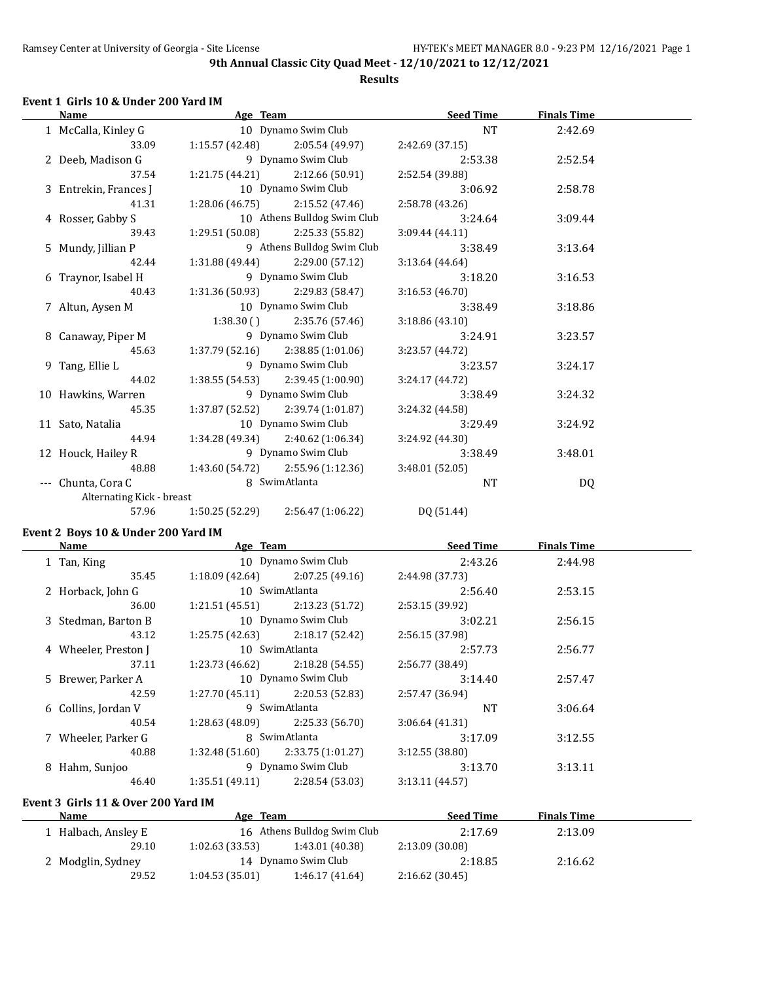#### **Results**

#### **Event 1 Girls 10 & Under 200 Yard IM**

| Name |                           | Age Team      |                                     | <b>Seed Time</b> | <b>Finals Time</b> |  |
|------|---------------------------|---------------|-------------------------------------|------------------|--------------------|--|
|      | 1 McCalla, Kinley G       |               | 10 Dynamo Swim Club                 | NT               | 2:42.69            |  |
|      | 33.09                     |               | $1:15.57(42.48)$ $2:05.54(49.97)$   | 2:42.69(37.15)   |                    |  |
|      | 2 Deeb, Madison G         |               | 9 Dynamo Swim Club                  | 2:53.38          | 2:52.54            |  |
|      | 37.54                     |               | $1:21.75(44.21)$ $2:12.66(50.91)$   | 2:52.54 (39.88)  |                    |  |
|      | 3 Entrekin, Frances J     |               | 10 Dynamo Swim Club                 | 3:06.92          | 2:58.78            |  |
|      | 41.31                     |               | $1:28.06(46.75)$ $2:15.52(47.46)$   | 2:58.78 (43.26)  |                    |  |
|      | 4 Rosser, Gabby S         |               | 10 Athens Bulldog Swim Club         | 3:24.64          | 3:09.44            |  |
|      | 39.43                     |               | $1:29.51(50.08)$ 2:25.33 (55.82)    | 3:09.44(44.11)   |                    |  |
|      | 5 Mundy, Jillian P        |               | 9 Athens Bulldog Swim Club          | 3:38.49          | 3:13.64            |  |
|      | 42.44                     |               | $1:31.88(49.44)$ $2:29.00(57.12)$   | 3:13.64(44.64)   |                    |  |
|      | 6 Traynor, Isabel H       |               | 9 Dynamo Swim Club                  | 3:18.20          | 3:16.53            |  |
|      | 40.43                     |               | $1:31.36(50.93)$ 2:29.83 (58.47)    | 3:16.53(46.70)   |                    |  |
|      | 7 Altun, Aysen M          |               | 10 Dynamo Swim Club                 | 3:38.49          | 3:18.86            |  |
|      |                           |               | $1:38.30$ () $2:35.76$ (57.46)      | 3:18.86 (43.10)  |                    |  |
|      | 8 Canaway, Piper M        |               | 9 Dynamo Swim Club                  | 3:24.91          | 3:23.57            |  |
|      | 45.63                     |               | $1:37.79(52.16)$ $2:38.85(1:01.06)$ | 3:23.57(44.72)   |                    |  |
|      | 9 Tang, Ellie L           |               | 9 Dynamo Swim Club                  | 3:23.57          | 3:24.17            |  |
|      | 44.02                     |               | $1:38.55(54.53)$ $2:39.45(1:00.90)$ | 3:24.17(44.72)   |                    |  |
|      | 10 Hawkins, Warren        |               | 9 Dynamo Swim Club                  | 3:38.49          | 3:24.32            |  |
|      | 45.35                     |               | $1:37.87(52.52)$ $2:39.74(1:01.87)$ | 3:24.32 (44.58)  |                    |  |
|      | 11 Sato, Natalia          |               | 10 Dynamo Swim Club                 | 3:29.49          | 3:24.92            |  |
|      | 44.94                     |               | $1:34.28(49.34)$ $2:40.62(1:06.34)$ | 3:24.92 (44.30)  |                    |  |
|      | 12 Houck, Hailey R        |               | 9 Dynamo Swim Club                  | 3:38.49          | 3:48.01            |  |
|      | 48.88                     |               | $1:43.60(54.72)$ $2:55.96(1:12.36)$ | 3:48.01(52.05)   |                    |  |
|      | --- Chunta, Cora C        | 8 SwimAtlanta |                                     | <b>NT</b>        | DQ                 |  |
|      | Alternating Kick - breast |               |                                     |                  |                    |  |
|      | 57.96                     |               | $1:50.25(52.29)$ $2:56.47(1:06.22)$ | DQ (51.44)       |                    |  |
|      |                           |               |                                     |                  |                    |  |

#### **Event 2 Boys 10 & Under 200 Yard IM**

|                | Age Team<br><b>Name</b> |                 | <b>Seed Time</b>    | <b>Finals Time</b> |         |  |
|----------------|-------------------------|-----------------|---------------------|--------------------|---------|--|
| 1 Tan, King    |                         |                 | 10 Dynamo Swim Club | 2:43.26            | 2:44.98 |  |
|                | 35.45                   | 1:18.09 (42.64) | 2:07.25 (49.16)     | 2:44.98 (37.73)    |         |  |
|                | 2 Horback, John G       |                 | 10 SwimAtlanta      | 2:56.40            | 2:53.15 |  |
|                | 36.00                   | 1:21.51(45.51)  | 2:13.23(51.72)      | 2:53.15 (39.92)    |         |  |
|                | 3 Stedman, Barton B     |                 | 10 Dynamo Swim Club | 3:02.21            | 2:56.15 |  |
|                | 43.12                   | 1:25.75(42.63)  | 2:18.17(52.42)      | 2:56.15 (37.98)    |         |  |
|                | 4 Wheeler, Preston J    |                 | 10 SwimAtlanta      | 2:57.73            | 2:56.77 |  |
|                | 37.11                   | 1:23.73 (46.62) | 2:18.28(54.55)      | 2:56.77 (38.49)    |         |  |
|                | 5 Brewer, Parker A      |                 | 10 Dynamo Swim Club | 3:14.40            | 2:57.47 |  |
|                | 42.59                   | 1:27.70 (45.11) | 2:20.53 (52.83)     | 2:57.47 (36.94)    |         |  |
|                | 6 Collins, Jordan V     |                 | 9 SwimAtlanta       | <b>NT</b>          | 3:06.64 |  |
|                | 40.54                   | 1:28.63 (48.09) | 2:25.33(56.70)      | 3:06.64(41.31)     |         |  |
|                | 7 Wheeler, Parker G     |                 | 8 SwimAtlanta       | 3:17.09            | 3:12.55 |  |
|                | 40.88                   | 1:32.48 (51.60) | 2:33.75 (1:01.27)   | 3:12.55(38.80)     |         |  |
| 8 Hahm, Sunjoo |                         |                 | 9 Dynamo Swim Club  | 3:13.70            | 3:13.11 |  |
|                | 46.40                   | 1:35.51(49.11)  | 2:28.54 (53.03)     | 3:13.11(44.57)     |         |  |
|                |                         |                 |                     |                    |         |  |

# **Event 3 Girls 11 & Over 200 Yard IM**

| Name                | Age Team       |                             | <b>Seed Time</b> | <b>Finals Time</b> |  |
|---------------------|----------------|-----------------------------|------------------|--------------------|--|
| . Halbach, Ansley E |                | 16 Athens Bulldog Swim Club | 2:17.69          | 2:13.09            |  |
| 29.10               | 1:02.63(33.53) | 1:43.01 (40.38)             | 2:13.09 (30.08)  |                    |  |
| 2 Modglin, Sydney   |                | 14 Dynamo Swim Club         | 2:18.85          | 2:16.62            |  |
| 29.52               | 1:04.53(35.01) | 1:46.17(41.64)              | 2:16.62(30.45)   |                    |  |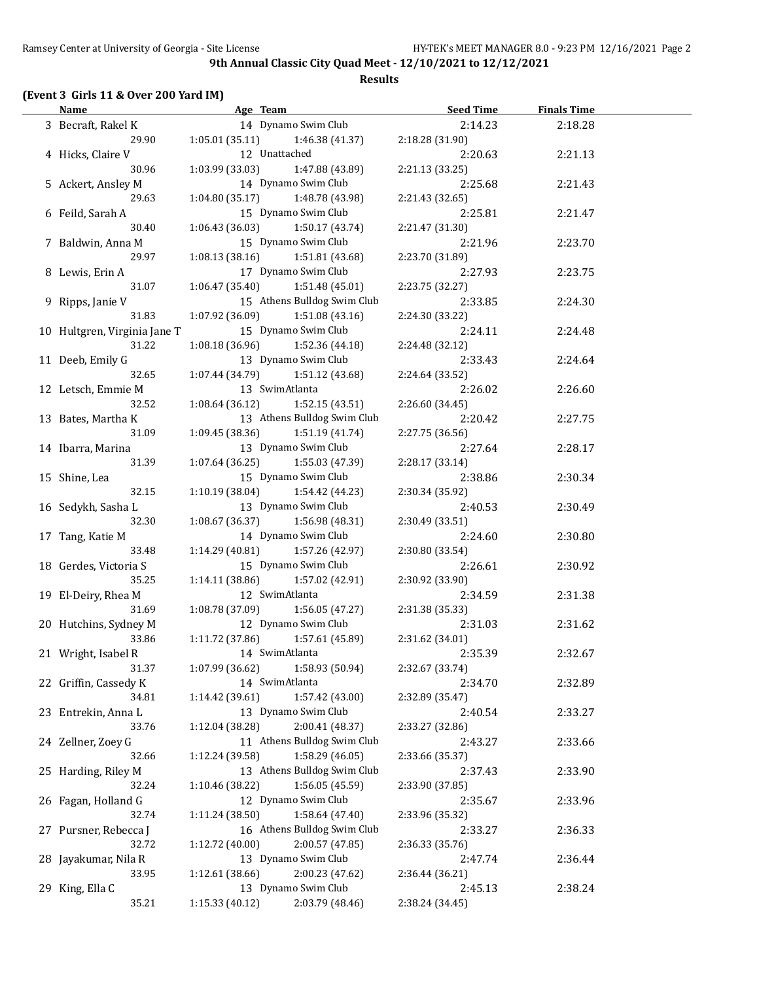#### **Results**

## **(Event 3 Girls 11 & Over 200 Yard IM)**

| Name and the same state of the state of the state of the state of the state of the state of the state of the state of the state of the state of the state of the state of the state of the state of the state of the state of |                 | Age Team                    | <b>Seed Time</b> | <b>Finals Time</b> |  |
|-------------------------------------------------------------------------------------------------------------------------------------------------------------------------------------------------------------------------------|-----------------|-----------------------------|------------------|--------------------|--|
| 3 Becraft, Rakel K                                                                                                                                                                                                            |                 | 14 Dynamo Swim Club         | 2:14.23          | 2:18.28            |  |
| 29.90                                                                                                                                                                                                                         | 1:05.01(35.11)  | 1:46.38 (41.37)             | 2:18.28 (31.90)  |                    |  |
| 4 Hicks, Claire V                                                                                                                                                                                                             | 12 Unattached   |                             | 2:20.63          | 2:21.13            |  |
| 30.96                                                                                                                                                                                                                         | 1:03.99 (33.03) | 1:47.88 (43.89)             | 2:21.13 (33.25)  |                    |  |
| 5 Ackert, Ansley M                                                                                                                                                                                                            |                 | 14 Dynamo Swim Club         | 2:25.68          | 2:21.43            |  |
| 29.63                                                                                                                                                                                                                         | 1:04.80 (35.17) | 1:48.78 (43.98)             | 2:21.43 (32.65)  |                    |  |
| 6 Feild, Sarah A                                                                                                                                                                                                              |                 | 15 Dynamo Swim Club         | 2:25.81          | 2:21.47            |  |
| 30.40                                                                                                                                                                                                                         | 1:06.43 (36.03) | 1:50.17 (43.74)             | 2:21.47 (31.30)  |                    |  |
| 7 Baldwin, Anna M                                                                                                                                                                                                             |                 | 15 Dynamo Swim Club         | 2:21.96          | 2:23.70            |  |
| 29.97                                                                                                                                                                                                                         | 1:08.13(38.16)  | 1:51.81 (43.68)             | 2:23.70 (31.89)  |                    |  |
| 8 Lewis, Erin A                                                                                                                                                                                                               |                 | 17 Dynamo Swim Club         | 2:27.93          | 2:23.75            |  |
| 31.07                                                                                                                                                                                                                         | 1:06.47(35.40)  | 1:51.48 (45.01)             | 2:23.75 (32.27)  |                    |  |
| 9 Ripps, Janie V                                                                                                                                                                                                              |                 | 15 Athens Bulldog Swim Club | 2:33.85          | 2:24.30            |  |
| 31.83                                                                                                                                                                                                                         | 1:07.92(36.09)  | 1:51.08 (43.16)             | 2:24.30 (33.22)  |                    |  |
| 10 Hultgren, Virginia Jane T                                                                                                                                                                                                  |                 | 15 Dynamo Swim Club         | 2:24.11          | 2:24.48            |  |
| 31.22                                                                                                                                                                                                                         | 1:08.18 (36.96) | 1:52.36 (44.18)             | 2:24.48 (32.12)  |                    |  |
| 11 Deeb, Emily G                                                                                                                                                                                                              |                 | 13 Dynamo Swim Club         | 2:33.43          | 2:24.64            |  |
| 32.65                                                                                                                                                                                                                         | 1:07.44 (34.79) | 1:51.12 (43.68)             | 2:24.64 (33.52)  |                    |  |
| 12 Letsch, Emmie M                                                                                                                                                                                                            | 13 SwimAtlanta  |                             | 2:26.02          | 2:26.60            |  |
| 32.52                                                                                                                                                                                                                         | 1:08.64(36.12)  | 1:52.15(43.51)              | 2:26.60 (34.45)  |                    |  |
| 13 Bates, Martha K                                                                                                                                                                                                            |                 | 13 Athens Bulldog Swim Club | 2:20.42          | 2:27.75            |  |
| 31.09                                                                                                                                                                                                                         | 1:09.45(38.36)  | 1:51.19(41.74)              | 2:27.75 (36.56)  |                    |  |
| 14 Ibarra, Marina                                                                                                                                                                                                             |                 | 13 Dynamo Swim Club         | 2:27.64          | 2:28.17            |  |
| 31.39                                                                                                                                                                                                                         | 1:07.64(36.25)  | 1:55.03 (47.39)             | 2:28.17 (33.14)  |                    |  |
| 15 Shine, Lea                                                                                                                                                                                                                 |                 | 15 Dynamo Swim Club         | 2:38.86          | 2:30.34            |  |
| 32.15                                                                                                                                                                                                                         | 1:10.19(38.04)  | 1:54.42 (44.23)             | 2:30.34 (35.92)  |                    |  |
| 16 Sedykh, Sasha L                                                                                                                                                                                                            |                 | 13 Dynamo Swim Club         | 2:40.53          | 2:30.49            |  |
| 32.30                                                                                                                                                                                                                         | 1:08.67 (36.37) | 1:56.98 (48.31)             | 2:30.49 (33.51)  |                    |  |
| 17 Tang, Katie M                                                                                                                                                                                                              |                 | 14 Dynamo Swim Club         | 2:24.60          | 2:30.80            |  |
| 33.48                                                                                                                                                                                                                         | 1:14.29 (40.81) | 1:57.26 (42.97)             | 2:30.80 (33.54)  |                    |  |
| 18 Gerdes, Victoria S                                                                                                                                                                                                         |                 | 15 Dynamo Swim Club         | 2:26.61          | 2:30.92            |  |
| 35.25                                                                                                                                                                                                                         | 1:14.11 (38.86) | 1:57.02 (42.91)             | 2:30.92 (33.90)  |                    |  |
| 19 El-Deiry, Rhea M                                                                                                                                                                                                           | 12 SwimAtlanta  |                             | 2:34.59          | 2:31.38            |  |
| 31.69                                                                                                                                                                                                                         | 1:08.78(37.09)  | 1:56.05 (47.27)             | 2:31.38 (35.33)  |                    |  |
| 20 Hutchins, Sydney M                                                                                                                                                                                                         |                 | 12 Dynamo Swim Club         | 2:31.03          | 2:31.62            |  |
| 33.86                                                                                                                                                                                                                         | 1:11.72 (37.86) | 1:57.61 (45.89)             | 2:31.62 (34.01)  |                    |  |
| 21 Wright, Isabel R                                                                                                                                                                                                           | 14 SwimAtlanta  |                             | 2:35.39          | 2:32.67            |  |
| 31.37                                                                                                                                                                                                                         | 1:07.99 (36.62) | 1:58.93 (50.94)             | 2:32.67 (33.74)  |                    |  |
| 22 Griffin, Cassedy K                                                                                                                                                                                                         | 14 SwimAtlanta  |                             | 2:34.70          | 2:32.89            |  |
| 34.81                                                                                                                                                                                                                         | 1:14.42(39.61)  | 1:57.42 (43.00)             | 2:32.89 (35.47)  |                    |  |
| 23 Entrekin, Anna L                                                                                                                                                                                                           |                 | 13 Dynamo Swim Club         | 2:40.54          | 2:33.27            |  |
| 33.76                                                                                                                                                                                                                         | 1:12.04 (38.28) | 2:00.41 (48.37)             | 2:33.27 (32.86)  |                    |  |
| 24 Zellner, Zoey G                                                                                                                                                                                                            |                 | 11 Athens Bulldog Swim Club | 2:43.27          | 2:33.66            |  |
| 32.66                                                                                                                                                                                                                         | 1:12.24 (39.58) | 1:58.29 (46.05)             | 2:33.66 (35.37)  |                    |  |
| 25 Harding, Riley M                                                                                                                                                                                                           |                 | 13 Athens Bulldog Swim Club | 2:37.43          | 2:33.90            |  |
| 32.24                                                                                                                                                                                                                         | 1:10.46 (38.22) | 1:56.05 (45.59)             | 2:33.90 (37.85)  |                    |  |
| 26 Fagan, Holland G                                                                                                                                                                                                           |                 | 12 Dynamo Swim Club         | 2:35.67          | 2:33.96            |  |
| 32.74                                                                                                                                                                                                                         | 1:11.24 (38.50) | 1:58.64 (47.40)             | 2:33.96 (35.32)  |                    |  |
| 27 Pursner, Rebecca J                                                                                                                                                                                                         |                 | 16 Athens Bulldog Swim Club | 2:33.27          | 2:36.33            |  |
| 32.72                                                                                                                                                                                                                         | 1:12.72 (40.00) | 2:00.57 (47.85)             | 2:36.33 (35.76)  |                    |  |
| 28 Jayakumar, Nila R                                                                                                                                                                                                          |                 | 13 Dynamo Swim Club         | 2:47.74          | 2:36.44            |  |
| 33.95                                                                                                                                                                                                                         | 1:12.61 (38.66) | 2:00.23 (47.62)             | 2:36.44 (36.21)  |                    |  |
| 29 King, Ella C                                                                                                                                                                                                               |                 | 13 Dynamo Swim Club         | 2:45.13          | 2:38.24            |  |
| 35.21                                                                                                                                                                                                                         | 1:15.33 (40.12) | 2:03.79 (48.46)             | 2:38.24 (34.45)  |                    |  |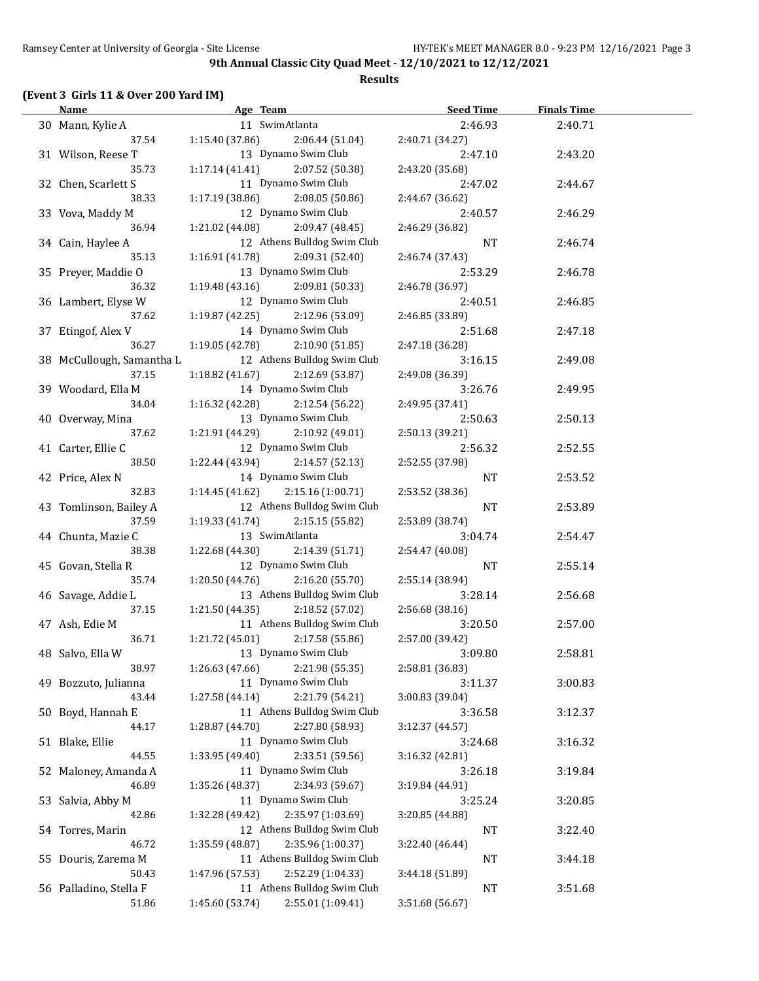#### **Results**

## **(Event 3 Girls 11 & Over 200 Yard IM)**

| <b>Name</b>                        | Age Team        |                             | <b>Seed Time</b>           | <b>Finals Time</b> |  |
|------------------------------------|-----------------|-----------------------------|----------------------------|--------------------|--|
| 30 Mann, Kylie A                   |                 | 11 SwimAtlanta              | 2:46.93                    | 2:40.71            |  |
| 37.54                              | 1:15.40 (37.86) | 2:06.44(51.04)              | 2:40.71 (34.27)            |                    |  |
| 31 Wilson, Reese T                 |                 | 13 Dynamo Swim Club         | 2:47.10                    | 2:43.20            |  |
| 35.73                              | 1:17.14 (41.41) | 2:07.52 (50.38)             | 2:43.20 (35.68)            |                    |  |
| 32 Chen, Scarlett S                |                 | 11 Dynamo Swim Club         | 2:47.02                    | 2:44.67            |  |
| 38.33                              | 1:17.19 (38.86) | 2:08.05 (50.86)             | 2:44.67 (36.62)            |                    |  |
| 33 Vova, Maddy M                   |                 | 12 Dynamo Swim Club         | 2:40.57                    | 2:46.29            |  |
| 36.94                              | 1:21.02 (44.08) | 2:09.47 (48.45)             | 2:46.29 (36.82)            |                    |  |
| 34 Cain, Haylee A                  |                 | 12 Athens Bulldog Swim Club | NT                         | 2:46.74            |  |
| 35.13                              | 1:16.91(41.78)  | 2:09.31 (52.40)             | 2:46.74 (37.43)            |                    |  |
| 35 Preyer, Maddie O                |                 | 13 Dynamo Swim Club         | 2:53.29                    | 2:46.78            |  |
| 36.32                              | 1:19.48(43.16)  | 2:09.81 (50.33)             | 2:46.78 (36.97)            |                    |  |
| 36 Lambert, Elyse W                |                 | 12 Dynamo Swim Club         | 2:40.51                    | 2:46.85            |  |
| 37.62                              | 1:19.87 (42.25) | 2:12.96 (53.09)             | 2:46.85 (33.89)            |                    |  |
| 37 Etingof, Alex V                 |                 | 14 Dynamo Swim Club         | 2:51.68                    | 2:47.18            |  |
| 36.27                              | 1:19.05 (42.78) | 2:10.90 (51.85)             | 2:47.18 (36.28)            |                    |  |
|                                    |                 | 12 Athens Bulldog Swim Club |                            |                    |  |
| 38 McCullough, Samantha L<br>37.15 |                 | 2:12.69 (53.87)             | 3:16.15<br>2:49.08 (36.39) | 2:49.08            |  |
|                                    | 1:18.82 (41.67) |                             |                            |                    |  |
| 39 Woodard, Ella M                 |                 | 14 Dynamo Swim Club         | 3:26.76                    | 2:49.95            |  |
| 34.04                              | 1:16.32 (42.28) | 2:12.54 (56.22)             | 2:49.95 (37.41)            |                    |  |
| 40 Overway, Mina                   |                 | 13 Dynamo Swim Club         | 2:50.63                    | 2:50.13            |  |
| 37.62                              | 1:21.91 (44.29) | 2:10.92 (49.01)             | 2:50.13 (39.21)            |                    |  |
| 41 Carter, Ellie C                 |                 | 12 Dynamo Swim Club         | 2:56.32                    | 2:52.55            |  |
| 38.50                              | 1:22.44 (43.94) | 2:14.57 (52.13)             | 2:52.55 (37.98)            |                    |  |
| 42 Price, Alex N                   |                 | 14 Dynamo Swim Club         | <b>NT</b>                  | 2:53.52            |  |
| 32.83                              | 1:14.45(41.62)  | 2:15.16 (1:00.71)           | 2:53.52 (38.36)            |                    |  |
| 43 Tomlinson, Bailey A             |                 | 12 Athens Bulldog Swim Club | <b>NT</b>                  | 2:53.89            |  |
| 37.59                              | 1:19.33 (41.74) | 2:15.15 (55.82)             | 2:53.89 (38.74)            |                    |  |
| 44 Chunta, Mazie C                 |                 | 13 SwimAtlanta              | 3:04.74                    | 2:54.47            |  |
| 38.38                              | 1:22.68 (44.30) | 2:14.39 (51.71)             | 2:54.47 (40.08)            |                    |  |
| 45 Govan, Stella R                 |                 | 12 Dynamo Swim Club         | <b>NT</b>                  | 2:55.14            |  |
| 35.74                              | 1:20.50 (44.76) | 2:16.20 (55.70)             | 2:55.14 (38.94)            |                    |  |
| 46 Savage, Addie L                 |                 | 13 Athens Bulldog Swim Club | 3:28.14                    | 2:56.68            |  |
| 37.15                              | 1:21.50 (44.35) | 2:18.52 (57.02)             | 2:56.68 (38.16)            |                    |  |
| 47 Ash, Edie M                     |                 | 11 Athens Bulldog Swim Club | 3:20.50                    | 2:57.00            |  |
| 36.71                              | 1:21.72(45.01)  | 2:17.58 (55.86)             | 2:57.00 (39.42)            |                    |  |
| 48 Salvo, Ella W                   |                 | 13 Dynamo Swim Club         | 3:09.80                    | 2:58.81            |  |
| 38.97                              | 1:26.63 (47.66) | 2:21.98 (55.35)             | 2:58.81 (36.83)            |                    |  |
| 49 Bozzuto, Julianna               |                 | 11 Dynamo Swim Club         | 3:11.37                    | 3:00.83            |  |
| 43.44                              | 1:27.58(44.14)  | 2:21.79 (54.21)             | 3:00.83 (39.04)            |                    |  |
| 50 Boyd, Hannah E                  |                 | 11 Athens Bulldog Swim Club | 3:36.58                    | 3:12.37            |  |
| 44.17                              | 1:28.87 (44.70) | 2:27.80 (58.93)             | 3:12.37 (44.57)            |                    |  |
| 51 Blake, Ellie                    |                 | 11 Dynamo Swim Club         | 3:24.68                    | 3:16.32            |  |
| 44.55                              | 1:33.95 (49.40) | 2:33.51 (59.56)             | 3:16.32 (42.81)            |                    |  |
| 52 Maloney, Amanda A               |                 | 11 Dynamo Swim Club         | 3:26.18                    | 3:19.84            |  |
| 46.89                              | 1:35.26 (48.37) | 2:34.93 (59.67)             | 3:19.84 (44.91)            |                    |  |
| 53 Salvia, Abby M                  |                 | 11 Dynamo Swim Club         | 3:25.24                    | 3:20.85            |  |
| 42.86                              | 1:32.28 (49.42) | 2:35.97 (1:03.69)           | 3:20.85 (44.88)            |                    |  |
| 54 Torres, Marin                   |                 | 12 Athens Bulldog Swim Club | NT                         | 3:22.40            |  |
| 46.72                              | 1:35.59 (48.87) | 2:35.96 (1:00.37)           | 3:22.40 (46.44)            |                    |  |
| 55 Douris, Zarema M                |                 | 11 Athens Bulldog Swim Club | <b>NT</b>                  | 3:44.18            |  |
| 50.43                              | 1:47.96 (57.53) | 2:52.29 (1:04.33)           | 3:44.18 (51.89)            |                    |  |
| 56 Palladino, Stella F             |                 | 11 Athens Bulldog Swim Club | <b>NT</b>                  | 3:51.68            |  |
| 51.86                              | 1:45.60 (53.74) | 2:55.01 (1:09.41)           | 3:51.68 (56.67)            |                    |  |
|                                    |                 |                             |                            |                    |  |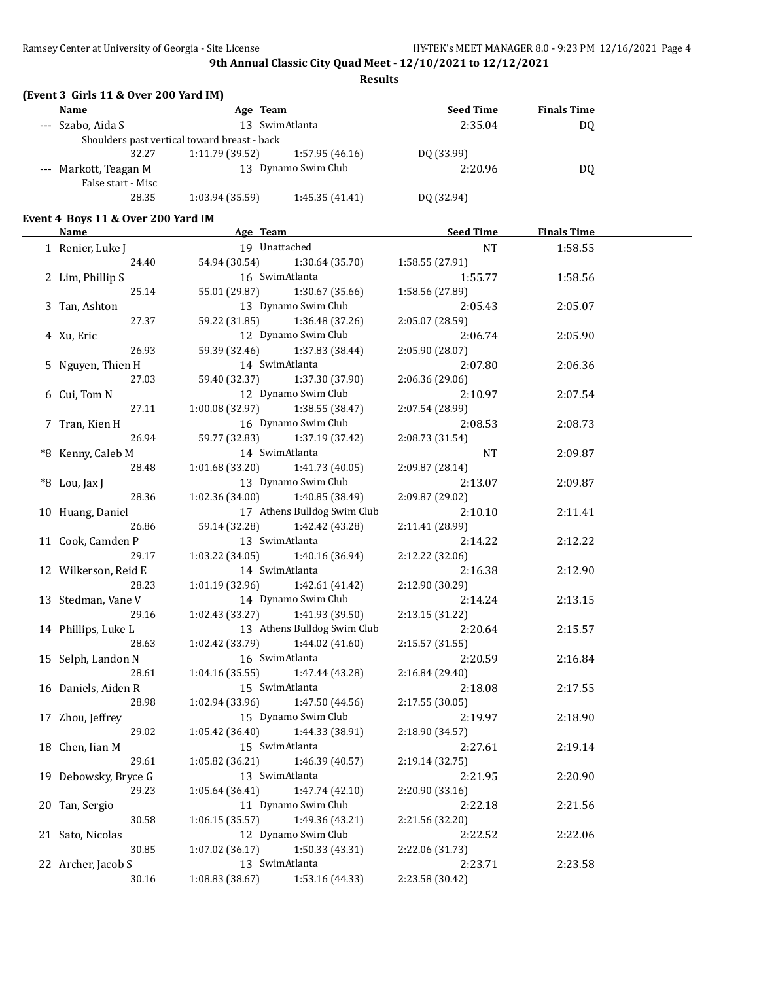**Results**

## **(Event 3 Girls 11 & Over 200 Yard IM)**

| Name                  | Age Team                                     |                     | <b>Seed Time</b> | <b>Finals Time</b> |  |
|-----------------------|----------------------------------------------|---------------------|------------------|--------------------|--|
| --- Szabo, Aida S     |                                              | 13 SwimAtlanta      | 2:35.04          | D <sub>0</sub>     |  |
|                       | Shoulders past vertical toward breast - back |                     |                  |                    |  |
| 32.27                 | 1:11.79(39.52)                               | 1:57.95 (46.16)     | DO (33.99)       |                    |  |
| --- Markott, Teagan M |                                              | 13 Dynamo Swim Club | 2:20.96          | D <sub>0</sub>     |  |
| False start - Misc    |                                              |                     |                  |                    |  |
| 28.35                 | 1:03.94(35.59)                               | 1:45.35(41.41)      | DQ (32.94)       |                    |  |

#### **Event 4 Boys 11 & Over 200 Yard IM**

| <b>Name</b>          | Age Team                            | Seed Time       | <b>Finals Time</b> |  |
|----------------------|-------------------------------------|-----------------|--------------------|--|
| 1 Renier, Luke J     | 19 Unattached                       | NT              | 1:58.55            |  |
| 24.40                | 54.94 (30.54) 1:30.64 (35.70)       | 1:58.55 (27.91) |                    |  |
| 2 Lim, Phillip S     | 16 SwimAtlanta                      | 1:55.77         | 1:58.56            |  |
| 25.14                | 55.01 (29.87)<br>1:30.67 (35.66)    | 1:58.56 (27.89) |                    |  |
| 3 Tan, Ashton        | 13 Dynamo Swim Club                 | 2:05.43         | 2:05.07            |  |
| 27.37                | 59.22 (31.85)<br>1:36.48 (37.26)    | 2:05.07 (28.59) |                    |  |
| 4 Xu, Eric           | 12 Dynamo Swim Club                 | 2:06.74         | 2:05.90            |  |
| 26.93                | 59.39 (32.46) 1:37.83 (38.44)       | 2:05.90 (28.07) |                    |  |
| 5 Nguyen, Thien H    | 14 SwimAtlanta                      | 2:07.80         | 2:06.36            |  |
| 27.03                | 59.40 (32.37) 1:37.30 (37.90)       | 2:06.36 (29.06) |                    |  |
| 6 Cui, Tom N         | 12 Dynamo Swim Club                 | 2:10.97         | 2:07.54            |  |
| 27.11                | $1:00.08(32.97)$ $1:38.55(38.47)$   | 2:07.54 (28.99) |                    |  |
| 7 Tran, Kien H       | 16 Dynamo Swim Club                 | 2:08.53         | 2:08.73            |  |
| 26.94                | 59.77 (32.83) 1:37.19 (37.42)       | 2:08.73 (31.54) |                    |  |
| *8 Kenny, Caleb M    | 14 SwimAtlanta                      | NT              | 2:09.87            |  |
| 28.48                | $1:01.68(33.20)$ $1:41.73(40.05)$   | 2:09.87 (28.14) |                    |  |
| *8 Lou, Jax J        | 13 Dynamo Swim Club                 | 2:13.07         | 2:09.87            |  |
| 28.36                | 1:02.36 (34.00) 1:40.85 (38.49)     | 2:09.87 (29.02) |                    |  |
| 10 Huang, Daniel     | 17 Athens Bulldog Swim Club         | 2:10.10         | 2:11.41            |  |
| 26.86                | 59.14 (32.28) 1:42.42 (43.28)       | 2:11.41 (28.99) |                    |  |
| 11 Cook, Camden P    | 13 SwimAtlanta                      | 2:14.22         | 2:12.22            |  |
| 29.17                | $1:03.22$ (34.05) $1:40.16$ (36.94) | 2:12.22 (32.06) |                    |  |
| 12 Wilkerson, Reid E | 14 SwimAtlanta                      | 2:16.38         | 2:12.90            |  |
| 28.23                | $1:01.19(32.96)$ $1:42.61(41.42)$   | 2:12.90 (30.29) |                    |  |
| 13 Stedman, Vane V   | 14 Dynamo Swim Club                 | 2:14.24         | 2:13.15            |  |
| 29.16                | 1:02.43 (33.27) 1:41.93 (39.50)     | 2:13.15 (31.22) |                    |  |
| 14 Phillips, Luke L  | 13 Athens Bulldog Swim Club         | 2:20.64         | 2:15.57            |  |
| 28.63                | $1:02.42(33.79)$ $1:44.02(41.60)$   | 2:15.57 (31.55) |                    |  |
| 15 Selph, Landon N   | 16 SwimAtlanta                      | 2:20.59         | 2:16.84            |  |
| 28.61                | $1:04.16(35.55)$ $1:47.44(43.28)$   | 2:16.84 (29.40) |                    |  |
| 16 Daniels, Aiden R  | 15 SwimAtlanta                      | 2:18.08         | 2:17.55            |  |
| 28.98                | $1:02.94(33.96)$ $1:47.50(44.56)$   | 2:17.55(30.05)  |                    |  |
| 17 Zhou, Jeffrey     | 15 Dynamo Swim Club                 | 2:19.97         | 2:18.90            |  |
| 29.02                | $1:05.42(36.40)$ $1:44.33(38.91)$   | 2:18.90 (34.57) |                    |  |
| 18 Chen, Iian M      | 15 SwimAtlanta                      | 2:27.61         | 2:19.14            |  |
| 29.61                | 1:05.82 (36.21)<br>1:46.39(40.57)   | 2:19.14 (32.75) |                    |  |
| 19 Debowsky, Bryce G | 13 SwimAtlanta                      | 2:21.95         | 2:20.90            |  |
| 29.23                | 1:47.74 (42.10)<br>1:05.64 (36.41)  | 2:20.90 (33.16) |                    |  |
| 20 Tan, Sergio       | 11 Dynamo Swim Club                 | 2:22.18         | 2:21.56            |  |
| 30.58                | 1:49.36 (43.21)<br>1:06.15(35.57)   | 2:21.56 (32.20) |                    |  |
| 21 Sato, Nicolas     | 12 Dynamo Swim Club                 | 2:22.52         | 2:22.06            |  |
| 30.85                | 1:50.33 (43.31)<br>1:07.02 (36.17)  | 2:22.06 (31.73) |                    |  |
| 22 Archer, Jacob S   | 13 SwimAtlanta                      | 2:23.71         | 2:23.58            |  |
| 30.16                | 1:08.83 (38.67)<br>1:53.16 (44.33)  | 2:23.58 (30.42) |                    |  |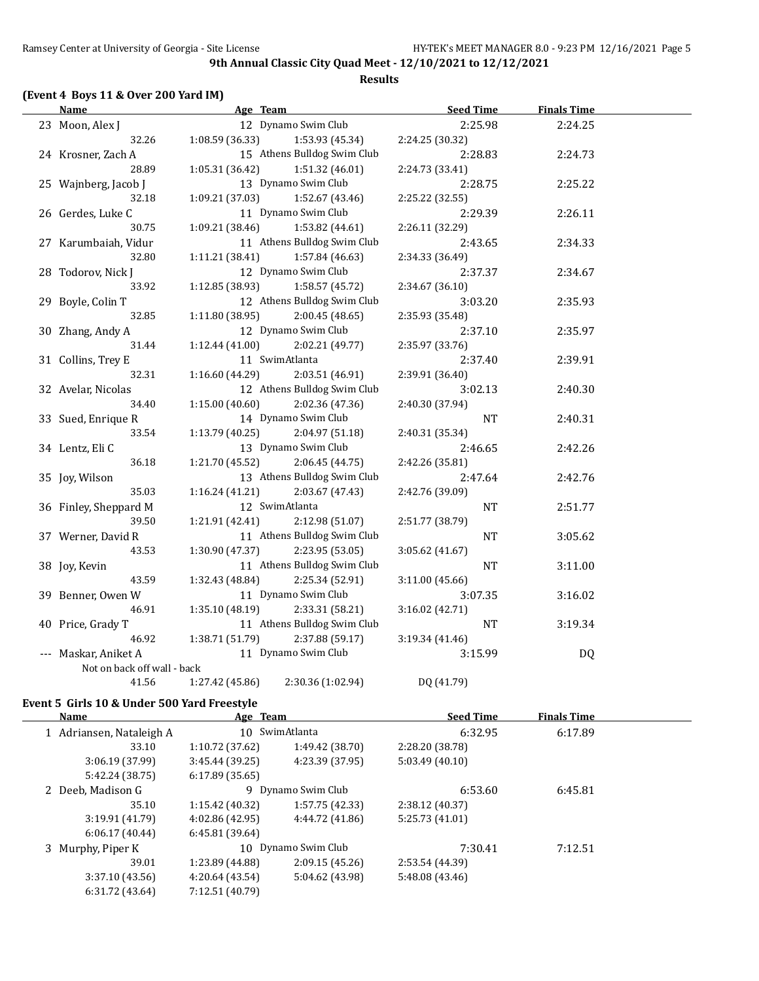## **(Event 4 Boys 11 & Over 200 Yard IM)**

| <b>Name</b><br>Age Team     |                 |                             | <b>Seed Time</b> | <b>Finals Time</b> |  |
|-----------------------------|-----------------|-----------------------------|------------------|--------------------|--|
| 23 Moon, Alex J             |                 | 12 Dynamo Swim Club         | 2:25.98          | 2:24.25            |  |
| 32.26                       | 1:08.59(36.33)  | 1:53.93 (45.34)             | 2:24.25 (30.32)  |                    |  |
| 24 Krosner, Zach A          |                 | 15 Athens Bulldog Swim Club | 2:28.83          | 2:24.73            |  |
| 28.89                       | 1:05.31(36.42)  | 1:51.32 (46.01)             | 2:24.73 (33.41)  |                    |  |
| 25 Wajnberg, Jacob J        |                 | 13 Dynamo Swim Club         | 2:28.75          | 2:25.22            |  |
| 32.18                       | 1:09.21 (37.03) | 1:52.67 (43.46)             | 2:25.22 (32.55)  |                    |  |
| 26 Gerdes, Luke C           |                 | 11 Dynamo Swim Club         | 2:29.39          | 2:26.11            |  |
| 30.75                       | 1:09.21(38.46)  | 1:53.82 (44.61)             | 2:26.11 (32.29)  |                    |  |
| 27 Karumbaiah, Vidur        |                 | 11 Athens Bulldog Swim Club | 2:43.65          | 2:34.33            |  |
| 32.80                       | 1:11.21(38.41)  | 1:57.84 (46.63)             | 2:34.33 (36.49)  |                    |  |
| 28 Todorov, Nick J          |                 | 12 Dynamo Swim Club         | 2:37.37          | 2:34.67            |  |
| 33.92                       | 1:12.85(38.93)  | 1:58.57 (45.72)             | 2:34.67 (36.10)  |                    |  |
| 29 Boyle, Colin T           |                 | 12 Athens Bulldog Swim Club | 3:03.20          | 2:35.93            |  |
| 32.85                       | 1:11.80(38.95)  | 2:00.45(48.65)              | 2:35.93 (35.48)  |                    |  |
| 30 Zhang, Andy A            |                 | 12 Dynamo Swim Club         | 2:37.10          | 2:35.97            |  |
| 31.44                       | 1:12.44(41.00)  | 2:02.21 (49.77)             | 2:35.97 (33.76)  |                    |  |
| 31 Collins, Trey E          |                 | 11 SwimAtlanta              | 2:37.40          | 2:39.91            |  |
| 32.31                       | 1:16.60(44.29)  | 2:03.51 (46.91)             | 2:39.91 (36.40)  |                    |  |
| 32 Avelar, Nicolas          |                 | 12 Athens Bulldog Swim Club | 3:02.13          | 2:40.30            |  |
| 34.40                       | 1:15.00(40.60)  | 2:02.36 (47.36)             | 2:40.30 (37.94)  |                    |  |
| 33 Sued, Enrique R          |                 | 14 Dynamo Swim Club         | <b>NT</b>        | 2:40.31            |  |
| 33.54                       | 1:13.79(40.25)  | 2:04.97 (51.18)             | 2:40.31 (35.34)  |                    |  |
| 34 Lentz, Eli C             |                 | 13 Dynamo Swim Club         | 2:46.65          | 2:42.26            |  |
| 36.18                       | 1:21.70 (45.52) | 2:06.45(44.75)              | 2:42.26 (35.81)  |                    |  |
| 35 Joy, Wilson              |                 | 13 Athens Bulldog Swim Club | 2:47.64          | 2:42.76            |  |
| 35.03                       | 1:16.24(41.21)  | 2:03.67(47.43)              | 2:42.76 (39.09)  |                    |  |
| 36 Finley, Sheppard M       |                 | 12 SwimAtlanta              | <b>NT</b>        | 2:51.77            |  |
| 39.50                       | 1:21.91 (42.41) | 2:12.98 (51.07)             | 2:51.77 (38.79)  |                    |  |
| 37 Werner, David R          |                 | 11 Athens Bulldog Swim Club | <b>NT</b>        | 3:05.62            |  |
| 43.53                       | 1:30.90(47.37)  | 2:23.95 (53.05)             | 3:05.62(41.67)   |                    |  |
| 38 Joy, Kevin               |                 | 11 Athens Bulldog Swim Club | <b>NT</b>        | 3:11.00            |  |
| 43.59                       | 1:32.43 (48.84) | 2:25.34 (52.91)             | 3:11.00 (45.66)  |                    |  |
| 39 Benner, Owen W           |                 | 11 Dynamo Swim Club         | 3:07.35          | 3:16.02            |  |
| 46.91                       | 1:35.10(48.19)  | 2:33.31 (58.21)             | 3:16.02 (42.71)  |                    |  |
| 40 Price, Grady T           |                 | 11 Athens Bulldog Swim Club | <b>NT</b>        | 3:19.34            |  |
| 46.92                       | 1:38.71 (51.79) | 2:37.88 (59.17)             | 3:19.34 (41.46)  |                    |  |
| --- Maskar, Aniket A        |                 | 11 Dynamo Swim Club         | 3:15.99          | <b>DQ</b>          |  |
| Not on back off wall - back |                 |                             |                  |                    |  |
| 41.56                       | 1:27.42 (45.86) | 2:30.36 (1:02.94)           | DQ (41.79)       |                    |  |

## **Event 5 Girls 10 & Under 500 Yard Freestyle**

| Name                     | Age Team        |                     | <b>Seed Time</b> | <b>Finals Time</b> |  |
|--------------------------|-----------------|---------------------|------------------|--------------------|--|
| 1 Adriansen, Nataleigh A |                 | 10 SwimAtlanta      | 6:32.95          | 6:17.89            |  |
| 33.10                    | 1:10.72(37.62)  | 1:49.42 (38.70)     | 2:28.20 (38.78)  |                    |  |
| 3:06.19(37.99)           | 3:45.44(39.25)  | 4:23.39 (37.95)     | 5:03.49(40.10)   |                    |  |
| 5:42.24 (38.75)          | 6:17.89(35.65)  |                     |                  |                    |  |
| 2 Deeb, Madison G        | 9               | Dynamo Swim Club    | 6:53.60          | 6:45.81            |  |
| 35.10                    | 1:15.42(40.32)  | 1:57.75(42.33)      | 2:38.12 (40.37)  |                    |  |
| 3:19.91(41.79)           | 4:02.86 (42.95) | 4:44.72 (41.86)     | 5:25.73 (41.01)  |                    |  |
| 6:06.17(40.44)           | 6:45.81(39.64)  |                     |                  |                    |  |
| 3 Murphy, Piper K        |                 | 10 Dynamo Swim Club | 7:30.41          | 7:12.51            |  |
| 39.01                    | 1:23.89 (44.88) | 2:09.15(45.26)      | 2:53.54 (44.39)  |                    |  |
| 3:37.10(43.56)           | 4:20.64 (43.54) | 5:04.62 (43.98)     | 5:48.08 (43.46)  |                    |  |
| 6:31.72 (43.64)          | 7:12.51 (40.79) |                     |                  |                    |  |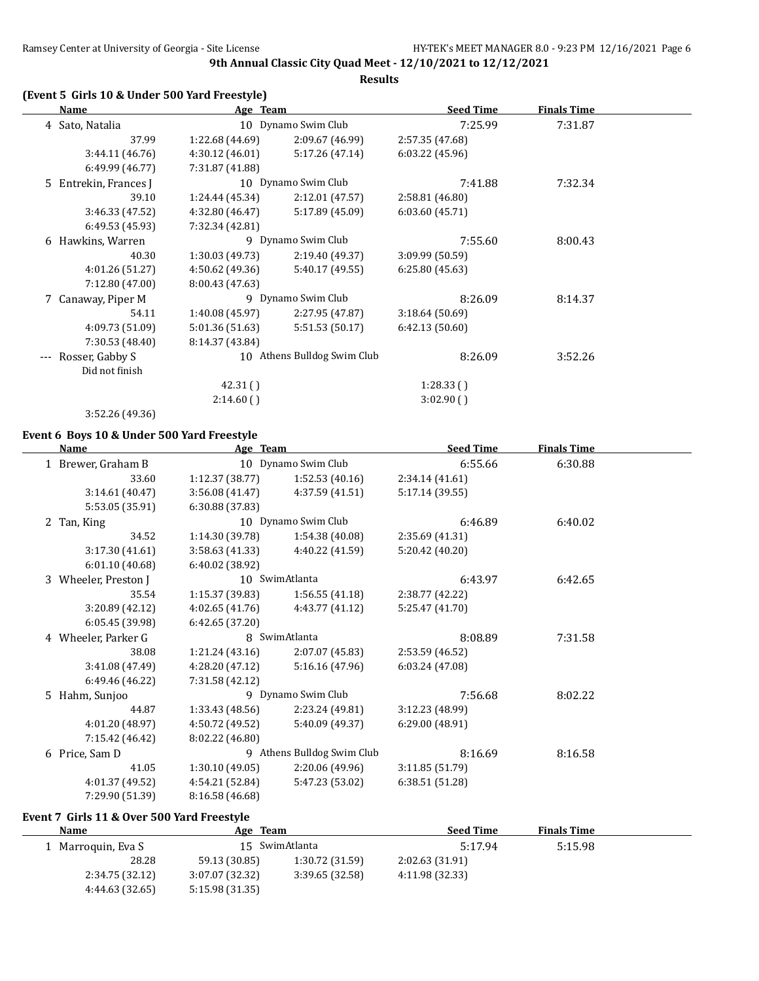## **(Event 5 Girls 10 & Under 500 Yard Freestyle)**

| Name                  | Age Team        |                             | <b>Seed Time</b> | <b>Finals Time</b> |  |
|-----------------------|-----------------|-----------------------------|------------------|--------------------|--|
| 4 Sato, Natalia       |                 | 10 Dynamo Swim Club         | 7:25.99          | 7:31.87            |  |
| 37.99                 | 1:22.68 (44.69) | 2:09.67 (46.99)             | 2:57.35 (47.68)  |                    |  |
| 3:44.11(46.76)        | 4:30.12(46.01)  | 5:17.26(47.14)              | 6:03.22(45.96)   |                    |  |
| 6:49.99 (46.77)       | 7:31.87 (41.88) |                             |                  |                    |  |
| 5 Entrekin, Frances J |                 | 10 Dynamo Swim Club         | 7:41.88          | 7:32.34            |  |
| 39.10                 | 1:24.44 (45.34) | 2:12.01 (47.57)             | 2:58.81 (46.80)  |                    |  |
| 3:46.33 (47.52)       | 4:32.80 (46.47) | 5:17.89 (45.09)             | 6:03.60(45.71)   |                    |  |
| 6:49.53(45.93)        | 7:32.34 (42.81) |                             |                  |                    |  |
| 6 Hawkins, Warren     |                 | 9 Dynamo Swim Club          | 7:55.60          | 8:00.43            |  |
| 40.30                 | 1:30.03(49.73)  | 2:19.40 (49.37)             | 3:09.99 (50.59)  |                    |  |
| 4:01.26(51.27)        | 4:50.62 (49.36) | 5:40.17 (49.55)             | 6:25.80(45.63)   |                    |  |
| 7:12.80 (47.00)       | 8:00.43 (47.63) |                             |                  |                    |  |
| 7 Canaway, Piper M    |                 | 9 Dynamo Swim Club          | 8:26.09          | 8:14.37            |  |
| 54.11                 | 1:40.08(45.97)  | 2:27.95 (47.87)             | 3:18.64(50.69)   |                    |  |
| 4:09.73 (51.09)       | 5:01.36(51.63)  | 5:51.53 (50.17)             | 6:42.13(50.60)   |                    |  |
| 7:30.53 (48.40)       | 8:14.37 (43.84) |                             |                  |                    |  |
| Rosser, Gabby S       |                 | 10 Athens Bulldog Swim Club | 8:26.09          | 3:52.26            |  |
| Did not finish        |                 |                             |                  |                    |  |
|                       | 42.31()         |                             | 1:28.33(         |                    |  |
|                       | 2:14.60()       |                             | 3:02.90()        |                    |  |
| 3:52.26 (49.36)       |                 |                             |                  |                    |  |

#### **Event 6 Boys 10 & Under 500 Yard Freestyle**

|   | <b>Name</b>        | Age Team        |                            | <b>Seed Time</b> | <b>Finals Time</b> |  |
|---|--------------------|-----------------|----------------------------|------------------|--------------------|--|
|   | 1 Brewer, Graham B |                 | 10 Dynamo Swim Club        | 6:55.66          | 6:30.88            |  |
|   | 33.60              | 1:12.37(38.77)  | 1:52.53(40.16)             | 2:34.14 (41.61)  |                    |  |
|   | 3:14.61 (40.47)    | 3:56.08(41.47)  | 4:37.59 (41.51)            | 5:17.14 (39.55)  |                    |  |
|   | 5:53.05 (35.91)    | 6:30.88 (37.83) |                            |                  |                    |  |
| 2 | Tan, King          |                 | 10 Dynamo Swim Club        | 6:46.89          | 6:40.02            |  |
|   | 34.52              | 1:14.30 (39.78) | 1:54.38 (40.08)            | 2:35.69 (41.31)  |                    |  |
|   | 3:17.30 (41.61)    | 3:58.63 (41.33) | 4:40.22 (41.59)            | 5:20.42 (40.20)  |                    |  |
|   | 6:01.10 (40.68)    | 6:40.02 (38.92) |                            |                  |                    |  |
| 3 | Wheeler, Preston J |                 | 10 SwimAtlanta             | 6:43.97          | 6:42.65            |  |
|   | 35.54              | 1:15.37 (39.83) | 1:56.55(41.18)             | 2:38.77 (42.22)  |                    |  |
|   | 3:20.89 (42.12)    | 4:02.65 (41.76) | 4:43.77 (41.12)            | 5:25.47 (41.70)  |                    |  |
|   | 6:05.45 (39.98)    | 6:42.65 (37.20) |                            |                  |                    |  |
| 4 | Wheeler, Parker G  |                 | 8 SwimAtlanta              | 8:08.89          | 7:31.58            |  |
|   | 38.08              | 1:21.24 (43.16) | 2:07.07 (45.83)            | 2:53.59 (46.52)  |                    |  |
|   | 3:41.08 (47.49)    | 4:28.20 (47.12) | 5:16.16 (47.96)            | 6:03.24 (47.08)  |                    |  |
|   | 6:49.46 (46.22)    | 7:31.58 (42.12) |                            |                  |                    |  |
|   | 5 Hahm, Sunjoo     |                 | 9 Dynamo Swim Club         | 7:56.68          | 8:02.22            |  |
|   | 44.87              | 1:33.43 (48.56) | 2:23.24 (49.81)            | 3:12.23(48.99)   |                    |  |
|   | 4:01.20 (48.97)    | 4:50.72 (49.52) | 5:40.09 (49.37)            | 6:29.00 (48.91)  |                    |  |
|   | 7:15.42 (46.42)    | 8:02.22 (46.80) |                            |                  |                    |  |
|   | 6 Price, Sam D     |                 | 9 Athens Bulldog Swim Club | 8:16.69          | 8:16.58            |  |
|   | 41.05              | 1:30.10(49.05)  | 2:20.06 (49.96)            | 3:11.85 (51.79)  |                    |  |
|   | 4:01.37 (49.52)    | 4:54.21 (52.84) | 5:47.23 (53.02)            | 6:38.51 (51.28)  |                    |  |
|   | 7:29.90 (51.39)    | 8:16.58 (46.68) |                            |                  |                    |  |

## **Event 7 Girls 11 & Over 500 Yard Freestyle**

| <b>Name</b>        | Age Team        |                 | <b>Seed Time</b> | <b>Finals Time</b> |  |
|--------------------|-----------------|-----------------|------------------|--------------------|--|
| 1 Marroquin, Eva S |                 | 15 SwimAtlanta  | 5:17.94          | 5:15.98            |  |
| 28.28              | 59.13 (30.85)   | 1:30.72 (31.59) | 2:02.63(31.91)   |                    |  |
| 2:34.75 (32.12)    | 3:07.07 (32.32) | 3:39.65(32.58)  | 4:11.98 (32.33)  |                    |  |
| 4:44.63 (32.65)    | 5:15.98 (31.35) |                 |                  |                    |  |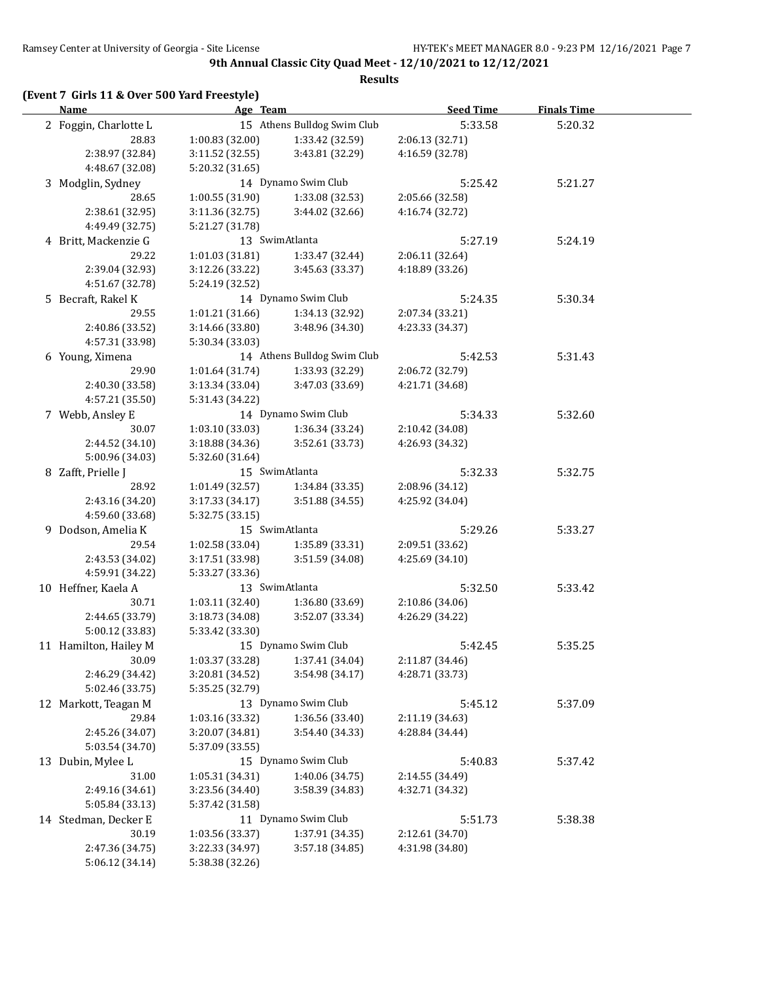**Results**

| <b>Name</b>           | Age Team                        |                             | <b>Seed Time</b> | <b>Finals Time</b> |  |
|-----------------------|---------------------------------|-----------------------------|------------------|--------------------|--|
| 2 Foggin, Charlotte L |                                 | 15 Athens Bulldog Swim Club | 5:33.58          | 5:20.32            |  |
| 28.83                 | 1:00.83 (32.00)                 | 1:33.42 (32.59)             | 2:06.13 (32.71)  |                    |  |
| 2:38.97 (32.84)       | 3:11.52 (32.55)                 | 3:43.81 (32.29)             | 4:16.59 (32.78)  |                    |  |
| 4:48.67 (32.08)       | 5:20.32 (31.65)                 |                             |                  |                    |  |
| 3 Modglin, Sydney     |                                 | 14 Dynamo Swim Club         | 5:25.42          | 5:21.27            |  |
| 28.65                 | 1:00.55(31.90)                  | 1:33.08 (32.53)             | 2:05.66 (32.58)  |                    |  |
| 2:38.61 (32.95)       | 3:11.36 (32.75)                 | 3:44.02 (32.66)             | 4:16.74 (32.72)  |                    |  |
| 4:49.49 (32.75)       | 5:21.27 (31.78)                 |                             |                  |                    |  |
| 4 Britt, Mackenzie G  |                                 | 13 SwimAtlanta              | 5:27.19          | 5:24.19            |  |
| 29.22                 | 1:01.03(31.81)                  | 1:33.47 (32.44)             | 2:06.11 (32.64)  |                    |  |
| 2:39.04 (32.93)       | 3:12.26 (33.22)                 | 3:45.63 (33.37)             | 4:18.89 (33.26)  |                    |  |
| 4:51.67 (32.78)       | 5:24.19 (32.52)                 |                             |                  |                    |  |
| 5 Becraft, Rakel K    |                                 | 14 Dynamo Swim Club         | 5:24.35          | 5:30.34            |  |
| 29.55                 | 1:01.21(31.66)                  | 1:34.13 (32.92)             | 2:07.34 (33.21)  |                    |  |
| 2:40.86 (33.52)       | 3:14.66 (33.80)                 | 3:48.96 (34.30)             | 4:23.33 (34.37)  |                    |  |
| 4:57.31 (33.98)       | 5:30.34 (33.03)                 |                             |                  |                    |  |
| 6 Young, Ximena       |                                 | 14 Athens Bulldog Swim Club | 5:42.53          | 5:31.43            |  |
| 29.90                 | 1:01.64 (31.74)                 | 1:33.93 (32.29)             | 2:06.72 (32.79)  |                    |  |
| 2:40.30 (33.58)       | 3:13.34 (33.04)                 | 3:47.03 (33.69)             | 4:21.71 (34.68)  |                    |  |
| 4:57.21 (35.50)       | 5:31.43 (34.22)                 |                             |                  |                    |  |
| 7 Webb, Ansley E      |                                 | 14 Dynamo Swim Club         | 5:34.33          | 5:32.60            |  |
| 30.07                 | 1:03.10(33.03)                  | 1:36.34 (33.24)             | 2:10.42 (34.08)  |                    |  |
| 2:44.52 (34.10)       | 3:18.88 (34.36)                 | 3:52.61 (33.73)             | 4:26.93 (34.32)  |                    |  |
| 5:00.96 (34.03)       | 5:32.60 (31.64)                 |                             |                  |                    |  |
| 8 Zafft, Prielle J    |                                 | 15 SwimAtlanta              | 5:32.33          | 5:32.75            |  |
| 28.92                 | 1:01.49(32.57)                  | 1:34.84 (33.35)             | 2:08.96 (34.12)  |                    |  |
| 2:43.16 (34.20)       | 3:17.33 (34.17)                 | 3:51.88 (34.55)             | 4:25.92 (34.04)  |                    |  |
| 4:59.60 (33.68)       | 5:32.75 (33.15)                 |                             |                  |                    |  |
| 9 Dodson, Amelia K    |                                 | 15 SwimAtlanta              | 5:29.26          | 5:33.27            |  |
| 29.54                 | 1:02.58 (33.04)                 | 1:35.89 (33.31)             | 2:09.51 (33.62)  |                    |  |
| 2:43.53 (34.02)       | 3:17.51 (33.98)                 | 3:51.59 (34.08)             | 4:25.69 (34.10)  |                    |  |
| 4:59.91 (34.22)       | 5:33.27 (33.36)                 |                             |                  |                    |  |
| 10 Heffner, Kaela A   |                                 | 13 SwimAtlanta              | 5:32.50          | 5:33.42            |  |
| 30.71                 | 1:03.11(32.40)                  | 1:36.80 (33.69)             | 2:10.86 (34.06)  |                    |  |
| 2:44.65 (33.79)       | 3:18.73 (34.08)                 | 3:52.07 (33.34)             | 4:26.29 (34.22)  |                    |  |
| 5:00.12(33.83)        | 5:33.42 (33.30)                 |                             |                  |                    |  |
| 11 Hamilton, Hailey M |                                 | 15 Dynamo Swim Club         | 5:42.45          | 5:35.25            |  |
| 30.09                 | 1:03.37 (33.28) 1:37.41 (34.04) |                             | 2:11.87 (34.46)  |                    |  |
| 2:46.29 (34.42)       | 3:20.81 (34.52)                 | 3:54.98 (34.17)             | 4:28.71 (33.73)  |                    |  |
| 5:02.46 (33.75)       | 5:35.25 (32.79)                 |                             |                  |                    |  |
| 12 Markott, Teagan M  |                                 | 13 Dynamo Swim Club         | 5:45.12          | 5:37.09            |  |
| 29.84                 | 1:03.16 (33.32)                 | 1:36.56 (33.40)             | 2:11.19 (34.63)  |                    |  |
| 2:45.26 (34.07)       | 3:20.07 (34.81)                 | 3:54.40 (34.33)             | 4:28.84 (34.44)  |                    |  |
| 5:03.54 (34.70)       | 5:37.09 (33.55)                 |                             |                  |                    |  |
| 13 Dubin, Mylee L     |                                 | 15 Dynamo Swim Club         | 5:40.83          | 5:37.42            |  |
| 31.00                 | 1:05.31 (34.31)                 | 1:40.06 (34.75)             | 2:14.55 (34.49)  |                    |  |
| 2:49.16 (34.61)       | 3:23.56 (34.40)                 | 3:58.39 (34.83)             | 4:32.71 (34.32)  |                    |  |
| 5:05.84 (33.13)       | 5:37.42 (31.58)                 |                             |                  |                    |  |
| 14 Stedman, Decker E  |                                 | 11 Dynamo Swim Club         | 5:51.73          | 5:38.38            |  |
| 30.19                 | 1:03.56 (33.37)                 | 1:37.91 (34.35)             | 2:12.61 (34.70)  |                    |  |
| 2:47.36 (34.75)       | 3:22.33 (34.97)                 | 3:57.18 (34.85)             | 4:31.98 (34.80)  |                    |  |
| 5:06.12 (34.14)       | 5:38.38 (32.26)                 |                             |                  |                    |  |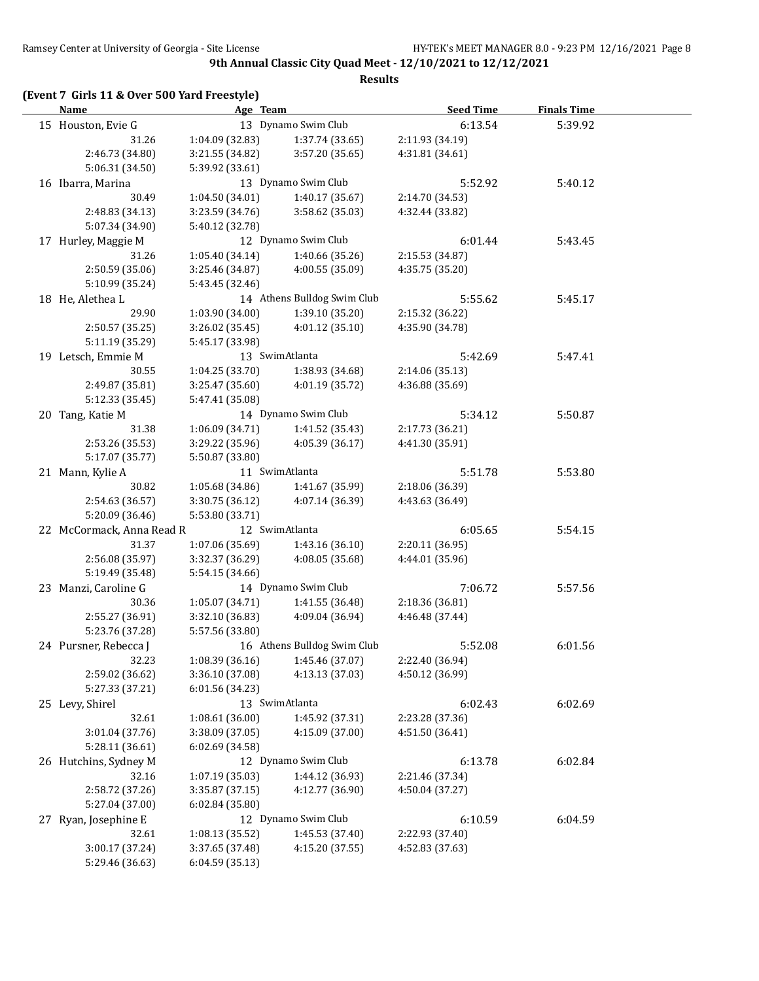#### **Results**

## **(Event 7 Girls 11 & Over 500 Yard Freestyle)**

| <b>Name</b>               | Age Team        |                                   | <b>Seed Time</b> | <b>Finals Time</b> |  |
|---------------------------|-----------------|-----------------------------------|------------------|--------------------|--|
| 15 Houston, Evie G        |                 | 13 Dynamo Swim Club               | 6:13.54          | 5:39.92            |  |
| 31.26                     | 1:04.09 (32.83) | 1:37.74 (33.65)                   | 2:11.93 (34.19)  |                    |  |
| 2:46.73 (34.80)           | 3:21.55 (34.82) | 3:57.20 (35.65)                   | 4:31.81 (34.61)  |                    |  |
| 5:06.31 (34.50)           | 5:39.92 (33.61) |                                   |                  |                    |  |
| 16 Ibarra, Marina         |                 | 13 Dynamo Swim Club               | 5:52.92          | 5:40.12            |  |
| 30.49                     | 1:04.50 (34.01) | 1:40.17 (35.67)                   | 2:14.70 (34.53)  |                    |  |
| 2:48.83 (34.13)           | 3:23.59 (34.76) | 3:58.62 (35.03)                   | 4:32.44 (33.82)  |                    |  |
| 5:07.34 (34.90)           | 5:40.12 (32.78) |                                   |                  |                    |  |
| 17 Hurley, Maggie M       |                 | 12 Dynamo Swim Club               | 6:01.44          | 5:43.45            |  |
| 31.26                     | 1:05.40 (34.14) | 1:40.66 (35.26)                   | 2:15.53 (34.87)  |                    |  |
| 2:50.59 (35.06)           | 3:25.46 (34.87) | 4:00.55 (35.09)                   | 4:35.75 (35.20)  |                    |  |
| 5:10.99 (35.24)           | 5:43.45 (32.46) |                                   |                  |                    |  |
| 18 He, Alethea L          |                 | 14 Athens Bulldog Swim Club       | 5:55.62          | 5:45.17            |  |
| 29.90                     | 1:03.90 (34.00) | 1:39.10 (35.20)                   | 2:15.32 (36.22)  |                    |  |
| 2:50.57 (35.25)           | 3:26.02 (35.45) | 4:01.12(35.10)                    | 4:35.90 (34.78)  |                    |  |
| 5:11.19 (35.29)           | 5:45.17 (33.98) |                                   |                  |                    |  |
| 19 Letsch, Emmie M        |                 | 13 SwimAtlanta                    | 5:42.69          | 5:47.41            |  |
| 30.55                     | 1:04.25 (33.70) | 1:38.93 (34.68)                   | 2:14.06 (35.13)  |                    |  |
| 2:49.87 (35.81)           | 3:25.47 (35.60) | 4:01.19 (35.72)                   | 4:36.88 (35.69)  |                    |  |
| 5:12.33 (35.45)           | 5:47.41 (35.08) |                                   |                  |                    |  |
| 20 Tang, Katie M          |                 | 14 Dynamo Swim Club               | 5:34.12          | 5:50.87            |  |
| 31.38                     | 1:06.09(34.71)  | 1:41.52 (35.43)                   | 2:17.73 (36.21)  |                    |  |
| 2:53.26 (35.53)           | 3:29.22 (35.96) | 4:05.39(36.17)                    | 4:41.30 (35.91)  |                    |  |
| 5:17.07 (35.77)           | 5:50.87 (33.80) |                                   |                  |                    |  |
| 21 Mann, Kylie A          |                 | 11 SwimAtlanta                    | 5:51.78          | 5:53.80            |  |
| 30.82                     | 1:05.68 (34.86) | 1:41.67 (35.99)                   | 2:18.06 (36.39)  |                    |  |
| 2:54.63 (36.57)           | 3:30.75 (36.12) | 4:07.14 (36.39)                   | 4:43.63 (36.49)  |                    |  |
| 5:20.09 (36.46)           | 5:53.80 (33.71) |                                   |                  |                    |  |
| 22 McCormack, Anna Read R |                 | 12 SwimAtlanta                    | 6:05.65          | 5:54.15            |  |
| 31.37                     | 1:07.06 (35.69) | 1:43.16 (36.10)                   | 2:20.11 (36.95)  |                    |  |
| 2:56.08 (35.97)           | 3:32.37 (36.29) | 4:08.05 (35.68)                   | 4:44.01 (35.96)  |                    |  |
| 5:19.49 (35.48)           | 5:54.15 (34.66) |                                   |                  |                    |  |
| 23 Manzi, Caroline G      |                 | 14 Dynamo Swim Club               | 7:06.72          | 5:57.56            |  |
| 30.36                     | 1:05.07 (34.71) | 1:41.55 (36.48)                   | 2:18.36 (36.81)  |                    |  |
| 2:55.27 (36.91)           | 3:32.10 (36.83) | 4:09.04 (36.94)                   | 4:46.48 (37.44)  |                    |  |
| 5:23.76 (37.28)           | 5:57.56 (33.80) |                                   |                  |                    |  |
| 24 Pursner, Rebecca J     |                 | 16 Athens Bulldog Swim Club       | 5:52.08          | 6:01.56            |  |
| 32.23                     |                 | $1:08.39(36.16)$ $1:45.46(37.07)$ | 2:22.40 (36.94)  |                    |  |
| 2:59.02 (36.62)           | 3:36.10 (37.08) | 4:13.13 (37.03)                   | 4:50.12 (36.99)  |                    |  |
| 5:27.33 (37.21)           | 6:01.56 (34.23) |                                   |                  |                    |  |
| 25 Levy, Shirel           |                 | 13 SwimAtlanta                    | 6:02.43          | 6:02.69            |  |
| 32.61                     | 1:08.61 (36.00) | 1:45.92 (37.31)                   | 2:23.28 (37.36)  |                    |  |
| 3:01.04 (37.76)           | 3:38.09 (37.05) | 4:15.09 (37.00)                   | 4:51.50 (36.41)  |                    |  |
| 5:28.11 (36.61)           | 6:02.69 (34.58) |                                   |                  |                    |  |
| 26 Hutchins, Sydney M     |                 | 12 Dynamo Swim Club               | 6:13.78          | 6:02.84            |  |
| 32.16                     | 1:07.19 (35.03) | 1:44.12 (36.93)                   | 2:21.46 (37.34)  |                    |  |
| 2:58.72 (37.26)           | 3:35.87 (37.15) | 4:12.77 (36.90)                   | 4:50.04 (37.27)  |                    |  |
| 5:27.04 (37.00)           | 6:02.84 (35.80) |                                   |                  |                    |  |
| 27 Ryan, Josephine E      |                 | 12 Dynamo Swim Club               | 6:10.59          | 6:04.59            |  |
| 32.61                     | 1:08.13 (35.52) | 1:45.53 (37.40)                   | 2:22.93 (37.40)  |                    |  |
| 3:00.17 (37.24)           | 3:37.65 (37.48) | 4:15.20 (37.55)                   | 4:52.83 (37.63)  |                    |  |
| 5:29.46 (36.63)           | 6:04.59 (35.13) |                                   |                  |                    |  |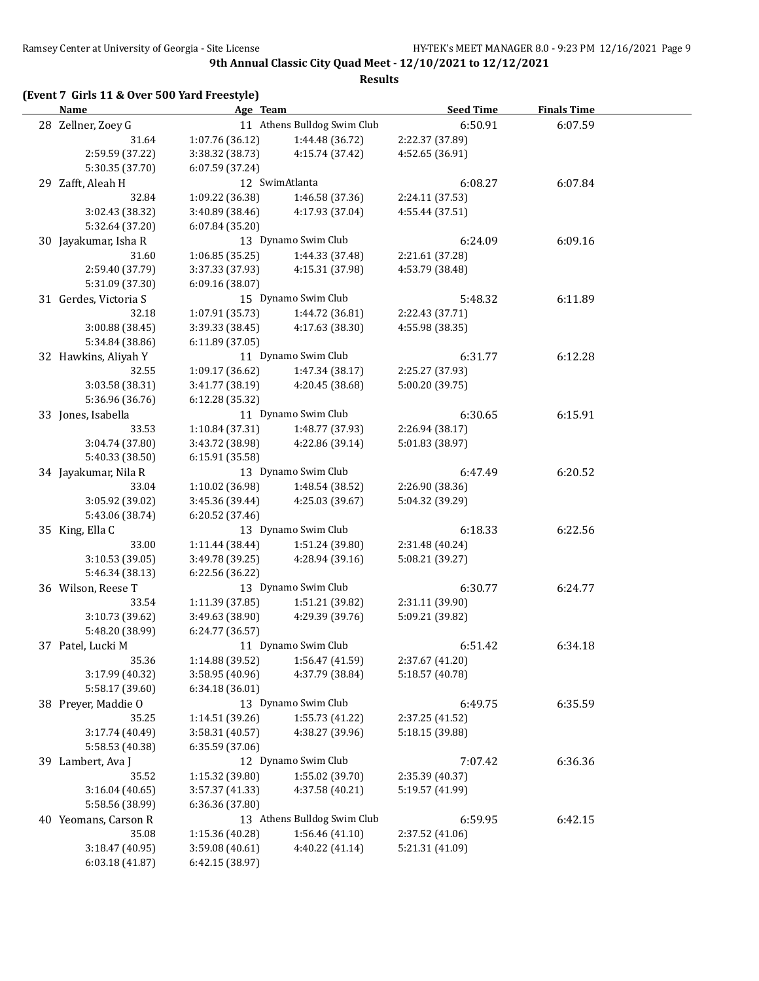**Results**

|  |  |  | (Event 7 Girls 11 & Over 500 Yard Freestyle) |
|--|--|--|----------------------------------------------|
|--|--|--|----------------------------------------------|

| <b>Name</b>           | Age Team        |                                   | <b>Seed Time</b> | <b>Finals Time</b> |  |
|-----------------------|-----------------|-----------------------------------|------------------|--------------------|--|
| 28 Zellner, Zoey G    |                 | 11 Athens Bulldog Swim Club       | 6:50.91          | 6:07.59            |  |
| 31.64                 | 1:07.76 (36.12) | 1:44.48 (36.72)                   | 2:22.37 (37.89)  |                    |  |
| 2:59.59 (37.22)       | 3:38.32 (38.73) | 4:15.74 (37.42)                   | 4:52.65 (36.91)  |                    |  |
| 5:30.35 (37.70)       | 6:07.59 (37.24) |                                   |                  |                    |  |
| 29 Zafft, Aleah H     |                 | 12 SwimAtlanta                    | 6:08.27          | 6:07.84            |  |
| 32.84                 | 1:09.22 (36.38) | 1:46.58 (37.36)                   | 2:24.11 (37.53)  |                    |  |
| 3:02.43 (38.32)       | 3:40.89 (38.46) | 4:17.93 (37.04)                   | 4:55.44 (37.51)  |                    |  |
| 5:32.64 (37.20)       | 6:07.84(35.20)  |                                   |                  |                    |  |
| 30 Jayakumar, Isha R  |                 | 13 Dynamo Swim Club               | 6:24.09          | 6:09.16            |  |
| 31.60                 | 1:06.85(35.25)  | 1:44.33 (37.48)                   | 2:21.61 (37.28)  |                    |  |
| 2:59.40 (37.79)       | 3:37.33 (37.93) | 4:15.31 (37.98)                   | 4:53.79 (38.48)  |                    |  |
| 5:31.09 (37.30)       | 6:09.16(38.07)  |                                   |                  |                    |  |
| 31 Gerdes, Victoria S |                 | 15 Dynamo Swim Club               | 5:48.32          | 6:11.89            |  |
| 32.18                 | 1:07.91(35.73)  | 1:44.72 (36.81)                   | 2:22.43 (37.71)  |                    |  |
| 3:00.88 (38.45)       | 3:39.33 (38.45) | 4:17.63 (38.30)                   | 4:55.98 (38.35)  |                    |  |
| 5:34.84 (38.86)       | 6:11.89 (37.05) |                                   |                  |                    |  |
| 32 Hawkins, Aliyah Y  |                 | 11 Dynamo Swim Club               | 6:31.77          | 6:12.28            |  |
| 32.55                 | 1:09.17 (36.62) | 1:47.34 (38.17)                   | 2:25.27 (37.93)  |                    |  |
| 3:03.58 (38.31)       | 3:41.77 (38.19) | 4:20.45 (38.68)                   | 5:00.20 (39.75)  |                    |  |
| 5:36.96 (36.76)       | 6:12.28 (35.32) |                                   |                  |                    |  |
| 33 Jones, Isabella    |                 | 11 Dynamo Swim Club               | 6:30.65          | 6:15.91            |  |
| 33.53                 | 1:10.84 (37.31) | 1:48.77 (37.93)                   | 2:26.94 (38.17)  |                    |  |
| 3:04.74 (37.80)       | 3:43.72 (38.98) | 4:22.86 (39.14)                   | 5:01.83 (38.97)  |                    |  |
| 5:40.33 (38.50)       | 6:15.91 (35.58) |                                   |                  |                    |  |
| 34 Jayakumar, Nila R  |                 | 13 Dynamo Swim Club               | 6:47.49          | 6:20.52            |  |
| 33.04                 | 1:10.02 (36.98) | 1:48.54 (38.52)                   | 2:26.90 (38.36)  |                    |  |
| 3:05.92 (39.02)       | 3:45.36 (39.44) | 4:25.03 (39.67)                   | 5:04.32 (39.29)  |                    |  |
| 5:43.06 (38.74)       | 6:20.52 (37.46) |                                   |                  |                    |  |
| 35 King, Ella C       |                 | 13 Dynamo Swim Club               | 6:18.33          | 6:22.56            |  |
| 33.00                 | 1:11.44 (38.44) | 1:51.24 (39.80)                   | 2:31.48 (40.24)  |                    |  |
| 3:10.53 (39.05)       | 3:49.78 (39.25) | 4:28.94 (39.16)                   | 5:08.21 (39.27)  |                    |  |
| 5:46.34 (38.13)       | 6:22.56 (36.22) |                                   |                  |                    |  |
| 36 Wilson, Reese T    |                 | 13 Dynamo Swim Club               | 6:30.77          | 6:24.77            |  |
| 33.54                 | 1:11.39 (37.85) | 1:51.21 (39.82)                   | 2:31.11 (39.90)  |                    |  |
| 3:10.73 (39.62)       | 3:49.63 (38.90) | 4:29.39 (39.76)                   | 5:09.21 (39.82)  |                    |  |
| 5:48.20 (38.99)       | 6:24.77 (36.57) |                                   |                  |                    |  |
| 37 Patel, Lucki M     |                 | 11 Dynamo Swim Club               | 6:51.42          | 6:34.18            |  |
| 35.36                 |                 | $1:14.88(39.52)$ $1:56.47(41.59)$ | 2:37.67 (41.20)  |                    |  |
| 3:17.99 (40.32)       | 3:58.95 (40.96) | 4:37.79 (38.84)                   | 5:18.57 (40.78)  |                    |  |
| 5:58.17 (39.60)       | 6:34.18 (36.01) |                                   |                  |                    |  |
| 38 Preyer, Maddie O   |                 | 13 Dynamo Swim Club               | 6:49.75          | 6:35.59            |  |
| 35.25                 | 1:14.51 (39.26) | 1:55.73 (41.22)                   | 2:37.25 (41.52)  |                    |  |
| 3:17.74 (40.49)       | 3:58.31 (40.57) | 4:38.27 (39.96)                   | 5:18.15 (39.88)  |                    |  |
| 5:58.53 (40.38)       | 6:35.59 (37.06) |                                   |                  |                    |  |
| 39 Lambert, Ava J     |                 | 12 Dynamo Swim Club               | 7:07.42          | 6:36.36            |  |
| 35.52                 | 1:15.32 (39.80) | 1:55.02 (39.70)                   | 2:35.39 (40.37)  |                    |  |
| 3:16.04 (40.65)       | 3:57.37 (41.33) | 4:37.58 (40.21)                   | 5:19.57 (41.99)  |                    |  |
| 5:58.56 (38.99)       | 6:36.36 (37.80) |                                   |                  |                    |  |
| 40 Yeomans, Carson R  |                 | 13 Athens Bulldog Swim Club       | 6:59.95          | 6:42.15            |  |
| 35.08                 | 1:15.36 (40.28) | 1:56.46 (41.10)                   | 2:37.52 (41.06)  |                    |  |
| 3:18.47 (40.95)       | 3:59.08 (40.61) | 4:40.22 (41.14)                   | 5:21.31 (41.09)  |                    |  |
| 6:03.18(41.87)        | 6:42.15 (38.97) |                                   |                  |                    |  |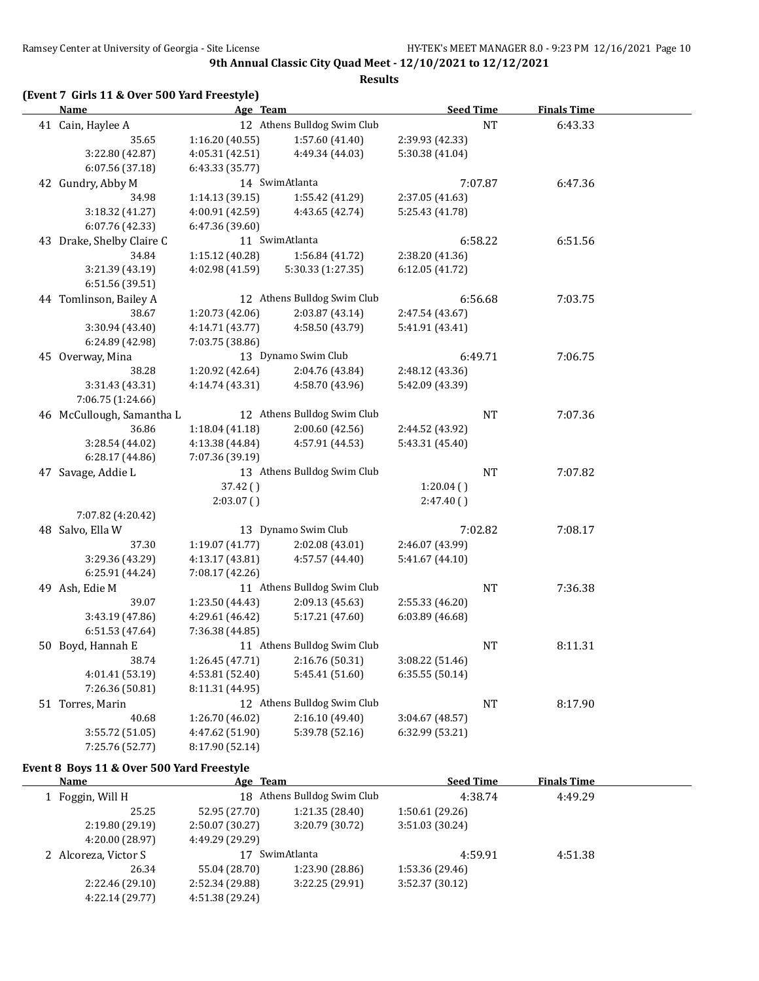**Results**

| Name                      | Age Team        |                                   | <b>Seed Time</b> |           | <b>Finals Time</b> |  |
|---------------------------|-----------------|-----------------------------------|------------------|-----------|--------------------|--|
| 41 Cain, Haylee A         |                 | 12 Athens Bulldog Swim Club       |                  | <b>NT</b> | 6:43.33            |  |
| 35.65                     | 1:16.20(40.55)  | 1:57.60 (41.40)                   | 2:39.93 (42.33)  |           |                    |  |
| 3:22.80 (42.87)           | 4:05.31 (42.51) | 4:49.34 (44.03)                   | 5:30.38 (41.04)  |           |                    |  |
| 6:07.56 (37.18)           | 6:43.33 (35.77) |                                   |                  |           |                    |  |
| 42 Gundry, Abby M         |                 | 14 SwimAtlanta                    | 7:07.87          |           | 6:47.36            |  |
| 34.98                     | 1:14.13(39.15)  | 1:55.42 (41.29)                   | 2:37.05 (41.63)  |           |                    |  |
| 3:18.32 (41.27)           | 4:00.91 (42.59) | 4:43.65 (42.74)                   | 5:25.43 (41.78)  |           |                    |  |
| 6:07.76 (42.33)           | 6:47.36 (39.60) |                                   |                  |           |                    |  |
| 43 Drake, Shelby Claire C |                 | 11 SwimAtlanta                    | 6:58.22          |           | 6:51.56            |  |
| 34.84                     | 1:15.12 (40.28) | 1:56.84 (41.72)                   | 2:38.20 (41.36)  |           |                    |  |
| 3:21.39 (43.19)           | 4:02.98 (41.59) | 5:30.33 (1:27.35)                 | 6:12.05(41.72)   |           |                    |  |
| 6:51.56 (39.51)           |                 |                                   |                  |           |                    |  |
| 44 Tomlinson, Bailey A    |                 | 12 Athens Bulldog Swim Club       |                  | 6:56.68   | 7:03.75            |  |
| 38.67                     | 1:20.73 (42.06) | 2:03.87 (43.14)                   | 2:47.54 (43.67)  |           |                    |  |
| 3:30.94 (43.40)           | 4:14.71 (43.77) | 4:58.50 (43.79)                   | 5:41.91 (43.41)  |           |                    |  |
| 6:24.89 (42.98)           | 7:03.75 (38.86) |                                   |                  |           |                    |  |
| 45 Overway, Mina          |                 | 13 Dynamo Swim Club               | 6:49.71          |           | 7:06.75            |  |
| 38.28                     | 1:20.92 (42.64) | 2:04.76 (43.84)                   | 2:48.12 (43.36)  |           |                    |  |
| 3:31.43 (43.31)           | 4:14.74 (43.31) | 4:58.70 (43.96)                   | 5:42.09 (43.39)  |           |                    |  |
| 7:06.75 (1:24.66)         |                 |                                   |                  |           |                    |  |
| 46 McCullough, Samantha L |                 | 12 Athens Bulldog Swim Club       |                  | NT        | 7:07.36            |  |
| 36.86                     | 1:18.04(41.18)  | 2:00.60 (42.56)                   | 2:44.52 (43.92)  |           |                    |  |
| 3:28.54 (44.02)           | 4:13.38 (44.84) | 4:57.91 (44.53)                   | 5:43.31 (45.40)  |           |                    |  |
| 6:28.17(44.86)            | 7:07.36 (39.19) |                                   |                  |           |                    |  |
| 47 Savage, Addie L        |                 | 13 Athens Bulldog Swim Club       |                  | $\rm{NT}$ | 7:07.82            |  |
|                           | 37.42()         |                                   | 1:20.04()        |           |                    |  |
|                           | $2:03.07$ ()    |                                   | 2:47.40()        |           |                    |  |
| 7:07.82 (4:20.42)         |                 |                                   |                  |           |                    |  |
| 48 Salvo, Ella W          |                 | 13 Dynamo Swim Club               |                  | 7:02.82   | 7:08.17            |  |
| 37.30                     | 1:19.07 (41.77) | 2:02.08 (43.01)                   | 2:46.07 (43.99)  |           |                    |  |
| 3:29.36 (43.29)           | 4:13.17 (43.81) | 4:57.57 (44.40)                   | 5:41.67 (44.10)  |           |                    |  |
| 6:25.91 (44.24)           | 7:08.17 (42.26) |                                   |                  |           |                    |  |
| 49 Ash, Edie M            |                 | 11 Athens Bulldog Swim Club       |                  | NT        | 7:36.38            |  |
| 39.07                     | 1:23.50 (44.43) | 2:09.13 (45.63)                   | 2:55.33 (46.20)  |           |                    |  |
| 3:43.19 (47.86)           | 4:29.61 (46.42) | 5:17.21 (47.60)                   | 6:03.89 (46.68)  |           |                    |  |
| 6:51.53 (47.64)           | 7:36.38 (44.85) |                                   |                  |           |                    |  |
| 50 Boyd, Hannah E         |                 | 11 Athens Bulldog Swim Club       |                  | <b>NT</b> | 8:11.31            |  |
| 38.74                     |                 | $1:26.45(47.71)$ $2:16.76(50.31)$ | 3:08.22 (51.46)  |           |                    |  |
| 4:01.41 (53.19)           | 4:53.81 (52.40) | 5:45.41 (51.60)                   | 6:35.55(50.14)   |           |                    |  |
| 7:26.36 (50.81)           | 8:11.31 (44.95) |                                   |                  |           |                    |  |
| 51 Torres, Marin          |                 | 12 Athens Bulldog Swim Club       |                  | <b>NT</b> | 8:17.90            |  |
| 40.68                     | 1:26.70 (46.02) | 2:16.10 (49.40)                   | 3:04.67 (48.57)  |           |                    |  |
| 3:55.72 (51.05)           | 4:47.62 (51.90) | 5:39.78 (52.16)                   | 6:32.99 (53.21)  |           |                    |  |
| 7:25.76 (52.77)           | 8:17.90 (52.14) |                                   |                  |           |                    |  |

#### **Event 8 Boys 11 & Over 500 Yard Freestyle**

| Name                 | Age Team        |                             | <b>Seed Time</b> | <b>Finals Time</b> |  |
|----------------------|-----------------|-----------------------------|------------------|--------------------|--|
| 1 Foggin, Will H     |                 | 18 Athens Bulldog Swim Club | 4:38.74          | 4:49.29            |  |
| 25.25                | 52.95 (27.70)   | 1:21.35 (28.40)             | 1:50.61(29.26)   |                    |  |
| 2:19.80 (29.19)      | 2:50.07 (30.27) | 3:20.79 (30.72)             | 3:51.03(30.24)   |                    |  |
| 4:20.00 (28.97)      | 4:49.29 (29.29) |                             |                  |                    |  |
| 2 Alcoreza, Victor S | 17              | SwimAtlanta                 |                  | 4:51.38            |  |
| 26.34                | 55.04 (28.70)   | 1:23.90 (28.86)             | 1:53.36 (29.46)  |                    |  |
| 2:22.46 (29.10)      | 2:52.34 (29.88) | 3:22.25(29.91)              | 3:52.37(30.12)   |                    |  |
| 4:22.14(29.77)       | 4:51.38 (29.24) |                             |                  |                    |  |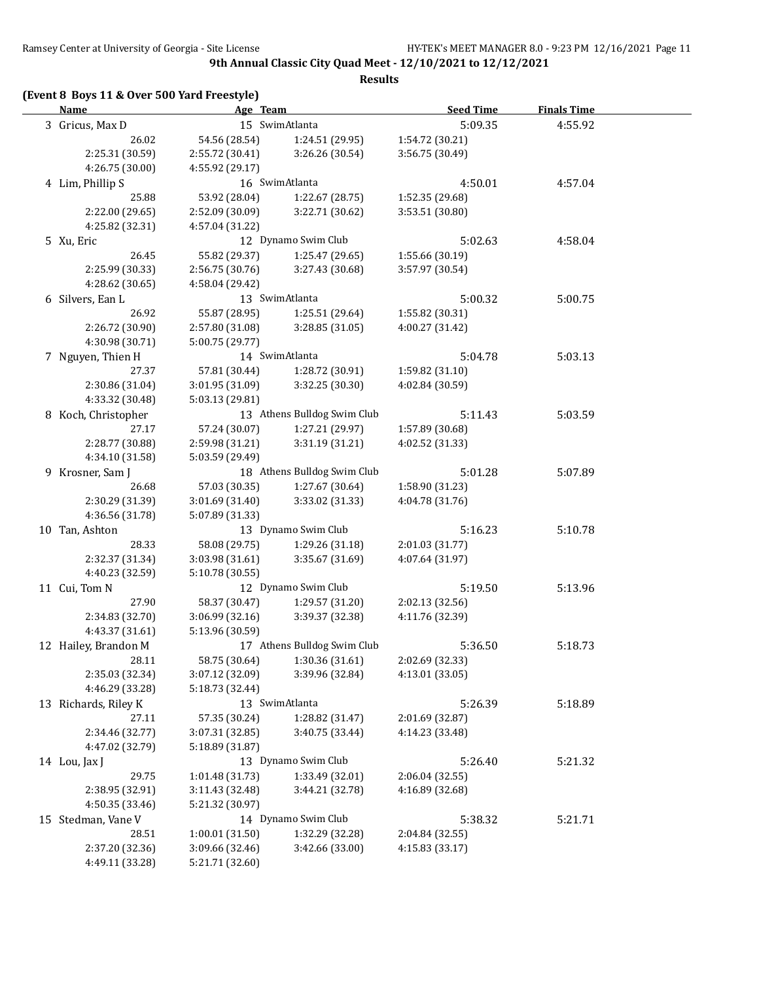**Results**

## **(Event 8 Boys 11 & Over 500 Yard Freestyle)**

| <u>Name</u>                   | Age Team                           |                               | <b>Seed Time</b>           | <b>Finals Time</b> |  |
|-------------------------------|------------------------------------|-------------------------------|----------------------------|--------------------|--|
| 3 Gricus, Max D               |                                    | 15 SwimAtlanta                | 5:09.35                    | 4:55.92            |  |
| 26.02                         | 54.56 (28.54)                      | 1:24.51 (29.95)               | 1:54.72 (30.21)            |                    |  |
| 2:25.31 (30.59)               | 2:55.72 (30.41)                    | 3:26.26 (30.54)               | 3:56.75 (30.49)            |                    |  |
| 4:26.75 (30.00)               | 4:55.92 (29.17)                    |                               |                            |                    |  |
| 4 Lim, Phillip S              |                                    | 16 SwimAtlanta                | 4:50.01                    | 4:57.04            |  |
| 25.88                         | 53.92 (28.04)                      | 1:22.67 (28.75)               | 1:52.35 (29.68)            |                    |  |
| 2:22.00 (29.65)               | 2:52.09 (30.09)                    | 3:22.71 (30.62)               | 3:53.51 (30.80)            |                    |  |
| 4:25.82 (32.31)               | 4:57.04 (31.22)                    |                               |                            |                    |  |
| 5 Xu, Eric                    |                                    | 12 Dynamo Swim Club           | 5:02.63                    | 4:58.04            |  |
| 26.45                         | 55.82 (29.37)                      | 1:25.47 (29.65)               | 1:55.66 (30.19)            |                    |  |
| 2:25.99 (30.33)               | 2:56.75 (30.76)                    | 3:27.43 (30.68)               | 3:57.97 (30.54)            |                    |  |
| 4:28.62 (30.65)               | 4:58.04 (29.42)                    |                               |                            |                    |  |
| 6 Silvers, Ean L              |                                    | 13 SwimAtlanta                | 5:00.32                    | 5:00.75            |  |
| 26.92                         | 55.87 (28.95)                      | 1:25.51 (29.64)               | 1:55.82 (30.31)            |                    |  |
| 2:26.72 (30.90)               | 2:57.80 (31.08)                    | 3:28.85(31.05)                | 4:00.27 (31.42)            |                    |  |
| 4:30.98 (30.71)               | 5:00.75 (29.77)                    |                               |                            |                    |  |
| 7 Nguyen, Thien H             |                                    | 14 SwimAtlanta                | 5:04.78                    | 5:03.13            |  |
| 27.37                         | 57.81 (30.44)                      | 1:28.72 (30.91)               | 1:59.82 (31.10)            |                    |  |
| 2:30.86 (31.04)               | 3:01.95 (31.09)                    | 3:32.25 (30.30)               | 4:02.84 (30.59)            |                    |  |
| 4:33.32 (30.48)               | 5:03.13 (29.81)                    |                               |                            |                    |  |
| 8 Koch, Christopher           |                                    | 13 Athens Bulldog Swim Club   | 5:11.43                    | 5:03.59            |  |
| 27.17                         | 57.24 (30.07)                      | 1:27.21 (29.97)               | 1:57.89 (30.68)            |                    |  |
| 2:28.77 (30.88)               | 2:59.98 (31.21)                    | 3:31.19(31.21)                | 4:02.52 (31.33)            |                    |  |
| 4:34.10 (31.58)               | 5:03.59 (29.49)                    |                               |                            |                    |  |
| 9 Krosner, Sam J              |                                    | 18 Athens Bulldog Swim Club   | 5:01.28                    | 5:07.89            |  |
| 26.68                         | 57.03 (30.35)                      | 1:27.67 (30.64)               | 1:58.90 (31.23)            |                    |  |
| 2:30.29 (31.39)               | 3:01.69 (31.40)                    | 3:33.02 (31.33)               | 4:04.78 (31.76)            |                    |  |
| 4:36.56 (31.78)               | 5:07.89 (31.33)                    |                               |                            |                    |  |
| 10 Tan, Ashton                |                                    | 13 Dynamo Swim Club           | 5:16.23                    | 5:10.78            |  |
| 28.33                         | 58.08 (29.75)                      | 1:29.26 (31.18)               | 2:01.03 (31.77)            |                    |  |
| 2:32.37 (31.34)               | 3:03.98 (31.61)                    | 3:35.67 (31.69)               | 4:07.64 (31.97)            |                    |  |
| 4:40.23 (32.59)               | 5:10.78 (30.55)                    |                               |                            |                    |  |
| 11 Cui, Tom N                 |                                    | 12 Dynamo Swim Club           | 5:19.50                    | 5:13.96            |  |
| 27.90                         | 58.37 (30.47)                      | 1:29.57 (31.20)               | 2:02.13 (32.56)            |                    |  |
| 2:34.83 (32.70)               | 3:06.99(32.16)                     | 3:39.37 (32.38)               | 4:11.76 (32.39)            |                    |  |
| 4:43.37 (31.61)               | 5:13.96 (30.59)                    |                               |                            |                    |  |
| 12 Hailey, Brandon M          |                                    | 17 Athens Bulldog Swim Club   | 5:36.50                    | 5:18.73            |  |
| 28.11                         |                                    | 58.75 (30.64) 1:30.36 (31.61) | 2:02.69 (32.33)            |                    |  |
| 2:35.03 (32.34)               | 3:07.12 (32.09)                    | 3:39.96 (32.84)               | 4:13.01 (33.05)            |                    |  |
| 4:46.29 (33.28)               | 5:18.73 (32.44)                    | 13 SwimAtlanta                |                            |                    |  |
| 13 Richards, Riley K<br>27.11 |                                    |                               | 5:26.39                    | 5:18.89            |  |
| 2:34.46 (32.77)               | 57.35 (30.24)                      | 1:28.82 (31.47)               | 2:01.69 (32.87)            |                    |  |
| 4:47.02 (32.79)               | 3:07.31 (32.85)<br>5:18.89 (31.87) | 3:40.75 (33.44)               | 4:14.23 (33.48)            |                    |  |
|                               |                                    | 13 Dynamo Swim Club           |                            |                    |  |
| 14 Lou, Jax J<br>29.75        | 1:01.48 (31.73)                    | 1:33.49 (32.01)               | 5:26.40<br>2:06.04 (32.55) | 5:21.32            |  |
| 2:38.95 (32.91)               | 3:11.43 (32.48)                    | 3:44.21 (32.78)               | 4:16.89 (32.68)            |                    |  |
| 4:50.35 (33.46)               | 5:21.32 (30.97)                    |                               |                            |                    |  |
| 15 Stedman, Vane V            |                                    | 14 Dynamo Swim Club           | 5:38.32                    | 5:21.71            |  |
| 28.51                         | 1:00.01 (31.50)                    | 1:32.29 (32.28)               | 2:04.84 (32.55)            |                    |  |
| 2:37.20 (32.36)               | 3:09.66 (32.46)                    | 3:42.66 (33.00)               | 4:15.83 (33.17)            |                    |  |
| 4:49.11 (33.28)               | 5:21.71 (32.60)                    |                               |                            |                    |  |
|                               |                                    |                               |                            |                    |  |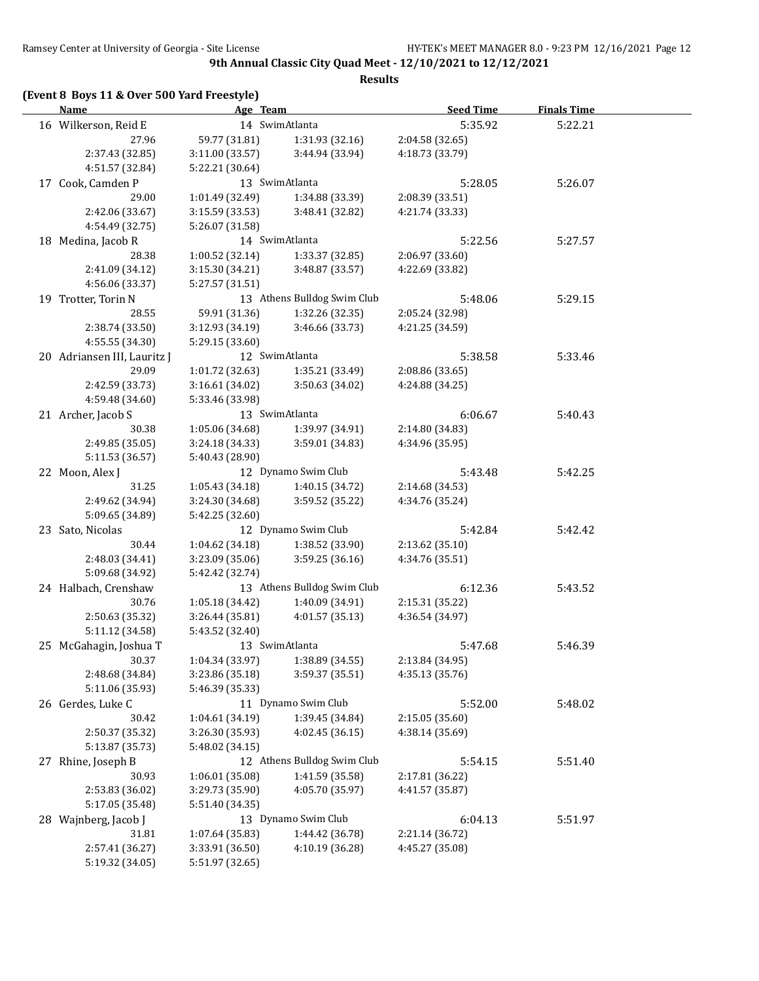#### **(Event 8 Boys 11 & Over 500 Yard Freestyle)**

| <u>Name</u>                 | Age Team        |                             | <b>Seed Time</b> | <b>Finals Time</b> |  |
|-----------------------------|-----------------|-----------------------------|------------------|--------------------|--|
| 16 Wilkerson, Reid E        |                 | 14 SwimAtlanta              | 5:35.92          | 5:22.21            |  |
| 27.96                       | 59.77 (31.81)   | 1:31.93(32.16)              | 2:04.58 (32.65)  |                    |  |
| 2:37.43 (32.85)             | 3:11.00 (33.57) | 3:44.94 (33.94)             | 4:18.73 (33.79)  |                    |  |
| 4:51.57 (32.84)             | 5:22.21 (30.64) |                             |                  |                    |  |
| 17 Cook, Camden P           |                 | 13 SwimAtlanta              | 5:28.05          | 5:26.07            |  |
| 29.00                       | 1:01.49 (32.49) | 1:34.88 (33.39)             | 2:08.39 (33.51)  |                    |  |
| 2:42.06 (33.67)             | 3:15.59 (33.53) | 3:48.41 (32.82)             | 4:21.74 (33.33)  |                    |  |
| 4:54.49 (32.75)             | 5:26.07 (31.58) |                             |                  |                    |  |
| 18 Medina, Jacob R          |                 | 14 SwimAtlanta              | 5:22.56          | 5:27.57            |  |
| 28.38                       | 1:00.52(32.14)  | 1:33.37 (32.85)             | 2:06.97 (33.60)  |                    |  |
| 2:41.09 (34.12)             | 3:15.30 (34.21) | 3:48.87 (33.57)             | 4:22.69 (33.82)  |                    |  |
| 4:56.06 (33.37)             | 5:27.57 (31.51) |                             |                  |                    |  |
| 19 Trotter, Torin N         |                 | 13 Athens Bulldog Swim Club | 5:48.06          | 5:29.15            |  |
| 28.55                       | 59.91 (31.36)   | 1:32.26 (32.35)             | 2:05.24 (32.98)  |                    |  |
| 2:38.74 (33.50)             | 3:12.93 (34.19) | 3:46.66 (33.73)             | 4:21.25 (34.59)  |                    |  |
| 4:55.55 (34.30)             | 5:29.15 (33.60) |                             |                  |                    |  |
| 20 Adriansen III, Lauritz J |                 | 12 SwimAtlanta              | 5:38.58          | 5:33.46            |  |
| 29.09                       | 1:01.72 (32.63) | 1:35.21(33.49)              | 2:08.86 (33.65)  |                    |  |
| 2:42.59 (33.73)             | 3:16.61 (34.02) | 3:50.63 (34.02)             | 4:24.88 (34.25)  |                    |  |
| 4:59.48 (34.60)             | 5:33.46 (33.98) |                             |                  |                    |  |
| 21 Archer, Jacob S          |                 | 13 SwimAtlanta              | 6:06.67          | 5:40.43            |  |
| 30.38                       | 1:05.06 (34.68) | 1:39.97 (34.91)             | 2:14.80 (34.83)  |                    |  |
| 2:49.85 (35.05)             | 3:24.18 (34.33) | 3:59.01(34.83)              | 4:34.96 (35.95)  |                    |  |
| 5:11.53 (36.57)             | 5:40.43 (28.90) |                             |                  |                    |  |
| 22 Moon, Alex J             |                 | 12 Dynamo Swim Club         | 5:43.48          | 5:42.25            |  |
| 31.25                       | 1:05.43(34.18)  | 1:40.15 (34.72)             | 2:14.68 (34.53)  |                    |  |
| 2:49.62 (34.94)             | 3:24.30 (34.68) | 3:59.52 (35.22)             | 4:34.76 (35.24)  |                    |  |
| 5:09.65 (34.89)             | 5:42.25 (32.60) |                             |                  |                    |  |
| 23 Sato, Nicolas            |                 | 12 Dynamo Swim Club         | 5:42.84          | 5:42.42            |  |
| 30.44                       | 1:04.62(34.18)  | 1:38.52 (33.90)             | 2:13.62 (35.10)  |                    |  |
| 2:48.03 (34.41)             | 3:23.09 (35.06) | 3:59.25(36.16)              | 4:34.76 (35.51)  |                    |  |
| 5:09.68 (34.92)             | 5:42.42 (32.74) |                             |                  |                    |  |
| 24 Halbach, Crenshaw        |                 | 13 Athens Bulldog Swim Club | 6:12.36          | 5:43.52            |  |
| 30.76                       | 1:05.18 (34.42) | 1:40.09 (34.91)             | 2:15.31 (35.22)  |                    |  |
| 2:50.63 (35.32)             | 3:26.44 (35.81) | 4:01.57(35.13)              | 4:36.54 (34.97)  |                    |  |
| 5:11.12 (34.58)             | 5:43.52 (32.40) |                             |                  |                    |  |
| 25 McGahagin, Joshua T      |                 | 13 SwimAtlanta              | 5:47.68          | 5:46.39            |  |
| 30.37                       | 1:04.34 (33.97) | 1:38.89 (34.55)             | 2:13.84 (34.95)  |                    |  |
| 2:48.68 (34.84)             | 3:23.86 (35.18) | 3:59.37 (35.51)             | 4:35.13 (35.76)  |                    |  |
| 5:11.06 (35.93)             | 5:46.39 (35.33) |                             |                  |                    |  |
| 26 Gerdes, Luke C           |                 | 11 Dynamo Swim Club         | 5:52.00          | 5:48.02            |  |
| 30.42                       | 1:04.61 (34.19) | 1:39.45 (34.84)             | 2:15.05 (35.60)  |                    |  |
| 2:50.37 (35.32)             | 3:26.30 (35.93) | 4:02.45 (36.15)             | 4:38.14 (35.69)  |                    |  |
| 5:13.87 (35.73)             | 5:48.02 (34.15) |                             |                  |                    |  |
| 27 Rhine, Joseph B          |                 | 12 Athens Bulldog Swim Club | 5:54.15          | 5:51.40            |  |
| 30.93                       | 1:06.01 (35.08) | 1:41.59 (35.58)             | 2:17.81 (36.22)  |                    |  |
| 2:53.83 (36.02)             | 3:29.73 (35.90) | 4:05.70 (35.97)             | 4:41.57 (35.87)  |                    |  |
| 5:17.05 (35.48)             | 5:51.40 (34.35) |                             |                  |                    |  |
| 28 Wajnberg, Jacob J        |                 | 13 Dynamo Swim Club         | 6:04.13          | 5:51.97            |  |
| 31.81                       | 1:07.64 (35.83) | 1:44.42 (36.78)             | 2:21.14 (36.72)  |                    |  |
| 2:57.41 (36.27)             | 3:33.91 (36.50) | 4:10.19 (36.28)             | 4:45.27 (35.08)  |                    |  |
| 5:19.32 (34.05)             | 5:51.97 (32.65) |                             |                  |                    |  |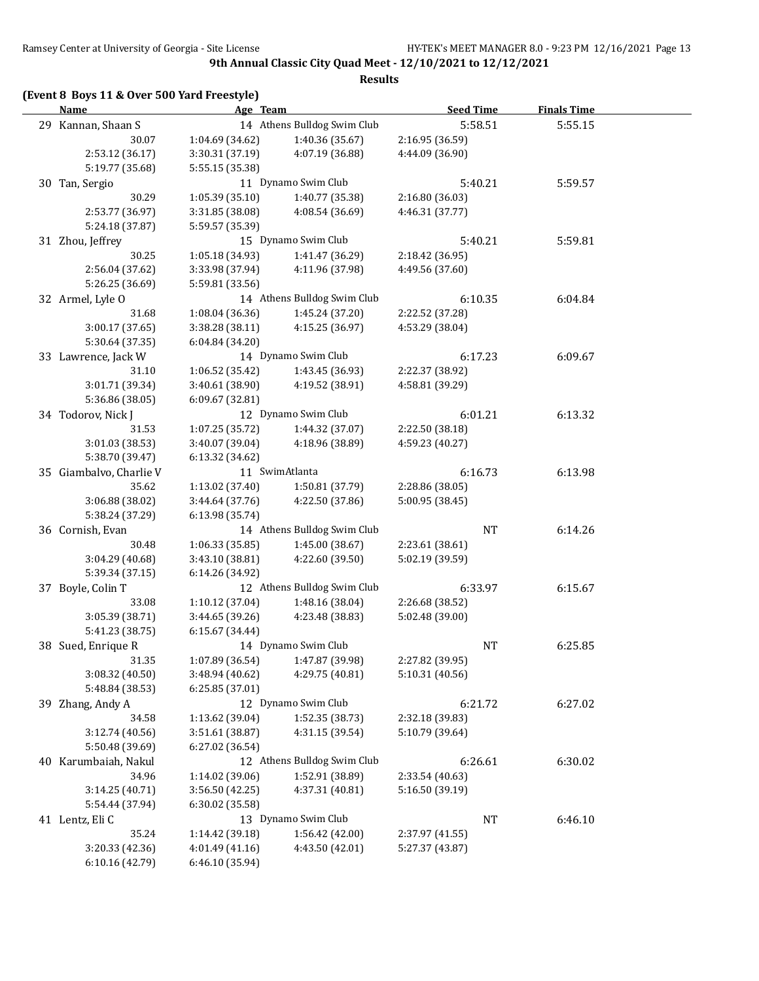## **(Event 8 Boys 11 & Over 500 Yard Freestyle)**

| <u>Name</u>             | Age Team                        |                             | <b>Seed Time</b> | <b>Finals Time</b> |  |
|-------------------------|---------------------------------|-----------------------------|------------------|--------------------|--|
| 29 Kannan, Shaan S      |                                 | 14 Athens Bulldog Swim Club | 5:58.51          | 5:55.15            |  |
| 30.07                   | 1:04.69 (34.62)                 | 1:40.36 (35.67)             | 2:16.95 (36.59)  |                    |  |
| 2:53.12 (36.17)         | 3:30.31 (37.19)                 | 4:07.19 (36.88)             | 4:44.09 (36.90)  |                    |  |
| 5:19.77 (35.68)         | 5:55.15 (35.38)                 |                             |                  |                    |  |
| 30 Tan, Sergio          |                                 | 11 Dynamo Swim Club         | 5:40.21          | 5:59.57            |  |
| 30.29                   | 1:05.39(35.10)                  | 1:40.77 (35.38)             | 2:16.80 (36.03)  |                    |  |
| 2:53.77 (36.97)         | 3:31.85 (38.08)                 | 4:08.54 (36.69)             | 4:46.31 (37.77)  |                    |  |
| 5:24.18 (37.87)         | 5:59.57 (35.39)                 |                             |                  |                    |  |
| 31 Zhou, Jeffrey        |                                 | 15 Dynamo Swim Club         | 5:40.21          | 5:59.81            |  |
| 30.25                   | 1:05.18 (34.93)                 | 1:41.47 (36.29)             | 2:18.42 (36.95)  |                    |  |
| 2:56.04 (37.62)         | 3:33.98 (37.94)                 | 4:11.96 (37.98)             | 4:49.56 (37.60)  |                    |  |
| 5:26.25 (36.69)         | 5:59.81 (33.56)                 |                             |                  |                    |  |
| 32 Armel, Lyle O        |                                 | 14 Athens Bulldog Swim Club | 6:10.35          | 6:04.84            |  |
| 31.68                   | 1:08.04(36.36)                  | 1:45.24 (37.20)             | 2:22.52 (37.28)  |                    |  |
| 3:00.17(37.65)          | 3:38.28 (38.11)                 | 4:15.25 (36.97)             | 4:53.29 (38.04)  |                    |  |
| 5:30.64 (37.35)         | 6:04.84 (34.20)                 |                             |                  |                    |  |
| 33 Lawrence, Jack W     |                                 | 14 Dynamo Swim Club         | 6:17.23          | 6:09.67            |  |
| 31.10                   | 1:06.52 (35.42)                 | 1:43.45 (36.93)             | 2:22.37 (38.92)  |                    |  |
| 3:01.71 (39.34)         | 3:40.61 (38.90)                 | 4:19.52 (38.91)             | 4:58.81 (39.29)  |                    |  |
| 5:36.86 (38.05)         | 6:09.67 (32.81)                 |                             |                  |                    |  |
| 34 Todorov, Nick J      |                                 | 12 Dynamo Swim Club         | 6:01.21          | 6:13.32            |  |
| 31.53                   | 1:07.25 (35.72)                 | 1:44.32 (37.07)             | 2:22.50 (38.18)  |                    |  |
| 3:01.03 (38.53)         | 3:40.07 (39.04)                 | 4:18.96 (38.89)             | 4:59.23 (40.27)  |                    |  |
| 5:38.70 (39.47)         | 6:13.32 (34.62)                 |                             |                  |                    |  |
| 35 Giambalvo, Charlie V |                                 | 11 SwimAtlanta              | 6:16.73          | 6:13.98            |  |
| 35.62                   | 1:13.02 (37.40)                 | 1:50.81 (37.79)             | 2:28.86 (38.05)  |                    |  |
| 3:06.88 (38.02)         | 3:44.64 (37.76)                 | 4:22.50 (37.86)             | 5:00.95 (38.45)  |                    |  |
| 5:38.24 (37.29)         | 6:13.98 (35.74)                 |                             |                  |                    |  |
| 36 Cornish, Evan        |                                 | 14 Athens Bulldog Swim Club | <b>NT</b>        | 6:14.26            |  |
| 30.48                   | 1:06.33 (35.85)                 | 1:45.00 (38.67)             | 2:23.61 (38.61)  |                    |  |
| 3:04.29 (40.68)         | 3:43.10 (38.81)                 | 4:22.60 (39.50)             | 5:02.19 (39.59)  |                    |  |
| 5:39.34 (37.15)         | 6:14.26 (34.92)                 |                             |                  |                    |  |
| 37 Boyle, Colin T       |                                 | 12 Athens Bulldog Swim Club | 6:33.97          | 6:15.67            |  |
| 33.08                   | 1:10.12(37.04)                  | 1:48.16 (38.04)             | 2:26.68 (38.52)  |                    |  |
| 3:05.39 (38.71)         | 3:44.65 (39.26)                 | 4:23.48 (38.83)             | 5:02.48 (39.00)  |                    |  |
| 5:41.23 (38.75)         | 6:15.67(34.44)                  |                             |                  |                    |  |
| 38 Sued, Enrique R      |                                 | 14 Dynamo Swim Club         | <b>NT</b>        | 6:25.85            |  |
| 31.35                   | 1:07.89 (36.54) 1:47.87 (39.98) |                             | 2:27.82 (39.95)  |                    |  |
| 3:08.32 (40.50)         | 3:48.94 (40.62)                 | 4:29.75 (40.81)             | 5:10.31 (40.56)  |                    |  |
| 5:48.84 (38.53)         | 6:25.85 (37.01)                 |                             |                  |                    |  |
| 39 Zhang, Andy A        |                                 | 12 Dynamo Swim Club         | 6:21.72          | 6:27.02            |  |
| 34.58                   | 1:13.62 (39.04)                 | 1:52.35 (38.73)             | 2:32.18 (39.83)  |                    |  |
| 3:12.74(40.56)          | 3:51.61 (38.87)                 | 4:31.15 (39.54)             | 5:10.79 (39.64)  |                    |  |
| 5:50.48 (39.69)         | 6:27.02 (36.54)                 |                             |                  |                    |  |
| 40 Karumbaiah, Nakul    |                                 | 12 Athens Bulldog Swim Club | 6:26.61          | 6:30.02            |  |
| 34.96                   | 1:14.02 (39.06)                 | 1:52.91 (38.89)             | 2:33.54 (40.63)  |                    |  |
| 3:14.25 (40.71)         | 3:56.50 (42.25)                 | 4:37.31 (40.81)             | 5:16.50 (39.19)  |                    |  |
| 5:54.44 (37.94)         | 6:30.02 (35.58)                 |                             |                  |                    |  |
| 41 Lentz, Eli C         |                                 | 13 Dynamo Swim Club         | <b>NT</b>        | 6:46.10            |  |
| 35.24                   | 1:14.42 (39.18)                 | 1:56.42 (42.00)             | 2:37.97 (41.55)  |                    |  |
| 3:20.33 (42.36)         | 4:01.49 (41.16)                 | 4:43.50 (42.01)             | 5:27.37 (43.87)  |                    |  |
| 6:10.16 (42.79)         | 6:46.10 (35.94)                 |                             |                  |                    |  |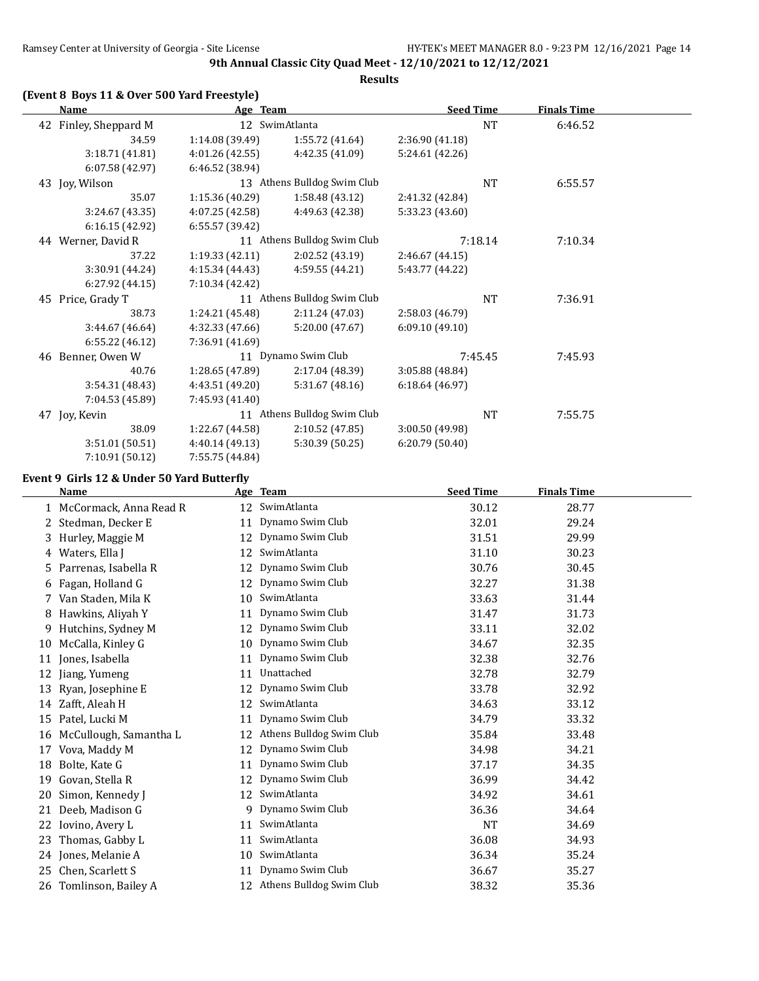## **(Event 8 Boys 11 & Over 500 Yard Freestyle)**

|    | Name                  | Age Team        |                             | <b>Seed Time</b> |           | <b>Finals Time</b> |  |
|----|-----------------------|-----------------|-----------------------------|------------------|-----------|--------------------|--|
|    | 42 Finley, Sheppard M |                 | 12 SwimAtlanta              |                  | <b>NT</b> | 6:46.52            |  |
|    | 34.59                 | 1:14.08(39.49)  | 1:55.72 (41.64)             | 2:36.90 (41.18)  |           |                    |  |
|    | 3:18.71(41.81)        | 4:01.26(42.55)  | 4:42.35 (41.09)             | 5:24.61 (42.26)  |           |                    |  |
|    | 6:07.58(42.97)        | 6:46.52 (38.94) |                             |                  |           |                    |  |
|    | 43 Joy, Wilson        |                 | 13 Athens Bulldog Swim Club |                  | NT        | 6:55.57            |  |
|    | 35.07                 | 1:15.36(40.29)  | 1:58.48 (43.12)             | 2:41.32 (42.84)  |           |                    |  |
|    | 3:24.67(43.35)        | 4:07.25(42.58)  | 4:49.63 (42.38)             | 5:33.23 (43.60)  |           |                    |  |
|    | 6:16.15 (42.92)       | 6:55.57 (39.42) |                             |                  |           |                    |  |
|    | 44 Werner, David R    |                 | 11 Athens Bulldog Swim Club | 7:18.14          |           | 7:10.34            |  |
|    | 37.22                 | 1:19.33(42.11)  | 2:02.52 (43.19)             | 2:46.67 (44.15)  |           |                    |  |
|    | 3:30.91 (44.24)       | 4:15.34 (44.43) | 4:59.55 (44.21)             | 5:43.77 (44.22)  |           |                    |  |
|    | 6:27.92(44.15)        | 7:10.34 (42.42) |                             |                  |           |                    |  |
|    | 45 Price, Grady T     |                 | 11 Athens Bulldog Swim Club |                  | <b>NT</b> | 7:36.91            |  |
|    | 38.73                 | 1:24.21 (45.48) | 2:11.24 (47.03)             | 2:58.03 (46.79)  |           |                    |  |
|    | 3:44.67 (46.64)       | 4:32.33(47.66)  | 5:20.00 (47.67)             | 6:09.10(49.10)   |           |                    |  |
|    | 6:55.22 (46.12)       | 7:36.91 (41.69) |                             |                  |           |                    |  |
| 46 | Benner, Owen W        |                 | 11 Dynamo Swim Club         | 7:45.45          |           | 7:45.93            |  |
|    | 40.76                 | 1:28.65 (47.89) | 2:17.04 (48.39)             | 3:05.88 (48.84)  |           |                    |  |
|    | 3:54.31(48.43)        | 4:43.51 (49.20) | 5:31.67(48.16)              | 6:18.64(46.97)   |           |                    |  |
|    | 7:04.53 (45.89)       | 7:45.93 (41.40) |                             |                  |           |                    |  |
|    | 47 Joy, Kevin         |                 | 11 Athens Bulldog Swim Club |                  | <b>NT</b> | 7:55.75            |  |
|    | 38.09                 | 1:22.67 (44.58) | 2:10.52 (47.85)             | 3:00.50 (49.98)  |           |                    |  |
|    | 3:51.01 (50.51)       | 4:40.14 (49.13) | 5:30.39 (50.25)             | 6:20.79(50.40)   |           |                    |  |
|    | 7:10.91 (50.12)       | 7:55.75 (44.84) |                             |                  |           |                    |  |

### **Event 9 Girls 12 & Under 50 Yard Butterfly**

|    | Name                     | Age | <b>Team</b>              | <b>Seed Time</b> | <b>Finals Time</b> |
|----|--------------------------|-----|--------------------------|------------------|--------------------|
|    | 1 McCormack, Anna Read R | 12  | SwimAtlanta              | 30.12            | 28.77              |
|    | 2 Stedman, Decker E      | 11  | Dynamo Swim Club         | 32.01            | 29.24              |
|    | 3 Hurley, Maggie M       | 12  | Dynamo Swim Club         | 31.51            | 29.99              |
| 4  | Waters, Ella J           | 12  | SwimAtlanta              | 31.10            | 30.23              |
| 5. | Parrenas, Isabella R     | 12  | Dynamo Swim Club         | 30.76            | 30.45              |
| 6  | Fagan, Holland G         | 12  | Dynamo Swim Club         | 32.27            | 31.38              |
| 7  | Van Staden, Mila K       | 10  | SwimAtlanta              | 33.63            | 31.44              |
| 8  | Hawkins, Aliyah Y        | 11  | Dynamo Swim Club         | 31.47            | 31.73              |
| 9  | Hutchins, Sydney M       | 12  | Dynamo Swim Club         | 33.11            | 32.02              |
| 10 | McCalla, Kinley G        | 10  | Dynamo Swim Club         | 34.67            | 32.35              |
| 11 | Jones, Isabella          | 11  | Dynamo Swim Club         | 32.38            | 32.76              |
| 12 | Jiang, Yumeng            | 11  | Unattached               | 32.78            | 32.79              |
| 13 | Ryan, Josephine E        | 12  | Dynamo Swim Club         | 33.78            | 32.92              |
| 14 | Zafft, Aleah H           | 12  | SwimAtlanta              | 34.63            | 33.12              |
| 15 | Patel, Lucki M           | 11  | Dynamo Swim Club         | 34.79            | 33.32              |
| 16 | McCullough, Samantha L   | 12  | Athens Bulldog Swim Club | 35.84            | 33.48              |
| 17 | Vova, Maddy M            | 12  | Dynamo Swim Club         | 34.98            | 34.21              |
| 18 | Bolte, Kate G            | 11  | Dynamo Swim Club         | 37.17            | 34.35              |
| 19 | Govan, Stella R          | 12  | Dynamo Swim Club         | 36.99            | 34.42              |
| 20 | Simon, Kennedy J         | 12  | SwimAtlanta              | 34.92            | 34.61              |
| 21 | Deeb, Madison G          | 9   | Dynamo Swim Club         | 36.36            | 34.64              |
| 22 | Iovino, Avery L          | 11  | SwimAtlanta              | NT               | 34.69              |
| 23 | Thomas, Gabby L          | 11  | SwimAtlanta              | 36.08            | 34.93              |
| 24 | Jones, Melanie A         | 10  | SwimAtlanta              | 36.34            | 35.24              |
| 25 | Chen, Scarlett S         | 11  | Dynamo Swim Club         | 36.67            | 35.27              |
| 26 | Tomlinson, Bailey A      | 12  | Athens Bulldog Swim Club | 38.32            | 35.36              |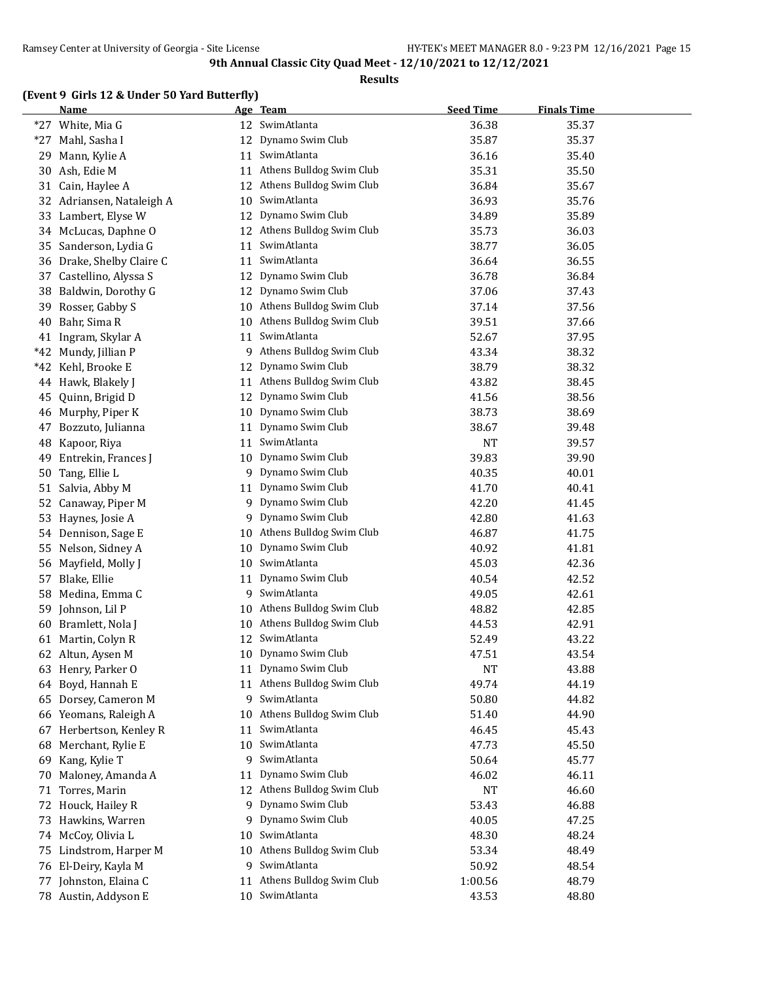#### **Results**

## **(Event 9 Girls 12 & Under 50 Yard Butterfly)**

|       | <b>Name</b>            |    | Age Team                 | <b>Seed Time</b> | <b>Finals Time</b> |  |
|-------|------------------------|----|--------------------------|------------------|--------------------|--|
|       | *27 White, Mia G       |    | 12 SwimAtlanta           | 36.38            | 35.37              |  |
| $*27$ | Mahl, Sasha I          | 12 | Dynamo Swim Club         | 35.87            | 35.37              |  |
| 29    | Mann, Kylie A          | 11 | SwimAtlanta              | 36.16            | 35.40              |  |
| 30    | Ash, Edie M            | 11 | Athens Bulldog Swim Club | 35.31            | 35.50              |  |
| 31    | Cain, Haylee A         | 12 | Athens Bulldog Swim Club | 36.84            | 35.67              |  |
| 32    | Adriansen, Nataleigh A | 10 | SwimAtlanta              | 36.93            | 35.76              |  |
| 33    | Lambert, Elyse W       | 12 | Dynamo Swim Club         | 34.89            | 35.89              |  |
| 34    | McLucas, Daphne O      | 12 | Athens Bulldog Swim Club | 35.73            | 36.03              |  |
| 35    | Sanderson, Lydia G     | 11 | SwimAtlanta              | 38.77            | 36.05              |  |
| 36    | Drake, Shelby Claire C | 11 | SwimAtlanta              | 36.64            | 36.55              |  |
| 37    | Castellino, Alyssa S   | 12 | Dynamo Swim Club         | 36.78            | 36.84              |  |
|       |                        | 12 | Dynamo Swim Club         | 37.06            | 37.43              |  |
| 38    | Baldwin, Dorothy G     |    |                          |                  |                    |  |
| 39    | Rosser, Gabby S        | 10 | Athens Bulldog Swim Club | 37.14            | 37.56              |  |
| 40    | Bahr, Sima R           | 10 | Athens Bulldog Swim Club | 39.51            | 37.66              |  |
|       | 41 Ingram, Skylar A    | 11 | SwimAtlanta              | 52.67            | 37.95              |  |
|       | *42 Mundy, Jillian P   | 9  | Athens Bulldog Swim Club | 43.34            | 38.32              |  |
| $*42$ | Kehl, Brooke E         | 12 | Dynamo Swim Club         | 38.79            | 38.32              |  |
| 44    | Hawk, Blakely J        | 11 | Athens Bulldog Swim Club | 43.82            | 38.45              |  |
| 45    | Quinn, Brigid D        | 12 | Dynamo Swim Club         | 41.56            | 38.56              |  |
| 46    | Murphy, Piper K        | 10 | Dynamo Swim Club         | 38.73            | 38.69              |  |
| 47    | Bozzuto, Julianna      | 11 | Dynamo Swim Club         | 38.67            | 39.48              |  |
| 48    | Kapoor, Riya           | 11 | SwimAtlanta              | <b>NT</b>        | 39.57              |  |
| 49    | Entrekin, Frances J    | 10 | Dynamo Swim Club         | 39.83            | 39.90              |  |
| 50    | Tang, Ellie L          | 9  | Dynamo Swim Club         | 40.35            | 40.01              |  |
| 51    | Salvia, Abby M         | 11 | Dynamo Swim Club         | 41.70            | 40.41              |  |
| 52    | Canaway, Piper M       | 9  | Dynamo Swim Club         | 42.20            | 41.45              |  |
| 53    | Haynes, Josie A        | 9  | Dynamo Swim Club         | 42.80            | 41.63              |  |
|       | 54 Dennison, Sage E    | 10 | Athens Bulldog Swim Club | 46.87            | 41.75              |  |
| 55    | Nelson, Sidney A       | 10 | Dynamo Swim Club         | 40.92            | 41.81              |  |
| 56    | Mayfield, Molly J      | 10 | SwimAtlanta              | 45.03            | 42.36              |  |
| 57    | Blake, Ellie           | 11 | Dynamo Swim Club         | 40.54            | 42.52              |  |
| 58    | Medina, Emma C         | 9  | SwimAtlanta              | 49.05            | 42.61              |  |
| 59    | Johnson, Lil P         | 10 | Athens Bulldog Swim Club | 48.82            | 42.85              |  |
| 60    | Bramlett, Nola J       | 10 | Athens Bulldog Swim Club | 44.53            | 42.91              |  |
| 61    | Martin, Colyn R        | 12 | SwimAtlanta              | 52.49            | 43.22              |  |
|       | 62 Altun, Aysen M      | 10 | Dynamo Swim Club         | 47.51            | 43.54              |  |
|       | 63 Henry, Parker O     | 11 | Dynamo Swim Club         | <b>NT</b>        | 43.88              |  |
| 64    | Boyd, Hannah E         | 11 | Athens Bulldog Swim Club | 49.74            | 44.19              |  |
| 65    | Dorsey, Cameron M      | 9  | SwimAtlanta              | 50.80            | 44.82              |  |
|       | 66 Yeomans, Raleigh A  | 10 | Athens Bulldog Swim Club | 51.40            | 44.90              |  |
| 67    | Herbertson, Kenley R   | 11 | SwimAtlanta              | 46.45            | 45.43              |  |
| 68    | Merchant, Rylie E      | 10 | SwimAtlanta              | 47.73            | 45.50              |  |
|       |                        | 9  | SwimAtlanta              |                  |                    |  |
| 69    | Kang, Kylie T          |    |                          | 50.64            | 45.77              |  |
| 70    | Maloney, Amanda A      | 11 | Dynamo Swim Club         | 46.02            | 46.11              |  |
| 71    | Torres, Marin          | 12 | Athens Bulldog Swim Club | NT               | 46.60              |  |
| 72    | Houck, Hailey R        | 9  | Dynamo Swim Club         | 53.43            | 46.88              |  |
| 73    | Hawkins, Warren        | 9. | Dynamo Swim Club         | 40.05            | 47.25              |  |
| 74    | McCoy, Olivia L        | 10 | SwimAtlanta              | 48.30            | 48.24              |  |
| 75    | Lindstrom, Harper M    | 10 | Athens Bulldog Swim Club | 53.34            | 48.49              |  |
| 76    | El-Deiry, Kayla M      | 9  | SwimAtlanta              | 50.92            | 48.54              |  |
| 77    | Johnston, Elaina C     | 11 | Athens Bulldog Swim Club | 1:00.56          | 48.79              |  |
|       | 78 Austin, Addyson E   |    | 10 SwimAtlanta           | 43.53            | 48.80              |  |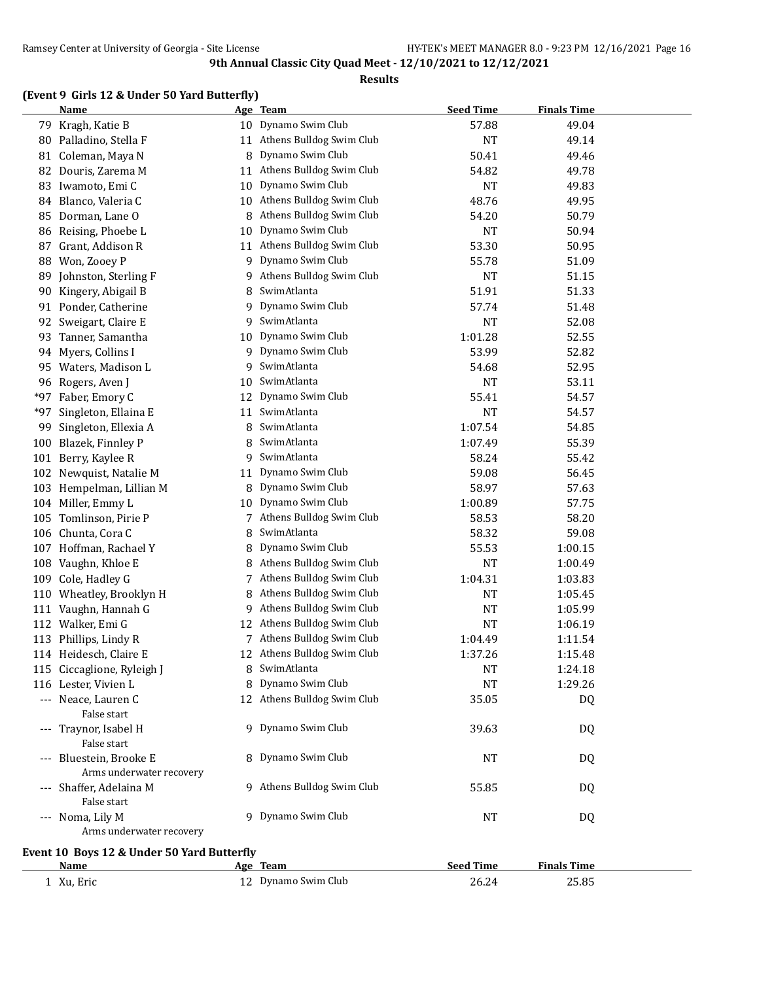#### **Results**

## **(Event 9 Girls 12 & Under 50 Yard Butterfly)**

|       | <b>Name</b>                                |    | Age Team                    | <b>Seed Time</b> | <b>Finals Time</b> |  |
|-------|--------------------------------------------|----|-----------------------------|------------------|--------------------|--|
|       | 79 Kragh, Katie B                          |    | 10 Dynamo Swim Club         | 57.88            | 49.04              |  |
| 80    | Palladino, Stella F                        |    | 11 Athens Bulldog Swim Club | <b>NT</b>        | 49.14              |  |
| 81    | Coleman, Maya N                            | 8  | Dynamo Swim Club            | 50.41            | 49.46              |  |
| 82    | Douris, Zarema M                           | 11 | Athens Bulldog Swim Club    | 54.82            | 49.78              |  |
| 83    | Iwamoto, Emi C                             | 10 | Dynamo Swim Club            | <b>NT</b>        | 49.83              |  |
| 84    | Blanco, Valeria C                          | 10 | Athens Bulldog Swim Club    | 48.76            | 49.95              |  |
| 85    | Dorman, Lane O                             | 8  | Athens Bulldog Swim Club    | 54.20            | 50.79              |  |
| 86    | Reising, Phoebe L                          | 10 | Dynamo Swim Club            | NT               | 50.94              |  |
| 87    | Grant, Addison R                           | 11 | Athens Bulldog Swim Club    | 53.30            | 50.95              |  |
| 88    | Won, Zooey P                               | 9  | Dynamo Swim Club            | 55.78            | 51.09              |  |
| 89    | Johnston, Sterling F                       | 9  | Athens Bulldog Swim Club    | <b>NT</b>        | 51.15              |  |
| 90    | Kingery, Abigail B                         | 8  | SwimAtlanta                 | 51.91            | 51.33              |  |
|       | 91 Ponder, Catherine                       | 9  | Dynamo Swim Club            | 57.74            | 51.48              |  |
| 92    | Sweigart, Claire E                         | 9  | SwimAtlanta                 | <b>NT</b>        | 52.08              |  |
| 93    | Tanner, Samantha                           | 10 | Dynamo Swim Club            | 1:01.28          | 52.55              |  |
| 94    | Myers, Collins I                           | 9  | Dynamo Swim Club            | 53.99            | 52.82              |  |
| 95    | Waters, Madison L                          | 9  | SwimAtlanta                 | 54.68            | 52.95              |  |
| 96    | Rogers, Aven J                             | 10 | SwimAtlanta                 | <b>NT</b>        | 53.11              |  |
| $*97$ | Faber, Emory C                             | 12 | Dynamo Swim Club            | 55.41            | 54.57              |  |
| $*97$ | Singleton, Ellaina E                       | 11 | SwimAtlanta                 | <b>NT</b>        | 54.57              |  |
| 99    | Singleton, Ellexia A                       | 8  | SwimAtlanta                 | 1:07.54          | 54.85              |  |
| 100   | Blazek, Finnley P                          | 8  | SwimAtlanta                 | 1:07.49          | 55.39              |  |
| 101   | Berry, Kaylee R                            | 9  | SwimAtlanta                 | 58.24            | 55.42              |  |
| 102   | Newquist, Natalie M                        | 11 | Dynamo Swim Club            | 59.08            | 56.45              |  |
|       | 103 Hempelman, Lillian M                   | 8  | Dynamo Swim Club            | 58.97            | 57.63              |  |
|       | 104 Miller, Emmy L                         | 10 | Dynamo Swim Club            | 1:00.89          | 57.75              |  |
| 105   | Tomlinson, Pirie P                         |    | 7 Athens Bulldog Swim Club  | 58.53            | 58.20              |  |
| 106   | Chunta, Cora C                             | 8  | SwimAtlanta                 | 58.32            | 59.08              |  |
|       | 107 Hoffman, Rachael Y                     | 8  | Dynamo Swim Club            | 55.53            | 1:00.15            |  |
| 108   | Vaughn, Khloe E                            | 8  | Athens Bulldog Swim Club    | <b>NT</b>        | 1:00.49            |  |
| 109   | Cole, Hadley G                             |    | 7 Athens Bulldog Swim Club  | 1:04.31          | 1:03.83            |  |
| 110   | Wheatley, Brooklyn H                       | 8  | Athens Bulldog Swim Club    | <b>NT</b>        | 1:05.45            |  |
| 111   | Vaughn, Hannah G                           | 9. | Athens Bulldog Swim Club    | <b>NT</b>        | 1:05.99            |  |
|       | 112 Walker, Emi G                          |    | 12 Athens Bulldog Swim Club | <b>NT</b>        | 1:06.19            |  |
| 113   | Phillips, Lindy R                          |    | 7 Athens Bulldog Swim Club  | 1:04.49          | 1:11.54            |  |
|       | 114 Heidesch, Claire E                     |    | 12 Athens Bulldog Swim Club | 1:37.26          | 1:15.48            |  |
|       | 115 Ciccaglione, Ryleigh J                 |    | 8 SwimAtlanta               | <b>NT</b>        | 1:24.18            |  |
|       | 116 Lester, Vivien L                       | 8  | Dynamo Swim Club            | <b>NT</b>        | 1:29.26            |  |
|       | --- Neace, Lauren C                        |    | 12 Athens Bulldog Swim Club | 35.05            | DQ                 |  |
|       | False start                                |    |                             |                  |                    |  |
|       | --- Traynor, Isabel H                      |    | 9 Dynamo Swim Club          | 39.63            | DQ                 |  |
|       | False start                                |    |                             |                  |                    |  |
|       | --- Bluestein, Brooke E                    |    | 8 Dynamo Swim Club          | NT               | DQ                 |  |
|       | Arms underwater recovery                   |    |                             |                  |                    |  |
|       | --- Shaffer, Adelaina M<br>False start     |    | 9 Athens Bulldog Swim Club  | 55.85            | DQ                 |  |
|       | --- Noma, Lily M                           |    | 9 Dynamo Swim Club          | <b>NT</b>        | DQ                 |  |
|       | Arms underwater recovery                   |    |                             |                  |                    |  |
|       | Event 10 Boys 12 & Under 50 Yard Butterfly |    |                             |                  |                    |  |
|       | Name                                       |    | <u>Age Team</u>             | <b>Seed Time</b> | <b>Finals Time</b> |  |
|       | 1 Xu, Eric                                 |    | 12 Dynamo Swim Club         | 26.24            | 25.85              |  |
|       |                                            |    |                             |                  |                    |  |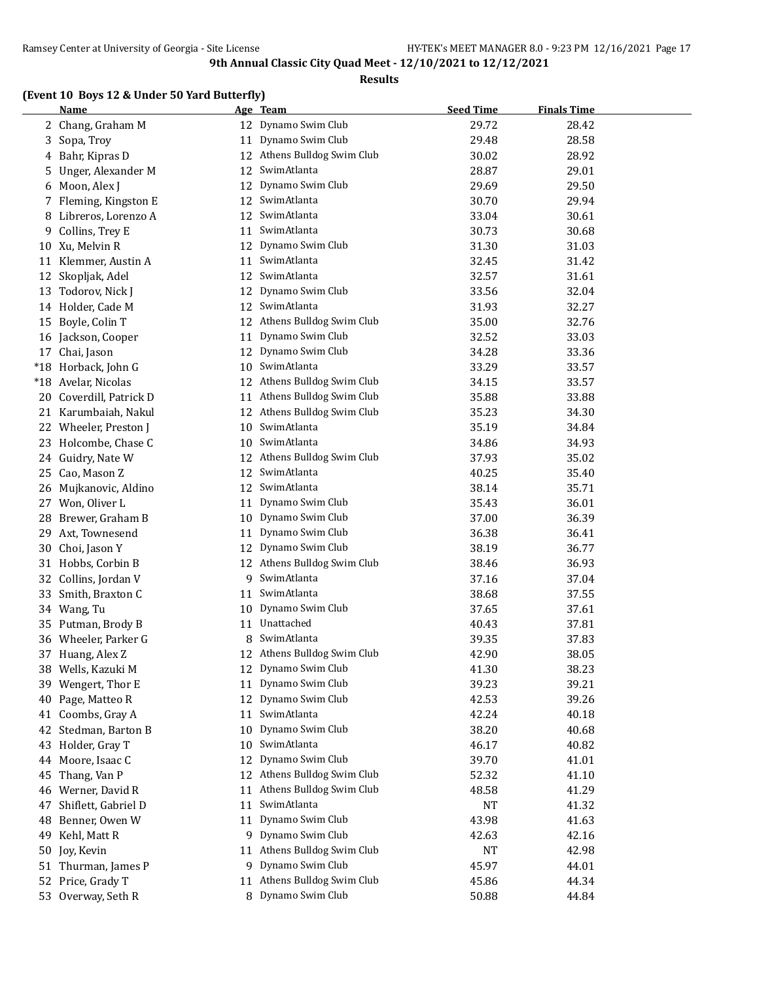#### **Results**

## **(Event 10 Boys 12 & Under 50 Yard Butterfly)**

|    | <b>Name</b>                              |    | Age Team                    | <b>Seed Time</b> | <b>Finals Time</b> |
|----|------------------------------------------|----|-----------------------------|------------------|--------------------|
|    | 2 Chang, Graham M                        |    | 12 Dynamo Swim Club         | 29.72            | 28.42              |
|    | 3 Sopa, Troy                             |    | 11 Dynamo Swim Club         | 29.48            | 28.58              |
| 4  | Bahr, Kipras D                           |    | 12 Athens Bulldog Swim Club | 30.02            | 28.92              |
| 5. | Unger, Alexander M                       | 12 | SwimAtlanta                 | 28.87            | 29.01              |
| 6  | Moon, Alex J                             | 12 | Dynamo Swim Club            | 29.69            | 29.50              |
|    | 7 Fleming, Kingston E                    | 12 | SwimAtlanta                 | 30.70            | 29.94              |
| 8  | Libreros, Lorenzo A                      | 12 | SwimAtlanta                 | 33.04            | 30.61              |
| 9  | Collins, Trey E                          | 11 | SwimAtlanta                 | 30.73            | 30.68              |
| 10 | Xu, Melvin R                             | 12 | Dynamo Swim Club            | 31.30            | 31.03              |
| 11 | Klemmer, Austin A                        | 11 | SwimAtlanta                 | 32.45            | 31.42              |
| 12 | Skopljak, Adel                           | 12 | SwimAtlanta                 | 32.57            | 31.61              |
| 13 | Todorov, Nick J                          | 12 | Dynamo Swim Club            | 33.56            | 32.04              |
|    | 14 Holder, Cade M                        | 12 | SwimAtlanta                 | 31.93            | 32.27              |
| 15 | Boyle, Colin T                           | 12 | Athens Bulldog Swim Club    | 35.00            | 32.76              |
|    | 16 Jackson, Cooper                       | 11 | Dynamo Swim Club            | 32.52            | 33.03              |
|    | 17 Chai, Jason                           | 12 | Dynamo Swim Club            | 34.28            | 33.36              |
|    | *18 Horback, John G                      |    | 10 SwimAtlanta              | 33.29            | 33.57              |
|    | *18 Avelar, Nicolas                      |    | 12 Athens Bulldog Swim Club | 34.15            | 33.57              |
|    | 20 Coverdill, Patrick D                  | 11 | Athens Bulldog Swim Club    | 35.88            | 33.88              |
|    | 21 Karumbaiah, Nakul                     |    | 12 Athens Bulldog Swim Club | 35.23            | 34.30              |
|    | 22 Wheeler, Preston J                    |    | 10 SwimAtlanta              | 35.19            | 34.84              |
|    | 23 Holcombe, Chase C                     | 10 | SwimAtlanta                 | 34.86            | 34.93              |
|    | 24 Guidry, Nate W                        | 12 | Athens Bulldog Swim Club    | 37.93            | 35.02              |
| 25 | Cao, Mason Z                             | 12 | SwimAtlanta                 | 40.25            | 35.40              |
|    | 26 Mujkanovic, Aldino                    |    | 12 SwimAtlanta              | 38.14            | 35.71              |
|    | 27 Won, Oliver L                         | 11 | Dynamo Swim Club            | 35.43            | 36.01              |
| 28 | Brewer, Graham B                         | 10 | Dynamo Swim Club            | 37.00            | 36.39              |
| 29 | Axt, Townesend                           | 11 | Dynamo Swim Club            | 36.38            | 36.41              |
|    | 30 Choi, Jason Y                         | 12 | Dynamo Swim Club            | 38.19            | 36.77              |
|    | 31 Hobbs, Corbin B                       | 12 | Athens Bulldog Swim Club    | 38.46            | 36.93              |
|    |                                          | 9. | SwimAtlanta                 | 37.16            |                    |
|    | 32 Collins, Jordan V<br>Smith, Braxton C |    | 11 SwimAtlanta              | 38.68            | 37.04              |
| 33 |                                          |    | Dynamo Swim Club            |                  | 37.55              |
|    | 34 Wang, Tu                              | 10 | 11 Unattached               | 37.65            | 37.61              |
|    | 35 Putman, Brody B                       |    | SwimAtlanta                 | 40.43            | 37.81              |
|    | 36 Wheeler, Parker G                     | 8  |                             | 39.35            | 37.83              |
|    | 37 Huang, Alex Z                         |    | 12 Athens Bulldog Swim Club | 42.90            | 38.05              |
|    | 38 Wells, Kazuki M                       |    | 12 Dynamo Swim Club         | 41.30            | 38.23              |
| 39 | Wengert, Thor E                          | 11 | Dynamo Swim Club            | 39.23            | 39.21              |
| 40 | Page, Matteo R                           | 12 | Dynamo Swim Club            | 42.53            | 39.26              |
| 41 | Coombs, Gray A                           | 11 | SwimAtlanta                 | 42.24            | 40.18              |
| 42 | Stedman, Barton B                        | 10 | Dynamo Swim Club            | 38.20            | 40.68              |
| 43 | Holder, Gray T                           | 10 | SwimAtlanta                 | 46.17            | 40.82              |
|    | 44 Moore, Isaac C                        | 12 | Dynamo Swim Club            | 39.70            | 41.01              |
| 45 | Thang, Van P                             | 12 | Athens Bulldog Swim Club    | 52.32            | 41.10              |
|    | 46 Werner, David R                       | 11 | Athens Bulldog Swim Club    | 48.58            | 41.29              |
| 47 | Shiflett, Gabriel D                      | 11 | SwimAtlanta                 | <b>NT</b>        | 41.32              |
|    | 48 Benner, Owen W                        | 11 | Dynamo Swim Club            | 43.98            | 41.63              |
|    | 49 Kehl, Matt R                          |    | 9 Dynamo Swim Club          | 42.63            | 42.16              |
| 50 | Joy, Kevin                               | 11 | Athens Bulldog Swim Club    | <b>NT</b>        | 42.98              |
|    | 51 Thurman, James P                      |    | 9 Dynamo Swim Club          | 45.97            | 44.01              |
|    | 52 Price, Grady T                        |    | 11 Athens Bulldog Swim Club | 45.86            | 44.34              |
|    | 53 Overway, Seth R                       |    | 8 Dynamo Swim Club          | 50.88            | 44.84              |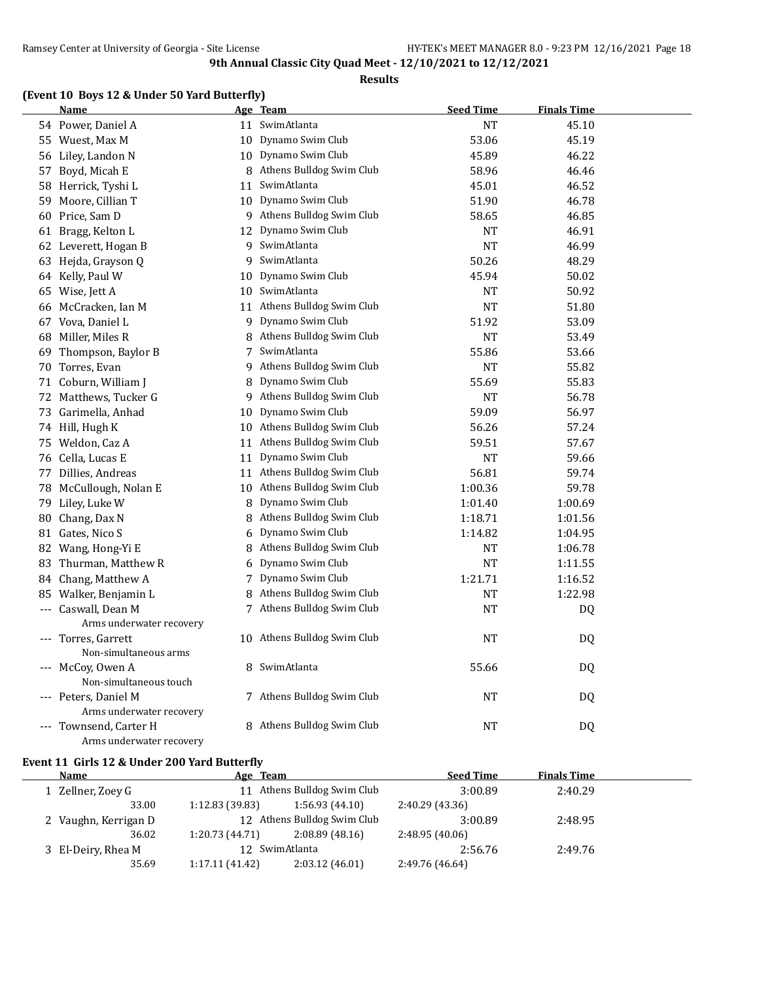#### **Results**

## **(Event 10 Boys 12 & Under 50 Yard Butterfly)**

|    | <b>Name</b>              |    | Age Team                    | <b>Seed Time</b> | <b>Finals Time</b> |  |
|----|--------------------------|----|-----------------------------|------------------|--------------------|--|
|    | 54 Power, Daniel A       |    | 11 SwimAtlanta              | <b>NT</b>        | 45.10              |  |
|    | 55 Wuest, Max M          |    | 10 Dynamo Swim Club         | 53.06            | 45.19              |  |
|    | 56 Liley, Landon N       |    | 10 Dynamo Swim Club         | 45.89            | 46.22              |  |
| 57 | Boyd, Micah E            |    | 8 Athens Bulldog Swim Club  | 58.96            | 46.46              |  |
|    | 58 Herrick, Tyshi L      |    | 11 SwimAtlanta              | 45.01            | 46.52              |  |
| 59 | Moore, Cillian T         |    | 10 Dynamo Swim Club         | 51.90            | 46.78              |  |
|    | 60 Price, Sam D          |    | 9 Athens Bulldog Swim Club  | 58.65            | 46.85              |  |
|    | 61 Bragg, Kelton L       | 12 | Dynamo Swim Club            | <b>NT</b>        | 46.91              |  |
|    | 62 Leverett, Hogan B     |    | 9 SwimAtlanta               | <b>NT</b>        | 46.99              |  |
|    | 63 Hejda, Grayson Q      |    | 9 SwimAtlanta               | 50.26            | 48.29              |  |
|    | 64 Kelly, Paul W         |    | 10 Dynamo Swim Club         | 45.94            | 50.02              |  |
|    | 65 Wise, Jett A          |    | 10 SwimAtlanta              | NT               | 50.92              |  |
|    | 66 McCracken, Ian M      |    | 11 Athens Bulldog Swim Club | <b>NT</b>        | 51.80              |  |
|    | 67 Vova, Daniel L        |    | 9 Dynamo Swim Club          | 51.92            | 53.09              |  |
| 68 | Miller, Miles R          |    | 8 Athens Bulldog Swim Club  | <b>NT</b>        | 53.49              |  |
| 69 | Thompson, Baylor B       | 7  | SwimAtlanta                 | 55.86            | 53.66              |  |
| 70 | Torres, Evan             |    | 9 Athens Bulldog Swim Club  | <b>NT</b>        | 55.82              |  |
|    | 71 Coburn, William J     | 8  | Dynamo Swim Club            | 55.69            | 55.83              |  |
|    | 72 Matthews, Tucker G    |    | 9 Athens Bulldog Swim Club  | <b>NT</b>        | 56.78              |  |
|    | 73 Garimella, Anhad      | 10 | Dynamo Swim Club            | 59.09            | 56.97              |  |
|    | 74 Hill, Hugh K          |    | 10 Athens Bulldog Swim Club | 56.26            | 57.24              |  |
|    | 75 Weldon, Caz A         |    | 11 Athens Bulldog Swim Club | 59.51            | 57.67              |  |
|    | 76 Cella, Lucas E        | 11 | Dynamo Swim Club            | <b>NT</b>        | 59.66              |  |
|    | 77 Dillies, Andreas      |    | 11 Athens Bulldog Swim Club | 56.81            | 59.74              |  |
|    | 78 McCullough, Nolan E   | 10 | Athens Bulldog Swim Club    | 1:00.36          | 59.78              |  |
|    | 79 Liley, Luke W         |    | 8 Dynamo Swim Club          | 1:01.40          | 1:00.69            |  |
|    | 80 Chang, Dax N          |    | 8 Athens Bulldog Swim Club  | 1:18.71          | 1:01.56            |  |
|    | 81 Gates, Nico S         |    | 6 Dynamo Swim Club          | 1:14.82          | 1:04.95            |  |
|    | 82 Wang, Hong-Yi E       |    | 8 Athens Bulldog Swim Club  | NT               | 1:06.78            |  |
|    | 83 Thurman, Matthew R    |    | 6 Dynamo Swim Club          | <b>NT</b>        | 1:11.55            |  |
|    | 84 Chang, Matthew A      |    | 7 Dynamo Swim Club          | 1:21.71          | 1:16.52            |  |
|    | 85 Walker, Benjamin L    | 8  | Athens Bulldog Swim Club    | <b>NT</b>        | 1:22.98            |  |
|    | --- Caswall, Dean M      |    | 7 Athens Bulldog Swim Club  | <b>NT</b>        | DQ                 |  |
|    | Arms underwater recovery |    |                             |                  |                    |  |
|    | --- Torres, Garrett      |    | 10 Athens Bulldog Swim Club | NT               | <b>DQ</b>          |  |
|    | Non-simultaneous arms    |    |                             |                  |                    |  |
|    | --- McCoy, Owen A        |    | 8 SwimAtlanta               | 55.66            | DQ                 |  |
|    | Non-simultaneous touch   |    |                             |                  |                    |  |
|    | --- Peters, Daniel M     |    | 7 Athens Bulldog Swim Club  | <b>NT</b>        | DQ                 |  |
|    | Arms underwater recovery |    |                             |                  |                    |  |
|    | --- Townsend, Carter H   |    | 8 Athens Bulldog Swim Club  | <b>NT</b>        | <b>DQ</b>          |  |
|    | Arms underwater recovery |    |                             |                  |                    |  |

#### **Event 11 Girls 12 & Under 200 Yard Butterfly**

| Name                 | Age Team        |                             | <b>Seed Time</b> | <b>Finals Time</b> |  |
|----------------------|-----------------|-----------------------------|------------------|--------------------|--|
| 1 Zellner, Zoey G    |                 | 11 Athens Bulldog Swim Club | 3:00.89          | 2:40.29            |  |
| 33.00                | 1:12.83(39.83)  | 1:56.93(44.10)              | 2:40.29 (43.36)  |                    |  |
| 2 Vaughn, Kerrigan D |                 | 12 Athens Bulldog Swim Club | 3:00.89          | 2:48.95            |  |
| 36.02                | 1:20.73(44.71)  | 2:08.89(48.16)              | 2:48.95(40.06)   |                    |  |
| 3 El-Deiry, Rhea M   |                 | 12 SwimAtlanta              | 2:56.76          | 2:49.76            |  |
| 35.69                | 1:17.11 (41.42) | 2:03.12(46.01)              | 2:49.76 (46.64)  |                    |  |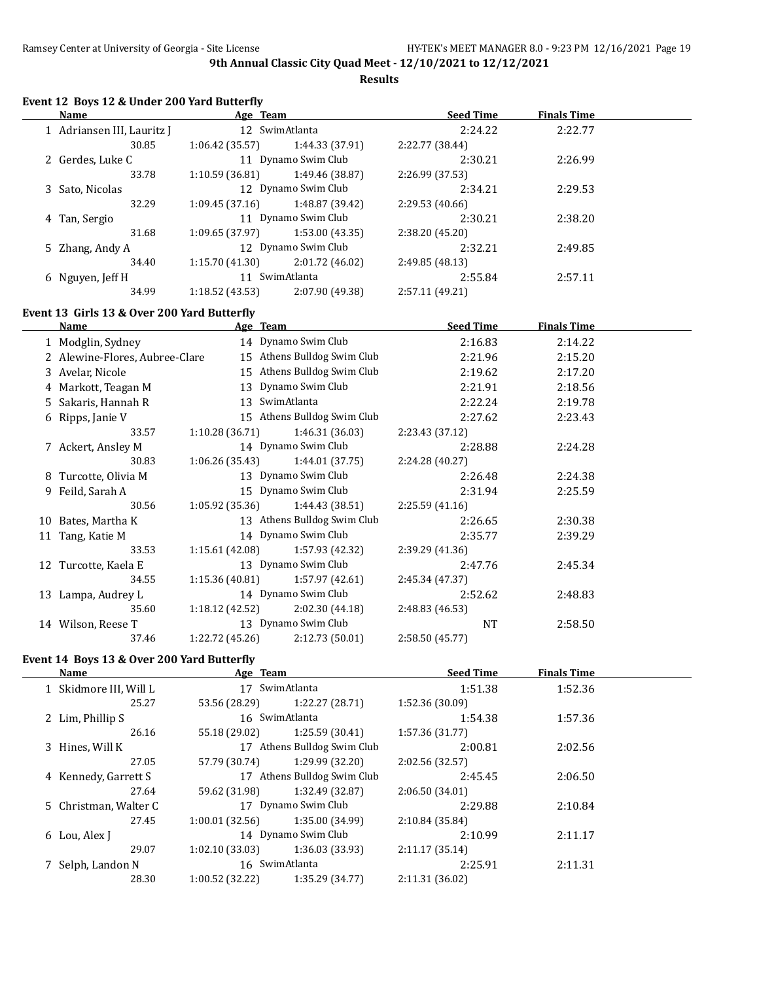**Results**

| Event 12 Boys 12 & Under 200 Yard Butterfly<br><b>Name</b> |                 |                                                                                                                                                                                                                                                  | <b>Seed Time</b>           | <b>Finals Time</b> |  |
|------------------------------------------------------------|-----------------|--------------------------------------------------------------------------------------------------------------------------------------------------------------------------------------------------------------------------------------------------|----------------------------|--------------------|--|
|                                                            |                 | Age Team and the state of the state of the state of the state of the state of the state of the state of the state of the state of the state of the state of the state of the state of the state of the state of the state of t<br>12 SwimAtlanta |                            |                    |  |
| 1 Adriansen III, Lauritz J<br>30.85                        | 1:06.42(35.57)  | 1:44.33 (37.91)                                                                                                                                                                                                                                  | 2:24.22                    | 2:22.77            |  |
| 2 Gerdes, Luke C                                           |                 | 11 Dynamo Swim Club                                                                                                                                                                                                                              | 2:22.77 (38.44)<br>2:30.21 | 2:26.99            |  |
| 33.78                                                      | 1:10.59(36.81)  | 1:49.46 (38.87)                                                                                                                                                                                                                                  | 2:26.99 (37.53)            |                    |  |
| 3 Sato, Nicolas                                            |                 | 12 Dynamo Swim Club                                                                                                                                                                                                                              | 2:34.21                    | 2:29.53            |  |
| 32.29                                                      | 1:09.45(37.16)  | 1:48.87 (39.42)                                                                                                                                                                                                                                  | 2:29.53 (40.66)            |                    |  |
| 4 Tan, Sergio                                              |                 | 11 Dynamo Swim Club                                                                                                                                                                                                                              | 2:30.21                    | 2:38.20            |  |
| 31.68                                                      | 1:09.65(37.97)  | 1:53.00(43.35)                                                                                                                                                                                                                                   | 2:38.20 (45.20)            |                    |  |
| 5 Zhang, Andy A                                            |                 | 12 Dynamo Swim Club                                                                                                                                                                                                                              | 2:32.21                    | 2:49.85            |  |
| 34.40                                                      | 1:15.70(41.30)  | 2:01.72 (46.02)                                                                                                                                                                                                                                  | 2:49.85 (48.13)            |                    |  |
| 6 Nguyen, Jeff H                                           |                 | 11 SwimAtlanta                                                                                                                                                                                                                                   | 2:55.84                    | 2:57.11            |  |
| 34.99                                                      | 1:18.52(43.53)  | 2:07.90 (49.38)                                                                                                                                                                                                                                  | 2:57.11 (49.21)            |                    |  |
|                                                            |                 |                                                                                                                                                                                                                                                  |                            |                    |  |
| Event 13 Girls 13 & Over 200 Yard Butterfly                |                 |                                                                                                                                                                                                                                                  |                            |                    |  |
| Name                                                       | Age Team        |                                                                                                                                                                                                                                                  | <b>Seed Time</b>           | <b>Finals Time</b> |  |
| 1 Modglin, Sydney                                          |                 | 14 Dynamo Swim Club                                                                                                                                                                                                                              | 2:16.83                    | 2:14.22            |  |
| 2 Alewine-Flores, Aubree-Clare                             |                 | 15 Athens Bulldog Swim Club                                                                                                                                                                                                                      | 2:21.96                    | 2:15.20            |  |
| 3 Avelar, Nicole                                           |                 | 15 Athens Bulldog Swim Club                                                                                                                                                                                                                      | 2:19.62                    | 2:17.20            |  |
| 4 Markott, Teagan M                                        |                 | 13 Dynamo Swim Club                                                                                                                                                                                                                              | 2:21.91                    | 2:18.56            |  |
| 5 Sakaris, Hannah R                                        |                 | 13 SwimAtlanta                                                                                                                                                                                                                                   | 2:22.24                    | 2:19.78            |  |
| 6 Ripps, Janie V                                           |                 | 15 Athens Bulldog Swim Club                                                                                                                                                                                                                      | 2:27.62                    | 2:23.43            |  |
| 33.57                                                      | 1:10.28(36.71)  | 1:46.31 (36.03)                                                                                                                                                                                                                                  | 2:23.43 (37.12)            |                    |  |
| 7 Ackert, Ansley M                                         |                 | 14 Dynamo Swim Club                                                                                                                                                                                                                              | 2:28.88                    | 2:24.28            |  |
| 30.83                                                      | 1:06.26(35.43)  | 1:44.01(37.75)                                                                                                                                                                                                                                   | 2:24.28 (40.27)            |                    |  |
| 8 Turcotte, Olivia M                                       |                 | 13 Dynamo Swim Club                                                                                                                                                                                                                              | 2:26.48                    | 2:24.38            |  |
| 9 Feild, Sarah A                                           |                 | 15 Dynamo Swim Club                                                                                                                                                                                                                              | 2:31.94                    | 2:25.59            |  |
| 30.56                                                      | 1:05.92(35.36)  | 1:44.43 (38.51)                                                                                                                                                                                                                                  | 2:25.59(41.16)             |                    |  |
| 10 Bates, Martha K                                         |                 | 13 Athens Bulldog Swim Club                                                                                                                                                                                                                      | 2:26.65                    | 2:30.38            |  |
| 11 Tang, Katie M                                           |                 | 14 Dynamo Swim Club                                                                                                                                                                                                                              | 2:35.77                    | 2:39.29            |  |
| 33.53                                                      | 1:15.61 (42.08) | 1:57.93 (42.32)                                                                                                                                                                                                                                  | 2:39.29 (41.36)            |                    |  |
| 12 Turcotte, Kaela E                                       |                 | 13 Dynamo Swim Club                                                                                                                                                                                                                              | 2:47.76                    | 2:45.34            |  |
| 34.55                                                      | 1:15.36(40.81)  | 1:57.97 (42.61)                                                                                                                                                                                                                                  | 2:45.34 (47.37)            |                    |  |
| 13 Lampa, Audrey L                                         |                 | 14 Dynamo Swim Club                                                                                                                                                                                                                              | 2:52.62                    | 2:48.83            |  |
| 35.60                                                      | 1:18.12(42.52)  | 2:02.30 (44.18)                                                                                                                                                                                                                                  | 2:48.83 (46.53)            |                    |  |
| 14 Wilson, Reese T                                         |                 | 13 Dynamo Swim Club                                                                                                                                                                                                                              | <b>NT</b>                  | 2:58.50            |  |
| 37.46                                                      | 1:22.72(45.26)  | 2:12.73 (50.01)                                                                                                                                                                                                                                  | 2:58.50 (45.77)            |                    |  |

# **Event 14 Boys 13 & Over 200 Yard Butterfly**<br>Name Age Team

|                |                 | <b>Seed Time</b>                                                                                                                                                           | <b>Finals Time</b> |  |
|----------------|-----------------|----------------------------------------------------------------------------------------------------------------------------------------------------------------------------|--------------------|--|
|                |                 | 1:51.38                                                                                                                                                                    | 1:52.36            |  |
| 53.56 (28.29)  | 1:22.27 (28.71) | 1:52.36(30.09)                                                                                                                                                             |                    |  |
|                |                 | 1:54.38                                                                                                                                                                    | 1:57.36            |  |
| 55.18 (29.02)  | 1:25.59(30.41)  | 1:57.36 (31.77)                                                                                                                                                            |                    |  |
|                |                 | 2:00.81                                                                                                                                                                    | 2:02.56            |  |
| 57.79 (30.74)  | 1:29.99 (32.20) | 2:02.56 (32.57)                                                                                                                                                            |                    |  |
|                |                 | 2:45.45                                                                                                                                                                    | 2:06.50            |  |
| 59.62 (31.98)  | 1:32.49 (32.87) | 2:06.50(34.01)                                                                                                                                                             |                    |  |
|                |                 | 2:29.88                                                                                                                                                                    | 2:10.84            |  |
| 1:00.01(32.56) | 1:35.00 (34.99) | 2:10.84 (35.84)                                                                                                                                                            |                    |  |
|                |                 | 2:10.99                                                                                                                                                                    | 2:11.17            |  |
| 1:02.10(33.03) | 1:36.03 (33.93) | 2:11.17(35.14)                                                                                                                                                             |                    |  |
|                |                 | 2:25.91                                                                                                                                                                    | 2:11.31            |  |
| 1:00.52(32.22) | 1:35.29 (34.77) | 2:11.31 (36.02)                                                                                                                                                            |                    |  |
|                |                 | Age Team<br>17 SwimAtlanta<br>16 SwimAtlanta<br>17 Athens Bulldog Swim Club<br>17 Athens Bulldog Swim Club<br>17 Dynamo Swim Club<br>14 Dynamo Swim Club<br>16 SwimAtlanta |                    |  |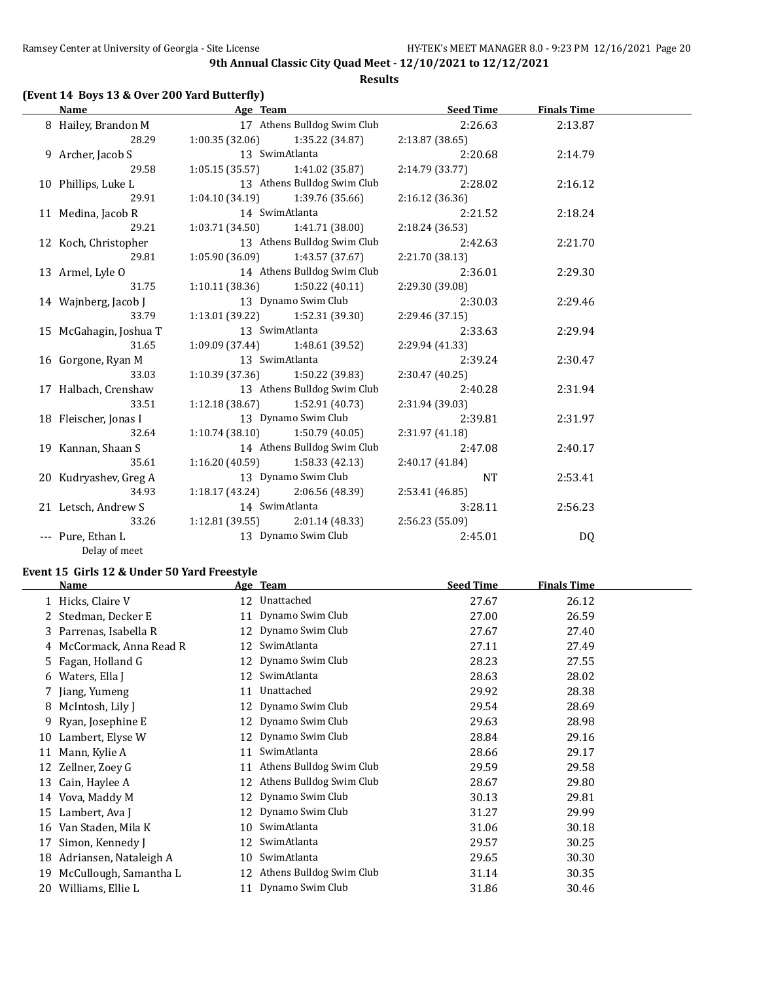#### **Results**

## **(Event 14 Boys 13 & Over 200 Yard Butterfly)**

| Name                               | Age Team                          |                                                    | <b>Seed Time</b> | <b>Finals Time</b> |  |
|------------------------------------|-----------------------------------|----------------------------------------------------|------------------|--------------------|--|
| 8 Hailey, Brandon M                |                                   | 17 Athens Bulldog Swim Club                        | 2:26.63          | 2:13.87            |  |
| 28.29                              |                                   | $1:00.35(32.06)$ $1:35.22(34.87)$                  | 2:13.87 (38.65)  |                    |  |
| 9 Archer, Jacob S                  | 13 SwimAtlanta                    |                                                    | 2:20.68          | 2:14.79            |  |
| 29.58                              |                                   | $1:05.15(35.57)$ $1:41.02(35.87)$                  | 2:14.79 (33.77)  |                    |  |
| 10 Phillips, Luke L                |                                   | 13 Athens Bulldog Swim Club                        | 2:28.02          | 2:16.12            |  |
| 29.91                              |                                   | $1:04.10(34.19)$ $1:39.76(35.66)$                  | 2:16.12(36.36)   |                    |  |
| 11 Medina, Jacob R                 | 14 SwimAtlanta                    |                                                    | 2:21.52          | 2:18.24            |  |
| 29.21                              |                                   | $1:03.71(34.50)$ $1:41.71(38.00)$                  | 2:18.24 (36.53)  |                    |  |
| 12 Koch, Christopher               |                                   | 13 Athens Bulldog Swim Club                        | 2:42.63          | 2:21.70            |  |
| 29.81                              | $1:05.90(36.09)$ $1:43.57(37.67)$ |                                                    | 2:21.70 (38.13)  |                    |  |
| 13 Armel, Lyle O                   |                                   | 14 Athens Bulldog Swim Club                        | 2:36.01          | 2:29.30            |  |
| 31.75                              |                                   | $1:10.11(38.36)$ $1:50.22(40.11)$                  | 2:29.30 (39.08)  |                    |  |
| 14 Wajnberg, Jacob J               |                                   | 13 Dynamo Swim Club                                | 2:30.03          | 2:29.46            |  |
| 33.79                              |                                   | $1:13.01(39.22)$ $1:52.31(39.30)$                  | 2:29.46 (37.15)  |                    |  |
| 15 McGahagin, Joshua T             | 13 SwimAtlanta                    |                                                    | 2:33.63          | 2:29.94            |  |
| 31.65                              |                                   | 1:09.09 (37.44) 1:48.61 (39.52)                    | 2:29.94 (41.33)  |                    |  |
| 16 Gorgone, Ryan M                 | 13 SwimAtlanta                    |                                                    | 2:39.24          | 2:30.47            |  |
| 33.03                              |                                   | $1:10.39(37.36)$ $1:50.22(39.83)$                  | 2:30.47(40.25)   |                    |  |
| 17 Halbach, Crenshaw               |                                   | 13 Athens Bulldog Swim Club                        | 2:40.28          | 2:31.94            |  |
| 33.51                              | $1:12.18(38.67)$ $1:52.91(40.73)$ |                                                    | 2:31.94 (39.03)  |                    |  |
| 18 Fleischer, Jonas I              | 13 Dynamo Swim Club               |                                                    | 2:39.81          | 2:31.97            |  |
| 32.64                              |                                   | $1:10.74(38.10)$ $1:50.79(40.05)$                  | 2:31.97(41.18)   |                    |  |
| 19 Kannan, Shaan S                 |                                   | 14 Athens Bulldog Swim Club                        | 2:47.08          | 2:40.17            |  |
| 35.61                              | $1:16.20(40.59)$ $1:58.33(42.13)$ |                                                    | 2:40.17(41.84)   |                    |  |
| 20 Kudryashev, Greg A              |                                   | 13 Dynamo Swim Club                                | <b>NT</b>        | 2:53.41            |  |
| 34.93                              |                                   | $1:18.17(43.24)$ $2:06.56(48.39)$                  | 2:53.41 (46.85)  |                    |  |
| 21 Letsch, Andrew S 14 SwimAtlanta |                                   |                                                    | 3:28.11          | 2:56.23            |  |
| 33.26                              |                                   | $1:12.81(39.55)$ $2:01.14(48.33)$ $2:56.23(55.09)$ |                  |                    |  |
| --- Pure, Ethan L                  | 13 Dynamo Swim Club               |                                                    | 2:45.01          | DQ                 |  |
| Delay of meet                      |                                   |                                                    |                  |                    |  |

## **Event 15 Girls 12 & Under 50 Yard Freestyle**

|    | Name                     |    | Age Team                 | <b>Seed Time</b> | <b>Finals Time</b> |  |
|----|--------------------------|----|--------------------------|------------------|--------------------|--|
|    | 1 Hicks, Claire V        | 12 | Unattached               | 27.67            | 26.12              |  |
|    | 2 Stedman, Decker E      | 11 | Dynamo Swim Club         | 27.00            | 26.59              |  |
| 3. | Parrenas, Isabella R     | 12 | Dynamo Swim Club         | 27.67            | 27.40              |  |
|    | 4 McCormack, Anna Read R | 12 | SwimAtlanta              | 27.11            | 27.49              |  |
|    | 5 Fagan, Holland G       | 12 | Dynamo Swim Club         | 28.23            | 27.55              |  |
|    | 6 Waters, Ella J         | 12 | SwimAtlanta              | 28.63            | 28.02              |  |
|    | 7 Jiang, Yumeng          | 11 | Unattached               | 29.92            | 28.38              |  |
| 8  | McIntosh, Lily J         | 12 | Dynamo Swim Club         | 29.54            | 28.69              |  |
| 9. | Ryan, Josephine E        | 12 | Dynamo Swim Club         | 29.63            | 28.98              |  |
| 10 | Lambert, Elyse W         | 12 | Dynamo Swim Club         | 28.84            | 29.16              |  |
| 11 | Mann, Kylie A            | 11 | SwimAtlanta              | 28.66            | 29.17              |  |
| 12 | Zellner, Zoey G          | 11 | Athens Bulldog Swim Club | 29.59            | 29.58              |  |
| 13 | Cain, Haylee A           | 12 | Athens Bulldog Swim Club | 28.67            | 29.80              |  |
| 14 | Vova, Maddy M            | 12 | Dynamo Swim Club         | 30.13            | 29.81              |  |
| 15 | Lambert, Ava J           | 12 | Dynamo Swim Club         | 31.27            | 29.99              |  |
| 16 | Van Staden, Mila K       | 10 | SwimAtlanta              | 31.06            | 30.18              |  |
| 17 | Simon, Kennedy J         | 12 | SwimAtlanta              | 29.57            | 30.25              |  |
| 18 | Adriansen, Nataleigh A   | 10 | SwimAtlanta              | 29.65            | 30.30              |  |
| 19 | McCullough, Samantha L   | 12 | Athens Bulldog Swim Club | 31.14            | 30.35              |  |
| 20 | Williams, Ellie L        |    | 11 Dynamo Swim Club      | 31.86            | 30.46              |  |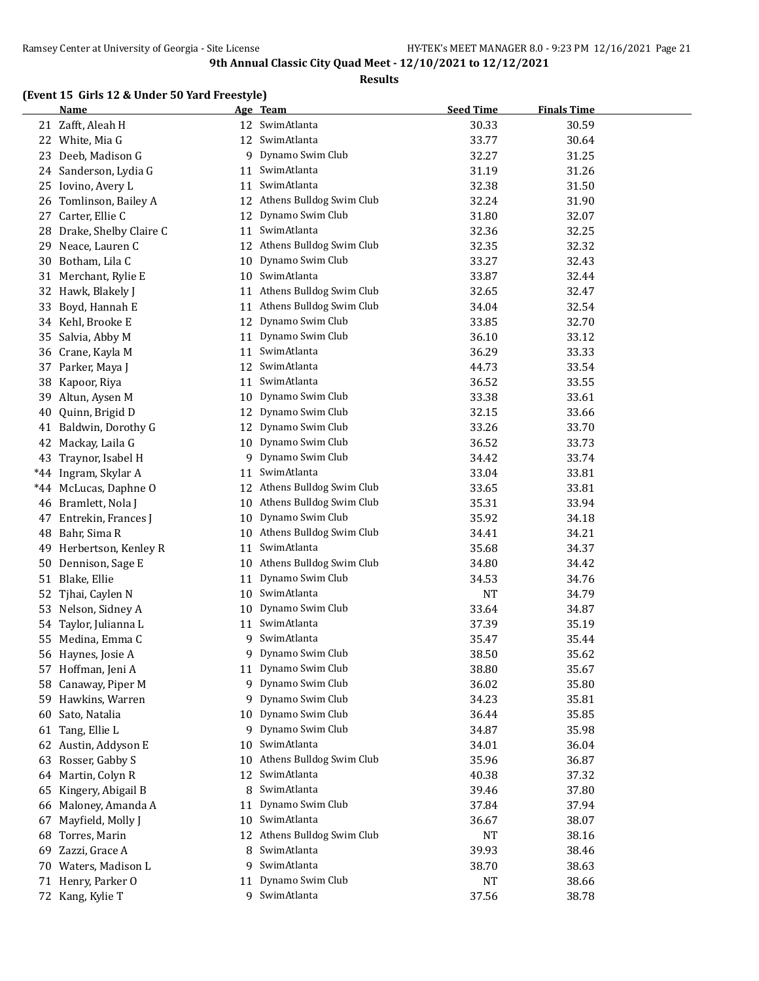#### **Results**

## **(Event 15 Girls 12 & Under 50 Yard Freestyle)**

|    | <b>Name</b>            |    | Age Team                    | <b>Seed Time</b> | <b>Finals Time</b> |  |
|----|------------------------|----|-----------------------------|------------------|--------------------|--|
|    | 21 Zafft, Aleah H      |    | 12 SwimAtlanta              | 30.33            | 30.59              |  |
|    | 22 White, Mia G        | 12 | SwimAtlanta                 | 33.77            | 30.64              |  |
| 23 | Deeb, Madison G        |    | 9 Dynamo Swim Club          | 32.27            | 31.25              |  |
|    | 24 Sanderson, Lydia G  | 11 | SwimAtlanta                 | 31.19            | 31.26              |  |
| 25 | Iovino, Avery L        | 11 | SwimAtlanta                 | 32.38            | 31.50              |  |
| 26 | Tomlinson, Bailey A    | 12 | Athens Bulldog Swim Club    | 32.24            | 31.90              |  |
| 27 | Carter, Ellie C        | 12 | Dynamo Swim Club            | 31.80            | 32.07              |  |
| 28 | Drake, Shelby Claire C | 11 | SwimAtlanta                 | 32.36            | 32.25              |  |
| 29 | Neace, Lauren C        | 12 | Athens Bulldog Swim Club    | 32.35            | 32.32              |  |
| 30 | Botham, Lila C         | 10 | Dynamo Swim Club            | 33.27            | 32.43              |  |
| 31 | Merchant, Rylie E      | 10 | SwimAtlanta                 | 33.87            | 32.44              |  |
| 32 | Hawk, Blakely J        | 11 | Athens Bulldog Swim Club    | 32.65            | 32.47              |  |
| 33 | Boyd, Hannah E         | 11 | Athens Bulldog Swim Club    | 34.04            | 32.54              |  |
|    | 34 Kehl, Brooke E      | 12 | Dynamo Swim Club            | 33.85            | 32.70              |  |
| 35 | Salvia, Abby M         | 11 | Dynamo Swim Club            | 36.10            | 33.12              |  |
| 36 | Crane, Kayla M         | 11 | SwimAtlanta                 | 36.29            | 33.33              |  |
|    | 37 Parker, Maya J      | 12 | SwimAtlanta                 | 44.73            | 33.54              |  |
| 38 | Kapoor, Riya           | 11 | SwimAtlanta                 | 36.52            | 33.55              |  |
| 39 | Altun, Aysen M         | 10 | Dynamo Swim Club            | 33.38            | 33.61              |  |
| 40 | Quinn, Brigid D        | 12 | Dynamo Swim Club            | 32.15            | 33.66              |  |
|    | 41 Baldwin, Dorothy G  | 12 | Dynamo Swim Club            | 33.26            | 33.70              |  |
| 42 | Mackay, Laila G        | 10 | Dynamo Swim Club            | 36.52            | 33.73              |  |
| 43 | Traynor, Isabel H      |    | 9 Dynamo Swim Club          | 34.42            | 33.74              |  |
|    | *44 Ingram, Skylar A   | 11 | SwimAtlanta                 | 33.04            | 33.81              |  |
|    | *44 McLucas, Daphne O  | 12 | Athens Bulldog Swim Club    | 33.65            | 33.81              |  |
| 46 | Bramlett, Nola J       | 10 | Athens Bulldog Swim Club    | 35.31            | 33.94              |  |
| 47 | Entrekin, Frances J    | 10 | Dynamo Swim Club            | 35.92            | 34.18              |  |
| 48 | Bahr, Sima R           |    | 10 Athens Bulldog Swim Club | 34.41            | 34.21              |  |
| 49 | Herbertson, Kenley R   | 11 | SwimAtlanta                 | 35.68            | 34.37              |  |
| 50 | Dennison, Sage E       |    | 10 Athens Bulldog Swim Club | 34.80            | 34.42              |  |
|    | 51 Blake, Ellie        | 11 | Dynamo Swim Club            | 34.53            | 34.76              |  |
| 52 | Tjhai, Caylen N        |    | 10 SwimAtlanta              | <b>NT</b>        | 34.79              |  |
| 53 | Nelson, Sidney A       | 10 | Dynamo Swim Club            | 33.64            | 34.87              |  |
|    | 54 Taylor, Julianna L  | 11 | SwimAtlanta                 | 37.39            | 35.19              |  |
| 55 | Medina, Emma C         | 9  | SwimAtlanta                 | 35.47            | 35.44              |  |
|    | 56 Haynes, Josie A     |    | 9 Dynamo Swim Club          | 38.50            | 35.62              |  |
|    | 57 Hoffman, Jeni A     |    | 11 Dynamo Swim Club         | 38.80            | 35.67              |  |
| 58 | Canaway, Piper M       |    | 9 Dynamo Swim Club          | 36.02            | 35.80              |  |
| 59 | Hawkins, Warren        | 9. | Dynamo Swim Club            | 34.23            | 35.81              |  |
| 60 | Sato, Natalia          | 10 | Dynamo Swim Club            | 36.44            | 35.85              |  |
| 61 | Tang, Ellie L          | 9  | Dynamo Swim Club            | 34.87            | 35.98              |  |
| 62 | Austin, Addyson E      | 10 | SwimAtlanta                 | 34.01            | 36.04              |  |
| 63 | Rosser, Gabby S        | 10 | Athens Bulldog Swim Club    | 35.96            | 36.87              |  |
| 64 | Martin, Colyn R        | 12 | SwimAtlanta                 | 40.38            | 37.32              |  |
| 65 | Kingery, Abigail B     | 8  | SwimAtlanta                 | 39.46            | 37.80              |  |
|    | 66 Maloney, Amanda A   | 11 | Dynamo Swim Club            | 37.84            | 37.94              |  |
| 67 | Mayfield, Molly J      | 10 | SwimAtlanta                 | 36.67            | 38.07              |  |
| 68 | Torres, Marin          | 12 | Athens Bulldog Swim Club    | NT               | 38.16              |  |
| 69 | Zazzi, Grace A         | 8  | SwimAtlanta                 | 39.93            | 38.46              |  |
|    | 70 Waters, Madison L   | 9  | SwimAtlanta                 | 38.70            | 38.63              |  |
|    | 71 Henry, Parker O     | 11 | Dynamo Swim Club            | NT               | 38.66              |  |
|    | 72 Kang, Kylie T       |    | 9 SwimAtlanta               | 37.56            | 38.78              |  |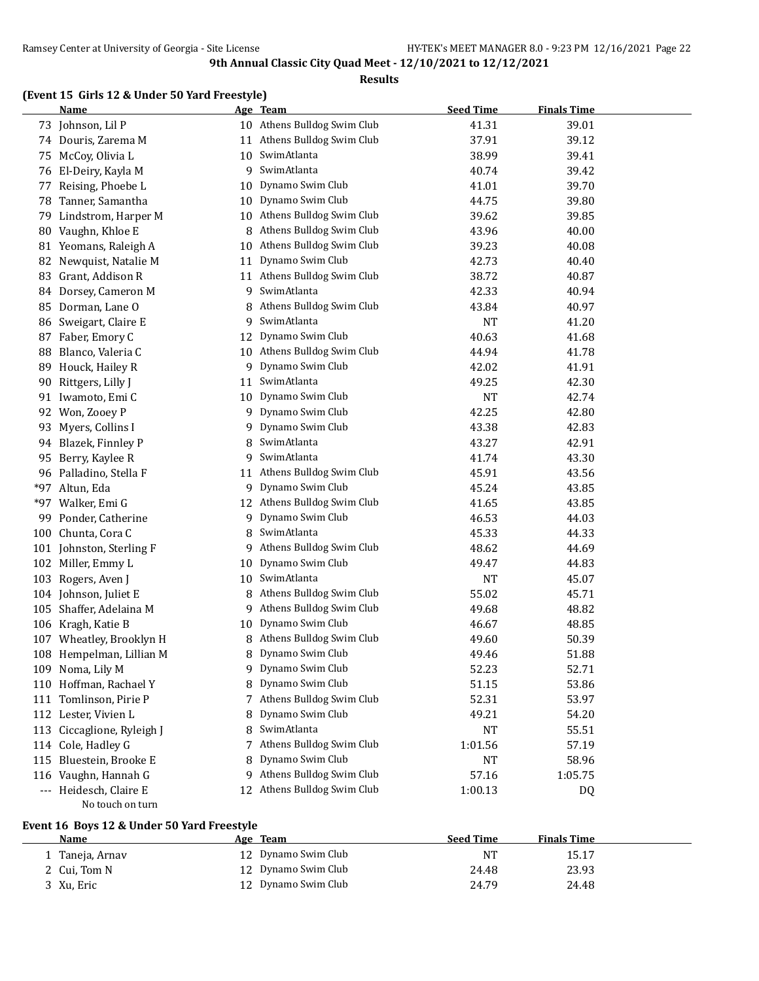#### **Results**

## **(Event 15 Girls 12 & Under 50 Yard Freestyle)**

|       | <b>Name</b>                                |    | Age Team                    | <b>Seed Time</b> | <b>Finals Time</b> |  |
|-------|--------------------------------------------|----|-----------------------------|------------------|--------------------|--|
|       | 73 Johnson, Lil P                          |    | 10 Athens Bulldog Swim Club | 41.31            | 39.01              |  |
| 74    | Douris, Zarema M                           |    | 11 Athens Bulldog Swim Club | 37.91            | 39.12              |  |
| 75    | McCoy, Olivia L                            | 10 | SwimAtlanta                 | 38.99            | 39.41              |  |
|       | 76 El-Deiry, Kayla M                       | 9  | SwimAtlanta                 | 40.74            | 39.42              |  |
| 77    | Reising, Phoebe L                          | 10 | Dynamo Swim Club            | 41.01            | 39.70              |  |
| 78    | Tanner, Samantha                           | 10 | Dynamo Swim Club            | 44.75            | 39.80              |  |
| 79    | Lindstrom, Harper M                        | 10 | Athens Bulldog Swim Club    | 39.62            | 39.85              |  |
| 80    | Vaughn, Khloe E                            | 8  | Athens Bulldog Swim Club    | 43.96            | 40.00              |  |
|       | 81 Yeomans, Raleigh A                      | 10 | Athens Bulldog Swim Club    | 39.23            | 40.08              |  |
| 82    | Newquist, Natalie M                        | 11 | Dynamo Swim Club            | 42.73            | 40.40              |  |
| 83    | Grant, Addison R                           | 11 | Athens Bulldog Swim Club    | 38.72            | 40.87              |  |
| 84    | Dorsey, Cameron M                          | 9  | SwimAtlanta                 | 42.33            | 40.94              |  |
| 85    | Dorman, Lane O                             | 8  | Athens Bulldog Swim Club    | 43.84            | 40.97              |  |
| 86    | Sweigart, Claire E                         | 9  | SwimAtlanta                 | <b>NT</b>        | 41.20              |  |
| 87    | Faber, Emory C                             | 12 | Dynamo Swim Club            | 40.63            | 41.68              |  |
| 88    | Blanco, Valeria C                          | 10 | Athens Bulldog Swim Club    | 44.94            | 41.78              |  |
| 89    | Houck, Hailey R                            | 9  | Dynamo Swim Club            | 42.02            | 41.91              |  |
| 90    | Rittgers, Lilly J                          | 11 | SwimAtlanta                 | 49.25            | 42.30              |  |
|       | 91 Iwamoto, Emi C                          | 10 | Dynamo Swim Club            | <b>NT</b>        | 42.74              |  |
| 92    | Won, Zooey P                               | 9  | Dynamo Swim Club            | 42.25            | 42.80              |  |
| 93    | Myers, Collins I                           | 9  | Dynamo Swim Club            | 43.38            | 42.83              |  |
| 94    | Blazek, Finnley P                          | 8  | SwimAtlanta                 | 43.27            | 42.91              |  |
| 95    | Berry, Kaylee R                            | 9  | SwimAtlanta                 | 41.74            | 43.30              |  |
| 96    | Palladino, Stella F                        | 11 | Athens Bulldog Swim Club    | 45.91            | 43.56              |  |
| $*97$ | Altun, Eda                                 | 9  | Dynamo Swim Club            | 45.24            | 43.85              |  |
| *97   | Walker, Emi G                              |    | 12 Athens Bulldog Swim Club | 41.65            | 43.85              |  |
| 99    | Ponder, Catherine                          | 9  | Dynamo Swim Club            | 46.53            | 44.03              |  |
| 100   | Chunta, Cora C                             | 8  | SwimAtlanta                 | 45.33            | 44.33              |  |
|       | 101 Johnston, Sterling F                   | 9  | Athens Bulldog Swim Club    | 48.62            | 44.69              |  |
|       | 102 Miller, Emmy L                         | 10 | Dynamo Swim Club            | 49.47            | 44.83              |  |
| 103   | Rogers, Aven J                             | 10 | SwimAtlanta                 | <b>NT</b>        | 45.07              |  |
|       | 104 Johnson, Juliet E                      | 8  | Athens Bulldog Swim Club    | 55.02            | 45.71              |  |
| 105   | Shaffer, Adelaina M                        | 9  | Athens Bulldog Swim Club    | 49.68            | 48.82              |  |
|       | 106 Kragh, Katie B                         | 10 | Dynamo Swim Club            | 46.67            | 48.85              |  |
| 107   | Wheatley, Brooklyn H                       | 8  | Athens Bulldog Swim Club    | 49.60            | 50.39              |  |
|       | 108 Hempelman, Lillian M                   | 8  | Dynamo Swim Club            | 49.46            | 51.88              |  |
|       | 109 Noma, Lily M                           | 9. | Dynamo Swim Club            | 52.23            | 52.71              |  |
| 110   | Hoffman, Rachael Y                         | 8  | Dynamo Swim Club            | 51.15            | 53.86              |  |
|       | 111 Tomlinson, Pirie P                     | 7  | Athens Bulldog Swim Club    | 52.31            | 53.97              |  |
|       | 112 Lester, Vivien L                       | 8  | Dynamo Swim Club            | 49.21            | 54.20              |  |
|       | 113 Ciccaglione, Ryleigh J                 | 8  | SwimAtlanta                 | NT               | 55.51              |  |
|       | 114 Cole, Hadley G                         | 7  | Athens Bulldog Swim Club    | 1:01.56          | 57.19              |  |
| 115   | Bluestein, Brooke E                        | 8  | Dynamo Swim Club            | NT               | 58.96              |  |
| 116   | Vaughn, Hannah G                           | 9  | Athens Bulldog Swim Club    | 57.16            | 1:05.75            |  |
|       | --- Heidesch, Claire E<br>No touch on turn | 12 | Athens Bulldog Swim Club    | 1:00.13          | DQ                 |  |
|       |                                            |    |                             |                  |                    |  |

## **Event 16 Boys 12 & Under 50 Yard Freestyle**

| Name              | Age Team            | <b>Seed Time</b> | <b>Finals Time</b> |  |
|-------------------|---------------------|------------------|--------------------|--|
| .   Taneja, Arnav | 12 Dynamo Swim Club | NT               | 15.17              |  |
| 2 Cui, Tom N      | 12 Dynamo Swim Club | 24.48            | 23.93              |  |
| 3 Xu, Eric        | 12 Dynamo Swim Club | 24.79            | 24.48              |  |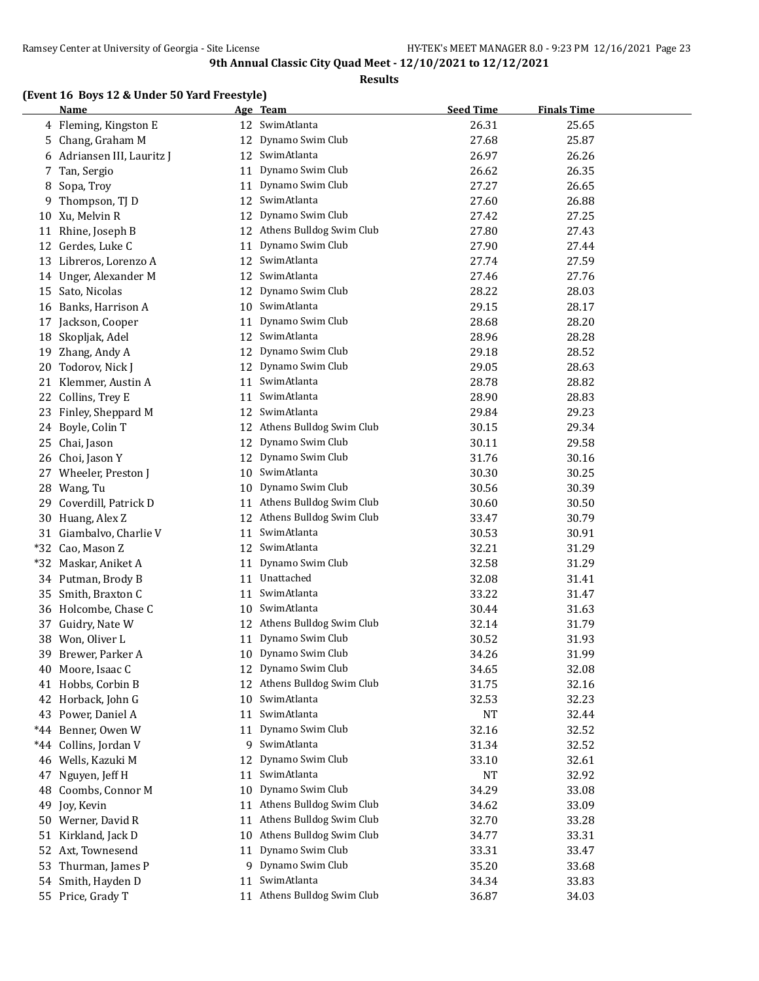**Results**

## **(Event 16 Boys 12 & Under 50 Yard Freestyle)**

|       | <b>Name</b>                |    | Age Team                    | <b>Seed Time</b> | <b>Finals Time</b> |
|-------|----------------------------|----|-----------------------------|------------------|--------------------|
|       | 4 Fleming, Kingston E      |    | 12 SwimAtlanta              | 26.31            | 25.65              |
|       | 5 Chang, Graham M          |    | 12 Dynamo Swim Club         | 27.68            | 25.87              |
|       | 6 Adriansen III, Lauritz J |    | 12 SwimAtlanta              | 26.97            | 26.26              |
|       | 7 Tan, Sergio              | 11 | Dynamo Swim Club            | 26.62            | 26.35              |
| 8     | Sopa, Troy                 | 11 | Dynamo Swim Club            | 27.27            | 26.65              |
| 9     | Thompson, TJ D             | 12 | SwimAtlanta                 | 27.60            | 26.88              |
|       | 10 Xu, Melvin R            | 12 | Dynamo Swim Club            | 27.42            | 27.25              |
| 11    | Rhine, Joseph B            | 12 | Athens Bulldog Swim Club    | 27.80            | 27.43              |
| 12    | Gerdes, Luke C             | 11 | Dynamo Swim Club            | 27.90            | 27.44              |
| 13    | Libreros, Lorenzo A        | 12 | SwimAtlanta                 | 27.74            | 27.59              |
| 14    | Unger, Alexander M         | 12 | SwimAtlanta                 | 27.46            | 27.76              |
| 15    | Sato, Nicolas              | 12 | Dynamo Swim Club            | 28.22            | 28.03              |
|       | 16 Banks, Harrison A       | 10 | SwimAtlanta                 | 29.15            | 28.17              |
|       | Jackson, Cooper            |    | Dynamo Swim Club            | 28.68            | 28.20              |
| 17    |                            | 11 | 12 SwimAtlanta              |                  |                    |
|       | 18 Skopljak, Adel          |    | Dynamo Swim Club            | 28.96            | 28.28              |
| 19    | Zhang, Andy A              | 12 |                             | 29.18            | 28.52              |
| 20    | Todorov, Nick J            |    | 12 Dynamo Swim Club         | 29.05            | 28.63              |
|       | 21 Klemmer, Austin A       | 11 | SwimAtlanta                 | 28.78            | 28.82              |
|       | 22 Collins, Trey E         | 11 | SwimAtlanta                 | 28.90            | 28.83              |
|       | 23 Finley, Sheppard M      |    | 12 SwimAtlanta              | 29.84            | 29.23              |
|       | 24 Boyle, Colin T          |    | 12 Athens Bulldog Swim Club | 30.15            | 29.34              |
| 25    | Chai, Jason                | 12 | Dynamo Swim Club            | 30.11            | 29.58              |
|       | 26 Choi, Jason Y           | 12 | Dynamo Swim Club            | 31.76            | 30.16              |
| 27    | Wheeler, Preston J         | 10 | SwimAtlanta                 | 30.30            | 30.25              |
|       | 28 Wang, Tu                | 10 | Dynamo Swim Club            | 30.56            | 30.39              |
|       | 29 Coverdill, Patrick D    | 11 | Athens Bulldog Swim Club    | 30.60            | 30.50              |
|       | 30 Huang, Alex Z           | 12 | Athens Bulldog Swim Club    | 33.47            | 30.79              |
|       | 31 Giambalvo, Charlie V    | 11 | SwimAtlanta                 | 30.53            | 30.91              |
|       | *32 Cao, Mason Z           |    | 12 SwimAtlanta              | 32.21            | 31.29              |
|       | *32 Maskar, Aniket A       | 11 | Dynamo Swim Club            | 32.58            | 31.29              |
|       | 34 Putman, Brody B         |    | 11 Unattached               | 32.08            | 31.41              |
|       | 35 Smith, Braxton C        | 11 | SwimAtlanta                 | 33.22            | 31.47              |
|       | 36 Holcombe, Chase C       | 10 | SwimAtlanta                 | 30.44            | 31.63              |
| 37    | Guidry, Nate W             |    | 12 Athens Bulldog Swim Club | 32.14            | 31.79              |
|       | 38 Won, Oliver L           | 11 | Dynamo Swim Club            | 30.52            | 31.93              |
| 39    | Brewer, Parker A           |    | 10 Dynamo Swim Club         | 34.26            | 31.99              |
|       | 40 Moore, Isaac C          |    | 12 Dynamo Swim Club         | 34.65            | 32.08              |
| 41    | Hobbs, Corbin B            | 12 | Athens Bulldog Swim Club    | 31.75            | 32.16              |
| 42    | Horback, John G            | 10 | SwimAtlanta                 | 32.53            | 32.23              |
|       | 43 Power, Daniel A         | 11 | SwimAtlanta                 | NT               | 32.44              |
| *44   | Benner, Owen W             | 11 | Dynamo Swim Club            | 32.16            | 32.52              |
| $*44$ | Collins, Jordan V          | 9  | SwimAtlanta                 | 31.34            | 32.52              |
|       | 46 Wells, Kazuki M         | 12 | Dynamo Swim Club            | 33.10            | 32.61              |
| 47    | Nguyen, Jeff H             | 11 | SwimAtlanta                 | NT               | 32.92              |
| 48    | Coombs, Connor M           | 10 | Dynamo Swim Club            | 34.29            | 33.08              |
| 49    | Joy, Kevin                 | 11 | Athens Bulldog Swim Club    | 34.62            | 33.09              |
|       | 50 Werner, David R         | 11 | Athens Bulldog Swim Club    | 32.70            | 33.28              |
| 51    | Kirkland, Jack D           | 10 | Athens Bulldog Swim Club    | 34.77            | 33.31              |
|       | 52 Axt, Townesend          | 11 | Dynamo Swim Club            | 33.31            | 33.47              |
| 53    | Thurman, James P           |    | 9 Dynamo Swim Club          | 35.20            | 33.68              |
|       | 54 Smith, Hayden D         | 11 | SwimAtlanta                 | 34.34            | 33.83              |
|       | 55 Price, Grady T          | 11 | Athens Bulldog Swim Club    | 36.87            | 34.03              |
|       |                            |    |                             |                  |                    |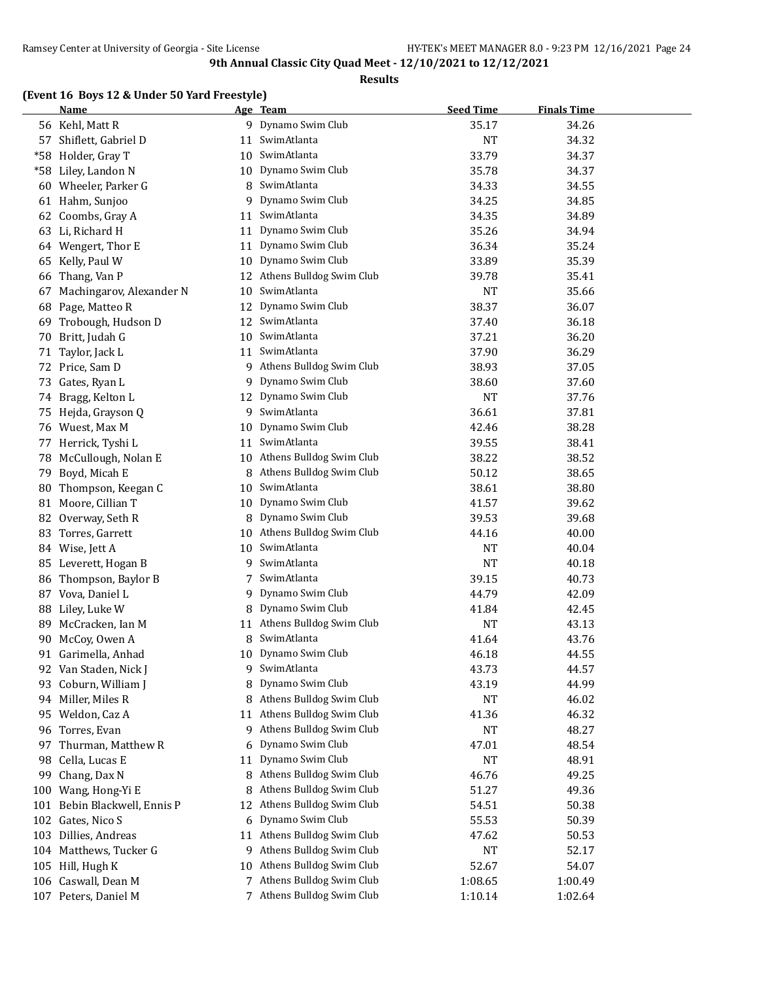**Results**

## **(Event 16 Boys 12 & Under 50 Yard Freestyle)**

|     | <b>Name</b>              |    | Age Team                                | <b>Seed Time</b> | <b>Finals Time</b> |  |
|-----|--------------------------|----|-----------------------------------------|------------------|--------------------|--|
|     | 56 Kehl, Matt R          |    | 9 Dynamo Swim Club                      | 35.17            | 34.26              |  |
|     | 57 Shiflett, Gabriel D   | 11 | SwimAtlanta                             | <b>NT</b>        | 34.32              |  |
|     | *58 Holder, Gray T       | 10 | SwimAtlanta                             | 33.79            | 34.37              |  |
|     | *58 Liley, Landon N      | 10 | Dynamo Swim Club                        | 35.78            | 34.37              |  |
|     | 60 Wheeler, Parker G     | 8  | SwimAtlanta                             | 34.33            | 34.55              |  |
|     | 61 Hahm, Sunjoo          | 9  | Dynamo Swim Club                        | 34.25            | 34.85              |  |
|     | 62 Coombs, Gray A        | 11 | SwimAtlanta                             | 34.35            | 34.89              |  |
|     | 63 Li, Richard H         | 11 | Dynamo Swim Club                        | 35.26            | 34.94              |  |
|     | 64 Wengert, Thor E       | 11 | Dynamo Swim Club                        | 36.34            | 35.24              |  |
| 65  | Kelly, Paul W            | 10 | Dynamo Swim Club                        | 33.89            | 35.39              |  |
| 66  | Thang, Van P             | 12 | Athens Bulldog Swim Club                | 39.78            | 35.41              |  |
| 67  | Machingarov, Alexander N | 10 | SwimAtlanta                             | <b>NT</b>        | 35.66              |  |
| 68  | Page, Matteo R           | 12 | Dynamo Swim Club                        | 38.37            | 36.07              |  |
| 69  | Trobough, Hudson D       | 12 | SwimAtlanta                             | 37.40            | 36.18              |  |
| 70  | Britt, Judah G           | 10 | SwimAtlanta                             | 37.21            | 36.20              |  |
| 71  | Taylor, Jack L           | 11 | SwimAtlanta                             | 37.90            | 36.29              |  |
|     | 72 Price, Sam D          | 9  | Athens Bulldog Swim Club                | 38.93            | 37.05              |  |
| 73  | Gates, Ryan L            | 9  | Dynamo Swim Club                        | 38.60            | 37.60              |  |
| 74  | Bragg, Kelton L          | 12 | Dynamo Swim Club                        | <b>NT</b>        | 37.76              |  |
| 75  | Hejda, Grayson Q         | 9  | SwimAtlanta                             | 36.61            | 37.81              |  |
|     | 76 Wuest, Max M          | 10 | Dynamo Swim Club                        | 42.46            | 38.28              |  |
|     | 77 Herrick, Tyshi L      | 11 | SwimAtlanta                             | 39.55            | 38.41              |  |
|     | 78 McCullough, Nolan E   | 10 | Athens Bulldog Swim Club                | 38.22            | 38.52              |  |
| 79  | Boyd, Micah E            | 8  | Athens Bulldog Swim Club                | 50.12            | 38.65              |  |
| 80  | Thompson, Keegan C       | 10 | SwimAtlanta                             | 38.61            | 38.80              |  |
| 81  | Moore, Cillian T         | 10 | Dynamo Swim Club                        | 41.57            | 39.62              |  |
|     | 82 Overway, Seth R       | 8  | Dynamo Swim Club                        | 39.53            | 39.68              |  |
| 83  | Torres, Garrett          | 10 | Athens Bulldog Swim Club                | 44.16            | 40.00              |  |
|     | 84 Wise, Jett A          | 10 | SwimAtlanta                             | <b>NT</b>        | 40.04              |  |
|     | 85 Leverett, Hogan B     | 9  | SwimAtlanta                             | <b>NT</b>        | 40.18              |  |
|     |                          | 7  | SwimAtlanta                             | 39.15            | 40.73              |  |
| 86  | Thompson, Baylor B       |    | Dynamo Swim Club                        |                  |                    |  |
| 87  | Vova, Daniel L           | 9  | Dynamo Swim Club                        | 44.79            | 42.09              |  |
|     | 88 Liley, Luke W         | 8  |                                         | 41.84            | 42.45              |  |
| 89  | McCracken, Ian M         | 11 | Athens Bulldog Swim Club<br>SwimAtlanta | <b>NT</b>        | 43.13              |  |
| 90  | McCoy, Owen A            | 8  |                                         | 41.64            | 43.76              |  |
|     | 91 Garimella, Anhad      |    | 10 Dynamo Swim Club                     | 46.18            | 44.55              |  |
|     | 92 Van Staden, Nick J    | 9  | SwimAtlanta                             | 43.73            | 44.57              |  |
|     | 93 Coburn, William J     | 8  | Dynamo Swim Club                        | 43.19            | 44.99              |  |
|     | 94 Miller, Miles R       | 8  | Athens Bulldog Swim Club                | <b>NT</b>        | 46.02              |  |
|     | 95 Weldon, Caz A         | 11 | Athens Bulldog Swim Club                | 41.36            | 46.32              |  |
|     | 96 Torres, Evan          | 9  | Athens Bulldog Swim Club                | <b>NT</b>        | 48.27              |  |
|     | 97 Thurman, Matthew R    | 6  | Dynamo Swim Club                        | 47.01            | 48.54              |  |
| 98  | Cella, Lucas E           | 11 | Dynamo Swim Club                        | <b>NT</b>        | 48.91              |  |
| 99  | Chang, Dax N             | 8  | Athens Bulldog Swim Club                | 46.76            | 49.25              |  |
|     | 100 Wang, Hong-Yi E      | 8  | Athens Bulldog Swim Club                | 51.27            | 49.36              |  |
| 101 | Bebin Blackwell, Ennis P | 12 | Athens Bulldog Swim Club                | 54.51            | 50.38              |  |
|     | 102 Gates, Nico S        | 6  | Dynamo Swim Club                        | 55.53            | 50.39              |  |
|     | 103 Dillies, Andreas     | 11 | Athens Bulldog Swim Club                | 47.62            | 50.53              |  |
|     | 104 Matthews, Tucker G   | 9  | Athens Bulldog Swim Club                | <b>NT</b>        | 52.17              |  |
|     | 105 Hill, Hugh K         | 10 | Athens Bulldog Swim Club                | 52.67            | 54.07              |  |
|     | 106 Caswall, Dean M      | 7. | Athens Bulldog Swim Club                | 1:08.65          | 1:00.49            |  |
|     | 107 Peters, Daniel M     |    | 7 Athens Bulldog Swim Club              | 1:10.14          | 1:02.64            |  |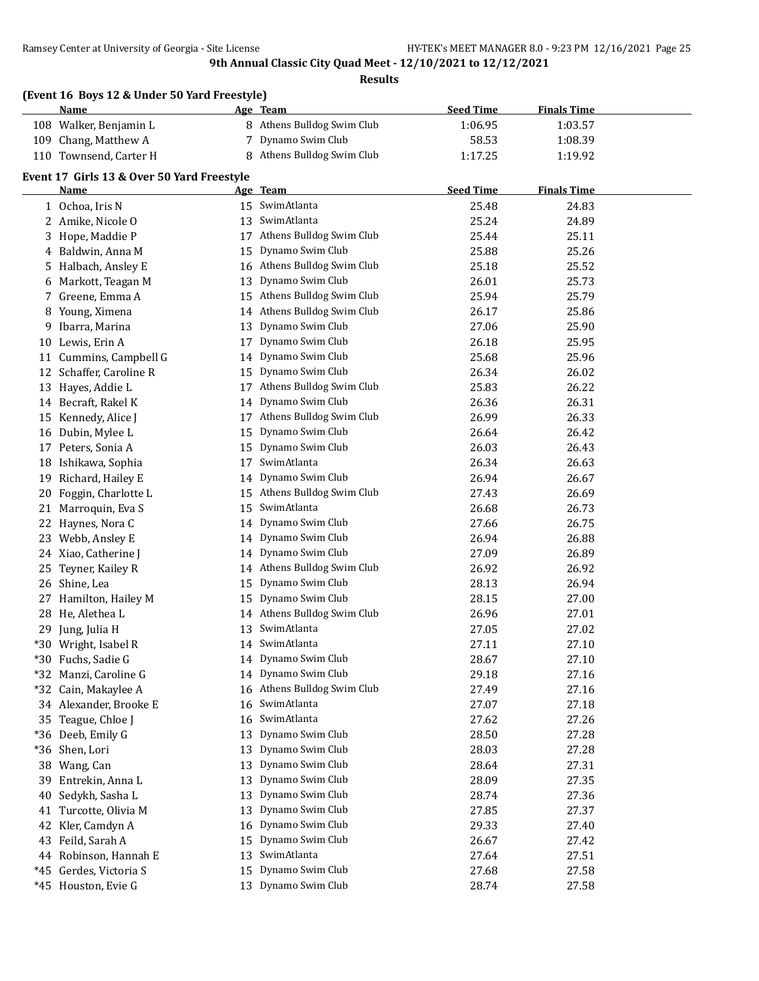**Results**

|       | (Event 16 Boys 12 & Under 50 Yard Freestyle)<br><u>Name</u> |    | Age Team                    | <b>Seed Time</b> | <b>Finals Time</b> |  |
|-------|-------------------------------------------------------------|----|-----------------------------|------------------|--------------------|--|
|       | 108 Walker, Benjamin L                                      |    | 8 Athens Bulldog Swim Club  | 1:06.95          | 1:03.57            |  |
|       | 109 Chang, Matthew A                                        |    | 7 Dynamo Swim Club          | 58.53            | 1:08.39            |  |
|       | 110 Townsend, Carter H                                      | 8  | Athens Bulldog Swim Club    | 1:17.25          | 1:19.92            |  |
|       |                                                             |    |                             |                  |                    |  |
|       | Event 17 Girls 13 & Over 50 Yard Freestyle                  |    |                             |                  |                    |  |
|       | Name                                                        |    | Age Team                    | <b>Seed Time</b> | <b>Finals Time</b> |  |
|       | 1 Ochoa, Iris N                                             |    | 15 SwimAtlanta              | 25.48            | 24.83              |  |
|       | 2 Amike, Nicole O                                           | 13 | SwimAtlanta                 | 25.24            | 24.89              |  |
| 3     | Hope, Maddie P                                              |    | 17 Athens Bulldog Swim Club | 25.44            | 25.11              |  |
|       | 4 Baldwin, Anna M                                           | 15 | Dynamo Swim Club            | 25.88            | 25.26              |  |
|       | 5 Halbach, Ansley E                                         | 16 | Athens Bulldog Swim Club    | 25.18            | 25.52              |  |
|       | 6 Markott, Teagan M                                         | 13 | Dynamo Swim Club            | 26.01            | 25.73              |  |
| 7     | Greene, Emma A                                              | 15 | Athens Bulldog Swim Club    | 25.94            | 25.79              |  |
|       | 8 Young, Ximena                                             |    | 14 Athens Bulldog Swim Club | 26.17            | 25.86              |  |
| 9     | Ibarra, Marina                                              | 13 | Dynamo Swim Club            | 27.06            | 25.90              |  |
|       | 10 Lewis, Erin A                                            | 17 | Dynamo Swim Club            | 26.18            | 25.95              |  |
|       | 11 Cummins, Campbell G                                      |    | 14 Dynamo Swim Club         | 25.68            | 25.96              |  |
|       | 12 Schaffer, Caroline R                                     | 15 | Dynamo Swim Club            | 26.34            | 26.02              |  |
| 13    | Hayes, Addie L                                              | 17 | Athens Bulldog Swim Club    | 25.83            | 26.22              |  |
|       | 14 Becraft, Rakel K                                         | 14 | Dynamo Swim Club            | 26.36            | 26.31              |  |
| 15    | Kennedy, Alice J                                            |    | 17 Athens Bulldog Swim Club | 26.99            | 26.33              |  |
|       | 16 Dubin, Mylee L                                           | 15 | Dynamo Swim Club            | 26.64            | 26.42              |  |
| 17    | Peters, Sonia A                                             | 15 | Dynamo Swim Club            | 26.03            | 26.43              |  |
|       | 18 Ishikawa, Sophia                                         | 17 | SwimAtlanta                 | 26.34            | 26.63              |  |
| 19    | Richard, Hailey E                                           | 14 | Dynamo Swim Club            | 26.94            | 26.67              |  |
| 20    | Foggin, Charlotte L                                         |    | 15 Athens Bulldog Swim Club | 27.43            | 26.69              |  |
|       | 21 Marroquin, Eva S                                         | 15 | SwimAtlanta                 | 26.68            | 26.73              |  |
|       | 22 Haynes, Nora C                                           | 14 | Dynamo Swim Club            | 27.66            | 26.75              |  |
|       | 23 Webb, Ansley E                                           | 14 | Dynamo Swim Club            | 26.94            | 26.88              |  |
|       | 24 Xiao, Catherine J                                        | 14 | Dynamo Swim Club            | 27.09            | 26.89              |  |
|       | 25 Teyner, Kailey R                                         | 14 | Athens Bulldog Swim Club    | 26.92            | 26.92              |  |
|       | 26 Shine, Lea                                               | 15 | Dynamo Swim Club            | 28.13            | 26.94              |  |
|       | 27 Hamilton, Hailey M                                       | 15 | Dynamo Swim Club            | 28.15            | 27.00              |  |
|       | 28 He, Alethea L                                            | 14 | Athens Bulldog Swim Club    | 26.96            | 27.01              |  |
|       | 29 Jung, Julia H                                            |    | 13 SwimAtlanta              | 27.05            | 27.02              |  |
|       | *30 Wright, Isabel R                                        |    | 14 SwimAtlanta              | 27.11            | 27.10              |  |
|       | *30 Fuchs, Sadie G                                          | 14 | Dynamo Swim Club            | 28.67            | 27.10              |  |
| $*32$ | Manzi, Caroline G                                           | 14 | Dynamo Swim Club            | 29.18            | 27.16              |  |
| $*32$ | Cain, Makaylee A                                            | 16 | Athens Bulldog Swim Club    | 27.49            | 27.16              |  |
|       | 34 Alexander, Brooke E                                      | 16 | SwimAtlanta                 | 27.07            | 27.18              |  |
| 35    | Teague, Chloe J                                             | 16 | SwimAtlanta                 | 27.62            | 27.26              |  |
|       | *36 Deeb, Emily G                                           | 13 | Dynamo Swim Club            | 28.50            | 27.28              |  |
| $*36$ | Shen, Lori                                                  | 13 | Dynamo Swim Club            | 28.03            | 27.28              |  |
|       | 38 Wang, Can                                                | 13 | Dynamo Swim Club            | 28.64            | 27.31              |  |
| 39    | Entrekin, Anna L                                            | 13 | Dynamo Swim Club            | 28.09            | 27.35              |  |
| 40    | Sedykh, Sasha L                                             | 13 | Dynamo Swim Club            | 28.74            | 27.36              |  |
| 41    | Turcotte, Olivia M                                          | 13 | Dynamo Swim Club            | 27.85            | 27.37              |  |
| 42    | Kler, Camdyn A                                              | 16 | Dynamo Swim Club            | 29.33            | 27.40              |  |
| 43    | Feild, Sarah A                                              | 15 | Dynamo Swim Club            | 26.67            | 27.42              |  |
|       | 44 Robinson, Hannah E                                       | 13 | SwimAtlanta                 | 27.64            | 27.51              |  |
| $*45$ | Gerdes, Victoria S                                          | 15 | Dynamo Swim Club            | 27.68            | 27.58              |  |
|       | *45 Houston, Evie G                                         |    | 13 Dynamo Swim Club         | 28.74            | 27.58              |  |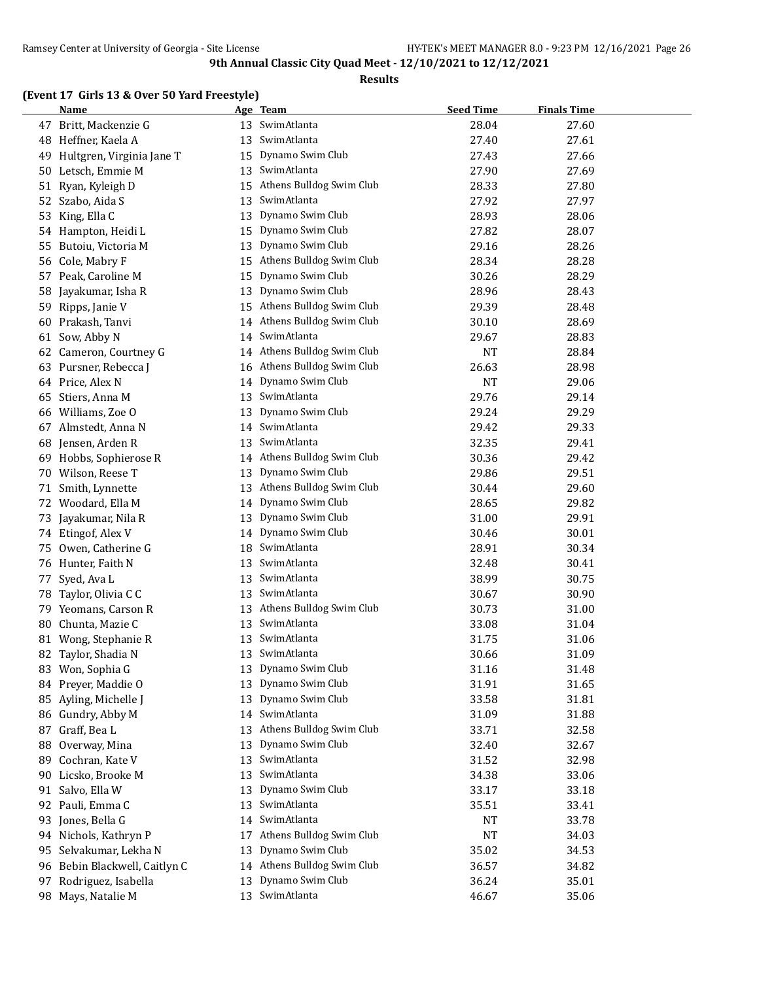#### **Results**

## **(Event 17 Girls 13 & Over 50 Yard Freestyle)**

|    | Name                       |    | Age Team                    | <b>Seed Time</b> | <b>Finals Time</b> |  |
|----|----------------------------|----|-----------------------------|------------------|--------------------|--|
| 47 | Britt, Mackenzie G         | 13 | SwimAtlanta                 | 28.04            | 27.60              |  |
| 48 | Heffner, Kaela A           | 13 | SwimAtlanta                 | 27.40            | 27.61              |  |
| 49 | Hultgren, Virginia Jane T  | 15 | Dynamo Swim Club            | 27.43            | 27.66              |  |
| 50 | Letsch, Emmie M            | 13 | SwimAtlanta                 | 27.90            | 27.69              |  |
|    | 51 Ryan, Kyleigh D         | 15 | Athens Bulldog Swim Club    | 28.33            | 27.80              |  |
| 52 | Szabo, Aida S              | 13 | SwimAtlanta                 | 27.92            | 27.97              |  |
| 53 | King, Ella C               | 13 | Dynamo Swim Club            | 28.93            | 28.06              |  |
| 54 | Hampton, Heidi L           | 15 | Dynamo Swim Club            | 27.82            | 28.07              |  |
| 55 | Butoiu, Victoria M         | 13 | Dynamo Swim Club            | 29.16            | 28.26              |  |
| 56 | Cole, Mabry F              | 15 | Athens Bulldog Swim Club    | 28.34            | 28.28              |  |
| 57 | Peak, Caroline M           | 15 | Dynamo Swim Club            | 30.26            | 28.29              |  |
| 58 | Jayakumar, Isha R          | 13 | Dynamo Swim Club            | 28.96            | 28.43              |  |
| 59 | Ripps, Janie V             | 15 | Athens Bulldog Swim Club    | 29.39            | 28.48              |  |
| 60 | Prakash, Tanvi             | 14 | Athens Bulldog Swim Club    | 30.10            | 28.69              |  |
| 61 | Sow, Abby N                | 14 | SwimAtlanta                 | 29.67            | 28.83              |  |
| 62 | Cameron, Courtney G        | 14 | Athens Bulldog Swim Club    | NT               | 28.84              |  |
| 63 | Pursner, Rebecca J         | 16 | Athens Bulldog Swim Club    | 26.63            | 28.98              |  |
| 64 | Price, Alex N              | 14 | Dynamo Swim Club            | <b>NT</b>        | 29.06              |  |
| 65 | Stiers, Anna M             | 13 | SwimAtlanta                 | 29.76            | 29.14              |  |
| 66 | Williams, Zoe O            | 13 | Dynamo Swim Club            | 29.24            | 29.29              |  |
| 67 | Almstedt, Anna N           |    | 14 SwimAtlanta              | 29.42            | 29.33              |  |
| 68 | Jensen, Arden R            | 13 | SwimAtlanta                 | 32.35            | 29.41              |  |
| 69 | Hobbs, Sophierose R        |    | 14 Athens Bulldog Swim Club | 30.36            | 29.42              |  |
| 70 | Wilson, Reese T            | 13 | Dynamo Swim Club            | 29.86            | 29.51              |  |
| 71 | Smith, Lynnette            | 13 | Athens Bulldog Swim Club    | 30.44            | 29.60              |  |
| 72 | Woodard, Ella M            | 14 | Dynamo Swim Club            | 28.65            | 29.82              |  |
| 73 | Jayakumar, Nila R          | 13 | Dynamo Swim Club            | 31.00            | 29.91              |  |
| 74 | Etingof, Alex V            | 14 | Dynamo Swim Club            | 30.46            | 30.01              |  |
| 75 | Owen, Catherine G          | 18 | SwimAtlanta                 | 28.91            | 30.34              |  |
| 76 | Hunter, Faith N            | 13 | SwimAtlanta                 | 32.48            | 30.41              |  |
| 77 | Syed, Ava L                | 13 | SwimAtlanta                 | 38.99            | 30.75              |  |
| 78 | Taylor, Olivia C C         | 13 | SwimAtlanta                 | 30.67            | 30.90              |  |
| 79 | Yeomans, Carson R          | 13 | Athens Bulldog Swim Club    | 30.73            | 31.00              |  |
| 80 | Chunta, Mazie C            | 13 | SwimAtlanta                 | 33.08            | 31.04              |  |
| 81 | Wong, Stephanie R          | 13 | SwimAtlanta                 | 31.75            | 31.06              |  |
|    | 82 Taylor, Shadia N        | 13 | SwimAtlanta                 | 30.66            | 31.09              |  |
| 83 | Won, Sophia G              | 13 | Dynamo Swim Club            | 31.16            | 31.48              |  |
| 84 | Preyer, Maddie O           | 13 | Dynamo Swim Club            | 31.91            | 31.65              |  |
| 85 | Ayling, Michelle J         | 13 | Dynamo Swim Club            | 33.58            | 31.81              |  |
| 86 | Gundry, Abby M             | 14 | SwimAtlanta                 | 31.09            | 31.88              |  |
| 87 | Graff, Bea L               | 13 | Athens Bulldog Swim Club    | 33.71            | 32.58              |  |
| 88 | Overway, Mina              | 13 | Dynamo Swim Club            | 32.40            | 32.67              |  |
| 89 | Cochran, Kate V            | 13 | SwimAtlanta                 | 31.52            | 32.98              |  |
| 90 | Licsko, Brooke M           | 13 | SwimAtlanta                 | 34.38            | 33.06              |  |
|    | 91 Salvo, Ella W           | 13 | Dynamo Swim Club            | 33.17            | 33.18              |  |
|    | 92 Pauli, Emma C           | 13 | SwimAtlanta                 | 35.51            | 33.41              |  |
| 93 | Jones, Bella G             | 14 | SwimAtlanta                 | NT               | 33.78              |  |
|    | 94 Nichols, Kathryn P      | 17 | Athens Bulldog Swim Club    | NT               | 34.03              |  |
| 95 | Selvakumar, Lekha N        | 13 | Dynamo Swim Club            | 35.02            | 34.53              |  |
| 96 | Bebin Blackwell, Caitlyn C |    | 14 Athens Bulldog Swim Club | 36.57            | 34.82              |  |
|    | 97 Rodriguez, Isabella     | 13 | Dynamo Swim Club            | 36.24            | 35.01              |  |
|    | 98 Mays, Natalie M         | 13 | SwimAtlanta                 | 46.67            | 35.06              |  |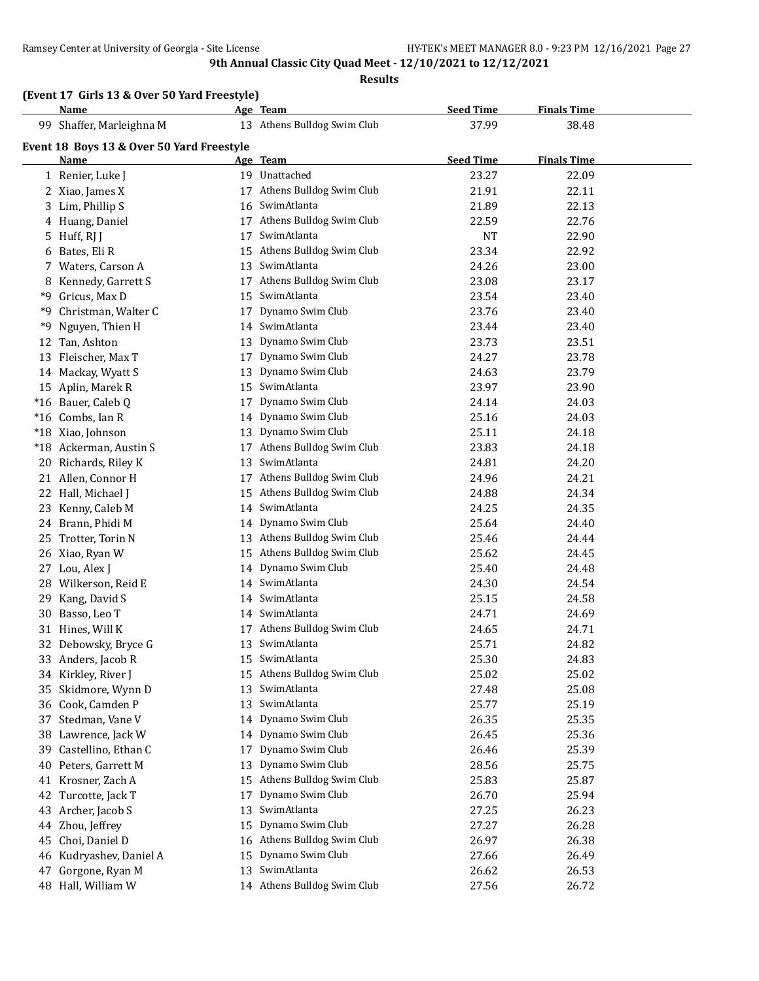#### **Results**

|    | Name                                      |    | Age Team                    | <b>Seed Time</b> | <b>Finals Time</b> |  |
|----|-------------------------------------------|----|-----------------------------|------------------|--------------------|--|
|    | 99 Shaffer, Marleighna M                  |    | 13 Athens Bulldog Swim Club | 37.99            | 38.48              |  |
|    | Event 18 Boys 13 & Over 50 Yard Freestyle |    |                             |                  |                    |  |
|    | <b>Name</b>                               |    | Age Team                    | <b>Seed Time</b> | <b>Finals Time</b> |  |
|    | 1 Renier, Luke J                          |    | 19 Unattached               | 23.27            | 22.09              |  |
|    | 2 Xiao, James X                           | 17 | Athens Bulldog Swim Club    | 21.91            | 22.11              |  |
|    | 3 Lim, Phillip S                          |    | 16 SwimAtlanta              | 21.89            | 22.13              |  |
|    | 4 Huang, Daniel                           | 17 | Athens Bulldog Swim Club    | 22.59            | 22.76              |  |
|    | 5 Huff, RJ J                              | 17 | SwimAtlanta                 | <b>NT</b>        | 22.90              |  |
|    | 6 Bates, Eli R                            |    | 15 Athens Bulldog Swim Club | 23.34            | 22.92              |  |
|    | 7 Waters, Carson A                        |    | 13 SwimAtlanta              | 24.26            | 23.00              |  |
| 8  | Kennedy, Garrett S                        |    | 17 Athens Bulldog Swim Club | 23.08            | 23.17              |  |
|    | *9 Gricus, Max D                          |    | 15 SwimAtlanta              | 23.54            | 23.40              |  |
| *9 | Christman, Walter C                       | 17 | Dynamo Swim Club            | 23.76            | 23.40              |  |
| *9 | Nguyen, Thien H                           |    | 14 SwimAtlanta              | 23.44            | 23.40              |  |
| 12 | Tan, Ashton                               | 13 | Dynamo Swim Club            | 23.73            | 23.51              |  |
|    | 13 Fleischer, Max T                       | 17 | Dynamo Swim Club            | 24.27            | 23.78              |  |
|    | 14 Mackay, Wyatt S                        | 13 | Dynamo Swim Club            | 24.63            | 23.79              |  |
|    | 15 Aplin, Marek R                         |    | 15 SwimAtlanta              | 23.97            | 23.90              |  |
|    | *16 Bauer, Caleb Q                        | 17 | Dynamo Swim Club            | 24.14            | 24.03              |  |
|    | *16 Combs, Ian R                          |    | 14 Dynamo Swim Club         | 25.16            | 24.03              |  |
|    | *18 Xiao, Johnson                         |    | 13 Dynamo Swim Club         | 25.11            | 24.18              |  |
|    | *18 Ackerman, Austin S                    |    | 17 Athens Bulldog Swim Club | 23.83            | 24.18              |  |
|    | 20 Richards, Riley K                      | 13 | SwimAtlanta                 | 24.81            | 24.20              |  |
|    | 21 Allen, Connor H                        | 17 | Athens Bulldog Swim Club    | 24.96            | 24.21              |  |
|    | 22 Hall, Michael J                        | 15 | Athens Bulldog Swim Club    | 24.88            | 24.34              |  |
|    | 23 Kenny, Caleb M                         | 14 | SwimAtlanta                 | 24.25            | 24.35              |  |
|    | 24 Brann, Phidi M                         | 14 | Dynamo Swim Club            | 25.64            | 24.40              |  |
| 25 | Trotter, Torin N                          |    | 13 Athens Bulldog Swim Club | 25.46            | 24.44              |  |
|    | 26 Xiao, Ryan W                           |    | 15 Athens Bulldog Swim Club | 25.62            | 24.45              |  |
|    | 27 Lou, Alex J                            | 14 | Dynamo Swim Club            | 25.40            | 24.48              |  |
|    | 28 Wilkerson, Reid E                      |    | 14 SwimAtlanta              | 24.30            | 24.54              |  |
| 29 | Kang, David S                             | 14 | SwimAtlanta                 | 25.15            | 24.58              |  |
|    | 30 Basso, Leo T                           |    | 14 SwimAtlanta              | 24.71            | 24.69              |  |
|    | 31 Hines, Will K                          |    | 17 Athens Bulldog Swim Club | 24.65            | 24.71              |  |
|    | 32 Debowsky, Bryce G                      |    | 13 SwimAtlanta              | 25.71            | 24.82              |  |
|    | 33 Anders, Jacob R                        |    | 15 SwimAtlanta              | 25.30            | 24.83              |  |
|    | 34 Kirkley, River J                       |    | 15 Athens Bulldog Swim Club | 25.02            | 25.02              |  |
|    | 35 Skidmore, Wynn D                       | 13 | SwimAtlanta                 | 27.48            | 25.08              |  |
|    | 36 Cook, Camden P                         | 13 | SwimAtlanta                 | 25.77            | 25.19              |  |
|    | 37 Stedman, Vane V                        |    | 14 Dynamo Swim Club         | 26.35            | 25.35              |  |
|    | 38 Lawrence, Jack W                       | 14 | Dynamo Swim Club            | 26.45            | 25.36              |  |
| 39 | Castellino, Ethan C                       | 17 | Dynamo Swim Club            | 26.46            | 25.39              |  |
| 40 | Peters, Garrett M                         | 13 | Dynamo Swim Club            | 28.56            | 25.75              |  |
| 41 | Krosner, Zach A                           | 15 | Athens Bulldog Swim Club    | 25.83            | 25.87              |  |
| 42 | Turcotte, Jack T                          | 17 | Dynamo Swim Club            | 26.70            | 25.94              |  |
|    | 43 Archer, Jacob S                        | 13 | SwimAtlanta                 | 27.25            | 26.23              |  |
| 44 | Zhou, Jeffrey                             | 15 | Dynamo Swim Club            | 27.27            | 26.28              |  |
| 45 | Choi, Daniel D                            |    | 16 Athens Bulldog Swim Club | 26.97            | 26.38              |  |
| 46 | Kudryashev, Daniel A                      | 15 | Dynamo Swim Club            | 27.66            | 26.49              |  |
| 47 | Gorgone, Ryan M                           | 13 | SwimAtlanta                 | 26.62            | 26.53              |  |
|    | 48 Hall, William W                        |    | 14 Athens Bulldog Swim Club | 27.56            | 26.72              |  |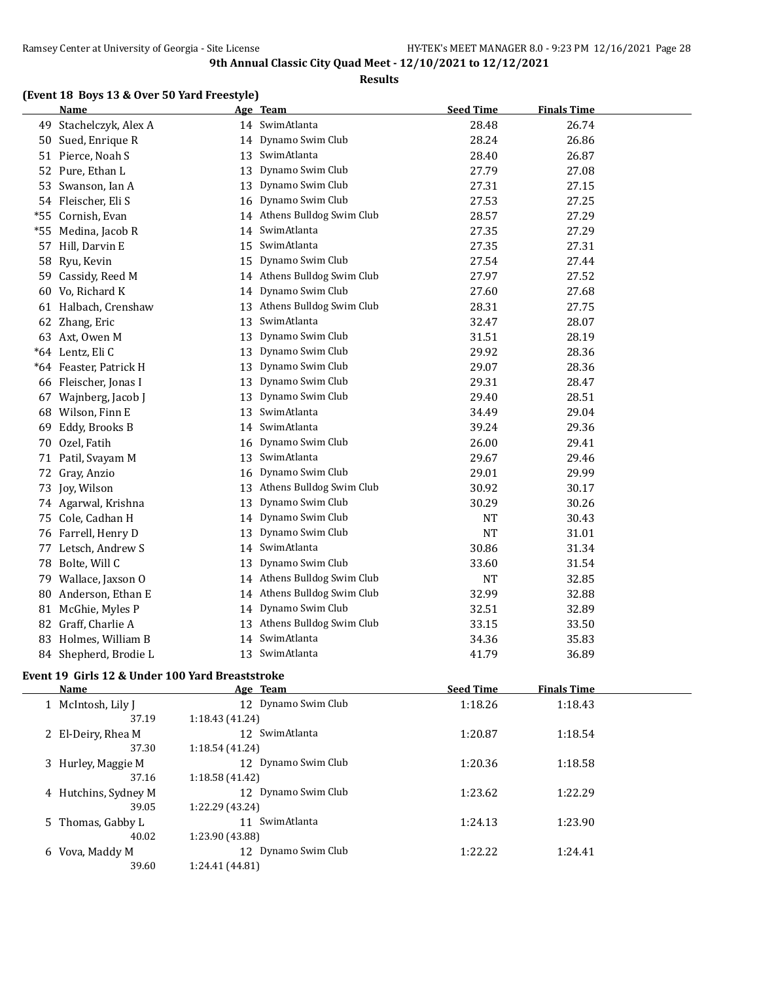#### **Results**

## **(Event 18 Boys 13 & Over 50 Yard Freestyle)**

|       | <b>Name</b>            |    | Age Team                 | <b>Seed Time</b> | <b>Finals Time</b> |
|-------|------------------------|----|--------------------------|------------------|--------------------|
| 49    | Stachelczyk, Alex A    |    | 14 SwimAtlanta           | 28.48            | 26.74              |
| 50    | Sued, Enrique R        |    | 14 Dynamo Swim Club      | 28.24            | 26.86              |
| 51    | Pierce, Noah S         | 13 | SwimAtlanta              | 28.40            | 26.87              |
| 52    | Pure, Ethan L          | 13 | Dynamo Swim Club         | 27.79            | 27.08              |
| 53    | Swanson, Ian A         | 13 | Dynamo Swim Club         | 27.31            | 27.15              |
| 54    | Fleischer, Eli S       | 16 | Dynamo Swim Club         | 27.53            | 27.25              |
| *55   | Cornish, Evan          | 14 | Athens Bulldog Swim Club | 28.57            | 27.29              |
| $*55$ | Medina, Jacob R        | 14 | SwimAtlanta              | 27.35            | 27.29              |
| 57    | Hill, Darvin E         | 15 | SwimAtlanta              | 27.35            | 27.31              |
| 58    | Ryu, Kevin             | 15 | Dynamo Swim Club         | 27.54            | 27.44              |
| 59    | Cassidy, Reed M        | 14 | Athens Bulldog Swim Club | 27.97            | 27.52              |
| 60    | Vo, Richard K          | 14 | Dynamo Swim Club         | 27.60            | 27.68              |
|       | 61 Halbach, Crenshaw   | 13 | Athens Bulldog Swim Club | 28.31            | 27.75              |
| 62    | Zhang, Eric            | 13 | SwimAtlanta              | 32.47            | 28.07              |
|       | 63 Axt, Owen M         | 13 | Dynamo Swim Club         | 31.51            | 28.19              |
|       | *64 Lentz, Eli C       | 13 | Dynamo Swim Club         | 29.92            | 28.36              |
|       | *64 Feaster, Patrick H | 13 | Dynamo Swim Club         | 29.07            | 28.36              |
|       | 66 Fleischer, Jonas I  | 13 | Dynamo Swim Club         | 29.31            | 28.47              |
| 67    | Wajnberg, Jacob J      | 13 | Dynamo Swim Club         | 29.40            | 28.51              |
| 68    | Wilson, Finn E         | 13 | SwimAtlanta              | 34.49            | 29.04              |
| 69    | Eddy, Brooks B         | 14 | SwimAtlanta              | 39.24            | 29.36              |
| 70    | Ozel, Fatih            | 16 | Dynamo Swim Club         | 26.00            | 29.41              |
| 71    | Patil, Svayam M        | 13 | SwimAtlanta              | 29.67            | 29.46              |
|       | 72 Gray, Anzio         | 16 | Dynamo Swim Club         | 29.01            | 29.99              |
| 73    | Joy, Wilson            | 13 | Athens Bulldog Swim Club | 30.92            | 30.17              |
|       | 74 Agarwal, Krishna    | 13 | Dynamo Swim Club         | 30.29            | 30.26              |
| 75    | Cole, Cadhan H         |    | 14 Dynamo Swim Club      | <b>NT</b>        | 30.43              |
| 76    | Farrell, Henry D       | 13 | Dynamo Swim Club         | <b>NT</b>        | 31.01              |
| 77    | Letsch, Andrew S       | 14 | SwimAtlanta              | 30.86            | 31.34              |
| 78    | Bolte, Will C          | 13 | Dynamo Swim Club         | 33.60            | 31.54              |
| 79    | Wallace, Jaxson O      | 14 | Athens Bulldog Swim Club | NT               | 32.85              |
| 80    | Anderson, Ethan E      | 14 | Athens Bulldog Swim Club | 32.99            | 32.88              |
| 81    | McGhie, Myles P        | 14 | Dynamo Swim Club         | 32.51            | 32.89              |
| 82    | Graff, Charlie A       | 13 | Athens Bulldog Swim Club | 33.15            | 33.50              |
| 83    | Holmes, William B      | 14 | SwimAtlanta              | 34.36            | 35.83              |
|       | 84 Shepherd, Brodie L  | 13 | SwimAtlanta              | 41.79            | 36.89              |
|       |                        |    |                          |                  |                    |

## **Event 19 Girls 12 & Under 100 Yard Breaststroke**

 $\overline{\phantom{a}}$ 

|   | Name                 |                 | Age Team            | <b>Seed Time</b> | <b>Finals Time</b> |  |
|---|----------------------|-----------------|---------------------|------------------|--------------------|--|
|   | 1 McIntosh, Lily J   |                 | 12 Dynamo Swim Club | 1:18.26          | 1:18.43            |  |
|   | 37.19                | 1:18.43(41.24)  |                     |                  |                    |  |
|   | 2 El-Deiry, Rhea M   |                 | 12 SwimAtlanta      | 1:20.87          | 1:18.54            |  |
|   | 37.30                | 1:18.54(41.24)  |                     |                  |                    |  |
|   | 3 Hurley, Maggie M   |                 | 12 Dynamo Swim Club | 1:20.36          | 1:18.58            |  |
|   | 37.16                | 1:18.58(41.42)  |                     |                  |                    |  |
|   | 4 Hutchins, Sydney M |                 | 12 Dynamo Swim Club | 1:23.62          | 1:22.29            |  |
|   | 39.05                | 1:22.29 (43.24) |                     |                  |                    |  |
|   | 5 Thomas, Gabby L    |                 | 11 SwimAtlanta      | 1:24.13          | 1:23.90            |  |
|   | 40.02                | 1:23.90 (43.88) |                     |                  |                    |  |
| 6 | Vova, Maddy M        |                 | 12 Dynamo Swim Club | 1:22.22          | 1:24.41            |  |
|   | 39.60                | 1:24.41 (44.81) |                     |                  |                    |  |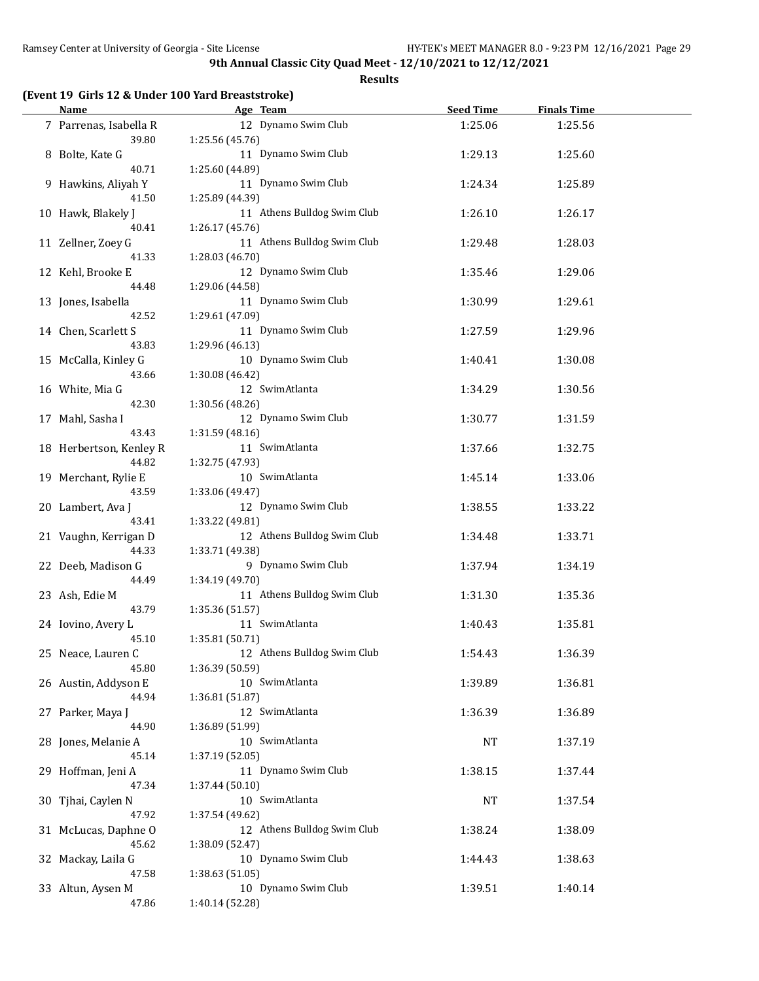**Results**

## **(Event 19 Girls 12 & Under 100 Yard Breaststroke)**

| <u>Name</u>                   | Age Team                               | <b>Seed Time</b> | <b>Finals Time</b> |  |
|-------------------------------|----------------------------------------|------------------|--------------------|--|
| 7 Parrenas, Isabella R        | 12 Dynamo Swim Club                    | 1:25.06          | 1:25.56            |  |
| 39.80                         | 1:25.56(45.76)                         |                  |                    |  |
| 8 Bolte, Kate G               | 11 Dynamo Swim Club                    | 1:29.13          | 1:25.60            |  |
| 40.71                         | 1:25.60 (44.89)                        |                  |                    |  |
| 9 Hawkins, Aliyah Y           | 11 Dynamo Swim Club                    | 1:24.34          | 1:25.89            |  |
| 41.50                         | 1:25.89 (44.39)                        |                  |                    |  |
| 10 Hawk, Blakely J            | 11 Athens Bulldog Swim Club            | 1:26.10          | 1:26.17            |  |
| 40.41                         | 1:26.17(45.76)                         |                  |                    |  |
| 11 Zellner, Zoey G            | 11 Athens Bulldog Swim Club            | 1:29.48          | 1:28.03            |  |
| 41.33                         | 1:28.03 (46.70)                        |                  |                    |  |
| 12 Kehl, Brooke E             | 12 Dynamo Swim Club                    | 1:35.46          | 1:29.06            |  |
| 44.48                         | 1:29.06 (44.58)                        |                  |                    |  |
| 13 Jones, Isabella            | 11 Dynamo Swim Club                    | 1:30.99          | 1:29.61            |  |
| 42.52                         | 1:29.61 (47.09)                        |                  |                    |  |
| 14 Chen, Scarlett S<br>43.83  | 11 Dynamo Swim Club                    | 1:27.59          | 1:29.96            |  |
|                               | 1:29.96 (46.13)<br>10 Dynamo Swim Club |                  |                    |  |
| 15 McCalla, Kinley G<br>43.66 | 1:30.08 (46.42)                        | 1:40.41          | 1:30.08            |  |
| 16 White, Mia G               | 12 SwimAtlanta                         | 1:34.29          | 1:30.56            |  |
| 42.30                         | 1:30.56 (48.26)                        |                  |                    |  |
| 17 Mahl, Sasha I              | 12 Dynamo Swim Club                    | 1:30.77          | 1:31.59            |  |
| 43.43                         | 1:31.59 (48.16)                        |                  |                    |  |
| 18 Herbertson, Kenley R       | 11 SwimAtlanta                         | 1:37.66          | 1:32.75            |  |
| 44.82                         | 1:32.75 (47.93)                        |                  |                    |  |
| 19 Merchant, Rylie E          | 10 SwimAtlanta                         | 1:45.14          | 1:33.06            |  |
| 43.59                         | 1:33.06 (49.47)                        |                  |                    |  |
| 20 Lambert, Ava J             | 12 Dynamo Swim Club                    | 1:38.55          | 1:33.22            |  |
| 43.41                         | 1:33.22 (49.81)                        |                  |                    |  |
| 21 Vaughn, Kerrigan D         | 12 Athens Bulldog Swim Club            | 1:34.48          | 1:33.71            |  |
| 44.33                         | 1:33.71 (49.38)                        |                  |                    |  |
| 22 Deeb, Madison G            | 9 Dynamo Swim Club                     | 1:37.94          | 1:34.19            |  |
| 44.49                         | 1:34.19 (49.70)                        |                  |                    |  |
| 23 Ash, Edie M                | 11 Athens Bulldog Swim Club            | 1:31.30          | 1:35.36            |  |
| 43.79                         | 1:35.36 (51.57)                        |                  |                    |  |
| 24 Iovino, Avery L            | 11 SwimAtlanta                         | 1:40.43          | 1:35.81            |  |
| 45.10                         | 1:35.81 (50.71)                        |                  |                    |  |
| 25 Neace, Lauren C            | 12 Athens Bulldog Swim Club            | 1:54.43          | 1:36.39            |  |
| 45.80                         | 1:36.39 (50.59)                        |                  |                    |  |
| 26 Austin, Addyson E          | 10 SwimAtlanta                         | 1:39.89          | 1:36.81            |  |
| 44.94                         | 1:36.81(51.87)<br>12 SwimAtlanta       |                  |                    |  |
| 27 Parker, Maya J<br>44.90    | 1:36.89 (51.99)                        | 1:36.39          | 1:36.89            |  |
| 28 Jones, Melanie A           | 10 SwimAtlanta                         | NT               | 1:37.19            |  |
| 45.14                         | 1:37.19 (52.05)                        |                  |                    |  |
| 29 Hoffman, Jeni A            | 11 Dynamo Swim Club                    | 1:38.15          | 1:37.44            |  |
| 47.34                         | 1:37.44 (50.10)                        |                  |                    |  |
| 30 Tjhai, Caylen N            | 10 SwimAtlanta                         | NT               | 1:37.54            |  |
| 47.92                         | 1:37.54 (49.62)                        |                  |                    |  |
| 31 McLucas, Daphne O          | 12 Athens Bulldog Swim Club            | 1:38.24          | 1:38.09            |  |
| 45.62                         | 1:38.09 (52.47)                        |                  |                    |  |
| 32 Mackay, Laila G            | 10 Dynamo Swim Club                    | 1:44.43          | 1:38.63            |  |
| 47.58                         | 1:38.63 (51.05)                        |                  |                    |  |
| 33 Altun, Aysen M             | 10 Dynamo Swim Club                    | 1:39.51          | 1:40.14            |  |
| 47.86                         | 1:40.14 (52.28)                        |                  |                    |  |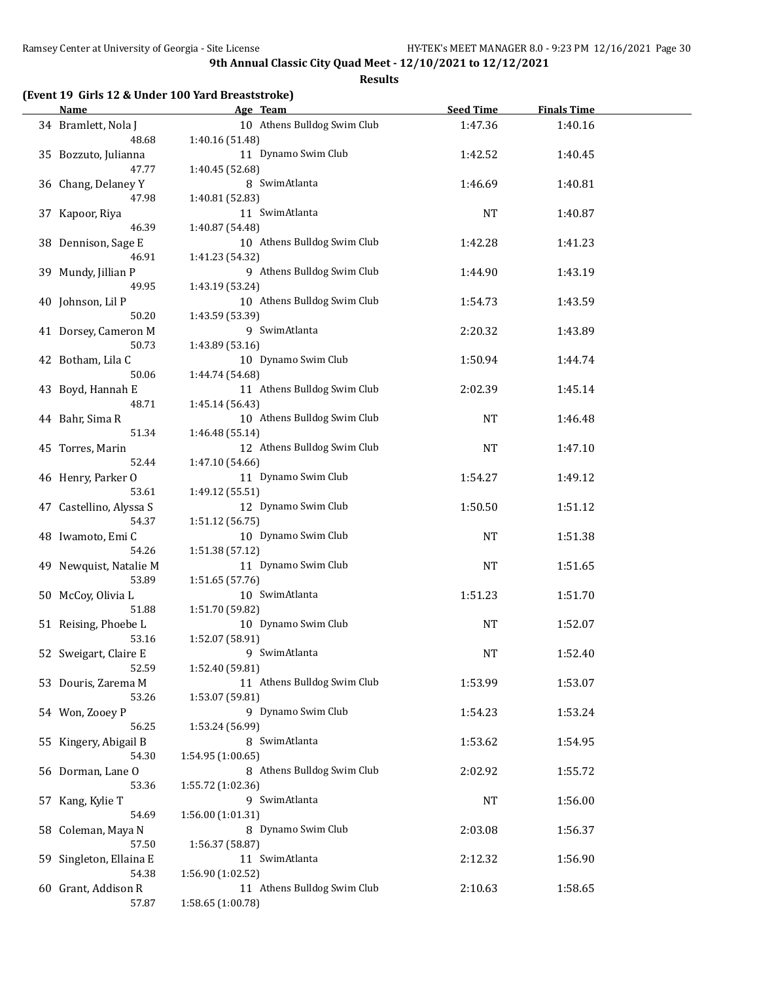**Results**

|  | (Event 19 Girls 12 & Under 100 Yard Breaststroke) |  |  |
|--|---------------------------------------------------|--|--|
|--|---------------------------------------------------|--|--|

| <b>Name</b>                   | Age Team                               | <b>Seed Time</b> | <b>Finals Time</b> |  |
|-------------------------------|----------------------------------------|------------------|--------------------|--|
| 34 Bramlett, Nola J           | 10 Athens Bulldog Swim Club            | 1:47.36          | 1:40.16            |  |
| 48.68                         | 1:40.16 (51.48)                        |                  |                    |  |
| 35 Bozzuto, Julianna          | 11 Dynamo Swim Club                    | 1:42.52          | 1:40.45            |  |
| 47.77                         | 1:40.45 (52.68)                        |                  |                    |  |
| 36 Chang, Delaney Y           | 8 SwimAtlanta                          | 1:46.69          | 1:40.81            |  |
| 47.98                         | 1:40.81 (52.83)                        |                  |                    |  |
| 37 Kapoor, Riya               | 11 SwimAtlanta                         | NT               | 1:40.87            |  |
| 46.39                         | 1:40.87 (54.48)                        |                  |                    |  |
| 38 Dennison, Sage E           | 10 Athens Bulldog Swim Club            | 1:42.28          | 1:41.23            |  |
| 46.91                         | 1:41.23 (54.32)                        |                  |                    |  |
| 39 Mundy, Jillian P           | 9 Athens Bulldog Swim Club             | 1:44.90          | 1:43.19            |  |
| 49.95                         | 1:43.19 (53.24)                        |                  |                    |  |
| 40 Johnson, Lil P             | 10 Athens Bulldog Swim Club            | 1:54.73          | 1:43.59            |  |
| 50.20                         | 1:43.59 (53.39)<br>9 SwimAtlanta       |                  |                    |  |
| 41 Dorsey, Cameron M<br>50.73 |                                        | 2:20.32          | 1:43.89            |  |
| 42 Botham, Lila C             | 1:43.89 (53.16)<br>10 Dynamo Swim Club | 1:50.94          | 1:44.74            |  |
| 50.06                         | 1:44.74 (54.68)                        |                  |                    |  |
| 43 Boyd, Hannah E             | 11 Athens Bulldog Swim Club            | 2:02.39          | 1:45.14            |  |
| 48.71                         | 1:45.14 (56.43)                        |                  |                    |  |
| 44 Bahr, Sima R               | 10 Athens Bulldog Swim Club            | NT               | 1:46.48            |  |
| 51.34                         | 1:46.48 (55.14)                        |                  |                    |  |
| 45 Torres, Marin              | 12 Athens Bulldog Swim Club            | <b>NT</b>        | 1:47.10            |  |
| 52.44                         | 1:47.10 (54.66)                        |                  |                    |  |
| 46 Henry, Parker O            | 11 Dynamo Swim Club                    | 1:54.27          | 1:49.12            |  |
| 53.61                         | 1:49.12 (55.51)                        |                  |                    |  |
| 47 Castellino, Alyssa S       | 12 Dynamo Swim Club                    | 1:50.50          | 1:51.12            |  |
| 54.37                         | 1:51.12 (56.75)                        |                  |                    |  |
| 48 Iwamoto, Emi C             | 10 Dynamo Swim Club                    | <b>NT</b>        | 1:51.38            |  |
| 54.26                         | 1:51.38 (57.12)                        |                  |                    |  |
| 49 Newquist, Natalie M        | 11 Dynamo Swim Club                    | <b>NT</b>        | 1:51.65            |  |
| 53.89                         | 1:51.65 (57.76)                        |                  |                    |  |
| 50 McCoy, Olivia L            | 10 SwimAtlanta                         | 1:51.23          | 1:51.70            |  |
| 51.88                         | 1:51.70 (59.82)                        |                  |                    |  |
| 51 Reising, Phoebe L          | 10 Dynamo Swim Club                    | NT               | 1:52.07            |  |
| 53.16                         | 1:52.07 (58.91)                        |                  |                    |  |
| 52 Sweigart, Claire E         | 9 SwimAtlanta                          | NT               | 1:52.40            |  |
| 52.59                         | 1:52.40 (59.81)                        |                  |                    |  |
| 53 Douris, Zarema M           | 11 Athens Bulldog Swim Club            | 1:53.99          | 1:53.07            |  |
| 53.26                         | 1:53.07 (59.81)<br>9 Dynamo Swim Club  |                  |                    |  |
| 54 Won, Zooey P<br>56.25      | 1:53.24 (56.99)                        | 1:54.23          | 1:53.24            |  |
| 55 Kingery, Abigail B         | 8 SwimAtlanta                          | 1:53.62          | 1:54.95            |  |
| 54.30                         | 1:54.95 (1:00.65)                      |                  |                    |  |
| 56 Dorman, Lane O             | 8 Athens Bulldog Swim Club             | 2:02.92          | 1:55.72            |  |
| 53.36                         | 1:55.72 (1:02.36)                      |                  |                    |  |
| 57 Kang, Kylie T              | 9 SwimAtlanta                          | NT               | 1:56.00            |  |
| 54.69                         | 1:56.00 (1:01.31)                      |                  |                    |  |
| 58 Coleman, Maya N            | 8 Dynamo Swim Club                     | 2:03.08          | 1:56.37            |  |
| 57.50                         | 1:56.37 (58.87)                        |                  |                    |  |
| 59 Singleton, Ellaina E       | 11 SwimAtlanta                         | 2:12.32          | 1:56.90            |  |
| 54.38                         | 1:56.90 (1:02.52)                      |                  |                    |  |
| 60 Grant, Addison R           | 11 Athens Bulldog Swim Club            | 2:10.63          | 1:58.65            |  |
| 57.87                         | 1:58.65 (1:00.78)                      |                  |                    |  |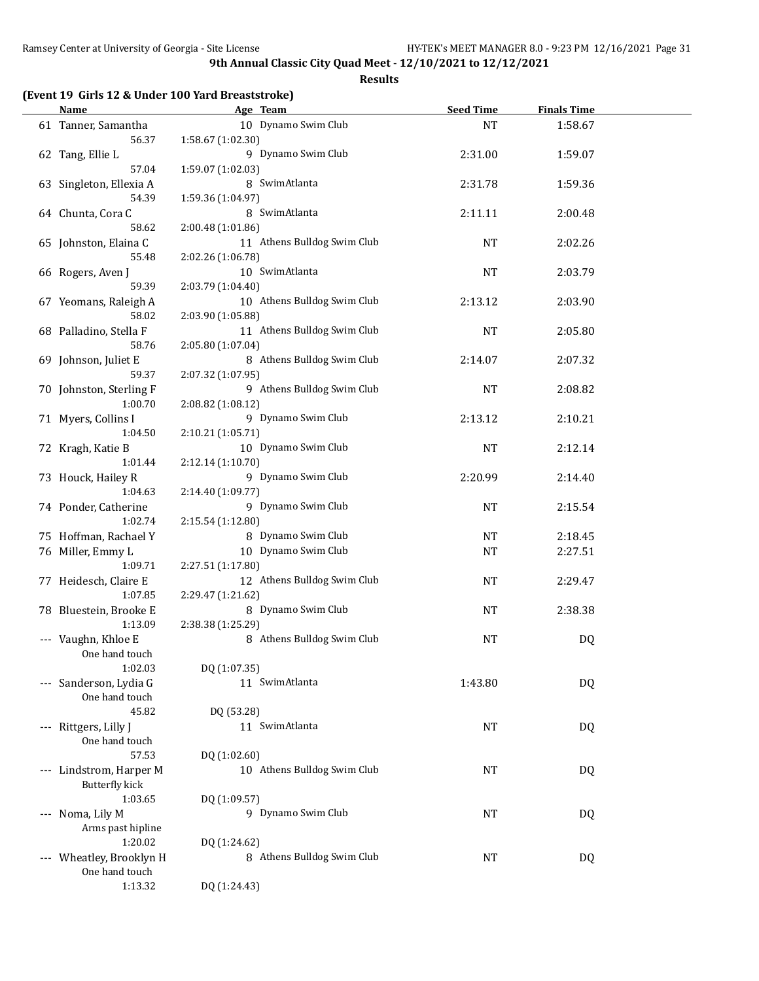**Results**

## **(Event 19 Girls 12 & Under 100 Yard Breaststroke)**

| Name and the second second second second second second second second second second second second second second second second second second second second second second second second second second second second second second | Age Team                    | <b>Seed Time</b> | <b>Finals Time</b> |  |
|--------------------------------------------------------------------------------------------------------------------------------------------------------------------------------------------------------------------------------|-----------------------------|------------------|--------------------|--|
| 61 Tanner, Samantha                                                                                                                                                                                                            | 10 Dynamo Swim Club         | <b>NT</b>        | 1:58.67            |  |
| 56.37                                                                                                                                                                                                                          | 1:58.67 (1:02.30)           |                  |                    |  |
| 62 Tang, Ellie L                                                                                                                                                                                                               | 9 Dynamo Swim Club          | 2:31.00          | 1:59.07            |  |
| 57.04                                                                                                                                                                                                                          | 1:59.07 (1:02.03)           |                  |                    |  |
| 63 Singleton, Ellexia A                                                                                                                                                                                                        | 8 SwimAtlanta               | 2:31.78          | 1:59.36            |  |
| 54.39                                                                                                                                                                                                                          | 1:59.36 (1:04.97)           |                  |                    |  |
| 64 Chunta, Cora C                                                                                                                                                                                                              | 8 SwimAtlanta               | 2:11.11          | 2:00.48            |  |
| 58.62                                                                                                                                                                                                                          | 2:00.48 (1:01.86)           |                  |                    |  |
| 65 Johnston, Elaina C                                                                                                                                                                                                          | 11 Athens Bulldog Swim Club | <b>NT</b>        | 2:02.26            |  |
| 55.48                                                                                                                                                                                                                          | 2:02.26 (1:06.78)           |                  |                    |  |
| 66 Rogers, Aven J                                                                                                                                                                                                              | 10 SwimAtlanta              | <b>NT</b>        | 2:03.79            |  |
| 59.39                                                                                                                                                                                                                          | 2:03.79 (1:04.40)           |                  |                    |  |
| 67 Yeomans, Raleigh A                                                                                                                                                                                                          | 10 Athens Bulldog Swim Club | 2:13.12          | 2:03.90            |  |
| 58.02                                                                                                                                                                                                                          | 2:03.90 (1:05.88)           |                  |                    |  |
| 68 Palladino, Stella F                                                                                                                                                                                                         | 11 Athens Bulldog Swim Club | NT               | 2:05.80            |  |
| 58.76                                                                                                                                                                                                                          | 2:05.80 (1:07.04)           |                  |                    |  |
| 69 Johnson, Juliet E                                                                                                                                                                                                           | 8 Athens Bulldog Swim Club  | 2:14.07          | 2:07.32            |  |
| 59.37                                                                                                                                                                                                                          | 2:07.32 (1:07.95)           |                  |                    |  |
| 70 Johnston, Sterling F                                                                                                                                                                                                        | 9 Athens Bulldog Swim Club  | <b>NT</b>        | 2:08.82            |  |
| 1:00.70                                                                                                                                                                                                                        | 2:08.82 (1:08.12)           |                  |                    |  |
| 71 Myers, Collins I                                                                                                                                                                                                            | 9 Dynamo Swim Club          | 2:13.12          | 2:10.21            |  |
| 1:04.50                                                                                                                                                                                                                        | 2:10.21 (1:05.71)           |                  |                    |  |
| 72 Kragh, Katie B                                                                                                                                                                                                              | 10 Dynamo Swim Club         | <b>NT</b>        | 2:12.14            |  |
| 1:01.44                                                                                                                                                                                                                        | 2:12.14 (1:10.70)           |                  |                    |  |
| 73 Houck, Hailey R                                                                                                                                                                                                             | 9 Dynamo Swim Club          | 2:20.99          | 2:14.40            |  |
| 1:04.63                                                                                                                                                                                                                        | 2:14.40 (1:09.77)           |                  |                    |  |
| 74 Ponder, Catherine                                                                                                                                                                                                           | 9 Dynamo Swim Club          | NT               | 2:15.54            |  |
| 1:02.74                                                                                                                                                                                                                        | 2:15.54 (1:12.80)           |                  |                    |  |
| 75 Hoffman, Rachael Y                                                                                                                                                                                                          | 8 Dynamo Swim Club          | NT               | 2:18.45            |  |
| 76 Miller, Emmy L                                                                                                                                                                                                              | 10 Dynamo Swim Club         | NT               | 2:27.51            |  |
| 1:09.71                                                                                                                                                                                                                        | 2:27.51 (1:17.80)           |                  |                    |  |
| 77 Heidesch, Claire E                                                                                                                                                                                                          | 12 Athens Bulldog Swim Club | NT               | 2:29.47            |  |
| 1:07.85                                                                                                                                                                                                                        | 2:29.47 (1:21.62)           |                  |                    |  |
| 78 Bluestein, Brooke E                                                                                                                                                                                                         | 8 Dynamo Swim Club          | NT               | 2:38.38            |  |
| 1:13.09                                                                                                                                                                                                                        | 2:38.38 (1:25.29)           |                  |                    |  |
| --- Vaughn, Khloe E                                                                                                                                                                                                            | 8 Athens Bulldog Swim Club  | NT               | DQ                 |  |
| One hand touch                                                                                                                                                                                                                 |                             |                  |                    |  |
| 1:02.03                                                                                                                                                                                                                        | DQ (1:07.35)                |                  |                    |  |
| --- Sanderson, Lydia G<br>One hand touch                                                                                                                                                                                       | 11 SwimAtlanta              | 1:43.80          | <b>DQ</b>          |  |
| 45.82                                                                                                                                                                                                                          | DQ (53.28)                  |                  |                    |  |
| --- Rittgers, Lilly J                                                                                                                                                                                                          | 11 SwimAtlanta              | <b>NT</b>        | <b>DQ</b>          |  |
| One hand touch                                                                                                                                                                                                                 |                             |                  |                    |  |
| 57.53                                                                                                                                                                                                                          | DQ (1:02.60)                |                  |                    |  |
| --- Lindstrom, Harper M                                                                                                                                                                                                        | 10 Athens Bulldog Swim Club | <b>NT</b>        | DQ                 |  |
| <b>Butterfly kick</b>                                                                                                                                                                                                          |                             |                  |                    |  |
| 1:03.65                                                                                                                                                                                                                        | DQ (1:09.57)                |                  |                    |  |
| --- Noma, Lily M                                                                                                                                                                                                               | 9 Dynamo Swim Club          | NT               | DQ                 |  |
| Arms past hipline                                                                                                                                                                                                              |                             |                  |                    |  |
| 1:20.02                                                                                                                                                                                                                        | DQ (1:24.62)                |                  |                    |  |
| --- Wheatley, Brooklyn H                                                                                                                                                                                                       | 8 Athens Bulldog Swim Club  | <b>NT</b>        | DQ                 |  |
| One hand touch                                                                                                                                                                                                                 |                             |                  |                    |  |
| 1:13.32                                                                                                                                                                                                                        | DQ (1:24.43)                |                  |                    |  |
|                                                                                                                                                                                                                                |                             |                  |                    |  |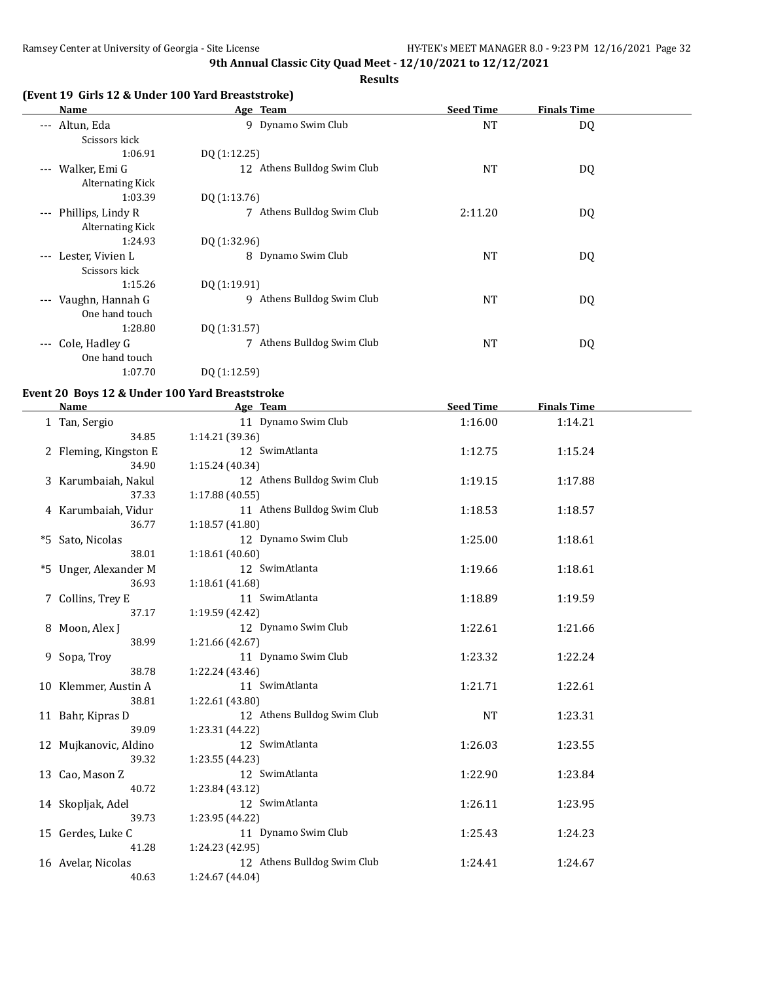**Results**

## **(Event 19 Girls 12 & Under 100 Yard Breaststroke)**

| Name                                                            | Age Team                      | <b>Seed Time</b> | <b>Finals Time</b> |  |
|-----------------------------------------------------------------|-------------------------------|------------------|--------------------|--|
| Altun, Eda<br>$\qquad \qquad - -$<br>Scissors kick              | Dynamo Swim Club<br>9         | <b>NT</b>        | DQ                 |  |
| 1:06.91                                                         | DQ (1:12.25)                  |                  |                    |  |
| Walker, Emi G<br>$\qquad \qquad - -$<br><b>Alternating Kick</b> | 12 Athens Bulldog Swim Club   | <b>NT</b>        | DQ                 |  |
| 1:03.39                                                         | DQ (1:13.76)                  |                  |                    |  |
| Phillips, Lindy R<br>$\cdots$<br><b>Alternating Kick</b>        | Athens Bulldog Swim Club<br>7 | 2:11.20          | DQ                 |  |
| 1:24.93                                                         | DQ (1:32.96)                  |                  |                    |  |
| Lester, Vivien L<br>$\cdots$<br>Scissors kick                   | 8 Dynamo Swim Club            | <b>NT</b>        | DQ                 |  |
| 1:15.26                                                         | DQ (1:19.91)                  |                  |                    |  |
| Vaughn, Hannah G<br>$---$<br>One hand touch                     | Athens Bulldog Swim Club<br>9 | <b>NT</b>        | DQ                 |  |
| 1:28.80                                                         | DQ (1:31.57)                  |                  |                    |  |
| Cole, Hadley G<br>$---$<br>One hand touch                       | Athens Bulldog Swim Club<br>7 | <b>NT</b>        | DQ                 |  |
| 1:07.70                                                         | DQ (1:12.59)                  |                  |                    |  |

## **Event 20 Boys 12 & Under 100 Yard Breaststroke**

| <b>Name</b>           | Age Team                    | <b>Seed Time</b> | <b>Finals Time</b> |  |
|-----------------------|-----------------------------|------------------|--------------------|--|
| 1 Tan, Sergio         | 11 Dynamo Swim Club         | 1:16.00          | 1:14.21            |  |
| 34.85                 | 1:14.21 (39.36)             |                  |                    |  |
| 2 Fleming, Kingston E | 12 SwimAtlanta              | 1:12.75          | 1:15.24            |  |
| 34.90                 | 1:15.24 (40.34)             |                  |                    |  |
| 3 Karumbaiah, Nakul   | 12 Athens Bulldog Swim Club | 1:19.15          | 1:17.88            |  |
| 37.33                 | 1:17.88 (40.55)             |                  |                    |  |
| 4 Karumbaiah, Vidur   | 11 Athens Bulldog Swim Club | 1:18.53          | 1:18.57            |  |
| 36.77                 | 1:18.57 (41.80)             |                  |                    |  |
| *5 Sato, Nicolas      | 12 Dynamo Swim Club         | 1:25.00          | 1:18.61            |  |
| 38.01                 | 1:18.61(40.60)              |                  |                    |  |
| *5 Unger, Alexander M | 12 SwimAtlanta              | 1:19.66          | 1:18.61            |  |
| 36.93                 | 1:18.61 (41.68)             |                  |                    |  |
| 7 Collins, Trey E     | 11 SwimAtlanta              | 1:18.89          | 1:19.59            |  |
| 37.17                 | 1:19.59 (42.42)             |                  |                    |  |
| 8 Moon, Alex J        | 12 Dynamo Swim Club         | 1:22.61          | 1:21.66            |  |
| 38.99                 | 1:21.66 (42.67)             |                  |                    |  |
| 9 Sopa, Troy          | 11 Dynamo Swim Club         | 1:23.32          | 1:22.24            |  |
| 38.78                 | 1:22.24 (43.46)             |                  |                    |  |
| 10 Klemmer, Austin A  | 11 SwimAtlanta              | 1:21.71          | 1:22.61            |  |
| 38.81                 | 1:22.61 (43.80)             |                  |                    |  |
| 11 Bahr, Kipras D     | 12 Athens Bulldog Swim Club | <b>NT</b>        | 1:23.31            |  |
| 39.09                 | 1:23.31 (44.22)             |                  |                    |  |
| 12 Mujkanovic, Aldino | 12 SwimAtlanta              | 1:26.03          | 1:23.55            |  |
| 39.32                 | 1:23.55 (44.23)             |                  |                    |  |
| 13 Cao, Mason Z       | 12 SwimAtlanta              | 1:22.90          | 1:23.84            |  |
| 40.72                 | 1:23.84 (43.12)             |                  |                    |  |
| 14 Skopljak, Adel     | 12 SwimAtlanta              | 1:26.11          | 1:23.95            |  |
| 39.73                 | 1:23.95 (44.22)             |                  |                    |  |
| 15 Gerdes, Luke C     | 11 Dynamo Swim Club         | 1:25.43          | 1:24.23            |  |
| 41.28                 | 1:24.23 (42.95)             |                  |                    |  |
| 16 Avelar, Nicolas    | 12 Athens Bulldog Swim Club | 1:24.41          | 1:24.67            |  |
| 40.63                 | 1:24.67 (44.04)             |                  |                    |  |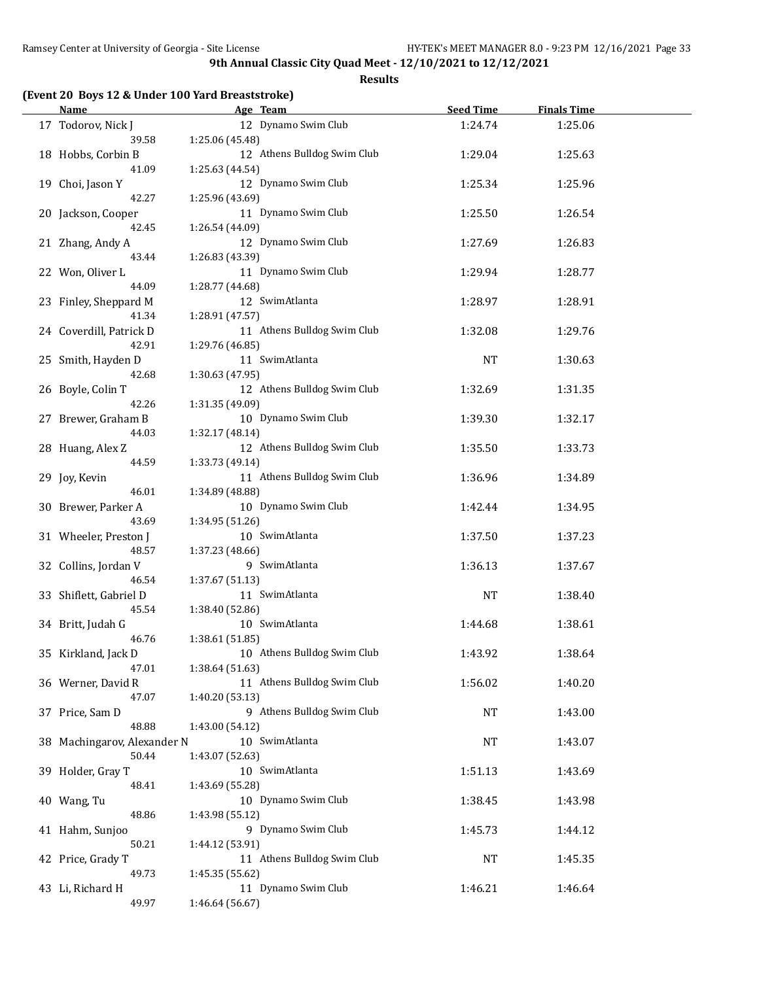**Results**

# **(Event 20 Boys 12 & Under 100 Yard Breaststroke)**

| <b>Name</b>                          | Age Team                                       | <b>Seed Time</b> | <b>Finals Time</b> |  |
|--------------------------------------|------------------------------------------------|------------------|--------------------|--|
| 17 Todorov, Nick J                   | 12 Dynamo Swim Club                            | 1:24.74          | 1:25.06            |  |
| 39.58                                | 1:25.06 (45.48)                                |                  |                    |  |
| 18 Hobbs, Corbin B                   | 12 Athens Bulldog Swim Club                    | 1:29.04          | 1:25.63            |  |
| 41.09                                | 1:25.63 (44.54)                                |                  |                    |  |
| 19 Choi, Jason Y                     | 12 Dynamo Swim Club                            | 1:25.34          | 1:25.96            |  |
| 42.27                                | 1:25.96 (43.69)                                |                  |                    |  |
| 20 Jackson, Cooper                   | 11 Dynamo Swim Club                            | 1:25.50          | 1:26.54            |  |
| 42.45                                | 1:26.54 (44.09)                                |                  |                    |  |
| 21 Zhang, Andy A                     | 12 Dynamo Swim Club                            | 1:27.69          | 1:26.83            |  |
| 43.44                                | 1:26.83 (43.39)                                |                  |                    |  |
| 22 Won, Oliver L                     | 11 Dynamo Swim Club                            | 1:29.94          | 1:28.77            |  |
| 44.09                                | 1:28.77 (44.68)<br>12 SwimAtlanta              |                  |                    |  |
| 23 Finley, Sheppard M<br>41.34       |                                                | 1:28.97          | 1:28.91            |  |
|                                      | 1:28.91 (47.57)<br>11 Athens Bulldog Swim Club |                  |                    |  |
| 24 Coverdill, Patrick D<br>42.91     | 1:29.76 (46.85)                                | 1:32.08          | 1:29.76            |  |
| 25 Smith, Hayden D                   | 11 SwimAtlanta                                 | <b>NT</b>        | 1:30.63            |  |
| 42.68                                | 1:30.63 (47.95)                                |                  |                    |  |
| 26 Boyle, Colin T                    | 12 Athens Bulldog Swim Club                    | 1:32.69          | 1:31.35            |  |
| 42.26                                | 1:31.35 (49.09)                                |                  |                    |  |
| 27 Brewer, Graham B                  | 10 Dynamo Swim Club                            | 1:39.30          | 1:32.17            |  |
| 44.03                                | 1:32.17 (48.14)                                |                  |                    |  |
| 28 Huang, Alex Z                     | 12 Athens Bulldog Swim Club                    | 1:35.50          | 1:33.73            |  |
| 44.59                                | 1:33.73 (49.14)                                |                  |                    |  |
| 29 Joy, Kevin                        | 11 Athens Bulldog Swim Club                    | 1:36.96          | 1:34.89            |  |
| 46.01                                | 1:34.89 (48.88)                                |                  |                    |  |
| 30 Brewer, Parker A                  | 10 Dynamo Swim Club                            | 1:42.44          | 1:34.95            |  |
| 43.69                                | 1:34.95 (51.26)                                |                  |                    |  |
| 31 Wheeler, Preston J                | 10 SwimAtlanta                                 | 1:37.50          | 1:37.23            |  |
| 48.57                                | 1:37.23 (48.66)                                |                  |                    |  |
| 32 Collins, Jordan V                 | 9 SwimAtlanta                                  | 1:36.13          | 1:37.67            |  |
| 46.54                                | 1:37.67 (51.13)                                |                  |                    |  |
| 33 Shiflett, Gabriel D               | 11 SwimAtlanta                                 | NT               | 1:38.40            |  |
| 45.54                                | 1:38.40 (52.86)                                |                  |                    |  |
| 34 Britt, Judah G                    | 10 SwimAtlanta                                 | 1:44.68          | 1:38.61            |  |
| 46.76                                | 1:38.61 (51.85)                                |                  |                    |  |
| 35 Kirkland, Jack D                  | 10 Athens Bulldog Swim Club                    | 1:43.92          | 1:38.64            |  |
| 47.01                                | 1:38.64 (51.63)                                |                  |                    |  |
| 36 Werner, David R                   | 11 Athens Bulldog Swim Club                    | 1:56.02          | 1:40.20            |  |
| 47.07                                | 1:40.20 (53.13)                                |                  |                    |  |
| 37 Price, Sam D                      | 9 Athens Bulldog Swim Club                     | NT               | 1:43.00            |  |
| 48.88                                | 1:43.00 (54.12)<br>10 SwimAtlanta              |                  |                    |  |
| 38 Machingarov, Alexander N<br>50.44 |                                                | NT               | 1:43.07            |  |
| 39 Holder, Gray T                    | 1:43.07 (52.63)<br>10 SwimAtlanta              | 1:51.13          | 1:43.69            |  |
| 48.41                                | 1:43.69 (55.28)                                |                  |                    |  |
| 40 Wang, Tu                          | 10 Dynamo Swim Club                            | 1:38.45          | 1:43.98            |  |
| 48.86                                | 1:43.98 (55.12)                                |                  |                    |  |
| 41 Hahm, Sunjoo                      | 9 Dynamo Swim Club                             | 1:45.73          | 1:44.12            |  |
| 50.21                                | 1:44.12 (53.91)                                |                  |                    |  |
| 42 Price, Grady T                    | 11 Athens Bulldog Swim Club                    | NT               | 1:45.35            |  |
| 49.73                                | 1:45.35 (55.62)                                |                  |                    |  |
| 43 Li, Richard H                     | 11 Dynamo Swim Club                            | 1:46.21          | 1:46.64            |  |
| 49.97                                | 1:46.64 (56.67)                                |                  |                    |  |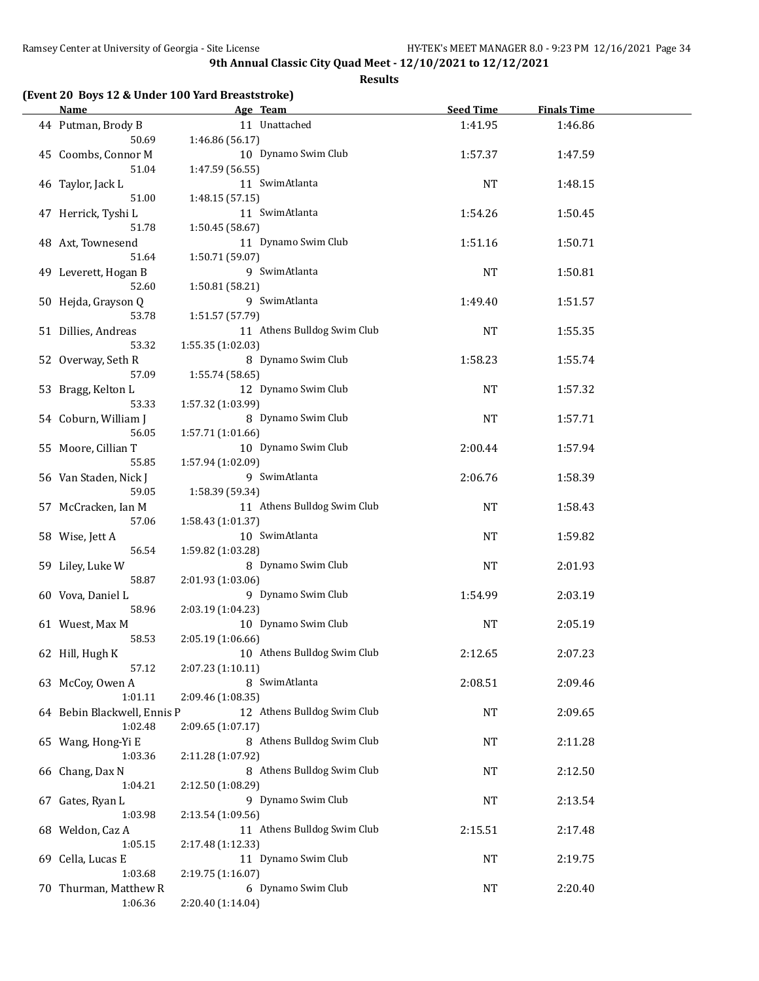**Results**

## **(Event 20 Boys 12 & Under 100 Yard Breaststroke)**

| <b>Name</b>                 | Age Team                    | <b>Seed Time</b> | <b>Finals Time</b> |  |
|-----------------------------|-----------------------------|------------------|--------------------|--|
| 44 Putman, Brody B          | 11 Unattached               | 1:41.95          | 1:46.86            |  |
| 50.69                       | 1:46.86 (56.17)             |                  |                    |  |
| 45 Coombs, Connor M         | 10 Dynamo Swim Club         | 1:57.37          | 1:47.59            |  |
| 51.04                       | 1:47.59 (56.55)             |                  |                    |  |
| 46 Taylor, Jack L           | 11 SwimAtlanta              | <b>NT</b>        | 1:48.15            |  |
| 51.00                       | 1:48.15 (57.15)             |                  |                    |  |
| 47 Herrick, Tyshi L         | 11 SwimAtlanta              | 1:54.26          | 1:50.45            |  |
| 51.78                       | 1:50.45 (58.67)             |                  |                    |  |
| 48 Axt, Townesend           | 11 Dynamo Swim Club         | 1:51.16          | 1:50.71            |  |
| 51.64                       | 1:50.71 (59.07)             |                  |                    |  |
| 49 Leverett, Hogan B        | 9 SwimAtlanta               | NT               | 1:50.81            |  |
| 52.60                       | 1:50.81 (58.21)             |                  |                    |  |
| 50 Hejda, Grayson Q         | 9 SwimAtlanta               | 1:49.40          | 1:51.57            |  |
| 53.78                       | 1:51.57 (57.79)             |                  |                    |  |
| 51 Dillies, Andreas         | 11 Athens Bulldog Swim Club | NT               | 1:55.35            |  |
| 53.32                       | 1:55.35 (1:02.03)           |                  |                    |  |
| 52 Overway, Seth R          | 8 Dynamo Swim Club          | 1:58.23          | 1:55.74            |  |
| 57.09                       | 1:55.74(58.65)              |                  |                    |  |
| 53 Bragg, Kelton L          | 12 Dynamo Swim Club         | <b>NT</b>        | 1:57.32            |  |
| 53.33                       | 1:57.32 (1:03.99)           |                  |                    |  |
| 54 Coburn, William J        | 8 Dynamo Swim Club          | <b>NT</b>        | 1:57.71            |  |
| 56.05                       | 1:57.71 (1:01.66)           |                  |                    |  |
| 55 Moore, Cillian T         | 10 Dynamo Swim Club         | 2:00.44          | 1:57.94            |  |
| 55.85                       | 1:57.94 (1:02.09)           |                  |                    |  |
| 56 Van Staden, Nick J       | 9 SwimAtlanta               | 2:06.76          | 1:58.39            |  |
| 59.05                       | 1:58.39 (59.34)             |                  |                    |  |
| 57 McCracken, Ian M         | 11 Athens Bulldog Swim Club | NT               | 1:58.43            |  |
| 57.06                       | 1:58.43 (1:01.37)           |                  |                    |  |
| 58 Wise, Jett A             | 10 SwimAtlanta              | NT               | 1:59.82            |  |
| 56.54                       | 1:59.82 (1:03.28)           |                  |                    |  |
| 59 Liley, Luke W            | 8 Dynamo Swim Club          | NT               | 2:01.93            |  |
| 58.87                       | 2:01.93 (1:03.06)           |                  |                    |  |
| 60 Vova, Daniel L           | 9 Dynamo Swim Club          | 1:54.99          | 2:03.19            |  |
| 58.96                       | 2:03.19 (1:04.23)           |                  |                    |  |
| 61 Wuest, Max M             | 10 Dynamo Swim Club         | NT               | 2:05.19            |  |
| 58.53                       | 2:05.19 (1:06.66)           |                  |                    |  |
| 62 Hill, Hugh K             | 10 Athens Bulldog Swim Club | 2:12.65          | 2:07.23            |  |
| 57.12                       | 2:07.23 (1:10.11)           |                  |                    |  |
| 63 McCoy, Owen A            | 8 SwimAtlanta               | 2:08.51          | 2:09.46            |  |
| 1:01.11                     | 2:09.46 (1:08.35)           |                  |                    |  |
| 64 Bebin Blackwell, Ennis P | 12 Athens Bulldog Swim Club | <b>NT</b>        | 2:09.65            |  |
| 1:02.48                     | 2:09.65 (1:07.17)           |                  |                    |  |
| 65 Wang, Hong-Yi E          | 8 Athens Bulldog Swim Club  | NT               | 2:11.28            |  |
| 1:03.36                     | 2:11.28 (1:07.92)           |                  |                    |  |
| 66 Chang, Dax N             | 8 Athens Bulldog Swim Club  | NT               | 2:12.50            |  |
| 1:04.21                     | 2:12.50 (1:08.29)           |                  |                    |  |
| 67 Gates, Ryan L            | 9 Dynamo Swim Club          | NT               | 2:13.54            |  |
| 1:03.98                     | 2:13.54 (1:09.56)           |                  |                    |  |
| 68 Weldon, Caz A            | 11 Athens Bulldog Swim Club | 2:15.51          | 2:17.48            |  |
| 1:05.15                     | 2:17.48 (1:12.33)           |                  |                    |  |
| 69 Cella, Lucas E           | 11 Dynamo Swim Club         | NT               | 2:19.75            |  |
| 1:03.68                     | 2:19.75 (1:16.07)           |                  |                    |  |
| 70 Thurman, Matthew R       | 6 Dynamo Swim Club          | NT               | 2:20.40            |  |
| 1:06.36                     | 2:20.40 (1:14.04)           |                  |                    |  |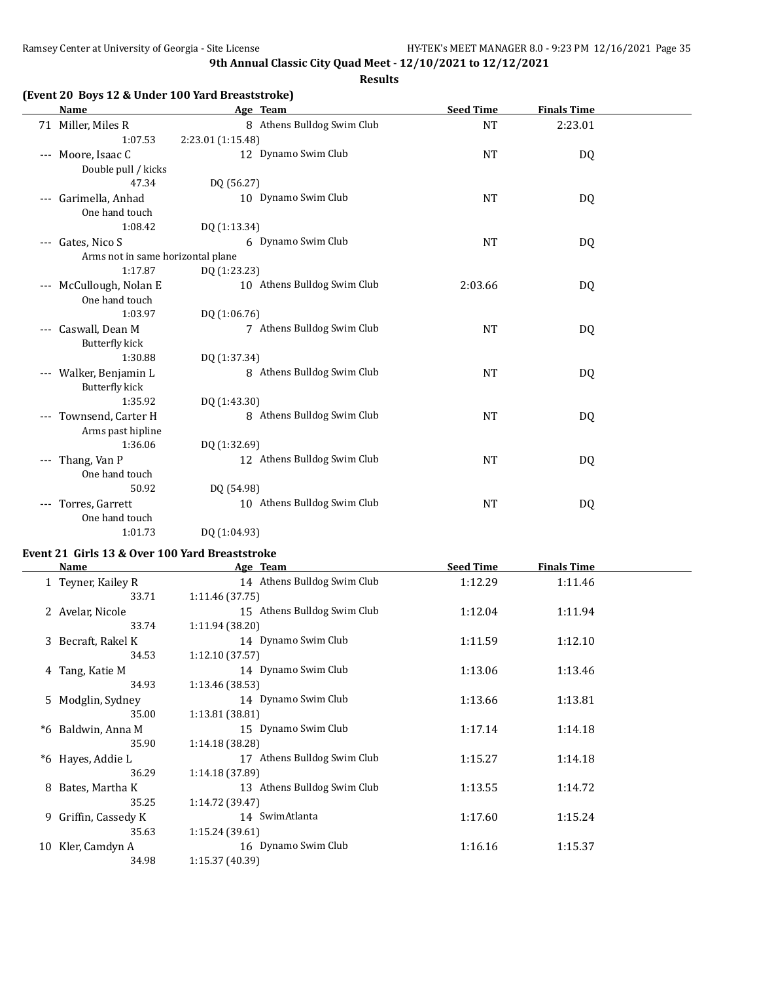#### **Results**

| <b>Name</b>                             | Age Team                    | <b>Seed Time</b> | <b>Finals Time</b> |  |
|-----------------------------------------|-----------------------------|------------------|--------------------|--|
| 71 Miller, Miles R                      | 8 Athens Bulldog Swim Club  | <b>NT</b>        | 2:23.01            |  |
| 1:07.53                                 | 2:23.01 (1:15.48)           |                  |                    |  |
| --- Moore, Isaac C                      | 12 Dynamo Swim Club         | <b>NT</b>        | DQ                 |  |
| Double pull / kicks                     |                             |                  |                    |  |
| 47.34                                   | DQ (56.27)                  |                  |                    |  |
| Garimella, Anhad<br>$\qquad \qquad - -$ | 10 Dynamo Swim Club         | <b>NT</b>        | DQ                 |  |
| One hand touch                          |                             |                  |                    |  |
| 1:08.42                                 | DQ (1:13.34)                |                  |                    |  |
| --- Gates, Nico S                       | 6 Dynamo Swim Club          | <b>NT</b>        | DQ                 |  |
| Arms not in same horizontal plane       |                             |                  |                    |  |
| 1:17.87                                 | DQ (1:23.23)                |                  |                    |  |
| --- McCullough, Nolan E                 | 10 Athens Bulldog Swim Club | 2:03.66          | DQ                 |  |
| One hand touch                          |                             |                  |                    |  |
| 1:03.97                                 | DQ (1:06.76)                |                  |                    |  |
| Caswall, Dean M<br>$---$                | 7 Athens Bulldog Swim Club  | <b>NT</b>        | DQ                 |  |
| <b>Butterfly kick</b>                   |                             |                  |                    |  |
| 1:30.88                                 | DQ (1:37.34)                |                  |                    |  |
| Walker, Benjamin L<br>$---$             | 8 Athens Bulldog Swim Club  | <b>NT</b>        | DQ                 |  |
| <b>Butterfly kick</b>                   |                             |                  |                    |  |
| 1:35.92                                 | DQ (1:43.30)                |                  |                    |  |
| Townsend, Carter H<br>$---$             | 8 Athens Bulldog Swim Club  | <b>NT</b>        | DQ                 |  |
| Arms past hipline                       |                             |                  |                    |  |
| 1:36.06                                 | DQ (1:32.69)                |                  |                    |  |
| Thang, Van P<br>$---$                   | 12 Athens Bulldog Swim Club | <b>NT</b>        | DQ                 |  |
| One hand touch                          |                             |                  |                    |  |
| 50.92                                   | DQ (54.98)                  |                  |                    |  |
| Torres, Garrett<br>$---$                | 10 Athens Bulldog Swim Club | <b>NT</b>        | DQ                 |  |
| One hand touch                          |                             |                  |                    |  |
| 1:01.73                                 | DQ (1:04.93)                |                  |                    |  |

## **Event 21 Girls 13 & Over 100 Yard Breaststroke**

| Name                 | <u>Age Team</u>             | <b>Seed Time</b> | <b>Finals Time</b> |  |
|----------------------|-----------------------------|------------------|--------------------|--|
| 1 Teyner, Kailey R   | 14 Athens Bulldog Swim Club | 1:12.29          | 1:11.46            |  |
| 33.71                | 1:11.46(37.75)              |                  |                    |  |
| 2 Avelar, Nicole     | 15 Athens Bulldog Swim Club | 1:12.04          | 1:11.94            |  |
| 33.74                | 1:11.94 (38.20)             |                  |                    |  |
| 3 Becraft, Rakel K   | 14 Dynamo Swim Club         | 1:11.59          | 1:12.10            |  |
| 34.53                | 1:12.10(37.57)              |                  |                    |  |
| 4 Tang, Katie M      | 14 Dynamo Swim Club         | 1:13.06          | 1:13.46            |  |
| 34.93                | 1:13.46(38.53)              |                  |                    |  |
| 5 Modglin, Sydney    | 14 Dynamo Swim Club         | 1:13.66          | 1:13.81            |  |
| 35.00                | 1:13.81(38.81)              |                  |                    |  |
| *6 Baldwin, Anna M   | 15 Dynamo Swim Club         | 1:17.14          | 1:14.18            |  |
| 35.90                | 1:14.18 (38.28)             |                  |                    |  |
| *6 Hayes, Addie L    | 17 Athens Bulldog Swim Club | 1:15.27          | 1:14.18            |  |
| 36.29                | 1:14.18 (37.89)             |                  |                    |  |
| 8 Bates, Martha K    | 13 Athens Bulldog Swim Club | 1:13.55          | 1:14.72            |  |
| 35.25                | 1:14.72 (39.47)             |                  |                    |  |
| 9 Griffin, Cassedy K | 14 SwimAtlanta              | 1:17.60          | 1:15.24            |  |
| 35.63                | 1:15.24(39.61)              |                  |                    |  |
| 10 Kler, Camdyn A    | 16 Dynamo Swim Club         | 1:16.16          | 1:15.37            |  |
| 34.98                | 1:15.37 (40.39)             |                  |                    |  |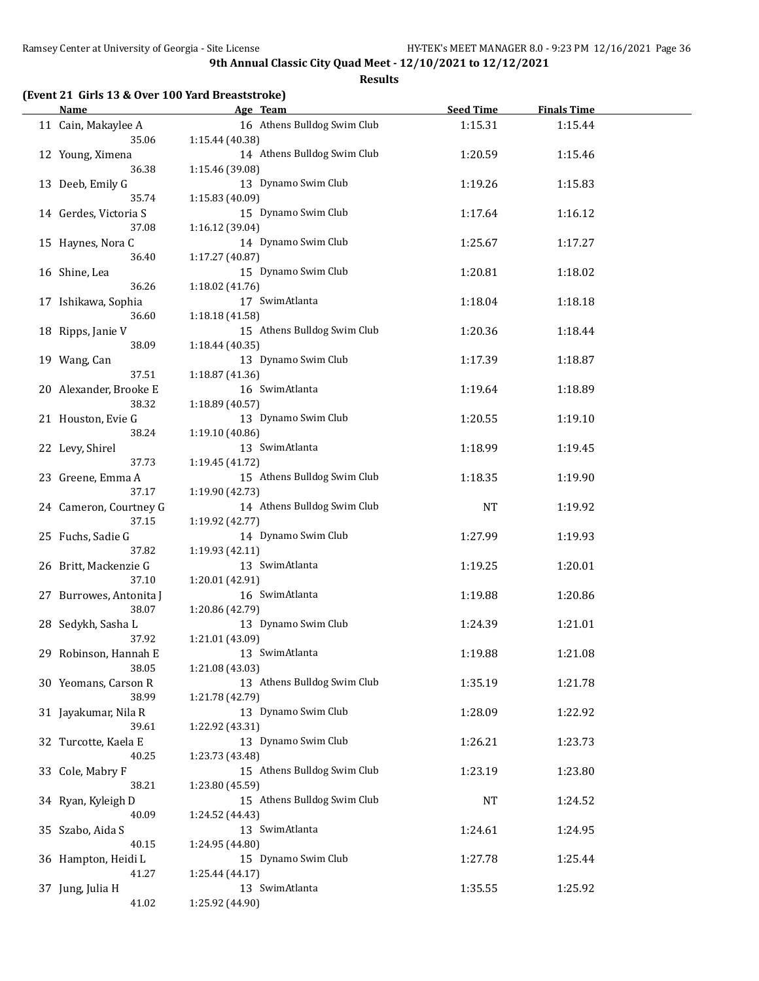**Results**

|  |  |  | (Event 21 Girls 13 & Over 100 Yard Breaststroke) |  |
|--|--|--|--------------------------------------------------|--|
|--|--|--|--------------------------------------------------|--|

| <b>Name</b>             |                 | Age Team                    | <b>Seed Time</b> | <b>Finals Time</b> |  |
|-------------------------|-----------------|-----------------------------|------------------|--------------------|--|
| 11 Cain, Makaylee A     |                 | 16 Athens Bulldog Swim Club | 1:15.31          | 1:15.44            |  |
| 35.06                   | 1:15.44 (40.38) |                             |                  |                    |  |
| 12 Young, Ximena        |                 | 14 Athens Bulldog Swim Club | 1:20.59          | 1:15.46            |  |
| 36.38                   | 1:15.46 (39.08) |                             |                  |                    |  |
| 13 Deeb, Emily G        |                 | 13 Dynamo Swim Club         | 1:19.26          | 1:15.83            |  |
| 35.74                   | 1:15.83 (40.09) |                             |                  |                    |  |
| 14 Gerdes, Victoria S   |                 | 15 Dynamo Swim Club         | 1:17.64          | 1:16.12            |  |
| 37.08                   | 1:16.12 (39.04) |                             |                  |                    |  |
| 15 Haynes, Nora C       |                 | 14 Dynamo Swim Club         | 1:25.67          | 1:17.27            |  |
| 36.40                   | 1:17.27 (40.87) |                             |                  |                    |  |
| 16 Shine, Lea           |                 | 15 Dynamo Swim Club         | 1:20.81          | 1:18.02            |  |
| 36.26                   | 1:18.02 (41.76) |                             |                  |                    |  |
| 17 Ishikawa, Sophia     |                 | 17 SwimAtlanta              | 1:18.04          | 1:18.18            |  |
| 36.60                   | 1:18.18 (41.58) |                             |                  |                    |  |
| 18 Ripps, Janie V       |                 | 15 Athens Bulldog Swim Club | 1:20.36          | 1:18.44            |  |
| 38.09                   | 1:18.44 (40.35) |                             |                  |                    |  |
| 19 Wang, Can            |                 | 13 Dynamo Swim Club         | 1:17.39          | 1:18.87            |  |
| 37.51                   | 1:18.87 (41.36) |                             |                  |                    |  |
| 20 Alexander, Brooke E  |                 | 16 SwimAtlanta              | 1:19.64          | 1:18.89            |  |
| 38.32                   | 1:18.89 (40.57) |                             |                  |                    |  |
| 21 Houston, Evie G      |                 | 13 Dynamo Swim Club         | 1:20.55          | 1:19.10            |  |
| 38.24                   | 1:19.10 (40.86) |                             |                  |                    |  |
| 22 Levy, Shirel         |                 | 13 SwimAtlanta              |                  |                    |  |
| 37.73                   | 1:19.45 (41.72) |                             | 1:18.99          | 1:19.45            |  |
|                         |                 | 15 Athens Bulldog Swim Club |                  |                    |  |
| 23 Greene, Emma A       |                 |                             | 1:18.35          | 1:19.90            |  |
| 37.17                   | 1:19.90 (42.73) |                             |                  |                    |  |
| 24 Cameron, Courtney G  |                 | 14 Athens Bulldog Swim Club | NT               | 1:19.92            |  |
| 37.15                   | 1:19.92 (42.77) |                             |                  |                    |  |
| 25 Fuchs, Sadie G       |                 | 14 Dynamo Swim Club         | 1:27.99          | 1:19.93            |  |
| 37.82                   | 1:19.93 (42.11) |                             |                  |                    |  |
| 26 Britt, Mackenzie G   |                 | 13 SwimAtlanta              | 1:19.25          | 1:20.01            |  |
| 37.10                   | 1:20.01 (42.91) |                             |                  |                    |  |
| 27 Burrowes, Antonita J |                 | 16 SwimAtlanta              | 1:19.88          | 1:20.86            |  |
| 38.07                   | 1:20.86 (42.79) |                             |                  |                    |  |
| 28 Sedykh, Sasha L      |                 | 13 Dynamo Swim Club         | 1:24.39          | 1:21.01            |  |
| 37.92                   | 1:21.01 (43.09) |                             |                  |                    |  |
| 29 Robinson, Hannah E   |                 | 13 SwimAtlanta              | 1:19.88          | 1:21.08            |  |
| 38.05                   | 1:21.08 (43.03) |                             |                  |                    |  |
| 30 Yeomans, Carson R    |                 | 13 Athens Bulldog Swim Club | 1:35.19          | 1:21.78            |  |
| 38.99                   | 1:21.78 (42.79) |                             |                  |                    |  |
| 31 Jayakumar, Nila R    |                 | 13 Dynamo Swim Club         | 1:28.09          | 1:22.92            |  |
| 39.61                   | 1:22.92 (43.31) |                             |                  |                    |  |
| 32 Turcotte, Kaela E    |                 | 13 Dynamo Swim Club         | 1:26.21          | 1:23.73            |  |
| 40.25                   | 1:23.73 (43.48) |                             |                  |                    |  |
| 33 Cole, Mabry F        |                 | 15 Athens Bulldog Swim Club | 1:23.19          | 1:23.80            |  |
| 38.21                   | 1:23.80 (45.59) |                             |                  |                    |  |
| 34 Ryan, Kyleigh D      |                 | 15 Athens Bulldog Swim Club | NT               | 1:24.52            |  |
| 40.09                   | 1:24.52 (44.43) |                             |                  |                    |  |
| 35 Szabo, Aida S        |                 | 13 SwimAtlanta              | 1:24.61          | 1:24.95            |  |
| 40.15                   | 1:24.95 (44.80) |                             |                  |                    |  |
| 36 Hampton, Heidi L     |                 | 15 Dynamo Swim Club         | 1:27.78          | 1:25.44            |  |
| 41.27                   | 1:25.44 (44.17) |                             |                  |                    |  |
| 37 Jung, Julia H        |                 | 13 SwimAtlanta              | 1:35.55          | 1:25.92            |  |
| 41.02                   | 1:25.92 (44.90) |                             |                  |                    |  |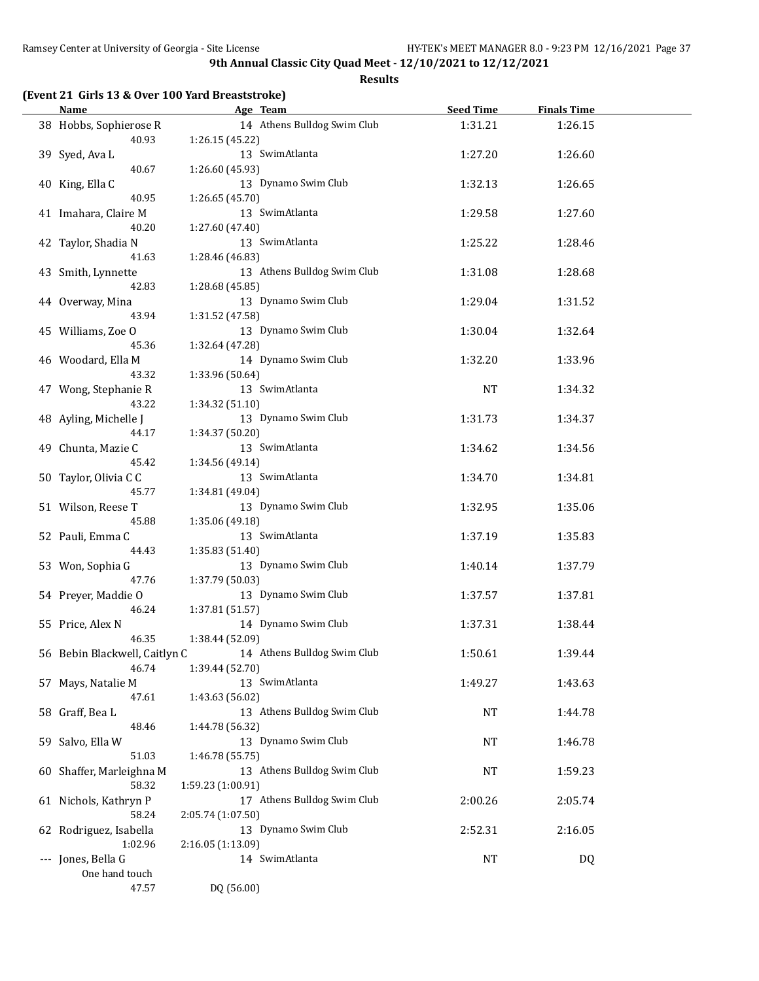| (Event 21 Girls 13 & Over 100 Yard Breaststroke) |
|--------------------------------------------------|
|--------------------------------------------------|

| Name                          |                   | Age Team                    | <b>Seed Time</b> | <b>Finals Time</b> |  |
|-------------------------------|-------------------|-----------------------------|------------------|--------------------|--|
| 38 Hobbs, Sophierose R        |                   | 14 Athens Bulldog Swim Club | 1:31.21          | 1:26.15            |  |
| 40.93                         | 1:26.15 (45.22)   |                             |                  |                    |  |
| 39 Syed, Ava L<br>40.67       | 1:26.60 (45.93)   | 13 SwimAtlanta              | 1:27.20          | 1:26.60            |  |
| 40 King, Ella C               |                   | 13 Dynamo Swim Club         | 1:32.13          | 1:26.65            |  |
| 40.95                         | 1:26.65 (45.70)   |                             |                  |                    |  |
| 41 Imahara, Claire M          |                   | 13 SwimAtlanta              | 1:29.58          | 1:27.60            |  |
| 40.20                         | 1:27.60 (47.40)   |                             |                  |                    |  |
| 42 Taylor, Shadia N           |                   | 13 SwimAtlanta              | 1:25.22          | 1:28.46            |  |
| 41.63                         | 1:28.46 (46.83)   |                             |                  |                    |  |
| 43 Smith, Lynnette            |                   | 13 Athens Bulldog Swim Club | 1:31.08          | 1:28.68            |  |
| 42.83                         | 1:28.68 (45.85)   |                             |                  |                    |  |
| 44 Overway, Mina              |                   | 13 Dynamo Swim Club         | 1:29.04          | 1:31.52            |  |
| 43.94                         | 1:31.52 (47.58)   |                             |                  |                    |  |
| 45 Williams, Zoe O            |                   | 13 Dynamo Swim Club         | 1:30.04          | 1:32.64            |  |
| 45.36                         | 1:32.64 (47.28)   |                             |                  |                    |  |
| 46 Woodard, Ella M            |                   | 14 Dynamo Swim Club         | 1:32.20          | 1:33.96            |  |
| 43.32                         | 1:33.96 (50.64)   |                             |                  |                    |  |
| 47 Wong, Stephanie R          |                   | 13 SwimAtlanta              | NT               | 1:34.32            |  |
| 43.22                         | 1:34.32 (51.10)   |                             |                  |                    |  |
| 48 Ayling, Michelle J         |                   | 13 Dynamo Swim Club         | 1:31.73          | 1:34.37            |  |
| 44.17                         | 1:34.37 (50.20)   |                             |                  |                    |  |
| 49 Chunta, Mazie C            |                   | 13 SwimAtlanta              | 1:34.62          | 1:34.56            |  |
| 45.42                         | 1:34.56 (49.14)   |                             |                  |                    |  |
| 50 Taylor, Olivia C C         |                   | 13 SwimAtlanta              | 1:34.70          | 1:34.81            |  |
| 45.77                         | 1:34.81 (49.04)   |                             |                  |                    |  |
| 51 Wilson, Reese T            |                   | 13 Dynamo Swim Club         | 1:32.95          | 1:35.06            |  |
| 45.88                         | 1:35.06 (49.18)   |                             |                  |                    |  |
| 52 Pauli, Emma C              |                   | 13 SwimAtlanta              | 1:37.19          | 1:35.83            |  |
| 44.43                         | 1:35.83 (51.40)   |                             |                  |                    |  |
| 53 Won, Sophia G              |                   | 13 Dynamo Swim Club         | 1:40.14          | 1:37.79            |  |
| 47.76                         | 1:37.79 (50.03)   |                             |                  |                    |  |
| 54 Preyer, Maddie O           |                   | 13 Dynamo Swim Club         | 1:37.57          | 1:37.81            |  |
| 46.24                         | 1:37.81 (51.57)   |                             |                  |                    |  |
| 55 Price, Alex N              |                   | 14 Dynamo Swim Club         | 1:37.31          | 1:38.44            |  |
| 46.35                         | 1:38.44 (52.09)   |                             |                  |                    |  |
| 56 Bebin Blackwell, Caitlyn C |                   | 14 Athens Bulldog Swim Club | 1:50.61          | 1:39.44            |  |
| 46.74                         | 1:39.44 (52.70)   |                             |                  |                    |  |
| 57 Mays, Natalie M            |                   | 13 SwimAtlanta              | 1:49.27          | 1:43.63            |  |
| 47.61                         | 1:43.63 (56.02)   |                             |                  |                    |  |
| 58 Graff, Bea L               |                   | 13 Athens Bulldog Swim Club | <b>NT</b>        | 1:44.78            |  |
| 48.46                         | 1:44.78 (56.32)   |                             |                  |                    |  |
| 59 Salvo, Ella W              |                   | 13 Dynamo Swim Club         | NT               | 1:46.78            |  |
| 51.03                         | 1:46.78 (55.75)   |                             |                  |                    |  |
| 60 Shaffer, Marleighna M      |                   | 13 Athens Bulldog Swim Club | NT               | 1:59.23            |  |
| 58.32                         | 1:59.23 (1:00.91) |                             |                  |                    |  |
| 61 Nichols, Kathryn P         |                   | 17 Athens Bulldog Swim Club | 2:00.26          | 2:05.74            |  |
| 58.24                         | 2:05.74 (1:07.50) |                             |                  |                    |  |
| 62 Rodriguez, Isabella        |                   | 13 Dynamo Swim Club         | 2:52.31          | 2:16.05            |  |
| 1:02.96                       | 2:16.05 (1:13.09) |                             |                  |                    |  |
| --- Jones, Bella G            |                   | 14 SwimAtlanta              | NT               | DQ                 |  |
| One hand touch                |                   |                             |                  |                    |  |
| 47.57                         | DQ (56.00)        |                             |                  |                    |  |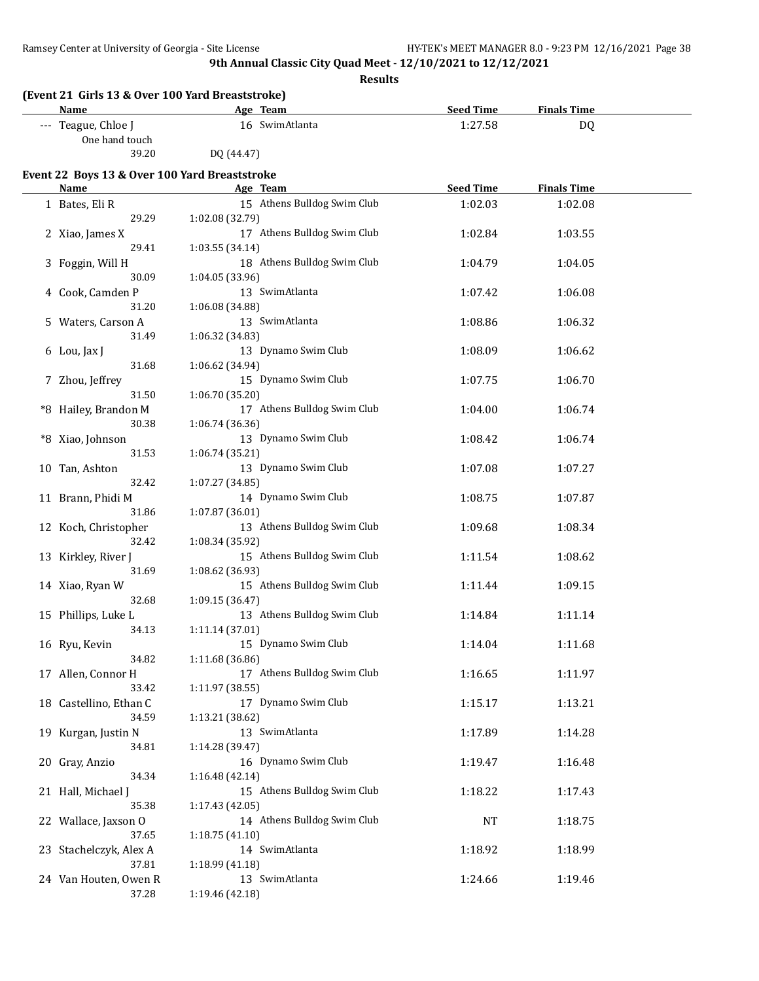| (Event 21 Girls 13 & Over 100 Yard Breaststroke)<br><b>Name</b> | Age Team                                       | <b>Seed Time</b> | <b>Finals Time</b> |  |
|-----------------------------------------------------------------|------------------------------------------------|------------------|--------------------|--|
| --- Teague, Chloe J                                             | 16 SwimAtlanta                                 | 1:27.58          | DQ                 |  |
| One hand touch                                                  |                                                |                  |                    |  |
| 39.20                                                           | DQ (44.47)                                     |                  |                    |  |
|                                                                 |                                                |                  |                    |  |
| Event 22 Boys 13 & Over 100 Yard Breaststroke<br><b>Name</b>    | Age Team                                       | <b>Seed Time</b> | <b>Finals Time</b> |  |
| 1 Bates, Eli R                                                  | 15 Athens Bulldog Swim Club                    | 1:02.03          | 1:02.08            |  |
| 29.29                                                           | 1:02.08 (32.79)                                |                  |                    |  |
| 2 Xiao, James X                                                 | 17 Athens Bulldog Swim Club                    | 1:02.84          | 1:03.55            |  |
| 29.41                                                           | 1:03.55 (34.14)                                |                  |                    |  |
| 3 Foggin, Will H                                                | 18 Athens Bulldog Swim Club                    | 1:04.79          | 1:04.05            |  |
| 30.09                                                           | 1:04.05 (33.96)                                |                  |                    |  |
| 4 Cook, Camden P                                                | 13 SwimAtlanta                                 | 1:07.42          | 1:06.08            |  |
| 31.20                                                           | 1:06.08 (34.88)                                |                  |                    |  |
| 5 Waters, Carson A                                              | 13 SwimAtlanta                                 | 1:08.86          | 1:06.32            |  |
| 31.49                                                           | 1:06.32 (34.83)                                |                  |                    |  |
| 6 Lou, Jax J                                                    | 13 Dynamo Swim Club                            | 1:08.09          | 1:06.62            |  |
| 31.68                                                           | 1:06.62 (34.94)                                |                  |                    |  |
| 7 Zhou, Jeffrey                                                 | 15 Dynamo Swim Club                            | 1:07.75          | 1:06.70            |  |
| 31.50                                                           | 1:06.70 (35.20)                                |                  |                    |  |
| *8 Hailey, Brandon M                                            | 17 Athens Bulldog Swim Club                    | 1:04.00          | 1:06.74            |  |
| 30.38                                                           | 1:06.74 (36.36)                                |                  |                    |  |
| *8 Xiao, Johnson                                                | 13 Dynamo Swim Club                            | 1:08.42          | 1:06.74            |  |
| 31.53                                                           | 1:06.74 (35.21)                                |                  |                    |  |
| 10 Tan, Ashton                                                  | 13 Dynamo Swim Club                            | 1:07.08          | 1:07.27            |  |
| 32.42                                                           | 1:07.27 (34.85)                                |                  |                    |  |
| 11 Brann, Phidi M<br>31.86                                      | 14 Dynamo Swim Club                            | 1:08.75          | 1:07.87            |  |
|                                                                 | 1:07.87 (36.01)<br>13 Athens Bulldog Swim Club |                  |                    |  |
| 12 Koch, Christopher<br>32.42                                   | 1:08.34 (35.92)                                | 1:09.68          | 1:08.34            |  |
| 13 Kirkley, River J                                             | 15 Athens Bulldog Swim Club                    | 1:11.54          | 1:08.62            |  |
| 31.69                                                           | 1:08.62 (36.93)                                |                  |                    |  |
| 14 Xiao, Ryan W                                                 | 15 Athens Bulldog Swim Club                    | 1:11.44          | 1:09.15            |  |
| 32.68                                                           | 1:09.15 (36.47)                                |                  |                    |  |
| 15 Phillips, Luke L                                             | 13 Athens Bulldog Swim Club                    | 1:14.84          | 1:11.14            |  |
| 34.13                                                           | 1:11.14 (37.01)                                |                  |                    |  |
| 16 Ryu, Kevin                                                   | 15 Dynamo Swim Club                            | 1:14.04          | 1:11.68            |  |
| 34.82                                                           | 1:11.68 (36.86)                                |                  |                    |  |
| 17 Allen, Connor H                                              | 17 Athens Bulldog Swim Club                    | 1:16.65          | 1:11.97            |  |
| 33.42                                                           | 1:11.97(38.55)                                 |                  |                    |  |
| 18 Castellino, Ethan C                                          | 17 Dynamo Swim Club                            | 1:15.17          | 1:13.21            |  |
| 34.59                                                           | 1:13.21 (38.62)                                |                  |                    |  |
| 19 Kurgan, Justin N                                             | 13 SwimAtlanta                                 | 1:17.89          | 1:14.28            |  |
| 34.81                                                           | 1:14.28 (39.47)                                |                  |                    |  |
| 20 Gray, Anzio                                                  | 16 Dynamo Swim Club                            | 1:19.47          | 1:16.48            |  |
| 34.34                                                           | 1:16.48(42.14)                                 |                  |                    |  |
| 21 Hall, Michael J                                              | 15 Athens Bulldog Swim Club                    | 1:18.22          | 1:17.43            |  |
| 35.38                                                           | 1:17.43 (42.05)                                |                  |                    |  |
| 22 Wallace, Jaxson O                                            | 14 Athens Bulldog Swim Club                    | NT               | 1:18.75            |  |
| 37.65                                                           | 1:18.75(41.10)                                 |                  |                    |  |
| 23 Stachelczyk, Alex A                                          | 14 SwimAtlanta                                 | 1:18.92          | 1:18.99            |  |
| 37.81                                                           | 1:18.99 (41.18)                                |                  |                    |  |
| 24 Van Houten, Owen R                                           | 13 SwimAtlanta                                 | 1:24.66          | 1:19.46            |  |
| 37.28                                                           | 1:19.46 (42.18)                                |                  |                    |  |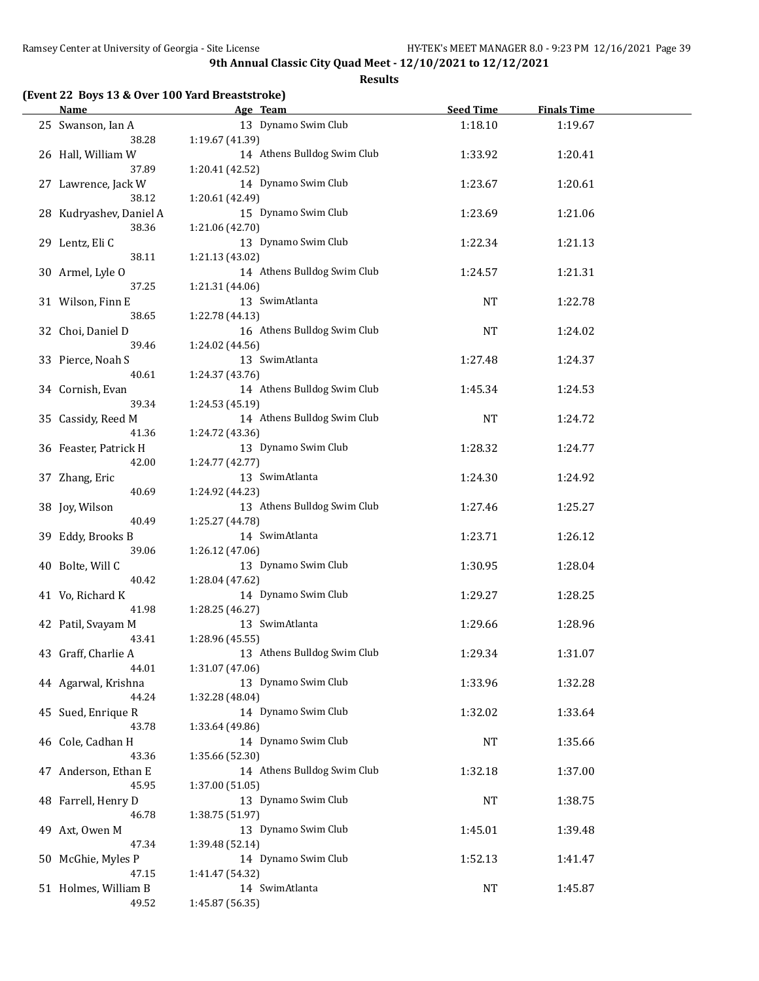**Results**

#### **(Event 22 Boys 13 & Over 100 Yard Breaststroke)**

| <b>Name</b>               | Age Team                               | <b>Seed Time</b> | <b>Finals Time</b> |  |
|---------------------------|----------------------------------------|------------------|--------------------|--|
| 25 Swanson, Ian A         | 13 Dynamo Swim Club                    | 1:18.10          | 1:19.67            |  |
| 38.28                     | 1:19.67 (41.39)                        |                  |                    |  |
| 26 Hall, William W        | 14 Athens Bulldog Swim Club            | 1:33.92          | 1:20.41            |  |
| 37.89                     | 1:20.41 (42.52)                        |                  |                    |  |
| 27 Lawrence, Jack W       | 14 Dynamo Swim Club                    | 1:23.67          | 1:20.61            |  |
| 38.12                     | 1:20.61 (42.49)                        |                  |                    |  |
| 28 Kudryashev, Daniel A   | 15 Dynamo Swim Club                    | 1:23.69          | 1:21.06            |  |
| 38.36                     | 1:21.06 (42.70)                        |                  |                    |  |
|                           | 13 Dynamo Swim Club                    |                  |                    |  |
| 29 Lentz, Eli C           |                                        | 1:22.34          | 1:21.13            |  |
| 38.11                     | 1:21.13 (43.02)                        |                  |                    |  |
| 30 Armel, Lyle O          | 14 Athens Bulldog Swim Club            | 1:24.57          | 1:21.31            |  |
| 37.25                     | 1:21.31 (44.06)                        |                  |                    |  |
| 31 Wilson, Finn E         | 13 SwimAtlanta                         | NT               | 1:22.78            |  |
| 38.65                     | 1:22.78 (44.13)                        |                  |                    |  |
| 32 Choi, Daniel D         | 16 Athens Bulldog Swim Club            | <b>NT</b>        | 1:24.02            |  |
| 39.46                     | 1:24.02 (44.56)                        |                  |                    |  |
| 33 Pierce, Noah S         | 13 SwimAtlanta                         | 1:27.48          | 1:24.37            |  |
| 40.61                     | 1:24.37(43.76)                         |                  |                    |  |
| 34 Cornish, Evan          | 14 Athens Bulldog Swim Club            | 1:45.34          | 1:24.53            |  |
| 39.34                     | 1:24.53 (45.19)                        |                  |                    |  |
| 35 Cassidy, Reed M        | 14 Athens Bulldog Swim Club            | <b>NT</b>        | 1:24.72            |  |
| 41.36                     | 1:24.72 (43.36)                        |                  |                    |  |
| 36 Feaster, Patrick H     | 13 Dynamo Swim Club                    | 1:28.32          | 1:24.77            |  |
| 42.00                     | 1:24.77 (42.77)                        |                  |                    |  |
| 37 Zhang, Eric            | 13 SwimAtlanta                         | 1:24.30          | 1:24.92            |  |
| 40.69                     | 1:24.92 (44.23)                        |                  |                    |  |
| 38 Joy, Wilson            | 13 Athens Bulldog Swim Club            | 1:27.46          | 1:25.27            |  |
| 40.49                     | 1:25.27 (44.78)                        |                  |                    |  |
| 39 Eddy, Brooks B         | 14 SwimAtlanta                         | 1:23.71          | 1:26.12            |  |
| 39.06                     | 1:26.12 (47.06)                        |                  |                    |  |
|                           | 13 Dynamo Swim Club                    |                  |                    |  |
| 40 Bolte, Will C<br>40.42 |                                        | 1:30.95          | 1:28.04            |  |
|                           | 1:28.04 (47.62)<br>14 Dynamo Swim Club |                  |                    |  |
| 41 Vo, Richard K          |                                        | 1:29.27          | 1:28.25            |  |
| 41.98                     | 1:28.25 (46.27)<br>13 SwimAtlanta      |                  |                    |  |
| 42 Patil, Svayam M        |                                        | 1:29.66          | 1:28.96            |  |
| 43.41                     | 1:28.96 (45.55)                        |                  |                    |  |
| 43 Graff, Charlie A       | 13 Athens Bulldog Swim Club            | 1:29.34          | 1:31.07            |  |
| 44.01                     | 1:31.07 (47.06)                        |                  |                    |  |
| 44 Agarwal, Krishna       | 13 Dynamo Swim Club                    | 1:33.96          | 1:32.28            |  |
| 44.24                     | 1:32.28 (48.04)                        |                  |                    |  |
| 45 Sued, Enrique R        | 14 Dynamo Swim Club                    | 1:32.02          | 1:33.64            |  |
| 43.78                     | 1:33.64 (49.86)                        |                  |                    |  |
| 46 Cole, Cadhan H         | 14 Dynamo Swim Club                    | <b>NT</b>        | 1:35.66            |  |
| 43.36                     | 1:35.66 (52.30)                        |                  |                    |  |
| 47 Anderson, Ethan E      | 14 Athens Bulldog Swim Club            | 1:32.18          | 1:37.00            |  |
| 45.95                     | 1:37.00 (51.05)                        |                  |                    |  |
| 48 Farrell, Henry D       | 13 Dynamo Swim Club                    | <b>NT</b>        | 1:38.75            |  |
| 46.78                     | 1:38.75 (51.97)                        |                  |                    |  |
| 49 Axt, Owen M            | 13 Dynamo Swim Club                    | 1:45.01          | 1:39.48            |  |
| 47.34                     | 1:39.48 (52.14)                        |                  |                    |  |
| 50 McGhie, Myles P        | 14 Dynamo Swim Club                    | 1:52.13          | 1:41.47            |  |
| 47.15                     | 1:41.47 (54.32)                        |                  |                    |  |
| 51 Holmes, William B      | 14 SwimAtlanta                         | NT               | 1:45.87            |  |
| 49.52                     | 1:45.87 (56.35)                        |                  |                    |  |
|                           |                                        |                  |                    |  |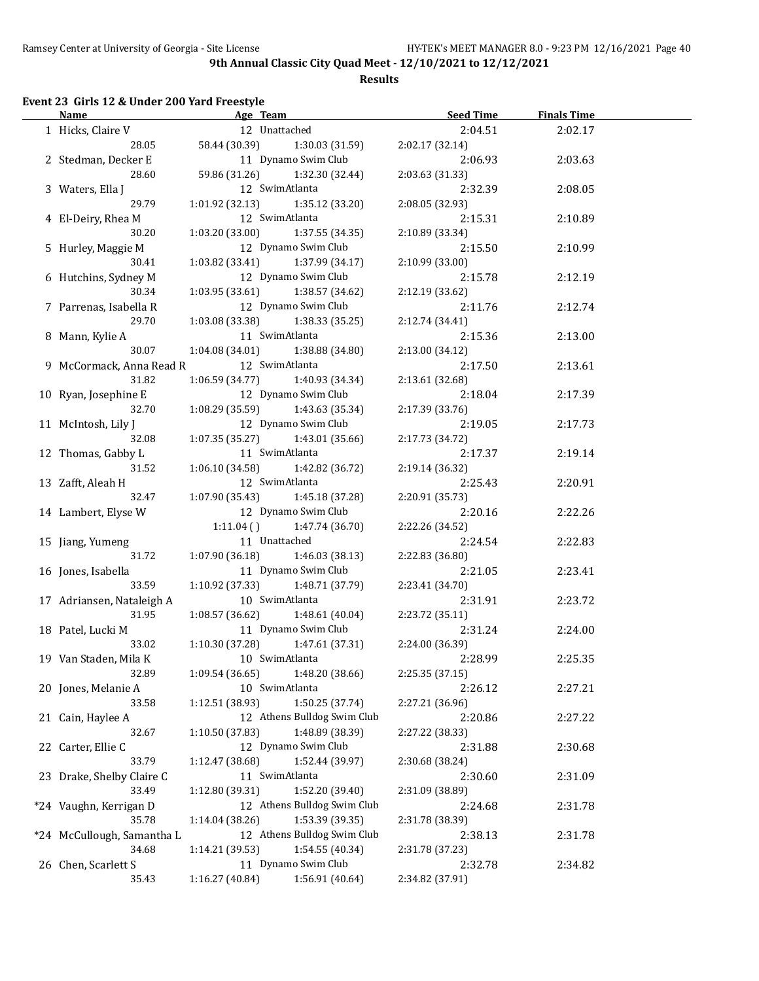**Results**

## **Event 23 Girls 12 & Under 200 Yard Freestyle**

| Name and the state of the state of the state of the state of the state of the state of the state of the state of the state of the state of the state of the state of the state of the state of the state of the state of the s | Age Team                            |                                   | Seed Time       | <b>Finals Time</b> |  |
|--------------------------------------------------------------------------------------------------------------------------------------------------------------------------------------------------------------------------------|-------------------------------------|-----------------------------------|-----------------|--------------------|--|
| 1 Hicks, Claire V                                                                                                                                                                                                              |                                     | 12 Unattached                     | 2:04.51         | 2:02.17            |  |
| 28.05                                                                                                                                                                                                                          | 58.44 (30.39)                       | 1:30.03 (31.59)                   | 2:02.17 (32.14) |                    |  |
| 2 Stedman, Decker E                                                                                                                                                                                                            |                                     | 11 Dynamo Swim Club               | 2:06.93         | 2:03.63            |  |
| 28.60                                                                                                                                                                                                                          | 59.86 (31.26)                       | 1:32.30 (32.44)                   | 2:03.63 (31.33) |                    |  |
| 3 Waters, Ella J                                                                                                                                                                                                               |                                     | 12 SwimAtlanta                    | 2:32.39         | 2:08.05            |  |
| 29.79                                                                                                                                                                                                                          | 1:01.92 (32.13)                     | 1:35.12 (33.20)                   | 2:08.05 (32.93) |                    |  |
| 4 El-Deiry, Rhea M                                                                                                                                                                                                             |                                     | 12 SwimAtlanta                    | 2:15.31         | 2:10.89            |  |
| 30.20                                                                                                                                                                                                                          | 1:03.20(33.00)                      | 1:37.55 (34.35)                   | 2:10.89 (33.34) |                    |  |
| 5 Hurley, Maggie M                                                                                                                                                                                                             |                                     | 12 Dynamo Swim Club               | 2:15.50         | 2:10.99            |  |
| 30.41                                                                                                                                                                                                                          | 1:03.82 (33.41) 1:37.99 (34.17)     |                                   | 2:10.99 (33.00) |                    |  |
| 6 Hutchins, Sydney M                                                                                                                                                                                                           |                                     | 12 Dynamo Swim Club               | 2:15.78         | 2:12.19            |  |
| 30.34                                                                                                                                                                                                                          | $1:03.95(33.61)$ $1:38.57(34.62)$   |                                   | 2:12.19 (33.62) |                    |  |
| 7 Parrenas, Isabella R                                                                                                                                                                                                         |                                     | 12 Dynamo Swim Club               | 2:11.76         | 2:12.74            |  |
| 29.70                                                                                                                                                                                                                          | 1:03.08 (33.38) 1:38.33 (35.25)     |                                   | 2:12.74 (34.41) |                    |  |
| 8 Mann, Kylie A                                                                                                                                                                                                                |                                     | 11 SwimAtlanta                    | 2:15.36         | 2:13.00            |  |
| 30.07                                                                                                                                                                                                                          | $1:04.08(34.01)$ $1:38.88(34.80)$   |                                   | 2:13.00 (34.12) |                    |  |
| 9 McCormack, Anna Read R                                                                                                                                                                                                       | 12 SwimAtlanta                      |                                   | 2:17.50         | 2:13.61            |  |
| 31.82                                                                                                                                                                                                                          | $1:06.59(34.77)$ $1:40.93(34.34)$   |                                   | 2:13.61 (32.68) |                    |  |
| 10 Ryan, Josephine E                                                                                                                                                                                                           |                                     | 12 Dynamo Swim Club               | 2:18.04         | 2:17.39            |  |
| 32.70                                                                                                                                                                                                                          | $1:08.29(35.59)$ $1:43.63(35.34)$   |                                   | 2:17.39 (33.76) |                    |  |
| 11 McIntosh, Lily J                                                                                                                                                                                                            |                                     | 12 Dynamo Swim Club               | 2:19.05         | 2:17.73            |  |
| 32.08                                                                                                                                                                                                                          | $1:07.35(35.27)$ $1:43.01(35.66)$   |                                   | 2:17.73 (34.72) |                    |  |
| 12 Thomas, Gabby L                                                                                                                                                                                                             |                                     | 11 SwimAtlanta                    | 2:17.37         | 2:19.14            |  |
| 31.52                                                                                                                                                                                                                          | 1:06.10 (34.58) 1:42.82 (36.72)     |                                   | 2:19.14 (36.32) |                    |  |
| 13 Zafft, Aleah H                                                                                                                                                                                                              |                                     | 12 SwimAtlanta                    | 2:25.43         | 2:20.91            |  |
| 32.47                                                                                                                                                                                                                          | $1:07.90(35.43)$ $1:45.18(37.28)$   |                                   | 2:20.91 (35.73) |                    |  |
| 14 Lambert, Elyse W                                                                                                                                                                                                            |                                     | 12 Dynamo Swim Club               | 2:20.16         | 2:22.26            |  |
|                                                                                                                                                                                                                                |                                     | $1:11.04$ () $1:47.74$ (36.70)    | 2:22.26 (34.52) |                    |  |
| 15 Jiang, Yumeng                                                                                                                                                                                                               | 11 Unattached                       |                                   | 2:24.54         | 2:22.83            |  |
| 31.72                                                                                                                                                                                                                          | $1:07.90(36.18)$ $1:46.03(38.13)$   |                                   | 2:22.83 (36.80) |                    |  |
| 16 Jones, Isabella                                                                                                                                                                                                             |                                     | 11 Dynamo Swim Club               | 2:21.05         | 2:23.41            |  |
| 33.59                                                                                                                                                                                                                          | $1:10.92$ (37.33) $1:48.71$ (37.79) |                                   | 2:23.41 (34.70) |                    |  |
| 17 Adriansen, Nataleigh A                                                                                                                                                                                                      |                                     | 10 SwimAtlanta                    | 2:31.91         | 2:23.72            |  |
| 31.95                                                                                                                                                                                                                          |                                     | $1:08.57(36.62)$ $1:48.61(40.04)$ | 2:23.72 (35.11) |                    |  |
| 18 Patel, Lucki M                                                                                                                                                                                                              |                                     | 11 Dynamo Swim Club               | 2:31.24         | 2:24.00            |  |
| 33.02                                                                                                                                                                                                                          |                                     | $1:10.30(37.28)$ $1:47.61(37.31)$ | 2:24.00 (36.39) |                    |  |
| 19 Van Staden, Mila K 10 SwimAtlanta                                                                                                                                                                                           |                                     |                                   | 2:28.99         | 2:25.35            |  |
| 32.89                                                                                                                                                                                                                          | 1:09.54(36.65)                      | 1:48.20 (38.66)                   | 2:25.35 (37.15) |                    |  |
| 20 Jones, Melanie A                                                                                                                                                                                                            |                                     | 10 SwimAtlanta                    | 2:26.12         | 2:27.21            |  |
| 33.58                                                                                                                                                                                                                          | 1:12.51(38.93)                      | 1:50.25 (37.74)                   | 2:27.21 (36.96) |                    |  |
| 21 Cain, Haylee A                                                                                                                                                                                                              |                                     | 12 Athens Bulldog Swim Club       | 2:20.86         | 2:27.22            |  |
| 32.67                                                                                                                                                                                                                          | 1:10.50 (37.83)                     | 1:48.89 (38.39)                   | 2:27.22 (38.33) |                    |  |
| 22 Carter, Ellie C                                                                                                                                                                                                             |                                     | 12 Dynamo Swim Club               | 2:31.88         | 2:30.68            |  |
| 33.79                                                                                                                                                                                                                          | 1:12.47 (38.68)                     | 1:52.44 (39.97)                   | 2:30.68 (38.24) |                    |  |
| 23 Drake, Shelby Claire C                                                                                                                                                                                                      |                                     | 11 SwimAtlanta                    | 2:30.60         | 2:31.09            |  |
| 33.49                                                                                                                                                                                                                          | 1:12.80(39.31)                      | 1:52.20 (39.40)                   | 2:31.09 (38.89) |                    |  |
| *24 Vaughn, Kerrigan D                                                                                                                                                                                                         |                                     | 12 Athens Bulldog Swim Club       | 2:24.68         | 2:31.78            |  |
| 35.78                                                                                                                                                                                                                          | 1:14.04 (38.26)                     | 1:53.39 (39.35)                   | 2:31.78 (38.39) |                    |  |
| *24 McCullough, Samantha L                                                                                                                                                                                                     |                                     | 12 Athens Bulldog Swim Club       | 2:38.13         | 2:31.78            |  |
| 34.68                                                                                                                                                                                                                          | 1:14.21 (39.53)                     | 1:54.55 (40.34)                   | 2:31.78 (37.23) |                    |  |
| 26 Chen, Scarlett S                                                                                                                                                                                                            |                                     | 11 Dynamo Swim Club               | 2:32.78         | 2:34.82            |  |
| 35.43                                                                                                                                                                                                                          | 1:16.27 (40.84)                     | 1:56.91 (40.64)                   | 2:34.82 (37.91) |                    |  |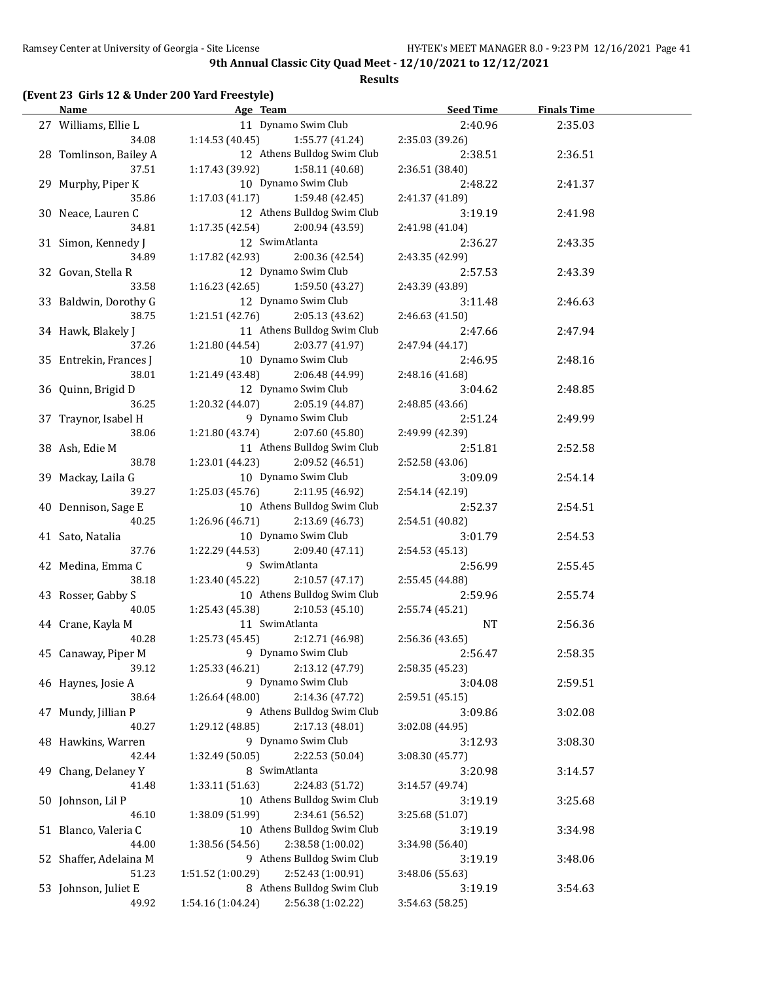**Results**

# **(Event 23 Girls 12 & Under 200 Yard Freestyle)**

| <b>Name</b>                 | Age Team and the state of the state of the state of the state of the state of the state of the state of the state of the state of the state of the state of the state of the state of the state of the state of the state of t | <b>Seed Time</b>           | <b>Finals Time</b> |  |
|-----------------------------|--------------------------------------------------------------------------------------------------------------------------------------------------------------------------------------------------------------------------------|----------------------------|--------------------|--|
| 27 Williams, Ellie L        | 11 Dynamo Swim Club                                                                                                                                                                                                            | 2:40.96                    | 2:35.03            |  |
| 34.08                       | 1:14.53 (40.45)<br>1:55.77 (41.24)                                                                                                                                                                                             | 2:35.03 (39.26)            |                    |  |
| 28 Tomlinson, Bailey A      | 12 Athens Bulldog Swim Club                                                                                                                                                                                                    | 2:38.51                    | 2:36.51            |  |
| 37.51                       | 1:17.43 (39.92)<br>1:58.11 (40.68)                                                                                                                                                                                             | 2:36.51 (38.40)            |                    |  |
| 29 Murphy, Piper K          | 10 Dynamo Swim Club                                                                                                                                                                                                            | 2:48.22                    | 2:41.37            |  |
| 35.86                       | 1:17.03 (41.17)<br>1:59.48 (42.45)                                                                                                                                                                                             | 2:41.37 (41.89)            |                    |  |
| 30 Neace, Lauren C          | 12 Athens Bulldog Swim Club                                                                                                                                                                                                    | 3:19.19                    | 2:41.98            |  |
| 34.81                       | 1:17.35 (42.54)<br>2:00.94 (43.59)                                                                                                                                                                                             | 2:41.98 (41.04)            |                    |  |
| 31 Simon, Kennedy J         | 12 SwimAtlanta                                                                                                                                                                                                                 | 2:36.27                    | 2:43.35            |  |
| 34.89                       | 1:17.82 (42.93)<br>2:00.36 (42.54)                                                                                                                                                                                             | 2:43.35 (42.99)            |                    |  |
|                             | 12 Dynamo Swim Club                                                                                                                                                                                                            |                            | 2:43.39            |  |
| 32 Govan, Stella R<br>33.58 | 1:16.23 (42.65)<br>1:59.50 (43.27)                                                                                                                                                                                             | 2:57.53<br>2:43.39 (43.89) |                    |  |
|                             | 12 Dynamo Swim Club                                                                                                                                                                                                            |                            |                    |  |
| 33 Baldwin, Dorothy G       |                                                                                                                                                                                                                                | 3:11.48                    | 2:46.63            |  |
| 38.75                       | 1:21.51 (42.76)<br>2:05.13 (43.62)                                                                                                                                                                                             | 2:46.63 (41.50)            |                    |  |
| 34 Hawk, Blakely J          | 11 Athens Bulldog Swim Club                                                                                                                                                                                                    | 2:47.66                    | 2:47.94            |  |
| 37.26                       | 1:21.80 (44.54)<br>2:03.77 (41.97)                                                                                                                                                                                             | 2:47.94 (44.17)            |                    |  |
| 35 Entrekin, Frances J      | 10 Dynamo Swim Club                                                                                                                                                                                                            | 2:46.95                    | 2:48.16            |  |
| 38.01                       | 1:21.49 (43.48)<br>2:06.48 (44.99)                                                                                                                                                                                             | 2:48.16 (41.68)            |                    |  |
| 36 Quinn, Brigid D          | 12 Dynamo Swim Club                                                                                                                                                                                                            | 3:04.62                    | 2:48.85            |  |
| 36.25                       | 1:20.32 (44.07)<br>2:05.19 (44.87)                                                                                                                                                                                             | 2:48.85 (43.66)            |                    |  |
| 37 Traynor, Isabel H        | 9 Dynamo Swim Club                                                                                                                                                                                                             | 2:51.24                    | 2:49.99            |  |
| 38.06                       | 1:21.80 (43.74)<br>2:07.60 (45.80)                                                                                                                                                                                             | 2:49.99 (42.39)            |                    |  |
| 38 Ash, Edie M              | 11 Athens Bulldog Swim Club                                                                                                                                                                                                    | 2:51.81                    | 2:52.58            |  |
| 38.78                       | 1:23.01 (44.23)<br>2:09.52 (46.51)                                                                                                                                                                                             | 2:52.58 (43.06)            |                    |  |
| 39 Mackay, Laila G          | 10 Dynamo Swim Club                                                                                                                                                                                                            | 3:09.09                    | 2:54.14            |  |
| 39.27                       | 1:25.03(45.76)<br>2:11.95 (46.92)                                                                                                                                                                                              | 2:54.14 (42.19)            |                    |  |
| 40 Dennison, Sage E         | 10 Athens Bulldog Swim Club                                                                                                                                                                                                    | 2:52.37                    | 2:54.51            |  |
| 40.25                       | 1:26.96 (46.71)<br>2:13.69 (46.73)                                                                                                                                                                                             | 2:54.51 (40.82)            |                    |  |
| 41 Sato, Natalia            | 10 Dynamo Swim Club                                                                                                                                                                                                            | 3:01.79                    | 2:54.53            |  |
| 37.76                       | 1:22.29 (44.53)<br>2:09.40 (47.11)                                                                                                                                                                                             | 2:54.53 (45.13)            |                    |  |
| 42 Medina, Emma C           | 9 SwimAtlanta                                                                                                                                                                                                                  | 2:56.99                    | 2:55.45            |  |
| 38.18                       | 2:10.57(47.17)<br>1:23.40 (45.22)                                                                                                                                                                                              | 2:55.45 (44.88)            |                    |  |
| 43 Rosser, Gabby S          | 10 Athens Bulldog Swim Club                                                                                                                                                                                                    | 2:59.96                    | 2:55.74            |  |
| 40.05                       | 2:10.53(45.10)<br>1:25.43 (45.38)                                                                                                                                                                                              | 2:55.74 (45.21)            |                    |  |
| 44 Crane, Kayla M           | 11 SwimAtlanta                                                                                                                                                                                                                 | <b>NT</b>                  | 2:56.36            |  |
| 40.28                       | $1:25.73(45.45)$ $2:12.71(46.98)$                                                                                                                                                                                              | 2:56.36(43.65)             |                    |  |
| 45 Canaway, Piper M         | 9 Dynamo Swim Club                                                                                                                                                                                                             | 2:56.47                    | 2:58.35            |  |
| 39.12                       | 2:13.12 (47.79)<br>1:25.33 (46.21)                                                                                                                                                                                             | 2:58.35 (45.23)            |                    |  |
| 46 Haynes, Josie A          | 9 Dynamo Swim Club                                                                                                                                                                                                             | 3:04.08                    | 2:59.51            |  |
| 38.64                       | 1:26.64 (48.00)<br>2:14.36 (47.72)                                                                                                                                                                                             | 2:59.51 (45.15)            |                    |  |
| 47 Mundy, Jillian P         | 9 Athens Bulldog Swim Club                                                                                                                                                                                                     | 3:09.86                    | 3:02.08            |  |
| 40.27                       | 1:29.12 (48.85)<br>2:17.13 (48.01)                                                                                                                                                                                             | 3:02.08 (44.95)            |                    |  |
| 48 Hawkins, Warren          | 9 Dynamo Swim Club                                                                                                                                                                                                             | 3:12.93                    | 3:08.30            |  |
| 42.44                       | 1:32.49 (50.05)<br>2:22.53 (50.04)                                                                                                                                                                                             | 3:08.30 (45.77)            |                    |  |
| 49 Chang, Delaney Y         | 8 SwimAtlanta                                                                                                                                                                                                                  | 3:20.98                    | 3:14.57            |  |
| 41.48                       | 1:33.11 (51.63)<br>2:24.83 (51.72)                                                                                                                                                                                             | 3:14.57 (49.74)            |                    |  |
| 50 Johnson, Lil P           | 10 Athens Bulldog Swim Club                                                                                                                                                                                                    | 3:19.19                    | 3:25.68            |  |
| 46.10                       | 2:34.61 (56.52)<br>1:38.09 (51.99)                                                                                                                                                                                             | 3:25.68 (51.07)            |                    |  |
| 51 Blanco, Valeria C        | 10 Athens Bulldog Swim Club                                                                                                                                                                                                    | 3:19.19                    | 3:34.98            |  |
| 44.00                       | 2:38.58 (1:00.02)<br>1:38.56 (54.56)                                                                                                                                                                                           | 3:34.98 (56.40)            |                    |  |
| 52 Shaffer, Adelaina M      | 9 Athens Bulldog Swim Club                                                                                                                                                                                                     | 3:19.19                    | 3:48.06            |  |
| 51.23                       | 2:52.43 (1:00.91)<br>1:51.52 (1:00.29)                                                                                                                                                                                         | 3:48.06 (55.63)            |                    |  |
| 53 Johnson, Juliet E        | 8 Athens Bulldog Swim Club                                                                                                                                                                                                     | 3:19.19                    | 3:54.63            |  |
| 49.92                       | 1:54.16 (1:04.24)<br>2:56.38 (1:02.22)                                                                                                                                                                                         | 3:54.63 (58.25)            |                    |  |
|                             |                                                                                                                                                                                                                                |                            |                    |  |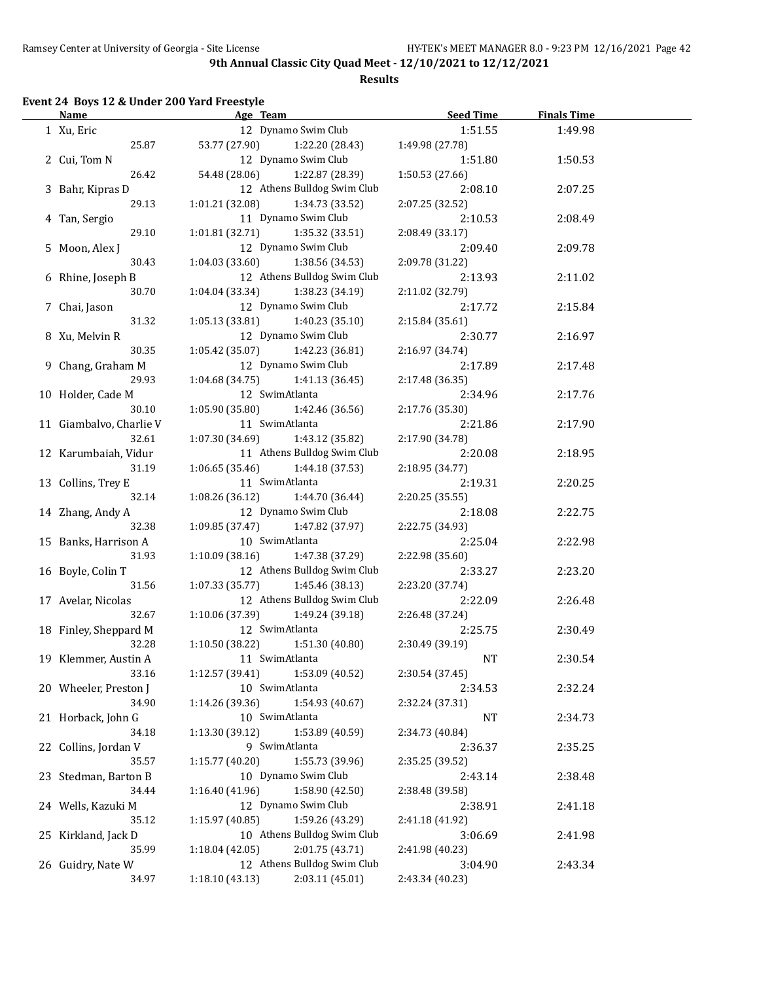**Results**

## **Event 24 Boys 12 & Under 200 Yard Freestyle**

| Name                           | Age Team                                                         | Seed Time                  | <b>Finals Time</b> |  |
|--------------------------------|------------------------------------------------------------------|----------------------------|--------------------|--|
| 1 Xu, Eric                     | 12 Dynamo Swim Club                                              | 1:51.55                    | 1:49.98            |  |
| 25.87                          | 53.77 (27.90)<br>1:22.20 (28.43)                                 | 1:49.98 (27.78)            |                    |  |
| 2 Cui, Tom N                   | 12 Dynamo Swim Club                                              | 1:51.80                    | 1:50.53            |  |
| 26.42                          | 54.48 (28.06)<br>1:22.87 (28.39)                                 | 1:50.53 (27.66)            |                    |  |
| 3 Bahr, Kipras D               | 12 Athens Bulldog Swim Club                                      | 2:08.10                    | 2:07.25            |  |
| 29.13                          | 1:01.21(32.08)<br>1:34.73 (33.52)                                | 2:07.25 (32.52)            |                    |  |
| 4 Tan, Sergio                  | 11 Dynamo Swim Club                                              | 2:10.53                    | 2:08.49            |  |
| 29.10                          | 1:35.32 (33.51)<br>1:01.81(32.71)                                | 2:08.49 (33.17)            |                    |  |
| 5 Moon, Alex J                 | 12 Dynamo Swim Club                                              | 2:09.40                    | 2:09.78            |  |
| 30.43                          | 1:04.03(33.60)<br>1:38.56 (34.53)                                | 2:09.78 (31.22)            |                    |  |
| 6 Rhine, Joseph B              | 12 Athens Bulldog Swim Club                                      | 2:13.93                    | 2:11.02            |  |
| 30.70                          | 1:04.04 (33.34)<br>1:38.23 (34.19)                               | 2:11.02 (32.79)            |                    |  |
| 7 Chai, Jason                  | 12 Dynamo Swim Club                                              | 2:17.72                    | 2:15.84            |  |
| 31.32                          | 1:05.13(33.81)<br>1:40.23 (35.10)                                | 2:15.84 (35.61)            |                    |  |
| 8 Xu, Melvin R                 | 12 Dynamo Swim Club                                              | 2:30.77                    | 2:16.97            |  |
| 30.35                          | $1:05.42(35.07)$ $1:42.23(36.81)$                                | 2:16.97 (34.74)            |                    |  |
| 9 Chang, Graham M              | 12 Dynamo Swim Club                                              | 2:17.89                    | 2:17.48            |  |
| 29.93                          | $1:04.68(34.75)$ $1:41.13(36.45)$                                | 2:17.48 (36.35)            |                    |  |
| 10 Holder, Cade M              | 12 SwimAtlanta                                                   | 2:34.96                    | 2:17.76            |  |
| 30.10                          | 1:05.90(35.80)<br>1:42.46 (36.56)                                | 2:17.76 (35.30)            |                    |  |
| 11 Giambalvo, Charlie V        | 11 SwimAtlanta                                                   |                            |                    |  |
| 32.61                          | 1:43.12 (35.82)                                                  | 2:21.86                    | 2:17.90            |  |
|                                | 1:07.30 (34.69)<br>11 Athens Bulldog Swim Club                   | 2:17.90 (34.78)            |                    |  |
| 12 Karumbaiah, Vidur<br>31.19  | $1:06.65(35.46)$ $1:44.18(37.53)$                                | 2:20.08                    | 2:18.95            |  |
| 13 Collins, Trey E             | 11 SwimAtlanta                                                   | 2:18.95 (34.77)            |                    |  |
| 32.14                          | 1:44.70 (36.44)<br>1:08.26 (36.12)                               | 2:19.31<br>2:20.25 (35.55) | 2:20.25            |  |
|                                | 12 Dynamo Swim Club                                              |                            |                    |  |
| 14 Zhang, Andy A<br>32.38      | 1:09.85(37.47)<br>1:47.82 (37.97)                                | 2:18.08<br>2:22.75 (34.93) | 2:22.75            |  |
| 15 Banks, Harrison A           | 10 SwimAtlanta                                                   | 2:25.04                    | 2:22.98            |  |
| 31.93                          | 1:10.09(38.16)<br>1:47.38 (37.29)                                | 2:22.98 (35.60)            |                    |  |
| 16 Boyle, Colin T              | 12 Athens Bulldog Swim Club                                      | 2:33.27                    | 2:23.20            |  |
| 31.56                          | 1:07.33 (35.77)<br>1:45.46 (38.13)                               | 2:23.20 (37.74)            |                    |  |
| 17 Avelar, Nicolas             | 12 Athens Bulldog Swim Club                                      | 2:22.09                    | 2:26.48            |  |
| 32.67                          | 1:10.06 (37.39)<br>1:49.24 (39.18)                               | 2:26.48 (37.24)            |                    |  |
| 18 Finley, Sheppard M          | 12 SwimAtlanta                                                   | 2:25.75                    | 2:30.49            |  |
| 32.28                          | $1:10.50(38.22)$ $1:51.30(40.80)$                                | 2:30.49 (39.19)            |                    |  |
|                                | 11 SwimAtlanta                                                   |                            |                    |  |
| 19 Klemmer, Austin A<br>33.16  |                                                                  | NT                         | 2:30.54            |  |
|                                | 1:12.57 (39.41)<br>1:53.09 (40.52)<br>10 SwimAtlanta             | 2:30.54 (37.45)            |                    |  |
| 20 Wheeler, Preston J<br>34.90 |                                                                  | 2:34.53                    | 2:32.24            |  |
|                                | 1:54.93 (40.67)<br>1:14.26 (39.36)<br>10 SwimAtlanta             | 2:32.24 (37.31)            |                    |  |
| 21 Horback, John G             |                                                                  | NT                         | 2:34.73            |  |
| 34.18                          | 1:13.30 (39.12)<br>1:53.89 (40.59)<br>9 SwimAtlanta              | 2:34.73 (40.84)            |                    |  |
| 22 Collins, Jordan V           | 1:55.73 (39.96)                                                  | 2:36.37                    | 2:35.25            |  |
| 35.57                          | 1:15.77 (40.20)<br>10 Dynamo Swim Club                           | 2:35.25 (39.52)            |                    |  |
| 23 Stedman, Barton B           |                                                                  | 2:43.14                    | 2:38.48            |  |
| 34.44                          | 1:16.40 (41.96)<br>1:58.90 (42.50)<br>12 Dynamo Swim Club        | 2:38.48 (39.58)            |                    |  |
| 24 Wells, Kazuki M             |                                                                  | 2:38.91                    | 2:41.18            |  |
| 35.12                          | 1:59.26 (43.29)<br>1:15.97 (40.85)                               | 2:41.18 (41.92)            |                    |  |
| 25 Kirkland, Jack D            | 10 Athens Bulldog Swim Club                                      | 3:06.69                    | 2:41.98            |  |
| 35.99                          | 1:18.04(42.05)<br>2:01.75 (43.71)<br>12 Athens Bulldog Swim Club | 2:41.98 (40.23)            |                    |  |
| 26 Guidry, Nate W              |                                                                  | 3:04.90                    | 2:43.34            |  |
| 34.97                          | 2:03.11 (45.01)<br>1:18.10 (43.13)                               | 2:43.34 (40.23)            |                    |  |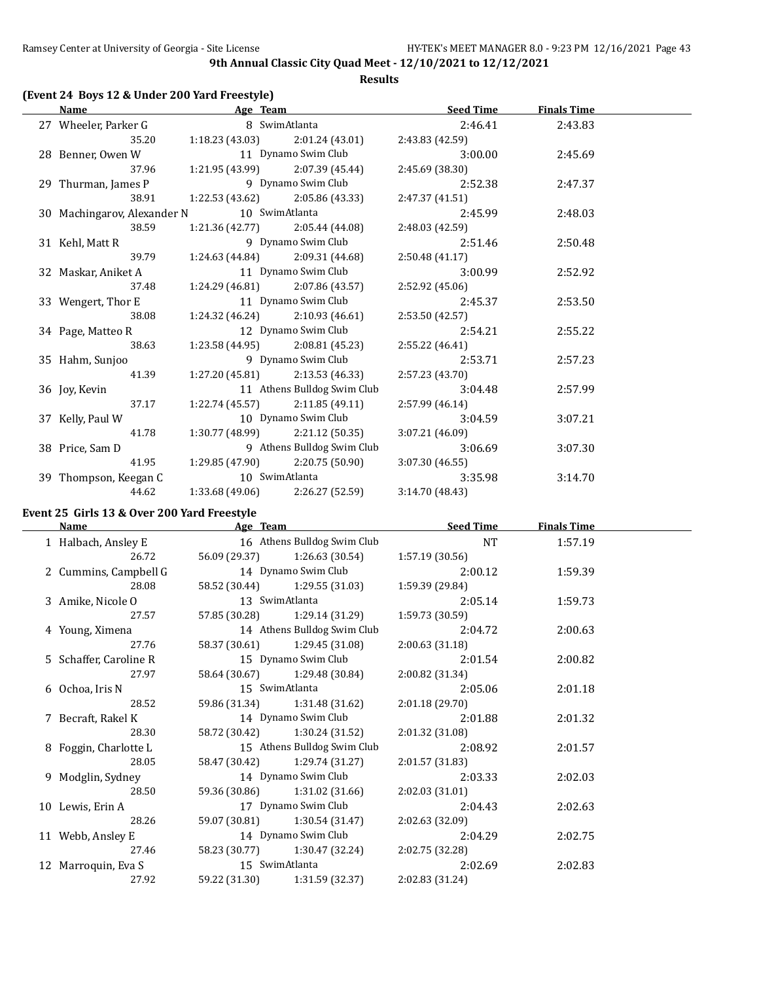**Results**

| <b>Name</b>                                                                                                  | <b>Example 2</b> Age Team |                                       | <b>Seed Time</b> | <b>Finals Time</b> |  |
|--------------------------------------------------------------------------------------------------------------|---------------------------|---------------------------------------|------------------|--------------------|--|
| 27 Wheeler, Parker G 6 8 SwimAtlanta                                                                         |                           |                                       | 2:46.41          | 2:43.83            |  |
|                                                                                                              |                           | 35.20 1:18.23 (43.03) 2:01.24 (43.01) | 2:43.83 (42.59)  |                    |  |
| 28 Benner, Owen W 11 Dynamo Swim Club                                                                        |                           |                                       | 3:00.00          | 2:45.69            |  |
|                                                                                                              |                           | 37.96 1:21.95 (43.99) 2:07.39 (45.44) | 2:45.69 (38.30)  |                    |  |
| 29 Thurman, James P 9 Dynamo Swim Club                                                                       |                           |                                       | 2:52.38          | 2:47.37            |  |
| 38.91                                                                                                        |                           | 1:22.53 (43.62) 2:05.86 (43.33)       | 2:47.37 (41.51)  |                    |  |
| 30 Machingarov, Alexander N 10 SwimAtlanta                                                                   |                           |                                       | 2:45.99          | 2:48.03            |  |
| 38.59                                                                                                        |                           | $1:21.36(42.77)$ $2:05.44(44.08)$     | 2:48.03 (42.59)  |                    |  |
| 31 Kehl, Matt R                                                                                              |                           | 9 Dynamo Swim Club                    | 2:51.46          | 2:50.48            |  |
|                                                                                                              |                           | 39.79 1:24.63 (44.84) 2:09.31 (44.68) | 2:50.48(41.17)   |                    |  |
| 32 Maskar, Aniket A 11 Dynamo Swim Club                                                                      |                           |                                       | 3:00.99          | 2:52.92            |  |
| 37.48                                                                                                        |                           | $1:24.29(46.81)$ $2:07.86(43.57)$     | 2:52.92 (45.06)  |                    |  |
| 33 Wengert, Thor E                                                                                           |                           | 11 Dynamo Swim Club                   | 2:45.37          | 2:53.50            |  |
| 38.08                                                                                                        |                           | $1:24.32(46.24)$ $2:10.93(46.61)$     | 2:53.50 (42.57)  |                    |  |
| 34 Page, Matteo R                                                                                            |                           | 12 Dynamo Swim Club                   | 2:54.21          | 2:55.22            |  |
| 38.63                                                                                                        |                           | $1:23.58(44.95)$ $2:08.81(45.23)$     | 2:55.22 (46.41)  |                    |  |
| 35 Hahm, Sunjoo                                                                                              |                           | 9 Dynamo Swim Club                    | 2:53.71          | 2:57.23            |  |
| 41.39                                                                                                        |                           | $1:27.20(45.81)$ $2:13.53(46.33)$     | 2:57.23 (43.70)  |                    |  |
| 36 Joy, Kevin                                                                                                |                           | 11 Athens Bulldog Swim Club           | 3:04.48          | 2:57.99            |  |
| 37.17                                                                                                        |                           | $1:22.74(45.57)$ $2:11.85(49.11)$     | 2:57.99 (46.14)  |                    |  |
| 37 Kelly, Paul W                                                                                             |                           | 10 Dynamo Swim Club                   | 3:04.59          | 3:07.21            |  |
| 41.78                                                                                                        |                           | $1:30.77(48.99)$ $2:21.12(50.35)$     | 3:07.21(46.09)   |                    |  |
| 38 Price, Sam D                                                                                              |                           | 9 Athens Bulldog Swim Club            | 3:06.69          | 3:07.30            |  |
|                                                                                                              |                           | 41.95 1:29.85 (47.90) 2:20.75 (50.90) | 3:07.30(46.55)   |                    |  |
| 39 Thompson, Keegan C                                                                                        | 10 SwimAtlanta            |                                       | 3:35.98          | 3:14.70            |  |
| 44.62                                                                                                        |                           | $1:33.68(49.06)$ $2:26.27(52.59)$     | 3:14.70(48.43)   |                    |  |
| $F_{\text{exact}}$ 25 $F_{\text{c}}$ $\sim$ 10.0 $O_{\text{cross}}$ 200 $V_{\text{cool}}$ $F_{\text{cross}}$ |                           |                                       |                  |                    |  |

# **Event 25 Girls 13 & Over 200 Yard Freestyle**

| Name |                        | Age Team       |                               | <b>Seed Time</b> | <b>Finals Time</b> |  |
|------|------------------------|----------------|-------------------------------|------------------|--------------------|--|
|      | 1 Halbach, Ansley E    |                | 16 Athens Bulldog Swim Club   | <b>NT</b>        | 1:57.19            |  |
|      | 26.72                  |                | 56.09 (29.37) 1:26.63 (30.54) | 1:57.19 (30.56)  |                    |  |
|      | 2 Cummins, Campbell G  |                | 14 Dynamo Swim Club           | 2:00.12          | 1:59.39            |  |
|      | 28.08                  |                | 58.52 (30.44) 1:29.55 (31.03) | 1:59.39 (29.84)  |                    |  |
|      | 3 Amike, Nicole O      |                | 13 SwimAtlanta                | 2:05.14          | 1:59.73            |  |
|      | 27.57                  |                | 57.85 (30.28) 1:29.14 (31.29) | 1:59.73 (30.59)  |                    |  |
|      | 4 Young, Ximena        |                | 14 Athens Bulldog Swim Club   | 2:04.72          | 2:00.63            |  |
|      | 27.76                  |                | 58.37 (30.61) 1:29.45 (31.08) | 2:00.63 (31.18)  |                    |  |
|      | 5 Schaffer, Caroline R |                | 15 Dynamo Swim Club           | 2:01.54          | 2:00.82            |  |
|      | 27.97                  |                | 58.64 (30.67) 1:29.48 (30.84) | 2:00.82 (31.34)  |                    |  |
|      | 6 Ochoa, Iris N        |                | 15 SwimAtlanta                | 2:05.06          | 2:01.18            |  |
|      | 28.52                  |                | 59.86 (31.34) 1:31.48 (31.62) | 2:01.18 (29.70)  |                    |  |
|      | 7 Becraft, Rakel K     |                | 14 Dynamo Swim Club           | 2:01.88          | 2:01.32            |  |
|      | 28.30                  |                | 58.72 (30.42) 1:30.24 (31.52) | 2:01.32 (31.08)  |                    |  |
|      | 8 Foggin, Charlotte L  |                | 15 Athens Bulldog Swim Club   | 2:08.92          | 2:01.57            |  |
|      | 28.05                  |                | 58.47 (30.42) 1:29.74 (31.27) | 2:01.57 (31.83)  |                    |  |
|      | 9 Modglin, Sydney      |                | 14 Dynamo Swim Club           | 2:03.33          | 2:02.03            |  |
|      | 28.50                  |                | 59.36 (30.86) 1:31.02 (31.66) | 2:02.03(31.01)   |                    |  |
|      | 10 Lewis, Erin A       |                | 17 Dynamo Swim Club           | 2:04.43          | 2:02.63            |  |
|      | 28.26                  |                | 59.07 (30.81) 1:30.54 (31.47) | 2:02.63(32.09)   |                    |  |
|      | 11 Webb, Ansley E      |                | 14 Dynamo Swim Club           | 2:04.29          | 2:02.75            |  |
|      | 27.46                  |                | 58.23 (30.77) 1:30.47 (32.24) | 2:02.75 (32.28)  |                    |  |
|      | 12 Marroquin, Eva S    | 15 SwimAtlanta |                               | 2:02.69          | 2:02.83            |  |
|      | 27.92                  |                | 59.22 (31.30) 1:31.59 (32.37) | 2:02.83 (31.24)  |                    |  |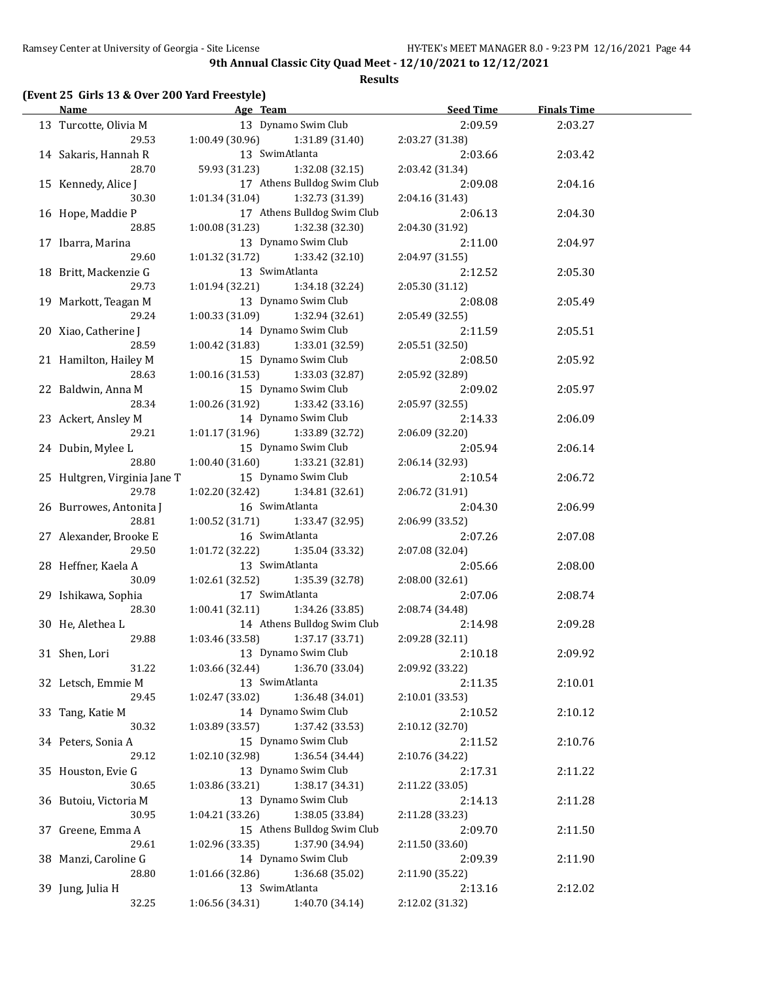**Results**

## **(Event 25 Girls 13 & Over 200 Yard Freestyle)**

| <b>Name</b>                                      | Age Team and the state of the state of the state of the state of the state of the state of the state of the state of the state of the state of the state of the state of the state of the state of the state of the state of t | <b>Seed Time</b> | <b>Finals Time</b> |  |
|--------------------------------------------------|--------------------------------------------------------------------------------------------------------------------------------------------------------------------------------------------------------------------------------|------------------|--------------------|--|
| 13 Turcotte, Olivia M                            | 13 Dynamo Swim Club                                                                                                                                                                                                            | 2:09.59          | 2:03.27            |  |
| 29.53                                            | 1:00.49 (30.96)<br>1:31.89 (31.40)                                                                                                                                                                                             | 2:03.27 (31.38)  |                    |  |
| 14 Sakaris, Hannah R                             | 13 SwimAtlanta                                                                                                                                                                                                                 | 2:03.66          | 2:03.42            |  |
| 28.70                                            | 59.93 (31.23)<br>1:32.08 (32.15)                                                                                                                                                                                               | 2:03.42 (31.34)  |                    |  |
| 15 Kennedy, Alice J                              | 17 Athens Bulldog Swim Club                                                                                                                                                                                                    | 2:09.08          | 2:04.16            |  |
| 30.30                                            | 1:01.34 (31.04)<br>1:32.73 (31.39)                                                                                                                                                                                             | 2:04.16 (31.43)  |                    |  |
|                                                  | 17 Athens Bulldog Swim Club                                                                                                                                                                                                    |                  |                    |  |
| 16 Hope, Maddie P                                |                                                                                                                                                                                                                                | 2:06.13          | 2:04.30            |  |
| 28.85                                            | 1:00.08 (31.23)<br>1:32.38 (32.30)                                                                                                                                                                                             | 2:04.30 (31.92)  |                    |  |
| 17 Ibarra, Marina                                | 13 Dynamo Swim Club                                                                                                                                                                                                            | 2:11.00          | 2:04.97            |  |
| 29.60                                            | 1:01.32 (31.72)<br>1:33.42 (32.10)                                                                                                                                                                                             | 2:04.97 (31.55)  |                    |  |
| 18 Britt, Mackenzie G                            | 13 SwimAtlanta                                                                                                                                                                                                                 | 2:12.52          | 2:05.30            |  |
| 29.73                                            | 1:01.94 (32.21)<br>1:34.18 (32.24)                                                                                                                                                                                             | 2:05.30 (31.12)  |                    |  |
| 19 Markott, Teagan M                             | 13 Dynamo Swim Club                                                                                                                                                                                                            | 2:08.08          | 2:05.49            |  |
| 29.24                                            | 1:00.33 (31.09)<br>1:32.94 (32.61)                                                                                                                                                                                             | 2:05.49 (32.55)  |                    |  |
| 20 Xiao, Catherine J                             | 14 Dynamo Swim Club                                                                                                                                                                                                            | 2:11.59          | 2:05.51            |  |
| 28.59                                            | 1:00.42 (31.83)<br>1:33.01 (32.59)                                                                                                                                                                                             | 2:05.51 (32.50)  |                    |  |
| 21 Hamilton, Hailey M                            | 15 Dynamo Swim Club                                                                                                                                                                                                            | 2:08.50          | 2:05.92            |  |
| 28.63                                            | 1:00.16 (31.53)<br>1:33.03 (32.87)                                                                                                                                                                                             | 2:05.92 (32.89)  |                    |  |
| 22 Baldwin, Anna M                               | 15 Dynamo Swim Club                                                                                                                                                                                                            | 2:09.02          | 2:05.97            |  |
| 28.34                                            | 1:00.26 (31.92)<br>1:33.42 (33.16)                                                                                                                                                                                             | 2:05.97 (32.55)  |                    |  |
| 23 Ackert, Ansley M                              | 14 Dynamo Swim Club                                                                                                                                                                                                            | 2:14.33          | 2:06.09            |  |
| 29.21                                            | 1:01.17 (31.96)<br>1:33.89 (32.72)                                                                                                                                                                                             | 2:06.09 (32.20)  |                    |  |
| 24 Dubin, Mylee L                                | 15 Dynamo Swim Club                                                                                                                                                                                                            | 2:05.94          | 2:06.14            |  |
| 28.80                                            | 1:00.40(31.60)<br>1:33.21 (32.81)                                                                                                                                                                                              | 2:06.14 (32.93)  |                    |  |
| 25 Hultgren, Virginia Jane T                     | 15 Dynamo Swim Club                                                                                                                                                                                                            | 2:10.54          | 2:06.72            |  |
| 29.78                                            | 1:02.20 (32.42)<br>1:34.81 (32.61)                                                                                                                                                                                             | 2:06.72 (31.91)  |                    |  |
| 26 Burrowes, Antonita J                          | 16 SwimAtlanta                                                                                                                                                                                                                 | 2:04.30          | 2:06.99            |  |
| 28.81                                            | 1:33.47 (32.95)<br>1:00.52 (31.71)                                                                                                                                                                                             | 2:06.99 (33.52)  |                    |  |
| 27 Alexander, Brooke E                           | 16 SwimAtlanta                                                                                                                                                                                                                 | 2:07.26          |                    |  |
| 29.50                                            |                                                                                                                                                                                                                                |                  | 2:07.08            |  |
|                                                  | 1:01.72 (32.22)<br>1:35.04 (33.32)                                                                                                                                                                                             | 2:07.08 (32.04)  |                    |  |
| 28 Heffner, Kaela A                              | 13 SwimAtlanta                                                                                                                                                                                                                 | 2:05.66          | 2:08.00            |  |
| 30.09                                            | 1:02.61(32.52)<br>1:35.39 (32.78)                                                                                                                                                                                              | 2:08.00 (32.61)  |                    |  |
| 29 Ishikawa, Sophia                              | 17 SwimAtlanta                                                                                                                                                                                                                 | 2:07.06          | 2:08.74            |  |
| 28.30                                            | 1:00.41 (32.11)<br>1:34.26 (33.85)                                                                                                                                                                                             | 2:08.74 (34.48)  |                    |  |
| 30 He, Alethea L                                 | 14 Athens Bulldog Swim Club                                                                                                                                                                                                    | 2:14.98          | 2:09.28            |  |
| 29.88                                            | 1:37.17 (33.71)<br>1:03.46 (33.58)                                                                                                                                                                                             | 2:09.28 (32.11)  |                    |  |
| 31 Shen, Lori                                    | 13 Dynamo Swim Club                                                                                                                                                                                                            | 2:10.18          | 2:09.92            |  |
| 31.22                                            | 1:36.70 (33.04)<br>1:03.66 (32.44)                                                                                                                                                                                             | 2:09.92 (33.22)  |                    |  |
| 32 Letsch, Emmie M                               | 13 SwimAtlanta                                                                                                                                                                                                                 | 2:11.35          | 2:10.01            |  |
| 29.45                                            | 1:02.47 (33.02)<br>1:36.48 (34.01)                                                                                                                                                                                             | 2:10.01 (33.53)  |                    |  |
| 33 Tang, Katie M                                 | 14 Dynamo Swim Club                                                                                                                                                                                                            | 2:10.52          | 2:10.12            |  |
| 30.32                                            | 1:03.89(33.57)<br>1:37.42 (33.53)                                                                                                                                                                                              | 2:10.12 (32.70)  |                    |  |
| 34 Peters, Sonia A                               | 15 Dynamo Swim Club                                                                                                                                                                                                            | 2:11.52          | 2:10.76            |  |
| 29.12                                            | 1:02.10 (32.98)<br>1:36.54 (34.44)                                                                                                                                                                                             | 2:10.76 (34.22)  |                    |  |
| 35 Houston, Evie G                               | 13 Dynamo Swim Club                                                                                                                                                                                                            | 2:17.31          | 2:11.22            |  |
| 30.65                                            | 1:03.86 (33.21)<br>1:38.17 (34.31)                                                                                                                                                                                             | 2:11.22 (33.05)  |                    |  |
| 36 Butoiu, Victoria M                            | 13 Dynamo Swim Club                                                                                                                                                                                                            | 2:14.13          | 2:11.28            |  |
| 30.95                                            | 1:04.21 (33.26)<br>1:38.05 (33.84)                                                                                                                                                                                             | 2:11.28 (33.23)  |                    |  |
| 15 Athens Bulldog Swim Club<br>37 Greene, Emma A |                                                                                                                                                                                                                                | 2:09.70          | 2:11.50            |  |
| 29.61                                            | 1:02.96 (33.35)<br>1:37.90 (34.94)                                                                                                                                                                                             | 2:11.50 (33.60)  |                    |  |
| 38 Manzi, Caroline G                             | 14 Dynamo Swim Club                                                                                                                                                                                                            | 2:09.39          | 2:11.90            |  |
| 28.80                                            | 1:01.66 (32.86)<br>1:36.68 (35.02)                                                                                                                                                                                             | 2:11.90 (35.22)  |                    |  |
| 39 Jung, Julia H                                 | 13 SwimAtlanta                                                                                                                                                                                                                 | 2:13.16          | 2:12.02            |  |
| 32.25                                            | 1:06.56 (34.31)<br>1:40.70 (34.14)                                                                                                                                                                                             | 2:12.02 (31.32)  |                    |  |
|                                                  |                                                                                                                                                                                                                                |                  |                    |  |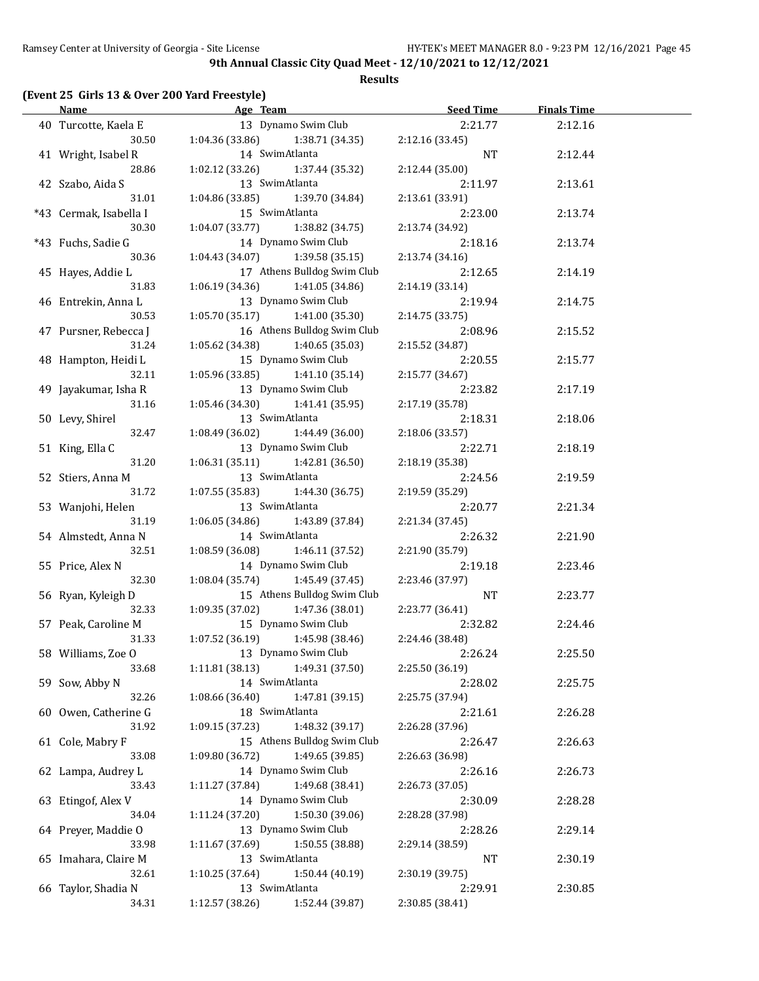**Results**

## **(Event 25 Girls 13 & Over 200 Yard Freestyle)**

|                        | Name Age Team                      | Seed Time       | <b>Finals Time</b> |  |
|------------------------|------------------------------------|-----------------|--------------------|--|
| 40 Turcotte, Kaela E   | 13 Dynamo Swim Club                | 2:21.77         | 2:12.16            |  |
| 30.50                  | $1:04.36(33.86)$ $1:38.71(34.35)$  | 2:12.16 (33.45) |                    |  |
| 41 Wright, Isabel R    | 14 SwimAtlanta                     | NT              | 2:12.44            |  |
| 28.86                  | 1:02.12 (33.26) 1:37.44 (35.32)    | 2:12.44 (35.00) |                    |  |
| 42 Szabo, Aida S       | 13 SwimAtlanta                     | 2:11.97         | 2:13.61            |  |
| 31.01                  | 1:04.86 (33.85)<br>1:39.70 (34.84) | 2:13.61 (33.91) |                    |  |
| *43 Cermak, Isabella I | 15 SwimAtlanta                     | 2:23.00         | 2:13.74            |  |
| 30.30                  | 1:04.07 (33.77)<br>1:38.82 (34.75) | 2:13.74 (34.92) |                    |  |
| *43 Fuchs, Sadie G     | 14 Dynamo Swim Club                | 2:18.16         | 2:13.74            |  |
| 30.36                  | $1:04.43(34.07)$ $1:39.58(35.15)$  | 2:13.74 (34.16) |                    |  |
| 45 Hayes, Addie L      | 17 Athens Bulldog Swim Club        | 2:12.65         | 2:14.19            |  |
| 31.83                  | $1:06.19(34.36)$ $1:41.05(34.86)$  | 2:14.19 (33.14) |                    |  |
| 46 Entrekin, Anna L    | 13 Dynamo Swim Club                | 2:19.94         | 2:14.75            |  |
| 30.53                  | $1:05.70(35.17)$ $1:41.00(35.30)$  | 2:14.75(33.75)  |                    |  |
|                        | 16 Athens Bulldog Swim Club        | 2:08.96         |                    |  |
| 47 Pursner, Rebecca J  |                                    |                 | 2:15.52            |  |
| 31.24                  | 1:05.62 (34.38) 1:40.65 (35.03)    | 2:15.52 (34.87) |                    |  |
| 48 Hampton, Heidi L    | 15 Dynamo Swim Club                | 2:20.55         | 2:15.77            |  |
| 32.11                  | $1:05.96(33.85)$ $1:41.10(35.14)$  | 2:15.77 (34.67) |                    |  |
| 49 Jayakumar, Isha R   | 13 Dynamo Swim Club                | 2:23.82         | 2:17.19            |  |
| 31.16                  | $1:05.46(34.30)$ $1:41.41(35.95)$  | 2:17.19 (35.78) |                    |  |
| 50 Levy, Shirel        | 13 SwimAtlanta                     | 2:18.31         | 2:18.06            |  |
| 32.47                  | $1:08.49(36.02)$ $1:44.49(36.00)$  | 2:18.06(33.57)  |                    |  |
| 51 King, Ella C        | 13 Dynamo Swim Club                | 2:22.71         | 2:18.19            |  |
| 31.20                  | $1:06.31(35.11)$ $1:42.81(36.50)$  | 2:18.19 (35.38) |                    |  |
| 52 Stiers, Anna M      | 13 SwimAtlanta                     | 2:24.56         | 2:19.59            |  |
| 31.72                  | $1:07.55(35.83)$ $1:44.30(36.75)$  | 2:19.59 (35.29) |                    |  |
| 53 Wanjohi, Helen      | 13 SwimAtlanta                     | 2:20.77         | 2:21.34            |  |
| 31.19                  | $1:06.05(34.86)$ $1:43.89(37.84)$  | 2:21.34 (37.45) |                    |  |
| 54 Almstedt, Anna N    | 14 SwimAtlanta                     | 2:26.32         | 2:21.90            |  |
| 32.51                  | $1:08.59(36.08)$ $1:46.11(37.52)$  | 2:21.90 (35.79) |                    |  |
| 55 Price, Alex N       | 14 Dynamo Swim Club                | 2:19.18         | 2:23.46            |  |
| 32.30                  | 1:08.04 (35.74) 1:45.49 (37.45)    | 2:23.46 (37.97) |                    |  |
| 56 Ryan, Kyleigh D     | 15 Athens Bulldog Swim Club        | NT              | 2:23.77            |  |
| 32.33                  | $1:09.35(37.02)$ $1:47.36(38.01)$  | 2:23.77 (36.41) |                    |  |
| 57 Peak, Caroline M    | 15 Dynamo Swim Club                | 2:32.82         | 2:24.46            |  |
| 31.33                  | $1:07.52(36.19)$ $1:45.98(38.46)$  | 2:24.46 (38.48) |                    |  |
| 58 Williams, Zoe O     | 13 Dynamo Swim Club                | 2:26.24         | 2:25.50            |  |
| 33.68                  | 1:49.31 (37.50)<br>1:11.81(38.13)  | 2:25.50 (36.19) |                    |  |
| 59 Sow, Abby N         | 14 SwimAtlanta                     | 2:28.02         | 2:25.75            |  |
| 32.26                  | 1:47.81 (39.15)<br>1:08.66 (36.40) | 2:25.75 (37.94) |                    |  |
| 60 Owen, Catherine G   | 18 SwimAtlanta                     | 2:21.61         | 2:26.28            |  |
| 31.92                  | 1:09.15 (37.23)<br>1:48.32 (39.17) | 2:26.28 (37.96) |                    |  |
| 61 Cole, Mabry F       | 15 Athens Bulldog Swim Club        | 2:26.47         | 2:26.63            |  |
| 33.08                  | 1:49.65 (39.85)<br>1:09.80 (36.72) | 2:26.63 (36.98) |                    |  |
| 62 Lampa, Audrey L     | 14 Dynamo Swim Club                | 2:26.16         | 2:26.73            |  |
| 33.43                  | 1:49.68 (38.41)<br>1:11.27 (37.84) | 2:26.73 (37.05) |                    |  |
| 63 Etingof, Alex V     | 14 Dynamo Swim Club                | 2:30.09         | 2:28.28            |  |
| 34.04                  | 1:50.30 (39.06)<br>1:11.24 (37.20) | 2:28.28 (37.98) |                    |  |
| 64 Preyer, Maddie O    | 13 Dynamo Swim Club                | 2:28.26         | 2:29.14            |  |
| 33.98                  | 1:50.55 (38.88)<br>1:11.67 (37.69) | 2:29.14 (38.59) |                    |  |
|                        | 13 SwimAtlanta                     |                 |                    |  |
| 65 Imahara, Claire M   |                                    | NT              | 2:30.19            |  |
| 32.61                  | 1:50.44 (40.19)<br>1:10.25 (37.64) | 2:30.19 (39.75) |                    |  |
| 66 Taylor, Shadia N    | 13 SwimAtlanta                     | 2:29.91         | 2:30.85            |  |
| 34.31                  | 1:12.57 (38.26)<br>1:52.44 (39.87) | 2:30.85 (38.41) |                    |  |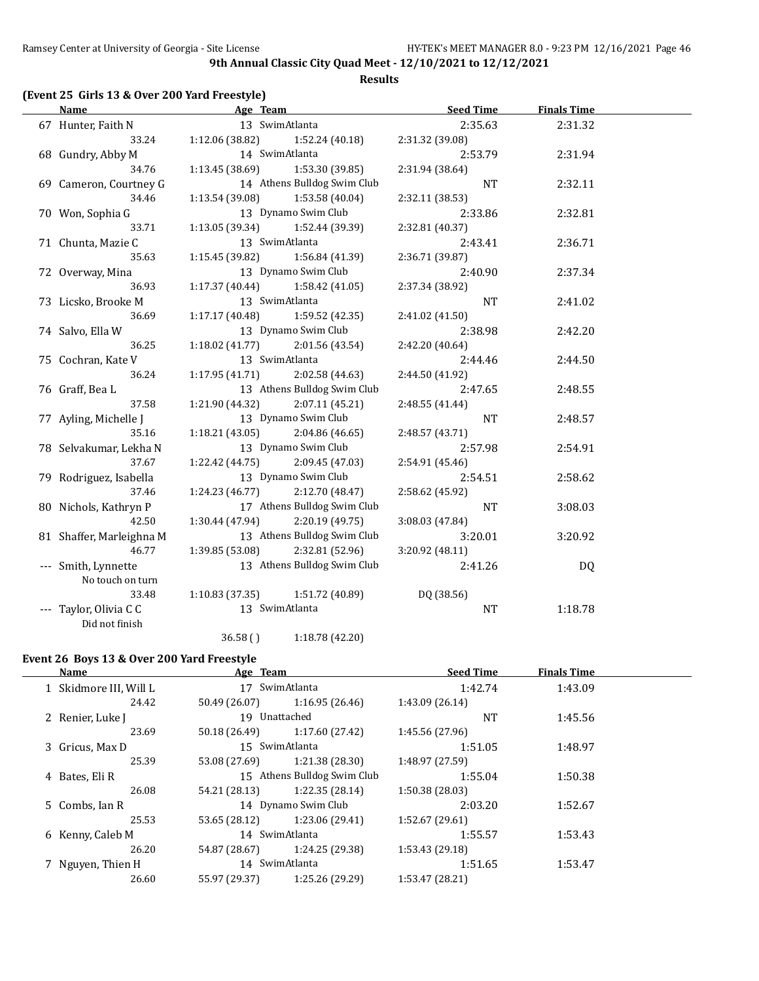#### **Results**

## **(Event 25 Girls 13 & Over 200 Yard Freestyle)**

| <b>Name</b>              | Age Team                          |                                   | <b>Seed Time</b> | <b>Finals Time</b> |  |
|--------------------------|-----------------------------------|-----------------------------------|------------------|--------------------|--|
| 67 Hunter, Faith N       |                                   | 13 SwimAtlanta                    | 2:35.63          | 2:31.32            |  |
| 33.24                    |                                   | $1:12.06(38.82)$ $1:52.24(40.18)$ | 2:31.32 (39.08)  |                    |  |
| 68 Gundry, Abby M        |                                   | 14 SwimAtlanta                    | 2:53.79          | 2:31.94            |  |
| 34.76                    | $1:13.45(38.69)$ $1:53.30(39.85)$ |                                   | 2:31.94 (38.64)  |                    |  |
| 69 Cameron, Courtney G   |                                   | 14 Athens Bulldog Swim Club       | NT               | 2:32.11            |  |
| 34.46                    | $1:13.54(39.08)$ $1:53.58(40.04)$ |                                   | 2:32.11 (38.53)  |                    |  |
| 70 Won, Sophia G         |                                   | 13 Dynamo Swim Club               | 2:33.86          | 2:32.81            |  |
| 33.71                    | 1:13.05 (39.34) 1:52.44 (39.39)   |                                   | 2:32.81 (40.37)  |                    |  |
| 71 Chunta, Mazie C       |                                   | 13 SwimAtlanta                    | 2:43.41          | 2:36.71            |  |
| 35.63                    | 1:15.45 (39.82)                   | 1:56.84 (41.39)                   | 2:36.71 (39.87)  |                    |  |
| 72 Overway, Mina         |                                   | 13 Dynamo Swim Club               | 2:40.90          | 2:37.34            |  |
| 36.93                    | 1:17.37 (40.44)                   | 1:58.42 (41.05)                   | 2:37.34 (38.92)  |                    |  |
| 73 Licsko, Brooke M      |                                   | 13 SwimAtlanta                    | <b>NT</b>        | 2:41.02            |  |
| 36.69                    | 1:17.17(40.48)                    | 1:59.52 (42.35)                   | 2:41.02 (41.50)  |                    |  |
| 74 Salvo, Ella W         |                                   | 13 Dynamo Swim Club               | 2:38.98          | 2:42.20            |  |
| 36.25                    | 1:18.02(41.77)                    | 2:01.56 (43.54)                   | 2:42.20 (40.64)  |                    |  |
| 75 Cochran, Kate V       |                                   | 13 SwimAtlanta                    | 2:44.46          | 2:44.50            |  |
| 36.24                    | 1:17.95(41.71)                    | 2:02.58 (44.63)                   | 2:44.50 (41.92)  |                    |  |
| 76 Graff, Bea L          |                                   | 13 Athens Bulldog Swim Club       | 2:47.65          | 2:48.55            |  |
| 37.58                    | 1:21.90 (44.32)                   | 2:07.11(45.21)                    | 2:48.55 (41.44)  |                    |  |
| 77 Ayling, Michelle J    |                                   | 13 Dynamo Swim Club               | <b>NT</b>        | 2:48.57            |  |
| 35.16                    | 1:18.21(43.05)                    | 2:04.86(46.65)                    | 2:48.57 (43.71)  |                    |  |
| 78 Selvakumar, Lekha N   |                                   | 13 Dynamo Swim Club               | 2:57.98          | 2:54.91            |  |
| 37.67                    | 1:22.42 (44.75)                   | 2:09.45 (47.03)                   | 2:54.91 (45.46)  |                    |  |
| 79 Rodriguez, Isabella   |                                   | 13 Dynamo Swim Club               | 2:54.51          | 2:58.62            |  |
| 37.46                    | 1:24.23 (46.77)                   | 2:12.70 (48.47)                   | 2:58.62 (45.92)  |                    |  |
| 80 Nichols, Kathryn P    |                                   | 17 Athens Bulldog Swim Club       | <b>NT</b>        | 3:08.03            |  |
| 42.50                    | 1:30.44 (47.94)                   | 2:20.19(49.75)                    | 3:08.03 (47.84)  |                    |  |
| 81 Shaffer, Marleighna M |                                   | 13 Athens Bulldog Swim Club       | 3:20.01          | 3:20.92            |  |
| 46.77                    |                                   | 1:39.85 (53.08) 2:32.81 (52.96)   | 3:20.92 (48.11)  |                    |  |
| --- Smith, Lynnette      |                                   | 13 Athens Bulldog Swim Club       | 2:41.26          | DQ                 |  |
| No touch on turn         |                                   |                                   |                  |                    |  |
| 33.48                    |                                   | $1:10.83(37.35)$ $1:51.72(40.89)$ | DQ (38.56)       |                    |  |
| --- Taylor, Olivia C C   | 13 SwimAtlanta                    |                                   | NT               | 1:18.78            |  |
| Did not finish           |                                   |                                   |                  |                    |  |
|                          | 36.58()                           | 1:18.78 (42.20)                   |                  |                    |  |

#### **Event 26 Boys 13 & Over 200 Yard Freestyle**

| <b>Name</b>            | Age Team      |                             | <b>Seed Time</b> | <b>Finals Time</b> |  |
|------------------------|---------------|-----------------------------|------------------|--------------------|--|
| 1 Skidmore III, Will L |               | 17 SwimAtlanta              | 1:42.74          | 1:43.09            |  |
| 24.42                  | 50.49 (26.07) | 1:16.95(26.46)              | 1:43.09 (26.14)  |                    |  |
| 2 Renier, Luke J       | 19 Unattached |                             | <b>NT</b>        | 1:45.56            |  |
| 23.69                  | 50.18 (26.49) | 1:17.60(27.42)              | 1:45.56 (27.96)  |                    |  |
| 3 Gricus, Max D        |               | 15 SwimAtlanta              | 1:51.05          | 1:48.97            |  |
| 25.39                  | 53.08 (27.69) | 1:21.38 (28.30)             | 1:48.97 (27.59)  |                    |  |
| 4 Bates, Eli R         |               | 15 Athens Bulldog Swim Club | 1:55.04          | 1:50.38            |  |
| 26.08                  | 54.21 (28.13) | 1:22.35(28.14)              | 1:50.38 (28.03)  |                    |  |
| 5 Combs, Ian R         |               | 14 Dynamo Swim Club         | 2:03.20          | 1:52.67            |  |
| 25.53                  | 53.65 (28.12) | 1:23.06 (29.41)             | 1:52.67 (29.61)  |                    |  |
| 6 Kenny, Caleb M       |               | 14 SwimAtlanta              | 1:55.57          | 1:53.43            |  |
| 26.20                  | 54.87 (28.67) | 1:24.25 (29.38)             | 1:53.43 (29.18)  |                    |  |
| 7 Nguyen, Thien H      |               | 14 SwimAtlanta              | 1:51.65          | 1:53.47            |  |
| 26.60                  | 55.97 (29.37) | 1:25.26 (29.29)             | 1:53.47 (28.21)  |                    |  |
|                        |               |                             |                  |                    |  |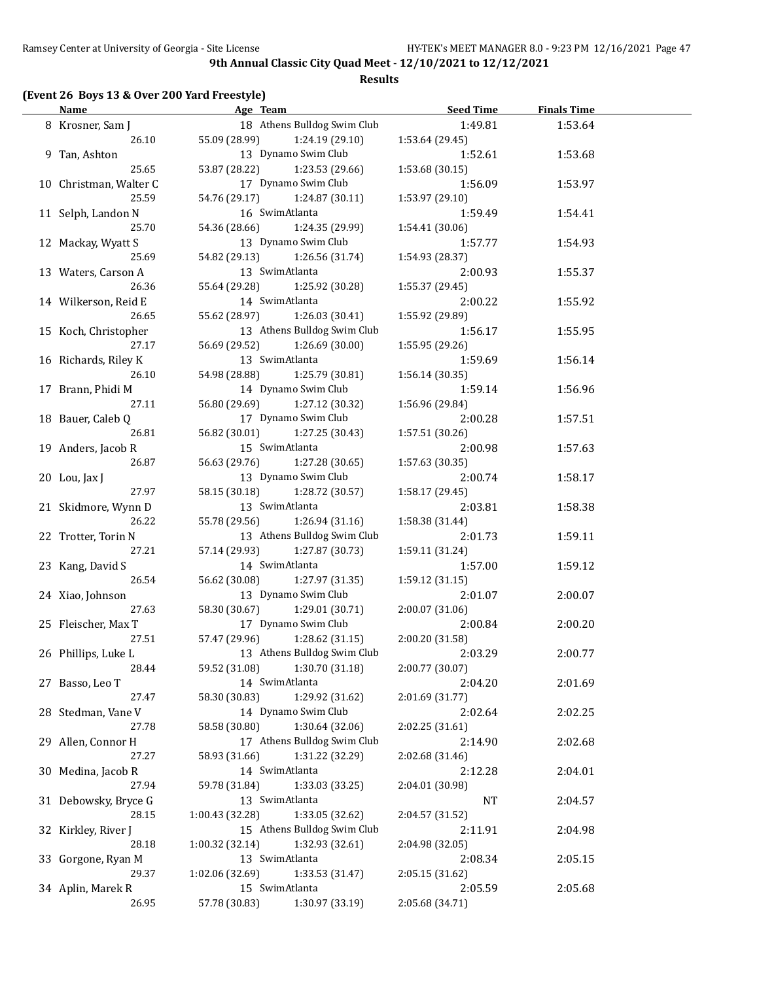#### **Results**

## **(Event 26 Boys 13 & Over 200 Yard Freestyle)**

| <b>Name</b>            |                               | Age Team and the state of the state of the state of the state of the state of the state of the state of the state of the state of the state of the state of the state of the state of the state of the state of the state of t | <b>Seed Time</b> | <b>Finals Time</b> |  |
|------------------------|-------------------------------|--------------------------------------------------------------------------------------------------------------------------------------------------------------------------------------------------------------------------------|------------------|--------------------|--|
| 8 Krosner, Sam J       |                               | 18 Athens Bulldog Swim Club                                                                                                                                                                                                    | 1:49.81          | 1:53.64            |  |
| 26.10                  | 55.09 (28.99) 1:24.19 (29.10) |                                                                                                                                                                                                                                | 1:53.64 (29.45)  |                    |  |
| 9 Tan, Ashton          |                               | 13 Dynamo Swim Club                                                                                                                                                                                                            | 1:52.61          | 1:53.68            |  |
| 25.65                  | 53.87 (28.22)                 | 1:23.53 (29.66)                                                                                                                                                                                                                | 1:53.68(30.15)   |                    |  |
| 10 Christman, Walter C |                               | 17 Dynamo Swim Club                                                                                                                                                                                                            | 1:56.09          | 1:53.97            |  |
| 25.59                  | 54.76 (29.17)                 | 1:24.87 (30.11)                                                                                                                                                                                                                | 1:53.97(29.10)   |                    |  |
| 11 Selph, Landon N     | 16 SwimAtlanta                |                                                                                                                                                                                                                                | 1:59.49          | 1:54.41            |  |
| 25.70                  | 54.36 (28.66)                 | 1:24.35 (29.99)                                                                                                                                                                                                                | 1:54.41 (30.06)  |                    |  |
| 12 Mackay, Wyatt S     |                               | 13 Dynamo Swim Club                                                                                                                                                                                                            | 1:57.77          | 1:54.93            |  |
| 25.69                  | 54.82 (29.13)                 | 1:26.56 (31.74)                                                                                                                                                                                                                | 1:54.93 (28.37)  |                    |  |
| 13 Waters, Carson A    | 13 SwimAtlanta                |                                                                                                                                                                                                                                | 2:00.93          | 1:55.37            |  |
| 26.36                  | 55.64 (29.28)                 | 1:25.92 (30.28)                                                                                                                                                                                                                | 1:55.37 (29.45)  |                    |  |
| 14 Wilkerson, Reid E   | 14 SwimAtlanta                |                                                                                                                                                                                                                                | 2:00.22          | 1:55.92            |  |
| 26.65                  | 55.62 (28.97)                 | 1:26.03 (30.41)                                                                                                                                                                                                                | 1:55.92 (29.89)  |                    |  |
| 15 Koch, Christopher   |                               | 13 Athens Bulldog Swim Club                                                                                                                                                                                                    | 1:56.17          | 1:55.95            |  |
| 27.17                  | 56.69 (29.52)                 | 1:26.69 (30.00)                                                                                                                                                                                                                | 1:55.95(29.26)   |                    |  |
| 16 Richards, Riley K   | 13 SwimAtlanta                |                                                                                                                                                                                                                                | 1:59.69          | 1:56.14            |  |
|                        |                               |                                                                                                                                                                                                                                |                  |                    |  |
| 26.10                  | 54.98 (28.88)                 | 1:25.79 (30.81)                                                                                                                                                                                                                | 1:56.14(30.35)   |                    |  |
| 17 Brann, Phidi M      |                               | 14 Dynamo Swim Club                                                                                                                                                                                                            | 1:59.14          | 1:56.96            |  |
| 27.11                  | 56.80 (29.69)                 | 1:27.12 (30.32)                                                                                                                                                                                                                | 1:56.96 (29.84)  |                    |  |
| 18 Bauer, Caleb Q      |                               | 17 Dynamo Swim Club                                                                                                                                                                                                            | 2:00.28          | 1:57.51            |  |
| 26.81                  | 56.82 (30.01)                 | 1:27.25 (30.43)                                                                                                                                                                                                                | 1:57.51 (30.26)  |                    |  |
| 19 Anders, Jacob R     | 15 SwimAtlanta                |                                                                                                                                                                                                                                | 2:00.98          | 1:57.63            |  |
| 26.87                  | 56.63 (29.76)                 | 1:27.28 (30.65)                                                                                                                                                                                                                | 1:57.63(30.35)   |                    |  |
| 20 Lou, Jax J          |                               | 13 Dynamo Swim Club                                                                                                                                                                                                            | 2:00.74          | 1:58.17            |  |
| 27.97                  | 58.15 (30.18) 1:28.72 (30.57) |                                                                                                                                                                                                                                | 1:58.17(29.45)   |                    |  |
| 21 Skidmore, Wynn D    | 13 SwimAtlanta                |                                                                                                                                                                                                                                | 2:03.81          | 1:58.38            |  |
| 26.22                  | 55.78 (29.56) 1:26.94 (31.16) |                                                                                                                                                                                                                                | 1:58.38 (31.44)  |                    |  |
| 22 Trotter, Torin N    |                               | 13 Athens Bulldog Swim Club                                                                                                                                                                                                    | 2:01.73          | 1:59.11            |  |
| 27.21                  | 57.14 (29.93)                 | 1:27.87 (30.73)                                                                                                                                                                                                                | 1:59.11 (31.24)  |                    |  |
| 23 Kang, David S       | 14 SwimAtlanta                |                                                                                                                                                                                                                                | 1:57.00          | 1:59.12            |  |
| 26.54                  | 56.62 (30.08)                 | 1:27.97 (31.35)                                                                                                                                                                                                                | 1:59.12 (31.15)  |                    |  |
| 24 Xiao, Johnson       |                               | 13 Dynamo Swim Club                                                                                                                                                                                                            | 2:01.07          | 2:00.07            |  |
| 27.63                  | 58.30 (30.67) 1:29.01 (30.71) |                                                                                                                                                                                                                                | 2:00.07(31.06)   |                    |  |
| 25 Fleischer, Max T    |                               | 17 Dynamo Swim Club                                                                                                                                                                                                            | 2:00.84          | 2:00.20            |  |
| 27.51                  | 57.47 (29.96) 1:28.62 (31.15) |                                                                                                                                                                                                                                | 2:00.20 (31.58)  |                    |  |
| 26 Phillips, Luke L    |                               | 13 Athens Bulldog Swim Club                                                                                                                                                                                                    | 2:03.29          | 2:00.77            |  |
| 28.44                  | 59.52 (31.08)                 | 1:30.70 (31.18)                                                                                                                                                                                                                | 2:00.77 (30.07)  |                    |  |
| 27 Basso, Leo T        | 14 SwimAtlanta                |                                                                                                                                                                                                                                | 2:04.20          | 2:01.69            |  |
| 27.47                  | 58.30 (30.83)                 | 1:29.92 (31.62)                                                                                                                                                                                                                | 2:01.69 (31.77)  |                    |  |
| 28 Stedman, Vane V     |                               | 14 Dynamo Swim Club                                                                                                                                                                                                            | 2:02.64          | 2:02.25            |  |
| 27.78                  | 58.58 (30.80)                 | 1:30.64 (32.06)                                                                                                                                                                                                                | 2:02.25 (31.61)  |                    |  |
| 29 Allen, Connor H     |                               | 17 Athens Bulldog Swim Club                                                                                                                                                                                                    | 2:14.90          | 2:02.68            |  |
| 27.27                  | 58.93 (31.66)                 | 1:31.22 (32.29)                                                                                                                                                                                                                | 2:02.68 (31.46)  |                    |  |
| 30 Medina, Jacob R     | 14 SwimAtlanta                |                                                                                                                                                                                                                                | 2:12.28          | 2:04.01            |  |
| 27.94                  | 59.78 (31.84)                 | 1:33.03 (33.25)                                                                                                                                                                                                                | 2:04.01 (30.98)  |                    |  |
| 31 Debowsky, Bryce G   | 13 SwimAtlanta                |                                                                                                                                                                                                                                | <b>NT</b>        | 2:04.57            |  |
| 28.15                  | 1:00.43 (32.28)               | 1:33.05 (32.62)                                                                                                                                                                                                                | 2:04.57 (31.52)  |                    |  |
| 32 Kirkley, River J    |                               | 15 Athens Bulldog Swim Club                                                                                                                                                                                                    | 2:11.91          | 2:04.98            |  |
| 28.18                  | 1:00.32 (32.14)               | 1:32.93 (32.61)                                                                                                                                                                                                                | 2:04.98 (32.05)  |                    |  |
| 33 Gorgone, Ryan M     | 13 SwimAtlanta                |                                                                                                                                                                                                                                | 2:08.34          | 2:05.15            |  |
| 29.37                  | 1:02.06 (32.69)               | 1:33.53 (31.47)                                                                                                                                                                                                                | 2:05.15 (31.62)  |                    |  |
| 34 Aplin, Marek R      | 15 SwimAtlanta                |                                                                                                                                                                                                                                | 2:05.59          | 2:05.68            |  |
| 26.95                  | 57.78 (30.83)                 | 1:30.97 (33.19)                                                                                                                                                                                                                | 2:05.68 (34.71)  |                    |  |
|                        |                               |                                                                                                                                                                                                                                |                  |                    |  |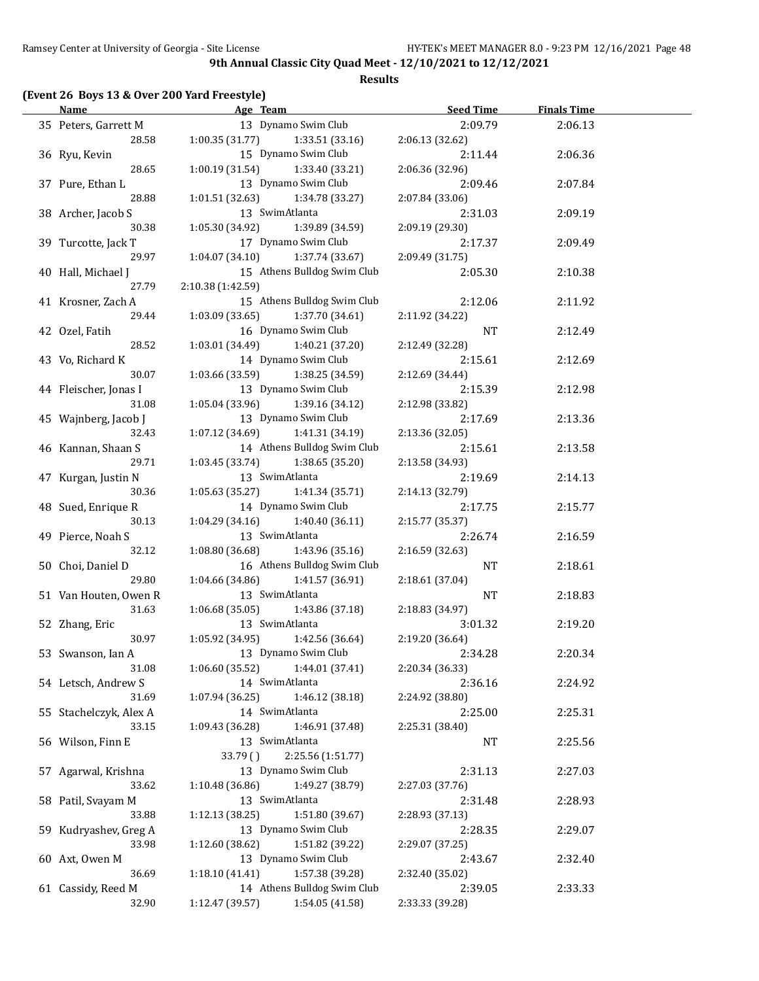#### **Results**

#### **(Event 26 Boys 13 & Over 200 Yard Freestyle)**

| <b>Name</b>                  | Age Team and the Team and the Team and the Team and the Team and the Team and the Team and the Team and the Te | <b>Seed Time</b> | <b>Finals Time</b> |  |
|------------------------------|----------------------------------------------------------------------------------------------------------------|------------------|--------------------|--|
| 35 Peters, Garrett M         | 13 Dynamo Swim Club                                                                                            | 2:09.79          | 2:06.13            |  |
| 28.58                        | $1:00.35(31.77)$ $1:33.51(33.16)$                                                                              | 2:06.13 (32.62)  |                    |  |
| 36 Ryu, Kevin                | 15 Dynamo Swim Club                                                                                            | 2:11.44          | 2:06.36            |  |
| 28.65                        | 1:00.19 (31.54)<br>1:33.40 (33.21)                                                                             | 2:06.36 (32.96)  |                    |  |
| 37 Pure, Ethan L             | 13 Dynamo Swim Club                                                                                            | 2:09.46          | 2:07.84            |  |
| 28.88                        | 1:01.51 (32.63)<br>1:34.78 (33.27)                                                                             | 2:07.84 (33.06)  |                    |  |
| 38 Archer, Jacob S           | 13 SwimAtlanta                                                                                                 | 2:31.03          | 2:09.19            |  |
| 30.38                        | 1:05.30 (34.92)<br>1:39.89 (34.59)                                                                             | 2:09.19 (29.30)  |                    |  |
|                              | 17 Dynamo Swim Club                                                                                            |                  |                    |  |
| 39 Turcotte, Jack T<br>29.97 |                                                                                                                | 2:17.37          | 2:09.49            |  |
|                              | 1:04.07 (34.10)<br>1:37.74 (33.67)                                                                             | 2:09.49 (31.75)  |                    |  |
| 40 Hall, Michael J           | 15 Athens Bulldog Swim Club                                                                                    | 2:05.30          | 2:10.38            |  |
| 27.79                        | 2:10.38 (1:42.59)                                                                                              |                  |                    |  |
| 41 Krosner, Zach A           | 15 Athens Bulldog Swim Club                                                                                    | 2:12.06          | 2:11.92            |  |
| 29.44                        | 1:03.09 (33.65)<br>1:37.70 (34.61)                                                                             | 2:11.92 (34.22)  |                    |  |
| 42 Ozel, Fatih               | 16 Dynamo Swim Club                                                                                            | NT               | 2:12.49            |  |
| 28.52                        | 1:03.01 (34.49) 1:40.21 (37.20)                                                                                | 2:12.49 (32.28)  |                    |  |
| 43 Vo, Richard K             | 14 Dynamo Swim Club                                                                                            | 2:15.61          | 2:12.69            |  |
| 30.07                        | $1:03.66$ (33.59) $1:38.25$ (34.59)                                                                            | 2:12.69 (34.44)  |                    |  |
| 44 Fleischer, Jonas I        | 13 Dynamo Swim Club                                                                                            | 2:15.39          | 2:12.98            |  |
| 31.08                        | $1:05.04(33.96)$ $1:39.16(34.12)$                                                                              | 2:12.98 (33.82)  |                    |  |
| 45 Wajnberg, Jacob J         | 13 Dynamo Swim Club                                                                                            | 2:17.69          | 2:13.36            |  |
| 32.43                        | $1:07.12(34.69)$ $1:41.31(34.19)$                                                                              | 2:13.36 (32.05)  |                    |  |
| 46 Kannan, Shaan S           | 14 Athens Bulldog Swim Club                                                                                    | 2:15.61          | 2:13.58            |  |
| 29.71                        | $1:03.45(33.74)$ $1:38.65(35.20)$                                                                              | 2:13.58 (34.93)  |                    |  |
| 47 Kurgan, Justin N          | 13 SwimAtlanta                                                                                                 | 2:19.69          | 2:14.13            |  |
| 30.36                        | $1:05.63(35.27)$ $1:41.34(35.71)$                                                                              | 2:14.13 (32.79)  |                    |  |
| 48 Sued, Enrique R           | 14 Dynamo Swim Club                                                                                            | 2:17.75          | 2:15.77            |  |
| 30.13                        | $1:04.29$ $(34.16)$ $1:40.40$ $(36.11)$                                                                        |                  |                    |  |
|                              |                                                                                                                | 2:15.77 (35.37)  |                    |  |
| 49 Pierce, Noah S            | 13 SwimAtlanta                                                                                                 | 2:26.74          | 2:16.59            |  |
| 32.12                        | $1:08.80(36.68)$ $1:43.96(35.16)$                                                                              | 2:16.59 (32.63)  |                    |  |
| 50 Choi, Daniel D            | 16 Athens Bulldog Swim Club                                                                                    | NT               | 2:18.61            |  |
| 29.80                        | 1:04.66 (34.86)<br>1:41.57 (36.91)                                                                             | 2:18.61 (37.04)  |                    |  |
| 51 Van Houten, Owen R        | 13 SwimAtlanta                                                                                                 | NT               | 2:18.83            |  |
| 31.63                        | $1:06.68(35.05)$ $1:43.86(37.18)$                                                                              | 2:18.83 (34.97)  |                    |  |
| 52 Zhang, Eric               | 13 SwimAtlanta                                                                                                 | 3:01.32          | 2:19.20            |  |
| 30.97                        | $1:05.92(34.95)$ $1:42.56(36.64)$                                                                              | 2:19.20 (36.64)  |                    |  |
| 53 Swanson, Ian A            | 13 Dynamo Swim Club                                                                                            | 2:34.28          | 2:20.34            |  |
| 31.08                        | 1:06.60 (35.52)<br>1:44.01 (37.41)                                                                             | 2:20.34 (36.33)  |                    |  |
| 54 Letsch, Andrew S          | 14 SwimAtlanta                                                                                                 | 2:36.16          | 2:24.92            |  |
| 31.69                        | 1:46.12 (38.18)<br>1:07.94 (36.25)                                                                             | 2:24.92 (38.80)  |                    |  |
| 55 Stachelczyk, Alex A       | 14 SwimAtlanta                                                                                                 | 2:25.00          | 2:25.31            |  |
| 33.15                        | 1:09.43 (36.28)<br>1:46.91 (37.48)                                                                             | 2:25.31 (38.40)  |                    |  |
| 56 Wilson, Finn E            | 13 SwimAtlanta                                                                                                 | NT               | 2:25.56            |  |
|                              | 2:25.56 (1:51.77)<br>33.79()                                                                                   |                  |                    |  |
| 57 Agarwal, Krishna          | 13 Dynamo Swim Club                                                                                            | 2:31.13          | 2:27.03            |  |
| 33.62                        | 1:10.48 (36.86)<br>1:49.27 (38.79)                                                                             | 2:27.03 (37.76)  |                    |  |
| 58 Patil, Svayam M           | 13 SwimAtlanta                                                                                                 | 2:31.48          | 2:28.93            |  |
| 33.88                        |                                                                                                                |                  |                    |  |
|                              | 1:12.13 (38.25)<br>1:51.80 (39.67)                                                                             | 2:28.93 (37.13)  |                    |  |
| 59 Kudryashev, Greg A        | 13 Dynamo Swim Club                                                                                            | 2:28.35          | 2:29.07            |  |
| 33.98                        | 1:51.82 (39.22)<br>1:12.60 (38.62)                                                                             | 2:29.07 (37.25)  |                    |  |
| 60 Axt, Owen M               | 13 Dynamo Swim Club                                                                                            | 2:43.67          | 2:32.40            |  |
| 36.69                        | 1:57.38 (39.28)<br>1:18.10 (41.41)                                                                             | 2:32.40 (35.02)  |                    |  |
| 61 Cassidy, Reed M           | 14 Athens Bulldog Swim Club                                                                                    | 2:39.05          | 2:33.33            |  |
| 32.90                        | 1:12.47 (39.57)<br>1:54.05 (41.58)                                                                             | 2:33.33 (39.28)  |                    |  |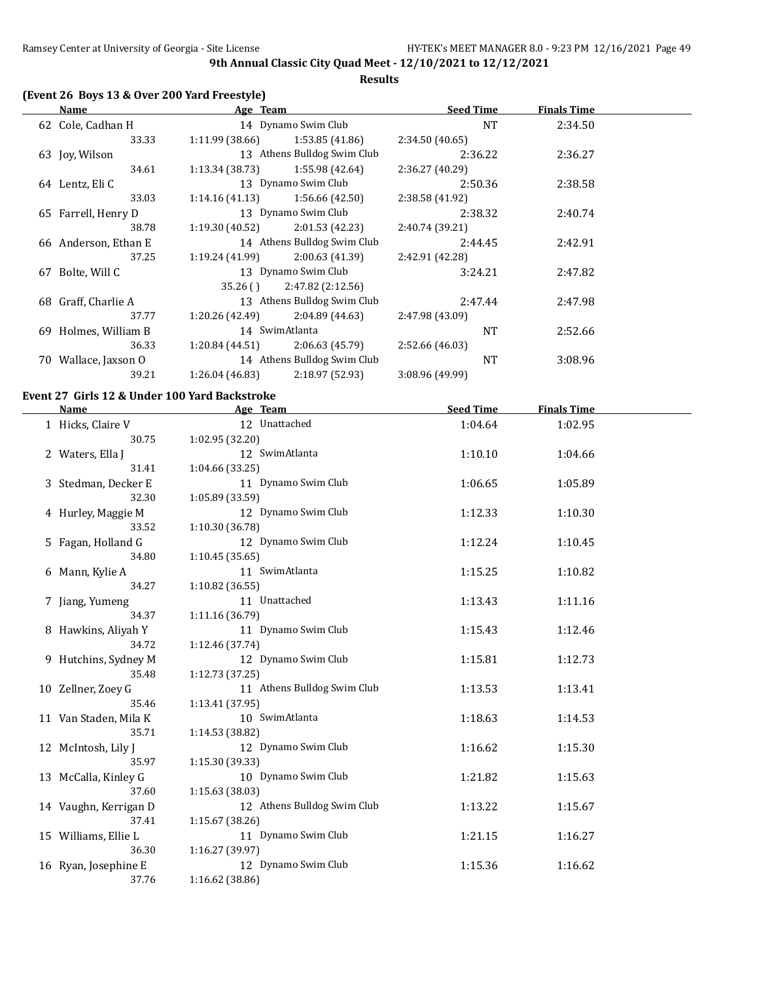**Results**

## **(Event 26 Boys 13 & Over 200 Yard Freestyle)**

|    | Name                 | Age Team        |                             | <b>Seed Time</b> | <b>Finals Time</b> |  |
|----|----------------------|-----------------|-----------------------------|------------------|--------------------|--|
|    | 62 Cole, Cadhan H    |                 | 14 Dynamo Swim Club         | <b>NT</b>        | 2:34.50            |  |
|    | 33.33                | 1:11.99(38.66)  | 1:53.85(41.86)              | 2:34.50 (40.65)  |                    |  |
|    | 63 Joy, Wilson       |                 | 13 Athens Bulldog Swim Club | 2:36.22          | 2:36.27            |  |
|    | 34.61                | 1:13.34(38.73)  | 1:55.98 (42.64)             | 2:36.27 (40.29)  |                    |  |
|    | 64 Lentz, Eli C      |                 | 13 Dynamo Swim Club         | 2:50.36          | 2:38.58            |  |
|    | 33.03                | 1:14.16(41.13)  | 1:56.66(42.50)              | 2:38.58 (41.92)  |                    |  |
|    | 65 Farrell, Henry D  |                 | 13 Dynamo Swim Club         | 2:38.32          | 2:40.74            |  |
|    | 38.78                | 1:19.30(40.52)  | 2:01.53(42.23)              | 2:40.74 (39.21)  |                    |  |
|    | 66 Anderson, Ethan E |                 | 14 Athens Bulldog Swim Club | 2:44.45          | 2:42.91            |  |
|    | 37.25                | 1:19.24(41.99)  | 2:00.63(41.39)              | 2:42.91 (42.28)  |                    |  |
| 67 | Bolte, Will C        |                 | 13 Dynamo Swim Club         | 3:24.21          | 2:47.82            |  |
|    |                      | 35.26()         | 2:47.82(2:12.56)            |                  |                    |  |
|    | 68 Graff, Charlie A  |                 | 13 Athens Bulldog Swim Club | 2:47.44          | 2:47.98            |  |
|    | 37.77                | 1:20.26 (42.49) | 2:04.89 (44.63)             | 2:47.98 (43.09)  |                    |  |
| 69 | Holmes, William B    |                 | 14 SwimAtlanta              | <b>NT</b>        | 2:52.66            |  |
|    | 36.33                | 1:20.84(44.51)  | 2:06.63(45.79)              | 2:52.66 (46.03)  |                    |  |
| 70 | Wallace, Jaxson O    |                 | 14 Athens Bulldog Swim Club | <b>NT</b>        | 3:08.96            |  |
|    | 39.21                | 1:26.04(46.83)  | 2:18.97 (52.93)             | 3:08.96 (49.99)  |                    |  |
|    |                      |                 |                             |                  |                    |  |

## **Event 27 Girls 12 & Under 100 Yard Backstroke**

| <b>Name</b>           | Age Team                    | <b>Seed Time</b> | <b>Finals Time</b> |  |
|-----------------------|-----------------------------|------------------|--------------------|--|
| 1 Hicks, Claire V     | 12 Unattached               | 1:04.64          | 1:02.95            |  |
| 30.75                 | 1:02.95 (32.20)             |                  |                    |  |
| 2 Waters, Ella J      | 12 SwimAtlanta              | 1:10.10          | 1:04.66            |  |
| 31.41                 | 1:04.66(33.25)              |                  |                    |  |
| 3 Stedman, Decker E   | 11 Dynamo Swim Club         | 1:06.65          | 1:05.89            |  |
| 32.30                 | 1:05.89 (33.59)             |                  |                    |  |
| 4 Hurley, Maggie M    | 12 Dynamo Swim Club         | 1:12.33          | 1:10.30            |  |
| 33.52                 | 1:10.30 (36.78)             |                  |                    |  |
| 5 Fagan, Holland G    | 12 Dynamo Swim Club         | 1:12.24          | 1:10.45            |  |
| 34.80                 | 1:10.45(35.65)              |                  |                    |  |
| 6 Mann, Kylie A       | 11 SwimAtlanta              | 1:15.25          | 1:10.82            |  |
| 34.27                 | 1:10.82 (36.55)             |                  |                    |  |
| 7 Jiang, Yumeng       | 11 Unattached               | 1:13.43          | 1:11.16            |  |
| 34.37                 | 1:11.16 (36.79)             |                  |                    |  |
| 8 Hawkins, Aliyah Y   | 11 Dynamo Swim Club         | 1:15.43          | 1:12.46            |  |
| 34.72                 | 1:12.46 (37.74)             |                  |                    |  |
| 9 Hutchins, Sydney M  | 12 Dynamo Swim Club         | 1:15.81          | 1:12.73            |  |
| 35.48                 | 1:12.73(37.25)              |                  |                    |  |
| 10 Zellner, Zoey G    | 11 Athens Bulldog Swim Club | 1:13.53          | 1:13.41            |  |
| 35.46                 | 1:13.41(37.95)              |                  |                    |  |
| 11 Van Staden, Mila K | 10 SwimAtlanta              | 1:18.63          | 1:14.53            |  |
| 35.71                 | 1:14.53(38.82)              |                  |                    |  |
| 12 McIntosh, Lily J   | 12 Dynamo Swim Club         | 1:16.62          | 1:15.30            |  |
| 35.97                 | 1:15.30 (39.33)             |                  |                    |  |
| 13 McCalla, Kinley G  | 10 Dynamo Swim Club         | 1:21.82          | 1:15.63            |  |
| 37.60                 | 1:15.63 (38.03)             |                  |                    |  |
| 14 Vaughn, Kerrigan D | 12 Athens Bulldog Swim Club | 1:13.22          | 1:15.67            |  |
| 37.41                 | 1:15.67(38.26)              |                  |                    |  |
| 15 Williams, Ellie L  | 11 Dynamo Swim Club         | 1:21.15          | 1:16.27            |  |
| 36.30                 | 1:16.27 (39.97)             |                  |                    |  |
| 16 Ryan, Josephine E  | 12 Dynamo Swim Club         | 1:15.36          | 1:16.62            |  |
| 37.76                 | 1:16.62 (38.86)             |                  |                    |  |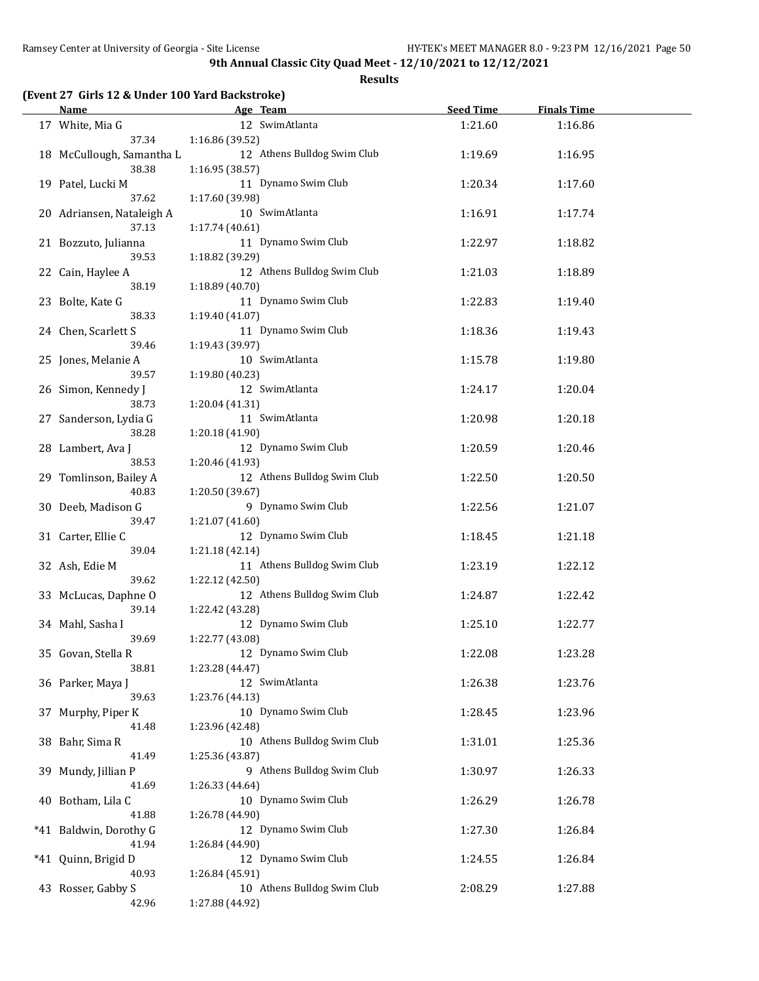**Results**

## **(Event 27 Girls 12 & Under 100 Yard Backstroke)**

| <b>Name</b>                  | Age Team                               | <b>Seed Time</b> | <b>Finals Time</b> |  |
|------------------------------|----------------------------------------|------------------|--------------------|--|
| 17 White, Mia G              | 12 SwimAtlanta                         | 1:21.60          | 1:16.86            |  |
| 37.34                        | 1:16.86 (39.52)                        |                  |                    |  |
| 18 McCullough, Samantha L    | 12 Athens Bulldog Swim Club            | 1:19.69          | 1:16.95            |  |
| 38.38                        | 1:16.95 (38.57)<br>11 Dynamo Swim Club |                  |                    |  |
| 19 Patel, Lucki M<br>37.62   | 1:17.60 (39.98)                        | 1:20.34          | 1:17.60            |  |
| 20 Adriansen, Nataleigh A    | 10 SwimAtlanta                         | 1:16.91          | 1:17.74            |  |
| 37.13                        | 1:17.74 (40.61)                        |                  |                    |  |
| 21 Bozzuto, Julianna         | 11 Dynamo Swim Club                    | 1:22.97          | 1:18.82            |  |
| 39.53                        | 1:18.82 (39.29)                        |                  |                    |  |
| 22 Cain, Haylee A            | 12 Athens Bulldog Swim Club            | 1:21.03          | 1:18.89            |  |
| 38.19                        | 1:18.89 (40.70)                        |                  |                    |  |
| 23 Bolte, Kate G             | 11 Dynamo Swim Club                    | 1:22.83          | 1:19.40            |  |
| 38.33                        | 1:19.40 (41.07)<br>11 Dynamo Swim Club |                  |                    |  |
| 24 Chen, Scarlett S<br>39.46 | 1:19.43 (39.97)                        | 1:18.36          | 1:19.43            |  |
| 25 Jones, Melanie A          | 10 SwimAtlanta                         | 1:15.78          | 1:19.80            |  |
| 39.57                        | 1:19.80 (40.23)                        |                  |                    |  |
| 26 Simon, Kennedy J          | 12 SwimAtlanta                         | 1:24.17          | 1:20.04            |  |
| 38.73                        | 1:20.04 (41.31)                        |                  |                    |  |
| 27 Sanderson, Lydia G        | 11 SwimAtlanta                         | 1:20.98          | 1:20.18            |  |
| 38.28                        | 1:20.18 (41.90)                        |                  |                    |  |
| 28 Lambert, Ava J            | 12 Dynamo Swim Club                    | 1:20.59          | 1:20.46            |  |
| 38.53                        | 1:20.46 (41.93)                        |                  |                    |  |
| 29 Tomlinson, Bailey A       | 12 Athens Bulldog Swim Club            | 1:22.50          | 1:20.50            |  |
| 40.83<br>30 Deeb, Madison G  | 1:20.50 (39.67)<br>9 Dynamo Swim Club  | 1:22.56          | 1:21.07            |  |
| 39.47                        | 1:21.07 (41.60)                        |                  |                    |  |
| 31 Carter, Ellie C           | 12 Dynamo Swim Club                    | 1:18.45          | 1:21.18            |  |
| 39.04                        | 1:21.18 (42.14)                        |                  |                    |  |
| 32 Ash, Edie M               | 11 Athens Bulldog Swim Club            | 1:23.19          | 1:22.12            |  |
| 39.62                        | 1:22.12 (42.50)                        |                  |                    |  |
| 33 McLucas, Daphne O         | 12 Athens Bulldog Swim Club            | 1:24.87          | 1:22.42            |  |
| 39.14                        | 1:22.42 (43.28)                        |                  |                    |  |
| 34 Mahl, Sasha I             | 12 Dynamo Swim Club                    | 1:25.10          | 1:22.77            |  |
| 39.69                        | 1:22.77 (43.08)<br>12 Dynamo Swim Club | 1:22.08          | 1:23.28            |  |
| 35 Govan, Stella R<br>38.81  | 1:23.28 (44.47)                        |                  |                    |  |
| 36 Parker, Maya J            | 12 SwimAtlanta                         | 1:26.38          | 1:23.76            |  |
| 39.63                        | 1:23.76 (44.13)                        |                  |                    |  |
| 37 Murphy, Piper K           | 10 Dynamo Swim Club                    | 1:28.45          | 1:23.96            |  |
| 41.48                        | 1:23.96 (42.48)                        |                  |                    |  |
| 38 Bahr, Sima R              | 10 Athens Bulldog Swim Club            | 1:31.01          | 1:25.36            |  |
| 41.49                        | 1:25.36 (43.87)                        |                  |                    |  |
| 39 Mundy, Jillian P          | 9 Athens Bulldog Swim Club             | 1:30.97          | 1:26.33            |  |
| 41.69                        | 1:26.33 (44.64)                        |                  |                    |  |
| 40 Botham, Lila C<br>41.88   | 10 Dynamo Swim Club<br>1:26.78 (44.90) | 1:26.29          | 1:26.78            |  |
| *41 Baldwin, Dorothy G       | 12 Dynamo Swim Club                    | 1:27.30          | 1:26.84            |  |
| 41.94                        | 1:26.84 (44.90)                        |                  |                    |  |
| *41 Quinn, Brigid D          | 12 Dynamo Swim Club                    | 1:24.55          | 1:26.84            |  |
| 40.93                        | 1:26.84 (45.91)                        |                  |                    |  |
| 43 Rosser, Gabby S           | 10 Athens Bulldog Swim Club            | 2:08.29          | 1:27.88            |  |
| 42.96                        | 1:27.88 (44.92)                        |                  |                    |  |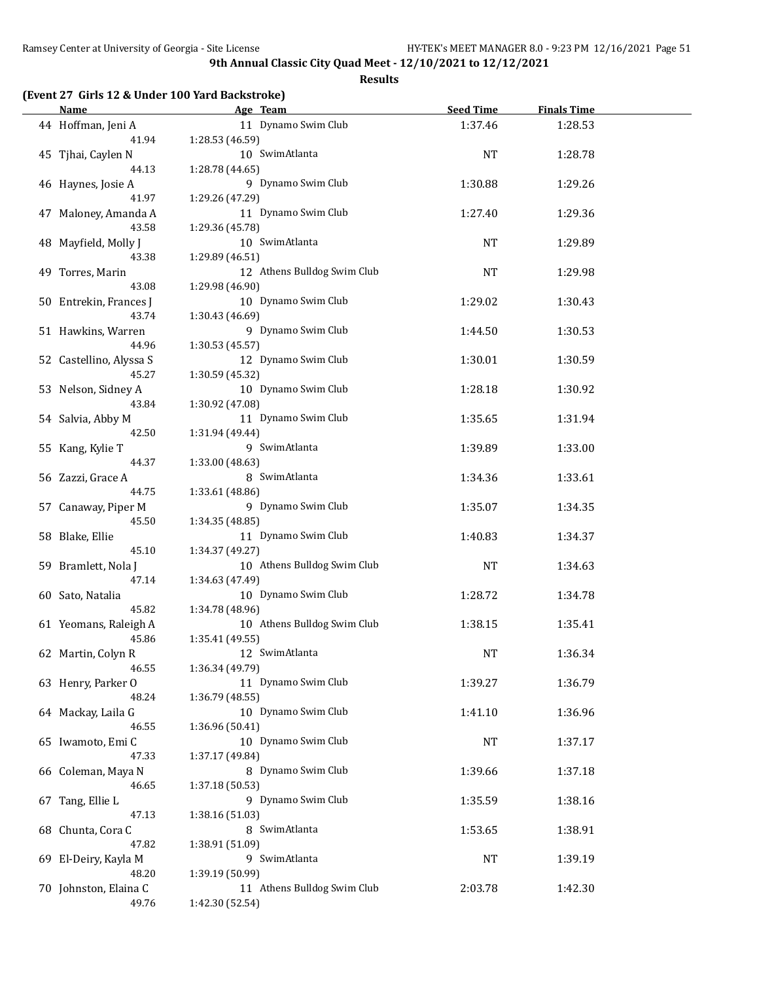**Results**

#### **(Event 27 Girls 12 & Under 100 Yard Backstroke)**

| <b>Name</b>             | Age Team                    | <b>Seed Time</b> | <b>Finals Time</b> |  |
|-------------------------|-----------------------------|------------------|--------------------|--|
| 44 Hoffman, Jeni A      | 11 Dynamo Swim Club         | 1:37.46          | 1:28.53            |  |
| 41.94                   | 1:28.53 (46.59)             |                  |                    |  |
| 45 Tjhai, Caylen N      | 10 SwimAtlanta              | <b>NT</b>        | 1:28.78            |  |
| 44.13                   | 1:28.78 (44.65)             |                  |                    |  |
| 46 Haynes, Josie A      | 9 Dynamo Swim Club          | 1:30.88          | 1:29.26            |  |
| 41.97                   | 1:29.26 (47.29)             |                  |                    |  |
| 47 Maloney, Amanda A    | 11 Dynamo Swim Club         | 1:27.40          | 1:29.36            |  |
| 43.58                   | 1:29.36 (45.78)             |                  |                    |  |
| 48 Mayfield, Molly J    | 10 SwimAtlanta              | NT               | 1:29.89            |  |
| 43.38                   | 1:29.89 (46.51)             |                  |                    |  |
| 49 Torres, Marin        | 12 Athens Bulldog Swim Club | <b>NT</b>        | 1:29.98            |  |
| 43.08                   | 1:29.98 (46.90)             |                  |                    |  |
| 50 Entrekin, Frances J  | 10 Dynamo Swim Club         | 1:29.02          | 1:30.43            |  |
| 43.74                   | 1:30.43 (46.69)             |                  |                    |  |
| 51 Hawkins, Warren      | 9 Dynamo Swim Club          | 1:44.50          | 1:30.53            |  |
| 44.96                   | 1:30.53 (45.57)             |                  |                    |  |
| 52 Castellino, Alyssa S | 12 Dynamo Swim Club         | 1:30.01          | 1:30.59            |  |
| 45.27                   | 1:30.59 (45.32)             |                  |                    |  |
| 53 Nelson, Sidney A     | 10 Dynamo Swim Club         | 1:28.18          | 1:30.92            |  |
| 43.84                   | 1:30.92 (47.08)             |                  |                    |  |
| 54 Salvia, Abby M       | 11 Dynamo Swim Club         | 1:35.65          | 1:31.94            |  |
| 42.50                   | 1:31.94 (49.44)             |                  |                    |  |
| 55 Kang, Kylie T        | 9 SwimAtlanta               | 1:39.89          | 1:33.00            |  |
| 44.37                   | 1:33.00 (48.63)             |                  |                    |  |
| 56 Zazzi, Grace A       | 8 SwimAtlanta               | 1:34.36          | 1:33.61            |  |
| 44.75                   | 1:33.61 (48.86)             |                  |                    |  |
| 57 Canaway, Piper M     | 9 Dynamo Swim Club          | 1:35.07          | 1:34.35            |  |
| 45.50                   | 1:34.35 (48.85)             |                  |                    |  |
| 58 Blake, Ellie         | 11 Dynamo Swim Club         | 1:40.83          | 1:34.37            |  |
| 45.10                   | 1:34.37 (49.27)             |                  |                    |  |
| 59 Bramlett, Nola J     | 10 Athens Bulldog Swim Club | NT               | 1:34.63            |  |
| 47.14                   | 1:34.63 (47.49)             |                  |                    |  |
| 60 Sato, Natalia        | 10 Dynamo Swim Club         | 1:28.72          | 1:34.78            |  |
| 45.82                   | 1:34.78 (48.96)             |                  |                    |  |
| 61 Yeomans, Raleigh A   | 10 Athens Bulldog Swim Club | 1:38.15          | 1:35.41            |  |
| 45.86                   | 1:35.41 (49.55)             |                  |                    |  |
| 62 Martin, Colyn R      | 12 SwimAtlanta              | NT               | 1:36.34            |  |
| 46.55                   | 1:36.34 (49.79)             |                  |                    |  |
| 63 Henry, Parker O      | 11 Dynamo Swim Club         | 1:39.27          | 1:36.79            |  |
| 48.24                   | 1:36.79 (48.55)             |                  |                    |  |
| 64 Mackay, Laila G      | 10 Dynamo Swim Club         | 1:41.10          | 1:36.96            |  |
| 46.55                   | 1:36.96 (50.41)             |                  |                    |  |
| 65 Iwamoto, Emi C       | 10 Dynamo Swim Club         | NT               | 1:37.17            |  |
| 47.33                   | 1:37.17 (49.84)             |                  |                    |  |
| 66 Coleman, Maya N      | 8 Dynamo Swim Club          | 1:39.66          | 1:37.18            |  |
| 46.65                   | 1:37.18 (50.53)             |                  |                    |  |
| 67 Tang, Ellie L        | 9 Dynamo Swim Club          | 1:35.59          | 1:38.16            |  |
| 47.13                   | 1:38.16 (51.03)             |                  |                    |  |
| 68 Chunta, Cora C       | 8 SwimAtlanta               | 1:53.65          | 1:38.91            |  |
| 47.82                   | 1:38.91 (51.09)             |                  |                    |  |
| 69 El-Deiry, Kayla M    | 9 SwimAtlanta               | <b>NT</b>        | 1:39.19            |  |
| 48.20                   | 1:39.19 (50.99)             |                  |                    |  |
| 70 Johnston, Elaina C   | 11 Athens Bulldog Swim Club | 2:03.78          | 1:42.30            |  |
| 49.76                   | 1:42.30 (52.54)             |                  |                    |  |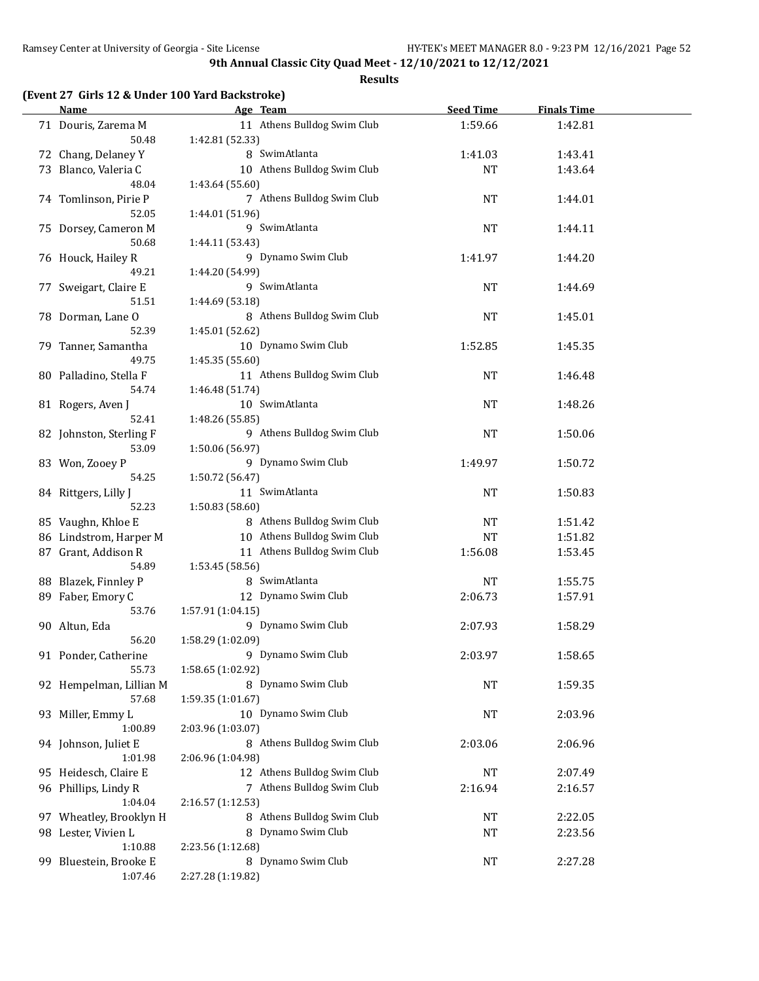|  |  |  | (Event 27 Girls 12 & Under 100 Yard Backstroke) |
|--|--|--|-------------------------------------------------|
|--|--|--|-------------------------------------------------|

|     | <b>Name</b>             | Age Team                    | <b>Seed Time</b> | <b>Finals Time</b> |  |
|-----|-------------------------|-----------------------------|------------------|--------------------|--|
|     | 71 Douris, Zarema M     | 11 Athens Bulldog Swim Club | 1:59.66          | 1:42.81            |  |
|     | 50.48                   | 1:42.81 (52.33)             |                  |                    |  |
|     | 72 Chang, Delaney Y     | 8 SwimAtlanta               | 1:41.03          | 1:43.41            |  |
|     | 73 Blanco, Valeria C    | 10 Athens Bulldog Swim Club | <b>NT</b>        | 1:43.64            |  |
|     | 48.04                   | 1:43.64 (55.60)             |                  |                    |  |
|     | 74 Tomlinson, Pirie P   | 7 Athens Bulldog Swim Club  | NT               | 1:44.01            |  |
|     | 52.05                   | 1:44.01 (51.96)             |                  |                    |  |
|     | 75 Dorsey, Cameron M    | 9 SwimAtlanta               | NT               | 1:44.11            |  |
|     | 50.68                   | 1:44.11 (53.43)             |                  |                    |  |
|     | 76 Houck, Hailey R      | 9 Dynamo Swim Club          | 1:41.97          | 1:44.20            |  |
|     | 49.21                   | 1:44.20 (54.99)             |                  |                    |  |
|     | 77 Sweigart, Claire E   | 9 SwimAtlanta               | NT               | 1:44.69            |  |
|     | 51.51                   | 1:44.69 (53.18)             |                  |                    |  |
|     | 78 Dorman, Lane O       | 8 Athens Bulldog Swim Club  | <b>NT</b>        | 1:45.01            |  |
|     | 52.39                   | 1:45.01 (52.62)             |                  |                    |  |
|     | 79 Tanner, Samantha     | 10 Dynamo Swim Club         | 1:52.85          | 1:45.35            |  |
|     | 49.75                   | 1:45.35 (55.60)             |                  |                    |  |
|     | 80 Palladino, Stella F  | 11 Athens Bulldog Swim Club | NT               | 1:46.48            |  |
|     | 54.74                   | 1:46.48 (51.74)             |                  |                    |  |
|     | 81 Rogers, Aven J       | 10 SwimAtlanta              | NT               | 1:48.26            |  |
|     | 52.41                   | 1:48.26 (55.85)             |                  |                    |  |
|     | 82 Johnston, Sterling F | 9 Athens Bulldog Swim Club  | <b>NT</b>        | 1:50.06            |  |
|     | 53.09                   | 1:50.06 (56.97)             |                  |                    |  |
|     | 83 Won, Zooey P         | 9 Dynamo Swim Club          | 1:49.97          | 1:50.72            |  |
|     | 54.25                   | 1:50.72 (56.47)             |                  |                    |  |
|     | 84 Rittgers, Lilly J    | 11 SwimAtlanta              | <b>NT</b>        | 1:50.83            |  |
|     | 52.23                   | 1:50.83 (58.60)             |                  |                    |  |
|     | 85 Vaughn, Khloe E      | 8 Athens Bulldog Swim Club  | NT               | 1:51.42            |  |
|     | 86 Lindstrom, Harper M  | 10 Athens Bulldog Swim Club | <b>NT</b>        | 1:51.82            |  |
|     | 87 Grant, Addison R     | 11 Athens Bulldog Swim Club | 1:56.08          | 1:53.45            |  |
|     | 54.89                   | 1:53.45 (58.56)             |                  |                    |  |
|     | 88 Blazek, Finnley P    | 8 SwimAtlanta               | NT               | 1:55.75            |  |
|     | 89 Faber, Emory C       | 12 Dynamo Swim Club         | 2:06.73          | 1:57.91            |  |
|     | 53.76                   | 1:57.91(1:04.15)            |                  |                    |  |
|     | 90 Altun, Eda           | 9 Dynamo Swim Club          | 2:07.93          | 1:58.29            |  |
|     | 56.20                   | 1:58.29 (1:02.09)           |                  |                    |  |
|     | 91 Ponder, Catherine    | 9 Dynamo Swim Club          | 2:03.97          | 1:58.65            |  |
|     | 55.73                   | 1:58.65 (1:02.92)           |                  |                    |  |
|     | 92 Hempelman, Lillian M | 8 Dynamo Swim Club          | <b>NT</b>        | 1:59.35            |  |
|     | 57.68                   | 1:59.35 (1:01.67)           |                  |                    |  |
|     | 93 Miller, Emmy L       | 10 Dynamo Swim Club         | NT               | 2:03.96            |  |
|     | 1:00.89                 | 2:03.96 (1:03.07)           |                  |                    |  |
|     | 94 Johnson, Juliet E    | 8 Athens Bulldog Swim Club  | 2:03.06          | 2:06.96            |  |
|     | 1:01.98                 | 2:06.96 (1:04.98)           |                  |                    |  |
|     |                         |                             |                  |                    |  |
|     | 95 Heidesch, Claire E   | 12 Athens Bulldog Swim Club | <b>NT</b>        | 2:07.49            |  |
|     | 96 Phillips, Lindy R    | 7 Athens Bulldog Swim Club  | 2:16.94          | 2:16.57            |  |
|     | 1:04.04                 | 2:16.57 (1:12.53)           |                  |                    |  |
|     | 97 Wheatley, Brooklyn H | 8 Athens Bulldog Swim Club  | NT               | 2:22.05            |  |
|     | 98 Lester, Vivien L     | 8 Dynamo Swim Club          | NT               | 2:23.56            |  |
|     | 1:10.88                 | 2:23.56 (1:12.68)           |                  |                    |  |
| 99. | Bluestein, Brooke E     | 8 Dynamo Swim Club          | NT               | 2:27.28            |  |
|     | 1:07.46                 | 2:27.28 (1:19.82)           |                  |                    |  |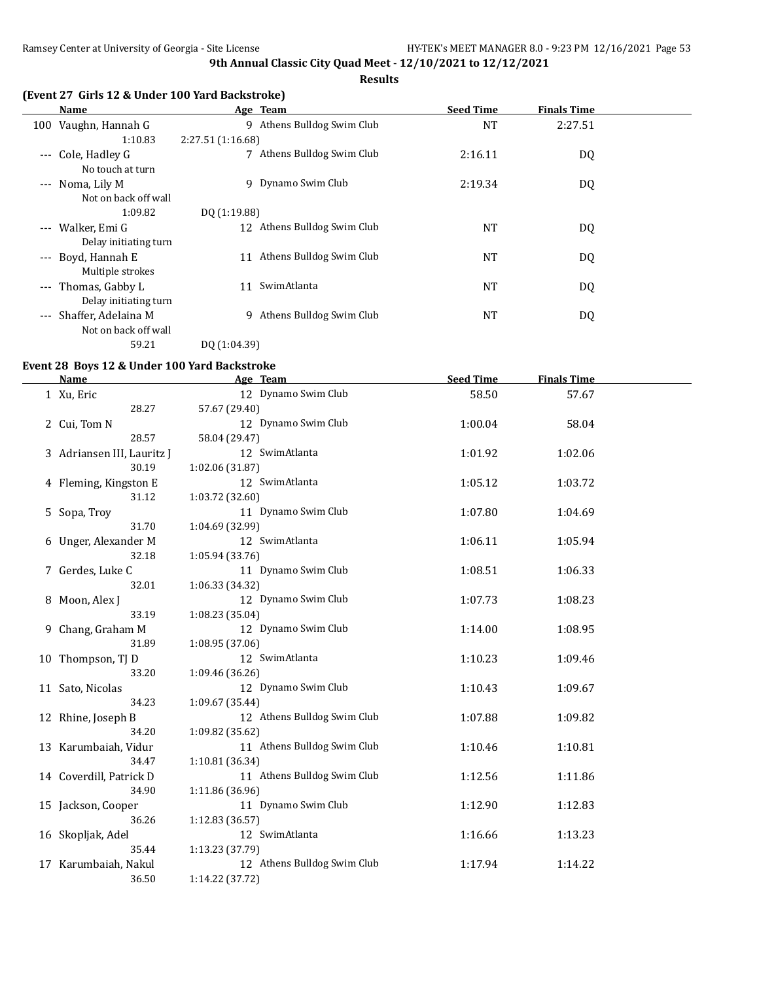**Results**

#### **(Event 27 Girls 12 & Under 100 Yard Backstroke)**

|                     | Name                    |                  | Age Team                    | <b>Seed Time</b> | <b>Finals Time</b> |  |
|---------------------|-------------------------|------------------|-----------------------------|------------------|--------------------|--|
|                     | 100 Vaughn, Hannah G    |                  | 9 Athens Bulldog Swim Club  | <b>NT</b>        | 2:27.51            |  |
|                     | 1:10.83                 | 2:27.51(1:16.68) |                             |                  |                    |  |
|                     | --- Cole, Hadley G      | 7                | Athens Bulldog Swim Club    | 2:16.11          | DQ                 |  |
|                     | No touch at turn        |                  |                             |                  |                    |  |
| $---$               | Noma, Lily M            | 9                | Dynamo Swim Club            | 2:19.34          | DQ                 |  |
|                     | Not on back off wall    |                  |                             |                  |                    |  |
|                     | 1:09.82                 | DQ (1:19.88)     |                             |                  |                    |  |
|                     | --- Walker, Emi G       |                  | 12 Athens Bulldog Swim Club | <b>NT</b>        | DQ                 |  |
|                     | Delay initiating turn   |                  |                             |                  |                    |  |
| $---$               | Boyd, Hannah E          | 11               | Athens Bulldog Swim Club    | <b>NT</b>        | DQ                 |  |
|                     | Multiple strokes        |                  |                             |                  |                    |  |
| $\qquad \qquad - -$ | Thomas, Gabby L         | 11               | SwimAtlanta                 | <b>NT</b>        | DQ                 |  |
|                     | Delay initiating turn   |                  |                             |                  |                    |  |
|                     | --- Shaffer, Adelaina M | 9                | Athens Bulldog Swim Club    | <b>NT</b>        | DQ                 |  |
|                     | Not on back off wall    |                  |                             |                  |                    |  |
|                     | 59.21                   | DO (1:04.39)     |                             |                  |                    |  |

#### **Event 28 Boys 12 & Under 100 Yard Backstroke**

| <b>Name</b>                | Age Team                    | <b>Seed Time</b> | <b>Finals Time</b> |  |
|----------------------------|-----------------------------|------------------|--------------------|--|
| 1 Xu, Eric                 | 12 Dynamo Swim Club         | 58.50            | 57.67              |  |
| 28.27                      | 57.67 (29.40)               |                  |                    |  |
| 2 Cui, Tom N               | 12 Dynamo Swim Club         | 1:00.04          | 58.04              |  |
| 28.57                      | 58.04 (29.47)               |                  |                    |  |
| 3 Adriansen III, Lauritz J | 12 SwimAtlanta              | 1:01.92          | 1:02.06            |  |
| 30.19                      | 1:02.06 (31.87)             |                  |                    |  |
| 4 Fleming, Kingston E      | 12 SwimAtlanta              | 1:05.12          | 1:03.72            |  |
| 31.12                      | 1:03.72 (32.60)             |                  |                    |  |
| 5 Sopa, Troy               | 11 Dynamo Swim Club         | 1:07.80          | 1:04.69            |  |
| 31.70                      | 1:04.69 (32.99)             |                  |                    |  |
| 6 Unger, Alexander M       | 12 SwimAtlanta              | 1:06.11          | 1:05.94            |  |
| 32.18                      | 1:05.94 (33.76)             |                  |                    |  |
| 7 Gerdes, Luke C           | 11 Dynamo Swim Club         | 1:08.51          | 1:06.33            |  |
| 32.01                      | 1:06.33 (34.32)             |                  |                    |  |
| 8 Moon, Alex J             | 12 Dynamo Swim Club         | 1:07.73          | 1:08.23            |  |
| 33.19                      | 1:08.23 (35.04)             |                  |                    |  |
| 9 Chang, Graham M          | 12 Dynamo Swim Club         | 1:14.00          | 1:08.95            |  |
| 31.89                      | 1:08.95 (37.06)             |                  |                    |  |
| 10 Thompson, TJ D          | 12 SwimAtlanta              | 1:10.23          | 1:09.46            |  |
| 33.20                      | 1:09.46 (36.26)             |                  |                    |  |
| 11 Sato, Nicolas           | 12 Dynamo Swim Club         | 1:10.43          | 1:09.67            |  |
| 34.23                      | 1:09.67 (35.44)             |                  |                    |  |
| 12 Rhine, Joseph B         | 12 Athens Bulldog Swim Club | 1:07.88          | 1:09.82            |  |
| 34.20                      | 1:09.82 (35.62)             |                  |                    |  |
| 13 Karumbaiah, Vidur       | 11 Athens Bulldog Swim Club | 1:10.46          | 1:10.81            |  |
| 34.47                      | 1:10.81 (36.34)             |                  |                    |  |
| 14 Coverdill, Patrick D    | 11 Athens Bulldog Swim Club | 1:12.56          | 1:11.86            |  |
| 34.90                      | 1:11.86 (36.96)             |                  |                    |  |
| 15 Jackson, Cooper         | 11 Dynamo Swim Club         | 1:12.90          | 1:12.83            |  |
| 36.26                      | 1:12.83 (36.57)             |                  |                    |  |
| 16 Skopljak, Adel          | 12 SwimAtlanta              | 1:16.66          | 1:13.23            |  |
| 35.44                      | 1:13.23 (37.79)             |                  |                    |  |
| 17 Karumbaiah, Nakul       | 12 Athens Bulldog Swim Club | 1:17.94          | 1:14.22            |  |
| 36.50                      | 1:14.22 (37.72)             |                  |                    |  |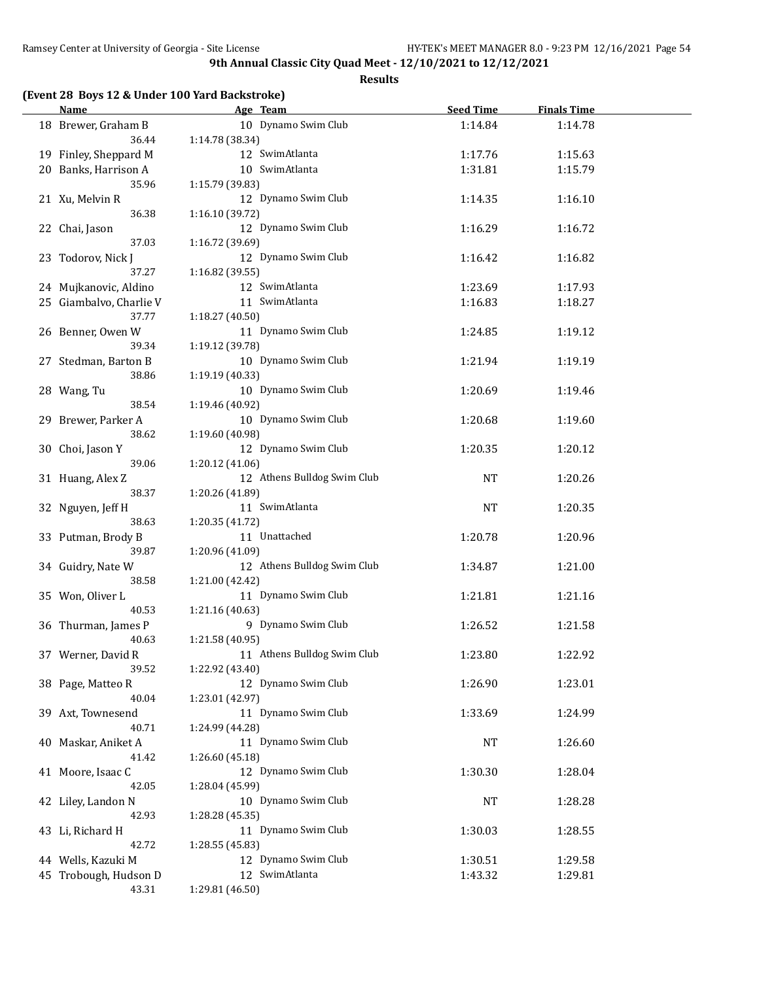**Results**

## **(Event 28 Boys 12 & Under 100 Yard Backstroke)**

| <b>Name</b>             | Age Team<br><u> 1980 - Johann Barnett, fransk politik (</u> | <b>Seed Time</b> | <b>Finals Time</b> |  |
|-------------------------|-------------------------------------------------------------|------------------|--------------------|--|
| 18 Brewer, Graham B     | 10 Dynamo Swim Club                                         | 1:14.84          | 1:14.78            |  |
| 36.44                   | 1:14.78 (38.34)                                             |                  |                    |  |
| 19 Finley, Sheppard M   | 12 SwimAtlanta                                              | 1:17.76          | 1:15.63            |  |
| 20 Banks, Harrison A    | 10 SwimAtlanta                                              | 1:31.81          | 1:15.79            |  |
| 35.96                   | 1:15.79 (39.83)                                             |                  |                    |  |
| 21 Xu, Melvin R         | 12 Dynamo Swim Club                                         | 1:14.35          | 1:16.10            |  |
| 36.38                   | 1:16.10 (39.72)                                             |                  |                    |  |
| 22 Chai, Jason          | 12 Dynamo Swim Club                                         | 1:16.29          | 1:16.72            |  |
| 37.03                   | 1:16.72 (39.69)                                             |                  |                    |  |
| 23 Todorov, Nick J      | 12 Dynamo Swim Club                                         | 1:16.42          | 1:16.82            |  |
| 37.27                   | 1:16.82(39.55)                                              |                  |                    |  |
| 24 Mujkanovic, Aldino   | 12 SwimAtlanta                                              | 1:23.69          | 1:17.93            |  |
| 25 Giambalvo, Charlie V | 11 SwimAtlanta                                              | 1:16.83          | 1:18.27            |  |
| 37.77                   | 1:18.27 (40.50)                                             |                  |                    |  |
| 26 Benner, Owen W       | 11 Dynamo Swim Club                                         | 1:24.85          | 1:19.12            |  |
| 39.34                   | 1:19.12 (39.78)                                             |                  |                    |  |
| 27 Stedman, Barton B    | 10 Dynamo Swim Club                                         | 1:21.94          | 1:19.19            |  |
| 38.86                   | 1:19.19 (40.33)                                             |                  |                    |  |
| 28 Wang, Tu             | 10 Dynamo Swim Club                                         | 1:20.69          | 1:19.46            |  |
| 38.54                   | 1:19.46 (40.92)                                             |                  |                    |  |
| 29 Brewer, Parker A     | 10 Dynamo Swim Club                                         | 1:20.68          | 1:19.60            |  |
| 38.62                   | 1:19.60 (40.98)                                             |                  |                    |  |
| 30 Choi, Jason Y        | 12 Dynamo Swim Club                                         | 1:20.35          | 1:20.12            |  |
| 39.06                   | 1:20.12(41.06)                                              |                  |                    |  |
| 31 Huang, Alex Z        | 12 Athens Bulldog Swim Club                                 | <b>NT</b>        | 1:20.26            |  |
| 38.37                   | 1:20.26 (41.89)                                             |                  |                    |  |
| 32 Nguyen, Jeff H       | 11 SwimAtlanta                                              | <b>NT</b>        | 1:20.35            |  |
| 38.63                   | 1:20.35 (41.72)                                             |                  |                    |  |
| 33 Putman, Brody B      | 11 Unattached                                               | 1:20.78          | 1:20.96            |  |
| 39.87                   | 1:20.96 (41.09)                                             |                  |                    |  |
| 34 Guidry, Nate W       | 12 Athens Bulldog Swim Club                                 | 1:34.87          | 1:21.00            |  |
| 38.58                   | 1:21.00 (42.42)                                             |                  |                    |  |
| 35 Won, Oliver L        | 11 Dynamo Swim Club                                         | 1:21.81          | 1:21.16            |  |
| 40.53                   | 1:21.16 (40.63)                                             |                  |                    |  |
| 36 Thurman, James P     | 9 Dynamo Swim Club                                          | 1:26.52          | 1:21.58            |  |
| 40.63                   | 1:21.58 (40.95)                                             |                  |                    |  |
| 37 Werner, David R      | 11 Athens Bulldog Swim Club                                 | 1:23.80          | 1:22.92            |  |
| 39.52                   | 1:22.92 (43.40)                                             |                  |                    |  |
| 38 Page, Matteo R       | 12 Dynamo Swim Club                                         | 1:26.90          | 1:23.01            |  |
| 40.04                   | 1:23.01 (42.97)                                             |                  |                    |  |
| 39 Axt, Townesend       | 11 Dynamo Swim Club                                         | 1:33.69          | 1:24.99            |  |
| 40.71                   | 1:24.99 (44.28)                                             |                  |                    |  |
| 40 Maskar, Aniket A     | 11 Dynamo Swim Club                                         | NT               | 1:26.60            |  |
| 41.42                   | 1:26.60 (45.18)                                             |                  |                    |  |
| 41 Moore, Isaac C       | 12 Dynamo Swim Club                                         | 1:30.30          | 1:28.04            |  |
| 42.05                   | 1:28.04 (45.99)                                             |                  |                    |  |
| 42 Liley, Landon N      | 10 Dynamo Swim Club                                         |                  |                    |  |
| 42.93                   | 1:28.28 (45.35)                                             | NT               | 1:28.28            |  |
| 43 Li, Richard H        | 11 Dynamo Swim Club                                         | 1:30.03          | 1:28.55            |  |
| 42.72                   | 1:28.55 (45.83)                                             |                  |                    |  |
| 44 Wells, Kazuki M      | 12 Dynamo Swim Club                                         | 1:30.51          | 1:29.58            |  |
| 45 Trobough, Hudson D   | 12 SwimAtlanta                                              | 1:43.32          | 1:29.81            |  |
| 43.31                   | 1:29.81 (46.50)                                             |                  |                    |  |
|                         |                                                             |                  |                    |  |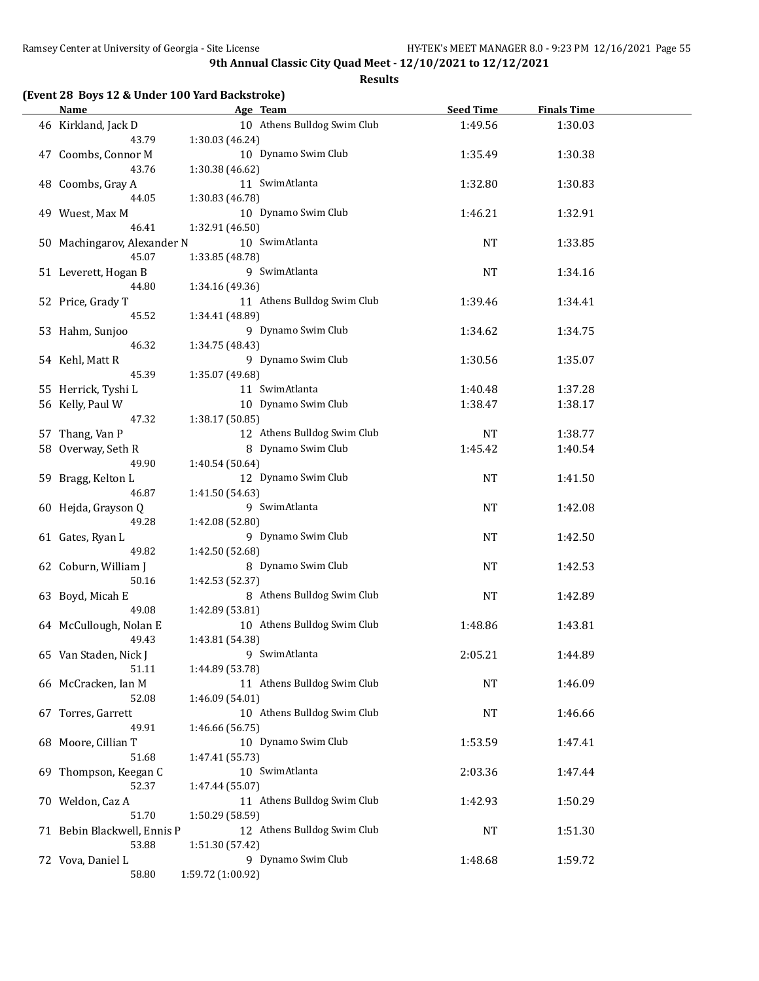|    | <b>Name</b>                 |                   | Age Team                    | <b>Seed Time</b> | <b>Finals Time</b> |  |
|----|-----------------------------|-------------------|-----------------------------|------------------|--------------------|--|
|    | 46 Kirkland, Jack D         |                   | 10 Athens Bulldog Swim Club | 1:49.56          | 1:30.03            |  |
|    | 43.79                       | 1:30.03 (46.24)   |                             |                  |                    |  |
|    | 47 Coombs, Connor M         |                   | 10 Dynamo Swim Club         | 1:35.49          | 1:30.38            |  |
|    | 43.76                       | 1:30.38 (46.62)   |                             |                  |                    |  |
|    | 48 Coombs, Gray A           |                   | 11 SwimAtlanta              | 1:32.80          | 1:30.83            |  |
|    | 44.05                       | 1:30.83 (46.78)   |                             |                  |                    |  |
|    | 49 Wuest, Max M             |                   | 10 Dynamo Swim Club         | 1:46.21          | 1:32.91            |  |
|    | 46.41                       | 1:32.91 (46.50)   |                             |                  |                    |  |
|    | 50 Machingarov, Alexander N |                   | 10 SwimAtlanta              | NT               | 1:33.85            |  |
|    | 45.07                       | 1:33.85 (48.78)   |                             |                  |                    |  |
|    | 51 Leverett, Hogan B        |                   | 9 SwimAtlanta               | NT               | 1:34.16            |  |
|    | 44.80                       | 1:34.16 (49.36)   |                             |                  |                    |  |
|    | 52 Price, Grady T           |                   | 11 Athens Bulldog Swim Club | 1:39.46          | 1:34.41            |  |
|    | 45.52                       | 1:34.41 (48.89)   |                             |                  |                    |  |
|    |                             |                   | 9 Dynamo Swim Club          |                  |                    |  |
|    | 53 Hahm, Sunjoo<br>46.32    |                   |                             | 1:34.62          | 1:34.75            |  |
|    |                             | 1:34.75 (48.43)   |                             |                  |                    |  |
|    | 54 Kehl, Matt R             |                   | 9 Dynamo Swim Club          | 1:30.56          | 1:35.07            |  |
|    | 45.39                       | 1:35.07 (49.68)   |                             |                  |                    |  |
|    | 55 Herrick, Tyshi L         |                   | 11 SwimAtlanta              | 1:40.48          | 1:37.28            |  |
|    | 56 Kelly, Paul W            |                   | 10 Dynamo Swim Club         | 1:38.47          | 1:38.17            |  |
|    | 47.32                       | 1:38.17 (50.85)   |                             |                  |                    |  |
|    | 57 Thang, Van P             |                   | 12 Athens Bulldog Swim Club | NT               | 1:38.77            |  |
|    | 58 Overway, Seth R          |                   | 8 Dynamo Swim Club          | 1:45.42          | 1:40.54            |  |
|    | 49.90                       | 1:40.54 (50.64)   |                             |                  |                    |  |
|    | 59 Bragg, Kelton L          |                   | 12 Dynamo Swim Club         | <b>NT</b>        | 1:41.50            |  |
|    | 46.87                       | 1:41.50 (54.63)   |                             |                  |                    |  |
|    | 60 Hejda, Grayson Q         |                   | 9 SwimAtlanta               | NT               | 1:42.08            |  |
|    | 49.28                       | 1:42.08 (52.80)   |                             |                  |                    |  |
|    | 61 Gates, Ryan L            |                   | 9 Dynamo Swim Club          | NT               | 1:42.50            |  |
|    | 49.82                       | 1:42.50 (52.68)   |                             |                  |                    |  |
|    | 62 Coburn, William J        |                   | 8 Dynamo Swim Club          | NT               | 1:42.53            |  |
|    | 50.16                       | 1:42.53 (52.37)   |                             |                  |                    |  |
|    | 63 Boyd, Micah E            |                   | 8 Athens Bulldog Swim Club  | NT               | 1:42.89            |  |
|    | 49.08                       | 1:42.89 (53.81)   |                             |                  |                    |  |
|    | 64 McCullough, Nolan E      |                   | 10 Athens Bulldog Swim Club | 1:48.86          | 1:43.81            |  |
|    | 49.43                       | 1:43.81 (54.38)   |                             |                  |                    |  |
|    | 65 Van Staden, Nick J       |                   | 9 SwimAtlanta               | 2:05.21          | 1:44.89            |  |
|    | 51.11                       | 1:44.89 (53.78)   |                             |                  |                    |  |
|    | 66 McCracken, Ian M         |                   | 11 Athens Bulldog Swim Club | NT               | 1:46.09            |  |
|    | 52.08                       | 1:46.09 (54.01)   |                             |                  |                    |  |
|    | 67 Torres, Garrett          |                   | 10 Athens Bulldog Swim Club | NT               | 1:46.66            |  |
|    | 49.91                       | 1:46.66 (56.75)   |                             |                  |                    |  |
|    | 68 Moore, Cillian T         |                   | 10 Dynamo Swim Club         | 1:53.59          | 1:47.41            |  |
|    | 51.68                       | 1:47.41 (55.73)   |                             |                  |                    |  |
| 69 | Thompson, Keegan C          |                   | 10 SwimAtlanta              | 2:03.36          | 1:47.44            |  |
|    | 52.37                       | 1:47.44 (55.07)   |                             |                  |                    |  |
|    | 70 Weldon, Caz A            |                   | 11 Athens Bulldog Swim Club | 1:42.93          | 1:50.29            |  |
|    | 51.70                       | 1:50.29 (58.59)   |                             |                  |                    |  |
|    | 71 Bebin Blackwell, Ennis P |                   | 12 Athens Bulldog Swim Club | NT               | 1:51.30            |  |
|    | 53.88                       | 1:51.30 (57.42)   |                             |                  |                    |  |
|    | 72 Vova, Daniel L           |                   | 9 Dynamo Swim Club          | 1:48.68          | 1:59.72            |  |
|    | 58.80                       | 1:59.72 (1:00.92) |                             |                  |                    |  |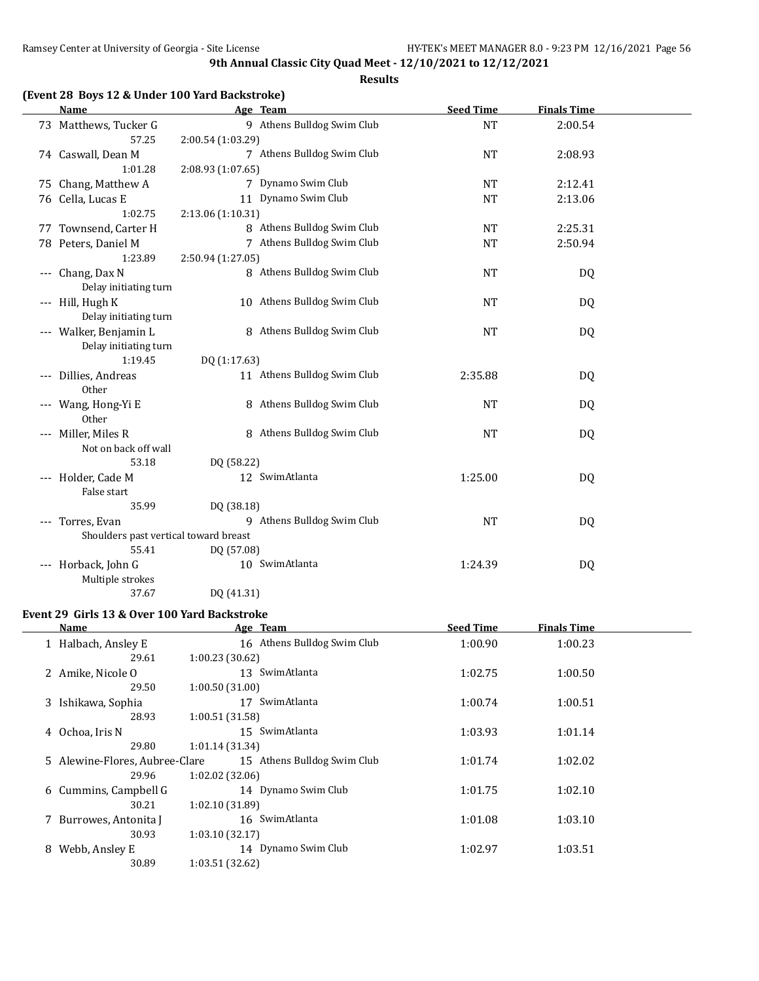**Results**

|  |  |  | (Event 28 Boys 12 & Under 100 Yard Backstroke) |
|--|--|--|------------------------------------------------|
|--|--|--|------------------------------------------------|

|                     | <b>Name</b>                                               |                   | Age Team                    | <b>Seed Time</b> | <b>Finals Time</b> |  |
|---------------------|-----------------------------------------------------------|-------------------|-----------------------------|------------------|--------------------|--|
|                     | 73 Matthews, Tucker G                                     |                   | 9 Athens Bulldog Swim Club  | <b>NT</b>        | 2:00.54            |  |
|                     | 57.25                                                     | 2:00.54 (1:03.29) |                             |                  |                    |  |
|                     | 74 Caswall, Dean M                                        |                   | 7 Athens Bulldog Swim Club  | <b>NT</b>        | 2:08.93            |  |
|                     | 1:01.28                                                   | 2:08.93 (1:07.65) |                             |                  |                    |  |
|                     | 75 Chang, Matthew A                                       |                   | 7 Dynamo Swim Club          | NT               | 2:12.41            |  |
|                     | 76 Cella, Lucas E                                         |                   | 11 Dynamo Swim Club         | <b>NT</b>        | 2:13.06            |  |
|                     | 1:02.75                                                   | 2:13.06 (1:10.31) |                             |                  |                    |  |
|                     | 77 Townsend, Carter H                                     |                   | 8 Athens Bulldog Swim Club  | <b>NT</b>        | 2:25.31            |  |
|                     | 78 Peters, Daniel M                                       |                   | 7 Athens Bulldog Swim Club  | <b>NT</b>        | 2:50.94            |  |
|                     | 1:23.89                                                   | 2:50.94 (1:27.05) |                             |                  |                    |  |
| $---$               | Chang, Dax N                                              |                   | 8 Athens Bulldog Swim Club  | <b>NT</b>        | DQ                 |  |
|                     | Delay initiating turn                                     |                   |                             |                  |                    |  |
|                     | --- Hill, Hugh K                                          |                   | 10 Athens Bulldog Swim Club | <b>NT</b>        | DQ                 |  |
|                     | Delay initiating turn                                     |                   |                             |                  |                    |  |
|                     | --- Walker, Benjamin L                                    |                   | 8 Athens Bulldog Swim Club  | <b>NT</b>        | <b>DQ</b>          |  |
|                     | Delay initiating turn                                     |                   |                             |                  |                    |  |
|                     | 1:19.45                                                   | DQ (1:17.63)      |                             |                  |                    |  |
| $---$               | Dillies, Andreas                                          |                   | 11 Athens Bulldog Swim Club | 2:35.88          | DQ                 |  |
|                     | Other                                                     |                   |                             |                  |                    |  |
| $\qquad \qquad - -$ | Wang, Hong-Yi E                                           |                   | 8 Athens Bulldog Swim Club  | <b>NT</b>        | DQ                 |  |
|                     | Other                                                     |                   |                             |                  |                    |  |
|                     | --- Miller, Miles R                                       |                   | 8 Athens Bulldog Swim Club  | <b>NT</b>        | DQ                 |  |
|                     | Not on back off wall                                      |                   |                             |                  |                    |  |
|                     | 53.18                                                     | DQ (58.22)        |                             |                  |                    |  |
|                     | --- Holder, Cade M                                        |                   | 12 SwimAtlanta              | 1:25.00          | DQ                 |  |
|                     | False start<br>35.99                                      |                   |                             |                  |                    |  |
|                     |                                                           | DQ (38.18)        | 9 Athens Bulldog Swim Club  |                  |                    |  |
|                     | --- Torres, Evan<br>Shoulders past vertical toward breast |                   |                             | <b>NT</b>        | <b>DQ</b>          |  |
|                     | 55.41                                                     | DQ (57.08)        |                             |                  |                    |  |
|                     | --- Horback, John G                                       |                   | 10 SwimAtlanta              | 1:24.39          | DQ                 |  |
|                     | Multiple strokes                                          |                   |                             |                  |                    |  |
|                     | 37.67                                                     | DQ (41.31)        |                             |                  |                    |  |
|                     |                                                           |                   |                             |                  |                    |  |

## **Event 29 Girls 13 & Over 100 Yard Backstroke**

| Name                           | Age Team                    | <b>Seed Time</b> | <b>Finals Time</b> |  |
|--------------------------------|-----------------------------|------------------|--------------------|--|
| 1 Halbach, Ansley E            | 16 Athens Bulldog Swim Club | 1:00.90          | 1:00.23            |  |
| 29.61                          | 1:00.23(30.62)              |                  |                    |  |
| 2 Amike, Nicole O              | 13 SwimAtlanta              | 1:02.75          | 1:00.50            |  |
| 29.50                          | 1:00.50 (31.00)             |                  |                    |  |
| 3 Ishikawa, Sophia             | SwimAtlanta<br>17           | 1:00.74          | 1:00.51            |  |
| 28.93                          | 1:00.51 (31.58)             |                  |                    |  |
| 4 Ochoa, Iris N                | SwimAtlanta<br>15           | 1:03.93          | 1:01.14            |  |
| 29.80                          | 1:01.14(31.34)              |                  |                    |  |
| 5 Alewine-Flores, Aubree-Clare | 15 Athens Bulldog Swim Club | 1:01.74          | 1:02.02            |  |
| 29.96                          | 1:02.02(32.06)              |                  |                    |  |
| 6 Cummins, Campbell G          | 14 Dynamo Swim Club         | 1:01.75          | 1:02.10            |  |
| 30.21                          | 1:02.10 (31.89)             |                  |                    |  |
| 7 Burrowes, Antonita J         | 16 SwimAtlanta              | 1:01.08          | 1:03.10            |  |
| 30.93                          | 1:03.10(32.17)              |                  |                    |  |
| Webb, Ansley E<br>8.           | 14 Dynamo Swim Club         | 1:02.97          | 1:03.51            |  |
| 30.89                          | 1:03.51 (32.62)             |                  |                    |  |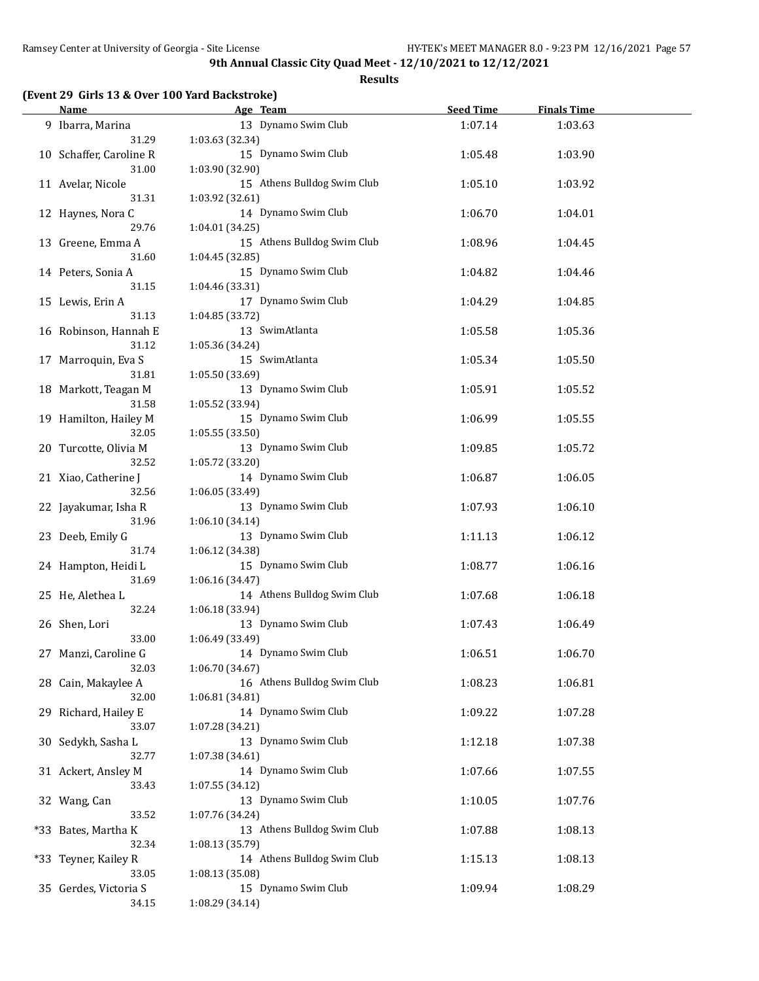**Results**

#### **(Event 29 Girls 13 & Over 100 Yard Backstroke)**

| <b>Name</b>                      | Age Team                               | <b>Seed Time</b> | <b>Finals Time</b> |  |
|----------------------------------|----------------------------------------|------------------|--------------------|--|
| 9 Ibarra, Marina                 | 13 Dynamo Swim Club                    | 1:07.14          | 1:03.63            |  |
| 31.29                            | 1:03.63(32.34)                         |                  |                    |  |
| 10 Schaffer, Caroline R<br>31.00 | 15 Dynamo Swim Club<br>1:03.90 (32.90) | 1:05.48          | 1:03.90            |  |
| 11 Avelar, Nicole                | 15 Athens Bulldog Swim Club            | 1:05.10          | 1:03.92            |  |
| 31.31                            | 1:03.92 (32.61)                        |                  |                    |  |
| 12 Haynes, Nora C                | 14 Dynamo Swim Club                    | 1:06.70          | 1:04.01            |  |
| 29.76                            | 1:04.01 (34.25)                        |                  |                    |  |
| 13 Greene, Emma A                | 15 Athens Bulldog Swim Club            | 1:08.96          | 1:04.45            |  |
| 31.60                            | 1:04.45 (32.85)                        |                  |                    |  |
| 14 Peters, Sonia A               | 15 Dynamo Swim Club                    | 1:04.82          | 1:04.46            |  |
| 31.15                            | 1:04.46 (33.31)                        |                  |                    |  |
| 15 Lewis, Erin A                 | 17 Dynamo Swim Club                    | 1:04.29          | 1:04.85            |  |
| 31.13                            | 1:04.85 (33.72)                        |                  |                    |  |
| 16 Robinson, Hannah E            | 13 SwimAtlanta                         | 1:05.58          | 1:05.36            |  |
| 31.12                            | 1:05.36 (34.24)                        |                  |                    |  |
| 17 Marroquin, Eva S              | 15 SwimAtlanta                         | 1:05.34          | 1:05.50            |  |
| 31.81                            | 1:05.50 (33.69)                        |                  |                    |  |
| 18 Markott, Teagan M             | 13 Dynamo Swim Club                    | 1:05.91          | 1:05.52            |  |
| 31.58                            | 1:05.52 (33.94)                        |                  |                    |  |
| 19 Hamilton, Hailey M            | 15 Dynamo Swim Club                    | 1:06.99          | 1:05.55            |  |
| 32.05                            | 1:05.55 (33.50)                        |                  |                    |  |
| 20 Turcotte, Olivia M            | 13 Dynamo Swim Club                    | 1:09.85          | 1:05.72            |  |
| 32.52                            | 1:05.72 (33.20)                        |                  |                    |  |
| 21 Xiao, Catherine J             | 14 Dynamo Swim Club                    | 1:06.87          | 1:06.05            |  |
| 32.56                            | 1:06.05 (33.49)                        |                  |                    |  |
| 22 Jayakumar, Isha R             | 13 Dynamo Swim Club                    | 1:07.93          | 1:06.10            |  |
| 31.96                            | 1:06.10 (34.14)                        |                  |                    |  |
| 23 Deeb, Emily G                 | 13 Dynamo Swim Club                    | 1:11.13          | 1:06.12            |  |
| 31.74                            | 1:06.12 (34.38)<br>15 Dynamo Swim Club |                  |                    |  |
| 24 Hampton, Heidi L<br>31.69     | 1:06.16 (34.47)                        | 1:08.77          | 1:06.16            |  |
| 25 He, Alethea L                 | 14 Athens Bulldog Swim Club            | 1:07.68          | 1:06.18            |  |
| 32.24                            | 1:06.18 (33.94)                        |                  |                    |  |
| 26 Shen, Lori                    | 13 Dynamo Swim Club                    | 1:07.43          | 1:06.49            |  |
| 33.00                            | 1:06.49 (33.49)                        |                  |                    |  |
| 27 Manzi, Caroline G             | 14 Dynamo Swim Club                    | 1:06.51          | 1:06.70            |  |
| 32.03                            | 1:06.70 (34.67)                        |                  |                    |  |
| 28 Cain, Makaylee A              | 16 Athens Bulldog Swim Club            | 1:08.23          | 1:06.81            |  |
| 32.00                            | 1:06.81 (34.81)                        |                  |                    |  |
| 29 Richard, Hailey E             | 14 Dynamo Swim Club                    | 1:09.22          | 1:07.28            |  |
| 33.07                            | 1:07.28 (34.21)                        |                  |                    |  |
| 30 Sedykh, Sasha L               | 13 Dynamo Swim Club                    | 1:12.18          | 1:07.38            |  |
| 32.77                            | 1:07.38 (34.61)                        |                  |                    |  |
| 31 Ackert, Ansley M              | 14 Dynamo Swim Club                    | 1:07.66          | 1:07.55            |  |
| 33.43                            | 1:07.55 (34.12)                        |                  |                    |  |
| 32 Wang, Can                     | 13 Dynamo Swim Club                    | 1:10.05          | 1:07.76            |  |
| 33.52                            | 1:07.76 (34.24)                        |                  |                    |  |
| *33 Bates, Martha K              | 13 Athens Bulldog Swim Club            | 1:07.88          | 1:08.13            |  |
| 32.34                            | 1:08.13 (35.79)                        |                  |                    |  |
| *33 Teyner, Kailey R             | 14 Athens Bulldog Swim Club            | 1:15.13          | 1:08.13            |  |
| 33.05                            | 1:08.13 (35.08)                        |                  |                    |  |
| 35 Gerdes, Victoria S            | 15 Dynamo Swim Club                    | 1:09.94          | 1:08.29            |  |
| 34.15                            | 1:08.29 (34.14)                        |                  |                    |  |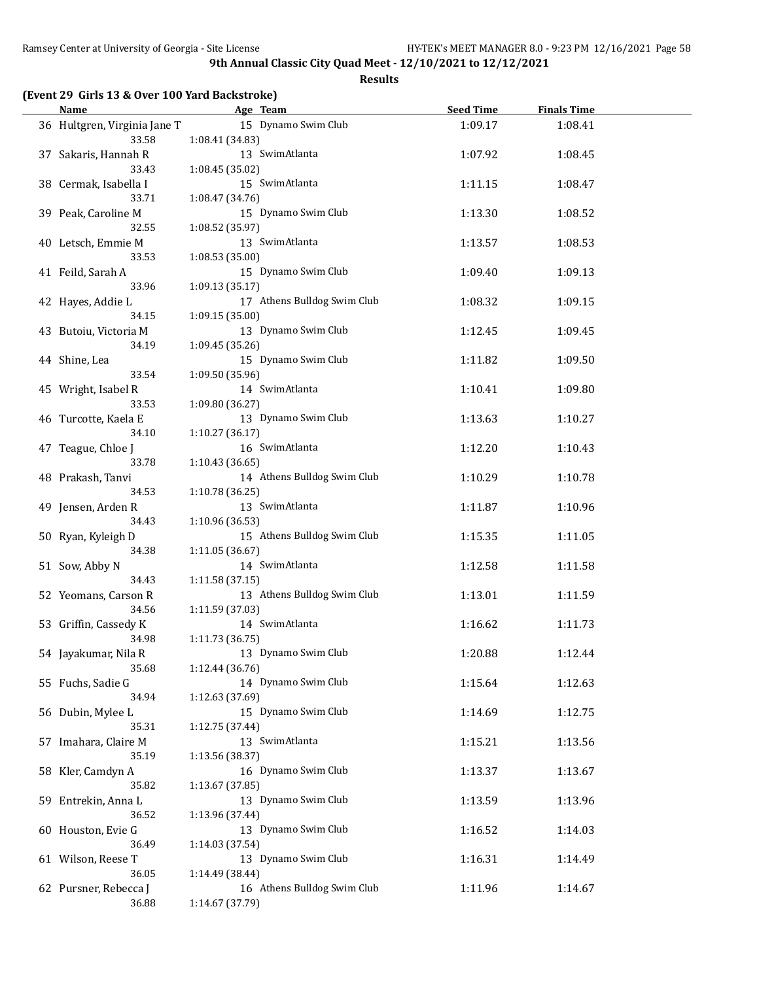| (Event 29 Girls 13 & Over 100 Yard Backstroke) |  |  |  |  |  |  |  |
|------------------------------------------------|--|--|--|--|--|--|--|
|------------------------------------------------|--|--|--|--|--|--|--|

| Name                           | Age Team                               | <b>Seed Time</b> | <b>Finals Time</b> |  |
|--------------------------------|----------------------------------------|------------------|--------------------|--|
| 36 Hultgren, Virginia Jane T   | 15 Dynamo Swim Club                    | 1:09.17          | 1:08.41            |  |
| 33.58                          | 1:08.41 (34.83)                        |                  |                    |  |
| 37 Sakaris, Hannah R           | 13 SwimAtlanta                         | 1:07.92          | 1:08.45            |  |
| 33.43                          | 1:08.45(35.02)                         |                  |                    |  |
| 38 Cermak, Isabella I          | 15 SwimAtlanta                         | 1:11.15          | 1:08.47            |  |
| 33.71                          | 1:08.47 (34.76)                        |                  |                    |  |
| 39 Peak, Caroline M            | 15 Dynamo Swim Club                    | 1:13.30          | 1:08.52            |  |
| 32.55                          | 1:08.52 (35.97)                        |                  |                    |  |
| 40 Letsch, Emmie M             | 13 SwimAtlanta                         | 1:13.57          | 1:08.53            |  |
| 33.53                          | 1:08.53(35.00)                         |                  |                    |  |
| 41 Feild, Sarah A              | 15 Dynamo Swim Club                    | 1:09.40          | 1:09.13            |  |
| 33.96                          | 1:09.13 (35.17)                        |                  |                    |  |
| 42 Hayes, Addie L              | 17 Athens Bulldog Swim Club            | 1:08.32          | 1:09.15            |  |
| 34.15                          | 1:09.15 (35.00)<br>13 Dynamo Swim Club |                  |                    |  |
| 43 Butoiu, Victoria M<br>34.19 | 1:09.45 (35.26)                        | 1:12.45          | 1:09.45            |  |
| 44 Shine, Lea                  | 15 Dynamo Swim Club                    | 1:11.82          | 1:09.50            |  |
| 33.54                          | 1:09.50 (35.96)                        |                  |                    |  |
| 45 Wright, Isabel R            | 14 SwimAtlanta                         | 1:10.41          | 1:09.80            |  |
| 33.53                          | 1:09.80 (36.27)                        |                  |                    |  |
| 46 Turcotte, Kaela E           | 13 Dynamo Swim Club                    | 1:13.63          | 1:10.27            |  |
| 34.10                          | 1:10.27(36.17)                         |                  |                    |  |
| 47 Teague, Chloe J             | 16 SwimAtlanta                         | 1:12.20          | 1:10.43            |  |
| 33.78                          | 1:10.43 (36.65)                        |                  |                    |  |
| 48 Prakash, Tanvi              | 14 Athens Bulldog Swim Club            | 1:10.29          | 1:10.78            |  |
| 34.53                          | 1:10.78(36.25)                         |                  |                    |  |
| 49 Jensen, Arden R             | 13 SwimAtlanta                         | 1:11.87          | 1:10.96            |  |
| 34.43                          | 1:10.96 (36.53)                        |                  |                    |  |
| 50 Ryan, Kyleigh D             | 15 Athens Bulldog Swim Club            | 1:15.35          | 1:11.05            |  |
| 34.38                          | 1:11.05 (36.67)                        |                  |                    |  |
| 51 Sow, Abby N                 | 14 SwimAtlanta                         | 1:12.58          | 1:11.58            |  |
| 34.43                          | 1:11.58 (37.15)                        |                  |                    |  |
| 52 Yeomans, Carson R           | 13 Athens Bulldog Swim Club            | 1:13.01          | 1:11.59            |  |
| 34.56                          | 1:11.59 (37.03)                        |                  |                    |  |
| 53 Griffin, Cassedy K          | 14 SwimAtlanta                         | 1:16.62          | 1:11.73            |  |
| 34.98                          | 1:11.73 (36.75)                        |                  |                    |  |
| 54 Jayakumar, Nila R           | 13 Dynamo Swim Club                    | 1:20.88          | 1:12.44            |  |
| 35.68                          | 1:12.44 (36.76)                        |                  |                    |  |
| 55 Fuchs, Sadie G              | 14 Dynamo Swim Club                    | 1:15.64          | 1:12.63            |  |
| 34.94                          | 1:12.63 (37.69)                        |                  |                    |  |
| 56 Dubin, Mylee L              | 15 Dynamo Swim Club                    | 1:14.69          | 1:12.75            |  |
| 35.31                          | 1:12.75 (37.44)                        |                  |                    |  |
| 57 Imahara, Claire M           | 13 SwimAtlanta                         | 1:15.21          | 1:13.56            |  |
| 35.19                          | 1:13.56 (38.37)<br>16 Dynamo Swim Club |                  |                    |  |
| 58 Kler, Camdyn A<br>35.82     | 1:13.67 (37.85)                        | 1:13.37          | 1:13.67            |  |
| 59 Entrekin, Anna L            | 13 Dynamo Swim Club                    | 1:13.59          | 1:13.96            |  |
| 36.52                          | 1:13.96 (37.44)                        |                  |                    |  |
| 60 Houston, Evie G             | 13 Dynamo Swim Club                    | 1:16.52          | 1:14.03            |  |
| 36.49                          | 1:14.03 (37.54)                        |                  |                    |  |
| 61 Wilson, Reese T             | 13 Dynamo Swim Club                    | 1:16.31          | 1:14.49            |  |
| 36.05                          | 1:14.49 (38.44)                        |                  |                    |  |
| 62 Pursner, Rebecca J          | 16 Athens Bulldog Swim Club            | 1:11.96          | 1:14.67            |  |
| 36.88                          | 1:14.67 (37.79)                        |                  |                    |  |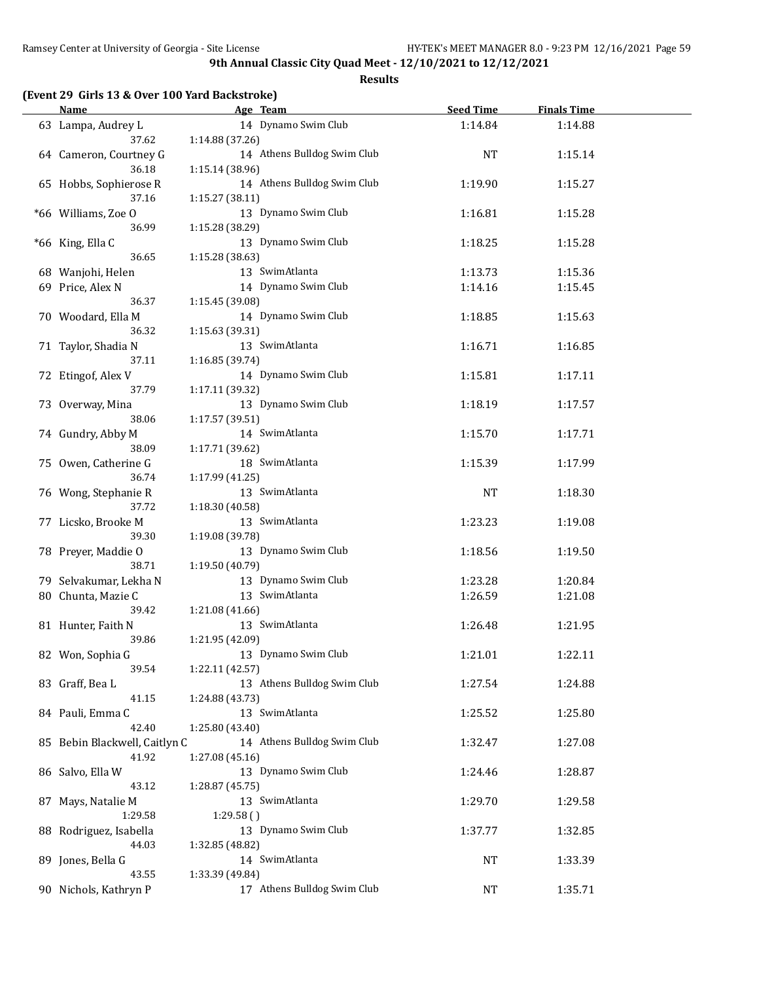**Results**

## **(Event 29 Girls 13 & Over 100 Yard Backstroke)**

| <b>Name</b>                     | Age Team                                       | <b>Seed Time</b> | <b>Finals Time</b> |  |
|---------------------------------|------------------------------------------------|------------------|--------------------|--|
| 63 Lampa, Audrey L<br>37.62     | 14 Dynamo Swim Club<br>1:14.88 (37.26)         | 1:14.84          | 1:14.88            |  |
| 64 Cameron, Courtney G<br>36.18 | 14 Athens Bulldog Swim Club<br>1:15.14 (38.96) | <b>NT</b>        | 1:15.14            |  |
| 65 Hobbs, Sophierose R<br>37.16 | 14 Athens Bulldog Swim Club<br>1:15.27 (38.11) | 1:19.90          | 1:15.27            |  |
| *66 Williams, Zoe O<br>36.99    | 13 Dynamo Swim Club<br>1:15.28 (38.29)         | 1:16.81          | 1:15.28            |  |
| *66 King, Ella C<br>36.65       | 13 Dynamo Swim Club<br>1:15.28 (38.63)         | 1:18.25          | 1:15.28            |  |
| 68 Wanjohi, Helen               | 13 SwimAtlanta                                 | 1:13.73          | 1:15.36            |  |
| 69 Price, Alex N                | 14 Dynamo Swim Club                            | 1:14.16          | 1:15.45            |  |
| 36.37                           | 1:15.45 (39.08)                                |                  |                    |  |
| 70 Woodard, Ella M              | 14 Dynamo Swim Club                            | 1:18.85          | 1:15.63            |  |
| 36.32                           | 1:15.63 (39.31)                                |                  |                    |  |
| 71 Taylor, Shadia N             | 13 SwimAtlanta                                 | 1:16.71          | 1:16.85            |  |
| 37.11                           | 1:16.85 (39.74)                                |                  |                    |  |
| 72 Etingof, Alex V              | 14 Dynamo Swim Club                            | 1:15.81          | 1:17.11            |  |
| 37.79                           | 1:17.11 (39.32)                                |                  |                    |  |
| 73 Overway, Mina                | 13 Dynamo Swim Club                            | 1:18.19          | 1:17.57            |  |
| 38.06                           | 1:17.57 (39.51)                                |                  |                    |  |
| 74 Gundry, Abby M               | 14 SwimAtlanta                                 | 1:15.70          | 1:17.71            |  |
| 38.09                           | 1:17.71 (39.62)                                |                  |                    |  |
| 75 Owen, Catherine G            | 18 SwimAtlanta                                 | 1:15.39          | 1:17.99            |  |
| 36.74                           | 1:17.99 (41.25)                                |                  |                    |  |
| 76 Wong, Stephanie R            | 13 SwimAtlanta                                 | <b>NT</b>        | 1:18.30            |  |
| 37.72                           | 1:18.30 (40.58)                                |                  |                    |  |
| 77 Licsko, Brooke M             | 13 SwimAtlanta                                 | 1:23.23          | 1:19.08            |  |
| 39.30                           | 1:19.08 (39.78)                                |                  |                    |  |
| 78 Preyer, Maddie O             | 13 Dynamo Swim Club                            | 1:18.56          | 1:19.50            |  |
| 38.71                           | 1:19.50 (40.79)                                |                  |                    |  |
| 79 Selvakumar, Lekha N          | 13 Dynamo Swim Club                            | 1:23.28          | 1:20.84            |  |
| 80 Chunta, Mazie C              | 13 SwimAtlanta                                 | 1:26.59          | 1:21.08            |  |
| 39.42                           | 1:21.08 (41.66)                                |                  |                    |  |
| 81 Hunter, Faith N              | 13 SwimAtlanta                                 | 1:26.48          | 1:21.95            |  |
| 39.86                           | 1:21.95 (42.09)                                |                  |                    |  |
| 82 Won, Sophia G                | 13 Dynamo Swim Club                            | 1:21.01          | 1:22.11            |  |
| 39.54                           | 1:22.11 (42.57)                                |                  |                    |  |
| 83 Graff, Bea L                 | 13 Athens Bulldog Swim Club                    | 1:27.54          | 1:24.88            |  |
| 41.15                           | 1:24.88 (43.73)                                |                  |                    |  |
| 84 Pauli, Emma C                | 13 SwimAtlanta                                 | 1:25.52          | 1:25.80            |  |
| 42.40                           | 1:25.80 (43.40)                                |                  |                    |  |
| 85 Bebin Blackwell, Caitlyn C   | 14 Athens Bulldog Swim Club                    | 1:32.47          | 1:27.08            |  |
| 41.92                           | 1:27.08 (45.16)                                |                  |                    |  |
| 86 Salvo, Ella W                | 13 Dynamo Swim Club                            | 1:24.46          | 1:28.87            |  |
| 43.12                           | 1:28.87 (45.75)                                |                  |                    |  |
| 87 Mays, Natalie M              | 13 SwimAtlanta                                 | 1:29.70          | 1:29.58            |  |
| 1:29.58                         | 1:29.58()                                      |                  |                    |  |
| 88 Rodriguez, Isabella          | 13 Dynamo Swim Club                            | 1:37.77          | 1:32.85            |  |
| 44.03                           | 1:32.85 (48.82)                                |                  |                    |  |
| 89 Jones, Bella G               | 14 SwimAtlanta                                 | NT               | 1:33.39            |  |
| 43.55                           | 1:33.39 (49.84)                                |                  |                    |  |
| 90 Nichols, Kathryn P           | 17 Athens Bulldog Swim Club                    | NT               | 1:35.71            |  |
|                                 |                                                |                  |                    |  |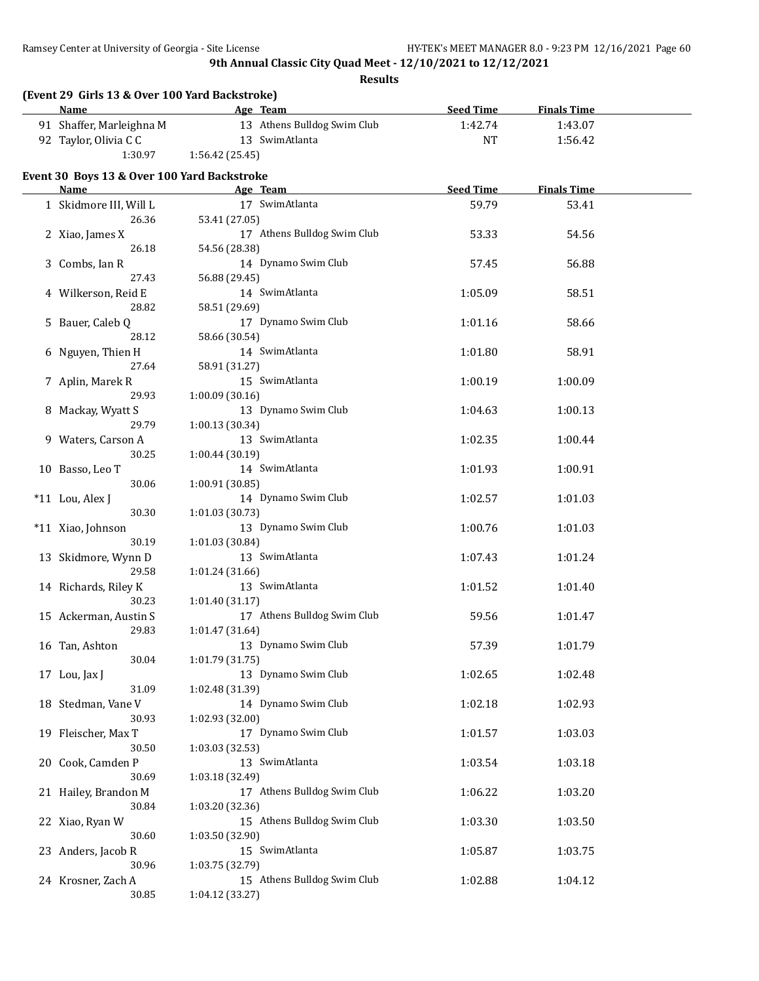| (Event 29 Girls 13 & Over 100 Yard Backstroke)<br><b>Name</b> | Age Team                    | <b>Seed Time</b> | <b>Finals Time</b> |  |
|---------------------------------------------------------------|-----------------------------|------------------|--------------------|--|
| 91 Shaffer, Marleighna M                                      | 13 Athens Bulldog Swim Club | 1:42.74          | 1:43.07            |  |
| 92 Taylor, Olivia C C                                         | 13 SwimAtlanta              | <b>NT</b>        | 1:56.42            |  |
| 1:30.97                                                       | 1:56.42 (25.45)             |                  |                    |  |
|                                                               |                             |                  |                    |  |
| Event 30 Boys 13 & Over 100 Yard Backstroke<br>Name           | Age Team                    | <b>Seed Time</b> | <b>Finals Time</b> |  |
| 1 Skidmore III, Will L                                        | 17 SwimAtlanta              | 59.79            | 53.41              |  |
| 26.36                                                         | 53.41 (27.05)               |                  |                    |  |
| 2 Xiao, James X                                               | 17 Athens Bulldog Swim Club | 53.33            | 54.56              |  |
| 26.18                                                         | 54.56 (28.38)               |                  |                    |  |
| 3 Combs, Ian R                                                | 14 Dynamo Swim Club         | 57.45            | 56.88              |  |
| 27.43                                                         | 56.88 (29.45)               |                  |                    |  |
|                                                               | 14 SwimAtlanta              |                  |                    |  |
| 4 Wilkerson, Reid E<br>28.82                                  |                             | 1:05.09          | 58.51              |  |
|                                                               | 58.51 (29.69)               |                  |                    |  |
| 5 Bauer, Caleb Q                                              | 17 Dynamo Swim Club         | 1:01.16          | 58.66              |  |
| 28.12                                                         | 58.66 (30.54)               |                  |                    |  |
| 6 Nguyen, Thien H                                             | 14 SwimAtlanta              | 1:01.80          | 58.91              |  |
| 27.64                                                         | 58.91 (31.27)               |                  |                    |  |
| 7 Aplin, Marek R                                              | 15 SwimAtlanta              | 1:00.19          | 1:00.09            |  |
| 29.93                                                         | 1:00.09(30.16)              |                  |                    |  |
| 8 Mackay, Wyatt S                                             | 13 Dynamo Swim Club         | 1:04.63          | 1:00.13            |  |
| 29.79                                                         | 1:00.13 (30.34)             |                  |                    |  |
| 9 Waters, Carson A                                            | 13 SwimAtlanta              | 1:02.35          | 1:00.44            |  |
| 30.25                                                         | 1:00.44 (30.19)             |                  |                    |  |
| 10 Basso, Leo T                                               | 14 SwimAtlanta              | 1:01.93          | 1:00.91            |  |
| 30.06                                                         | 1:00.91 (30.85)             |                  |                    |  |
| *11 Lou, Alex J                                               | 14 Dynamo Swim Club         | 1:02.57          | 1:01.03            |  |
| 30.30                                                         | 1:01.03 (30.73)             |                  |                    |  |
| *11 Xiao, Johnson                                             | 13 Dynamo Swim Club         | 1:00.76          | 1:01.03            |  |
| 30.19                                                         | 1:01.03 (30.84)             |                  |                    |  |
| 13 Skidmore, Wynn D                                           | 13 SwimAtlanta              | 1:07.43          | 1:01.24            |  |
| 29.58                                                         | 1:01.24 (31.66)             |                  |                    |  |
| 14 Richards, Riley K                                          | 13 SwimAtlanta              | 1:01.52          | 1:01.40            |  |
| 30.23                                                         | 1:01.40 (31.17)             |                  |                    |  |
| 15 Ackerman, Austin S                                         | 17 Athens Bulldog Swim Club | 59.56            | 1:01.47            |  |
| 29.83                                                         | 1:01.47 (31.64)             |                  |                    |  |
| 16 Tan, Ashton                                                | 13 Dynamo Swim Club         | 57.39            | 1:01.79            |  |
| 30.04                                                         | 1:01.79 (31.75)             |                  |                    |  |
| 17 Lou, Jax J                                                 | 13 Dynamo Swim Club         | 1:02.65          | 1:02.48            |  |
| 31.09                                                         | 1:02.48 (31.39)             |                  |                    |  |
| 18 Stedman, Vane V                                            | 14 Dynamo Swim Club         | 1:02.18          | 1:02.93            |  |
| 30.93                                                         | 1:02.93 (32.00)             |                  |                    |  |
| 19 Fleischer, Max T                                           | 17 Dynamo Swim Club         | 1:01.57          | 1:03.03            |  |
| 30.50                                                         | 1:03.03 (32.53)             |                  |                    |  |
| 20 Cook, Camden P                                             | 13 SwimAtlanta              | 1:03.54          | 1:03.18            |  |
| 30.69                                                         | 1:03.18 (32.49)             |                  |                    |  |
| 21 Hailey, Brandon M                                          | 17 Athens Bulldog Swim Club | 1:06.22          | 1:03.20            |  |
| 30.84                                                         | 1:03.20 (32.36)             |                  |                    |  |
| 22 Xiao, Ryan W                                               | 15 Athens Bulldog Swim Club | 1:03.30          | 1:03.50            |  |
| 30.60                                                         | 1:03.50 (32.90)             |                  |                    |  |
|                                                               | 15 SwimAtlanta              |                  |                    |  |
| 23 Anders, Jacob R                                            |                             | 1:05.87          | 1:03.75            |  |
| 30.96                                                         | 1:03.75 (32.79)             |                  |                    |  |
| 24 Krosner, Zach A                                            | 15 Athens Bulldog Swim Club | 1:02.88          | 1:04.12            |  |
| 30.85                                                         | 1:04.12 (33.27)             |                  |                    |  |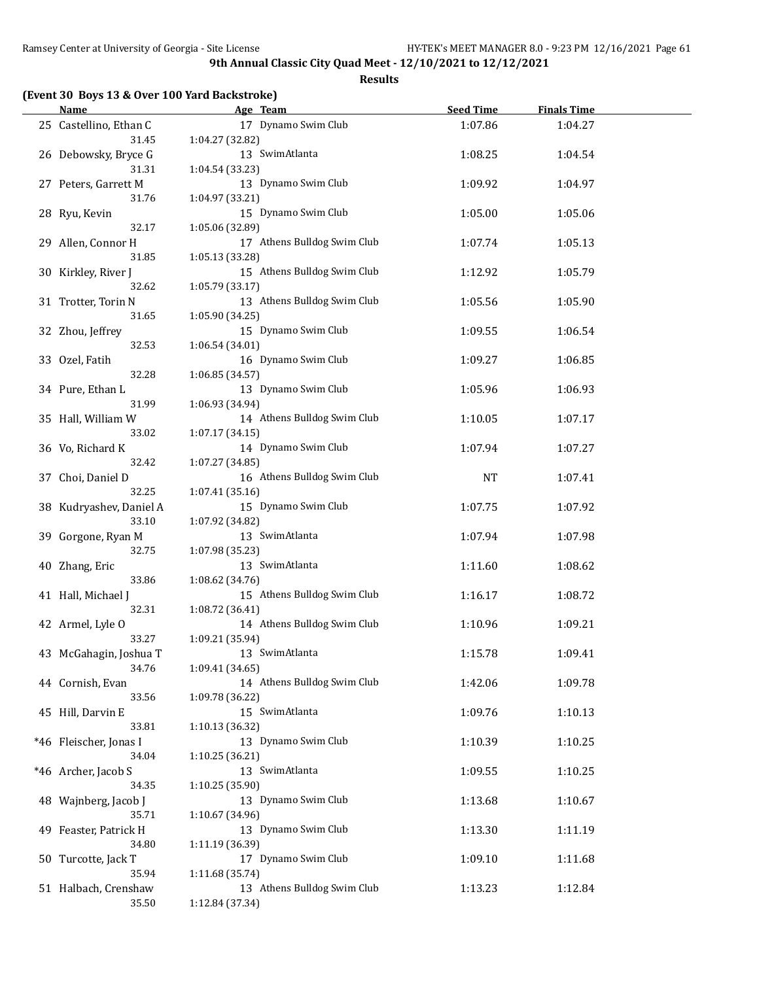|  |  |  | (Event 30 Boys 13 & Over 100 Yard Backstroke) |  |
|--|--|--|-----------------------------------------------|--|
|--|--|--|-----------------------------------------------|--|

| <b>Name</b>             | Age Team                                       | <b>Seed Time</b> | <b>Finals Time</b> |  |
|-------------------------|------------------------------------------------|------------------|--------------------|--|
| 25 Castellino, Ethan C  | 17 Dynamo Swim Club                            | 1:07.86          | 1:04.27            |  |
| 31.45                   | 1:04.27 (32.82)                                |                  |                    |  |
| 26 Debowsky, Bryce G    | 13 SwimAtlanta                                 | 1:08.25          | 1:04.54            |  |
| 31.31                   | 1:04.54 (33.23)                                |                  |                    |  |
| 27 Peters, Garrett M    | 13 Dynamo Swim Club                            | 1:09.92          | 1:04.97            |  |
| 31.76                   | 1:04.97 (33.21)                                |                  |                    |  |
| 28 Ryu, Kevin           | 15 Dynamo Swim Club                            | 1:05.00          | 1:05.06            |  |
| 32.17                   | 1:05.06 (32.89)                                |                  |                    |  |
| 29 Allen, Connor H      | 17 Athens Bulldog Swim Club                    | 1:07.74          | 1:05.13            |  |
| 31.85                   | 1:05.13 (33.28)                                |                  |                    |  |
| 30 Kirkley, River J     | 15 Athens Bulldog Swim Club                    | 1:12.92          | 1:05.79            |  |
| 32.62                   | 1:05.79 (33.17)                                |                  |                    |  |
| 31 Trotter, Torin N     | 13 Athens Bulldog Swim Club                    | 1:05.56          | 1:05.90            |  |
| 31.65                   | 1:05.90 (34.25)                                |                  |                    |  |
| 32 Zhou, Jeffrey        | 15 Dynamo Swim Club                            | 1:09.55          | 1:06.54            |  |
| 32.53                   | 1:06.54 (34.01)                                |                  |                    |  |
| 33 Ozel, Fatih          | 16 Dynamo Swim Club                            | 1:09.27          | 1:06.85            |  |
| 32.28                   | 1:06.85 (34.57)                                |                  |                    |  |
| 34 Pure, Ethan L        | 13 Dynamo Swim Club                            | 1:05.96          | 1:06.93            |  |
| 31.99                   | 1:06.93 (34.94)                                |                  |                    |  |
| 35 Hall, William W      | 14 Athens Bulldog Swim Club                    |                  | 1:07.17            |  |
| 33.02                   | 1:07.17 (34.15)                                | 1:10.05          |                    |  |
|                         | 14 Dynamo Swim Club                            |                  |                    |  |
| 36 Vo, Richard K        |                                                | 1:07.94          | 1:07.27            |  |
| 32.42                   | 1:07.27 (34.85)<br>16 Athens Bulldog Swim Club |                  |                    |  |
| 37 Choi, Daniel D       |                                                | NT               | 1:07.41            |  |
| 32.25                   | 1:07.41 (35.16)                                |                  |                    |  |
| 38 Kudryashev, Daniel A | 15 Dynamo Swim Club                            | 1:07.75          | 1:07.92            |  |
| 33.10                   | 1:07.92 (34.82)                                |                  |                    |  |
| 39 Gorgone, Ryan M      | 13 SwimAtlanta                                 | 1:07.94          | 1:07.98            |  |
| 32.75                   | 1:07.98 (35.23)                                |                  |                    |  |
| 40 Zhang, Eric          | 13 SwimAtlanta                                 | 1:11.60          | 1:08.62            |  |
| 33.86                   | 1:08.62 (34.76)                                |                  |                    |  |
| 41 Hall, Michael J      | 15 Athens Bulldog Swim Club                    | 1:16.17          | 1:08.72            |  |
| 32.31                   | 1:08.72 (36.41)                                |                  |                    |  |
| 42 Armel, Lyle O        | 14 Athens Bulldog Swim Club                    | 1:10.96          | 1:09.21            |  |
| 33.27                   | 1:09.21 (35.94)                                |                  |                    |  |
| 43 McGahagin, Joshua T  | 13 SwimAtlanta                                 | 1:15.78          | 1:09.41            |  |
| 34.76                   | 1:09.41 (34.65)                                |                  |                    |  |
| 44 Cornish, Evan        | 14 Athens Bulldog Swim Club                    | 1:42.06          | 1:09.78            |  |
| 33.56                   | 1:09.78 (36.22)                                |                  |                    |  |
| 45 Hill, Darvin E       | 15 SwimAtlanta                                 | 1:09.76          | 1:10.13            |  |
| 33.81                   | 1:10.13 (36.32)                                |                  |                    |  |
| *46 Fleischer, Jonas I  | 13 Dynamo Swim Club                            | 1:10.39          | 1:10.25            |  |
| 34.04                   | 1:10.25 (36.21)                                |                  |                    |  |
| *46 Archer, Jacob S     | 13 SwimAtlanta                                 | 1:09.55          | 1:10.25            |  |
| 34.35                   | 1:10.25 (35.90)                                |                  |                    |  |
| 48 Wajnberg, Jacob J    | 13 Dynamo Swim Club                            | 1:13.68          | 1:10.67            |  |
| 35.71                   | 1:10.67 (34.96)                                |                  |                    |  |
| 49 Feaster, Patrick H   | 13 Dynamo Swim Club                            | 1:13.30          | 1:11.19            |  |
| 34.80                   | 1:11.19 (36.39)                                |                  |                    |  |
| 50 Turcotte, Jack T     | 17 Dynamo Swim Club                            | 1:09.10          | 1:11.68            |  |
| 35.94                   | 1:11.68 (35.74)                                |                  |                    |  |
| 51 Halbach, Crenshaw    | 13 Athens Bulldog Swim Club                    | 1:13.23          | 1:12.84            |  |
| 35.50                   | 1:12.84 (37.34)                                |                  |                    |  |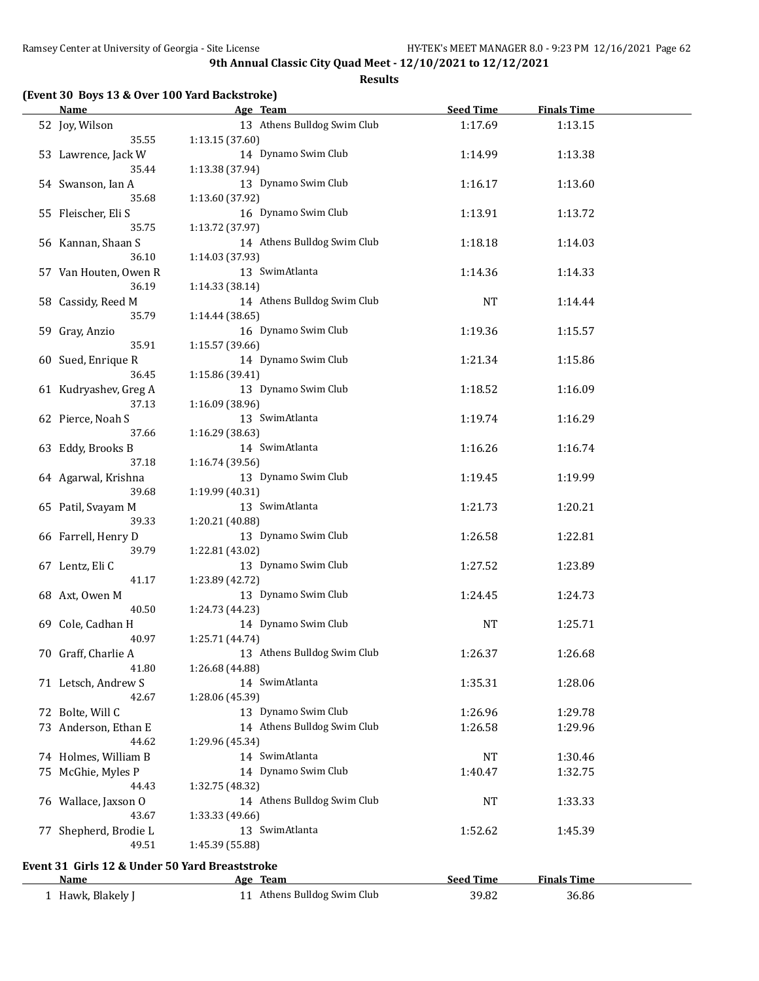**Results**

#### **(Event 30 Boys 13 & Over 100 Yard Backstroke)**

| <b>Name</b>                                    | Age Team                    | <b>Seed Time</b> | <b>Finals Time</b> |  |
|------------------------------------------------|-----------------------------|------------------|--------------------|--|
| 52 Joy, Wilson                                 | 13 Athens Bulldog Swim Club | 1:17.69          | 1:13.15            |  |
| 35.55                                          | 1:13.15(37.60)              |                  |                    |  |
| 53 Lawrence, Jack W                            | 14 Dynamo Swim Club         | 1:14.99          | 1:13.38            |  |
| 35.44                                          | 1:13.38 (37.94)             |                  |                    |  |
| 54 Swanson, Ian A                              | 13 Dynamo Swim Club         | 1:16.17          | 1:13.60            |  |
| 35.68                                          | 1:13.60 (37.92)             |                  |                    |  |
| 55 Fleischer, Eli S                            | 16 Dynamo Swim Club         | 1:13.91          | 1:13.72            |  |
| 35.75                                          | 1:13.72 (37.97)             |                  |                    |  |
| 56 Kannan, Shaan S                             | 14 Athens Bulldog Swim Club | 1:18.18          | 1:14.03            |  |
| 36.10                                          | 1:14.03 (37.93)             |                  |                    |  |
| 57 Van Houten, Owen R                          | 13 SwimAtlanta              | 1:14.36          | 1:14.33            |  |
| 36.19                                          | 1:14.33 (38.14)             |                  |                    |  |
| 58 Cassidy, Reed M                             | 14 Athens Bulldog Swim Club | <b>NT</b>        | 1:14.44            |  |
| 35.79                                          | 1:14.44 (38.65)             |                  |                    |  |
| 59 Gray, Anzio                                 | 16 Dynamo Swim Club         | 1:19.36          | 1:15.57            |  |
| 35.91                                          | 1:15.57 (39.66)             |                  |                    |  |
| 60 Sued, Enrique R                             | 14 Dynamo Swim Club         | 1:21.34          | 1:15.86            |  |
| 36.45                                          | 1:15.86 (39.41)             |                  |                    |  |
| 61 Kudryashev, Greg A                          | 13 Dynamo Swim Club         | 1:18.52          | 1:16.09            |  |
| 37.13                                          | 1:16.09 (38.96)             |                  |                    |  |
| 62 Pierce, Noah S                              | 13 SwimAtlanta              | 1:19.74          | 1:16.29            |  |
| 37.66                                          | 1:16.29 (38.63)             |                  |                    |  |
| 63 Eddy, Brooks B                              | 14 SwimAtlanta              | 1:16.26          | 1:16.74            |  |
| 37.18                                          | 1:16.74 (39.56)             |                  |                    |  |
| 64 Agarwal, Krishna                            | 13 Dynamo Swim Club         | 1:19.45          | 1:19.99            |  |
| 39.68                                          | 1:19.99 (40.31)             |                  |                    |  |
| 65 Patil, Svayam M                             | 13 SwimAtlanta              | 1:21.73          | 1:20.21            |  |
| 39.33                                          | 1:20.21 (40.88)             |                  |                    |  |
| 66 Farrell, Henry D                            | 13 Dynamo Swim Club         | 1:26.58          | 1:22.81            |  |
| 39.79                                          | 1:22.81 (43.02)             |                  |                    |  |
| 67 Lentz, Eli C                                | 13 Dynamo Swim Club         | 1:27.52          | 1:23.89            |  |
| 41.17                                          | 1:23.89 (42.72)             |                  |                    |  |
| 68 Axt, Owen M                                 | 13 Dynamo Swim Club         | 1:24.45          | 1:24.73            |  |
| 40.50                                          | 1:24.73 (44.23)             |                  |                    |  |
| 69 Cole, Cadhan H                              | 14 Dynamo Swim Club         | <b>NT</b>        | 1:25.71            |  |
| 40.97                                          | 1:25.71 (44.74)             |                  |                    |  |
| 70 Graff, Charlie A                            | 13 Athens Bulldog Swim Club | 1:26.37          | 1:26.68            |  |
| 41.80                                          | 1:26.68 (44.88)             |                  |                    |  |
| 71 Letsch, Andrew S                            | 14 SwimAtlanta              | 1:35.31          | 1:28.06            |  |
| 42.67                                          | 1:28.06 (45.39)             |                  |                    |  |
| 72 Bolte, Will C                               | 13 Dynamo Swim Club         | 1:26.96          | 1:29.78            |  |
| 73 Anderson, Ethan E                           | 14 Athens Bulldog Swim Club | 1:26.58          | 1:29.96            |  |
| 44.62                                          | 1:29.96 (45.34)             |                  |                    |  |
| 74 Holmes, William B                           | 14 SwimAtlanta              | NT               | 1:30.46            |  |
| 75 McGhie, Myles P                             | 14 Dynamo Swim Club         | 1:40.47          | 1:32.75            |  |
| 44.43                                          | 1:32.75 (48.32)             |                  |                    |  |
| 76 Wallace, Jaxson O                           | 14 Athens Bulldog Swim Club | NT               | 1:33.33            |  |
| 43.67                                          | 1:33.33 (49.66)             |                  |                    |  |
| 77 Shepherd, Brodie L                          | 13 SwimAtlanta              | 1:52.62          | 1:45.39            |  |
| 49.51                                          | 1:45.39 (55.88)             |                  |                    |  |
|                                                |                             |                  |                    |  |
| Event 31 Girls 12 & Under 50 Yard Breaststroke |                             |                  |                    |  |
| <b>Name</b>                                    | Age Team                    | <b>Seed Time</b> | <b>Finals Time</b> |  |
| 1 Hawk, Blakely J                              | 11 Athens Bulldog Swim Club | 39.82            | 36.86              |  |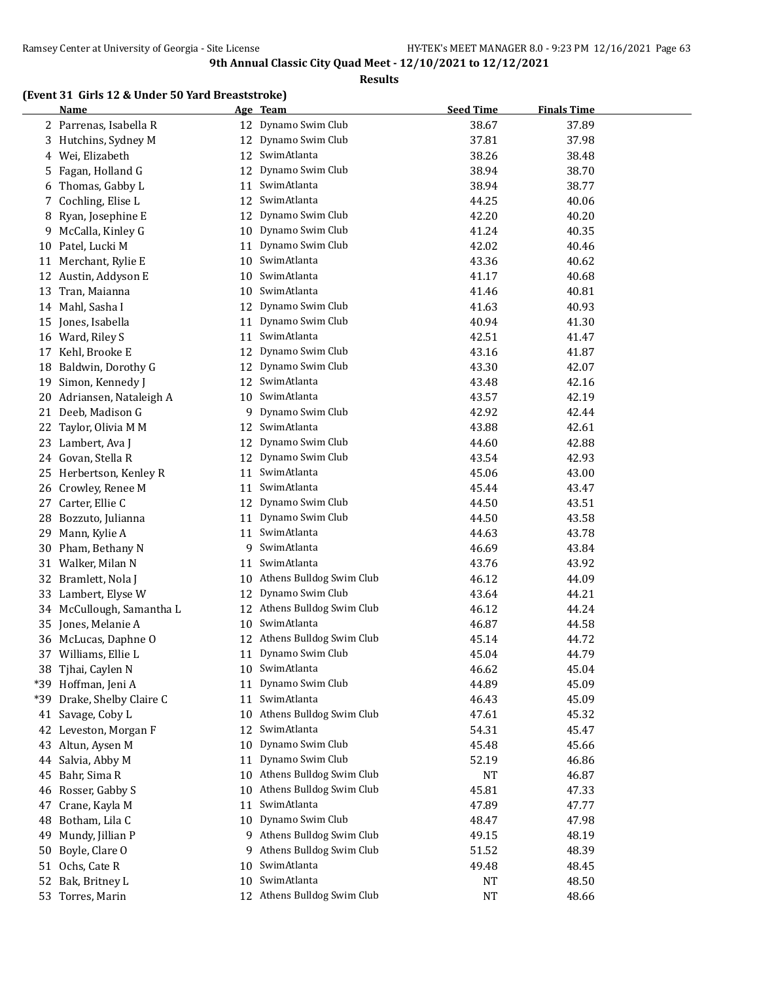**Results**

# **(Event 31 Girls 12 & Under 50 Yard Breaststroke)**

|     | <b>Name</b>               |    | Age Team                    | <b>Seed Time</b> | <b>Finals Time</b> |  |
|-----|---------------------------|----|-----------------------------|------------------|--------------------|--|
|     | 2 Parrenas, Isabella R    |    | 12 Dynamo Swim Club         | 38.67            | 37.89              |  |
|     | 3 Hutchins, Sydney M      | 12 | Dynamo Swim Club            | 37.81            | 37.98              |  |
| 4   | Wei, Elizabeth            | 12 | SwimAtlanta                 | 38.26            | 38.48              |  |
| 5.  | Fagan, Holland G          | 12 | Dynamo Swim Club            | 38.94            | 38.70              |  |
| 6   | Thomas, Gabby L           | 11 | SwimAtlanta                 | 38.94            | 38.77              |  |
| 7   | Cochling, Elise L         | 12 | SwimAtlanta                 | 44.25            | 40.06              |  |
| 8   | Ryan, Josephine E         | 12 | Dynamo Swim Club            | 42.20            | 40.20              |  |
| 9   | McCalla, Kinley G         | 10 | Dynamo Swim Club            | 41.24            | 40.35              |  |
|     | 10 Patel, Lucki M         | 11 | Dynamo Swim Club            | 42.02            | 40.46              |  |
| 11  | Merchant, Rylie E         | 10 | SwimAtlanta                 | 43.36            | 40.62              |  |
| 12  | Austin, Addyson E         | 10 | SwimAtlanta                 | 41.17            | 40.68              |  |
| 13  | Tran, Maianna             | 10 | SwimAtlanta                 | 41.46            | 40.81              |  |
|     | 14 Mahl, Sasha I          | 12 | Dynamo Swim Club            | 41.63            | 40.93              |  |
| 15  | Jones, Isabella           | 11 | Dynamo Swim Club            | 40.94            | 41.30              |  |
|     |                           |    | SwimAtlanta                 |                  |                    |  |
|     | 16 Ward, Riley S          | 11 |                             | 42.51            | 41.47              |  |
| 17  | Kehl, Brooke E            | 12 | Dynamo Swim Club            | 43.16            | 41.87              |  |
| 18  | Baldwin, Dorothy G        | 12 | Dynamo Swim Club            | 43.30            | 42.07              |  |
| 19  | Simon, Kennedy J          | 12 | SwimAtlanta                 | 43.48            | 42.16              |  |
|     | 20 Adriansen, Nataleigh A | 10 | SwimAtlanta                 | 43.57            | 42.19              |  |
| 21  | Deeb, Madison G           |    | 9 Dynamo Swim Club          | 42.92            | 42.44              |  |
| 22  | Taylor, Olivia M M        | 12 | SwimAtlanta                 | 43.88            | 42.61              |  |
| 23  | Lambert, Ava J            | 12 | Dynamo Swim Club            | 44.60            | 42.88              |  |
| 24  | Govan, Stella R           | 12 | Dynamo Swim Club            | 43.54            | 42.93              |  |
| 25  | Herbertson, Kenley R      | 11 | SwimAtlanta                 | 45.06            | 43.00              |  |
| 26  | Crowley, Renee M          | 11 | SwimAtlanta                 | 45.44            | 43.47              |  |
| 27  | Carter, Ellie C           | 12 | Dynamo Swim Club            | 44.50            | 43.51              |  |
| 28  | Bozzuto, Julianna         | 11 | Dynamo Swim Club            | 44.50            | 43.58              |  |
| 29  | Mann, Kylie A             | 11 | SwimAtlanta                 | 44.63            | 43.78              |  |
|     | 30 Pham, Bethany N        | 9  | SwimAtlanta                 | 46.69            | 43.84              |  |
|     | 31 Walker, Milan N        | 11 | SwimAtlanta                 | 43.76            | 43.92              |  |
| 32  | Bramlett, Nola J          | 10 | Athens Bulldog Swim Club    | 46.12            | 44.09              |  |
| 33  | Lambert, Elyse W          | 12 | Dynamo Swim Club            | 43.64            | 44.21              |  |
|     | 34 McCullough, Samantha L | 12 | Athens Bulldog Swim Club    | 46.12            | 44.24              |  |
|     | 35 Jones, Melanie A       | 10 | SwimAtlanta                 | 46.87            | 44.58              |  |
|     | 36 McLucas, Daphne O      | 12 | Athens Bulldog Swim Club    | 45.14            | 44.72              |  |
|     | 37 Williams, Ellie L      | 11 | Dynamo Swim Club            | 45.04            | 44.79              |  |
|     | 38 Tjhai, Caylen N        | 10 | SwimAtlanta                 | 46.62            | 45.04              |  |
|     | *39 Hoffman, Jeni A       | 11 | Dynamo Swim Club            | 44.89            | 45.09              |  |
| *39 | Drake, Shelby Claire C    | 11 | SwimAtlanta                 | 46.43            | 45.09              |  |
| 41  | Savage, Coby L            | 10 | Athens Bulldog Swim Club    | 47.61            | 45.32              |  |
|     | 42 Leveston, Morgan F     | 12 | SwimAtlanta                 | 54.31            | 45.47              |  |
|     | 43 Altun, Aysen M         | 10 | Dynamo Swim Club            | 45.48            | 45.66              |  |
| 44  | Salvia, Abby M            | 11 | Dynamo Swim Club            | 52.19            | 46.86              |  |
| 45  | Bahr, Sima R              |    | 10 Athens Bulldog Swim Club | NT               | 46.87              |  |
|     | 46 Rosser, Gabby S        | 10 | Athens Bulldog Swim Club    | 45.81            | 47.33              |  |
| 47  | Crane, Kayla M            | 11 | SwimAtlanta                 | 47.89            | 47.77              |  |
| 48  | Botham, Lila C            | 10 | Dynamo Swim Club            | 48.47            | 47.98              |  |
| 49  | Mundy, Jillian P          |    | 9 Athens Bulldog Swim Club  | 49.15            | 48.19              |  |
| 50  | Boyle, Clare O            | 9  | Athens Bulldog Swim Club    | 51.52            | 48.39              |  |
| 51  | Ochs, Cate R              | 10 | SwimAtlanta                 | 49.48            | 48.45              |  |
| 52  | Bak, Britney L            | 10 | SwimAtlanta                 | NT               | 48.50              |  |
|     | 53 Torres, Marin          |    | 12 Athens Bulldog Swim Club | <b>NT</b>        | 48.66              |  |
|     |                           |    |                             |                  |                    |  |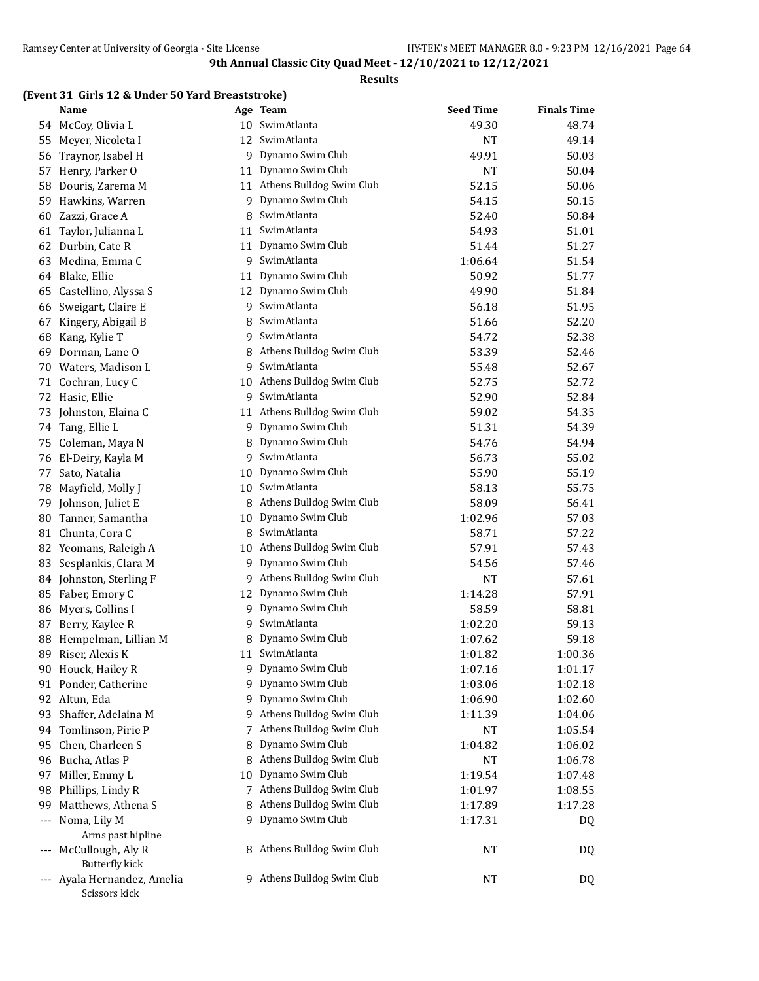#### **Results**

#### **(Event 31 Girls 12 & Under 50 Yard Breaststroke)**

|     | Name                                         |    | Age Team                   | <b>Seed Time</b> | <b>Finals Time</b> |  |
|-----|----------------------------------------------|----|----------------------------|------------------|--------------------|--|
|     | 54 McCoy, Olivia L                           |    | 10 SwimAtlanta             | 49.30            | 48.74              |  |
| 55  | Meyer, Nicoleta I                            |    | 12 SwimAtlanta             | <b>NT</b>        | 49.14              |  |
| 56  | Traynor, Isabel H                            |    | 9 Dynamo Swim Club         | 49.91            | 50.03              |  |
| 57  | Henry, Parker O                              |    | 11 Dynamo Swim Club        | <b>NT</b>        | 50.04              |  |
| 58  | Douris, Zarema M                             | 11 | Athens Bulldog Swim Club   | 52.15            | 50.06              |  |
| 59  | Hawkins, Warren                              | 9  | Dynamo Swim Club           | 54.15            | 50.15              |  |
| 60  | Zazzi, Grace A                               | 8  | SwimAtlanta                | 52.40            | 50.84              |  |
| 61  | Taylor, Julianna L                           | 11 | SwimAtlanta                | 54.93            | 51.01              |  |
| 62  | Durbin, Cate R                               | 11 | Dynamo Swim Club           | 51.44            | 51.27              |  |
| 63  | Medina, Emma C                               | 9  | SwimAtlanta                | 1:06.64          | 51.54              |  |
| 64  | Blake, Ellie                                 | 11 | Dynamo Swim Club           | 50.92            | 51.77              |  |
| 65  | Castellino, Alyssa S                         | 12 | Dynamo Swim Club           | 49.90            | 51.84              |  |
| 66  | Sweigart, Claire E                           | 9  | SwimAtlanta                | 56.18            | 51.95              |  |
| 67  | Kingery, Abigail B                           | 8  | SwimAtlanta                | 51.66            | 52.20              |  |
| 68  | Kang, Kylie T                                | 9  | SwimAtlanta                | 54.72            | 52.38              |  |
| 69  | Dorman, Lane O                               | 8  | Athens Bulldog Swim Club   | 53.39            | 52.46              |  |
|     | 70 Waters, Madison L                         | 9  | SwimAtlanta                | 55.48            | 52.67              |  |
| 71  | Cochran, Lucy C                              | 10 | Athens Bulldog Swim Club   | 52.75            | 52.72              |  |
|     | 72 Hasic, Ellie                              | 9  | SwimAtlanta                | 52.90            | 52.84              |  |
| 73  | Johnston, Elaina C                           | 11 | Athens Bulldog Swim Club   | 59.02            | 54.35              |  |
|     | 74 Tang, Ellie L                             | 9. | Dynamo Swim Club           | 51.31            | 54.39              |  |
| 75  | Coleman, Maya N                              | 8  | Dynamo Swim Club           | 54.76            | 54.94              |  |
| 76  | El-Deiry, Kayla M                            | 9  | SwimAtlanta                | 56.73            | 55.02              |  |
| 77  | Sato, Natalia                                | 10 | Dynamo Swim Club           | 55.90            | 55.19              |  |
| 78  | Mayfield, Molly J                            | 10 | SwimAtlanta                | 58.13            | 55.75              |  |
|     | 79 Johnson, Juliet E                         | 8  | Athens Bulldog Swim Club   | 58.09            | 56.41              |  |
| 80  | Tanner, Samantha                             | 10 | Dynamo Swim Club           | 1:02.96          | 57.03              |  |
|     | 81 Chunta, Cora C                            | 8  | SwimAtlanta                | 58.71            | 57.22              |  |
|     | 82 Yeomans, Raleigh A                        | 10 | Athens Bulldog Swim Club   | 57.91            | 57.43              |  |
|     | 83 Sesplankis, Clara M                       | 9  | Dynamo Swim Club           | 54.56            | 57.46              |  |
|     | 84 Johnston, Sterling F                      | 9  | Athens Bulldog Swim Club   | <b>NT</b>        | 57.61              |  |
|     | 85 Faber, Emory C                            | 12 | Dynamo Swim Club           | 1:14.28          | 57.91              |  |
|     | 86 Myers, Collins I                          | 9  | Dynamo Swim Club           | 58.59            | 58.81              |  |
| 87  | Berry, Kaylee R                              | 9  | SwimAtlanta                | 1:02.20          | 59.13              |  |
| 88  | Hempelman, Lillian M                         |    | Dynamo Swim Club           | 1:07.62          | 59.18              |  |
| 89  | Riser, Alexis K                              |    | 11 SwimAtlanta             | 1:01.82          | 1:00.36            |  |
|     | 90 Houck, Hailey R                           |    | 9 Dynamo Swim Club         | 1:07.16          | 1:01.17            |  |
|     | 91 Ponder, Catherine                         | 9. | Dynamo Swim Club           | 1:03.06          | 1:02.18            |  |
| 92  | Altun, Eda                                   | 9  | Dynamo Swim Club           | 1:06.90          | 1:02.60            |  |
| 93  | Shaffer, Adelaina M                          | 9. | Athens Bulldog Swim Club   | 1:11.39          | 1:04.06            |  |
| 94  | Tomlinson, Pirie P                           | 7  | Athens Bulldog Swim Club   | <b>NT</b>        | 1:05.54            |  |
| 95  | Chen, Charleen S                             | 8  | Dynamo Swim Club           | 1:04.82          | 1:06.02            |  |
| 96  | Bucha, Atlas P                               | 8  | Athens Bulldog Swim Club   | <b>NT</b>        | 1:06.78            |  |
| 97  | Miller, Emmy L                               | 10 | Dynamo Swim Club           | 1:19.54          | 1:07.48            |  |
| 98  | Phillips, Lindy R                            | 7  | Athens Bulldog Swim Club   | 1:01.97          | 1:08.55            |  |
| 99  | Matthews, Athena S                           | 8  | Athens Bulldog Swim Club   | 1:17.89          | 1:17.28            |  |
| --- | Noma, Lily M                                 |    | 9 Dynamo Swim Club         | 1:17.31          | DQ                 |  |
|     | Arms past hipline                            |    |                            |                  |                    |  |
|     | --- McCullough, Aly R                        |    | 8 Athens Bulldog Swim Club | NT               | DQ                 |  |
|     | <b>Butterfly kick</b>                        |    |                            |                  |                    |  |
|     | --- Ayala Hernandez, Amelia<br>Scissors kick |    | 9 Athens Bulldog Swim Club | NT               | DQ                 |  |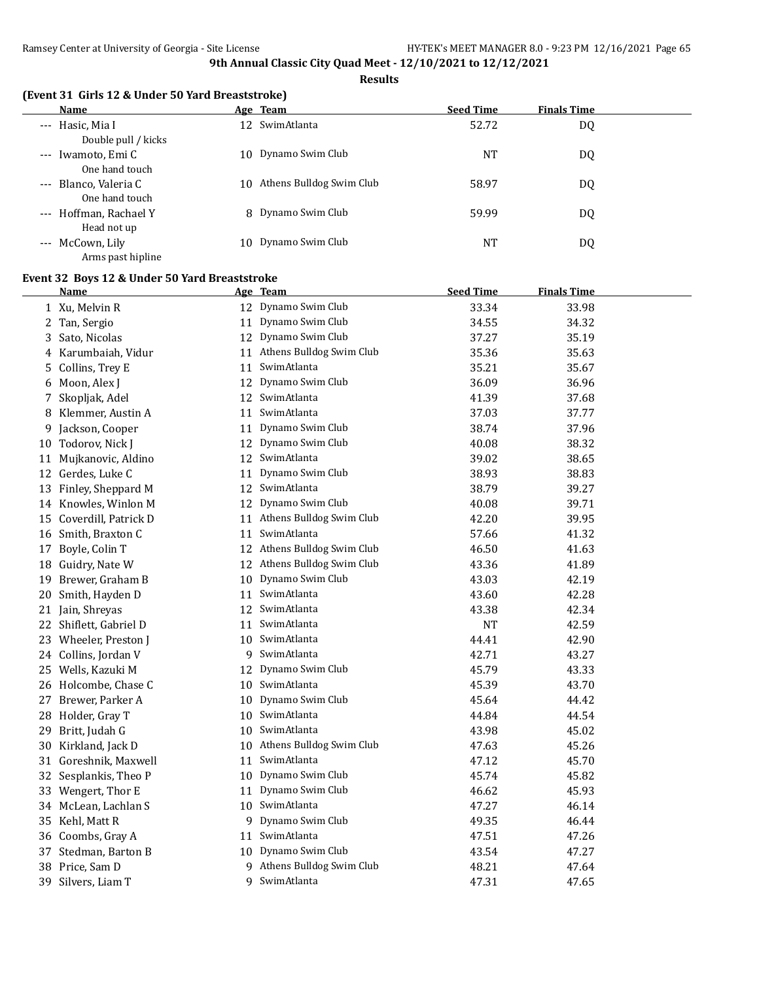#### **Results**

| Name                                          |     | Age Team                 | <b>Seed Time</b> | <b>Finals Time</b> |  |
|-----------------------------------------------|-----|--------------------------|------------------|--------------------|--|
| --- Hasic, Mia I<br>Double pull / kicks       |     | 12 SwimAtlanta           | 52.72            | DQ                 |  |
| Iwamoto, Emi C<br>$---$<br>One hand touch     | 10. | Dynamo Swim Club         | <b>NT</b>        | DQ                 |  |
| Blanco, Valeria C<br>$---$<br>One hand touch  | 10. | Athens Bulldog Swim Club | 58.97            | DQ                 |  |
| --- Hoffman, Rachael Y<br>Head not up         |     | 8 Dynamo Swim Club       | 59.99            | DQ                 |  |
| McCown, Lily<br>$\cdots$<br>Arms past hipline | 10  | Dynamo Swim Club         | NT               | DQ                 |  |

#### **Event 32 Boys 12 & Under 50 Yard Breaststroke**

|    | Name                   |    | Age Team                    | <b>Seed Time</b> | <b>Finals Time</b> |
|----|------------------------|----|-----------------------------|------------------|--------------------|
|    | 1 Xu, Melvin R         |    | 12 Dynamo Swim Club         | 33.34            | 33.98              |
|    | 2 Tan, Sergio          |    | 11 Dynamo Swim Club         | 34.55            | 34.32              |
| 3. | Sato, Nicolas          | 12 | Dynamo Swim Club            | 37.27            | 35.19              |
|    | 4 Karumbaiah, Vidur    | 11 | Athens Bulldog Swim Club    | 35.36            | 35.63              |
| 5. | Collins, Trey E        | 11 | SwimAtlanta                 | 35.21            | 35.67              |
|    | 6 Moon, Alex J         |    | 12 Dynamo Swim Club         | 36.09            | 36.96              |
| 7  | Skopljak, Adel         |    | 12 SwimAtlanta              | 41.39            | 37.68              |
| 8  | Klemmer, Austin A      | 11 | SwimAtlanta                 | 37.03            | 37.77              |
| 9  | Jackson, Cooper        | 11 | Dynamo Swim Club            | 38.74            | 37.96              |
|    | 10 Todorov, Nick J     |    | 12 Dynamo Swim Club         | 40.08            | 38.32              |
|    | 11 Mujkanovic, Aldino  | 12 | SwimAtlanta                 | 39.02            | 38.65              |
| 12 | Gerdes, Luke C         | 11 | Dynamo Swim Club            | 38.93            | 38.83              |
| 13 | Finley, Sheppard M     | 12 | SwimAtlanta                 | 38.79            | 39.27              |
|    | 14 Knowles, Winlon M   | 12 | Dynamo Swim Club            | 40.08            | 39.71              |
| 15 | Coverdill, Patrick D   | 11 | Athens Bulldog Swim Club    | 42.20            | 39.95              |
| 16 | Smith, Braxton C       | 11 | SwimAtlanta                 | 57.66            | 41.32              |
|    | 17 Boyle, Colin T      |    | 12 Athens Bulldog Swim Club | 46.50            | 41.63              |
| 18 | Guidry, Nate W         |    | 12 Athens Bulldog Swim Club | 43.36            | 41.89              |
| 19 | Brewer, Graham B       |    | 10 Dynamo Swim Club         | 43.03            | 42.19              |
| 20 | Smith, Hayden D        | 11 | SwimAtlanta                 | 43.60            | 42.28              |
|    | 21 Jain, Shreyas       | 12 | SwimAtlanta                 | 43.38            | 42.34              |
|    | 22 Shiflett, Gabriel D | 11 | SwimAtlanta                 | <b>NT</b>        | 42.59              |
|    | 23 Wheeler, Preston J  |    | 10 SwimAtlanta              | 44.41            | 42.90              |
|    | 24 Collins, Jordan V   |    | 9 SwimAtlanta               | 42.71            | 43.27              |
|    | 25 Wells, Kazuki M     |    | 12 Dynamo Swim Club         | 45.79            | 43.33              |
|    | 26 Holcombe, Chase C   |    | 10 SwimAtlanta              | 45.39            | 43.70              |
|    | 27 Brewer, Parker A    | 10 | Dynamo Swim Club            | 45.64            | 44.42              |
|    | 28 Holder, Gray T      |    | 10 SwimAtlanta              | 44.84            | 44.54              |
| 29 | Britt, Judah G         |    | 10 SwimAtlanta              | 43.98            | 45.02              |
| 30 | Kirkland, Jack D       | 10 | Athens Bulldog Swim Club    | 47.63            | 45.26              |
| 31 | Goreshnik, Maxwell     | 11 | SwimAtlanta                 | 47.12            | 45.70              |
| 32 | Sesplankis, Theo P     | 10 | Dynamo Swim Club            | 45.74            | 45.82              |
|    | 33 Wengert, Thor E     | 11 | Dynamo Swim Club            | 46.62            | 45.93              |
|    | 34 McLean, Lachlan S   |    | 10 SwimAtlanta              | 47.27            | 46.14              |
|    | 35 Kehl, Matt R        |    | 9 Dynamo Swim Club          | 49.35            | 46.44              |
|    | 36 Coombs, Gray A      | 11 | SwimAtlanta                 | 47.51            | 47.26              |
|    | 37 Stedman, Barton B   |    | 10 Dynamo Swim Club         | 43.54            | 47.27              |
| 38 | Price, Sam D           |    | 9 Athens Bulldog Swim Club  | 48.21            | 47.64              |
| 39 | Silvers, Liam T        | 9  | SwimAtlanta                 | 47.31            | 47.65              |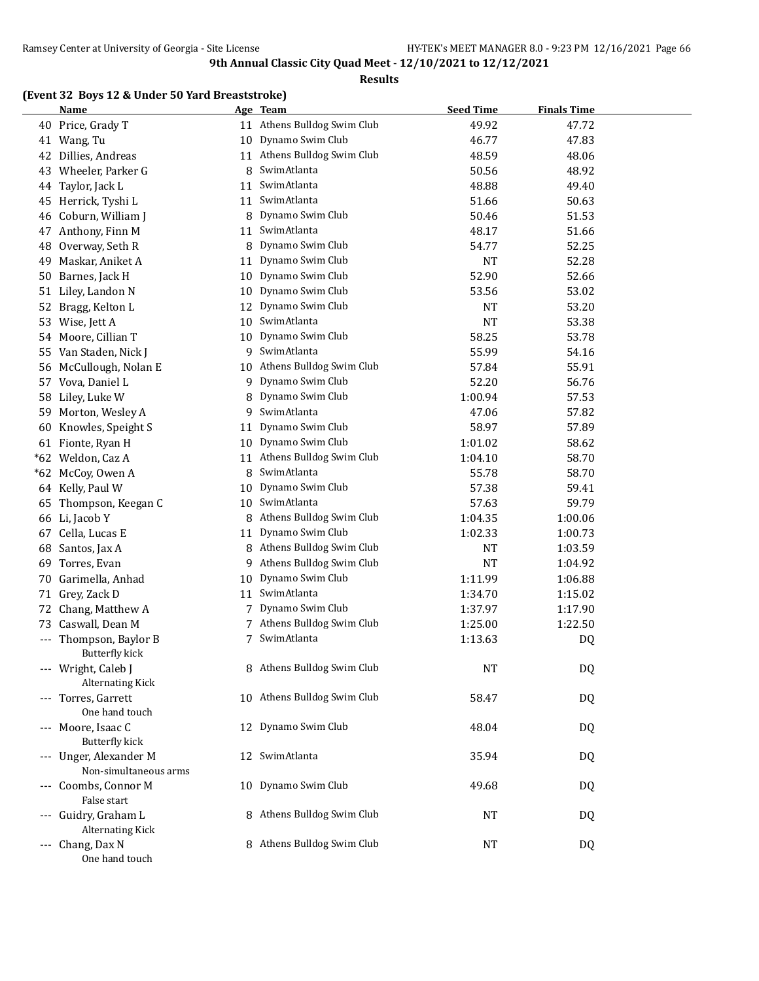#### **Results**

#### **(Event 32 Boys 12 & Under 50 Yard Breaststroke)**

|    | <b>Name</b>                                     |    | Age Team                    | <b>Seed Time</b> | <b>Finals Time</b> |  |
|----|-------------------------------------------------|----|-----------------------------|------------------|--------------------|--|
|    | 40 Price, Grady T                               |    | 11 Athens Bulldog Swim Club | 49.92            | 47.72              |  |
|    | 41 Wang, Tu                                     |    | 10 Dynamo Swim Club         | 46.77            | 47.83              |  |
|    | 42 Dillies, Andreas                             |    | 11 Athens Bulldog Swim Club | 48.59            | 48.06              |  |
| 43 | Wheeler, Parker G                               | 8  | SwimAtlanta                 | 50.56            | 48.92              |  |
| 44 | Taylor, Jack L                                  | 11 | SwimAtlanta                 | 48.88            | 49.40              |  |
| 45 | Herrick, Tyshi L                                | 11 | SwimAtlanta                 | 51.66            | 50.63              |  |
| 46 | Coburn, William J                               | 8  | Dynamo Swim Club            | 50.46            | 51.53              |  |
| 47 | Anthony, Finn M                                 | 11 | SwimAtlanta                 | 48.17            | 51.66              |  |
| 48 | Overway, Seth R                                 | 8  | Dynamo Swim Club            | 54.77            | 52.25              |  |
| 49 | Maskar, Aniket A                                | 11 | Dynamo Swim Club            | <b>NT</b>        | 52.28              |  |
| 50 | Barnes, Jack H                                  | 10 | Dynamo Swim Club            | 52.90            | 52.66              |  |
| 51 | Liley, Landon N                                 | 10 | Dynamo Swim Club            | 53.56            | 53.02              |  |
| 52 | Bragg, Kelton L                                 | 12 | Dynamo Swim Club            | NT               | 53.20              |  |
| 53 | Wise, Jett A                                    | 10 | SwimAtlanta                 | <b>NT</b>        | 53.38              |  |
|    | 54 Moore, Cillian T                             | 10 | Dynamo Swim Club            | 58.25            | 53.78              |  |
| 55 | Van Staden, Nick J                              | 9  | SwimAtlanta                 | 55.99            | 54.16              |  |
| 56 | McCullough, Nolan E                             | 10 | Athens Bulldog Swim Club    | 57.84            | 55.91              |  |
| 57 | Vova, Daniel L                                  | 9  | Dynamo Swim Club            | 52.20            | 56.76              |  |
| 58 | Liley, Luke W                                   | 8  | Dynamo Swim Club            | 1:00.94          | 57.53              |  |
| 59 | Morton, Wesley A                                | 9  | SwimAtlanta                 | 47.06            | 57.82              |  |
| 60 | Knowles, Speight S                              | 11 | Dynamo Swim Club            | 58.97            | 57.89              |  |
|    | 61 Fionte, Ryan H                               | 10 | Dynamo Swim Club            | 1:01.02          | 58.62              |  |
|    | *62 Weldon, Caz A                               | 11 | Athens Bulldog Swim Club    | 1:04.10          | 58.70              |  |
|    | *62 McCoy, Owen A                               | 8  | SwimAtlanta                 | 55.78            | 58.70              |  |
|    | 64 Kelly, Paul W                                | 10 | Dynamo Swim Club            | 57.38            | 59.41              |  |
| 65 | Thompson, Keegan C                              | 10 | SwimAtlanta                 | 57.63            | 59.79              |  |
|    | 66 Li, Jacob Y                                  | 8  | Athens Bulldog Swim Club    | 1:04.35          | 1:00.06            |  |
| 67 | Cella, Lucas E                                  | 11 | Dynamo Swim Club            | 1:02.33          | 1:00.73            |  |
| 68 | Santos, Jax A                                   | 8  | Athens Bulldog Swim Club    | NT               | 1:03.59            |  |
| 69 | Torres, Evan                                    | 9  | Athens Bulldog Swim Club    | <b>NT</b>        | 1:04.92            |  |
| 70 | Garimella, Anhad                                | 10 | Dynamo Swim Club            | 1:11.99          | 1:06.88            |  |
|    | 71 Grey, Zack D                                 |    | 11 SwimAtlanta              | 1:34.70          | 1:15.02            |  |
| 72 | Chang, Matthew A                                | 7  | Dynamo Swim Club            | 1:37.97          | 1:17.90            |  |
| 73 | Caswall, Dean M                                 |    | 7 Athens Bulldog Swim Club  | 1:25.00          | 1:22.50            |  |
|    | --- Thompson, Baylor B<br>Butterfly kick        | 7  | SwimAtlanta                 | 1:13.63          | DQ                 |  |
|    | --- Wright, Caleb J<br><b>Alternating Kick</b>  |    | 8 Athens Bulldog Swim Club  | <b>NT</b>        | DQ                 |  |
|    | --- Torres, Garrett<br>One hand touch           |    | 10 Athens Bulldog Swim Club | 58.47            | DQ                 |  |
|    | --- Moore, Isaac C<br><b>Butterfly kick</b>     |    | 12 Dynamo Swim Club         | 48.04            | DQ                 |  |
|    | --- Unger, Alexander M<br>Non-simultaneous arms | 12 | SwimAtlanta                 | 35.94            | DQ                 |  |
|    | Coombs, Connor M<br>False start                 | 10 | Dynamo Swim Club            | 49.68            | DQ                 |  |
|    | --- Guidry, Graham L<br><b>Alternating Kick</b> |    | 8 Athens Bulldog Swim Club  | NT               | DQ                 |  |
|    | --- Chang, Dax N<br>One hand touch              |    | 8 Athens Bulldog Swim Club  | <b>NT</b>        | DQ                 |  |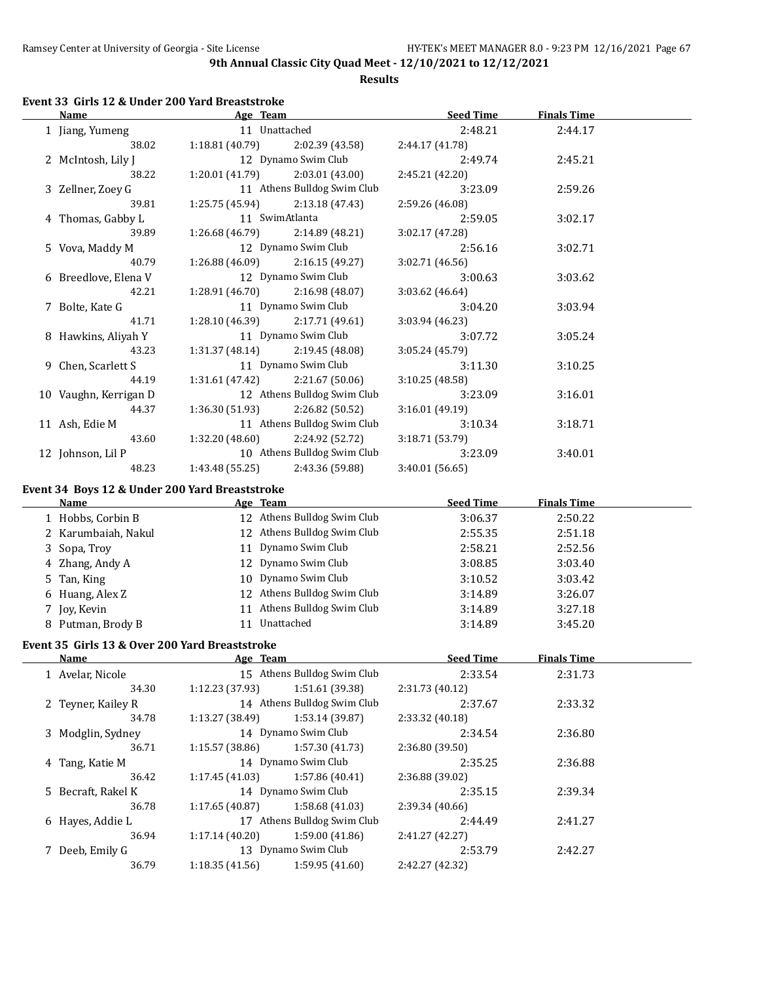**Results**

# **Event 33 Girls 12 & Under 200 Yard Breaststroke**

| <b>Name</b><br>Age Team                        |                                                                   | <b>Seed Time</b> | <b>Finals Time</b> |  |
|------------------------------------------------|-------------------------------------------------------------------|------------------|--------------------|--|
| 1 Jiang, Yumeng                                | 11 Unattached                                                     | 2:48.21          | 2:44.17            |  |
| 38.02                                          | 1:18.81 (40.79)<br>2:02.39 (43.58)                                | 2:44.17 (41.78)  |                    |  |
| 2 McIntosh, Lily J                             | 12 Dynamo Swim Club                                               | 2:49.74          | 2:45.21            |  |
| 38.22                                          | 1:20.01 (41.79)<br>2:03.01 (43.00)                                | 2:45.21 (42.20)  |                    |  |
| 3 Zellner, Zoey G                              | 11 Athens Bulldog Swim Club                                       | 3:23.09          | 2:59.26            |  |
| 39.81                                          | 1:25.75 (45.94)<br>2:13.18 (47.43)                                | 2:59.26 (46.08)  |                    |  |
| 4 Thomas, Gabby L                              | 11 SwimAtlanta                                                    | 2:59.05          | 3:02.17            |  |
| 39.89                                          | 1:26.68 (46.79)<br>2:14.89 (48.21)                                | 3:02.17 (47.28)  |                    |  |
| 5 Vova, Maddy M                                | 12 Dynamo Swim Club                                               | 2:56.16          | 3:02.71            |  |
| 40.79                                          | 1:26.88 (46.09)<br>2:16.15 (49.27)                                | 3:02.71 (46.56)  |                    |  |
| 6 Breedlove, Elena V                           | 12 Dynamo Swim Club                                               | 3:00.63          | 3:03.62            |  |
| 42.21                                          | 1:28.91(46.70)<br>2:16.98 (48.07)                                 | 3:03.62 (46.64)  |                    |  |
| 7 Bolte, Kate G                                | 11 Dynamo Swim Club                                               | 3:04.20          | 3:03.94            |  |
| 41.71                                          | 1:28.10 (46.39)<br>2:17.71 (49.61)                                | 3:03.94 (46.23)  |                    |  |
| 8 Hawkins, Aliyah Y                            | 11 Dynamo Swim Club                                               | 3:07.72          | 3:05.24            |  |
| 43.23                                          | 1:31.37 (48.14)<br>2:19.45 (48.08)                                | 3:05.24 (45.79)  |                    |  |
| 9 Chen, Scarlett S                             | 11 Dynamo Swim Club                                               | 3:11.30          |                    |  |
| 44.19                                          | 2:21.67 (50.06)                                                   |                  | 3:10.25            |  |
|                                                | 1:31.61 (47.42)<br>12 Athens Bulldog Swim Club                    | 3:10.25 (48.58)  |                    |  |
| 10 Vaughn, Kerrigan D                          |                                                                   | 3:23.09          | 3:16.01            |  |
| 44.37                                          | 1:36.30 (51.93)<br>2:26.82 (50.52)<br>11 Athens Bulldog Swim Club | 3:16.01 (49.19)  |                    |  |
| 11 Ash, Edie M                                 |                                                                   | 3:10.34          | 3:18.71            |  |
| 43.60                                          | 1:32.20 (48.60)<br>2:24.92 (52.72)                                | 3:18.71 (53.79)  |                    |  |
| 12 Johnson, Lil P                              | 10 Athens Bulldog Swim Club                                       | 3:23.09          | 3:40.01            |  |
| 48.23                                          | 1:43.48 (55.25)<br>2:43.36 (59.88)                                | 3:40.01 (56.65)  |                    |  |
|                                                | Event 34 Boys 12 & Under 200 Yard Breaststroke                    |                  |                    |  |
|                                                |                                                                   |                  |                    |  |
| <b>Name</b>                                    | Age Team                                                          | <b>Seed Time</b> | <b>Finals Time</b> |  |
| 1 Hobbs, Corbin B                              | 12 Athens Bulldog Swim Club                                       | 3:06.37          | 2:50.22            |  |
| 2 Karumbaiah, Nakul                            | 12 Athens Bulldog Swim Club                                       | 2:55.35          | 2:51.18            |  |
|                                                | 11 Dynamo Swim Club                                               |                  |                    |  |
| 3 Sopa, Troy                                   |                                                                   | 2:58.21          | 2:52.56            |  |
| 4 Zhang, Andy A                                | 12 Dynamo Swim Club                                               | 3:08.85          | 3:03.40            |  |
| 5 Tan, King                                    | 10 Dynamo Swim Club                                               | 3:10.52          | 3:03.42            |  |
| 6 Huang, Alex Z                                | 12 Athens Bulldog Swim Club                                       | 3:14.89          | 3:26.07            |  |
| 7 Joy, Kevin                                   | 11 Athens Bulldog Swim Club                                       | 3:14.89          | 3:27.18            |  |
| 8 Putman, Brody B                              | 11 Unattached                                                     | 3:14.89          | 3:45.20            |  |
| Event 35 Girls 13 & Over 200 Yard Breaststroke |                                                                   |                  |                    |  |
| <u>Name</u>                                    | Age Team                                                          | <b>Seed Time</b> | <b>Finals Time</b> |  |
| 1 Avelar, Nicole                               | 15 Athens Bulldog Swim Club                                       | 2:33.54          | 2:31.73            |  |
| 34.30                                          | 1:51.61 (39.38)<br>1:12.23 (37.93)                                | 2:31.73 (40.12)  |                    |  |
| 2 Teyner, Kailey R                             | 14 Athens Bulldog Swim Club                                       | 2:37.67          | 2:33.32            |  |
| 34.78                                          | 1:53.14 (39.87)<br>1:13.27 (38.49)                                | 2:33.32 (40.18)  |                    |  |
| 3 Modglin, Sydney                              | 14 Dynamo Swim Club                                               | 2:34.54          | 2:36.80            |  |
| 36.71                                          | 1:57.30 (41.73)<br>1:15.57 (38.86)                                | 2:36.80 (39.50)  |                    |  |
| 4 Tang, Katie M                                | 14 Dynamo Swim Club                                               | 2:35.25          | 2:36.88            |  |
| 36.42                                          | 1:57.86 (40.41)<br>1:17.45 (41.03)                                | 2:36.88 (39.02)  |                    |  |
| 5 Becraft, Rakel K                             | 14 Dynamo Swim Club                                               | 2:35.15          | 2:39.34            |  |
| 36.78                                          | 1:58.68 (41.03)<br>1:17.65 (40.87)                                | 2:39.34 (40.66)  |                    |  |
| 6 Hayes, Addie L                               | 17 Athens Bulldog Swim Club                                       | 2:44.49          | 2:41.27            |  |
| 36.94                                          | 1:59.00 (41.86)<br>1:17.14 (40.20)                                | 2:41.27 (42.27)  |                    |  |
| 7 Deeb, Emily G                                | 13 Dynamo Swim Club                                               | 2:53.79          | 2:42.27            |  |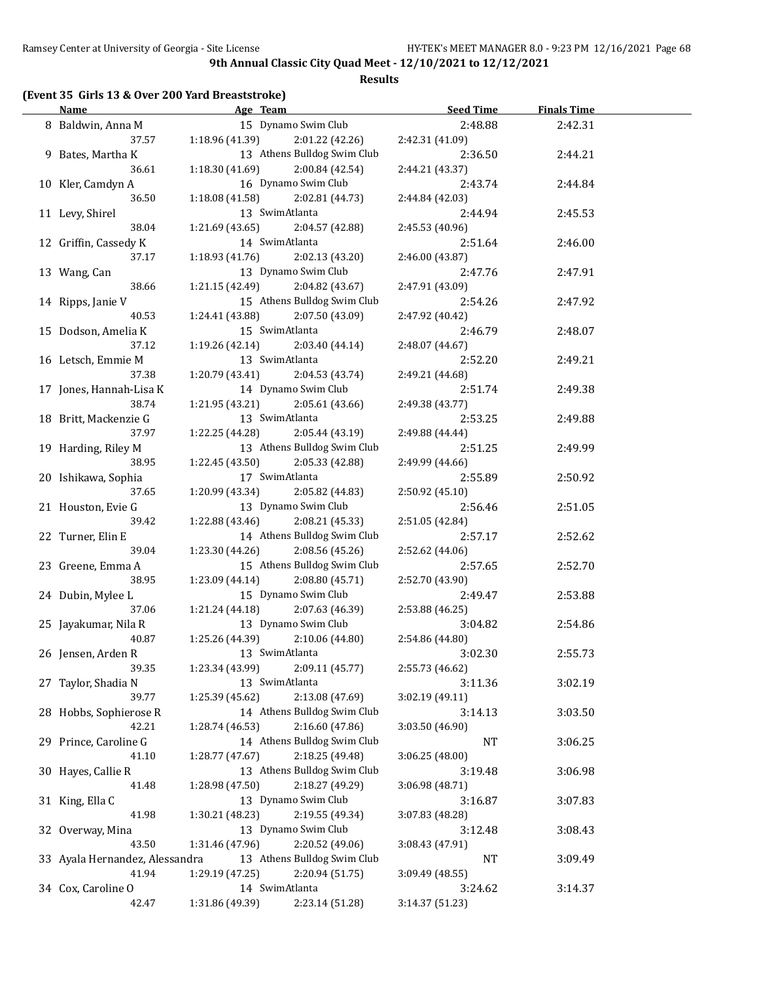#### **Results**

## **(Event 35 Girls 13 & Over 200 Yard Breaststroke)**

| Name                           | Age Team                          |                                                | <b>Seed Time</b> | <b>Finals Time</b> |  |
|--------------------------------|-----------------------------------|------------------------------------------------|------------------|--------------------|--|
| 8 Baldwin, Anna M              |                                   | 15 Dynamo Swim Club                            | 2:48.88          | 2:42.31            |  |
| 37.57                          | $1:18.96(41.39)$ $2:01.22(42.26)$ |                                                | 2:42.31 (41.09)  |                    |  |
| 9 Bates, Martha K              |                                   | 13 Athens Bulldog Swim Club                    | 2:36.50          | 2:44.21            |  |
| 36.61                          | 1:18.30 (41.69)                   | 2:00.84 (42.54)                                | 2:44.21 (43.37)  |                    |  |
| 10 Kler, Camdyn A              |                                   | 16 Dynamo Swim Club                            | 2:43.74          | 2:44.84            |  |
| 36.50                          | 1:18.08 (41.58)                   | 2:02.81 (44.73)                                | 2:44.84 (42.03)  |                    |  |
| 11 Levy, Shirel                | 13 SwimAtlanta                    |                                                | 2:44.94          | 2:45.53            |  |
| 38.04                          | 1:21.69 (43.65)                   | 2:04.57 (42.88)                                | 2:45.53 (40.96)  |                    |  |
| 12 Griffin, Cassedy K          | 14 SwimAtlanta                    |                                                | 2:51.64          |                    |  |
| 37.17                          |                                   |                                                |                  | 2:46.00            |  |
|                                | 1:18.93 (41.76)                   | 2:02.13(43.20)                                 | 2:46.00 (43.87)  |                    |  |
| 13 Wang, Can                   |                                   | 13 Dynamo Swim Club                            | 2:47.76          | 2:47.91            |  |
| 38.66                          | 1:21.15 (42.49)                   | 2:04.82 (43.67)                                | 2:47.91 (43.09)  |                    |  |
| 14 Ripps, Janie V              |                                   | 15 Athens Bulldog Swim Club                    | 2:54.26          | 2:47.92            |  |
| 40.53                          | 1:24.41 (43.88)                   | 2:07.50 (43.09)                                | 2:47.92 (40.42)  |                    |  |
| 15 Dodson, Amelia K            | 15 SwimAtlanta                    |                                                | 2:46.79          | 2:48.07            |  |
| 37.12                          | 1:19.26 (42.14)                   | 2:03.40 (44.14)                                | 2:48.07 (44.67)  |                    |  |
| 16 Letsch, Emmie M             | 13 SwimAtlanta                    |                                                | 2:52.20          | 2:49.21            |  |
| 37.38                          | 1:20.79 (43.41)                   | 2:04.53 (43.74)                                | 2:49.21 (44.68)  |                    |  |
| 17 Jones, Hannah-Lisa K        |                                   | 14 Dynamo Swim Club                            | 2:51.74          | 2:49.38            |  |
| 38.74                          | 1:21.95 (43.21)                   | 2:05.61 (43.66)                                | 2:49.38 (43.77)  |                    |  |
| 18 Britt, Mackenzie G          | 13 SwimAtlanta                    |                                                | 2:53.25          | 2:49.88            |  |
| 37.97                          | 1:22.25 (44.28)                   | 2:05.44 (43.19)                                | 2:49.88 (44.44)  |                    |  |
| 19 Harding, Riley M            |                                   | 13 Athens Bulldog Swim Club                    | 2:51.25          | 2:49.99            |  |
| 38.95                          | 1:22.45 (43.50)                   | 2:05.33 (42.88)                                | 2:49.99 (44.66)  |                    |  |
| 20 Ishikawa, Sophia            | 17 SwimAtlanta                    |                                                | 2:55.89          | 2:50.92            |  |
| 37.65                          | 1:20.99 (43.34)                   | 2:05.82 (44.83)                                | 2:50.92 (45.10)  |                    |  |
| 21 Houston, Evie G             |                                   | 13 Dynamo Swim Club                            | 2:56.46          | 2:51.05            |  |
| 39.42                          | 1:22.88 (43.46)                   | 2:08.21 (45.33)                                | 2:51.05 (42.84)  |                    |  |
| 22 Turner, Elin E              |                                   | 14 Athens Bulldog Swim Club                    | 2:57.17          | 2:52.62            |  |
| 39.04                          | 1:23.30 (44.26)                   | 2:08.56 (45.26)                                | 2:52.62 (44.06)  |                    |  |
| 23 Greene, Emma A              |                                   | 15 Athens Bulldog Swim Club                    | 2:57.65          | 2:52.70            |  |
| 38.95                          | 1:23.09 (44.14)                   | 2:08.80(45.71)                                 | 2:52.70 (43.90)  |                    |  |
| 24 Dubin, Mylee L              |                                   | 15 Dynamo Swim Club                            | 2:49.47          | 2:53.88            |  |
| 37.06                          | 1:21.24 (44.18)                   | 2:07.63 (46.39)                                | 2:53.88 (46.25)  |                    |  |
| 25 Jayakumar, Nila R           |                                   | 13 Dynamo Swim Club                            | 3:04.82          | 2:54.86            |  |
| 40.87                          | $1:25.26(44.39)$ $2:10.06(44.80)$ |                                                | 2:54.86 (44.80)  |                    |  |
| 26 Jensen, Arden R             | 13 SwimAtlanta                    |                                                | 3:02.30          | 2:55.73            |  |
| 39.35                          | 1:23.34 (43.99)                   | 2:09.11 (45.77)                                | 2:55.73 (46.62)  |                    |  |
| 27 Taylor, Shadia N            | 13 SwimAtlanta                    |                                                | 3:11.36          | 3:02.19            |  |
| 39.77                          | 1:25.39 (45.62)                   | 2:13.08 (47.69)                                | 3:02.19 (49.11)  |                    |  |
|                                |                                   | 14 Athens Bulldog Swim Club                    |                  |                    |  |
| 28 Hobbs, Sophierose R         |                                   |                                                | 3:14.13          | 3:03.50            |  |
| 42.21                          | 1:28.74 (46.53)                   | 2:16.60 (47.86)<br>14 Athens Bulldog Swim Club | 3:03.50 (46.90)  |                    |  |
| 29 Prince, Caroline G          |                                   |                                                | NT               | 3:06.25            |  |
| 41.10                          | 1:28.77 (47.67)                   | 2:18.25 (49.48)                                | 3:06.25 (48.00)  |                    |  |
| 30 Hayes, Callie R             |                                   | 13 Athens Bulldog Swim Club                    | 3:19.48          | 3:06.98            |  |
| 41.48                          | 1:28.98 (47.50)                   | 2:18.27 (49.29)                                | 3:06.98 (48.71)  |                    |  |
| 31 King, Ella C                |                                   | 13 Dynamo Swim Club                            | 3:16.87          | 3:07.83            |  |
| 41.98                          | 1:30.21 (48.23)                   | 2:19.55 (49.34)                                | 3:07.83 (48.28)  |                    |  |
| 32 Overway, Mina               |                                   | 13 Dynamo Swim Club                            | 3:12.48          | 3:08.43            |  |
| 43.50                          | 1:31.46 (47.96)                   | 2:20.52 (49.06)                                | 3:08.43 (47.91)  |                    |  |
| 33 Ayala Hernandez, Alessandra |                                   | 13 Athens Bulldog Swim Club                    | NT               | 3:09.49            |  |
| 41.94                          | 1:29.19 (47.25)                   | 2:20.94 (51.75)                                | 3:09.49 (48.55)  |                    |  |
| 34 Cox, Caroline O             | 14 SwimAtlanta                    |                                                | 3:24.62          | 3:14.37            |  |
| 42.47                          | 1:31.86 (49.39)                   | 2:23.14 (51.28)                                | 3:14.37 (51.23)  |                    |  |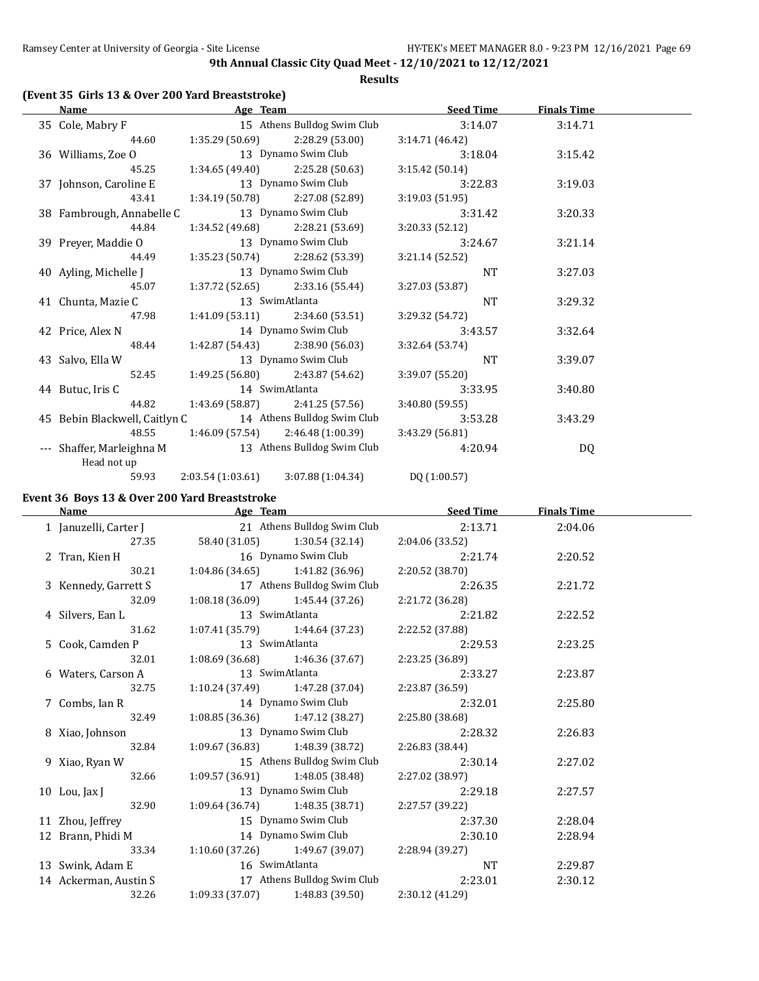**Results**

#### **(Event 35 Girls 13 & Over 200 Yard Breaststroke)**

| Name                                                      | Age Team            |                                     | <b>Seed Time</b> | <b>Finals Time</b> |  |
|-----------------------------------------------------------|---------------------|-------------------------------------|------------------|--------------------|--|
| 35 Cole, Mabry F                                          |                     | 15 Athens Bulldog Swim Club         | 3:14.07          | 3:14.71            |  |
| 44.60                                                     |                     | $1:35.29(50.69)$ $2:28.29(53.00)$   | 3:14.71 (46.42)  |                    |  |
| 36 Williams, Zoe O                                        |                     | 13 Dynamo Swim Club                 | 3:18.04          | 3:15.42            |  |
| 45.25                                                     |                     | $1:34.65(49.40)$ $2:25.28(50.63)$   | 3:15.42 (50.14)  |                    |  |
| 37 Johnson, Caroline E                                    |                     | 13 Dynamo Swim Club                 | 3:22.83          | 3:19.03            |  |
| 43.41                                                     |                     | $1:34.19(50.78)$ $2:27.08(52.89)$   | 3:19.03 (51.95)  |                    |  |
| 38 Fambrough, Annabelle C                                 |                     | 13 Dynamo Swim Club                 | 3:31.42          | 3:20.33            |  |
| 44.84                                                     |                     | $1:34.52(49.68)$ $2:28.21(53.69)$   | 3:20.33 (52.12)  |                    |  |
| 39 Preyer, Maddie O                                       |                     | 13 Dynamo Swim Club                 | 3:24.67          | 3:21.14            |  |
| 44.49                                                     |                     | 1:35.23 (50.74) 2:28.62 (53.39)     | 3:21.14 (52.52)  |                    |  |
| 40 Ayling, Michelle J                                     | 13 Dynamo Swim Club |                                     | NT               | 3:27.03            |  |
| 45.07                                                     |                     | $1:37.72(52.65)$ $2:33.16(55.44)$   | 3:27.03 (53.87)  |                    |  |
| 41 Chunta, Mazie C                                        | 13 SwimAtlanta      |                                     | <b>NT</b>        | 3:29.32            |  |
| 47.98                                                     |                     | $1:41.09(53.11)$ $2:34.60(53.51)$   | 3:29.32 (54.72)  |                    |  |
| 42 Price, Alex N                                          |                     | 14 Dynamo Swim Club                 | 3:43.57          | 3:32.64            |  |
| 48.44                                                     |                     | 1:42.87 (54.43) 2:38.90 (56.03)     | 3:32.64 (53.74)  |                    |  |
| 43 Salvo, Ella W                                          |                     | 13 Dynamo Swim Club                 | <b>NT</b>        | 3:39.07            |  |
| 52.45                                                     |                     | $1:49.25(56.80)$ $2:43.87(54.62)$   | 3:39.07 (55.20)  |                    |  |
| 44 Butuc, Iris C                                          |                     | 14 SwimAtlanta                      | 3:33.95          | 3:40.80            |  |
| 44.82                                                     |                     | $1:43.69(58.87)$ $2:41.25(57.56)$   | 3:40.80(59.55)   |                    |  |
| 45 Bebin Blackwell, Caitlyn C 14 Athens Bulldog Swim Club |                     |                                     | 3:53.28          | 3:43.29            |  |
| 48.55                                                     |                     | $1:46.09(57.54)$ $2:46.48(1:00.39)$ | 3:43.29 (56.81)  |                    |  |
| --- Shaffer, Marleighna M 13 Athens Bulldog Swim Club     |                     |                                     | 4:20.94          | DQ                 |  |
| Head not up                                               |                     |                                     |                  |                    |  |
| 59.93                                                     | 2:03.54 (1:03.61)   | 3:07.88 (1:04.34)                   | DQ (1:00.57)     |                    |  |

## **Event 36 Boys 13 & Over 200 Yard Breaststroke**

**Age Team Seed Time Finals Time** 1 Januzelli, Carter J 21 Athens Bulldog Swim Club 2:13.71 2:04.06 27.35 58.40 (31.05) 1:30.54 (32.14) 2:04.06 (33.52) 2 Tran, Kien H 16 Dynamo Swim Club 2:21.74 2:20.52 30.21 1:04.86 (34.65) 1:41.82 (36.96) 2:20.52 (38.70) 3 Kennedy, Garrett S 17 Athens Bulldog Swim Club 2:26.35 2:21.72 32.09 1:08.18 (36.09) 1:45.44 (37.26) 2:21.72 (36.28) 4 Silvers, Ean L 13 SwimAtlanta 2:21.82 2:22.52 31.62 1:07.41 (35.79) 1:44.64 (37.23) 2:22.52 (37.88) 5 Cook, Camden P 13 SwimAtlanta 2:29.53 2:23.25 32.01 1:08.69 (36.68) 1:46.36 (37.67) 2:23.25 (36.89) 6 Waters, Carson A 13 SwimAtlanta 2:33.27 2:23.87 32.75 1:10.24 (37.49) 1:47.28 (37.04) 2:23.87 (36.59) 7 Combs, Ian R 14 Dynamo Swim Club 2:32.01 2:25.80 32.49 1:08.85 (36.36) 1:47.12 (38.27) 2:25.80 (38.68) 8 Xiao, Johnson 13 Dynamo Swim Club 2:28.32 2:26.83 32.84 1:09.67 (36.83) 1:48.39 (38.72) 2:26.83 (38.44) 9 Xiao, Ryan W 15 Athens Bulldog Swim Club 2:30.14 2:27.02 32.66 1:09.57 (36.91) 1:48.05 (38.48) 2:27.02 (38.97) 10 Lou, Jax J 13 Dynamo Swim Club 2:29.18 2:27.57 32.90 1:09.64 (36.74) 1:48.35 (38.71) 2:27.57 (39.22) 11 Zhou, Jeffrey 15 Dynamo Swim Club 2:37.30 2:28.04 12 Brann, Phidi M 14 Dynamo Swim Club 2:30.10 2:28.94 33.34 1:10.60 (37.26) 1:49.67 (39.07) 2:28.94 (39.27) 13 Swink, Adam E 16 SwimAtlanta 11 NT 2:29.87 14 Ackerman, Austin S 17 Athens Bulldog Swim Club 2:23.01 2:30.12 32.26 1:09.33 (37.07) 1:48.83 (39.50) 2:30.12 (41.29)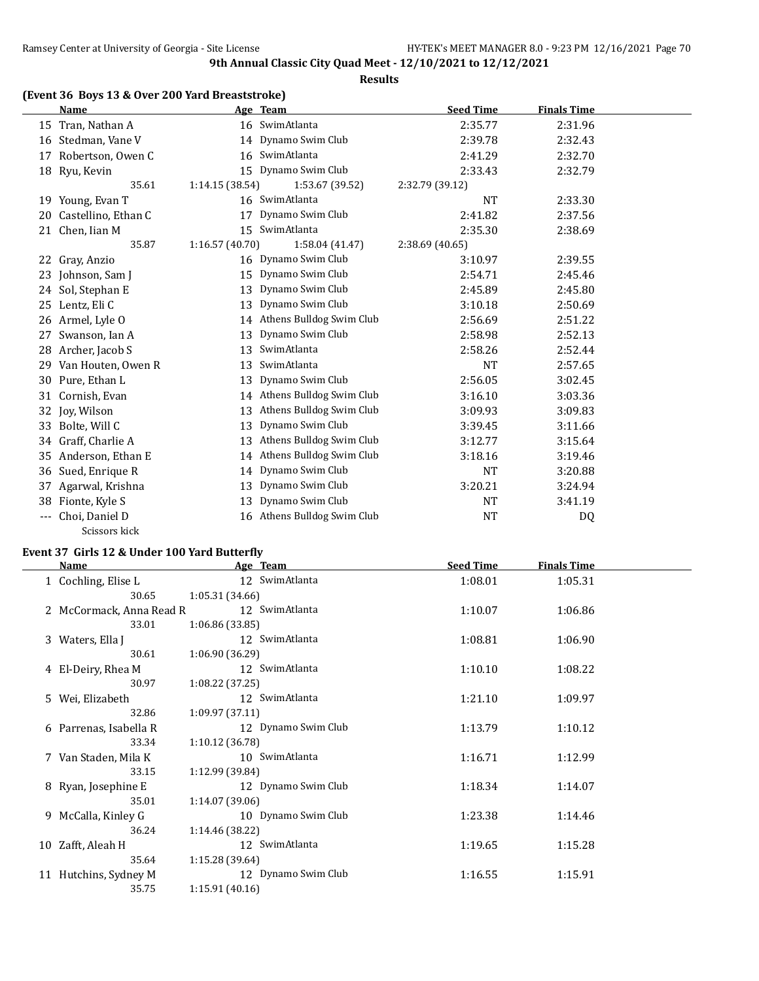**Results**

## **(Event 36 Boys 13 & Over 200 Yard Breaststroke)**

|       | <b>Name</b>          |                 | Age Team                    | <b>Seed Time</b> | <b>Finals Time</b> |  |
|-------|----------------------|-----------------|-----------------------------|------------------|--------------------|--|
|       | 15 Tran, Nathan A    |                 | 16 SwimAtlanta              | 2:35.77          | 2:31.96            |  |
| 16    | Stedman, Vane V      |                 | 14 Dynamo Swim Club         | 2:39.78          | 2:32.43            |  |
| 17    | Robertson, Owen C    | 16              | SwimAtlanta                 | 2:41.29          | 2:32.70            |  |
|       | 18 Ryu, Kevin        |                 | 15 Dynamo Swim Club         | 2:33.43          | 2:32.79            |  |
|       | 35.61                | 1:14.15(38.54)  | 1:53.67 (39.52)             | 2:32.79 (39.12)  |                    |  |
|       | 19 Young, Evan T     |                 | 16 SwimAtlanta              | <b>NT</b>        | 2:33.30            |  |
| 20    | Castellino, Ethan C  | 17              | Dynamo Swim Club            | 2:41.82          | 2:37.56            |  |
| 21    | Chen, Iian M         | 15 <sub>1</sub> | SwimAtlanta                 | 2:35.30          | 2:38.69            |  |
|       | 35.87                | 1:16.57(40.70)  | 1:58.04 (41.47)             | 2:38.69 (40.65)  |                    |  |
| 22    | Gray, Anzio          |                 | 16 Dynamo Swim Club         | 3:10.97          | 2:39.55            |  |
| 23    | Johnson, Sam J       | 15              | Dynamo Swim Club            | 2:54.71          | 2:45.46            |  |
| 24    | Sol, Stephan E       | 13              | Dynamo Swim Club            | 2:45.89          | 2:45.80            |  |
| 25    | Lentz, Eli C         | 13              | Dynamo Swim Club            | 3:10.18          | 2:50.69            |  |
|       | 26 Armel, Lyle O     |                 | 14 Athens Bulldog Swim Club | 2:56.69          | 2:51.22            |  |
| 27    | Swanson, Ian A       | 13              | Dynamo Swim Club            | 2:58.98          | 2:52.13            |  |
|       | 28 Archer, Jacob S   | 13              | SwimAtlanta                 | 2:58.26          | 2:52.44            |  |
| 29    | Van Houten, Owen R   | 13              | SwimAtlanta                 | <b>NT</b>        | 2:57.65            |  |
| 30    | Pure, Ethan L        | 13              | Dynamo Swim Club            | 2:56.05          | 3:02.45            |  |
| 31    | Cornish, Evan        | 14              | Athens Bulldog Swim Club    | 3:16.10          | 3:03.36            |  |
|       | 32 Joy, Wilson       | 13              | Athens Bulldog Swim Club    | 3:09.93          | 3:09.83            |  |
| 33    | Bolte, Will C        | 13              | Dynamo Swim Club            | 3:39.45          | 3:11.66            |  |
| 34    | Graff, Charlie A     | 13              | Athens Bulldog Swim Club    | 3:12.77          | 3:15.64            |  |
|       | 35 Anderson, Ethan E | 14              | Athens Bulldog Swim Club    | 3:18.16          | 3:19.46            |  |
| 36    | Sued, Enrique R      | 14              | Dynamo Swim Club            | NT               | 3:20.88            |  |
| 37    | Agarwal, Krishna     | 13              | Dynamo Swim Club            | 3:20.21          | 3:24.94            |  |
| 38    | Fionte, Kyle S       | 13              | Dynamo Swim Club            | NT               | 3:41.19            |  |
| $---$ | Choi, Daniel D       | 16              | Athens Bulldog Swim Club    | <b>NT</b>        | DQ                 |  |
|       | Scissors kick        |                 |                             |                  |                    |  |

#### **Event 37 Girls 12 & Under 100 Yard Butterfly**

| Name                     | Age Team            | <b>Seed Time</b> | <b>Finals Time</b> |  |
|--------------------------|---------------------|------------------|--------------------|--|
| 1 Cochling, Elise L      | 12 SwimAtlanta      | 1:08.01          | 1:05.31            |  |
| 30.65                    | 1:05.31(34.66)      |                  |                    |  |
| 2 McCormack, Anna Read R | 12 SwimAtlanta      | 1:10.07          | 1:06.86            |  |
| 33.01                    | 1:06.86(33.85)      |                  |                    |  |
| 3 Waters, Ella J         | 12 SwimAtlanta      | 1:08.81          | 1:06.90            |  |
| 30.61                    | 1:06.90(36.29)      |                  |                    |  |
| 4 El-Deiry, Rhea M       | 12 SwimAtlanta      | 1:10.10          | 1:08.22            |  |
| 30.97                    | 1:08.22 (37.25)     |                  |                    |  |
| 5 Wei, Elizabeth         | 12 SwimAtlanta      | 1:21.10          | 1:09.97            |  |
| 32.86                    | 1:09.97(37.11)      |                  |                    |  |
| 6 Parrenas, Isabella R   | 12 Dynamo Swim Club | 1:13.79          | 1:10.12            |  |
| 33.34                    | 1:10.12(36.78)      |                  |                    |  |
| 7 Van Staden, Mila K     | 10 SwimAtlanta      | 1:16.71          | 1:12.99            |  |
| 33.15                    | 1:12.99 (39.84)     |                  |                    |  |
| 8 Ryan, Josephine E      | 12 Dynamo Swim Club | 1:18.34          | 1:14.07            |  |
| 35.01                    | 1:14.07 (39.06)     |                  |                    |  |
| 9 McCalla, Kinley G      | 10 Dynamo Swim Club | 1:23.38          | 1:14.46            |  |
| 36.24                    | 1:14.46 (38.22)     |                  |                    |  |
| 10 Zafft, Aleah H        | 12 SwimAtlanta      | 1:19.65          | 1:15.28            |  |
| 35.64                    | 1:15.28 (39.64)     |                  |                    |  |
| 11 Hutchins, Sydney M    | 12 Dynamo Swim Club | 1:16.55          | 1:15.91            |  |
| 35.75                    | 1:15.91(40.16)      |                  |                    |  |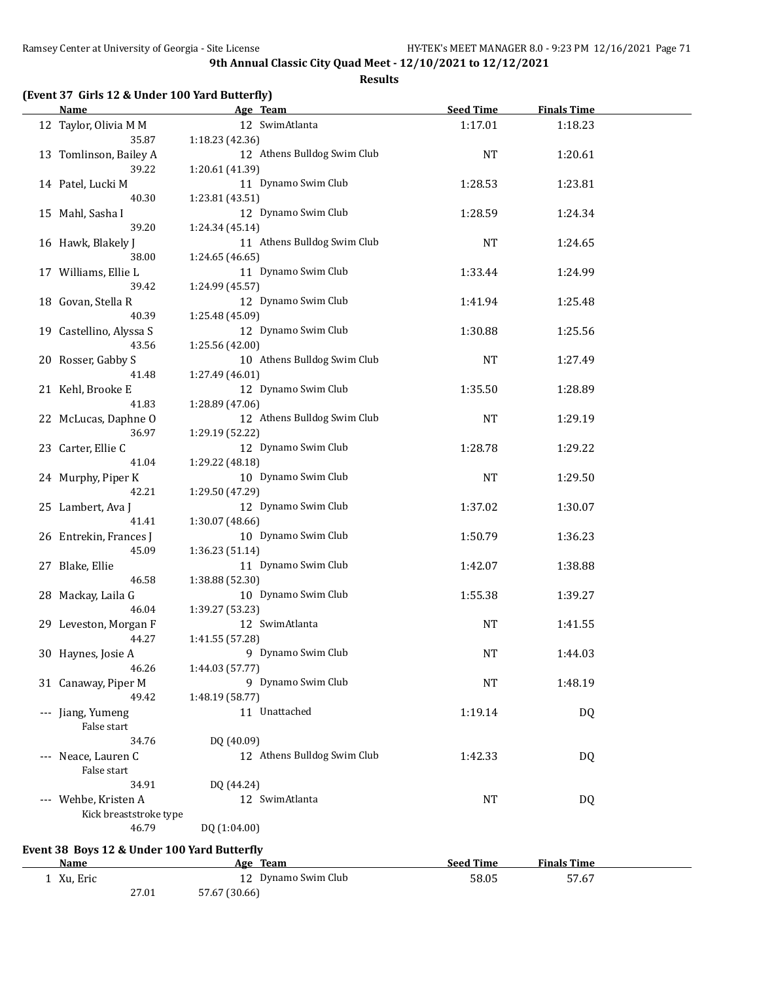#### **Results**

|  |  |  |  | (Event 37 Girls 12 & Under 100 Yard Butterfly) |
|--|--|--|--|------------------------------------------------|
|--|--|--|--|------------------------------------------------|

27.01 57.67 (30.66)

| Name                                        | Age Team                    | <b>Seed Time</b> | <b>Finals Time</b> |  |
|---------------------------------------------|-----------------------------|------------------|--------------------|--|
| 12 Taylor, Olivia M M                       | 12 SwimAtlanta              | 1:17.01          | 1:18.23            |  |
| 35.87                                       | 1:18.23 (42.36)             |                  |                    |  |
| 13 Tomlinson, Bailey A                      | 12 Athens Bulldog Swim Club | <b>NT</b>        | 1:20.61            |  |
| 39.22                                       | 1:20.61 (41.39)             |                  |                    |  |
| 14 Patel, Lucki M                           | 11 Dynamo Swim Club         | 1:28.53          | 1:23.81            |  |
| 40.30                                       | 1:23.81 (43.51)             |                  |                    |  |
| 15 Mahl, Sasha I                            | 12 Dynamo Swim Club         | 1:28.59          | 1:24.34            |  |
| 39.20                                       | 1:24.34 (45.14)             |                  |                    |  |
| 16 Hawk, Blakely J                          | 11 Athens Bulldog Swim Club | <b>NT</b>        | 1:24.65            |  |
| 38.00                                       | 1:24.65 (46.65)             |                  |                    |  |
|                                             |                             |                  |                    |  |
| 17 Williams, Ellie L                        | 11 Dynamo Swim Club         | 1:33.44          | 1:24.99            |  |
| 39.42                                       | 1:24.99 (45.57)             |                  |                    |  |
| 18 Govan, Stella R                          | 12 Dynamo Swim Club         | 1:41.94          | 1:25.48            |  |
| 40.39                                       | 1:25.48 (45.09)             |                  |                    |  |
| 19 Castellino, Alyssa S                     | 12 Dynamo Swim Club         | 1:30.88          | 1:25.56            |  |
| 43.56                                       | 1:25.56 (42.00)             |                  |                    |  |
| 20 Rosser, Gabby S                          | 10 Athens Bulldog Swim Club | <b>NT</b>        | 1:27.49            |  |
| 41.48                                       | 1:27.49 (46.01)             |                  |                    |  |
| 21 Kehl, Brooke E                           | 12 Dynamo Swim Club         | 1:35.50          | 1:28.89            |  |
| 41.83                                       | 1:28.89 (47.06)             |                  |                    |  |
| 22 McLucas, Daphne O                        | 12 Athens Bulldog Swim Club | <b>NT</b>        | 1:29.19            |  |
| 36.97                                       | 1:29.19 (52.22)             |                  |                    |  |
| 23 Carter, Ellie C                          | 12 Dynamo Swim Club         | 1:28.78          | 1:29.22            |  |
| 41.04                                       | 1:29.22 (48.18)             |                  |                    |  |
| 24 Murphy, Piper K                          | 10 Dynamo Swim Club         | NT               | 1:29.50            |  |
| 42.21                                       | 1:29.50 (47.29)             |                  |                    |  |
| 25 Lambert, Ava J                           | 12 Dynamo Swim Club         | 1:37.02          | 1:30.07            |  |
| 41.41                                       | 1:30.07 (48.66)             |                  |                    |  |
| 26 Entrekin, Frances J                      | 10 Dynamo Swim Club         | 1:50.79          | 1:36.23            |  |
| 45.09                                       | 1:36.23 (51.14)             |                  |                    |  |
|                                             |                             |                  |                    |  |
| 27 Blake, Ellie                             | 11 Dynamo Swim Club         | 1:42.07          | 1:38.88            |  |
| 46.58                                       | 1:38.88 (52.30)             |                  |                    |  |
| 28 Mackay, Laila G                          | 10 Dynamo Swim Club         | 1:55.38          | 1:39.27            |  |
| 46.04                                       | 1:39.27 (53.23)             |                  |                    |  |
| 29 Leveston, Morgan F                       | 12 SwimAtlanta              | <b>NT</b>        | 1:41.55            |  |
| 44.27                                       | 1:41.55 (57.28)             |                  |                    |  |
| 30 Haynes, Josie A                          | 9 Dynamo Swim Club          | <b>NT</b>        | 1:44.03            |  |
| 46.26                                       | 1:44.03 (57.77)             |                  |                    |  |
| 31 Canaway, Piper M                         | 9 Dynamo Swim Club          | <b>NT</b>        | 1:48.19            |  |
| 49.42                                       | 1:48.19 (58.77)             |                  |                    |  |
| --- Jiang, Yumeng                           | 11 Unattached               | 1:19.14          | DQ                 |  |
| False start                                 |                             |                  |                    |  |
| 34.76                                       | DQ (40.09)                  |                  |                    |  |
| --- Neace, Lauren C                         | 12 Athens Bulldog Swim Club | 1:42.33          | DQ                 |  |
| False start                                 |                             |                  |                    |  |
| 34.91                                       | DQ (44.24)                  |                  |                    |  |
| --- Wehbe, Kristen A                        | 12 SwimAtlanta              | NT               | DQ                 |  |
|                                             |                             |                  |                    |  |
| Kick breaststroke type                      |                             |                  |                    |  |
| 46.79                                       | DQ (1:04.00)                |                  |                    |  |
| Event 38 Boys 12 & Under 100 Yard Butterfly |                             |                  |                    |  |
| <b>Name</b>                                 | Age Team                    | <b>Seed Time</b> | <b>Finals Time</b> |  |
| 1 Xu, Eric                                  | 12 Dynamo Swim Club         | 58.05            | 57.67              |  |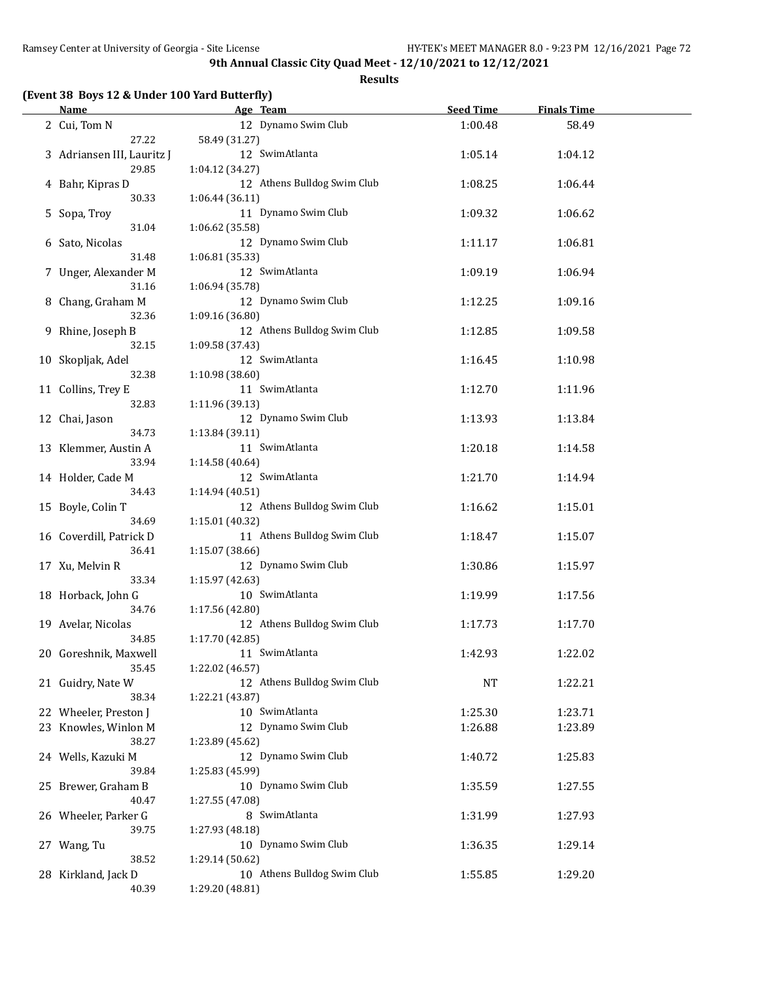|  |  |  | (Event 38 Boys 12 & Under 100 Yard Butterfly) |
|--|--|--|-----------------------------------------------|
|--|--|--|-----------------------------------------------|

| <u>Name</u>                |                 | Age Team                    | <b>Seed Time</b> | <b>Finals Time</b> |  |
|----------------------------|-----------------|-----------------------------|------------------|--------------------|--|
| 2 Cui, Tom N               |                 | 12 Dynamo Swim Club         | 1:00.48          | 58.49              |  |
| 27.22                      | 58.49 (31.27)   |                             |                  |                    |  |
| 3 Adriansen III, Lauritz J |                 | 12 SwimAtlanta              | 1:05.14          | 1:04.12            |  |
| 29.85                      | 1:04.12 (34.27) |                             |                  |                    |  |
| 4 Bahr, Kipras D           |                 | 12 Athens Bulldog Swim Club | 1:08.25          | 1:06.44            |  |
| 30.33                      | 1:06.44 (36.11) |                             |                  |                    |  |
| 5 Sopa, Troy               |                 | 11 Dynamo Swim Club         | 1:09.32          | 1:06.62            |  |
| 31.04                      | 1:06.62 (35.58) |                             |                  |                    |  |
| 6 Sato, Nicolas            |                 | 12 Dynamo Swim Club         | 1:11.17          | 1:06.81            |  |
| 31.48                      | 1:06.81 (35.33) |                             |                  |                    |  |
| 7 Unger, Alexander M       |                 | 12 SwimAtlanta              | 1:09.19          | 1:06.94            |  |
| 31.16                      | 1:06.94 (35.78) |                             |                  |                    |  |
| 8 Chang, Graham M          |                 | 12 Dynamo Swim Club         | 1:12.25          | 1:09.16            |  |
| 32.36                      | 1:09.16 (36.80) |                             |                  |                    |  |
| 9 Rhine, Joseph B          |                 | 12 Athens Bulldog Swim Club | 1:12.85          | 1:09.58            |  |
| 32.15                      | 1:09.58 (37.43) |                             |                  |                    |  |
| 10 Skopljak, Adel          |                 | 12 SwimAtlanta              | 1:16.45          | 1:10.98            |  |
| 32.38                      | 1:10.98 (38.60) |                             |                  |                    |  |
| 11 Collins, Trey E         |                 | 11 SwimAtlanta              | 1:12.70          | 1:11.96            |  |
| 32.83                      | 1:11.96 (39.13) |                             |                  |                    |  |
| 12 Chai, Jason             |                 | 12 Dynamo Swim Club         | 1:13.93          | 1:13.84            |  |
| 34.73                      | 1:13.84 (39.11) |                             |                  |                    |  |
| 13 Klemmer, Austin A       |                 | 11 SwimAtlanta              | 1:20.18          | 1:14.58            |  |
| 33.94                      | 1:14.58 (40.64) |                             |                  |                    |  |
| 14 Holder, Cade M<br>34.43 |                 | 12 SwimAtlanta              | 1:21.70          | 1:14.94            |  |
|                            | 1:14.94 (40.51) | 12 Athens Bulldog Swim Club | 1:16.62          |                    |  |
| 15 Boyle, Colin T<br>34.69 | 1:15.01 (40.32) |                             |                  | 1:15.01            |  |
| 16 Coverdill, Patrick D    |                 | 11 Athens Bulldog Swim Club | 1:18.47          | 1:15.07            |  |
| 36.41                      | 1:15.07 (38.66) |                             |                  |                    |  |
| 17 Xu, Melvin R            |                 | 12 Dynamo Swim Club         | 1:30.86          | 1:15.97            |  |
| 33.34                      | 1:15.97 (42.63) |                             |                  |                    |  |
| 18 Horback, John G         |                 | 10 SwimAtlanta              | 1:19.99          | 1:17.56            |  |
| 34.76                      | 1:17.56 (42.80) |                             |                  |                    |  |
| 19 Avelar, Nicolas         |                 | 12 Athens Bulldog Swim Club | 1:17.73          | 1:17.70            |  |
| 34.85                      | 1:17.70 (42.85) |                             |                  |                    |  |
| 20 Goreshnik, Maxwell      | 11 SwimAtlanta  |                             | 1:42.93          | 1:22.02            |  |
| 35.45                      | 1:22.02 (46.57) |                             |                  |                    |  |
| 21 Guidry, Nate W          |                 | 12 Athens Bulldog Swim Club | NT               | 1:22.21            |  |
| 38.34                      | 1:22.21 (43.87) |                             |                  |                    |  |
| 22 Wheeler, Preston J      |                 | 10 SwimAtlanta              | 1:25.30          | 1:23.71            |  |
| 23 Knowles, Winlon M       |                 | 12 Dynamo Swim Club         | 1:26.88          | 1:23.89            |  |
| 38.27                      | 1:23.89 (45.62) |                             |                  |                    |  |
| 24 Wells, Kazuki M         |                 | 12 Dynamo Swim Club         | 1:40.72          | 1:25.83            |  |
| 39.84                      | 1:25.83 (45.99) |                             |                  |                    |  |
| 25 Brewer, Graham B        |                 | 10 Dynamo Swim Club         | 1:35.59          | 1:27.55            |  |
| 40.47                      | 1:27.55 (47.08) |                             |                  |                    |  |
| 26 Wheeler, Parker G       |                 | 8 SwimAtlanta               | 1:31.99          | 1:27.93            |  |
| 39.75                      | 1:27.93 (48.18) |                             |                  |                    |  |
| 27 Wang, Tu                |                 | 10 Dynamo Swim Club         | 1:36.35          | 1:29.14            |  |
| 38.52                      | 1:29.14 (50.62) |                             |                  |                    |  |
| 28 Kirkland, Jack D        |                 | 10 Athens Bulldog Swim Club | 1:55.85          | 1:29.20            |  |
| 40.39                      | 1:29.20 (48.81) |                             |                  |                    |  |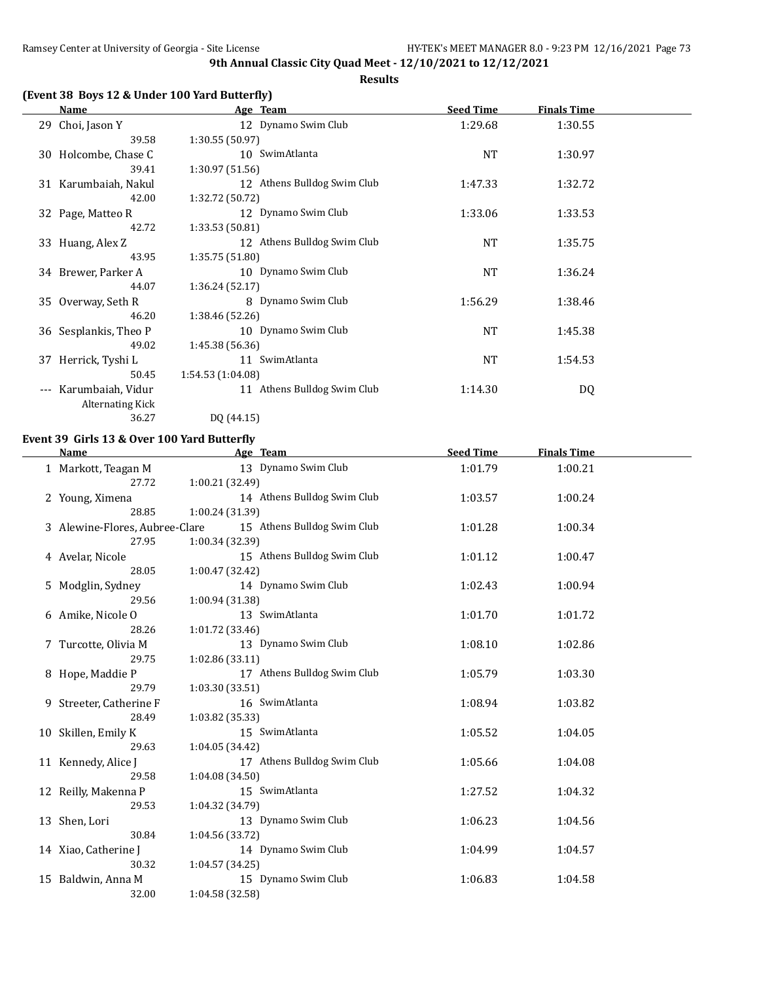**Results**

# **(Event 38 Boys 12 & Under 100 Yard Butterfly)**

| Name                                     | Age Team                    | <b>Seed Time</b> | <b>Finals Time</b> |  |
|------------------------------------------|-----------------------------|------------------|--------------------|--|
| 29 Choi, Jason Y                         | 12 Dynamo Swim Club         | 1:29.68          | 1:30.55            |  |
|                                          | 1:30.55(50.97)<br>39.58     |                  |                    |  |
| 30 Holcombe, Chase C                     | 10 SwimAtlanta              | <b>NT</b>        | 1:30.97            |  |
|                                          | 39.41<br>1:30.97(51.56)     |                  |                    |  |
| 31 Karumbaiah, Nakul                     | 12 Athens Bulldog Swim Club | 1:47.33          | 1:32.72            |  |
|                                          | 1:32.72 (50.72)<br>42.00    |                  |                    |  |
| 32 Page, Matteo R                        | 12 Dynamo Swim Club         | 1:33.06          | 1:33.53            |  |
|                                          | 42.72<br>1:33.53 (50.81)    |                  |                    |  |
| 33 Huang, Alex Z                         | 12 Athens Bulldog Swim Club | <b>NT</b>        | 1:35.75            |  |
|                                          | 43.95<br>1:35.75 (51.80)    |                  |                    |  |
| 34 Brewer, Parker A                      | 10 Dynamo Swim Club         | NT               | 1:36.24            |  |
|                                          | 44.07<br>1:36.24(52.17)     |                  |                    |  |
| 35 Overway, Seth R                       | 8 Dynamo Swim Club          | 1:56.29          | 1:38.46            |  |
|                                          | 46.20<br>1:38.46 (52.26)    |                  |                    |  |
| 36 Sesplankis, Theo P                    | 10 Dynamo Swim Club         | NT               | 1:45.38            |  |
|                                          | 49.02<br>1:45.38 (56.36)    |                  |                    |  |
| 37 Herrick, Tyshi L                      | 11 SwimAtlanta              | NT               | 1:54.53            |  |
|                                          | 50.45<br>1:54.53 (1:04.08)  |                  |                    |  |
| Karumbaiah, Vidur<br>$\qquad \qquad - -$ | 11 Athens Bulldog Swim Club | 1:14.30          | DQ                 |  |
| Alternating Kick                         |                             |                  |                    |  |
|                                          | 36.27<br>DQ (44.15)         |                  |                    |  |

### **Event 39 Girls 13 & Over 100 Yard Butterfly**

 $\sim$ 

| 13 Dynamo Swim Club<br>1 Markott, Teagan M<br>1:01.79<br>1:00.21<br>27.72<br>1:00.21 (32.49)<br>14 Athens Bulldog Swim Club<br>1:03.57<br>1:00.24<br>2 Young, Ximena<br>28.85<br>1:00.24 (31.39)<br>15 Athens Bulldog Swim Club<br>3 Alewine-Flores, Aubree-Clare<br>1:01.28<br>1:00.34<br>1:00.34 (32.39)<br>27.95<br>15 Athens Bulldog Swim Club<br>4 Avelar, Nicole<br>1:01.12<br>1:00.47<br>28.05<br>1:00.47 (32.42)<br>14 Dynamo Swim Club<br>5 Modglin, Sydney<br>1:02.43<br>1:00.94 |  |
|--------------------------------------------------------------------------------------------------------------------------------------------------------------------------------------------------------------------------------------------------------------------------------------------------------------------------------------------------------------------------------------------------------------------------------------------------------------------------------------------|--|
|                                                                                                                                                                                                                                                                                                                                                                                                                                                                                            |  |
|                                                                                                                                                                                                                                                                                                                                                                                                                                                                                            |  |
|                                                                                                                                                                                                                                                                                                                                                                                                                                                                                            |  |
|                                                                                                                                                                                                                                                                                                                                                                                                                                                                                            |  |
|                                                                                                                                                                                                                                                                                                                                                                                                                                                                                            |  |
|                                                                                                                                                                                                                                                                                                                                                                                                                                                                                            |  |
|                                                                                                                                                                                                                                                                                                                                                                                                                                                                                            |  |
|                                                                                                                                                                                                                                                                                                                                                                                                                                                                                            |  |
|                                                                                                                                                                                                                                                                                                                                                                                                                                                                                            |  |
| 29.56<br>1:00.94 (31.38)                                                                                                                                                                                                                                                                                                                                                                                                                                                                   |  |
| 13 SwimAtlanta<br>1:01.70<br>1:01.72<br>6 Amike, Nicole O                                                                                                                                                                                                                                                                                                                                                                                                                                  |  |
| 28.26<br>1:01.72 (33.46)                                                                                                                                                                                                                                                                                                                                                                                                                                                                   |  |
| 13 Dynamo Swim Club<br>1:08.10<br>7 Turcotte, Olivia M<br>1:02.86                                                                                                                                                                                                                                                                                                                                                                                                                          |  |
| 29.75<br>1:02.86(33.11)                                                                                                                                                                                                                                                                                                                                                                                                                                                                    |  |
| 17 Athens Bulldog Swim Club<br>1:05.79<br>1:03.30<br>8 Hope, Maddie P                                                                                                                                                                                                                                                                                                                                                                                                                      |  |
| 29.79<br>1:03.30 (33.51)                                                                                                                                                                                                                                                                                                                                                                                                                                                                   |  |
| 16 SwimAtlanta<br>9 Streeter, Catherine F<br>1:08.94<br>1:03.82                                                                                                                                                                                                                                                                                                                                                                                                                            |  |
| 28.49<br>$1:03.82$ (35.33)                                                                                                                                                                                                                                                                                                                                                                                                                                                                 |  |
| 15 SwimAtlanta<br>10 Skillen, Emily K<br>1:05.52<br>1:04.05                                                                                                                                                                                                                                                                                                                                                                                                                                |  |
| 29.63<br>1:04.05 (34.42)                                                                                                                                                                                                                                                                                                                                                                                                                                                                   |  |
| 17 Athens Bulldog Swim Club<br>1:05.66<br>11 Kennedy, Alice J<br>1:04.08                                                                                                                                                                                                                                                                                                                                                                                                                   |  |
| 29.58<br>1:04.08 (34.50)                                                                                                                                                                                                                                                                                                                                                                                                                                                                   |  |
| 15 SwimAtlanta<br>12 Reilly, Makenna P<br>1:27.52<br>1:04.32                                                                                                                                                                                                                                                                                                                                                                                                                               |  |
| 1:04.32 (34.79)<br>29.53<br>13 Dynamo Swim Club                                                                                                                                                                                                                                                                                                                                                                                                                                            |  |
| 1:06.23<br>13 Shen, Lori<br>1:04.56<br>30.84                                                                                                                                                                                                                                                                                                                                                                                                                                               |  |
| 1:04.56 (33.72)<br>14 Dynamo Swim Club                                                                                                                                                                                                                                                                                                                                                                                                                                                     |  |
| 14 Xiao, Catherine J<br>1:04.99<br>1:04.57<br>30.32<br>1:04.57(34.25)                                                                                                                                                                                                                                                                                                                                                                                                                      |  |
| 15 Dynamo Swim Club<br>1:06.83<br>Baldwin, Anna M<br>1:04.58<br>15                                                                                                                                                                                                                                                                                                                                                                                                                         |  |
| 32.00<br>1:04.58 (32.58)                                                                                                                                                                                                                                                                                                                                                                                                                                                                   |  |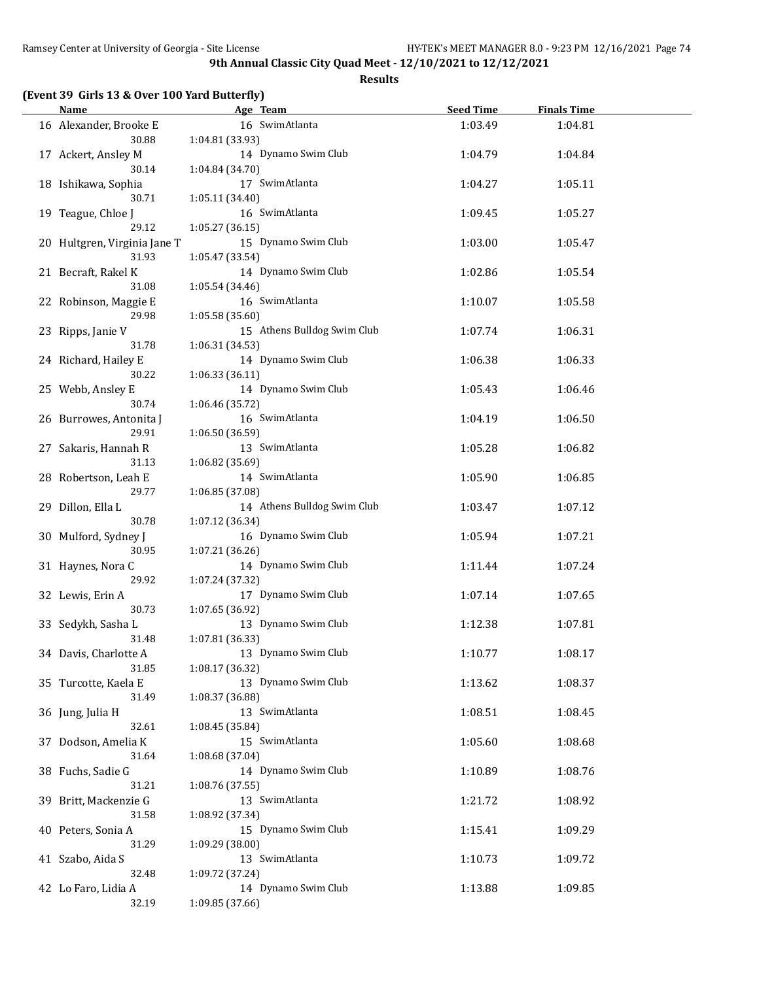|  |  |  |  | (Event 39 Girls 13 & Over 100 Yard Butterfly) |
|--|--|--|--|-----------------------------------------------|
|--|--|--|--|-----------------------------------------------|

| <b>Name</b>                  | Age Team                    | <b>Seed Time</b> | <b>Finals Time</b> |  |
|------------------------------|-----------------------------|------------------|--------------------|--|
| 16 Alexander, Brooke E       | 16 SwimAtlanta              | 1:03.49          | 1:04.81            |  |
| 30.88                        | 1:04.81 (33.93)             |                  |                    |  |
| 17 Ackert, Ansley M          | 14 Dynamo Swim Club         | 1:04.79          | 1:04.84            |  |
| 30.14                        | 1:04.84 (34.70)             |                  |                    |  |
| 18 Ishikawa, Sophia          | 17 SwimAtlanta              | 1:04.27          | 1:05.11            |  |
| 30.71                        | 1:05.11 (34.40)             |                  |                    |  |
| 19 Teague, Chloe J           | 16 SwimAtlanta              | 1:09.45          | 1:05.27            |  |
| 29.12                        | 1:05.27 (36.15)             |                  |                    |  |
| 20 Hultgren, Virginia Jane T | 15 Dynamo Swim Club         | 1:03.00          | 1:05.47            |  |
| 31.93                        | 1:05.47 (33.54)             |                  |                    |  |
| 21 Becraft, Rakel K          | 14 Dynamo Swim Club         | 1:02.86          | 1:05.54            |  |
| 31.08                        | 1:05.54 (34.46)             |                  |                    |  |
| 22 Robinson, Maggie E        | 16 SwimAtlanta              | 1:10.07          | 1:05.58            |  |
| 29.98                        | 1:05.58 (35.60)             |                  |                    |  |
| 23 Ripps, Janie V            | 15 Athens Bulldog Swim Club | 1:07.74          | 1:06.31            |  |
| 31.78                        | 1:06.31(34.53)              |                  |                    |  |
| 24 Richard, Hailey E         | 14 Dynamo Swim Club         | 1:06.38          | 1:06.33            |  |
| 30.22                        | 1:06.33(36.11)              |                  |                    |  |
| 25 Webb, Ansley E            | 14 Dynamo Swim Club         | 1:05.43          | 1:06.46            |  |
| 30.74                        | 1:06.46 (35.72)             |                  |                    |  |
| 26 Burrowes, Antonita J      | 16 SwimAtlanta              | 1:04.19          | 1:06.50            |  |
| 29.91                        | 1:06.50 (36.59)             |                  |                    |  |
| 27 Sakaris, Hannah R         | 13 SwimAtlanta              | 1:05.28          | 1:06.82            |  |
| 31.13                        | 1:06.82 (35.69)             |                  |                    |  |
| 28 Robertson, Leah E         | 14 SwimAtlanta              | 1:05.90          | 1:06.85            |  |
| 29.77                        | 1:06.85 (37.08)             |                  |                    |  |
| 29 Dillon, Ella L            | 14 Athens Bulldog Swim Club | 1:03.47          | 1:07.12            |  |
| 30.78                        | 1:07.12 (36.34)             |                  |                    |  |
| 30 Mulford, Sydney J         | 16 Dynamo Swim Club         | 1:05.94          | 1:07.21            |  |
| 30.95                        | 1:07.21 (36.26)             |                  |                    |  |
| 31 Haynes, Nora C            | 14 Dynamo Swim Club         | 1:11.44          | 1:07.24            |  |
| 29.92                        | 1:07.24 (37.32)             |                  |                    |  |
| 32 Lewis, Erin A             | 17 Dynamo Swim Club         | 1:07.14          | 1:07.65            |  |
| 30.73                        | 1:07.65 (36.92)             |                  |                    |  |
| 33 Sedykh, Sasha L           | 13 Dynamo Swim Club         | 1:12.38          | 1:07.81            |  |
| 31.48                        | 1:07.81 (36.33)             |                  |                    |  |
| 34 Davis, Charlotte A        | 13 Dynamo Swim Club         | 1:10.77          | 1:08.17            |  |
| 31.85                        | 1:08.17 (36.32)             |                  |                    |  |
| 35 Turcotte, Kaela E         | 13 Dynamo Swim Club         | 1:13.62          | 1:08.37            |  |
| 31.49                        | 1:08.37 (36.88)             |                  |                    |  |
| 36 Jung, Julia H             | 13 SwimAtlanta              | 1:08.51          | 1:08.45            |  |
| 32.61                        | 1:08.45 (35.84)             |                  |                    |  |
| 37 Dodson, Amelia K          | 15 SwimAtlanta              | 1:05.60          | 1:08.68            |  |
| 31.64                        | 1:08.68 (37.04)             |                  |                    |  |
| 38 Fuchs, Sadie G            | 14 Dynamo Swim Club         | 1:10.89          | 1:08.76            |  |
| 31.21                        | 1:08.76 (37.55)             |                  |                    |  |
| 39 Britt, Mackenzie G        | 13 SwimAtlanta              | 1:21.72          | 1:08.92            |  |
| 31.58                        | 1:08.92 (37.34)             |                  |                    |  |
| 40 Peters, Sonia A           | 15 Dynamo Swim Club         | 1:15.41          | 1:09.29            |  |
| 31.29                        | 1:09.29 (38.00)             |                  |                    |  |
| 41 Szabo, Aida S             | 13 SwimAtlanta              | 1:10.73          | 1:09.72            |  |
| 32.48                        | 1:09.72 (37.24)             |                  |                    |  |
| 42 Lo Faro, Lidia A          | 14 Dynamo Swim Club         | 1:13.88          | 1:09.85            |  |
| 32.19                        | 1:09.85 (37.66)             |                  |                    |  |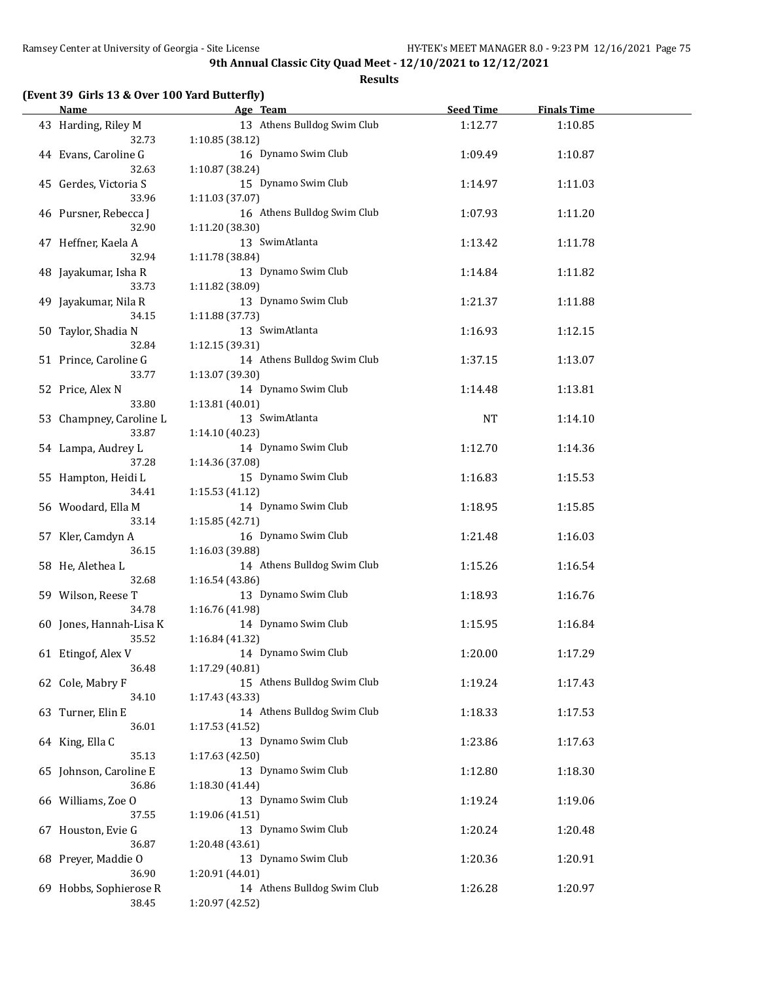|  | (Event 39 Girls 13 & Over 100 Yard Butterfly) |  |  |
|--|-----------------------------------------------|--|--|
|--|-----------------------------------------------|--|--|

| <b>Name</b>             | Age Team                                       | <b>Seed Time</b> | <b>Finals Time</b> |  |
|-------------------------|------------------------------------------------|------------------|--------------------|--|
| 43 Harding, Riley M     | 13 Athens Bulldog Swim Club                    | 1:12.77          | 1:10.85            |  |
| 32.73                   | 1:10.85 (38.12)                                |                  |                    |  |
| 44 Evans, Caroline G    | 16 Dynamo Swim Club                            | 1:09.49          | 1:10.87            |  |
| 32.63                   | 1:10.87 (38.24)                                |                  |                    |  |
| 45 Gerdes, Victoria S   | 15 Dynamo Swim Club                            | 1:14.97          | 1:11.03            |  |
| 33.96                   | 1:11.03 (37.07)                                |                  |                    |  |
| 46 Pursner, Rebecca J   | 16 Athens Bulldog Swim Club                    | 1:07.93          | 1:11.20            |  |
| 32.90                   |                                                |                  |                    |  |
|                         | 1:11.20 (38.30)                                |                  |                    |  |
| 47 Heffner, Kaela A     | 13 SwimAtlanta                                 | 1:13.42          | 1:11.78            |  |
| 32.94                   | 1:11.78 (38.84)                                |                  |                    |  |
| 48 Jayakumar, Isha R    | 13 Dynamo Swim Club                            | 1:14.84          | 1:11.82            |  |
| 33.73                   | 1:11.82 (38.09)                                |                  |                    |  |
| 49 Jayakumar, Nila R    | 13 Dynamo Swim Club                            | 1:21.37          | 1:11.88            |  |
| 34.15                   | 1:11.88 (37.73)                                |                  |                    |  |
| 50 Taylor, Shadia N     | 13 SwimAtlanta                                 | 1:16.93          | 1:12.15            |  |
| 32.84                   | 1:12.15 (39.31)                                |                  |                    |  |
| 51 Prince, Caroline G   | 14 Athens Bulldog Swim Club                    | 1:37.15          | 1:13.07            |  |
| 33.77                   | 1:13.07 (39.30)                                |                  |                    |  |
| 52 Price, Alex N        | 14 Dynamo Swim Club                            | 1:14.48          | 1:13.81            |  |
| 33.80                   | 1:13.81 (40.01)                                |                  |                    |  |
| 53 Champney, Caroline L | 13 SwimAtlanta                                 | <b>NT</b>        | 1:14.10            |  |
| 33.87                   | 1:14.10 (40.23)                                |                  |                    |  |
| 54 Lampa, Audrey L      | 14 Dynamo Swim Club                            | 1:12.70          | 1:14.36            |  |
| 37.28                   | 1:14.36 (37.08)                                |                  |                    |  |
| 55 Hampton, Heidi L     | 15 Dynamo Swim Club                            | 1:16.83          | 1:15.53            |  |
| 34.41                   | 1:15.53(41.12)                                 |                  |                    |  |
| 56 Woodard, Ella M      | 14 Dynamo Swim Club                            | 1:18.95          | 1:15.85            |  |
| 33.14                   | 1:15.85 (42.71)                                |                  |                    |  |
| 57 Kler, Camdyn A       | 16 Dynamo Swim Club                            | 1:21.48          | 1:16.03            |  |
| 36.15                   |                                                |                  |                    |  |
|                         | 1:16.03 (39.88)<br>14 Athens Bulldog Swim Club |                  |                    |  |
| 58 He, Alethea L        |                                                | 1:15.26          | 1:16.54            |  |
| 32.68                   | 1:16.54 (43.86)<br>13 Dynamo Swim Club         |                  |                    |  |
| 59 Wilson, Reese T      |                                                | 1:18.93          | 1:16.76            |  |
| 34.78                   | 1:16.76 (41.98)                                |                  |                    |  |
| 60 Jones, Hannah-Lisa K | 14 Dynamo Swim Club                            | 1:15.95          | 1:16.84            |  |
| 35.52                   | 1:16.84 (41.32)                                |                  |                    |  |
| 61 Etingof, Alex V      | 14 Dynamo Swim Club                            | 1:20.00          | 1:17.29            |  |
| 36.48                   | 1:17.29 (40.81)                                |                  |                    |  |
| 62 Cole, Mabry F        | 15 Athens Bulldog Swim Club                    | 1:19.24          | 1:17.43            |  |
| 34.10                   | 1:17.43 (43.33)                                |                  |                    |  |
| 63 Turner, Elin E       | 14 Athens Bulldog Swim Club                    | 1:18.33          | 1:17.53            |  |
| 36.01                   | 1:17.53 (41.52)                                |                  |                    |  |
| 64 King, Ella C         | 13 Dynamo Swim Club                            | 1:23.86          | 1:17.63            |  |
| 35.13                   | 1:17.63 (42.50)                                |                  |                    |  |
| 65 Johnson, Caroline E  | 13 Dynamo Swim Club                            | 1:12.80          | 1:18.30            |  |
| 36.86                   | 1:18.30 (41.44)                                |                  |                    |  |
| 66 Williams, Zoe O      | 13 Dynamo Swim Club                            | 1:19.24          | 1:19.06            |  |
| 37.55                   | 1:19.06 (41.51)                                |                  |                    |  |
| 67 Houston, Evie G      | 13 Dynamo Swim Club                            | 1:20.24          | 1:20.48            |  |
| 36.87                   | 1:20.48 (43.61)                                |                  |                    |  |
| 68 Preyer, Maddie O     | 13 Dynamo Swim Club                            | 1:20.36          | 1:20.91            |  |
| 36.90                   | 1:20.91 (44.01)                                |                  |                    |  |
| 69 Hobbs, Sophierose R  | 14 Athens Bulldog Swim Club                    | 1:26.28          | 1:20.97            |  |
| 38.45                   | 1:20.97 (42.52)                                |                  |                    |  |
|                         |                                                |                  |                    |  |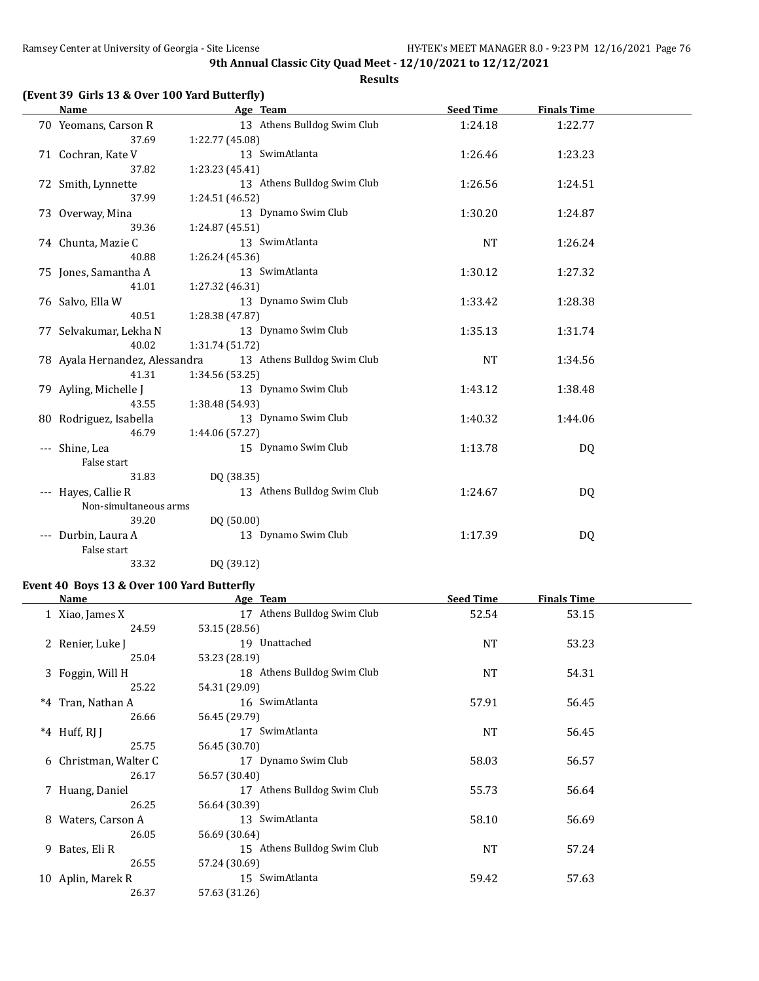**Results**

| <b>Name</b>                    | Age Team        |                             | <b>Seed Time</b> | <b>Finals Time</b> |  |
|--------------------------------|-----------------|-----------------------------|------------------|--------------------|--|
| 70 Yeomans, Carson R           |                 | 13 Athens Bulldog Swim Club | 1:24.18          | 1:22.77            |  |
| 37.69                          | 1:22.77 (45.08) |                             |                  |                    |  |
| 71 Cochran, Kate V             |                 | 13 SwimAtlanta              | 1:26.46          | 1:23.23            |  |
| 37.82                          | 1:23.23 (45.41) |                             |                  |                    |  |
| 72 Smith, Lynnette             |                 | 13 Athens Bulldog Swim Club | 1:26.56          | 1:24.51            |  |
| 37.99                          | 1:24.51 (46.52) |                             |                  |                    |  |
| 73 Overway, Mina               |                 | 13 Dynamo Swim Club         | 1:30.20          | 1:24.87            |  |
| 39.36                          | 1:24.87 (45.51) |                             |                  |                    |  |
| 74 Chunta, Mazie C             |                 | 13 SwimAtlanta              | <b>NT</b>        | 1:26.24            |  |
| 40.88                          | 1:26.24 (45.36) |                             |                  |                    |  |
| 75 Jones, Samantha A           |                 | 13 SwimAtlanta              | 1:30.12          | 1:27.32            |  |
| 41.01                          | 1:27.32 (46.31) |                             |                  |                    |  |
| 76 Salvo, Ella W               |                 | 13 Dynamo Swim Club         | 1:33.42          | 1:28.38            |  |
| 40.51                          | 1:28.38 (47.87) |                             |                  |                    |  |
| 77 Selvakumar, Lekha N         |                 | 13 Dynamo Swim Club         | 1:35.13          | 1:31.74            |  |
| 40.02                          | 1:31.74 (51.72) |                             |                  |                    |  |
| 78 Ayala Hernandez, Alessandra |                 | 13 Athens Bulldog Swim Club | <b>NT</b>        | 1:34.56            |  |
| 41.31                          | 1:34.56 (53.25) |                             |                  |                    |  |
| 79 Ayling, Michelle J          |                 | 13 Dynamo Swim Club         | 1:43.12          | 1:38.48            |  |
| 43.55                          | 1:38.48 (54.93) |                             |                  |                    |  |
| 80 Rodriguez, Isabella         |                 | 13 Dynamo Swim Club         | 1:40.32          | 1:44.06            |  |
| 46.79                          | 1:44.06 (57.27) |                             |                  |                    |  |
| Shine, Lea                     |                 | 15 Dynamo Swim Club         | 1:13.78          | DQ                 |  |
| False start                    |                 |                             |                  |                    |  |
| 31.83                          | DQ (38.35)      |                             |                  |                    |  |
| --- Hayes, Callie R            |                 | 13 Athens Bulldog Swim Club | 1:24.67          | DQ                 |  |
| Non-simultaneous arms          |                 |                             |                  |                    |  |
| 39.20                          | DQ (50.00)      |                             |                  |                    |  |
| --- Durbin, Laura A            |                 | 13 Dynamo Swim Club         | 1:17.39          | DQ                 |  |
| False start                    |                 |                             |                  |                    |  |
| 33.32                          | DQ (39.12)      |                             |                  |                    |  |

### **Event 40 Boys 13 & Over 100 Yard Butterfly**

|   | Name                  | Age Team                    | <b>Seed Time</b> | <b>Finals Time</b> |  |
|---|-----------------------|-----------------------------|------------------|--------------------|--|
|   | 1 Xiao, James X       | 17 Athens Bulldog Swim Club | 52.54            | 53.15              |  |
|   | 24.59                 | 53.15 (28.56)               |                  |                    |  |
|   | 2 Renier, Luke J      | 19 Unattached               | <b>NT</b>        | 53.23              |  |
|   | 25.04                 | 53.23 (28.19)               |                  |                    |  |
|   | 3 Foggin, Will H      | 18 Athens Bulldog Swim Club | <b>NT</b>        | 54.31              |  |
|   | 25.22                 | 54.31 (29.09)               |                  |                    |  |
|   | *4 Tran, Nathan A     | 16 SwimAtlanta              | 57.91            | 56.45              |  |
|   | 26.66                 | 56.45 (29.79)               |                  |                    |  |
|   | $*4$ Huff, RJ J       | 17 SwimAtlanta              | NT               | 56.45              |  |
|   | 25.75                 | 56.45 (30.70)               |                  |                    |  |
|   | 6 Christman, Walter C | 17 Dynamo Swim Club         | 58.03            | 56.57              |  |
|   | 26.17                 | 56.57 (30.40)               |                  |                    |  |
|   | 7 Huang, Daniel       | 17 Athens Bulldog Swim Club | 55.73            | 56.64              |  |
|   | 26.25                 | 56.64 (30.39)               |                  |                    |  |
| 8 | Waters, Carson A      | 13 SwimAtlanta              | 58.10            | 56.69              |  |
|   | 26.05                 | 56.69 (30.64)               |                  |                    |  |
|   | 9 Bates, Eli R        | 15 Athens Bulldog Swim Club | <b>NT</b>        | 57.24              |  |
|   | 26.55                 | 57.24 (30.69)               |                  |                    |  |
|   | 10 Aplin, Marek R     | 15 SwimAtlanta              | 59.42            | 57.63              |  |
|   | 26.37                 | 57.63 (31.26)               |                  |                    |  |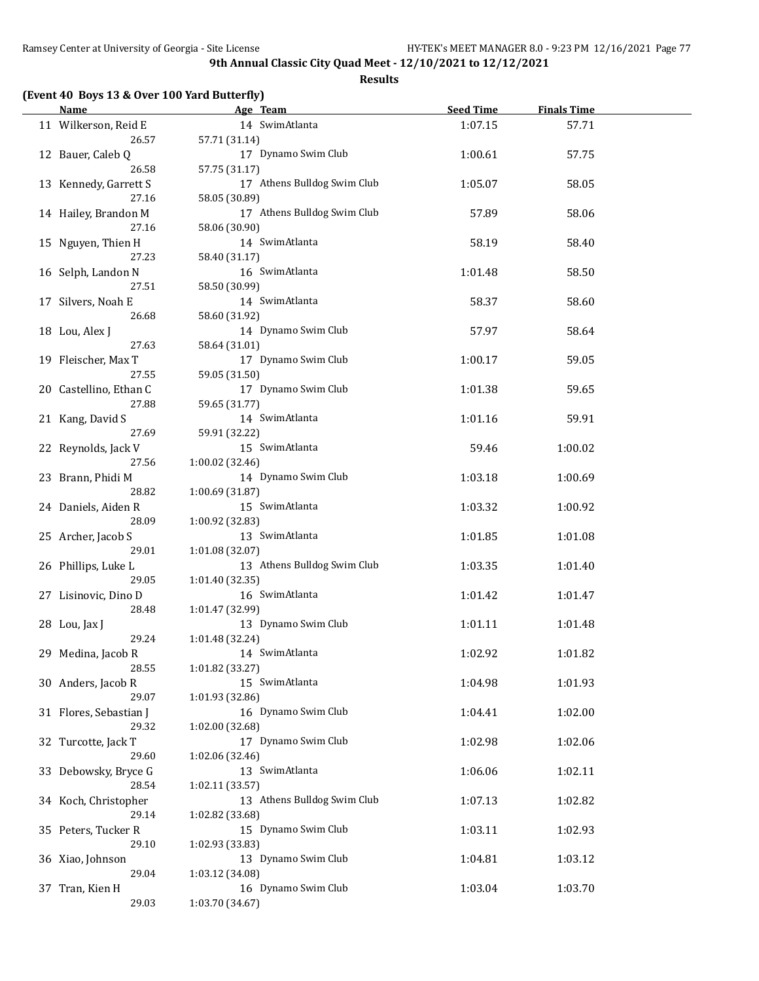**Results**

# **(Event 40 Boys 13 & Over 100 Yard Butterfly)**

| <b>Name</b>            | Age Team                               | <b>Seed Time</b> | <b>Finals Time</b> |  |
|------------------------|----------------------------------------|------------------|--------------------|--|
| 11 Wilkerson, Reid E   | 14 SwimAtlanta                         | 1:07.15          | 57.71              |  |
| 26.57                  | 57.71 (31.14)                          |                  |                    |  |
| 12 Bauer, Caleb Q      | 17 Dynamo Swim Club                    | 1:00.61          | 57.75              |  |
| 26.58                  | 57.75 (31.17)                          |                  |                    |  |
| 13 Kennedy, Garrett S  | 17 Athens Bulldog Swim Club            | 1:05.07          | 58.05              |  |
| 27.16                  | 58.05 (30.89)                          |                  |                    |  |
| 14 Hailey, Brandon M   | 17 Athens Bulldog Swim Club            | 57.89            | 58.06              |  |
| 27.16                  | 58.06 (30.90)                          |                  |                    |  |
|                        | 14 SwimAtlanta                         |                  |                    |  |
| 15 Nguyen, Thien H     |                                        | 58.19            | 58.40              |  |
| 27.23                  | 58.40 (31.17)                          |                  |                    |  |
| 16 Selph, Landon N     | 16 SwimAtlanta                         | 1:01.48          | 58.50              |  |
| 27.51                  | 58.50 (30.99)                          |                  |                    |  |
| 17 Silvers, Noah E     | 14 SwimAtlanta                         | 58.37            | 58.60              |  |
| 26.68                  | 58.60 (31.92)                          |                  |                    |  |
| 18 Lou, Alex J         | 14 Dynamo Swim Club                    | 57.97            | 58.64              |  |
| 27.63                  | 58.64 (31.01)                          |                  |                    |  |
| 19 Fleischer, Max T    | 17 Dynamo Swim Club                    | 1:00.17          | 59.05              |  |
| 27.55                  | 59.05 (31.50)                          |                  |                    |  |
| 20 Castellino, Ethan C | 17 Dynamo Swim Club                    | 1:01.38          | 59.65              |  |
| 27.88                  | 59.65 (31.77)                          |                  |                    |  |
| 21 Kang, David S       | 14 SwimAtlanta                         | 1:01.16          | 59.91              |  |
| 27.69                  | 59.91 (32.22)                          |                  |                    |  |
| 22 Reynolds, Jack V    | 15 SwimAtlanta                         | 59.46            | 1:00.02            |  |
| 27.56                  | 1:00.02 (32.46)                        |                  |                    |  |
| 23 Brann, Phidi M      | 14 Dynamo Swim Club                    | 1:03.18          | 1:00.69            |  |
| 28.82                  | 1:00.69 (31.87)                        |                  |                    |  |
| 24 Daniels, Aiden R    | 15 SwimAtlanta                         | 1:03.32          | 1:00.92            |  |
| 28.09                  | 1:00.92 (32.83)                        |                  |                    |  |
| 25 Archer, Jacob S     | 13 SwimAtlanta                         | 1:01.85          | 1:01.08            |  |
| 29.01                  | 1:01.08 (32.07)                        |                  |                    |  |
| 26 Phillips, Luke L    | 13 Athens Bulldog Swim Club            | 1:03.35          | 1:01.40            |  |
| 29.05                  | 1:01.40 (32.35)                        |                  |                    |  |
| 27 Lisinovic, Dino D   | 16 SwimAtlanta                         | 1:01.42          | 1:01.47            |  |
| 28.48                  | 1:01.47 (32.99)                        |                  |                    |  |
| 28 Lou, Jax J          | 13 Dynamo Swim Club                    | 1:01.11          | 1:01.48            |  |
| 29.24                  | 1:01.48 (32.24)                        |                  |                    |  |
| 29 Medina, Jacob R     | 14 SwimAtlanta                         | 1:02.92          | 1:01.82            |  |
| 28.55                  | 1:01.82 (33.27)                        |                  |                    |  |
| 30 Anders, Jacob R     | 15 SwimAtlanta                         | 1:04.98          | 1:01.93            |  |
| 29.07                  | 1:01.93 (32.86)                        |                  |                    |  |
| 31 Flores, Sebastian J | 16 Dynamo Swim Club                    |                  |                    |  |
|                        |                                        | 1:04.41          | 1:02.00            |  |
| 29.32                  | 1:02.00 (32.68)<br>17 Dynamo Swim Club |                  |                    |  |
| 32 Turcotte, Jack T    |                                        | 1:02.98          | 1:02.06            |  |
| 29.60                  | 1:02.06 (32.46)                        |                  |                    |  |
| 33 Debowsky, Bryce G   | 13 SwimAtlanta                         | 1:06.06          | 1:02.11            |  |
| 28.54                  | 1:02.11 (33.57)                        |                  |                    |  |
| 34 Koch, Christopher   | 13 Athens Bulldog Swim Club            | 1:07.13          | 1:02.82            |  |
| 29.14                  | 1:02.82 (33.68)                        |                  |                    |  |
| 35 Peters, Tucker R    | 15 Dynamo Swim Club                    | 1:03.11          | 1:02.93            |  |
| 29.10                  | 1:02.93 (33.83)                        |                  |                    |  |
| 36 Xiao, Johnson       | 13 Dynamo Swim Club                    | 1:04.81          | 1:03.12            |  |
| 29.04                  | 1:03.12 (34.08)                        |                  |                    |  |
| 37 Tran, Kien H        | 16 Dynamo Swim Club                    | 1:03.04          | 1:03.70            |  |
| 29.03                  | 1:03.70 (34.67)                        |                  |                    |  |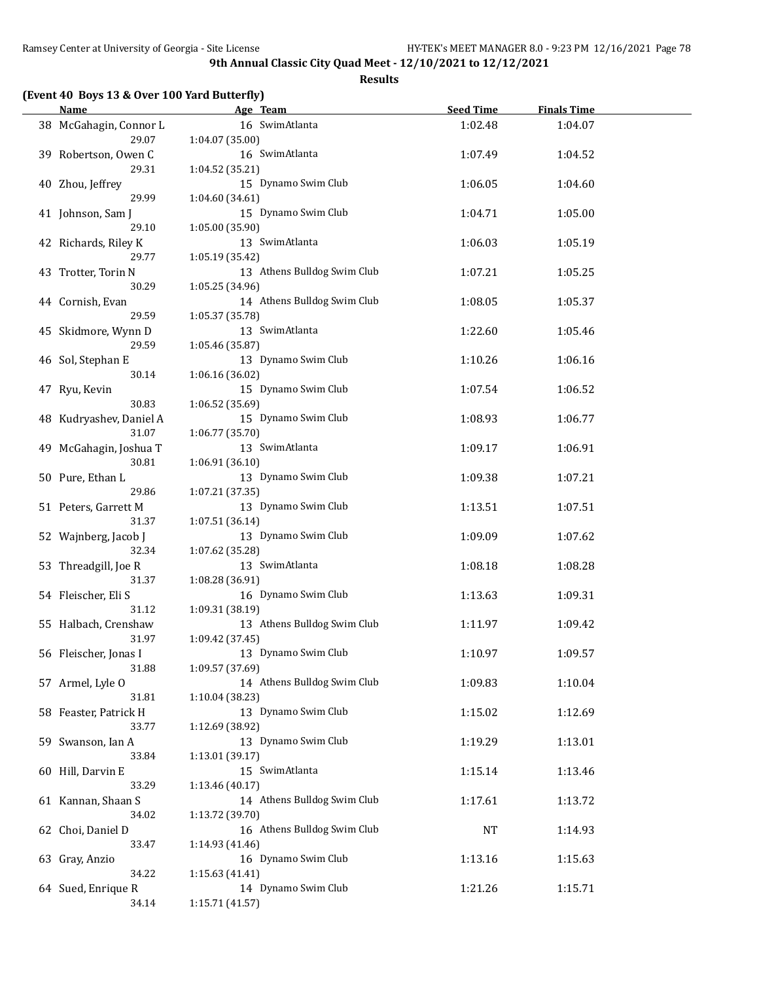|  |  |  | (Event 40 Boys 13 & Over 100 Yard Butterfly) |
|--|--|--|----------------------------------------------|
|--|--|--|----------------------------------------------|

| <b>Name</b>                      |                 | Age Team                    | <b>Seed Time</b> | <b>Finals Time</b> |  |
|----------------------------------|-----------------|-----------------------------|------------------|--------------------|--|
| 38 McGahagin, Connor L<br>29.07  | 1:04.07(35.00)  | 16 SwimAtlanta              | 1:02.48          | 1:04.07            |  |
| 39 Robertson, Owen C<br>29.31    | 1:04.52 (35.21) | 16 SwimAtlanta              | 1:07.49          | 1:04.52            |  |
| 40 Zhou, Jeffrey<br>29.99        | 1:04.60 (34.61) | 15 Dynamo Swim Club         | 1:06.05          | 1:04.60            |  |
| 41 Johnson, Sam J<br>29.10       | 1:05.00(35.90)  | 15 Dynamo Swim Club         | 1:04.71          | 1:05.00            |  |
| 42 Richards, Riley K<br>29.77    | 1:05.19 (35.42) | 13 SwimAtlanta              | 1:06.03          | 1:05.19            |  |
| 43 Trotter, Torin N<br>30.29     | 1:05.25 (34.96) | 13 Athens Bulldog Swim Club | 1:07.21          | 1:05.25            |  |
| 44 Cornish, Evan<br>29.59        | 1:05.37 (35.78) | 14 Athens Bulldog Swim Club | 1:08.05          | 1:05.37            |  |
| 45 Skidmore, Wynn D<br>29.59     | 1:05.46 (35.87) | 13 SwimAtlanta              | 1:22.60          | 1:05.46            |  |
| 46 Sol, Stephan E<br>30.14       | 1:06.16 (36.02) | 13 Dynamo Swim Club         | 1:10.26          | 1:06.16            |  |
| 47 Ryu, Kevin<br>30.83           | 1:06.52 (35.69) | 15 Dynamo Swim Club         | 1:07.54          | 1:06.52            |  |
| 48 Kudryashev, Daniel A<br>31.07 | 1:06.77 (35.70) | 15 Dynamo Swim Club         | 1:08.93          | 1:06.77            |  |
| 49 McGahagin, Joshua T<br>30.81  | 1:06.91 (36.10) | 13 SwimAtlanta              | 1:09.17          | 1:06.91            |  |
| 50 Pure, Ethan L<br>29.86        | 1:07.21 (37.35) | 13 Dynamo Swim Club         | 1:09.38          | 1:07.21            |  |
| 51 Peters, Garrett M<br>31.37    | 1:07.51 (36.14) | 13 Dynamo Swim Club         | 1:13.51          | 1:07.51            |  |
| 52 Wajnberg, Jacob J<br>32.34    | 1:07.62 (35.28) | 13 Dynamo Swim Club         | 1:09.09          | 1:07.62            |  |
| 53 Threadgill, Joe R<br>31.37    | 1:08.28 (36.91) | 13 SwimAtlanta              | 1:08.18          | 1:08.28            |  |
| 54 Fleischer, Eli S<br>31.12     | 1:09.31 (38.19) | 16 Dynamo Swim Club         | 1:13.63          | 1:09.31            |  |
| 55 Halbach, Crenshaw<br>31.97    | 1:09.42 (37.45) | 13 Athens Bulldog Swim Club | 1:11.97          | 1:09.42            |  |
| 56 Fleischer, Jonas I<br>31.88   | 1:09.57 (37.69) | 13 Dynamo Swim Club         | 1:10.97          | 1:09.57            |  |
| 57 Armel, Lyle O<br>31.81        | 1:10.04 (38.23) | 14 Athens Bulldog Swim Club | 1:09.83          | 1:10.04            |  |
| 58 Feaster, Patrick H<br>33.77   | 1:12.69 (38.92) | 13 Dynamo Swim Club         | 1:15.02          | 1:12.69            |  |
| 59 Swanson, Ian A<br>33.84       | 1:13.01 (39.17) | 13 Dynamo Swim Club         | 1:19.29          | 1:13.01            |  |
| 60 Hill, Darvin E<br>33.29       | 1:13.46 (40.17) | 15 SwimAtlanta              | 1:15.14          | 1:13.46            |  |
| 61 Kannan, Shaan S<br>34.02      | 1:13.72 (39.70) | 14 Athens Bulldog Swim Club | 1:17.61          | 1:13.72            |  |
| 62 Choi, Daniel D<br>33.47       | 1:14.93 (41.46) | 16 Athens Bulldog Swim Club | NT               | 1:14.93            |  |
| 63 Gray, Anzio<br>34.22          | 1:15.63 (41.41) | 16 Dynamo Swim Club         | 1:13.16          | 1:15.63            |  |
| 64 Sued, Enrique R<br>34.14      | 1:15.71 (41.57) | 14 Dynamo Swim Club         | 1:21.26          | 1:15.71            |  |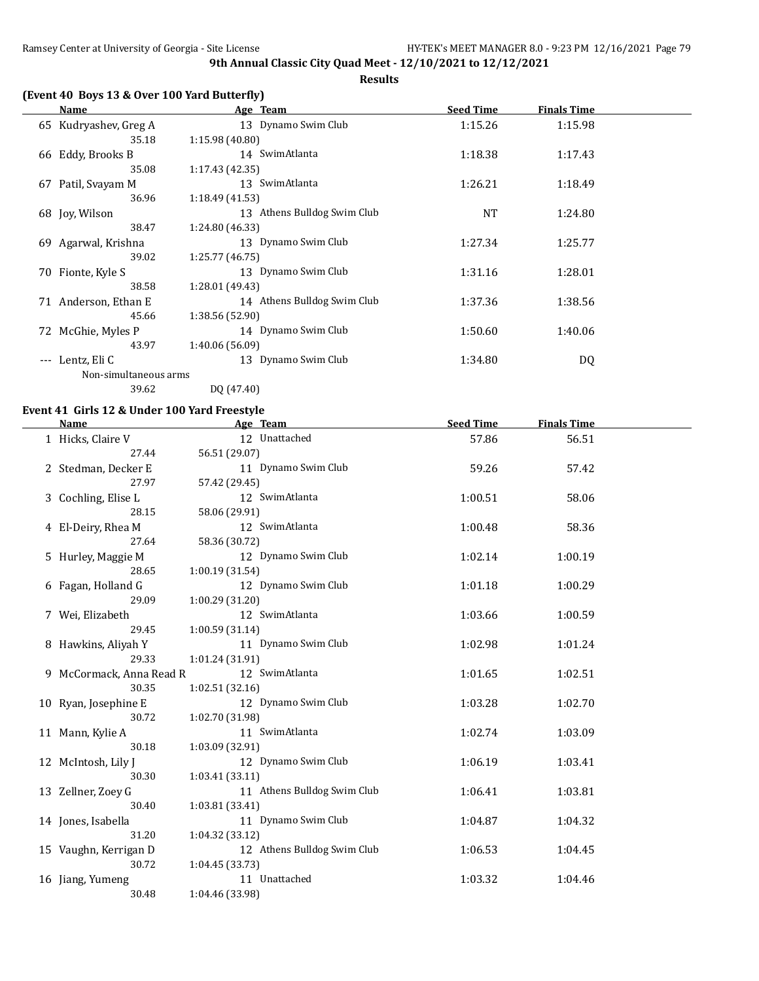**Results**

# **(Event 40 Boys 13 & Over 100 Yard Butterfly)**

|          | Name                  | Age Team                    | <b>Seed Time</b> | <b>Finals Time</b> |  |
|----------|-----------------------|-----------------------------|------------------|--------------------|--|
|          | 65 Kudryashev, Greg A | 13 Dynamo Swim Club         | 1:15.26          | 1:15.98            |  |
|          | 35.18                 | 1:15.98(40.80)              |                  |                    |  |
|          | 66 Eddy, Brooks B     | 14 SwimAtlanta              | 1:18.38          | 1:17.43            |  |
|          | 35.08                 | 1:17.43(42.35)              |                  |                    |  |
| 67       | Patil, Svayam M       | 13 SwimAtlanta              | 1:26.21          | 1:18.49            |  |
|          | 36.96                 | 1:18.49(41.53)              |                  |                    |  |
|          | 68 Joy, Wilson        | 13 Athens Bulldog Swim Club | <b>NT</b>        | 1:24.80            |  |
|          | 38.47                 | 1:24.80 (46.33)             |                  |                    |  |
|          | 69 Agarwal, Krishna   | 13 Dynamo Swim Club         | 1:27.34          | 1:25.77            |  |
|          | 39.02                 | 1:25.77(46.75)              |                  |                    |  |
|          | 70 Fionte, Kyle S     | 13 Dynamo Swim Club         | 1:31.16          | 1:28.01            |  |
|          | 38.58                 | 1:28.01 (49.43)             |                  |                    |  |
|          | 71 Anderson, Ethan E  | 14 Athens Bulldog Swim Club | 1:37.36          | 1:38.56            |  |
|          | 45.66                 | 1:38.56 (52.90)             |                  |                    |  |
| 72       | McGhie, Myles P       | 14 Dynamo Swim Club         | 1:50.60          | 1:40.06            |  |
|          | 43.97                 | 1:40.06 (56.09)             |                  |                    |  |
| $\cdots$ | Lentz, Eli C          | 13 Dynamo Swim Club         | 1:34.80          | DQ                 |  |
|          | Non-simultaneous arms |                             |                  |                    |  |
|          | 39.62                 | DQ (47.40)                  |                  |                    |  |

## **Event 41 Girls 12 & Under 100 Yard Freestyle**

| <b>Name</b>              | Age Team                    | <b>Seed Time</b> | <b>Finals Time</b> |  |
|--------------------------|-----------------------------|------------------|--------------------|--|
| 1 Hicks, Claire V        | 12 Unattached               | 57.86            | 56.51              |  |
| 27.44                    | 56.51 (29.07)               |                  |                    |  |
| 2 Stedman, Decker E      | 11 Dynamo Swim Club         | 59.26            | 57.42              |  |
| 27.97                    | 57.42 (29.45)               |                  |                    |  |
| 3 Cochling, Elise L      | 12 SwimAtlanta              | 1:00.51          | 58.06              |  |
| 28.15                    | 58.06 (29.91)               |                  |                    |  |
| 4 El-Deiry, Rhea M       | 12 SwimAtlanta              | 1:00.48          | 58.36              |  |
| 27.64                    | 58.36 (30.72)               |                  |                    |  |
| 5 Hurley, Maggie M       | 12 Dynamo Swim Club         | 1:02.14          | 1:00.19            |  |
| 28.65                    | 1:00.19(31.54)              |                  |                    |  |
| 6 Fagan, Holland G       | 12 Dynamo Swim Club         | 1:01.18          | 1:00.29            |  |
| 29.09                    | 1:00.29 (31.20)             |                  |                    |  |
| 7 Wei, Elizabeth         | 12 SwimAtlanta              | 1:03.66          | 1:00.59            |  |
| 29.45                    | 1:00.59(31.14)              |                  |                    |  |
| 8 Hawkins, Aliyah Y      | 11 Dynamo Swim Club         | 1:02.98          | 1:01.24            |  |
| 29.33                    | 1:01.24 (31.91)             |                  |                    |  |
| 9 McCormack, Anna Read R | 12 SwimAtlanta              | 1:01.65          | 1:02.51            |  |
| 30.35                    | 1:02.51(32.16)              |                  |                    |  |
| 10 Ryan, Josephine E     | 12 Dynamo Swim Club         | 1:03.28          | 1:02.70            |  |
| 30.72                    | 1:02.70 (31.98)             |                  |                    |  |
| 11 Mann, Kylie A         | 11 SwimAtlanta              | 1:02.74          | 1:03.09            |  |
| 30.18                    | 1:03.09 (32.91)             |                  |                    |  |
| 12 McIntosh, Lily J      | 12 Dynamo Swim Club         | 1:06.19          | 1:03.41            |  |
| 30.30                    | 1:03.41(33.11)              |                  |                    |  |
| 13 Zellner, Zoey G       | 11 Athens Bulldog Swim Club | 1:06.41          | 1:03.81            |  |
| 30.40                    | 1:03.81 (33.41)             |                  |                    |  |
| 14 Jones, Isabella       | 11 Dynamo Swim Club         | 1:04.87          | 1:04.32            |  |
| 31.20                    | 1:04.32(33.12)              |                  |                    |  |
| 15 Vaughn, Kerrigan D    | 12 Athens Bulldog Swim Club | 1:06.53          | 1:04.45            |  |
| 30.72                    | 1:04.45 (33.73)             |                  |                    |  |
| 16 Jiang, Yumeng         | 11 Unattached               | 1:03.32          | 1:04.46            |  |
| 30.48                    | 1:04.46 (33.98)             |                  |                    |  |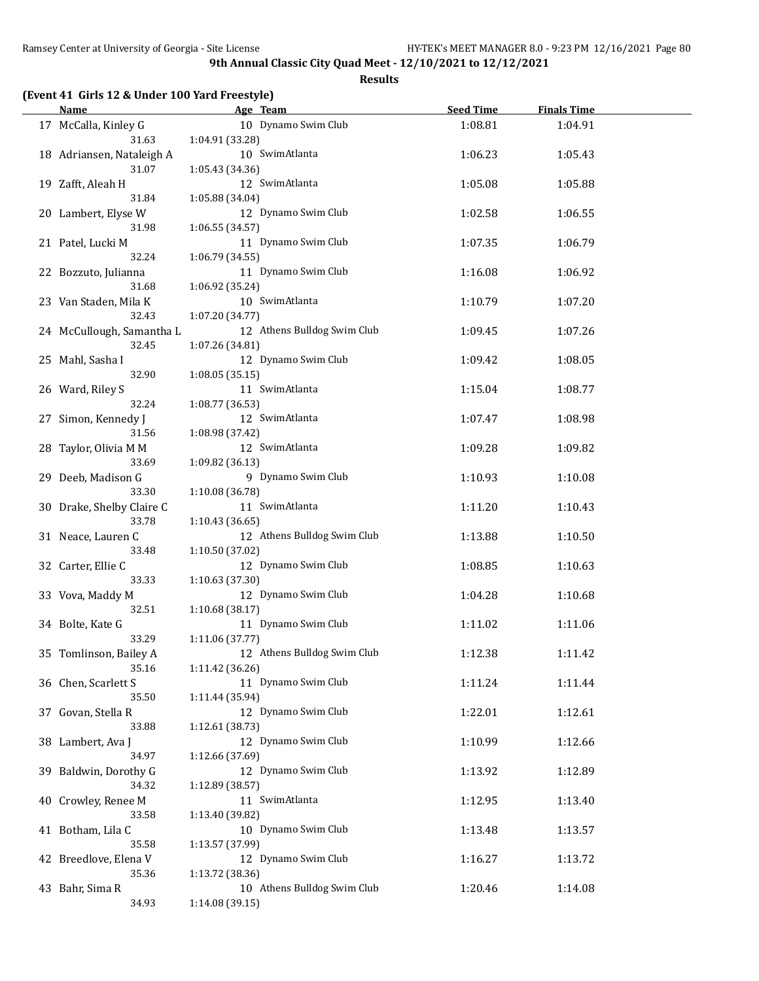|  |  |  |  | (Event 41 Girls 12 & Under 100 Yard Freestyle) |  |
|--|--|--|--|------------------------------------------------|--|
|--|--|--|--|------------------------------------------------|--|

| <u>Name</u><br>the control of the control of the control of |                 | Age Team and the state of the state of the state of the state of the state of the state of the state of the state of the state of the state of the state of the state of the state of the state of the state of the state of t | Seed Time | <b>Finals Time</b> |  |
|-------------------------------------------------------------|-----------------|--------------------------------------------------------------------------------------------------------------------------------------------------------------------------------------------------------------------------------|-----------|--------------------|--|
| 17 McCalla, Kinley G                                        |                 | 10 Dynamo Swim Club                                                                                                                                                                                                            | 1:08.81   | 1:04.91            |  |
| 31.63                                                       | 1:04.91 (33.28) |                                                                                                                                                                                                                                |           |                    |  |
| 18 Adriansen, Nataleigh A                                   |                 | 10 SwimAtlanta                                                                                                                                                                                                                 | 1:06.23   | 1:05.43            |  |
| 31.07                                                       | 1:05.43 (34.36) |                                                                                                                                                                                                                                |           |                    |  |
| 19 Zafft, Aleah H                                           |                 | 12 SwimAtlanta                                                                                                                                                                                                                 | 1:05.08   | 1:05.88            |  |
| 31.84                                                       | 1:05.88 (34.04) |                                                                                                                                                                                                                                |           |                    |  |
| 20 Lambert, Elyse W                                         |                 | 12 Dynamo Swim Club                                                                                                                                                                                                            | 1:02.58   | 1:06.55            |  |
| 31.98                                                       | 1:06.55 (34.57) |                                                                                                                                                                                                                                |           |                    |  |
| 21 Patel, Lucki M                                           |                 | 11 Dynamo Swim Club                                                                                                                                                                                                            | 1:07.35   | 1:06.79            |  |
| 32.24                                                       | 1:06.79 (34.55) |                                                                                                                                                                                                                                |           |                    |  |
| 22 Bozzuto, Julianna                                        |                 | 11 Dynamo Swim Club                                                                                                                                                                                                            | 1:16.08   | 1:06.92            |  |
| 31.68                                                       | 1:06.92 (35.24) |                                                                                                                                                                                                                                |           |                    |  |
| 23 Van Staden, Mila K                                       |                 | 10 SwimAtlanta                                                                                                                                                                                                                 | 1:10.79   | 1:07.20            |  |
| 32.43                                                       | 1:07.20 (34.77) |                                                                                                                                                                                                                                |           |                    |  |
| 24 McCullough, Samantha L                                   |                 | 12 Athens Bulldog Swim Club                                                                                                                                                                                                    | 1:09.45   | 1:07.26            |  |
| 32.45                                                       | 1:07.26 (34.81) |                                                                                                                                                                                                                                |           |                    |  |
| 25 Mahl, Sasha I                                            |                 | 12 Dynamo Swim Club                                                                                                                                                                                                            | 1:09.42   | 1:08.05            |  |
| 32.90                                                       | 1:08.05(35.15)  |                                                                                                                                                                                                                                |           |                    |  |
| 26 Ward, Riley S                                            |                 | 11 SwimAtlanta                                                                                                                                                                                                                 | 1:15.04   | 1:08.77            |  |
| 32.24                                                       | 1:08.77 (36.53) |                                                                                                                                                                                                                                |           |                    |  |
| 27 Simon, Kennedy J                                         |                 | 12 SwimAtlanta                                                                                                                                                                                                                 | 1:07.47   | 1:08.98            |  |
| 31.56                                                       | 1:08.98 (37.42) |                                                                                                                                                                                                                                |           |                    |  |
| 28 Taylor, Olivia M M                                       |                 | 12 SwimAtlanta                                                                                                                                                                                                                 | 1:09.28   | 1:09.82            |  |
| 33.69                                                       | 1:09.82 (36.13) |                                                                                                                                                                                                                                |           |                    |  |
| 29 Deeb, Madison G                                          |                 | 9 Dynamo Swim Club                                                                                                                                                                                                             | 1:10.93   | 1:10.08            |  |
| 33.30                                                       | 1:10.08 (36.78) |                                                                                                                                                                                                                                |           |                    |  |
| 30 Drake, Shelby Claire C                                   |                 | 11 SwimAtlanta                                                                                                                                                                                                                 | 1:11.20   | 1:10.43            |  |
| 33.78                                                       | 1:10.43 (36.65) |                                                                                                                                                                                                                                |           |                    |  |
| 31 Neace, Lauren C                                          |                 | 12 Athens Bulldog Swim Club                                                                                                                                                                                                    | 1:13.88   | 1:10.50            |  |
| 33.48                                                       | 1:10.50 (37.02) |                                                                                                                                                                                                                                |           |                    |  |
| 32 Carter, Ellie C                                          |                 | 12 Dynamo Swim Club                                                                                                                                                                                                            | 1:08.85   | 1:10.63            |  |
| 33.33                                                       | 1:10.63 (37.30) |                                                                                                                                                                                                                                |           |                    |  |
| 33 Vova, Maddy M                                            |                 | 12 Dynamo Swim Club                                                                                                                                                                                                            | 1:04.28   | 1:10.68            |  |
| 32.51                                                       | 1:10.68 (38.17) |                                                                                                                                                                                                                                |           |                    |  |
| 34 Bolte, Kate G                                            |                 | 11 Dynamo Swim Club                                                                                                                                                                                                            | 1:11.02   | 1:11.06            |  |
| 33.29                                                       | 1:11.06 (37.77) |                                                                                                                                                                                                                                |           |                    |  |
| 35 Tomlinson, Bailey A                                      |                 | 12 Athens Bulldog Swim Club                                                                                                                                                                                                    | 1:12.38   | 1:11.42            |  |
| 35.16                                                       | 1:11.42 (36.26) |                                                                                                                                                                                                                                |           |                    |  |
| 36 Chen, Scarlett S                                         |                 | 11 Dynamo Swim Club                                                                                                                                                                                                            | 1:11.24   | 1:11.44            |  |
| 35.50                                                       | 1:11.44 (35.94) |                                                                                                                                                                                                                                |           |                    |  |
| 37 Govan, Stella R                                          |                 | 12 Dynamo Swim Club                                                                                                                                                                                                            | 1:22.01   | 1:12.61            |  |
| 33.88                                                       | 1:12.61 (38.73) |                                                                                                                                                                                                                                |           |                    |  |
| 38 Lambert, Ava J                                           |                 | 12 Dynamo Swim Club                                                                                                                                                                                                            | 1:10.99   | 1:12.66            |  |
| 34.97                                                       | 1:12.66 (37.69) |                                                                                                                                                                                                                                |           |                    |  |
| 39 Baldwin, Dorothy G                                       |                 | 12 Dynamo Swim Club                                                                                                                                                                                                            | 1:13.92   | 1:12.89            |  |
| 34.32                                                       | 1:12.89 (38.57) |                                                                                                                                                                                                                                |           |                    |  |
| 40 Crowley, Renee M                                         |                 | 11 SwimAtlanta                                                                                                                                                                                                                 | 1:12.95   | 1:13.40            |  |
| 33.58                                                       | 1:13.40 (39.82) |                                                                                                                                                                                                                                |           |                    |  |
| 41 Botham, Lila C                                           |                 | 10 Dynamo Swim Club                                                                                                                                                                                                            | 1:13.48   | 1:13.57            |  |
| 35.58                                                       | 1:13.57 (37.99) | 12 Dynamo Swim Club                                                                                                                                                                                                            |           |                    |  |
| 42 Breedlove, Elena V                                       |                 |                                                                                                                                                                                                                                | 1:16.27   | 1:13.72            |  |
| 35.36<br>43 Bahr, Sima R                                    | 1:13.72 (38.36) | 10 Athens Bulldog Swim Club                                                                                                                                                                                                    |           |                    |  |
| 34.93                                                       | 1:14.08 (39.15) |                                                                                                                                                                                                                                | 1:20.46   | 1:14.08            |  |
|                                                             |                 |                                                                                                                                                                                                                                |           |                    |  |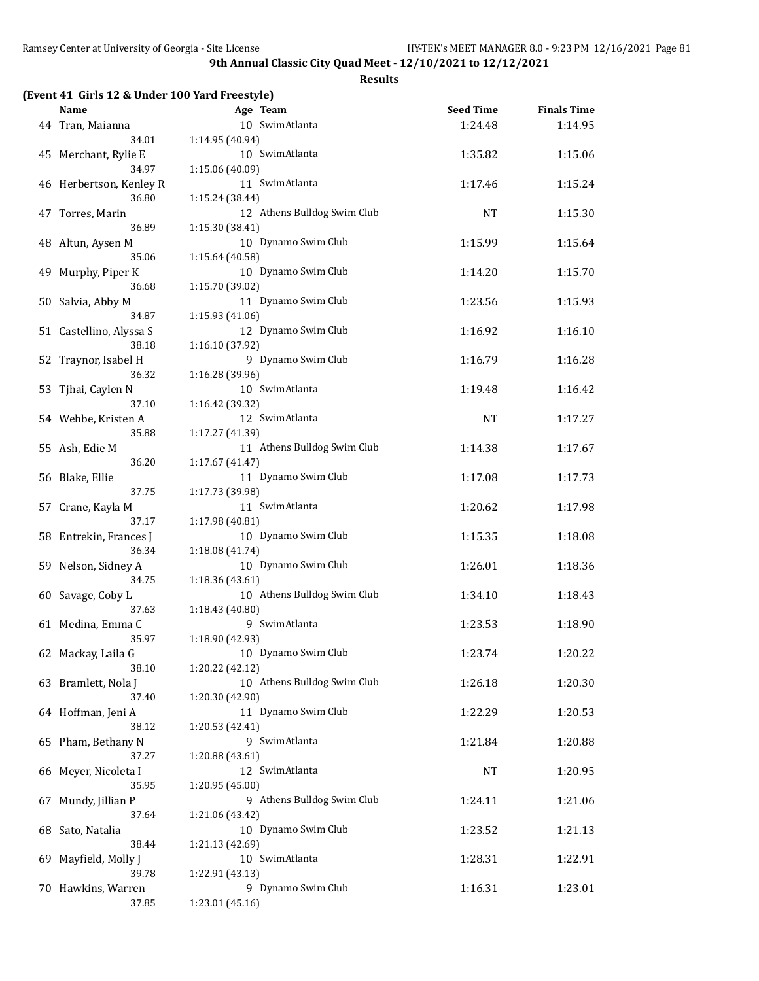|  |  |  |  | (Event 41 Girls 12 & Under 100 Yard Freestyle) |
|--|--|--|--|------------------------------------------------|
|--|--|--|--|------------------------------------------------|

| Name                            | Age Team                               | <b>Seed Time</b> | <b>Finals Time</b> |  |
|---------------------------------|----------------------------------------|------------------|--------------------|--|
| 44 Tran, Maianna                | 10 SwimAtlanta                         | 1:24.48          | 1:14.95            |  |
| 34.01                           | 1:14.95 (40.94)                        |                  |                    |  |
| 45 Merchant, Rylie E            | 10 SwimAtlanta                         | 1:35.82          | 1:15.06            |  |
| 34.97                           | 1:15.06(40.09)                         |                  |                    |  |
| 46 Herbertson, Kenley R         | 11 SwimAtlanta                         | 1:17.46          | 1:15.24            |  |
| 36.80                           | 1:15.24 (38.44)                        |                  |                    |  |
| 47 Torres, Marin                | 12 Athens Bulldog Swim Club            | NT               | 1:15.30            |  |
| 36.89                           | 1:15.30(38.41)                         |                  |                    |  |
| 48 Altun, Aysen M               | 10 Dynamo Swim Club                    | 1:15.99          | 1:15.64            |  |
| 35.06                           | 1:15.64(40.58)                         |                  |                    |  |
| 49 Murphy, Piper K              | 10 Dynamo Swim Club                    | 1:14.20          | 1:15.70            |  |
| 36.68                           | 1:15.70 (39.02)                        |                  |                    |  |
| 50 Salvia, Abby M               | 11 Dynamo Swim Club                    | 1:23.56          | 1:15.93            |  |
| 34.87                           | 1:15.93(41.06)                         |                  |                    |  |
| 51 Castellino, Alyssa S         | 12 Dynamo Swim Club                    | 1:16.92          | 1:16.10            |  |
| 38.18                           | 1:16.10 (37.92)                        |                  |                    |  |
| 52 Traynor, Isabel H            | 9 Dynamo Swim Club                     | 1:16.79          | 1:16.28            |  |
| 36.32                           | 1:16.28(39.96)                         |                  |                    |  |
| 53 Tjhai, Caylen N              | 10 SwimAtlanta                         | 1:19.48          | 1:16.42            |  |
| 37.10                           | 1:16.42 (39.32)                        |                  |                    |  |
| 54 Wehbe, Kristen A             | 12 SwimAtlanta                         | NT               | 1:17.27            |  |
| 35.88                           | 1:17.27 (41.39)                        |                  |                    |  |
| 55 Ash, Edie M                  | 11 Athens Bulldog Swim Club            | 1:14.38          | 1:17.67            |  |
| 36.20                           | 1:17.67 (41.47)                        |                  |                    |  |
| 56 Blake, Ellie                 | 11 Dynamo Swim Club                    | 1:17.08          | 1:17.73            |  |
| 37.75                           | 1:17.73 (39.98)                        |                  |                    |  |
| 57 Crane, Kayla M               | 11 SwimAtlanta                         | 1:20.62          | 1:17.98            |  |
| 37.17                           | 1:17.98 (40.81)<br>10 Dynamo Swim Club |                  |                    |  |
| 58 Entrekin, Frances J<br>36.34 | 1:18.08 (41.74)                        | 1:15.35          | 1:18.08            |  |
|                                 | 10 Dynamo Swim Club                    |                  | 1:18.36            |  |
| 59 Nelson, Sidney A<br>34.75    | 1:18.36 (43.61)                        | 1:26.01          |                    |  |
| 60 Savage, Coby L               | 10 Athens Bulldog Swim Club            | 1:34.10          | 1:18.43            |  |
| 37.63                           | 1:18.43 (40.80)                        |                  |                    |  |
| 61 Medina, Emma C               | 9 SwimAtlanta                          | 1:23.53          | 1:18.90            |  |
| 35.97                           | 1:18.90 (42.93)                        |                  |                    |  |
| 62 Mackay, Laila G              | 10 Dynamo Swim Club                    | 1:23.74          | 1:20.22            |  |
| 38.10                           | 1:20.22 (42.12)                        |                  |                    |  |
| 63 Bramlett, Nola J             | 10 Athens Bulldog Swim Club            | 1:26.18          | 1:20.30            |  |
| 37.40                           | 1:20.30 (42.90)                        |                  |                    |  |
| 64 Hoffman, Jeni A              | 11 Dynamo Swim Club                    | 1:22.29          | 1:20.53            |  |
| 38.12                           | 1:20.53 (42.41)                        |                  |                    |  |
| 65 Pham, Bethany N              | 9 SwimAtlanta                          | 1:21.84          | 1:20.88            |  |
| 37.27                           | 1:20.88(43.61)                         |                  |                    |  |
| 66 Meyer, Nicoleta I            | 12 SwimAtlanta                         | NT               | 1:20.95            |  |
| 35.95                           | 1:20.95 (45.00)                        |                  |                    |  |
| 67 Mundy, Jillian P             | 9 Athens Bulldog Swim Club             | 1:24.11          | 1:21.06            |  |
| 37.64                           | 1:21.06 (43.42)                        |                  |                    |  |
| 68 Sato, Natalia                | 10 Dynamo Swim Club                    | 1:23.52          | 1:21.13            |  |
| 38.44                           | 1:21.13 (42.69)                        |                  |                    |  |
| 69 Mayfield, Molly J            | 10 SwimAtlanta                         | 1:28.31          | 1:22.91            |  |
| 39.78                           | 1:22.91 (43.13)                        |                  |                    |  |
| 70 Hawkins, Warren              | 9 Dynamo Swim Club                     | 1:16.31          | 1:23.01            |  |
| 37.85                           | 1:23.01 (45.16)                        |                  |                    |  |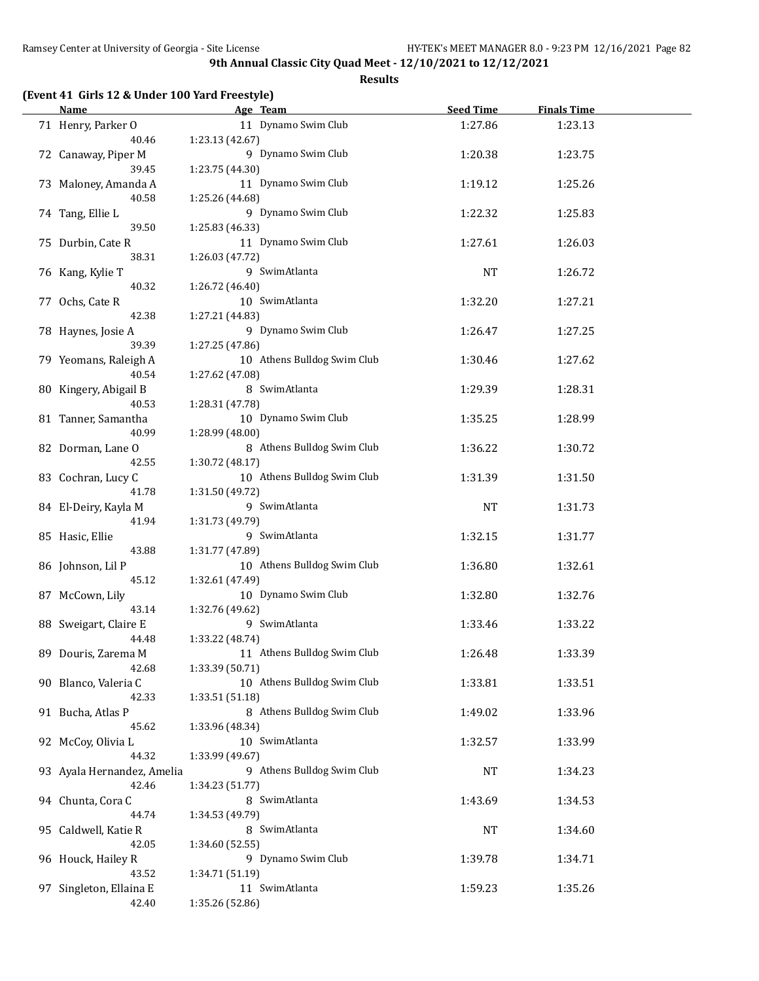#### **Results**

## **(Event 41 Girls 12 & Under 100 Yard Freestyle)**

| <b>Name</b>                      | Age Team                              | <b>Seed Time</b> | <b>Finals Time</b> |  |
|----------------------------------|---------------------------------------|------------------|--------------------|--|
| 71 Henry, Parker O               | 11 Dynamo Swim Club                   | 1:27.86          | 1:23.13            |  |
| 40.46                            | 1:23.13(42.67)                        |                  |                    |  |
| 72 Canaway, Piper M              | 9 Dynamo Swim Club                    | 1:20.38          | 1:23.75            |  |
| 39.45                            | 1:23.75 (44.30)                       |                  |                    |  |
| 73 Maloney, Amanda A             | 11 Dynamo Swim Club                   | 1:19.12          | 1:25.26            |  |
| 40.58                            | 1:25.26 (44.68)                       |                  |                    |  |
| 74 Tang, Ellie L                 | 9 Dynamo Swim Club                    | 1:22.32          | 1:25.83            |  |
| 39.50                            | 1:25.83 (46.33)                       |                  |                    |  |
| 75 Durbin, Cate R                | 11 Dynamo Swim Club                   | 1:27.61          | 1:26.03            |  |
| 38.31                            | 1:26.03 (47.72)                       |                  |                    |  |
| 76 Kang, Kylie T                 | 9 SwimAtlanta                         | NT               | 1:26.72            |  |
| 40.32                            | 1:26.72 (46.40)                       |                  |                    |  |
| 77 Ochs, Cate R                  | 10 SwimAtlanta                        | 1:32.20          | 1:27.21            |  |
| 42.38                            | 1:27.21 (44.83)                       |                  |                    |  |
| 78 Haynes, Josie A               | 9 Dynamo Swim Club                    | 1:26.47          | 1:27.25            |  |
| 39.39                            | 1:27.25 (47.86)                       |                  |                    |  |
| 79 Yeomans, Raleigh A            | 10 Athens Bulldog Swim Club           | 1:30.46          | 1:27.62            |  |
| 40.54                            | 1:27.62 (47.08)                       |                  |                    |  |
| 80 Kingery, Abigail B            | 8 SwimAtlanta                         | 1:29.39          | 1:28.31            |  |
| 40.53                            | 1:28.31 (47.78)                       |                  |                    |  |
| 81 Tanner, Samantha              | 10 Dynamo Swim Club                   | 1:35.25          | 1:28.99            |  |
| 40.99                            | 1:28.99 (48.00)                       |                  |                    |  |
| 82 Dorman, Lane O                | 8 Athens Bulldog Swim Club            | 1:36.22          | 1:30.72            |  |
| 42.55                            | 1:30.72 (48.17)                       |                  |                    |  |
| 83 Cochran, Lucy C               | 10 Athens Bulldog Swim Club           | 1:31.39          | 1:31.50            |  |
| 41.78                            | 1:31.50 (49.72)                       |                  |                    |  |
| 84 El-Deiry, Kayla M             | 9 SwimAtlanta                         | <b>NT</b>        | 1:31.73            |  |
| 41.94                            | 1:31.73 (49.79)                       |                  |                    |  |
| 85 Hasic, Ellie                  | 9 SwimAtlanta                         | 1:32.15          | 1:31.77            |  |
| 43.88                            | 1:31.77 (47.89)                       |                  |                    |  |
| 86 Johnson, Lil P                | 10 Athens Bulldog Swim Club           | 1:36.80          | 1:32.61            |  |
| 45.12                            | 1:32.61 (47.49)                       |                  |                    |  |
| 87 McCown, Lily                  | 10 Dynamo Swim Club                   | 1:32.80          | 1:32.76            |  |
| 43.14                            | 1:32.76 (49.62)                       |                  |                    |  |
| 88 Sweigart, Claire E            | 9 SwimAtlanta                         | 1:33.46          | 1:33.22            |  |
| 44.48                            | 1:33.22 (48.74)                       |                  |                    |  |
| 89 Douris, Zarema M              | 11 Athens Bulldog Swim Club           | 1:26.48          | 1:33.39            |  |
| 42.68                            | 1:33.39 (50.71)                       |                  |                    |  |
| 90 Blanco, Valeria C             | 10 Athens Bulldog Swim Club           | 1:33.81          | 1:33.51            |  |
| 42.33                            | 1:33.51 (51.18)                       |                  |                    |  |
| 91 Bucha, Atlas P                | 8 Athens Bulldog Swim Club            | 1:49.02          | 1:33.96            |  |
| 45.62                            | 1:33.96 (48.34)                       |                  |                    |  |
| 92 McCoy, Olivia L               | 10 SwimAtlanta                        | 1:32.57          | 1:33.99            |  |
| 44.32                            | 1:33.99 (49.67)                       |                  |                    |  |
| 93 Ayala Hernandez, Amelia       | 9 Athens Bulldog Swim Club            | <b>NT</b>        | 1:34.23            |  |
| 42.46                            | 1:34.23 (51.77)                       |                  |                    |  |
| 94 Chunta, Cora C<br>44.74       | 8 SwimAtlanta                         | 1:43.69          | 1:34.53            |  |
|                                  | 1:34.53 (49.79)                       |                  |                    |  |
| 95 Caldwell, Katie R             | 8 SwimAtlanta                         | NT               | 1:34.60            |  |
| 42.05                            | 1:34.60 (52.55)<br>9 Dynamo Swim Club |                  |                    |  |
| 96 Houck, Hailey R<br>43.52      |                                       | 1:39.78          | 1:34.71            |  |
|                                  | 1:34.71 (51.19)<br>11 SwimAtlanta     |                  | 1:35.26            |  |
| 97 Singleton, Ellaina E<br>42.40 | 1:35.26 (52.86)                       | 1:59.23          |                    |  |
|                                  |                                       |                  |                    |  |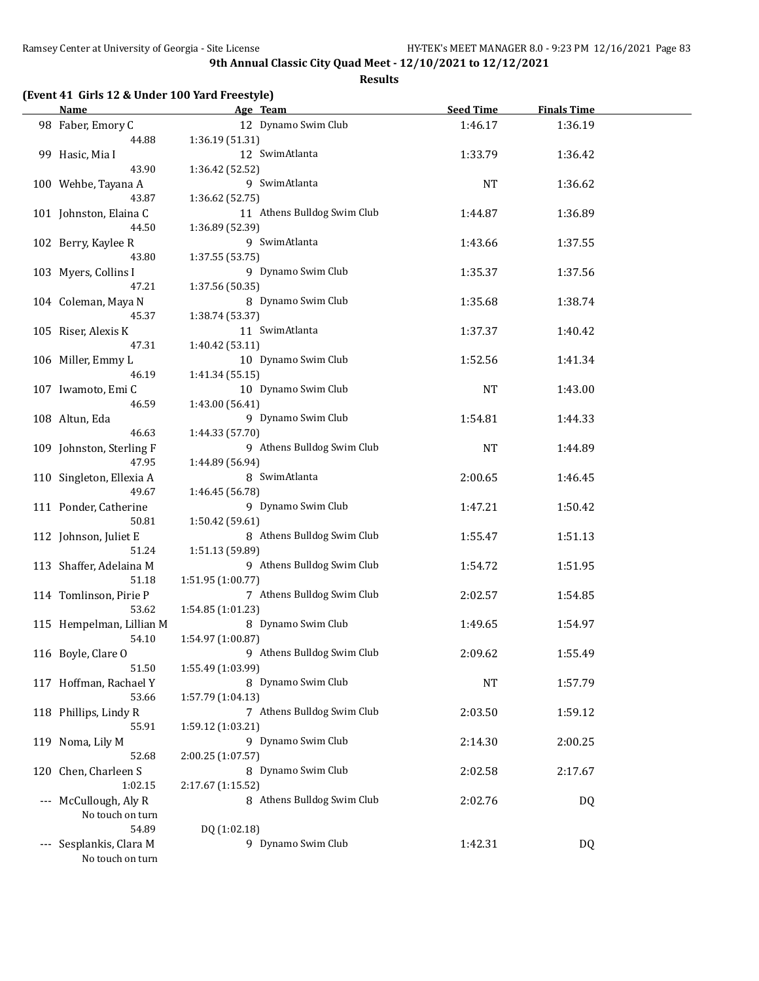|  |  |  |  | (Event 41 Girls 12 & Under 100 Yard Freestyle) |
|--|--|--|--|------------------------------------------------|
|--|--|--|--|------------------------------------------------|

| Name                     | Age Team                    | <b>Seed Time</b> | <b>Finals Time</b> |  |
|--------------------------|-----------------------------|------------------|--------------------|--|
| 98 Faber, Emory C        | 12 Dynamo Swim Club         | 1:46.17          | 1:36.19            |  |
| 44.88                    | 1:36.19 (51.31)             |                  |                    |  |
| 99 Hasic, Mia I          | 12 SwimAtlanta              | 1:33.79          | 1:36.42            |  |
| 43.90                    | 1:36.42 (52.52)             |                  |                    |  |
| 100 Wehbe, Tayana A      | 9 SwimAtlanta               | <b>NT</b>        | 1:36.62            |  |
| 43.87                    | 1:36.62 (52.75)             |                  |                    |  |
| 101 Johnston, Elaina C   | 11 Athens Bulldog Swim Club | 1:44.87          | 1:36.89            |  |
| 44.50                    | 1:36.89 (52.39)             |                  |                    |  |
| 102 Berry, Kaylee R      | 9 SwimAtlanta               | 1:43.66          | 1:37.55            |  |
| 43.80                    | 1:37.55 (53.75)             |                  |                    |  |
| 103 Myers, Collins I     | 9 Dynamo Swim Club          | 1:35.37          | 1:37.56            |  |
| 47.21                    | 1:37.56 (50.35)             |                  |                    |  |
| 104 Coleman, Maya N      | 8 Dynamo Swim Club          | 1:35.68          | 1:38.74            |  |
| 45.37                    | 1:38.74 (53.37)             |                  |                    |  |
| 105 Riser, Alexis K      | 11 SwimAtlanta              | 1:37.37          | 1:40.42            |  |
| 47.31                    | 1:40.42 (53.11)             |                  |                    |  |
| 106 Miller, Emmy L       | 10 Dynamo Swim Club         | 1:52.56          | 1:41.34            |  |
| 46.19                    | 1:41.34 (55.15)             |                  |                    |  |
| 107 Iwamoto, Emi C       | 10 Dynamo Swim Club         | <b>NT</b>        | 1:43.00            |  |
| 46.59                    | 1:43.00 (56.41)             |                  |                    |  |
| 108 Altun, Eda           | 9 Dynamo Swim Club          | 1:54.81          | 1:44.33            |  |
| 46.63                    | 1:44.33 (57.70)             |                  |                    |  |
| 109 Johnston, Sterling F | 9 Athens Bulldog Swim Club  | <b>NT</b>        | 1:44.89            |  |
| 47.95                    | 1:44.89 (56.94)             |                  |                    |  |
| 110 Singleton, Ellexia A | 8 SwimAtlanta               | 2:00.65          | 1:46.45            |  |
| 49.67                    | 1:46.45 (56.78)             |                  |                    |  |
| 111 Ponder, Catherine    | 9 Dynamo Swim Club          | 1:47.21          | 1:50.42            |  |
| 50.81                    | 1:50.42 (59.61)             |                  |                    |  |
| 112 Johnson, Juliet E    | 8 Athens Bulldog Swim Club  | 1:55.47          | 1:51.13            |  |
| 51.24                    | 1:51.13 (59.89)             |                  |                    |  |
| 113 Shaffer, Adelaina M  | 9 Athens Bulldog Swim Club  | 1:54.72          | 1:51.95            |  |
| 51.18                    | 1:51.95 (1:00.77)           |                  |                    |  |
| 114 Tomlinson, Pirie P   | 7 Athens Bulldog Swim Club  | 2:02.57          | 1:54.85            |  |
| 53.62                    | 1:54.85 (1:01.23)           |                  |                    |  |
| 115 Hempelman, Lillian M | 8 Dynamo Swim Club          | 1:49.65          | 1:54.97            |  |
| 54.10                    | 1:54.97 (1:00.87)           |                  |                    |  |
| 116 Boyle, Clare O       | 9 Athens Bulldog Swim Club  | 2:09.62          | 1:55.49            |  |
| 51.50                    | 1:55.49 (1:03.99)           |                  |                    |  |
| 117 Hoffman, Rachael Y   | 8 Dynamo Swim Club          | NT               | 1:57.79            |  |
| 53.66                    | 1:57.79 (1:04.13)           |                  |                    |  |
| 118 Phillips, Lindy R    | 7 Athens Bulldog Swim Club  | 2:03.50          | 1:59.12            |  |
| 55.91                    | 1:59.12 (1:03.21)           |                  |                    |  |
| 119 Noma, Lily M         | 9 Dynamo Swim Club          | 2:14.30          | 2:00.25            |  |
| 52.68                    | 2:00.25 (1:07.57)           |                  |                    |  |
| 120 Chen, Charleen S     | 8 Dynamo Swim Club          | 2:02.58          | 2:17.67            |  |
| 1:02.15                  | 2:17.67 (1:15.52)           |                  |                    |  |
| --- McCullough, Aly R    | 8 Athens Bulldog Swim Club  | 2:02.76          | DQ                 |  |
| No touch on turn         |                             |                  |                    |  |
| 54.89                    | DQ (1:02.18)                |                  |                    |  |
| --- Sesplankis, Clara M  | 9 Dynamo Swim Club          | 1:42.31          | DQ                 |  |
| No touch on turn         |                             |                  |                    |  |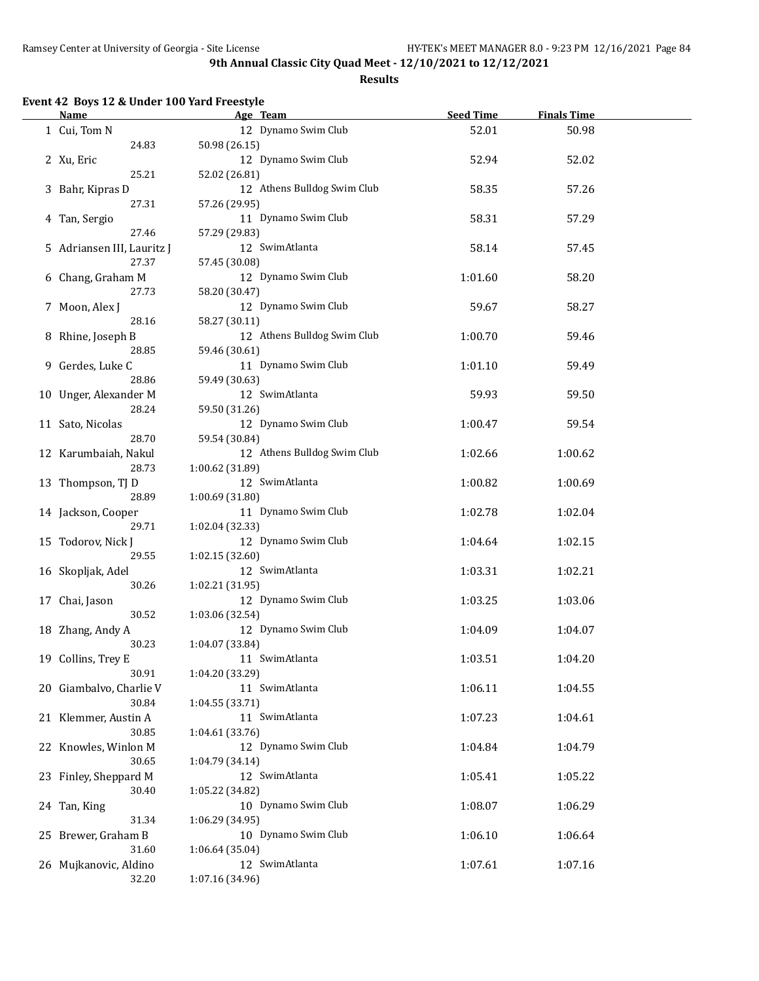**Results**

# **Event 42 Boys 12 & Under 100 Yard Freestyle**

 $\overline{a}$ 

| <b>Name</b>                | Age Team                    | <b>Seed Time</b> | <b>Finals Time</b> |  |
|----------------------------|-----------------------------|------------------|--------------------|--|
| 1 Cui, Tom N               | 12 Dynamo Swim Club         | 52.01            | 50.98              |  |
| 24.83                      | 50.98 (26.15)               |                  |                    |  |
| 2 Xu, Eric                 | 12 Dynamo Swim Club         | 52.94            | 52.02              |  |
| 25.21                      | 52.02 (26.81)               |                  |                    |  |
| 3 Bahr, Kipras D           | 12 Athens Bulldog Swim Club | 58.35            | 57.26              |  |
| 27.31                      | 57.26 (29.95)               |                  |                    |  |
| 4 Tan, Sergio              | 11 Dynamo Swim Club         | 58.31            | 57.29              |  |
| 27.46                      | 57.29 (29.83)               |                  |                    |  |
| 5 Adriansen III, Lauritz J | 12 SwimAtlanta              | 58.14            | 57.45              |  |
| 27.37                      | 57.45 (30.08)               |                  |                    |  |
| 6 Chang, Graham M          | 12 Dynamo Swim Club         | 1:01.60          | 58.20              |  |
| 27.73                      | 58.20 (30.47)               |                  |                    |  |
| 7 Moon, Alex J             | 12 Dynamo Swim Club         | 59.67            | 58.27              |  |
| 28.16                      | 58.27 (30.11)               |                  |                    |  |
| 8 Rhine, Joseph B          | 12 Athens Bulldog Swim Club | 1:00.70          | 59.46              |  |
| 28.85                      | 59.46 (30.61)               |                  |                    |  |
| 9 Gerdes, Luke C           | 11 Dynamo Swim Club         | 1:01.10          | 59.49              |  |
| 28.86                      | 59.49 (30.63)               |                  |                    |  |
| 10 Unger, Alexander M      | 12 SwimAtlanta              | 59.93            | 59.50              |  |
| 28.24                      | 59.50 (31.26)               |                  |                    |  |
| 11 Sato, Nicolas           | 12 Dynamo Swim Club         | 1:00.47          | 59.54              |  |
| 28.70                      | 59.54 (30.84)               |                  |                    |  |
| 12 Karumbaiah, Nakul       | 12 Athens Bulldog Swim Club | 1:02.66          | 1:00.62            |  |
| 28.73                      | 1:00.62 (31.89)             |                  |                    |  |
| 13 Thompson, TJ D          | 12 SwimAtlanta              | 1:00.82          | 1:00.69            |  |
| 28.89                      | 1:00.69 (31.80)             |                  |                    |  |
| 14 Jackson, Cooper         | 11 Dynamo Swim Club         | 1:02.78          | 1:02.04            |  |
| 29.71                      | 1:02.04 (32.33)             |                  |                    |  |
| 15 Todorov, Nick J         | 12 Dynamo Swim Club         | 1:04.64          | 1:02.15            |  |
| 29.55                      | 1:02.15 (32.60)             |                  |                    |  |
| 16 Skopljak, Adel          | 12 SwimAtlanta              | 1:03.31          | 1:02.21            |  |
| 30.26                      | 1:02.21 (31.95)             |                  |                    |  |
| 17 Chai, Jason             | 12 Dynamo Swim Club         | 1:03.25          | 1:03.06            |  |
| 30.52                      | 1:03.06 (32.54)             |                  |                    |  |
| 18 Zhang, Andy A           | 12 Dynamo Swim Club         | 1:04.09          | 1:04.07            |  |
| 30.23                      | 1:04.07 (33.84)             |                  |                    |  |
| 19 Collins, Trey E         | 11 SwimAtlanta              | 1:03.51          | 1:04.20            |  |
| 30.91                      | 1:04.20 (33.29)             |                  |                    |  |
| 20 Giambalvo, Charlie V    | 11 SwimAtlanta              | 1:06.11          | 1:04.55            |  |
| 30.84                      | 1:04.55 (33.71)             |                  |                    |  |
| 21 Klemmer, Austin A       | 11 SwimAtlanta              | 1:07.23          | 1:04.61            |  |
| 30.85                      | 1:04.61 (33.76)             |                  |                    |  |
| 22 Knowles, Winlon M       | 12 Dynamo Swim Club         | 1:04.84          | 1:04.79            |  |
| 30.65                      | 1:04.79 (34.14)             |                  |                    |  |
| 23 Finley, Sheppard M      | 12 SwimAtlanta              | 1:05.41          | 1:05.22            |  |
| 30.40                      | 1:05.22 (34.82)             |                  |                    |  |
| 24 Tan, King               | 10 Dynamo Swim Club         | 1:08.07          | 1:06.29            |  |
| 31.34                      | 1:06.29 (34.95)             |                  |                    |  |
| 25 Brewer, Graham B        | 10 Dynamo Swim Club         | 1:06.10          | 1:06.64            |  |
| 31.60                      | 1:06.64 (35.04)             |                  |                    |  |
| 26 Mujkanovic, Aldino      | 12 SwimAtlanta              | 1:07.61          | 1:07.16            |  |
| 32.20                      | 1:07.16 (34.96)             |                  |                    |  |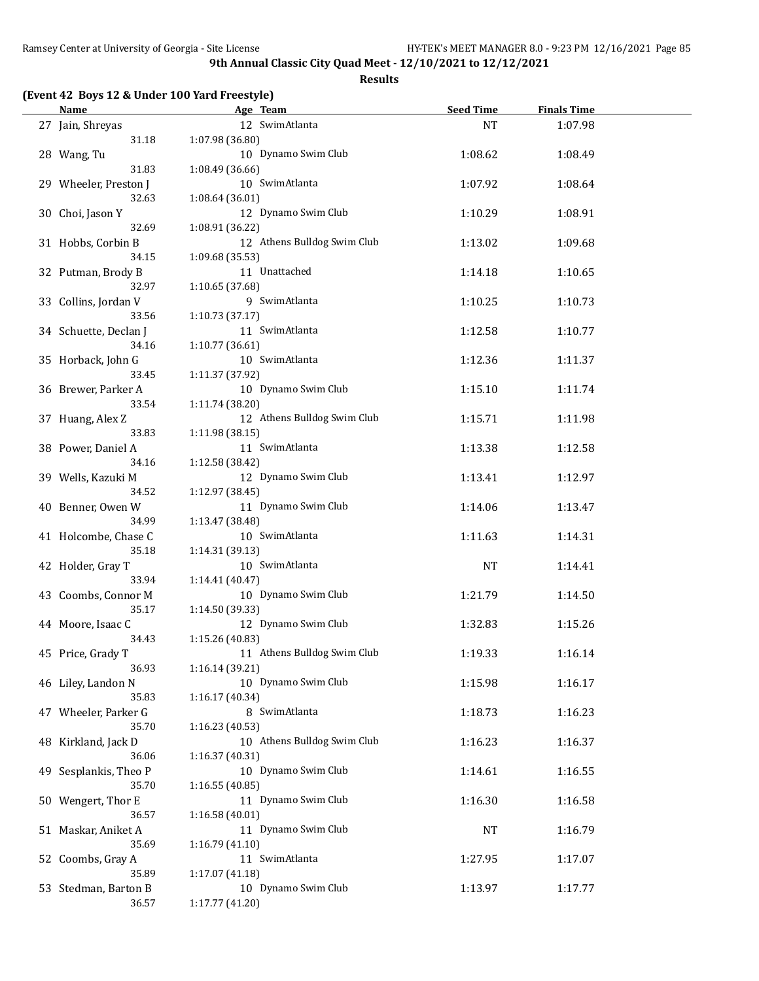**Results**

# **(Event 42 Boys 12 & Under 100 Yard Freestyle)**

| <b>Name</b>                   | Age Team                    | <b>Seed Time</b> | <b>Finals Time</b> |  |
|-------------------------------|-----------------------------|------------------|--------------------|--|
| 27 Jain, Shreyas              | 12 SwimAtlanta              | <b>NT</b>        | 1:07.98            |  |
| 31.18                         | 1:07.98 (36.80)             |                  |                    |  |
| 28 Wang, Tu                   | 10 Dynamo Swim Club         | 1:08.62          | 1:08.49            |  |
| 31.83                         | 1:08.49 (36.66)             |                  |                    |  |
| 29 Wheeler, Preston J         | 10 SwimAtlanta              | 1:07.92          | 1:08.64            |  |
| 32.63                         | 1:08.64 (36.01)             |                  |                    |  |
| 30 Choi, Jason Y              | 12 Dynamo Swim Club         | 1:10.29          | 1:08.91            |  |
| 32.69                         | 1:08.91 (36.22)             |                  |                    |  |
| 31 Hobbs, Corbin B            | 12 Athens Bulldog Swim Club | 1:13.02          | 1:09.68            |  |
| 34.15                         | 1:09.68 (35.53)             |                  |                    |  |
| 32 Putman, Brody B            | 11 Unattached               | 1:14.18          | 1:10.65            |  |
| 32.97                         | 1:10.65 (37.68)             |                  |                    |  |
|                               | 9 SwimAtlanta               |                  |                    |  |
| 33 Collins, Jordan V<br>33.56 | 1:10.73(37.17)              | 1:10.25          | 1:10.73            |  |
|                               | 11 SwimAtlanta              |                  |                    |  |
| 34 Schuette, Declan J         |                             | 1:12.58          | 1:10.77            |  |
| 34.16                         | 1:10.77(36.61)              |                  |                    |  |
| 35 Horback, John G            | 10 SwimAtlanta              | 1:12.36          | 1:11.37            |  |
| 33.45                         | 1:11.37 (37.92)             |                  |                    |  |
| 36 Brewer, Parker A           | 10 Dynamo Swim Club         | 1:15.10          | 1:11.74            |  |
| 33.54                         | 1:11.74 (38.20)             |                  |                    |  |
| 37 Huang, Alex Z              | 12 Athens Bulldog Swim Club | 1:15.71          | 1:11.98            |  |
| 33.83                         | 1:11.98 (38.15)             |                  |                    |  |
| 38 Power, Daniel A            | 11 SwimAtlanta              | 1:13.38          | 1:12.58            |  |
| 34.16                         | 1:12.58 (38.42)             |                  |                    |  |
| 39 Wells, Kazuki M            | 12 Dynamo Swim Club         | 1:13.41          | 1:12.97            |  |
| 34.52                         | 1:12.97 (38.45)             |                  |                    |  |
| 40 Benner, Owen W             | 11 Dynamo Swim Club         | 1:14.06          | 1:13.47            |  |
| 34.99                         | 1:13.47 (38.48)             |                  |                    |  |
| 41 Holcombe, Chase C          | 10 SwimAtlanta              | 1:11.63          | 1:14.31            |  |
| 35.18                         | 1:14.31 (39.13)             |                  |                    |  |
| 42 Holder, Gray T             | 10 SwimAtlanta              | NT               | 1:14.41            |  |
| 33.94                         | 1:14.41 (40.47)             |                  |                    |  |
| 43 Coombs, Connor M           | 10 Dynamo Swim Club         | 1:21.79          | 1:14.50            |  |
| 35.17                         | 1:14.50 (39.33)             |                  |                    |  |
| 44 Moore, Isaac C             | 12 Dynamo Swim Club         | 1:32.83          | 1:15.26            |  |
| 34.43                         | 1:15.26 (40.83)             |                  |                    |  |
| 45 Price, Grady T             | 11 Athens Bulldog Swim Club | 1:19.33          | 1:16.14            |  |
| 36.93                         | 1:16.14 (39.21)             |                  |                    |  |
| 46 Liley, Landon N            | 10 Dynamo Swim Club         | 1:15.98          | 1:16.17            |  |
| 35.83                         | 1:16.17(40.34)              |                  |                    |  |
| 47 Wheeler, Parker G          | 8 SwimAtlanta               | 1:18.73          | 1:16.23            |  |
| 35.70                         | 1:16.23 (40.53)             |                  |                    |  |
| 48 Kirkland, Jack D           | 10 Athens Bulldog Swim Club | 1:16.23          | 1:16.37            |  |
| 36.06                         | 1:16.37 (40.31)             |                  |                    |  |
| 49 Sesplankis, Theo P         | 10 Dynamo Swim Club         | 1:14.61          | 1:16.55            |  |
| 35.70                         | 1:16.55 (40.85)             |                  |                    |  |
| 50 Wengert, Thor E            | 11 Dynamo Swim Club         | 1:16.30          | 1:16.58            |  |
| 36.57                         | 1:16.58 (40.01)             |                  |                    |  |
|                               | 11 Dynamo Swim Club         |                  |                    |  |
| 51 Maskar, Aniket A           |                             | NT               | 1:16.79            |  |
| 35.69                         | 1:16.79 (41.10)             |                  |                    |  |
| 52 Coombs, Gray A             | 11 SwimAtlanta              | 1:27.95          | 1:17.07            |  |
| 35.89                         | 1:17.07 (41.18)             |                  |                    |  |
| 53 Stedman, Barton B          | 10 Dynamo Swim Club         | 1:13.97          | 1:17.77            |  |
| 36.57                         | 1:17.77 (41.20)             |                  |                    |  |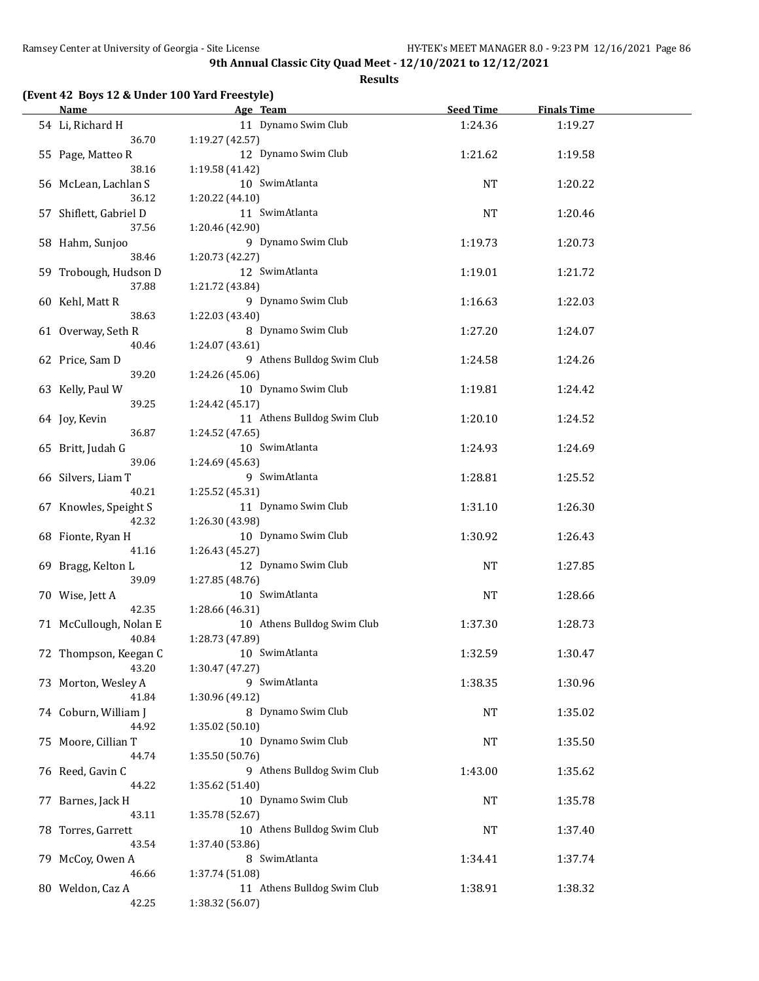#### **Results**

## **(Event 42 Boys 12 & Under 100 Yard Freestyle)**

| <u>Name</u>                | Age Team                          | <b>Seed Time</b> | <b>Finals Time</b> |  |
|----------------------------|-----------------------------------|------------------|--------------------|--|
| 54 Li, Richard H           | 11 Dynamo Swim Club               | 1:24.36          | 1:19.27            |  |
| 36.70                      | 1:19.27 (42.57)                   |                  |                    |  |
| 55 Page, Matteo R          | 12 Dynamo Swim Club               | 1:21.62          | 1:19.58            |  |
| 38.16                      | 1:19.58 (41.42)                   |                  |                    |  |
| 56 McLean, Lachlan S       | 10 SwimAtlanta                    | <b>NT</b>        | 1:20.22            |  |
| 36.12                      | 1:20.22 (44.10)                   |                  |                    |  |
| 57 Shiflett, Gabriel D     | 11 SwimAtlanta                    | <b>NT</b>        | 1:20.46            |  |
| 37.56                      | 1:20.46 (42.90)                   |                  |                    |  |
| 58 Hahm, Sunjoo            | 9 Dynamo Swim Club                | 1:19.73          | 1:20.73            |  |
| 38.46                      | 1:20.73 (42.27)                   |                  |                    |  |
| 59 Trobough, Hudson D      | 12 SwimAtlanta                    | 1:19.01          | 1:21.72            |  |
| 37.88                      | 1:21.72 (43.84)                   |                  |                    |  |
| 60 Kehl, Matt R            | 9 Dynamo Swim Club                | 1:16.63          | 1:22.03            |  |
| 38.63                      | 1:22.03 (43.40)                   |                  |                    |  |
| 61 Overway, Seth R         | 8 Dynamo Swim Club                | 1:27.20          | 1:24.07            |  |
| 40.46                      | 1:24.07 (43.61)                   |                  |                    |  |
| 62 Price, Sam D            | 9 Athens Bulldog Swim Club        | 1:24.58          | 1:24.26            |  |
| 39.20                      | 1:24.26 (45.06)                   |                  |                    |  |
| 63 Kelly, Paul W           | 10 Dynamo Swim Club               | 1:19.81          | 1:24.42            |  |
| 39.25                      | 1:24.42 (45.17)                   |                  |                    |  |
| 64 Joy, Kevin<br>36.87     | 11 Athens Bulldog Swim Club       | 1:20.10          | 1:24.52            |  |
|                            | 1:24.52 (47.65)<br>10 SwimAtlanta |                  |                    |  |
| 65 Britt, Judah G<br>39.06 |                                   | 1:24.93          | 1:24.69            |  |
| 66 Silvers, Liam T         | 1:24.69 (45.63)<br>9 SwimAtlanta  | 1:28.81          | 1:25.52            |  |
| 40.21                      | 1:25.52 (45.31)                   |                  |                    |  |
| 67 Knowles, Speight S      | 11 Dynamo Swim Club               | 1:31.10          | 1:26.30            |  |
| 42.32                      | 1:26.30 (43.98)                   |                  |                    |  |
| 68 Fionte, Ryan H          | 10 Dynamo Swim Club               | 1:30.92          | 1:26.43            |  |
| 41.16                      | 1:26.43 (45.27)                   |                  |                    |  |
| 69 Bragg, Kelton L         | 12 Dynamo Swim Club               | <b>NT</b>        | 1:27.85            |  |
| 39.09                      | 1:27.85 (48.76)                   |                  |                    |  |
| 70 Wise, Jett A            | 10 SwimAtlanta                    | <b>NT</b>        | 1:28.66            |  |
| 42.35                      | 1:28.66 (46.31)                   |                  |                    |  |
| 71 McCullough, Nolan E     | 10 Athens Bulldog Swim Club       | 1:37.30          | 1:28.73            |  |
| 40.84                      | 1:28.73 (47.89)                   |                  |                    |  |
| 72 Thompson, Keegan C      | 10 SwimAtlanta                    | 1:32.59          | 1:30.47            |  |
| 43.20                      | 1:30.47 (47.27)                   |                  |                    |  |
| 73 Morton, Wesley A        | 9 SwimAtlanta                     | 1:38.35          | 1:30.96            |  |
| 41.84                      | 1:30.96 (49.12)                   |                  |                    |  |
| 74 Coburn, William J       | 8 Dynamo Swim Club                | NT               | 1:35.02            |  |
| 44.92                      | 1:35.02 (50.10)                   |                  |                    |  |
| 75 Moore, Cillian T        | 10 Dynamo Swim Club               | NT               | 1:35.50            |  |
| 44.74                      | 1:35.50 (50.76)                   |                  |                    |  |
| 76 Reed, Gavin C           | 9 Athens Bulldog Swim Club        | 1:43.00          | 1:35.62            |  |
| 44.22                      | 1:35.62 (51.40)                   |                  |                    |  |
| 77 Barnes, Jack H          | 10 Dynamo Swim Club               | <b>NT</b>        | 1:35.78            |  |
| 43.11                      | 1:35.78 (52.67)                   |                  |                    |  |
| 78 Torres, Garrett         | 10 Athens Bulldog Swim Club       | <b>NT</b>        | 1:37.40            |  |
| 43.54                      | 1:37.40 (53.86)                   |                  |                    |  |
| 79 McCoy, Owen A           | 8 SwimAtlanta                     | 1:34.41          | 1:37.74            |  |
| 46.66                      | 1:37.74 (51.08)                   |                  |                    |  |
| 80 Weldon, Caz A           | 11 Athens Bulldog Swim Club       | 1:38.91          | 1:38.32            |  |
| 42.25                      | 1:38.32 (56.07)                   |                  |                    |  |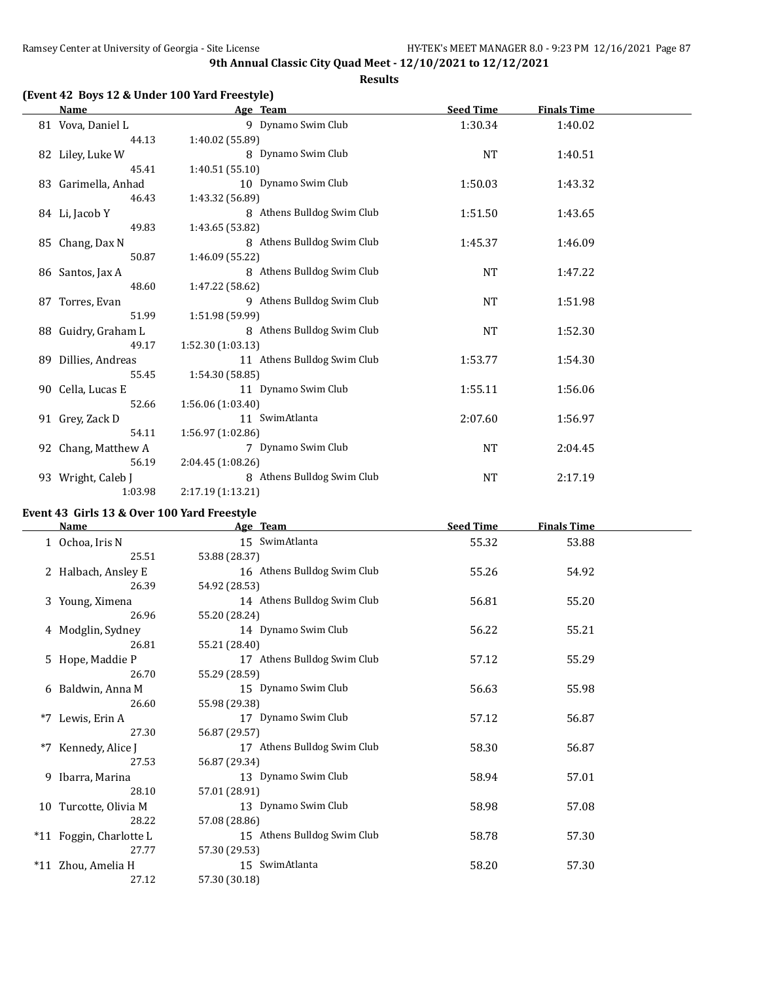#### **Results**

## **(Event 42 Boys 12 & Under 100 Yard Freestyle)**

| Name                | Age Team                    | <b>Seed Time</b> | <b>Finals Time</b> |  |
|---------------------|-----------------------------|------------------|--------------------|--|
| 81 Vova, Daniel L   | 9 Dynamo Swim Club          | 1:30.34          | 1:40.02            |  |
| 44.13               | 1:40.02 (55.89)             |                  |                    |  |
| 82 Liley, Luke W    | 8 Dynamo Swim Club          | <b>NT</b>        | 1:40.51            |  |
| 45.41               | 1:40.51 (55.10)             |                  |                    |  |
| 83 Garimella, Anhad | 10 Dynamo Swim Club         | 1:50.03          | 1:43.32            |  |
| 46.43               | 1:43.32 (56.89)             |                  |                    |  |
| 84 Li, Jacob Y      | 8 Athens Bulldog Swim Club  | 1:51.50          | 1:43.65            |  |
| 49.83               | 1:43.65 (53.82)             |                  |                    |  |
| 85 Chang, Dax N     | 8 Athens Bulldog Swim Club  | 1:45.37          | 1:46.09            |  |
| 50.87               | 1:46.09 (55.22)             |                  |                    |  |
| 86 Santos, Jax A    | 8 Athens Bulldog Swim Club  | NT               | 1:47.22            |  |
| 48.60               | 1:47.22 (58.62)             |                  |                    |  |
| 87 Torres, Evan     | 9 Athens Bulldog Swim Club  | <b>NT</b>        | 1:51.98            |  |
| 51.99               | 1:51.98 (59.99)             |                  |                    |  |
| 88 Guidry, Graham L | 8 Athens Bulldog Swim Club  | NT               | 1:52.30            |  |
| 49.17               | 1:52.30(1:03.13)            |                  |                    |  |
| 89 Dillies, Andreas | 11 Athens Bulldog Swim Club | 1:53.77          | 1:54.30            |  |
| 55.45               | 1:54.30 (58.85)             |                  |                    |  |
| 90 Cella, Lucas E   | 11 Dynamo Swim Club         | 1:55.11          | 1:56.06            |  |
| 52.66               | 1:56.06 (1:03.40)           |                  |                    |  |
| 91 Grey, Zack D     | 11 SwimAtlanta              | 2:07.60          | 1:56.97            |  |
| 54.11               | 1:56.97 (1:02.86)           |                  |                    |  |
| 92 Chang, Matthew A | 7 Dynamo Swim Club          | <b>NT</b>        | 2:04.45            |  |
| 56.19               | 2:04.45 (1:08.26)           |                  |                    |  |
| 93 Wright, Caleb J  | 8 Athens Bulldog Swim Club  | <b>NT</b>        | 2:17.19            |  |
| 1:03.98             | 2:17.19 (1:13.21)           |                  |                    |  |

# **Event 43 Girls 13 & Over 100 Yard Freestyle**

|      | <b>Name</b>             | Age Team                    | <b>Seed Time</b> | <b>Finals Time</b> |  |
|------|-------------------------|-----------------------------|------------------|--------------------|--|
|      | 1 Ochoa, Iris N         | 15 SwimAtlanta              | 55.32            | 53.88              |  |
|      | 25.51                   | 53.88 (28.37)               |                  |                    |  |
|      | 2 Halbach, Ansley E     | 16 Athens Bulldog Swim Club | 55.26            | 54.92              |  |
|      | 26.39                   | 54.92 (28.53)               |                  |                    |  |
|      | 3 Young, Ximena         | 14 Athens Bulldog Swim Club | 56.81            | 55.20              |  |
|      | 26.96                   | 55.20 (28.24)               |                  |                    |  |
|      | 4 Modglin, Sydney       | 14 Dynamo Swim Club         | 56.22            | 55.21              |  |
|      | 26.81                   | 55.21 (28.40)               |                  |                    |  |
|      | 5 Hope, Maddie P        | 17 Athens Bulldog Swim Club | 57.12            | 55.29              |  |
|      | 26.70                   | 55.29 (28.59)               |                  |                    |  |
|      | 6 Baldwin, Anna M       | 15 Dynamo Swim Club         | 56.63            | 55.98              |  |
|      | 26.60                   | 55.98 (29.38)               |                  |                    |  |
| $*7$ | Lewis, Erin A           | 17 Dynamo Swim Club         | 57.12            | 56.87              |  |
|      | 27.30                   | 56.87 (29.57)               |                  |                    |  |
| $*7$ | Kennedy, Alice J        | 17 Athens Bulldog Swim Club | 58.30            | 56.87              |  |
|      | 27.53                   | 56.87 (29.34)               |                  |                    |  |
|      | 9 Ibarra, Marina        | 13 Dynamo Swim Club         | 58.94            | 57.01              |  |
|      | 28.10                   | 57.01 (28.91)               |                  |                    |  |
|      | 10 Turcotte, Olivia M   | 13 Dynamo Swim Club         | 58.98            | 57.08              |  |
|      | 28.22                   | 57.08 (28.86)               |                  |                    |  |
|      | *11 Foggin, Charlotte L | 15 Athens Bulldog Swim Club | 58.78            | 57.30              |  |
|      | 27.77                   | 57.30 (29.53)               |                  |                    |  |
|      | *11 Zhou, Amelia H      | 15 SwimAtlanta              | 58.20            | 57.30              |  |
|      | 27.12                   | 57.30 (30.18)               |                  |                    |  |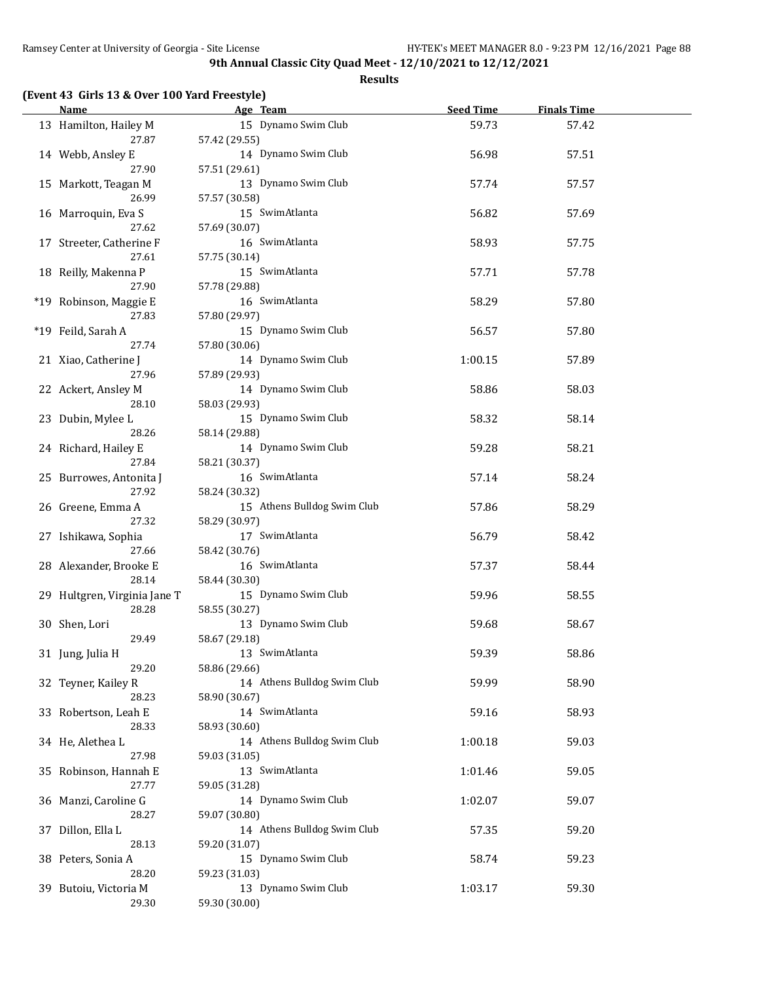**Results**

# **(Event 43 Girls 13 & Over 100 Yard Freestyle)**

| Name                                   | Age Team                                              | <b>Seed Time</b> | <b>Finals Time</b> |  |
|----------------------------------------|-------------------------------------------------------|------------------|--------------------|--|
| 13 Hamilton, Hailey M                  | 15 Dynamo Swim Club                                   | 59.73            | 57.42              |  |
| 27.87<br>14 Webb, Ansley E             | 57.42 (29.55)<br>14 Dynamo Swim Club                  | 56.98            | 57.51              |  |
| 27.90<br>15 Markott, Teagan M          | 57.51 (29.61)<br>13 Dynamo Swim Club                  | 57.74            | 57.57              |  |
| 26.99<br>16 Marroquin, Eva S           | 57.57 (30.58)<br>15 SwimAtlanta                       | 56.82            | 57.69              |  |
| 27.62<br>17 Streeter, Catherine F      | 57.69 (30.07)<br>16 SwimAtlanta                       | 58.93            | 57.75              |  |
| 27.61<br>18 Reilly, Makenna P          | 57.75 (30.14)<br>15 SwimAtlanta                       | 57.71            | 57.78              |  |
| 27.90<br>*19 Robinson, Maggie E        | 57.78 (29.88)<br>16 SwimAtlanta                       | 58.29            | 57.80              |  |
| 27.83<br>*19 Feild, Sarah A            | 57.80 (29.97)<br>15 Dynamo Swim Club                  | 56.57            | 57.80              |  |
| 27.74<br>21 Xiao, Catherine J<br>27.96 | 57.80 (30.06)<br>14 Dynamo Swim Club                  | 1:00.15          | 57.89              |  |
| 22 Ackert, Ansley M                    | 57.89 (29.93)<br>14 Dynamo Swim Club                  | 58.86            | 58.03              |  |
| 28.10<br>23 Dubin, Mylee L<br>28.26    | 58.03 (29.93)<br>15 Dynamo Swim Club                  | 58.32            | 58.14              |  |
| 24 Richard, Hailey E<br>27.84          | 58.14 (29.88)<br>14 Dynamo Swim Club<br>58.21 (30.37) | 59.28            | 58.21              |  |
| 25 Burrowes, Antonita J<br>27.92       | 16 SwimAtlanta<br>58.24 (30.32)                       | 57.14            | 58.24              |  |
| 26 Greene, Emma A<br>27.32             | 15 Athens Bulldog Swim Club<br>58.29 (30.97)          | 57.86            | 58.29              |  |
| 27 Ishikawa, Sophia<br>27.66           | 17 SwimAtlanta<br>58.42 (30.76)                       | 56.79            | 58.42              |  |
| 28 Alexander, Brooke E<br>28.14        | 16 SwimAtlanta<br>58.44 (30.30)                       | 57.37            | 58.44              |  |
| 29 Hultgren, Virginia Jane T<br>28.28  | 15 Dynamo Swim Club<br>58.55 (30.27)                  | 59.96            | 58.55              |  |
| 30 Shen, Lori<br>29.49                 | 13 Dynamo Swim Club<br>58.67 (29.18)                  | 59.68            | 58.67              |  |
| 31 Jung, Julia H<br>29.20              | 13 SwimAtlanta<br>58.86 (29.66)                       | 59.39            | 58.86              |  |
| 32 Teyner, Kailey R<br>28.23           | 14 Athens Bulldog Swim Club<br>58.90 (30.67)          | 59.99            | 58.90              |  |
| 33 Robertson, Leah E<br>28.33          | 14 SwimAtlanta<br>58.93 (30.60)                       | 59.16            | 58.93              |  |
| 34 He, Alethea L<br>27.98              | 14 Athens Bulldog Swim Club<br>59.03 (31.05)          | 1:00.18          | 59.03              |  |
| 35 Robinson, Hannah E<br>27.77         | 13 SwimAtlanta<br>59.05 (31.28)                       | 1:01.46          | 59.05              |  |
| 36 Manzi, Caroline G<br>28.27          | 14 Dynamo Swim Club<br>59.07 (30.80)                  | 1:02.07          | 59.07              |  |
| 37 Dillon, Ella L<br>28.13             | 14 Athens Bulldog Swim Club<br>59.20 (31.07)          | 57.35            | 59.20              |  |
| 38 Peters, Sonia A<br>28.20            | 15 Dynamo Swim Club<br>59.23 (31.03)                  | 58.74            | 59.23              |  |
| 39 Butoiu, Victoria M<br>29.30         | 13 Dynamo Swim Club<br>59.30 (30.00)                  | 1:03.17          | 59.30              |  |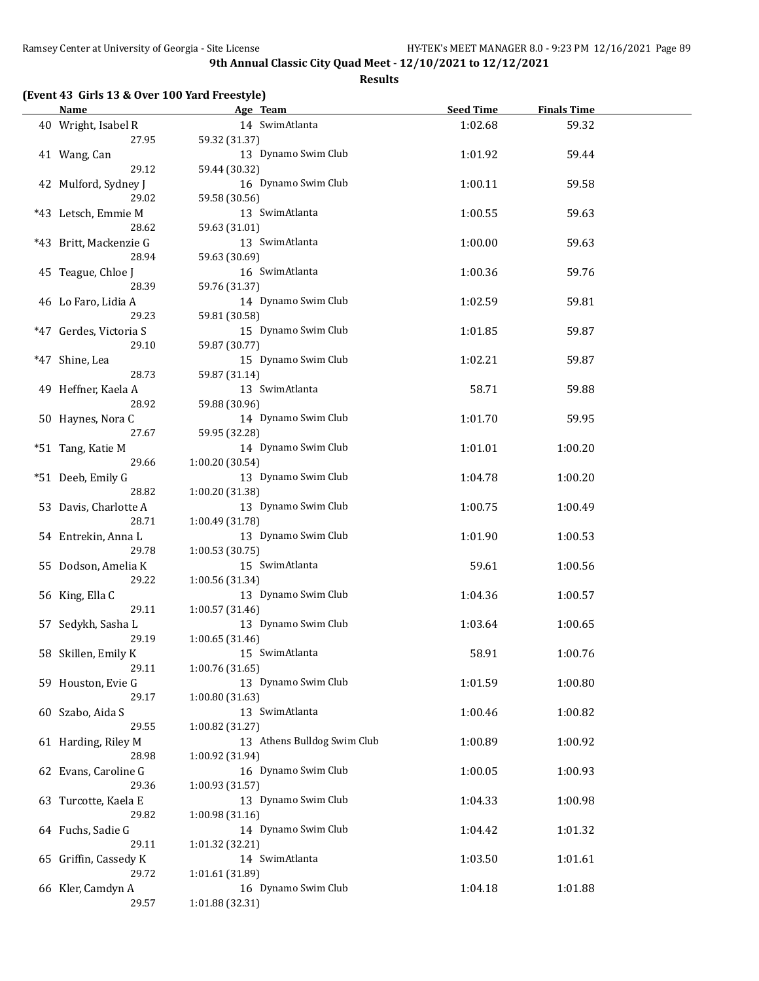**Results**

# **(Event 43 Girls 13 & Over 100 Yard Freestyle)**

| <b>Name</b>            | Age Team                               | <b>Seed Time</b> | <b>Finals Time</b> |  |
|------------------------|----------------------------------------|------------------|--------------------|--|
| 40 Wright, Isabel R    | 14 SwimAtlanta                         | 1:02.68          | 59.32              |  |
| 27.95                  | 59.32 (31.37)                          |                  |                    |  |
| 41 Wang, Can           | 13 Dynamo Swim Club                    | 1:01.92          | 59.44              |  |
| 29.12                  | 59.44 (30.32)                          |                  |                    |  |
| 42 Mulford, Sydney J   | 16 Dynamo Swim Club                    | 1:00.11          | 59.58              |  |
| 29.02                  | 59.58 (30.56)                          |                  |                    |  |
| *43 Letsch, Emmie M    | 13 SwimAtlanta                         | 1:00.55          | 59.63              |  |
| 28.62                  |                                        |                  |                    |  |
|                        | 59.63 (31.01)                          |                  |                    |  |
| *43 Britt, Mackenzie G | 13 SwimAtlanta                         | 1:00.00          | 59.63              |  |
| 28.94                  | 59.63 (30.69)                          |                  |                    |  |
| 45 Teague, Chloe J     | 16 SwimAtlanta                         | 1:00.36          | 59.76              |  |
| 28.39                  | 59.76 (31.37)                          |                  |                    |  |
| 46 Lo Faro, Lidia A    | 14 Dynamo Swim Club                    | 1:02.59          | 59.81              |  |
| 29.23                  | 59.81 (30.58)                          |                  |                    |  |
| *47 Gerdes, Victoria S | 15 Dynamo Swim Club                    | 1:01.85          | 59.87              |  |
| 29.10                  | 59.87 (30.77)                          |                  |                    |  |
| *47 Shine, Lea         | 15 Dynamo Swim Club                    | 1:02.21          | 59.87              |  |
| 28.73                  | 59.87 (31.14)                          |                  |                    |  |
| 49 Heffner, Kaela A    | 13 SwimAtlanta                         | 58.71            | 59.88              |  |
| 28.92                  | 59.88 (30.96)                          |                  |                    |  |
| 50 Haynes, Nora C      | 14 Dynamo Swim Club                    | 1:01.70          | 59.95              |  |
| 27.67                  | 59.95 (32.28)                          |                  |                    |  |
| *51 Tang, Katie M      | 14 Dynamo Swim Club                    | 1:01.01          | 1:00.20            |  |
| 29.66                  | 1:00.20 (30.54)                        |                  |                    |  |
| *51 Deeb, Emily G      | 13 Dynamo Swim Club                    | 1:04.78          | 1:00.20            |  |
| 28.82                  | 1:00.20 (31.38)                        |                  |                    |  |
| 53 Davis, Charlotte A  | 13 Dynamo Swim Club                    | 1:00.75          | 1:00.49            |  |
| 28.71                  | 1:00.49 (31.78)                        |                  |                    |  |
| 54 Entrekin, Anna L    | 13 Dynamo Swim Club                    | 1:01.90          | 1:00.53            |  |
| 29.78                  | 1:00.53(30.75)                         |                  |                    |  |
| 55 Dodson, Amelia K    | 15 SwimAtlanta                         | 59.61            | 1:00.56            |  |
| 29.22                  | 1:00.56 (31.34)                        |                  |                    |  |
| 56 King, Ella C        | 13 Dynamo Swim Club                    | 1:04.36          | 1:00.57            |  |
| 29.11                  |                                        |                  |                    |  |
|                        | 1:00.57 (31.46)<br>13 Dynamo Swim Club |                  |                    |  |
| 57 Sedykh, Sasha L     |                                        | 1:03.64          | 1:00.65            |  |
| 29.19                  | 1:00.65 (31.46)                        |                  |                    |  |
| 58 Skillen, Emily K    | 15 SwimAtlanta                         | 58.91            | 1:00.76            |  |
| 29.11                  | 1:00.76 (31.65)                        |                  |                    |  |
| 59 Houston, Evie G     | 13 Dynamo Swim Club                    | 1:01.59          | 1:00.80            |  |
| 29.17                  | 1:00.80(31.63)                         |                  |                    |  |
| 60 Szabo, Aida S       | 13 SwimAtlanta                         | 1:00.46          | 1:00.82            |  |
| 29.55                  | 1:00.82 (31.27)                        |                  |                    |  |
| 61 Harding, Riley M    | 13 Athens Bulldog Swim Club            | 1:00.89          | 1:00.92            |  |
| 28.98                  | 1:00.92 (31.94)                        |                  |                    |  |
| 62 Evans, Caroline G   | 16 Dynamo Swim Club                    | 1:00.05          | 1:00.93            |  |
| 29.36                  | 1:00.93 (31.57)                        |                  |                    |  |
| 63 Turcotte, Kaela E   | 13 Dynamo Swim Club                    | 1:04.33          | 1:00.98            |  |
| 29.82                  | 1:00.98 (31.16)                        |                  |                    |  |
| 64 Fuchs, Sadie G      | 14 Dynamo Swim Club                    | 1:04.42          | 1:01.32            |  |
| 29.11                  | 1:01.32 (32.21)                        |                  |                    |  |
| 65 Griffin, Cassedy K  | 14 SwimAtlanta                         | 1:03.50          | 1:01.61            |  |
| 29.72                  | 1:01.61 (31.89)                        |                  |                    |  |
| 66 Kler, Camdyn A      | 16 Dynamo Swim Club                    | 1:04.18          | 1:01.88            |  |
| 29.57                  | 1:01.88 (32.31)                        |                  |                    |  |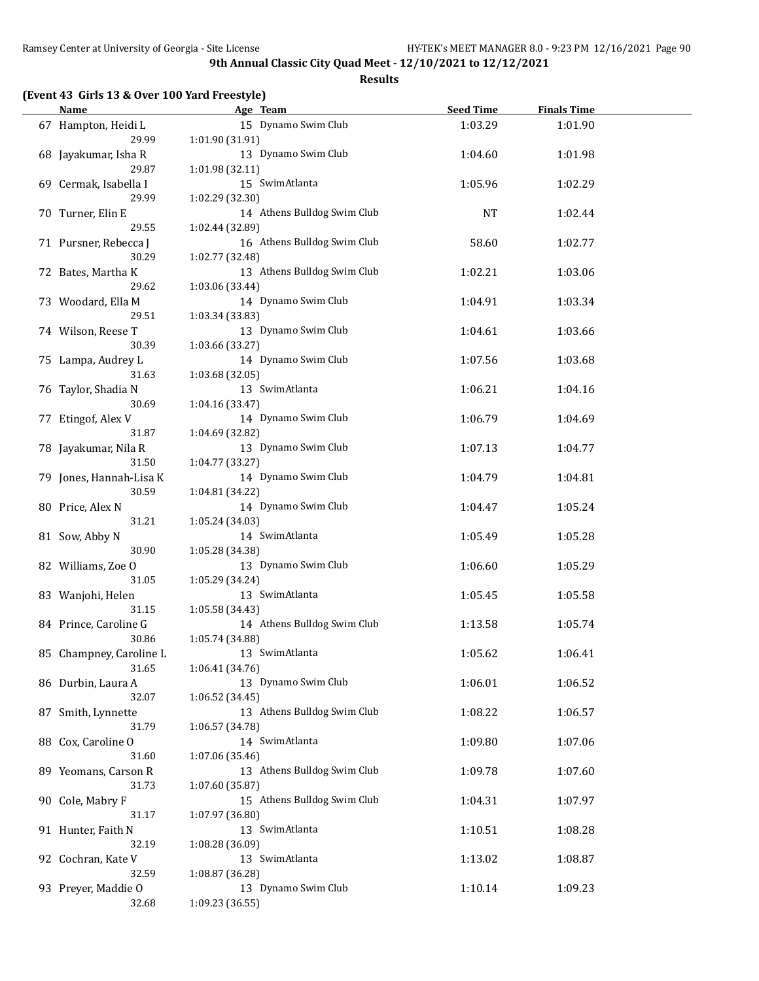**Results**

## **(Event 43 Girls 13 & Over 100 Yard Freestyle)**

| <u>Name</u>                 | Age Team and the state of the state of the state of the state of the state of the state of the state of the state of the state of the state of the state of the state of the state of the state of the state of the state of t | <b>Seed Time</b> | <b>Finals Time</b> |  |
|-----------------------------|--------------------------------------------------------------------------------------------------------------------------------------------------------------------------------------------------------------------------------|------------------|--------------------|--|
| 67 Hampton, Heidi L         | 15 Dynamo Swim Club                                                                                                                                                                                                            | 1:03.29          | 1:01.90            |  |
| 29.99                       | 1:01.90 (31.91)                                                                                                                                                                                                                |                  |                    |  |
| 68 Jayakumar, Isha R        | 13 Dynamo Swim Club                                                                                                                                                                                                            | 1:04.60          | 1:01.98            |  |
| 29.87                       | 1:01.98 (32.11)                                                                                                                                                                                                                |                  |                    |  |
| 69 Cermak, Isabella I       | 15 SwimAtlanta                                                                                                                                                                                                                 | 1:05.96          | 1:02.29            |  |
| 29.99                       | 1:02.29 (32.30)                                                                                                                                                                                                                |                  |                    |  |
| 70 Turner, Elin E           | 14 Athens Bulldog Swim Club                                                                                                                                                                                                    | <b>NT</b>        | 1:02.44            |  |
| 29.55                       | 1:02.44 (32.89)                                                                                                                                                                                                                |                  |                    |  |
| 71 Pursner, Rebecca J       | 16 Athens Bulldog Swim Club                                                                                                                                                                                                    | 58.60            | 1:02.77            |  |
| 30.29                       | 1:02.77 (32.48)                                                                                                                                                                                                                |                  |                    |  |
| 72 Bates, Martha K          | 13 Athens Bulldog Swim Club                                                                                                                                                                                                    | 1:02.21          | 1:03.06            |  |
| 29.62                       | 1:03.06 (33.44)                                                                                                                                                                                                                |                  |                    |  |
| 73 Woodard, Ella M          | 14 Dynamo Swim Club                                                                                                                                                                                                            | 1:04.91          | 1:03.34            |  |
| 29.51                       | 1:03.34 (33.83)                                                                                                                                                                                                                |                  |                    |  |
|                             | 13 Dynamo Swim Club                                                                                                                                                                                                            |                  |                    |  |
| 74 Wilson, Reese T<br>30.39 |                                                                                                                                                                                                                                | 1:04.61          | 1:03.66            |  |
|                             | 1:03.66 (33.27)<br>14 Dynamo Swim Club                                                                                                                                                                                         |                  |                    |  |
| 75 Lampa, Audrey L          |                                                                                                                                                                                                                                | 1:07.56          | 1:03.68            |  |
| 31.63                       | 1:03.68 (32.05)                                                                                                                                                                                                                |                  |                    |  |
| 76 Taylor, Shadia N         | 13 SwimAtlanta                                                                                                                                                                                                                 | 1:06.21          | 1:04.16            |  |
| 30.69                       | 1:04.16 (33.47)                                                                                                                                                                                                                |                  |                    |  |
| 77 Etingof, Alex V          | 14 Dynamo Swim Club                                                                                                                                                                                                            | 1:06.79          | 1:04.69            |  |
| 31.87                       | 1:04.69 (32.82)                                                                                                                                                                                                                |                  |                    |  |
| 78 Jayakumar, Nila R        | 13 Dynamo Swim Club                                                                                                                                                                                                            | 1:07.13          | 1:04.77            |  |
| 31.50                       | 1:04.77 (33.27)                                                                                                                                                                                                                |                  |                    |  |
| 79 Jones, Hannah-Lisa K     | 14 Dynamo Swim Club                                                                                                                                                                                                            | 1:04.79          | 1:04.81            |  |
| 30.59                       | 1:04.81 (34.22)                                                                                                                                                                                                                |                  |                    |  |
| 80 Price, Alex N            | 14 Dynamo Swim Club                                                                                                                                                                                                            | 1:04.47          | 1:05.24            |  |
| 31.21                       | 1:05.24 (34.03)                                                                                                                                                                                                                |                  |                    |  |
| 81 Sow, Abby N              | 14 SwimAtlanta                                                                                                                                                                                                                 | 1:05.49          | 1:05.28            |  |
| 30.90                       | 1:05.28 (34.38)                                                                                                                                                                                                                |                  |                    |  |
| 82 Williams, Zoe O          | 13 Dynamo Swim Club                                                                                                                                                                                                            | 1:06.60          | 1:05.29            |  |
| 31.05                       | 1:05.29 (34.24)                                                                                                                                                                                                                |                  |                    |  |
| 83 Wanjohi, Helen           | 13 SwimAtlanta                                                                                                                                                                                                                 | 1:05.45          | 1:05.58            |  |
| 31.15                       | 1:05.58 (34.43)                                                                                                                                                                                                                |                  |                    |  |
| 84 Prince, Caroline G       | 14 Athens Bulldog Swim Club                                                                                                                                                                                                    | 1:13.58          | 1:05.74            |  |
| 30.86                       | 1:05.74 (34.88)                                                                                                                                                                                                                |                  |                    |  |
| 85 Champney, Caroline L     | 13 SwimAtlanta                                                                                                                                                                                                                 | 1:05.62          | 1:06.41            |  |
| 31.65                       | 1:06.41 (34.76)                                                                                                                                                                                                                |                  |                    |  |
| 86 Durbin, Laura A          | 13 Dynamo Swim Club                                                                                                                                                                                                            | 1:06.01          | 1:06.52            |  |
| 32.07                       | 1:06.52 (34.45)                                                                                                                                                                                                                |                  |                    |  |
| 87 Smith, Lynnette          | 13 Athens Bulldog Swim Club                                                                                                                                                                                                    | 1:08.22          | 1:06.57            |  |
| 31.79                       | 1:06.57 (34.78)                                                                                                                                                                                                                |                  |                    |  |
| 88 Cox, Caroline O          | 14 SwimAtlanta                                                                                                                                                                                                                 | 1:09.80          | 1:07.06            |  |
| 31.60                       | 1:07.06 (35.46)                                                                                                                                                                                                                |                  |                    |  |
| 89 Yeomans, Carson R        | 13 Athens Bulldog Swim Club                                                                                                                                                                                                    | 1:09.78          | 1:07.60            |  |
| 31.73                       | 1:07.60 (35.87)                                                                                                                                                                                                                |                  |                    |  |
| 90 Cole, Mabry F            | 15 Athens Bulldog Swim Club                                                                                                                                                                                                    | 1:04.31          | 1:07.97            |  |
| 31.17                       | 1:07.97 (36.80)                                                                                                                                                                                                                |                  |                    |  |
| 91 Hunter, Faith N          | 13 SwimAtlanta                                                                                                                                                                                                                 | 1:10.51          | 1:08.28            |  |
| 32.19                       | 1:08.28 (36.09)                                                                                                                                                                                                                |                  |                    |  |
|                             | 13 SwimAtlanta                                                                                                                                                                                                                 |                  |                    |  |
| 92 Cochran, Kate V          |                                                                                                                                                                                                                                | 1:13.02          | 1:08.87            |  |
| 32.59                       | 1:08.87 (36.28)<br>13 Dynamo Swim Club                                                                                                                                                                                         |                  |                    |  |
| 93 Preyer, Maddie O         |                                                                                                                                                                                                                                | 1:10.14          | 1:09.23            |  |
| 32.68                       | 1:09.23 (36.55)                                                                                                                                                                                                                |                  |                    |  |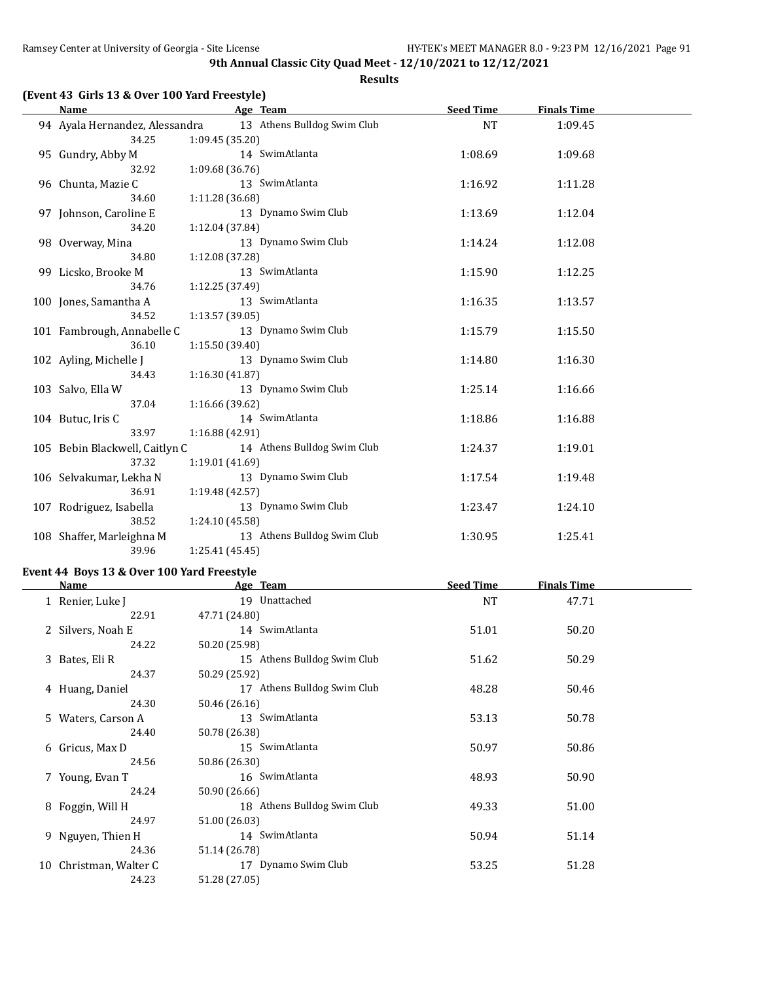**Results**

|  |  |  |  | (Event 43 Girls 13 & Over 100 Yard Freestyle) |
|--|--|--|--|-----------------------------------------------|
|--|--|--|--|-----------------------------------------------|

| <b>Name</b>                    | Age Team                    | <b>Seed Time</b> | <b>Finals Time</b> |  |
|--------------------------------|-----------------------------|------------------|--------------------|--|
| 94 Ayala Hernandez, Alessandra | 13 Athens Bulldog Swim Club | <b>NT</b>        | 1:09.45            |  |
| 34.25                          | 1:09.45 (35.20)             |                  |                    |  |
| 95 Gundry, Abby M              | 14 SwimAtlanta              | 1:08.69          | 1:09.68            |  |
| 32.92                          | 1:09.68 (36.76)             |                  |                    |  |
| 96 Chunta, Mazie C             | 13 SwimAtlanta              | 1:16.92          | 1:11.28            |  |
| 34.60                          | 1:11.28 (36.68)             |                  |                    |  |
| 97 Johnson, Caroline E         | 13 Dynamo Swim Club         | 1:13.69          | 1:12.04            |  |
| 34.20                          | 1:12.04 (37.84)             |                  |                    |  |
| 98 Overway, Mina               | 13 Dynamo Swim Club         | 1:14.24          | 1:12.08            |  |
| 34.80                          | 1:12.08 (37.28)             |                  |                    |  |
| 99 Licsko, Brooke M            | 13 SwimAtlanta              | 1:15.90          | 1:12.25            |  |
| 34.76                          | 1:12.25 (37.49)             |                  |                    |  |
| 100 Jones, Samantha A          | 13 SwimAtlanta              | 1:16.35          | 1:13.57            |  |
| 34.52                          | 1:13.57(39.05)              |                  |                    |  |
| 101 Fambrough, Annabelle C     | 13 Dynamo Swim Club         | 1:15.79          | 1:15.50            |  |
| 36.10                          | 1:15.50 (39.40)             |                  |                    |  |
| 102 Ayling, Michelle J         | 13 Dynamo Swim Club         | 1:14.80          | 1:16.30            |  |
| 34.43                          | 1:16.30 (41.87)             |                  |                    |  |
| 103 Salvo, Ella W              | 13 Dynamo Swim Club         | 1:25.14          | 1:16.66            |  |
| 37.04                          | 1:16.66 (39.62)             |                  |                    |  |
| 104 Butuc, Iris C              | 14 SwimAtlanta              | 1:18.86          | 1:16.88            |  |
| 33.97                          | 1:16.88 (42.91)             |                  |                    |  |
| 105 Bebin Blackwell, Caitlyn C | 14 Athens Bulldog Swim Club | 1:24.37          | 1:19.01            |  |
| 37.32                          | 1:19.01 (41.69)             |                  |                    |  |
| 106 Selvakumar, Lekha N        | 13 Dynamo Swim Club         | 1:17.54          | 1:19.48            |  |
| 36.91                          | 1:19.48 (42.57)             |                  |                    |  |
| 107 Rodriguez, Isabella        | 13 Dynamo Swim Club         | 1:23.47          | 1:24.10            |  |
| 38.52                          | 1:24.10 (45.58)             |                  |                    |  |
| 108 Shaffer, Marleighna M      | 13 Athens Bulldog Swim Club | 1:30.95          | 1:25.41            |  |
| 39.96                          | 1:25.41 (45.45)             |                  |                    |  |

### **Event 44 Boys 13 & Over 100 Yard Freestyle**

|    | Name                | Age Team                    | <b>Seed Time</b> | <b>Finals Time</b> |  |
|----|---------------------|-----------------------------|------------------|--------------------|--|
|    | 1 Renier, Luke J    | 19 Unattached               | <b>NT</b>        | 47.71              |  |
|    | 22.91               | 47.71 (24.80)               |                  |                    |  |
|    | 2 Silvers, Noah E   | 14 SwimAtlanta              | 51.01            | 50.20              |  |
|    | 24.22               | 50.20 (25.98)               |                  |                    |  |
|    | 3 Bates, Eli R      | 15 Athens Bulldog Swim Club | 51.62            | 50.29              |  |
|    | 24.37               | 50.29 (25.92)               |                  |                    |  |
|    | 4 Huang, Daniel     | 17 Athens Bulldog Swim Club | 48.28            | 50.46              |  |
|    | 24.30               | 50.46 (26.16)               |                  |                    |  |
|    | 5 Waters, Carson A  | 13 SwimAtlanta              | 53.13            | 50.78              |  |
|    | 24.40               | 50.78 (26.38)               |                  |                    |  |
|    | 6 Gricus, Max D     | 15 SwimAtlanta              | 50.97            | 50.86              |  |
|    | 24.56               | 50.86 (26.30)               |                  |                    |  |
|    | 7 Young, Evan T     | 16 SwimAtlanta              | 48.93            | 50.90              |  |
|    | 24.24               | 50.90 (26.66)               |                  |                    |  |
|    | 8 Foggin, Will H    | 18 Athens Bulldog Swim Club | 49.33            | 51.00              |  |
|    | 24.97               | 51.00 (26.03)               |                  |                    |  |
|    | 9 Nguyen, Thien H   | 14 SwimAtlanta              | 50.94            | 51.14              |  |
|    | 24.36               | 51.14 (26.78)               |                  |                    |  |
| 10 | Christman, Walter C | 17 Dynamo Swim Club         | 53.25            | 51.28              |  |
|    | 24.23               | 51.28 (27.05)               |                  |                    |  |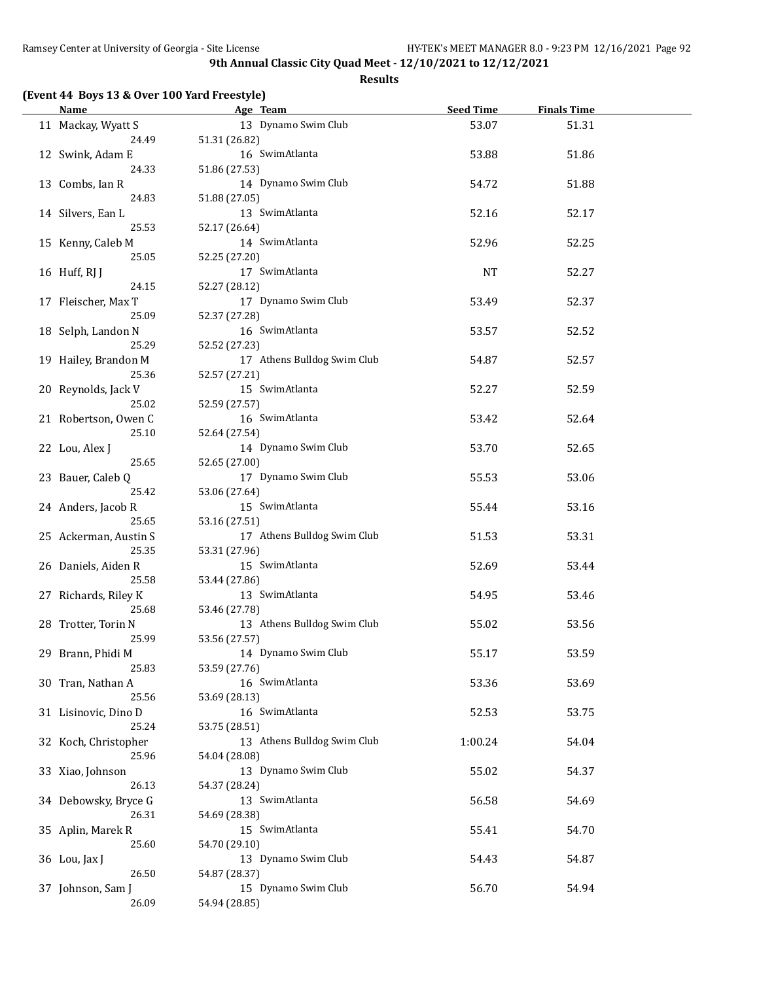|  |  |  | (Event 44 Boys 13 & Over 100 Yard Freestyle) |
|--|--|--|----------------------------------------------|
|--|--|--|----------------------------------------------|

| <b>Name</b>           |               | Age Team                    | Seed Time | <b>Finals Time</b> |  |
|-----------------------|---------------|-----------------------------|-----------|--------------------|--|
| 11 Mackay, Wyatt S    |               | 13 Dynamo Swim Club         | 53.07     | 51.31              |  |
| 24.49                 | 51.31 (26.82) |                             |           |                    |  |
| 12 Swink, Adam E      |               | 16 SwimAtlanta              | 53.88     | 51.86              |  |
| 24.33                 | 51.86 (27.53) |                             |           |                    |  |
| 13 Combs, Ian R       |               | 14 Dynamo Swim Club         | 54.72     | 51.88              |  |
| 24.83                 | 51.88 (27.05) |                             |           |                    |  |
| 14 Silvers, Ean L     |               | 13 SwimAtlanta              | 52.16     | 52.17              |  |
| 25.53                 | 52.17 (26.64) |                             |           |                    |  |
| 15 Kenny, Caleb M     |               | 14 SwimAtlanta              | 52.96     | 52.25              |  |
| 25.05                 | 52.25 (27.20) |                             |           |                    |  |
| 16 Huff, RJ J         |               | 17 SwimAtlanta              | NT        | 52.27              |  |
| 24.15                 | 52.27 (28.12) |                             |           |                    |  |
| 17 Fleischer, Max T   |               | 17 Dynamo Swim Club         | 53.49     | 52.37              |  |
| 25.09                 | 52.37 (27.28) |                             |           |                    |  |
| 18 Selph, Landon N    |               | 16 SwimAtlanta              | 53.57     | 52.52              |  |
| 25.29                 | 52.52 (27.23) |                             |           |                    |  |
|                       |               | 17 Athens Bulldog Swim Club |           | 52.57              |  |
| 19 Hailey, Brandon M  |               |                             | 54.87     |                    |  |
| 25.36                 | 52.57 (27.21) |                             |           |                    |  |
| 20 Reynolds, Jack V   |               | 15 SwimAtlanta              | 52.27     | 52.59              |  |
| 25.02                 | 52.59 (27.57) |                             |           |                    |  |
| 21 Robertson, Owen C  |               | 16 SwimAtlanta              | 53.42     | 52.64              |  |
| 25.10                 | 52.64 (27.54) |                             |           |                    |  |
| 22 Lou, Alex J        |               | 14 Dynamo Swim Club         | 53.70     | 52.65              |  |
| 25.65                 | 52.65 (27.00) |                             |           |                    |  |
| 23 Bauer, Caleb Q     |               | 17 Dynamo Swim Club         | 55.53     | 53.06              |  |
| 25.42                 | 53.06 (27.64) |                             |           |                    |  |
| 24 Anders, Jacob R    |               | 15 SwimAtlanta              | 55.44     | 53.16              |  |
| 25.65                 | 53.16 (27.51) |                             |           |                    |  |
| 25 Ackerman, Austin S |               | 17 Athens Bulldog Swim Club | 51.53     | 53.31              |  |
| 25.35                 | 53.31 (27.96) |                             |           |                    |  |
| 26 Daniels, Aiden R   |               | 15 SwimAtlanta              | 52.69     | 53.44              |  |
| 25.58                 | 53.44 (27.86) |                             |           |                    |  |
| 27 Richards, Riley K  |               | 13 SwimAtlanta              | 54.95     | 53.46              |  |
| 25.68                 | 53.46 (27.78) |                             |           |                    |  |
| 28 Trotter, Torin N   |               | 13 Athens Bulldog Swim Club | 55.02     | 53.56              |  |
| 25.99                 | 53.56 (27.57) |                             |           |                    |  |
| 29 Brann, Phidi M     |               | 14 Dynamo Swim Club         | 55.17     | 53.59              |  |
| 25.83                 | 53.59 (27.76) |                             |           |                    |  |
| 30 Tran, Nathan A     |               | 16 SwimAtlanta              | 53.36     | 53.69              |  |
| 25.56                 | 53.69 (28.13) |                             |           |                    |  |
| 31 Lisinovic, Dino D  |               | 16 SwimAtlanta              | 52.53     | 53.75              |  |
| 25.24                 | 53.75 (28.51) |                             |           |                    |  |
| 32 Koch, Christopher  |               | 13 Athens Bulldog Swim Club | 1:00.24   | 54.04              |  |
| 25.96                 | 54.04 (28.08) |                             |           |                    |  |
| 33 Xiao, Johnson      |               | 13 Dynamo Swim Club         | 55.02     | 54.37              |  |
| 26.13                 | 54.37 (28.24) |                             |           |                    |  |
| 34 Debowsky, Bryce G  |               | 13 SwimAtlanta              | 56.58     | 54.69              |  |
| 26.31                 | 54.69 (28.38) |                             |           |                    |  |
| 35 Aplin, Marek R     |               | 15 SwimAtlanta              | 55.41     | 54.70              |  |
| 25.60                 | 54.70 (29.10) |                             |           |                    |  |
| 36 Lou, Jax J         |               | 13 Dynamo Swim Club         | 54.43     | 54.87              |  |
| 26.50                 | 54.87 (28.37) |                             |           |                    |  |
| 37 Johnson, Sam J     |               | 15 Dynamo Swim Club         | 56.70     | 54.94              |  |
|                       |               |                             |           |                    |  |
| 26.09                 | 54.94 (28.85) |                             |           |                    |  |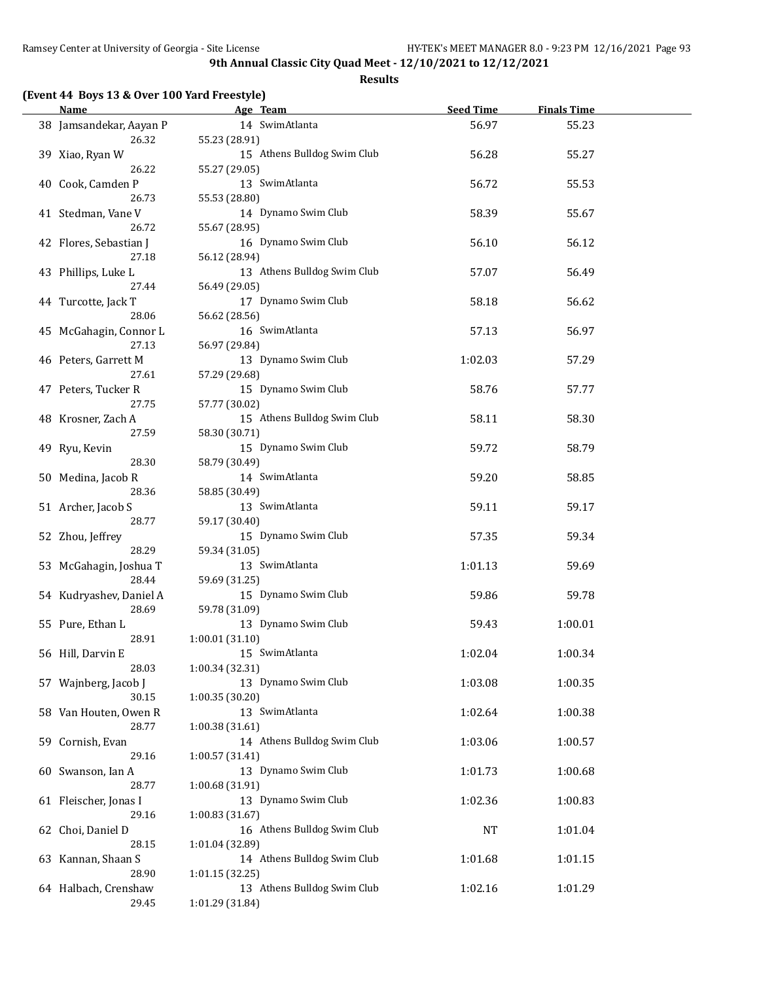**Results**

# **(Event 44 Boys 13 & Over 100 Yard Freestyle)**

| <b>Name</b>             | Age Team                    | <b>Seed Time</b> | <b>Finals Time</b> |  |
|-------------------------|-----------------------------|------------------|--------------------|--|
| 38 Jamsandekar, Aayan P | 14 SwimAtlanta              | 56.97            | 55.23              |  |
| 26.32                   | 55.23 (28.91)               |                  |                    |  |
| 39 Xiao, Ryan W         | 15 Athens Bulldog Swim Club | 56.28            | 55.27              |  |
| 26.22                   | 55.27 (29.05)               |                  |                    |  |
| 40 Cook, Camden P       | 13 SwimAtlanta              | 56.72            | 55.53              |  |
| 26.73                   | 55.53 (28.80)               |                  |                    |  |
| 41 Stedman, Vane V      | 14 Dynamo Swim Club         | 58.39            | 55.67              |  |
| 26.72                   | 55.67 (28.95)               |                  |                    |  |
|                         |                             |                  |                    |  |
| 42 Flores, Sebastian J  | 16 Dynamo Swim Club         | 56.10            | 56.12              |  |
| 27.18                   | 56.12 (28.94)               |                  |                    |  |
| 43 Phillips, Luke L     | 13 Athens Bulldog Swim Club | 57.07            | 56.49              |  |
| 27.44                   | 56.49 (29.05)               |                  |                    |  |
| 44 Turcotte, Jack T     | 17 Dynamo Swim Club         | 58.18            | 56.62              |  |
| 28.06                   | 56.62 (28.56)               |                  |                    |  |
| 45 McGahagin, Connor L  | 16 SwimAtlanta              | 57.13            | 56.97              |  |
| 27.13                   | 56.97 (29.84)               |                  |                    |  |
| 46 Peters, Garrett M    | 13 Dynamo Swim Club         | 1:02.03          | 57.29              |  |
| 27.61                   | 57.29 (29.68)               |                  |                    |  |
| 47 Peters, Tucker R     | 15 Dynamo Swim Club         | 58.76            | 57.77              |  |
| 27.75                   | 57.77 (30.02)               |                  |                    |  |
| 48 Krosner, Zach A      | 15 Athens Bulldog Swim Club | 58.11            | 58.30              |  |
| 27.59                   | 58.30 (30.71)               |                  |                    |  |
| 49 Ryu, Kevin           | 15 Dynamo Swim Club         | 59.72            | 58.79              |  |
| 28.30                   | 58.79 (30.49)               |                  |                    |  |
| 50 Medina, Jacob R      | 14 SwimAtlanta              | 59.20            | 58.85              |  |
| 28.36                   | 58.85 (30.49)               |                  |                    |  |
| 51 Archer, Jacob S      | 13 SwimAtlanta              | 59.11            | 59.17              |  |
| 28.77                   | 59.17 (30.40)               |                  |                    |  |
|                         | 15 Dynamo Swim Club         |                  |                    |  |
| 52 Zhou, Jeffrey        |                             | 57.35            | 59.34              |  |
| 28.29                   | 59.34 (31.05)               |                  |                    |  |
| 53 McGahagin, Joshua T  | 13 SwimAtlanta              | 1:01.13          | 59.69              |  |
| 28.44                   | 59.69 (31.25)               |                  |                    |  |
| 54 Kudryashev, Daniel A | 15 Dynamo Swim Club         | 59.86            | 59.78              |  |
| 28.69                   | 59.78 (31.09)               |                  |                    |  |
| 55 Pure, Ethan L        | 13 Dynamo Swim Club         | 59.43            | 1:00.01            |  |
| 28.91                   | 1:00.01(31.10)              |                  |                    |  |
| 56 Hill, Darvin E       | 15 SwimAtlanta              | 1:02.04          | 1:00.34            |  |
| 28.03                   | 1:00.34 (32.31)             |                  |                    |  |
| 57 Wajnberg, Jacob J    | 13 Dynamo Swim Club         | 1:03.08          | 1:00.35            |  |
| 30.15                   | 1:00.35 (30.20)             |                  |                    |  |
| 58 Van Houten, Owen R   | 13 SwimAtlanta              | 1:02.64          | 1:00.38            |  |
| 28.77                   | 1:00.38 (31.61)             |                  |                    |  |
| 59 Cornish, Evan        | 14 Athens Bulldog Swim Club | 1:03.06          | 1:00.57            |  |
| 29.16                   | 1:00.57 (31.41)             |                  |                    |  |
| 60 Swanson, Ian A       | 13 Dynamo Swim Club         | 1:01.73          | 1:00.68            |  |
| 28.77                   | 1:00.68 (31.91)             |                  |                    |  |
| 61 Fleischer, Jonas I   | 13 Dynamo Swim Club         | 1:02.36          | 1:00.83            |  |
| 29.16                   | 1:00.83 (31.67)             |                  |                    |  |
| 62 Choi, Daniel D       | 16 Athens Bulldog Swim Club | NT               | 1:01.04            |  |
| 28.15                   | 1:01.04 (32.89)             |                  |                    |  |
| 63 Kannan, Shaan S      | 14 Athens Bulldog Swim Club | 1:01.68          | 1:01.15            |  |
| 28.90                   | 1:01.15 (32.25)             |                  |                    |  |
| 64 Halbach, Crenshaw    | 13 Athens Bulldog Swim Club | 1:02.16          | 1:01.29            |  |
| 29.45                   | 1:01.29 (31.84)             |                  |                    |  |
|                         |                             |                  |                    |  |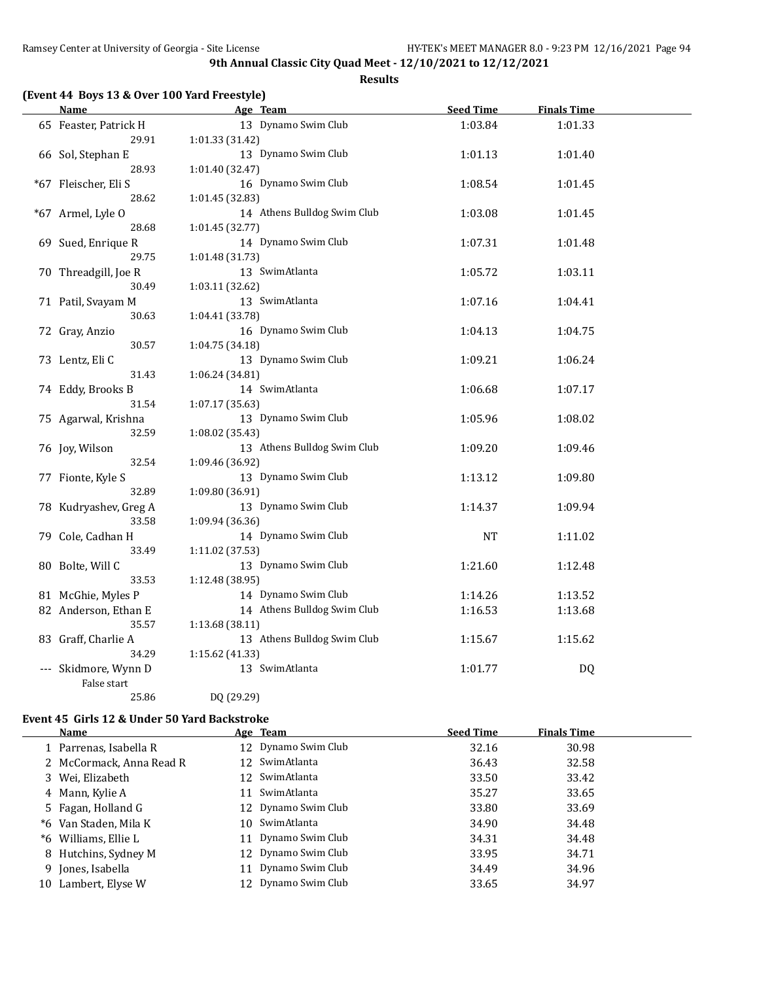**Results**

|  |  |  | (Event 44 Boys 13 & Over 100 Yard Freestyle) |
|--|--|--|----------------------------------------------|
|--|--|--|----------------------------------------------|

| <b>Name</b>           | Age Team                    | <b>Seed Time</b> | <b>Finals Time</b> |  |
|-----------------------|-----------------------------|------------------|--------------------|--|
| 65 Feaster, Patrick H | 13 Dynamo Swim Club         | 1:03.84          | 1:01.33            |  |
| 29.91                 | 1:01.33 (31.42)             |                  |                    |  |
| 66 Sol, Stephan E     | 13 Dynamo Swim Club         | 1:01.13          | 1:01.40            |  |
| 28.93                 | 1:01.40 (32.47)             |                  |                    |  |
| *67 Fleischer, Eli S  | 16 Dynamo Swim Club         | 1:08.54          | 1:01.45            |  |
| 28.62                 | 1:01.45 (32.83)             |                  |                    |  |
| *67 Armel, Lyle O     | 14 Athens Bulldog Swim Club | 1:03.08          | 1:01.45            |  |
| 28.68                 | 1:01.45 (32.77)             |                  |                    |  |
| 69 Sued, Enrique R    | 14 Dynamo Swim Club         | 1:07.31          | 1:01.48            |  |
| 29.75                 | 1:01.48 (31.73)             |                  |                    |  |
| 70 Threadgill, Joe R  | 13 SwimAtlanta              | 1:05.72          | 1:03.11            |  |
| 30.49                 | 1:03.11 (32.62)             |                  |                    |  |
| 71 Patil, Svayam M    | 13 SwimAtlanta              | 1:07.16          | 1:04.41            |  |
| 30.63                 | 1:04.41 (33.78)             |                  |                    |  |
| 72 Gray, Anzio        | 16 Dynamo Swim Club         | 1:04.13          | 1:04.75            |  |
| 30.57                 | 1:04.75 (34.18)             |                  |                    |  |
| 73 Lentz, Eli C       | 13 Dynamo Swim Club         | 1:09.21          | 1:06.24            |  |
| 31.43                 | 1:06.24 (34.81)             |                  |                    |  |
| 74 Eddy, Brooks B     | 14 SwimAtlanta              | 1:06.68          | 1:07.17            |  |
| 31.54                 | 1:07.17 (35.63)             |                  |                    |  |
| 75 Agarwal, Krishna   | 13 Dynamo Swim Club         | 1:05.96          | 1:08.02            |  |
| 32.59                 | 1:08.02 (35.43)             |                  |                    |  |
| 76 Joy, Wilson        | 13 Athens Bulldog Swim Club | 1:09.20          | 1:09.46            |  |
| 32.54                 | 1:09.46 (36.92)             |                  |                    |  |
| 77 Fionte, Kyle S     | 13 Dynamo Swim Club         | 1:13.12          | 1:09.80            |  |
| 32.89                 | 1:09.80 (36.91)             |                  |                    |  |
| 78 Kudryashev, Greg A | 13 Dynamo Swim Club         | 1:14.37          | 1:09.94            |  |
| 33.58                 | 1:09.94 (36.36)             |                  |                    |  |
| 79 Cole, Cadhan H     | 14 Dynamo Swim Club         | <b>NT</b>        | 1:11.02            |  |
| 33.49                 | 1:11.02 (37.53)             |                  |                    |  |
| 80 Bolte, Will C      | 13 Dynamo Swim Club         | 1:21.60          | 1:12.48            |  |
| 33.53                 | 1:12.48 (38.95)             |                  |                    |  |
| 81 McGhie, Myles P    | 14 Dynamo Swim Club         | 1:14.26          | 1:13.52            |  |
| 82 Anderson, Ethan E  | 14 Athens Bulldog Swim Club | 1:16.53          | 1:13.68            |  |
| 35.57                 | 1:13.68 (38.11)             |                  |                    |  |
| 83 Graff, Charlie A   | 13 Athens Bulldog Swim Club | 1:15.67          | 1:15.62            |  |
| 34.29                 | 1:15.62 (41.33)             |                  |                    |  |
| --- Skidmore, Wynn D  | 13 SwimAtlanta              | 1:01.77          | DQ                 |  |
| False start           |                             |                  |                    |  |
| 25.86                 | DQ (29.29)                  |                  |                    |  |

# **Event 45 Girls 12 & Under 50 Yard Backstroke**

|   | Name                     | Age Team            | <b>Seed Time</b> | <b>Finals Time</b> |  |
|---|--------------------------|---------------------|------------------|--------------------|--|
|   | 1 Parrenas, Isabella R   | 12 Dynamo Swim Club | 32.16            | 30.98              |  |
|   | 2 McCormack, Anna Read R | 12 SwimAtlanta      | 36.43            | 32.58              |  |
|   | 3 Wei, Elizabeth         | 12 SwimAtlanta      | 33.50            | 33.42              |  |
|   | 4 Mann, Kylie A          | 11 SwimAtlanta      | 35.27            | 33.65              |  |
|   | 5 Fagan, Holland G       | 12 Dynamo Swim Club | 33.80            | 33.69              |  |
|   | *6 Van Staden, Mila K    | 10 SwimAtlanta      | 34.90            | 34.48              |  |
|   | *6 Williams, Ellie L     | 11 Dynamo Swim Club | 34.31            | 34.48              |  |
|   | 8 Hutchins, Sydney M     | 12 Dynamo Swim Club | 33.95            | 34.71              |  |
| 9 | Jones, Isabella          | Dynamo Swim Club    | 34.49            | 34.96              |  |
|   | 10 Lambert, Elyse W      | 12 Dynamo Swim Club | 33.65            | 34.97              |  |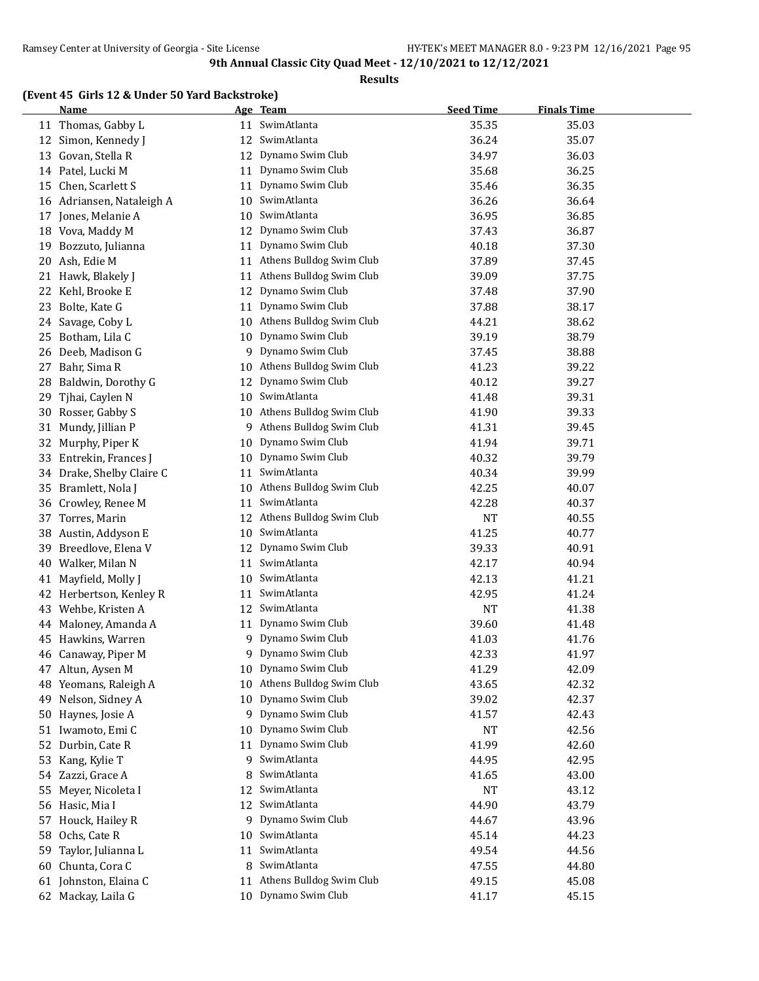#### **Results**

# **(Event 45 Girls 12 & Under 50 Yard Backstroke)**

|    | <b>Name</b>               |    | Age Team                 | <b>Seed Time</b> | <b>Finals Time</b> |
|----|---------------------------|----|--------------------------|------------------|--------------------|
|    | 11 Thomas, Gabby L        | 11 | SwimAtlanta              | 35.35            | 35.03              |
| 12 | Simon, Kennedy J          | 12 | SwimAtlanta              | 36.24            | 35.07              |
| 13 | Govan, Stella R           | 12 | Dynamo Swim Club         | 34.97            | 36.03              |
|    | 14 Patel, Lucki M         | 11 | Dynamo Swim Club         | 35.68            | 36.25              |
| 15 | Chen, Scarlett S          | 11 | Dynamo Swim Club         | 35.46            | 36.35              |
|    | 16 Adriansen, Nataleigh A | 10 | SwimAtlanta              | 36.26            | 36.64              |
| 17 | Jones, Melanie A          | 10 | SwimAtlanta              | 36.95            | 36.85              |
|    | 18 Vova, Maddy M          | 12 | Dynamo Swim Club         | 37.43            | 36.87              |
|    | 19 Bozzuto, Julianna      | 11 | Dynamo Swim Club         | 40.18            | 37.30              |
|    | 20 Ash, Edie M            | 11 | Athens Bulldog Swim Club | 37.89            | 37.45              |
|    | 21 Hawk, Blakely J        | 11 | Athens Bulldog Swim Club | 39.09            | 37.75              |
|    | 22 Kehl, Brooke E         | 12 | Dynamo Swim Club         | 37.48            | 37.90              |
| 23 | Bolte, Kate G             | 11 | Dynamo Swim Club         | 37.88            | 38.17              |
| 24 | Savage, Coby L            | 10 | Athens Bulldog Swim Club | 44.21            | 38.62              |
| 25 | Botham, Lila C            | 10 | Dynamo Swim Club         | 39.19            | 38.79              |
|    | 26 Deeb, Madison G        |    | 9 Dynamo Swim Club       | 37.45            | 38.88              |
| 27 | Bahr, Sima R              | 10 | Athens Bulldog Swim Club | 41.23            | 39.22              |
| 28 | Baldwin, Dorothy G        | 12 | Dynamo Swim Club         | 40.12            | 39.27              |
| 29 | Tjhai, Caylen N           | 10 | SwimAtlanta              | 41.48            | 39.31              |
|    | 30 Rosser, Gabby S        | 10 | Athens Bulldog Swim Club | 41.90            | 39.33              |
| 31 | Mundy, Jillian P          | 9  | Athens Bulldog Swim Club | 41.31            | 39.45              |
| 32 | Murphy, Piper K           | 10 | Dynamo Swim Club         | 41.94            | 39.71              |
|    | 33 Entrekin, Frances J    | 10 | Dynamo Swim Club         | 40.32            | 39.79              |
| 34 | Drake, Shelby Claire C    | 11 | SwimAtlanta              | 40.34            | 39.99              |
| 35 | Bramlett, Nola J          | 10 | Athens Bulldog Swim Club | 42.25            | 40.07              |
| 36 | Crowley, Renee M          | 11 | SwimAtlanta              | 42.28            | 40.37              |
| 37 | Torres, Marin             | 12 | Athens Bulldog Swim Club | <b>NT</b>        | 40.55              |
| 38 | Austin, Addyson E         | 10 | SwimAtlanta              | 41.25            | 40.77              |
| 39 | Breedlove, Elena V        | 12 | Dynamo Swim Club         | 39.33            | 40.91              |
| 40 | Walker, Milan N           | 11 | SwimAtlanta              | 42.17            | 40.94              |
| 41 | Mayfield, Molly J         | 10 | SwimAtlanta              | 42.13            | 41.21              |
| 42 | Herbertson, Kenley R      | 11 | SwimAtlanta              | 42.95            | 41.24              |
| 43 | Wehbe, Kristen A          | 12 | SwimAtlanta              | <b>NT</b>        | 41.38              |
| 44 | Maloney, Amanda A         | 11 | Dynamo Swim Club         | 39.60            | 41.48              |
| 45 | Hawkins, Warren           | 9  | Dynamo Swim Club         | 41.03            | 41.76              |
|    | 46 Canaway, Piper M       | 9  | Dynamo Swim Club         | 42.33            | 41.97              |
|    | 47 Altun, Aysen M         | 10 | Dynamo Swim Club         | 41.29            | 42.09              |
|    | 48 Yeomans, Raleigh A     | 10 | Athens Bulldog Swim Club | 43.65            | 42.32              |
| 49 | Nelson, Sidney A          | 10 | Dynamo Swim Club         | 39.02            | 42.37              |
|    | 50 Haynes, Josie A        | 9  | Dynamo Swim Club         | 41.57            | 42.43              |
|    | 51 Iwamoto, Emi C         | 10 | Dynamo Swim Club         | <b>NT</b>        | 42.56              |
| 52 | Durbin, Cate R            | 11 | Dynamo Swim Club         | 41.99            | 42.60              |
| 53 | Kang, Kylie T             | 9. | SwimAtlanta              | 44.95            | 42.95              |
|    | 54 Zazzi, Grace A         | 8  | SwimAtlanta              | 41.65            | 43.00              |
| 55 | Meyer, Nicoleta I         | 12 | SwimAtlanta              | NT               | 43.12              |
|    | 56 Hasic, Mia I           | 12 | SwimAtlanta              | 44.90            | 43.79              |
|    | 57 Houck, Hailey R        | 9. | Dynamo Swim Club         | 44.67            | 43.96              |
| 58 | Ochs, Cate R              | 10 | SwimAtlanta              | 45.14            | 44.23              |
| 59 | Taylor, Julianna L        | 11 | SwimAtlanta              | 49.54            | 44.56              |
| 60 | Chunta, Cora C            | 8  | SwimAtlanta              | 47.55            | 44.80              |
|    | 61 Johnston, Elaina C     | 11 | Athens Bulldog Swim Club | 49.15            | 45.08              |
|    | 62 Mackay, Laila G        |    | 10 Dynamo Swim Club      | 41.17            | 45.15              |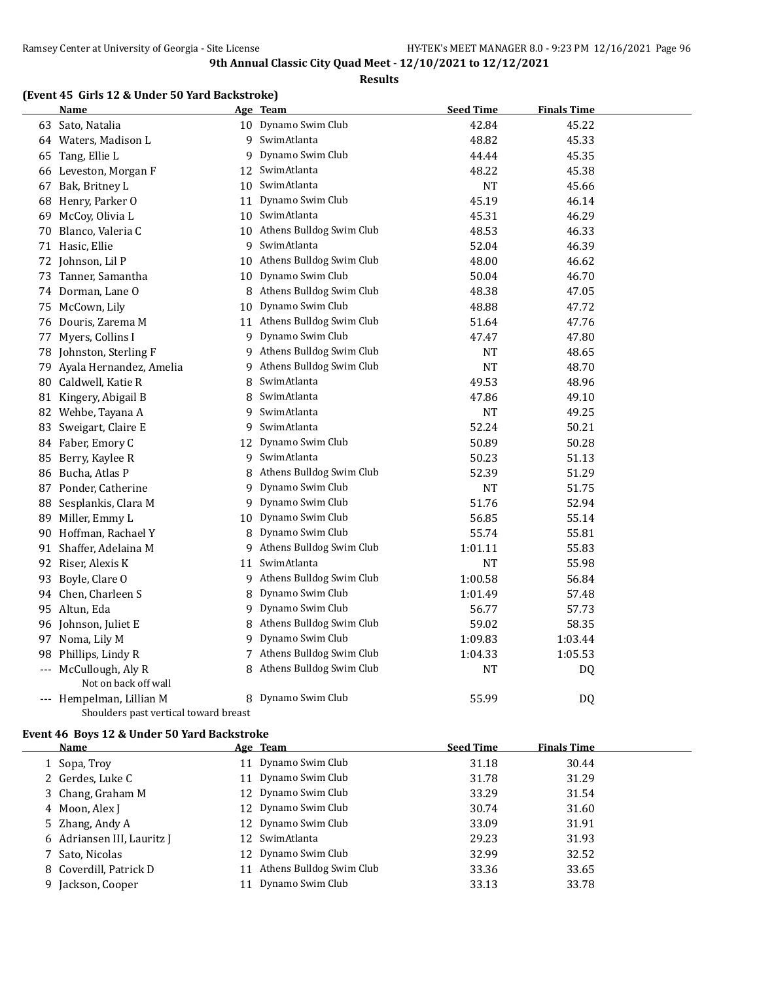#### **Results**

### **(Event 45 Girls 12 & Under 50 Yard Backstroke)**

|    | Name                                  |    | Age Team                    | <b>Seed Time</b> | <b>Finals Time</b> |  |
|----|---------------------------------------|----|-----------------------------|------------------|--------------------|--|
|    | 63 Sato, Natalia                      |    | 10 Dynamo Swim Club         | 42.84            | 45.22              |  |
|    | 64 Waters, Madison L                  |    | 9 SwimAtlanta               | 48.82            | 45.33              |  |
| 65 | Tang, Ellie L                         |    | 9 Dynamo Swim Club          | 44.44            | 45.35              |  |
|    | 66 Leveston, Morgan F                 |    | 12 SwimAtlanta              | 48.22            | 45.38              |  |
| 67 | Bak, Britney L                        | 10 | SwimAtlanta                 | <b>NT</b>        | 45.66              |  |
| 68 | Henry, Parker O                       |    | 11 Dynamo Swim Club         | 45.19            | 46.14              |  |
| 69 | McCoy, Olivia L                       |    | 10 SwimAtlanta              | 45.31            | 46.29              |  |
| 70 | Blanco, Valeria C                     |    | 10 Athens Bulldog Swim Club | 48.53            | 46.33              |  |
|    | 71 Hasic, Ellie                       | 9  | SwimAtlanta                 | 52.04            | 46.39              |  |
|    | 72 Johnson, Lil P                     |    | 10 Athens Bulldog Swim Club | 48.00            | 46.62              |  |
| 73 | Tanner, Samantha                      | 10 | Dynamo Swim Club            | 50.04            | 46.70              |  |
|    | 74 Dorman, Lane O                     | 8  | Athens Bulldog Swim Club    | 48.38            | 47.05              |  |
|    | 75 McCown, Lily                       | 10 | Dynamo Swim Club            | 48.88            | 47.72              |  |
|    | 76 Douris, Zarema M                   |    | 11 Athens Bulldog Swim Club | 51.64            | 47.76              |  |
| 77 | Myers, Collins I                      |    | 9 Dynamo Swim Club          | 47.47            | 47.80              |  |
|    | 78 Johnston, Sterling F               |    | 9 Athens Bulldog Swim Club  | <b>NT</b>        | 48.65              |  |
| 79 | Ayala Hernandez, Amelia               |    | 9 Athens Bulldog Swim Club  | <b>NT</b>        | 48.70              |  |
|    | 80 Caldwell, Katie R                  | 8  | SwimAtlanta                 | 49.53            | 48.96              |  |
|    | 81 Kingery, Abigail B                 | 8  | SwimAtlanta                 | 47.86            | 49.10              |  |
|    | 82 Wehbe, Tayana A                    |    | 9 SwimAtlanta               | NT               | 49.25              |  |
| 83 | Sweigart, Claire E                    | 9  | SwimAtlanta                 | 52.24            | 50.21              |  |
|    | 84 Faber, Emory C                     | 12 | Dynamo Swim Club            | 50.89            | 50.28              |  |
| 85 | Berry, Kaylee R                       | 9  | SwimAtlanta                 | 50.23            | 51.13              |  |
|    | 86 Bucha, Atlas P                     | 8  | Athens Bulldog Swim Club    | 52.39            | 51.29              |  |
| 87 | Ponder, Catherine                     | 9  | Dynamo Swim Club            | <b>NT</b>        | 51.75              |  |
| 88 | Sesplankis, Clara M                   | 9. | Dynamo Swim Club            | 51.76            | 52.94              |  |
|    | 89 Miller, Emmy L                     | 10 | Dynamo Swim Club            | 56.85            | 55.14              |  |
|    | 90 Hoffman, Rachael Y                 | 8  | Dynamo Swim Club            | 55.74            | 55.81              |  |
|    | 91 Shaffer, Adelaina M                | 9  | Athens Bulldog Swim Club    | 1:01.11          | 55.83              |  |
|    | 92 Riser, Alexis K                    | 11 | SwimAtlanta                 | <b>NT</b>        | 55.98              |  |
|    | 93 Boyle, Clare O                     |    | 9 Athens Bulldog Swim Club  | 1:00.58          | 56.84              |  |
|    | 94 Chen, Charleen S                   | 8  | Dynamo Swim Club            | 1:01.49          | 57.48              |  |
|    | 95 Altun, Eda                         |    | 9 Dynamo Swim Club          | 56.77            | 57.73              |  |
|    | 96 Johnson, Juliet E                  | 8  | Athens Bulldog Swim Club    | 59.02            | 58.35              |  |
| 97 | Noma, Lily M                          | 9  | Dynamo Swim Club            | 1:09.83          | 1:03.44            |  |
| 98 | Phillips, Lindy R                     | 7  | Athens Bulldog Swim Club    | 1:04.33          | 1:05.53            |  |
|    | --- McCullough, Aly R                 | 8  | Athens Bulldog Swim Club    | <b>NT</b>        | DQ                 |  |
|    | Not on back off wall                  |    |                             |                  |                    |  |
|    | --- Hempelman, Lillian M              |    | 8 Dynamo Swim Club          | 55.99            | DQ                 |  |
|    | Shoulders past vertical toward breast |    |                             |                  |                    |  |

#### **Event 46 Boys 12 & Under 50 Yard Backstroke**

 $\overline{a}$ 

| Name                       | <u>Age Team</u>             | <b>Seed Time</b> | <b>Finals Time</b> |  |
|----------------------------|-----------------------------|------------------|--------------------|--|
| 1 Sopa, Troy               | 11 Dynamo Swim Club         | 31.18            | 30.44              |  |
| 2 Gerdes, Luke C           | 11 Dynamo Swim Club         | 31.78            | 31.29              |  |
| 3 Chang, Graham M          | 12 Dynamo Swim Club         | 33.29            | 31.54              |  |
| 4 Moon, Alex J             | 12 Dynamo Swim Club         | 30.74            | 31.60              |  |
| 5 Zhang, Andy A            | 12 Dynamo Swim Club         | 33.09            | 31.91              |  |
| 6 Adriansen III, Lauritz J | 12 SwimAtlanta              | 29.23            | 31.93              |  |
| 7 Sato, Nicolas            | 12 Dynamo Swim Club         | 32.99            | 32.52              |  |
| 8 Coverdill, Patrick D     | 11 Athens Bulldog Swim Club | 33.36            | 33.65              |  |
| Jackson, Cooper<br>9.      | 11 Dynamo Swim Club         | 33.13            | 33.78              |  |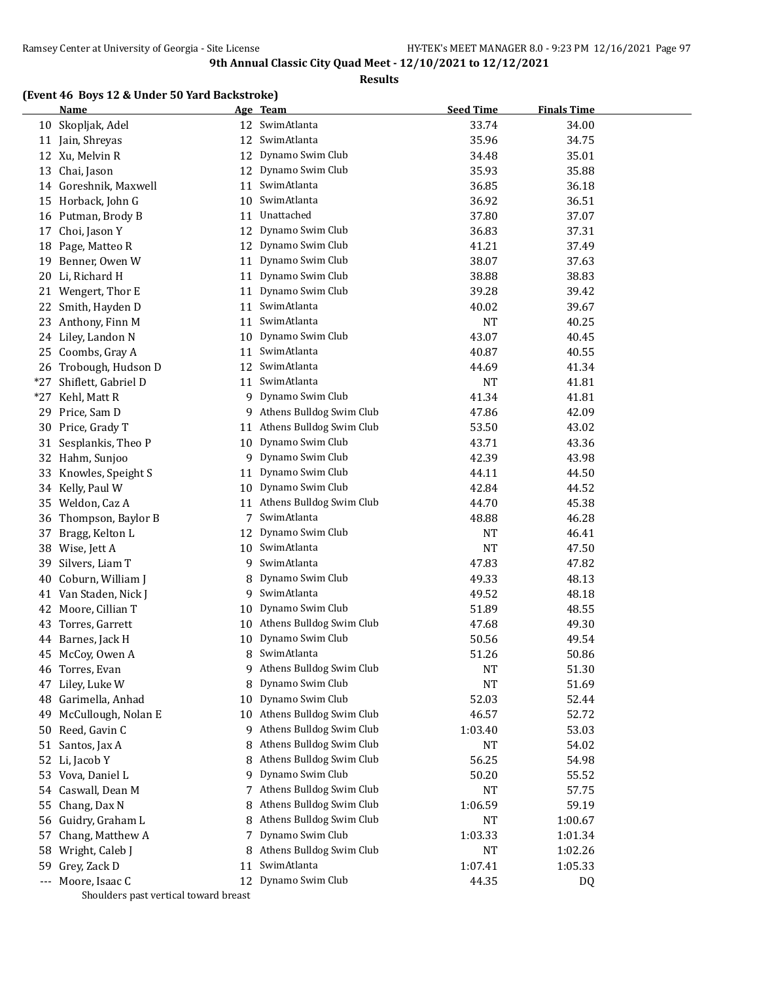**Results**

### **(Event 46 Boys 12 & Under 50 Yard Backstroke)**

|     | <b>Name</b>                           |    | Age Team                 | <b>Seed Time</b> | <b>Finals Time</b> |
|-----|---------------------------------------|----|--------------------------|------------------|--------------------|
|     | 10 Skopljak, Adel                     |    | 12 SwimAtlanta           | 33.74            | 34.00              |
|     | 11 Jain, Shreyas                      | 12 | SwimAtlanta              | 35.96            | 34.75              |
|     | 12 Xu, Melvin R                       | 12 | Dynamo Swim Club         | 34.48            | 35.01              |
| 13  | Chai, Jason                           |    | 12 Dynamo Swim Club      | 35.93            | 35.88              |
|     | 14 Goreshnik, Maxwell                 | 11 | SwimAtlanta              | 36.85            | 36.18              |
| 15  | Horback, John G                       | 10 | SwimAtlanta              | 36.92            | 36.51              |
| 16  | Putman, Brody B                       | 11 | Unattached               | 37.80            | 37.07              |
| 17  | Choi, Jason Y                         | 12 | Dynamo Swim Club         | 36.83            | 37.31              |
| 18  | Page, Matteo R                        | 12 | Dynamo Swim Club         | 41.21            | 37.49              |
| 19  | Benner, Owen W                        | 11 | Dynamo Swim Club         | 38.07            | 37.63              |
| 20  | Li, Richard H                         | 11 | Dynamo Swim Club         | 38.88            | 38.83              |
|     | 21 Wengert, Thor E                    | 11 | Dynamo Swim Club         | 39.28            | 39.42              |
| 22  | Smith, Hayden D                       | 11 | SwimAtlanta              | 40.02            | 39.67              |
| 23  | Anthony, Finn M                       | 11 | SwimAtlanta              | <b>NT</b>        | 40.25              |
|     | 24 Liley, Landon N                    | 10 | Dynamo Swim Club         | 43.07            | 40.45              |
| 25  | Coombs, Gray A                        | 11 | SwimAtlanta              | 40.87            | 40.55              |
|     | 26 Trobough, Hudson D                 | 12 | SwimAtlanta              | 44.69            | 41.34              |
| *27 | Shiflett, Gabriel D                   | 11 | SwimAtlanta              | NT               | 41.81              |
| *27 | Kehl, Matt R                          | 9  | Dynamo Swim Club         | 41.34            | 41.81              |
| 29  | Price, Sam D                          | 9  | Athens Bulldog Swim Club | 47.86            | 42.09              |
| 30  | Price, Grady T                        | 11 | Athens Bulldog Swim Club | 53.50            | 43.02              |
| 31  | Sesplankis, Theo P                    | 10 | Dynamo Swim Club         | 43.71            | 43.36              |
| 32  | Hahm, Sunjoo                          | 9  | Dynamo Swim Club         | 42.39            | 43.98              |
| 33  | Knowles, Speight S                    | 11 | Dynamo Swim Club         | 44.11            | 44.50              |
|     | 34 Kelly, Paul W                      | 10 | Dynamo Swim Club         | 42.84            | 44.52              |
| 35  | Weldon, Caz A                         | 11 | Athens Bulldog Swim Club | 44.70            | 45.38              |
|     |                                       | 7  | SwimAtlanta              | 48.88            | 46.28              |
| 36  | Thompson, Baylor B                    |    | Dynamo Swim Club         |                  |                    |
| 37  | Bragg, Kelton L                       | 12 | SwimAtlanta              | <b>NT</b>        | 46.41              |
| 38  | Wise, Jett A                          | 10 | SwimAtlanta              | <b>NT</b>        | 47.50              |
| 39  | Silvers, Liam T                       | 9  |                          | 47.83            | 47.82              |
| 40  | Coburn, William J                     | 8  | Dynamo Swim Club         | 49.33            | 48.13              |
| 41  | Van Staden, Nick J                    | 9. | SwimAtlanta              | 49.52            | 48.18              |
| 42  | Moore, Cillian T                      | 10 | Dynamo Swim Club         | 51.89            | 48.55              |
| 43  | Torres, Garrett                       | 10 | Athens Bulldog Swim Club | 47.68            | 49.30              |
| 44  | Barnes, Jack H                        | 10 | Dynamo Swim Club         | 50.56            | 49.54              |
| 45  | McCoy, Owen A                         | 8  | SwimAtlanta              | 51.26            | 50.86              |
|     | 46 Torres, Evan                       | 9  | Athens Bulldog Swim Club | NT               | 51.30              |
| 47  | Liley, Luke W                         | 8  | Dynamo Swim Club         | <b>NT</b>        | 51.69              |
| 48  | Garimella, Anhad                      | 10 | Dynamo Swim Club         | 52.03            | 52.44              |
| 49  | McCullough, Nolan E                   | 10 | Athens Bulldog Swim Club | 46.57            | 52.72              |
| 50  | Reed, Gavin C                         | 9  | Athens Bulldog Swim Club | 1:03.40          | 53.03              |
| 51  | Santos, Jax A                         | 8  | Athens Bulldog Swim Club | NT               | 54.02              |
| 52  | Li, Jacob Y                           | 8  | Athens Bulldog Swim Club | 56.25            | 54.98              |
| 53  | Vova, Daniel L                        | 9  | Dynamo Swim Club         | 50.20            | 55.52              |
|     | 54 Caswall, Dean M                    | 7. | Athens Bulldog Swim Club | NT               | 57.75              |
| 55  | Chang, Dax N                          | 8  | Athens Bulldog Swim Club | 1:06.59          | 59.19              |
| 56  | Guidry, Graham L                      | 8  | Athens Bulldog Swim Club | NT               | 1:00.67            |
| 57  | Chang, Matthew A                      | 7  | Dynamo Swim Club         | 1:03.33          | 1:01.34            |
| 58  | Wright, Caleb J                       | 8  | Athens Bulldog Swim Club | NT               | 1:02.26            |
| 59  | Grey, Zack D                          | 11 | SwimAtlanta              | 1:07.41          | 1:05.33            |
|     | --- Moore, Isaac C                    | 12 | Dynamo Swim Club         | 44.35            | DQ                 |
|     | Shoulders past vertical toward breast |    |                          |                  |                    |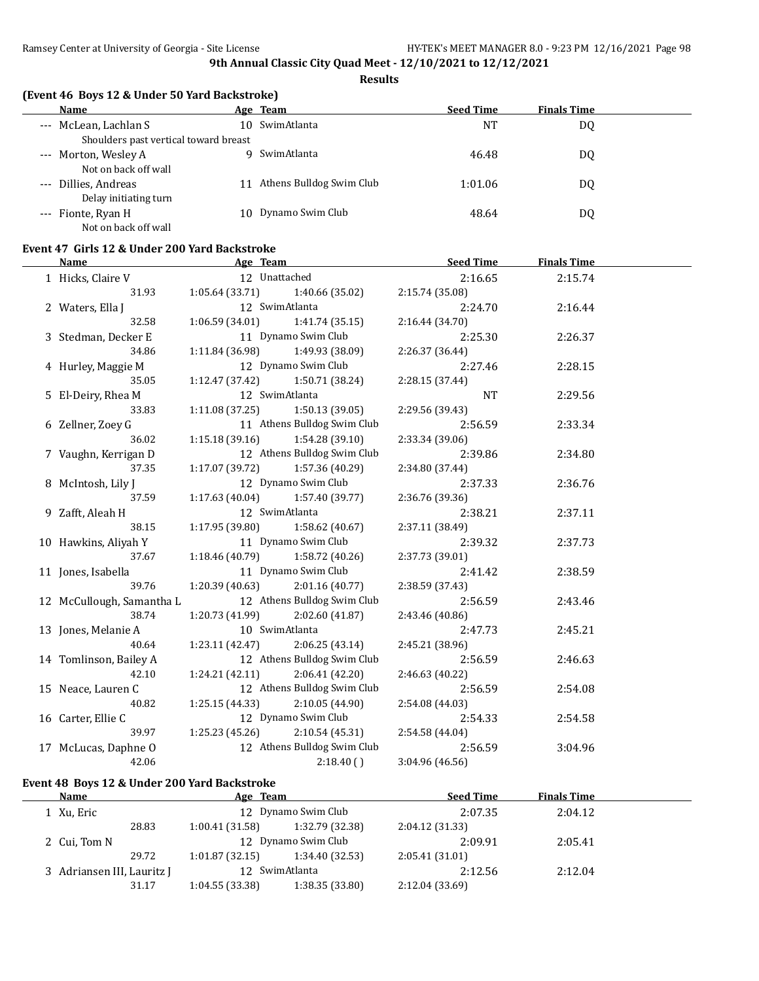**Results**

### **(Event 46 Boys 12 & Under 50 Yard Backstroke)**

| Name                                  |     | Age Team                 | <b>Seed Time</b> | <b>Finals Time</b> |  |
|---------------------------------------|-----|--------------------------|------------------|--------------------|--|
| --- McLean, Lachlan S                 | 10. | SwimAtlanta              | NT               | DQ                 |  |
| Shoulders past vertical toward breast |     |                          |                  |                    |  |
| --- Morton, Wesley A                  |     | SwimAtlanta              | 46.48            | DQ                 |  |
| Not on back off wall                  |     |                          |                  |                    |  |
| --- Dillies, Andreas                  | 11  | Athens Bulldog Swim Club | 1:01.06          | DQ                 |  |
| Delay initiating turn                 |     |                          |                  |                    |  |
| --- Fionte, Ryan H                    | 10  | Dynamo Swim Club         | 48.64            | DQ                 |  |
| Not on back off wall                  |     |                          |                  |                    |  |

# **Event 47 Girls 12 & Under 200 Yard Backstroke**

| <b>Name</b>               |                 | Age Team and the state of the state of the state of the state of the state of the state of the state of the state of the state of the state of the state of the state of the state of the state of the state of the state of t | <b>Seed Time</b> | <b>Finals Time</b> |  |
|---------------------------|-----------------|--------------------------------------------------------------------------------------------------------------------------------------------------------------------------------------------------------------------------------|------------------|--------------------|--|
| 1 Hicks, Claire V         |                 | 12 Unattached                                                                                                                                                                                                                  | 2:16.65          | 2:15.74            |  |
| 31.93                     | 1:05.64 (33.71) | 1:40.66 (35.02)                                                                                                                                                                                                                | 2:15.74 (35.08)  |                    |  |
| 2 Waters, Ella J          |                 | 12 SwimAtlanta                                                                                                                                                                                                                 | 2:24.70          | 2:16.44            |  |
| 32.58                     | 1:06.59(34.01)  | 1:41.74(35.15)                                                                                                                                                                                                                 | 2:16.44(34.70)   |                    |  |
| 3 Stedman, Decker E       |                 | 11 Dynamo Swim Club                                                                                                                                                                                                            | 2:25.30          | 2:26.37            |  |
| 34.86                     | 1:11.84 (36.98) | 1:49.93 (38.09)                                                                                                                                                                                                                | 2:26.37 (36.44)  |                    |  |
| 4 Hurley, Maggie M        |                 | 12 Dynamo Swim Club                                                                                                                                                                                                            | 2:27.46          | 2:28.15            |  |
| 35.05                     |                 | 1:12.47 (37.42) 1:50.71 (38.24)                                                                                                                                                                                                | 2:28.15 (37.44)  |                    |  |
| 5 El-Deiry, Rhea M        |                 | 12 SwimAtlanta                                                                                                                                                                                                                 | <b>NT</b>        | 2:29.56            |  |
| 33.83                     |                 | $1:11.08(37.25)$ $1:50.13(39.05)$                                                                                                                                                                                              | 2:29.56 (39.43)  |                    |  |
| 6 Zellner, Zoey G         |                 | 11 Athens Bulldog Swim Club                                                                                                                                                                                                    | 2:56.59          | 2:33.34            |  |
| 36.02                     | 1:15.18 (39.16) | 1:54.28 (39.10)                                                                                                                                                                                                                | 2:33.34 (39.06)  |                    |  |
| 7 Vaughn, Kerrigan D      |                 | 12 Athens Bulldog Swim Club                                                                                                                                                                                                    | 2:39.86          | 2:34.80            |  |
| 37.35                     |                 | $1:17.07(39.72)$ $1:57.36(40.29)$                                                                                                                                                                                              | 2:34.80 (37.44)  |                    |  |
| 8 McIntosh, Lily J        |                 | 12 Dynamo Swim Club                                                                                                                                                                                                            | 2:37.33          | 2:36.76            |  |
| 37.59                     | 1:17.63 (40.04) | 1:57.40 (39.77)                                                                                                                                                                                                                | 2:36.76 (39.36)  |                    |  |
| 9 Zafft, Aleah H          |                 | 12 SwimAtlanta                                                                                                                                                                                                                 | 2:38.21          | 2:37.11            |  |
| 38.15                     | 1:17.95(39.80)  | 1:58.62 (40.67)                                                                                                                                                                                                                | 2:37.11 (38.49)  |                    |  |
| 10 Hawkins, Aliyah Y      |                 | 11 Dynamo Swim Club                                                                                                                                                                                                            | 2:39.32          | 2:37.73            |  |
| 37.67                     | 1:18.46 (40.79) | 1:58.72 (40.26)                                                                                                                                                                                                                | 2:37.73 (39.01)  |                    |  |
| 11 Jones, Isabella        |                 | 11 Dynamo Swim Club                                                                                                                                                                                                            | 2:41.42          | 2:38.59            |  |
| 39.76                     |                 | $1:20.39(40.63)$ $2:01.16(40.77)$                                                                                                                                                                                              | 2:38.59 (37.43)  |                    |  |
| 12 McCullough, Samantha L |                 | 12 Athens Bulldog Swim Club                                                                                                                                                                                                    | 2:56.59          | 2:43.46            |  |
| 38.74                     |                 | $1:20.73(41.99)$ $2:02.60(41.87)$                                                                                                                                                                                              | 2:43.46 (40.86)  |                    |  |
| 13 Jones, Melanie A       |                 | 10 SwimAtlanta                                                                                                                                                                                                                 | 2:47.73          | 2:45.21            |  |
| 40.64                     | 1:23.11 (42.47) | 2:06.25(43.14)                                                                                                                                                                                                                 | 2:45.21 (38.96)  |                    |  |
| 14 Tomlinson, Bailey A    |                 | 12 Athens Bulldog Swim Club                                                                                                                                                                                                    | 2:56.59          | 2:46.63            |  |
| 42.10                     |                 | $1:24.21(42.11)$ $2:06.41(42.20)$                                                                                                                                                                                              | 2:46.63 (40.22)  |                    |  |
| 15 Neace, Lauren C        |                 | 12 Athens Bulldog Swim Club                                                                                                                                                                                                    | 2:56.59          | 2:54.08            |  |
| 40.82                     | 1:25.15 (44.33) | 2:10.05 (44.90)                                                                                                                                                                                                                | 2:54.08 (44.03)  |                    |  |
| 16 Carter, Ellie C        |                 | 12 Dynamo Swim Club                                                                                                                                                                                                            | 2:54.33          | 2:54.58            |  |
| 39.97                     | 1:25.23 (45.26) | 2:10.54 (45.31)                                                                                                                                                                                                                | 2:54.58 (44.04)  |                    |  |
| 17 McLucas, Daphne O      |                 | 12 Athens Bulldog Swim Club                                                                                                                                                                                                    | 2:56.59          | 3:04.96            |  |
| 42.06                     |                 | 2:18.40()                                                                                                                                                                                                                      | 3:04.96 (46.56)  |                    |  |

# **Event 48 Boys 12 & Under 200 Yard Backstroke**

| <b>Name</b>                |       | Age Team            |                     | <b>Seed Time</b> | <b>Finals Time</b> |  |
|----------------------------|-------|---------------------|---------------------|------------------|--------------------|--|
| 1 Xu, Eric                 |       | 12 Dynamo Swim Club |                     | 2:07.35          | 2:04.12            |  |
|                            | 28.83 | 1:00.41(31.58)      | 1:32.79 (32.38)     | 2:04.12 (31.33)  |                    |  |
| 2 Cui, Tom N               |       |                     | 12 Dynamo Swim Club | 2:09.91          | 2:05.41            |  |
|                            | 29.72 | 1:01.87(32.15)      | 1:34.40(32.53)      | 2:05.41(31.01)   |                    |  |
| 3 Adriansen III, Lauritz J |       |                     | 12 SwimAtlanta      | 2:12.56          | 2:12.04            |  |
|                            | 31.17 | 1:04.55(33.38)      | 1:38.35 (33.80)     | 2:12.04 (33.69)  |                    |  |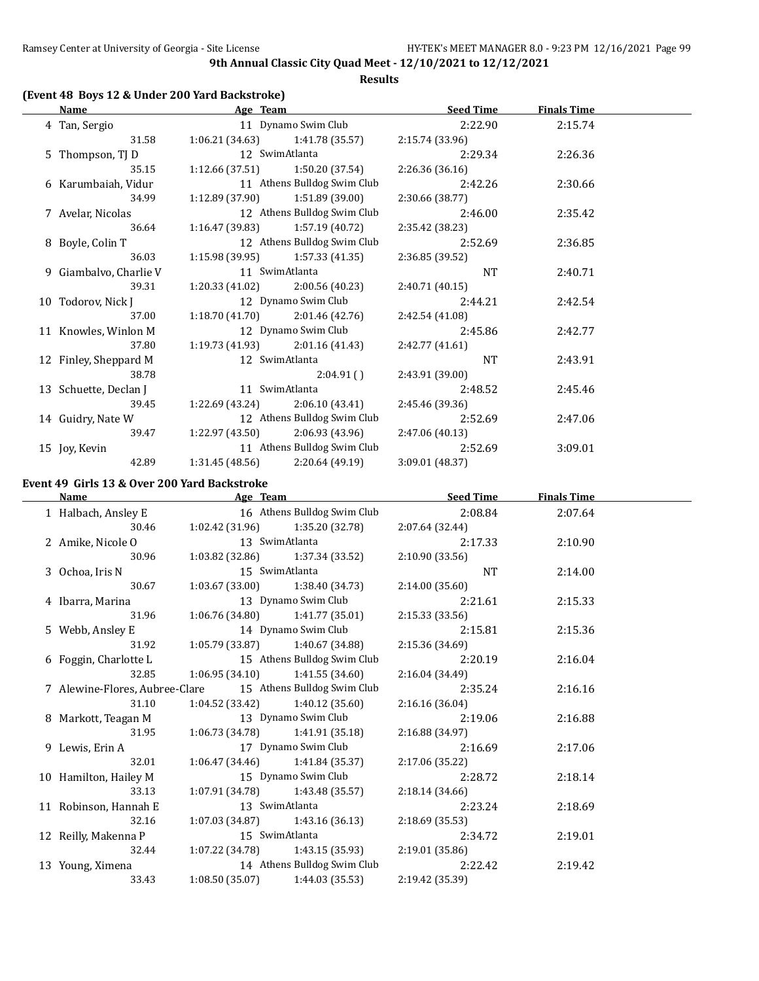#### **Results**

## **(Event 48 Boys 12 & Under 200 Yard Backstroke)**

| Name                   | Age Team        |                                   | <b>Seed Time</b> | <b>Finals Time</b> |  |
|------------------------|-----------------|-----------------------------------|------------------|--------------------|--|
| 4 Tan, Sergio          |                 | 11 Dynamo Swim Club               | 2:22.90          | 2:15.74            |  |
| 31.58                  |                 | $1:06.21(34.63)$ $1:41.78(35.57)$ | 2:15.74 (33.96)  |                    |  |
| 5 Thompson, TJ D       |                 | 12 SwimAtlanta                    | 2:29.34          | 2:26.36            |  |
| 35.15                  | 1:12.66 (37.51) | 1:50.20 (37.54)                   | 2:26.36 (36.16)  |                    |  |
| 6 Karumbaiah, Vidur    |                 | 11 Athens Bulldog Swim Club       | 2:42.26          | 2:30.66            |  |
| 34.99                  | 1:12.89 (37.90) | 1:51.89 (39.00)                   | 2:30.66 (38.77)  |                    |  |
| 7 Avelar, Nicolas      |                 | 12 Athens Bulldog Swim Club       | 2:46.00          | 2:35.42            |  |
| 36.64                  | 1:16.47 (39.83) | 1:57.19 (40.72)                   | 2:35.42 (38.23)  |                    |  |
| 8 Boyle, Colin T       |                 | 12 Athens Bulldog Swim Club       | 2:52.69          | 2:36.85            |  |
| 36.03                  |                 | $1:15.98(39.95)$ $1:57.33(41.35)$ | 2:36.85 (39.52)  |                    |  |
| 9 Giambalvo, Charlie V |                 | 11 SwimAtlanta                    | <b>NT</b>        | 2:40.71            |  |
| 39.31                  | 1:20.33(41.02)  | 2:00.56 (40.23)                   | 2:40.71(40.15)   |                    |  |
| 10 Todorov, Nick J     |                 | 12 Dynamo Swim Club               | 2:44.21          | 2:42.54            |  |
| 37.00                  |                 | $1:18.70(41.70)$ $2:01.46(42.76)$ | 2:42.54 (41.08)  |                    |  |
| 11 Knowles, Winlon M   |                 | 12 Dynamo Swim Club               | 2:45.86          | 2:42.77            |  |
| 37.80                  |                 | $1:19.73(41.93)$ $2:01.16(41.43)$ | 2:42.77(41.61)   |                    |  |
| 12 Finley, Sheppard M  |                 | 12 SwimAtlanta                    | <b>NT</b>        | 2:43.91            |  |
| 38.78                  |                 | 2:04.91(                          | 2:43.91 (39.00)  |                    |  |
| 13 Schuette, Declan J  |                 | 11 SwimAtlanta                    | 2:48.52          | 2:45.46            |  |
| 39.45                  | 1:22.69 (43.24) | 2:06.10 (43.41)                   | 2:45.46 (39.36)  |                    |  |
| 14 Guidry, Nate W      |                 | 12 Athens Bulldog Swim Club       | 2:52.69          | 2:47.06            |  |
| 39.47                  |                 | $1:22.97(43.50)$ $2:06.93(43.96)$ | 2:47.06 (40.13)  |                    |  |
| 15 Joy, Kevin          |                 | 11 Athens Bulldog Swim Club       | 2:52.69          | 3:09.01            |  |
| 42.89                  | 1:31.45 (48.56) | 2:20.64 (49.19)                   | 3:09.01 (48.37)  |                    |  |

# **Event 49 Girls 13 & Over 200 Yard Backstroke**

| Name                                                       | Age Team       |                                     | <b>Seed Time</b> | <b>Finals Time</b> |  |
|------------------------------------------------------------|----------------|-------------------------------------|------------------|--------------------|--|
| 1 Halbach, Ansley E                                        |                | 16 Athens Bulldog Swim Club         | 2:08.84          | 2:07.64            |  |
| 30.46                                                      |                | $1:02.42(31.96)$ $1:35.20(32.78)$   | 2:07.64 (32.44)  |                    |  |
| 2 Amike, Nicole O                                          |                | 13 SwimAtlanta                      | 2:17.33          | 2:10.90            |  |
| 30.96                                                      |                | $1:03.82$ (32.86) $1:37.34$ (33.52) | 2:10.90(33.56)   |                    |  |
| 3 Ochoa, Iris N                                            | 15 SwimAtlanta |                                     | NT.              | 2:14.00            |  |
| 30.67                                                      |                | $1:03.67(33.00)$ $1:38.40(34.73)$   | 2:14.00(35.60)   |                    |  |
| 4 Ibarra, Marina                                           |                | 13 Dynamo Swim Club                 | 2:21.61          | 2:15.33            |  |
| 31.96                                                      |                | $1:06.76(34.80)$ $1:41.77(35.01)$   | 2:15.33(33.56)   |                    |  |
| 5 Webb, Ansley E                                           |                | 14 Dynamo Swim Club                 | 2:15.81          | 2:15.36            |  |
| 31.92                                                      |                | $1:05.79(33.87)$ $1:40.67(34.88)$   | 2:15.36 (34.69)  |                    |  |
| 6 Foggin, Charlotte L                                      |                | 15 Athens Bulldog Swim Club         | 2:20.19          | 2:16.04            |  |
| 32.85                                                      |                | $1:06.95(34.10)$ $1:41.55(34.60)$   | 2:16.04 (34.49)  |                    |  |
| 7 Alewine-Flores, Aubree-Clare 15 Athens Bulldog Swim Club |                |                                     | 2:35.24          | 2:16.16            |  |
| 31.10                                                      |                | $1:04.52(33.42)$ $1:40.12(35.60)$   | 2:16.16 (36.04)  |                    |  |
| 8 Markott, Teagan M                                        |                | 13 Dynamo Swim Club                 | 2:19.06          | 2:16.88            |  |
| 31.95                                                      |                | $1:06.73(34.78)$ $1:41.91(35.18)$   | 2:16.88 (34.97)  |                    |  |
| 9 Lewis, Erin A                                            |                | 17 Dynamo Swim Club                 | 2:16.69          | 2:17.06            |  |
| 32.01                                                      |                | $1:06.47(34.46)$ $1:41.84(35.37)$   | 2:17.06 (35.22)  |                    |  |
| 10 Hamilton, Hailey M                                      |                | 15 Dynamo Swim Club                 | 2:28.72          | 2:18.14            |  |
| 33.13                                                      |                | $1:07.91(34.78)$ $1:43.48(35.57)$   | 2:18.14(34.66)   |                    |  |
| 11 Robinson, Hannah E                                      | 13 SwimAtlanta |                                     | 2:23.24          | 2:18.69            |  |
| 32.16                                                      |                | $1:07.03(34.87)$ $1:43.16(36.13)$   | 2:18.69 (35.53)  |                    |  |
| 12 Reilly, Makenna P                                       | 15 SwimAtlanta |                                     | 2:34.72          | 2:19.01            |  |
| 32.44                                                      |                | 1:07.22 (34.78) 1:43.15 (35.93)     | 2:19.01 (35.86)  |                    |  |
| 13 Young, Ximena                                           |                | 14 Athens Bulldog Swim Club         | 2:22.42          | 2:19.42            |  |
| 33.43                                                      |                | $1:08.50(35.07)$ $1:44.03(35.53)$   | 2:19.42 (35.39)  |                    |  |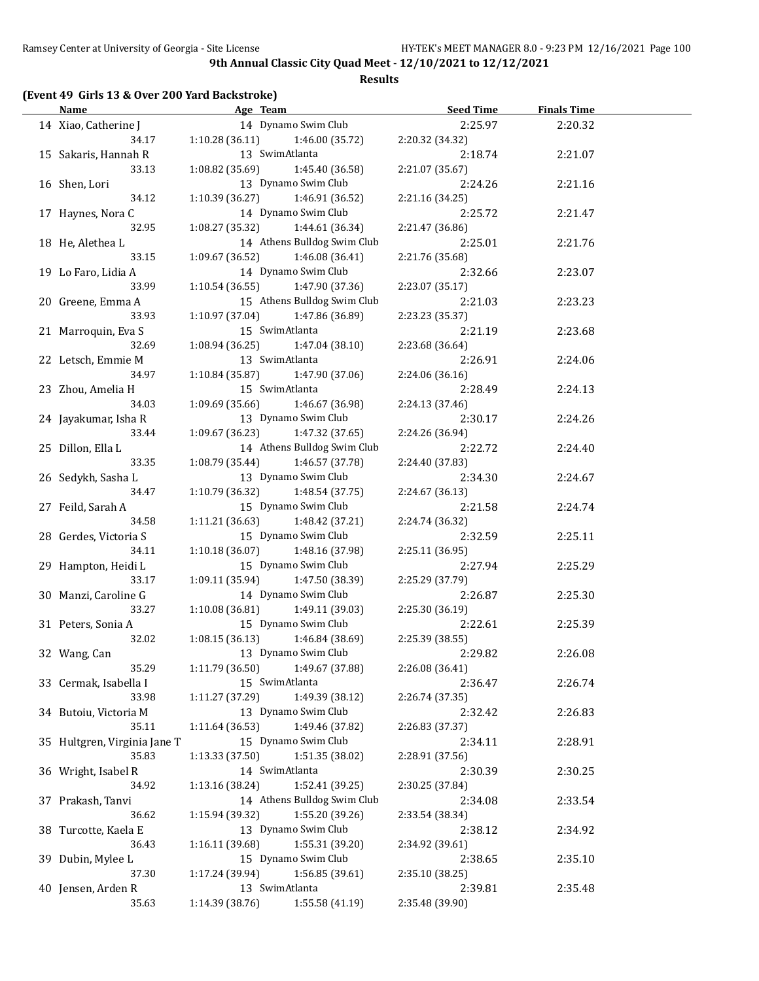**Results**

## **(Event 49 Girls 13 & Over 200 Yard Backstroke)**

| <u>Name</u>                   |                                   | Age Team and the state of the state of the state of the state of the state of the state of the state of the state of the state of the state of the state of the state of the state of the state of the state of the state of t | Seed Time                  | <b>Finals Time</b> |  |
|-------------------------------|-----------------------------------|--------------------------------------------------------------------------------------------------------------------------------------------------------------------------------------------------------------------------------|----------------------------|--------------------|--|
| 14 Xiao, Catherine J          |                                   | 14 Dynamo Swim Club                                                                                                                                                                                                            | 2:25.97                    | 2:20.32            |  |
| 34.17                         | 1:10.28(36.11)                    | 1:46.00 (35.72)                                                                                                                                                                                                                | 2:20.32 (34.32)            |                    |  |
| 15 Sakaris, Hannah R          | 13 SwimAtlanta                    |                                                                                                                                                                                                                                | 2:18.74                    | 2:21.07            |  |
| 33.13                         | 1:08.82 (35.69)                   | 1:45.40 (36.58)                                                                                                                                                                                                                | 2:21.07 (35.67)            |                    |  |
| 16 Shen, Lori                 |                                   | 13 Dynamo Swim Club                                                                                                                                                                                                            | 2:24.26                    | 2:21.16            |  |
| 34.12                         | 1:10.39 (36.27)                   | 1:46.91 (36.52)                                                                                                                                                                                                                | 2:21.16 (34.25)            |                    |  |
| 17 Haynes, Nora C             |                                   | 14 Dynamo Swim Club                                                                                                                                                                                                            | 2:25.72                    | 2:21.47            |  |
| 32.95                         | 1:08.27 (35.32)                   | 1:44.61 (36.34)                                                                                                                                                                                                                | 2:21.47 (36.86)            |                    |  |
| 18 He, Alethea L              |                                   | 14 Athens Bulldog Swim Club                                                                                                                                                                                                    | 2:25.01                    | 2:21.76            |  |
| 33.15                         | 1:09.67 (36.52)                   | 1:46.08 (36.41)                                                                                                                                                                                                                | 2:21.76 (35.68)            |                    |  |
| 19 Lo Faro, Lidia A           |                                   | 14 Dynamo Swim Club                                                                                                                                                                                                            | 2:32.66                    | 2:23.07            |  |
| 33.99                         | 1:10.54(36.55)                    | 1:47.90 (37.36)                                                                                                                                                                                                                | 2:23.07 (35.17)            |                    |  |
| 20 Greene, Emma A             |                                   | 15 Athens Bulldog Swim Club                                                                                                                                                                                                    | 2:21.03                    | 2:23.23            |  |
| 33.93                         | 1:10.97 (37.04)                   | 1:47.86 (36.89)                                                                                                                                                                                                                | 2:23.23 (35.37)            |                    |  |
| 21 Marroquin, Eva S           | 15 SwimAtlanta                    |                                                                                                                                                                                                                                | 2:21.19                    | 2:23.68            |  |
| 32.69                         | 1:08.94 (36.25)                   | 1:47.04 (38.10)                                                                                                                                                                                                                | 2:23.68 (36.64)            |                    |  |
| 22 Letsch, Emmie M            | 13 SwimAtlanta                    |                                                                                                                                                                                                                                | 2:26.91                    | 2:24.06            |  |
| 34.97                         | 1:10.84(35.87)                    | 1:47.90 (37.06)                                                                                                                                                                                                                | 2:24.06 (36.16)            |                    |  |
| 23 Zhou, Amelia H             | 15 SwimAtlanta                    |                                                                                                                                                                                                                                | 2:28.49                    | 2:24.13            |  |
| 34.03                         | 1:09.69 (35.66)                   | 1:46.67 (36.98)                                                                                                                                                                                                                | 2:24.13 (37.46)            |                    |  |
|                               |                                   | 13 Dynamo Swim Club                                                                                                                                                                                                            |                            |                    |  |
| 24 Jayakumar, Isha R<br>33.44 | 1:09.67 (36.23)                   | 1:47.32 (37.65)                                                                                                                                                                                                                | 2:30.17<br>2:24.26 (36.94) | 2:24.26            |  |
| 25 Dillon, Ella L             |                                   | 14 Athens Bulldog Swim Club                                                                                                                                                                                                    | 2:22.72                    |                    |  |
| 33.35                         |                                   | 1:46.57 (37.78)                                                                                                                                                                                                                |                            | 2:24.40            |  |
|                               | 1:08.79 (35.44)                   | 13 Dynamo Swim Club                                                                                                                                                                                                            | 2:24.40 (37.83)            |                    |  |
| 26 Sedykh, Sasha L            |                                   |                                                                                                                                                                                                                                | 2:34.30                    | 2:24.67            |  |
| 34.47                         | 1:10.79 (36.32)                   | 1:48.54 (37.75)<br>15 Dynamo Swim Club                                                                                                                                                                                         | 2:24.67 (36.13)            |                    |  |
| 27 Feild, Sarah A             |                                   |                                                                                                                                                                                                                                | 2:21.58                    | 2:24.74            |  |
| 34.58                         | 1:11.21(36.63)                    | 1:48.42 (37.21)                                                                                                                                                                                                                | 2:24.74 (36.32)            |                    |  |
| 28 Gerdes, Victoria S         |                                   | 15 Dynamo Swim Club                                                                                                                                                                                                            | 2:32.59                    | 2:25.11            |  |
| 34.11                         | 1:10.18(36.07)                    | 1:48.16 (37.98)                                                                                                                                                                                                                | 2:25.11 (36.95)            |                    |  |
| 29 Hampton, Heidi L           |                                   | 15 Dynamo Swim Club                                                                                                                                                                                                            | 2:27.94                    | 2:25.29            |  |
| 33.17                         | 1:09.11 (35.94)                   | 1:47.50 (38.39)                                                                                                                                                                                                                | 2:25.29 (37.79)            |                    |  |
| 30 Manzi, Caroline G          |                                   | 14 Dynamo Swim Club                                                                                                                                                                                                            | 2:26.87                    | 2:25.30            |  |
| 33.27                         | 1:10.08 (36.81)                   | 1:49.11 (39.03)                                                                                                                                                                                                                | 2:25.30 (36.19)            |                    |  |
| 31 Peters, Sonia A            |                                   | 15 Dynamo Swim Club                                                                                                                                                                                                            | 2:22.61                    | 2:25.39            |  |
| 32.02                         | 1:08.15(36.13)                    | 1:46.84 (38.69)                                                                                                                                                                                                                | 2:25.39 (38.55)            |                    |  |
| 32 Wang, Can                  | 13 Dynamo Swim Club               |                                                                                                                                                                                                                                | 2:29.82                    | 2:26.08            |  |
| 35.29                         | 1:11.79 (36.50)                   | 1:49.67 (37.88)                                                                                                                                                                                                                | 2:26.08 (36.41)            |                    |  |
| 33 Cermak, Isabella I         | 15 SwimAtlanta                    |                                                                                                                                                                                                                                | 2:36.47                    | 2:26.74            |  |
| 33.98                         | 1:11.27(37.29)                    | 1:49.39 (38.12)                                                                                                                                                                                                                | 2:26.74(37.35)             |                    |  |
| 34 Butoiu, Victoria M         |                                   | 13 Dynamo Swim Club                                                                                                                                                                                                            | 2:32.42                    | 2:26.83            |  |
| 35.11                         | 1:11.64 (36.53)                   | 1:49.46 (37.82)                                                                                                                                                                                                                | 2:26.83 (37.37)            |                    |  |
| 35 Hultgren, Virginia Jane T  |                                   | 15 Dynamo Swim Club                                                                                                                                                                                                            | 2:34.11                    | 2:28.91            |  |
| 35.83                         | 1:13.33 (37.50)                   | 1:51.35 (38.02)                                                                                                                                                                                                                | 2:28.91 (37.56)            |                    |  |
| 36 Wright, Isabel R           | 14 SwimAtlanta                    |                                                                                                                                                                                                                                | 2:30.39                    | 2:30.25            |  |
| 34.92                         | 1:13.16 (38.24)                   | 1:52.41 (39.25)                                                                                                                                                                                                                | 2:30.25 (37.84)            |                    |  |
| 37 Prakash, Tanvi             |                                   | 14 Athens Bulldog Swim Club                                                                                                                                                                                                    | 2:34.08                    | 2:33.54            |  |
| 36.62                         | 1:15.94 (39.32)                   | 1:55.20 (39.26)                                                                                                                                                                                                                | 2:33.54 (38.34)            |                    |  |
| 38 Turcotte, Kaela E          |                                   | 13 Dynamo Swim Club                                                                                                                                                                                                            | 2:38.12                    | 2:34.92            |  |
| 36.43                         | 1:16.11 (39.68)                   | 1:55.31 (39.20)                                                                                                                                                                                                                | 2:34.92 (39.61)            |                    |  |
| 39 Dubin, Mylee L             |                                   | 15 Dynamo Swim Club                                                                                                                                                                                                            | 2:38.65                    | 2:35.10            |  |
| 37.30                         | 1:17.24 (39.94)                   | 1:56.85 (39.61)                                                                                                                                                                                                                | 2:35.10 (38.25)            |                    |  |
| 40 Jensen, Arden R            | 13 SwimAtlanta                    |                                                                                                                                                                                                                                | 2:39.81                    | 2:35.48            |  |
| 35.63                         | $1:14.39(38.76)$ $1:55.58(41.19)$ |                                                                                                                                                                                                                                | 2:35.48 (39.90)            |                    |  |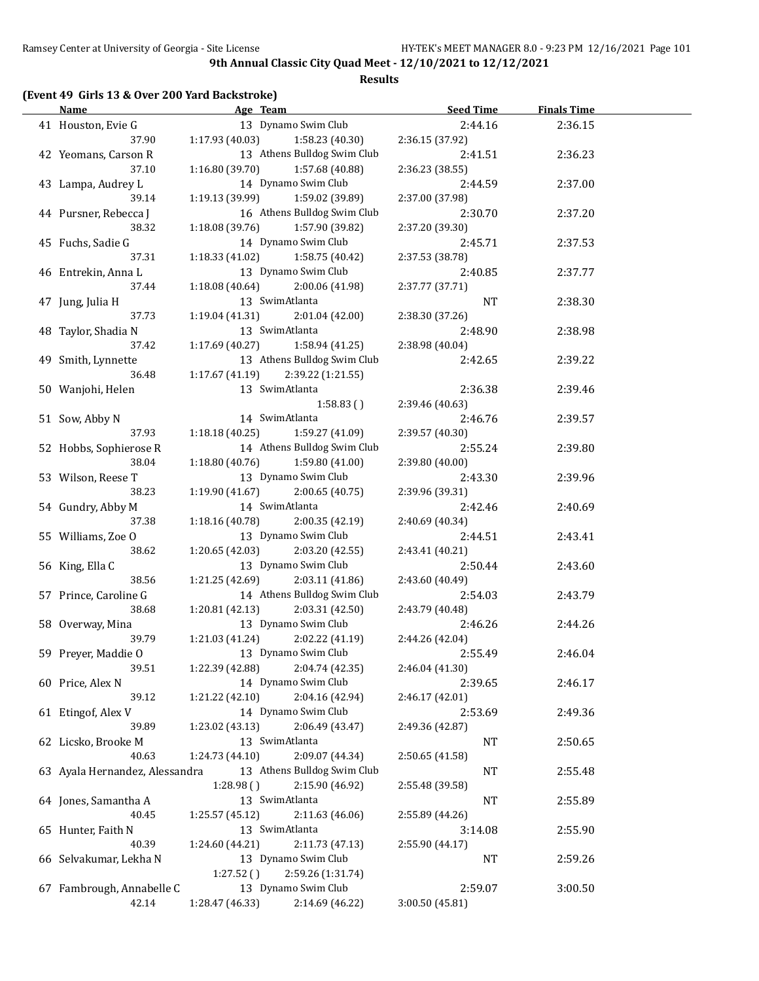#### **Results**

# **(Event 49 Girls 13 & Over 200 Yard Backstroke)**

| Name                           | <b>Example 2</b> Age Team           |                                        | <b>Seed Time</b> | <b>Finals Time</b> |  |
|--------------------------------|-------------------------------------|----------------------------------------|------------------|--------------------|--|
| 41 Houston, Evie G             |                                     | 13 Dynamo Swim Club                    | 2:44.16          | 2:36.15            |  |
| 37.90                          | 1:17.93 (40.03)                     | 1:58.23 (40.30)                        | 2:36.15 (37.92)  |                    |  |
| 42 Yeomans, Carson R           |                                     | 13 Athens Bulldog Swim Club            | 2:41.51          | 2:36.23            |  |
| 37.10                          | 1:16.80(39.70)                      | 1:57.68 (40.88)                        | 2:36.23 (38.55)  |                    |  |
| 43 Lampa, Audrey L             |                                     | 14 Dynamo Swim Club                    | 2:44.59          | 2:37.00            |  |
| 39.14                          | 1:19.13 (39.99) 1:59.02 (39.89)     |                                        | 2:37.00 (37.98)  |                    |  |
| 44 Pursner, Rebecca J          |                                     | 16 Athens Bulldog Swim Club            | 2:30.70          | 2:37.20            |  |
| 38.32                          | 1:18.08 (39.76) 1:57.90 (39.82)     |                                        | 2:37.20 (39.30)  |                    |  |
| 45 Fuchs, Sadie G              |                                     | 14 Dynamo Swim Club                    | 2:45.71          | 2:37.53            |  |
| 37.31                          | $1:18.33(41.02)$ $1:58.75(40.42)$   |                                        | 2:37.53 (38.78)  |                    |  |
| 46 Entrekin, Anna L            |                                     | 13 Dynamo Swim Club                    | 2:40.85          | 2:37.77            |  |
| 37.44                          | 1:18.08 (40.64) 2:00.06 (41.98)     |                                        | 2:37.77 (37.71)  |                    |  |
| 47 Jung, Julia H               | 13 SwimAtlanta                      |                                        | NT               | 2:38.30            |  |
| 37.73                          | $1:19.04(41.31)$ $2:01.04(42.00)$   |                                        | 2:38.30 (37.26)  |                    |  |
| 48 Taylor, Shadia N            | 13 SwimAtlanta                      |                                        | 2:48.90          | 2:38.98            |  |
| 37.42                          | $1:17.69(40.27)$ $1:58.94(41.25)$   |                                        | 2:38.98 (40.04)  |                    |  |
| 49 Smith, Lynnette             |                                     | 13 Athens Bulldog Swim Club            | 2:42.65          | 2:39.22            |  |
| 36.48                          | $1:17.67(41.19)$ $2:39.22(1:21.55)$ |                                        |                  |                    |  |
| 50 Wanjohi, Helen              | 13 SwimAtlanta                      |                                        | 2:36.38          | 2:39.46            |  |
|                                |                                     | 1:58.83()                              | 2:39.46 (40.63)  |                    |  |
| 51 Sow, Abby N                 | 14 SwimAtlanta                      |                                        | 2:46.76          | 2:39.57            |  |
| 37.93                          | $1:18.18(40.25)$ $1:59.27(41.09)$   |                                        | 2:39.57 (40.30)  |                    |  |
| 52 Hobbs, Sophierose R         | 14 Athens Bulldog Swim Club         |                                        | 2:55.24          | 2:39.80            |  |
| 38.04                          | $1:18.80(40.76)$ $1:59.80(41.00)$   |                                        | 2:39.80 (40.00)  |                    |  |
| 53 Wilson, Reese T             | 13 Dynamo Swim Club                 |                                        | 2:43.30          | 2:39.96            |  |
| 38.23                          | $1:19.90(41.67)$ $2:00.65(40.75)$   |                                        | 2:39.96 (39.31)  |                    |  |
| 54 Gundry, Abby M              | 14 SwimAtlanta                      |                                        | 2:42.46          | 2:40.69            |  |
| 37.38                          | $1:18.16(40.78)$ $2:00.35(42.19)$   |                                        | 2:40.69 (40.34)  |                    |  |
| 55 Williams, Zoe O             |                                     | 13 Dynamo Swim Club                    | 2:44.51          | 2:43.41            |  |
| 38.62                          | $1:20.65(42.03)$ $2:03.20(42.55)$   |                                        | 2:43.41 (40.21)  |                    |  |
|                                |                                     | 13 Dynamo Swim Club                    | 2:50.44          |                    |  |
| 56 King, Ella C<br>38.56       | $1:21.25(42.69)$ $2:03.11(41.86)$   |                                        | 2:43.60 (40.49)  | 2:43.60            |  |
|                                |                                     | 14 Athens Bulldog Swim Club            |                  |                    |  |
| 57 Prince, Caroline G<br>38.68 |                                     |                                        | 2:54.03          | 2:43.79            |  |
|                                | 1:20.81 (42.13)                     | 2:03.31 (42.50)<br>13 Dynamo Swim Club | 2:43.79 (40.48)  |                    |  |
| 58 Overway, Mina<br>39.79      |                                     |                                        | 2:46.26          | 2:44.26            |  |
|                                | 1:21.03 (41.24)                     | 2:02.22 (41.19)                        | 2:44.26 (42.04)  |                    |  |
| 59 Preyer, Maddie O            |                                     | 13 Dynamo Swim Club                    | 2:55.49          | 2:46.04            |  |
| 39.51                          | 1:22.39 (42.88)                     | 2:04.74 (42.35)                        | 2:46.04 (41.30)  |                    |  |
| 60 Price, Alex N               |                                     | 14 Dynamo Swim Club<br>2:04.16 (42.94) | 2:39.65          | 2:46.17            |  |
| 39.12                          | 1:21.22 (42.10)                     |                                        | 2:46.17 (42.01)  |                    |  |
| 61 Etingof, Alex V             |                                     | 14 Dynamo Swim Club                    | 2:53.69          | 2:49.36            |  |
| 39.89                          | 1:23.02 (43.13)                     | 2:06.49 (43.47)                        | 2:49.36 (42.87)  |                    |  |
| 62 Licsko, Brooke M            | 13 SwimAtlanta                      |                                        | NT               | 2:50.65            |  |
| 40.63                          | 1:24.73 (44.10)                     | 2:09.07 (44.34)                        | 2:50.65 (41.58)  |                    |  |
| 63 Ayala Hernandez, Alessandra |                                     | 13 Athens Bulldog Swim Club            | NT               | 2:55.48            |  |
|                                | 1:28.98()                           | 2:15.90 (46.92)                        | 2:55.48 (39.58)  |                    |  |
| 64 Jones, Samantha A           | 13 SwimAtlanta                      |                                        | NT               | 2:55.89            |  |
| 40.45                          | 1:25.57 (45.12)                     | 2:11.63 (46.06)                        | 2:55.89 (44.26)  |                    |  |
| 65 Hunter, Faith N             | 13 SwimAtlanta                      |                                        | 3:14.08          | 2:55.90            |  |
| 40.39                          | 1:24.60 (44.21)                     | 2:11.73 (47.13)                        | 2:55.90 (44.17)  |                    |  |
| 66 Selvakumar, Lekha N         |                                     | 13 Dynamo Swim Club                    | NT               | 2:59.26            |  |
|                                | 1:27.52()                           | 2:59.26 (1:31.74)                      |                  |                    |  |
| 67 Fambrough, Annabelle C      |                                     | 13 Dynamo Swim Club                    | 2:59.07          | 3:00.50            |  |
| 42.14                          | 1:28.47 (46.33)                     | 2:14.69 (46.22)                        | 3:00.50 (45.81)  |                    |  |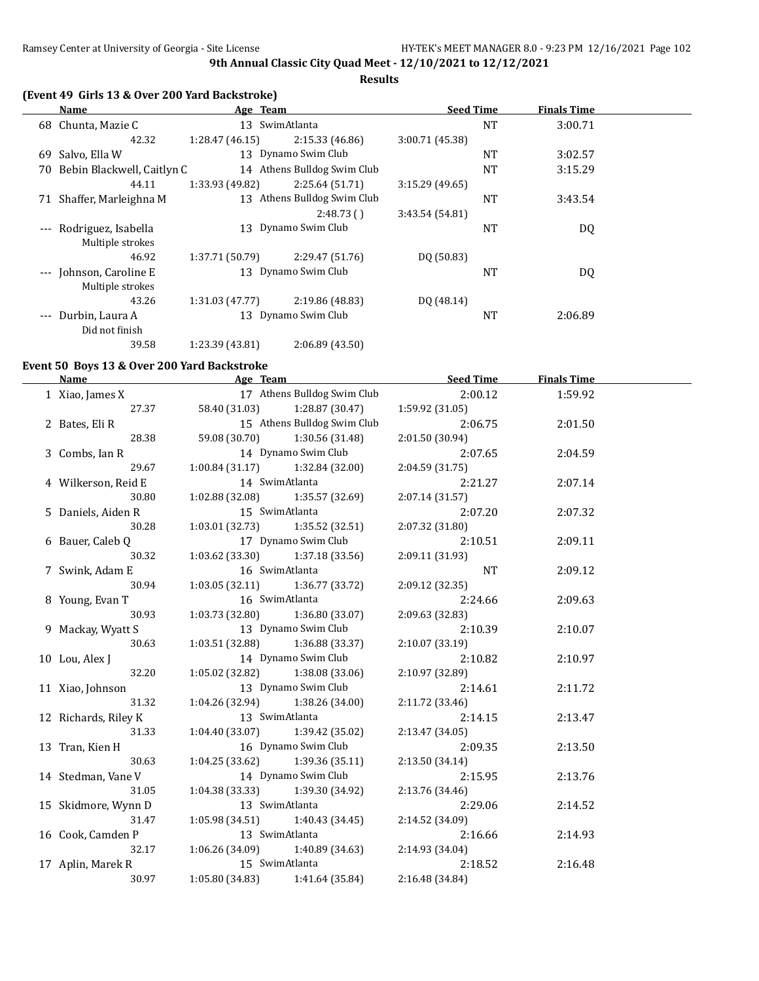**Results**

# **(Event 49 Girls 13 & Over 200 Yard Backstroke)**

|          | Name                                        | Age Team        |                             | <b>Seed Time</b> |           | <b>Finals Time</b> |  |
|----------|---------------------------------------------|-----------------|-----------------------------|------------------|-----------|--------------------|--|
| 68       | Chunta, Mazie C                             |                 | 13 SwimAtlanta              |                  | <b>NT</b> | 3:00.71            |  |
|          | 42.32                                       | 1:28.47(46.15)  | 2:15.33(46.86)              | 3:00.71 (45.38)  |           |                    |  |
| 69       | Salvo, Ella W                               |                 | 13 Dynamo Swim Club         |                  | NT        | 3:02.57            |  |
| 70       | Bebin Blackwell, Caitlyn C                  |                 | 14 Athens Bulldog Swim Club |                  | NT        | 3:15.29            |  |
|          | 44.11                                       | 1:33.93 (49.82) | 2:25.64(51.71)              | 3:15.29(49.65)   |           |                    |  |
| 71       | Shaffer, Marleighna M                       |                 | 13 Athens Bulldog Swim Club |                  | <b>NT</b> | 3:43.54            |  |
|          |                                             |                 | 2:48.73(                    | 3:43.54 (54.81)  |           |                    |  |
| $---$    | Rodriguez, Isabella<br>Multiple strokes     | 13              | Dynamo Swim Club            |                  | NT        | DQ                 |  |
|          | 46.92                                       | 1:37.71 (50.79) | 2:29.47 (51.76)             | DQ (50.83)       |           |                    |  |
|          | --- Johnson, Caroline E<br>Multiple strokes |                 | 13 Dynamo Swim Club         |                  | NT        | DQ                 |  |
|          | 43.26                                       | 1:31.03 (47.77) | 2:19.86 (48.83)             | DQ (48.14)       |           |                    |  |
| $\cdots$ | Durbin, Laura A<br>Did not finish           |                 | 13 Dynamo Swim Club         |                  | <b>NT</b> | 2:06.89            |  |
|          | 39.58                                       | 1:23.39 (43.81) | 2:06.89 (43.50)             |                  |           |                    |  |

#### **Event 50 Boys 13 & Over 200 Yard Backstroke**

| <b>Name</b>          |                                     |                             | Age Team Seed Time | <b>Finals Time</b> |  |
|----------------------|-------------------------------------|-----------------------------|--------------------|--------------------|--|
| 1 Xiao, James X      |                                     | 17 Athens Bulldog Swim Club | 2:00.12            | 1:59.92            |  |
| 27.37                | 58.40 (31.03) 1:28.87 (30.47)       |                             | 1:59.92 (31.05)    |                    |  |
| 2 Bates, Eli R       |                                     | 15 Athens Bulldog Swim Club | 2:06.75            | 2:01.50            |  |
| 28.38                | 59.08 (30.70)                       | 1:30.56 (31.48)             | 2:01.50 (30.94)    |                    |  |
| 3 Combs, Ian R       | 14 Dynamo Swim Club                 |                             | 2:07.65            | 2:04.59            |  |
| 29.67                | $1:00.84(31.17)$ $1:32.84(32.00)$   |                             | 2:04.59 (31.75)    |                    |  |
| 4 Wilkerson, Reid E  | 14 SwimAtlanta                      |                             | 2:21.27            | 2:07.14            |  |
| 30.80                | $1:02.88(32.08)$ $1:35.57(32.69)$   |                             | 2:07.14 (31.57)    |                    |  |
| 5 Daniels, Aiden R   | 15 SwimAtlanta                      |                             | 2:07.20            | 2:07.32            |  |
| 30.28                | $1:03.01(32.73)$ $1:35.52(32.51)$   |                             | 2:07.32(31.80)     |                    |  |
| 6 Bauer, Caleb Q     |                                     | 17 Dynamo Swim Club         | 2:10.51            | 2:09.11            |  |
| 30.32                | $1:03.62$ (33.30) $1:37.18$ (33.56) |                             | 2:09.11 (31.93)    |                    |  |
| 7 Swink, Adam E      | 16 SwimAtlanta                      |                             | <b>NT</b>          | 2:09.12            |  |
| 30.94                | $1:03.05(32.11)$ $1:36.77(33.72)$   |                             | 2:09.12 (32.35)    |                    |  |
| 8 Young, Evan T      | 16 SwimAtlanta                      |                             | 2:24.66            | 2:09.63            |  |
| 30.93                | $1:03.73$ (32.80) $1:36.80$ (33.07) |                             | 2:09.63 (32.83)    |                    |  |
| 9 Mackay, Wyatt S    | 13 Dynamo Swim Club                 |                             | 2:10.39            | 2:10.07            |  |
| 30.63                | 1:03.51 (32.88) 1:36.88 (33.37)     |                             | 2:10.07 (33.19)    |                    |  |
| 10 Lou, Alex J       | 14 Dynamo Swim Club                 |                             | 2:10.82            | 2:10.97            |  |
| 32.20                | $1:05.02$ (32.82) $1:38.08$ (33.06) |                             | 2:10.97 (32.89)    |                    |  |
| 11 Xiao, Johnson     | 13 Dynamo Swim Club                 |                             | 2:14.61            | 2:11.72            |  |
| 31.32                | $1:04.26(32.94)$ $1:38.26(34.00)$   |                             | 2:11.72 (33.46)    |                    |  |
| 12 Richards, Riley K | 13 SwimAtlanta                      |                             | 2:14.15            | 2:13.47            |  |
| 31.33                | $1:04.40(33.07)$ $1:39.42(35.02)$   |                             | 2:13.47(34.05)     |                    |  |
| 13 Tran, Kien H      | 16 Dynamo Swim Club                 |                             | 2:09.35            | 2:13.50            |  |
| 30.63                | $1:04.25(33.62)$ $1:39.36(35.11)$   |                             | 2:13.50 (34.14)    |                    |  |
| 14 Stedman, Vane V   | 14 Dynamo Swim Club                 |                             | 2:15.95            | 2:13.76            |  |
| 31.05                | $1:04.38(33.33)$ $1:39.30(34.92)$   |                             | 2:13.76(34.46)     |                    |  |
| 15 Skidmore, Wynn D  | 13 SwimAtlanta                      |                             | 2:29.06            | 2:14.52            |  |
| 31.47                | 1:05.98 (34.51)                     | 1:40.43 (34.45)             | 2:14.52 (34.09)    |                    |  |
| 16 Cook, Camden P    | 13 SwimAtlanta                      |                             | 2:16.66            | 2:14.93            |  |
| 32.17                | $1:06.26(34.09)$ $1:40.89(34.63)$   |                             | 2:14.93 (34.04)    |                    |  |
| 17 Aplin, Marek R    | 15 SwimAtlanta                      |                             | 2:18.52            | 2:16.48            |  |
| 30.97                | 1:05.80 (34.83) 1:41.64 (35.84)     |                             | 2:16.48 (34.84)    |                    |  |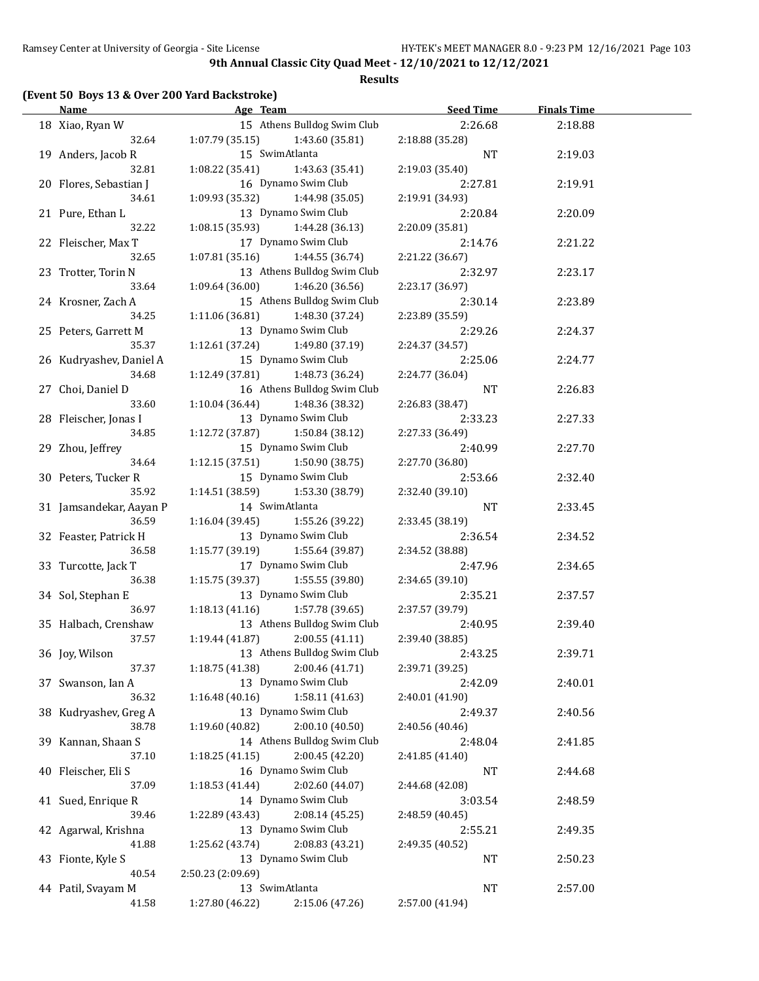**Results**

# **(Event 50 Boys 13 & Over 200 Yard Backstroke)**

| <b>Name</b>             | Age Team and the state of the state of the state of the state of the state of the state of the state of the state of the state of the state of the state of the state of the state of the state of the state of the state of t | <b>Seed Time</b> | <b>Finals Time</b> |  |
|-------------------------|--------------------------------------------------------------------------------------------------------------------------------------------------------------------------------------------------------------------------------|------------------|--------------------|--|
| 18 Xiao, Ryan W         | 15 Athens Bulldog Swim Club                                                                                                                                                                                                    | 2:26.68          | 2:18.88            |  |
| 32.64                   | $1:07.79$ (35.15) $1:43.60$ (35.81)                                                                                                                                                                                            | 2:18.88 (35.28)  |                    |  |
| 19 Anders, Jacob R      | 15 SwimAtlanta                                                                                                                                                                                                                 | <b>NT</b>        | 2:19.03            |  |
| 32.81                   | 1:08.22 (35.41)<br>1:43.63 (35.41)                                                                                                                                                                                             | 2:19.03 (35.40)  |                    |  |
| 20 Flores, Sebastian J  | 16 Dynamo Swim Club                                                                                                                                                                                                            | 2:27.81          | 2:19.91            |  |
| 34.61                   | 1:09.93 (35.32)<br>1:44.98 (35.05)                                                                                                                                                                                             | 2:19.91 (34.93)  |                    |  |
| 21 Pure, Ethan L        | 13 Dynamo Swim Club                                                                                                                                                                                                            | 2:20.84          | 2:20.09            |  |
| 32.22                   | 1:08.15(35.93)<br>1:44.28 (36.13)                                                                                                                                                                                              | 2:20.09 (35.81)  |                    |  |
| 22 Fleischer, Max T     | 17 Dynamo Swim Club                                                                                                                                                                                                            | 2:14.76          | 2:21.22            |  |
| 32.65                   | 1:07.81(35.16)<br>1:44.55 (36.74)                                                                                                                                                                                              | 2:21.22 (36.67)  |                    |  |
| 23 Trotter, Torin N     | 13 Athens Bulldog Swim Club                                                                                                                                                                                                    | 2:32.97          | 2:23.17            |  |
| 33.64                   | 1:09.64(36.00)<br>1:46.20 (36.56)                                                                                                                                                                                              | 2:23.17 (36.97)  |                    |  |
| 24 Krosner, Zach A      | 15 Athens Bulldog Swim Club                                                                                                                                                                                                    | 2:30.14          | 2:23.89            |  |
| 34.25                   | 1:11.06(36.81)<br>1:48.30 (37.24)                                                                                                                                                                                              | 2:23.89 (35.59)  |                    |  |
| 25 Peters, Garrett M    | 13 Dynamo Swim Club                                                                                                                                                                                                            | 2:29.26          | 2:24.37            |  |
| 35.37                   | 1:12.61 (37.24)<br>1:49.80 (37.19)                                                                                                                                                                                             | 2:24.37 (34.57)  |                    |  |
| 26 Kudryashev, Daniel A | 15 Dynamo Swim Club                                                                                                                                                                                                            | 2:25.06          | 2:24.77            |  |
| 34.68                   | 1:12.49 (37.81) 1:48.73 (36.24)                                                                                                                                                                                                | 2:24.77 (36.04)  |                    |  |
| 27 Choi, Daniel D       | 16 Athens Bulldog Swim Club                                                                                                                                                                                                    | NT               | 2:26.83            |  |
| 33.60                   | $1:10.04(36.44)$ $1:48.36(38.32)$                                                                                                                                                                                              | 2:26.83 (38.47)  |                    |  |
|                         | 13 Dynamo Swim Club                                                                                                                                                                                                            |                  |                    |  |
| 28 Fleischer, Jonas I   |                                                                                                                                                                                                                                | 2:33.23          | 2:27.33            |  |
| 34.85                   | 1:12.72 (37.87) 1:50.84 (38.12)                                                                                                                                                                                                | 2:27.33 (36.49)  |                    |  |
| 29 Zhou, Jeffrey        | 15 Dynamo Swim Club                                                                                                                                                                                                            | 2:40.99          | 2:27.70            |  |
| 34.64                   | 1:12.15(37.51)<br>1:50.90 (38.75)                                                                                                                                                                                              | 2:27.70 (36.80)  |                    |  |
| 30 Peters, Tucker R     | 15 Dynamo Swim Club                                                                                                                                                                                                            | 2:53.66          | 2:32.40            |  |
| 35.92                   | $1:14.51(38.59)$ $1:53.30(38.79)$                                                                                                                                                                                              | 2:32.40 (39.10)  |                    |  |
| 31 Jamsandekar, Aayan P | 14 SwimAtlanta                                                                                                                                                                                                                 | <b>NT</b>        | 2:33.45            |  |
| 36.59                   | 1:55.26 (39.22)<br>1:16.04 (39.45)                                                                                                                                                                                             | 2:33.45 (38.19)  |                    |  |
| 32 Feaster, Patrick H   | 13 Dynamo Swim Club                                                                                                                                                                                                            | 2:36.54          | 2:34.52            |  |
| 36.58                   | 1:15.77 (39.19)<br>1:55.64 (39.87)                                                                                                                                                                                             | 2:34.52 (38.88)  |                    |  |
| 33 Turcotte, Jack T     | 17 Dynamo Swim Club                                                                                                                                                                                                            | 2:47.96          | 2:34.65            |  |
| 36.38                   | 1:15.75 (39.37)<br>1:55.55 (39.80)                                                                                                                                                                                             | 2:34.65 (39.10)  |                    |  |
| 34 Sol, Stephan E       | 13 Dynamo Swim Club                                                                                                                                                                                                            | 2:35.21          | 2:37.57            |  |
| 36.97                   | $1:18.13(41.16)$ $1:57.78(39.65)$                                                                                                                                                                                              | 2:37.57 (39.79)  |                    |  |
| 35 Halbach, Crenshaw    | 13 Athens Bulldog Swim Club                                                                                                                                                                                                    | 2:40.95          | 2:39.40            |  |
| 37.57                   | 2:00.55(41.11)<br>1:19.44 (41.87)                                                                                                                                                                                              | 2:39.40 (38.85)  |                    |  |
| 36 Joy, Wilson          | 13 Athens Bulldog Swim Club                                                                                                                                                                                                    | 2:43.25          | 2:39.71            |  |
| 37.37                   | 1:18.75(41.38)<br>2:00.46 (41.71)                                                                                                                                                                                              | 2:39.71 (39.25)  |                    |  |
| 37 Swanson, Ian A       | 13 Dynamo Swim Club                                                                                                                                                                                                            | 2:42.09          | 2:40.01            |  |
| 36.32                   | 1:16.48(40.16)<br>1:58.11(41.63)                                                                                                                                                                                               | 2:40.01 (41.90)  |                    |  |
| 38 Kudryashev, Greg A   | 13 Dynamo Swim Club                                                                                                                                                                                                            | 2:49.37          | 2:40.56            |  |
| 38.78                   | 1:19.60(40.82)<br>2:00.10 (40.50)                                                                                                                                                                                              | 2:40.56 (40.46)  |                    |  |
| 39 Kannan, Shaan S      | 14 Athens Bulldog Swim Club                                                                                                                                                                                                    | 2:48.04          | 2:41.85            |  |
| 37.10                   | 2:00.45 (42.20)<br>1:18.25(41.15)                                                                                                                                                                                              | 2:41.85 (41.40)  |                    |  |
| 40 Fleischer, Eli S     | 16 Dynamo Swim Club                                                                                                                                                                                                            | NT               | 2:44.68            |  |
| 37.09                   | 2:02.60 (44.07)<br>1:18.53 (41.44)                                                                                                                                                                                             | 2:44.68 (42.08)  |                    |  |
| 41 Sued, Enrique R      | 14 Dynamo Swim Club                                                                                                                                                                                                            | 3:03.54          | 2:48.59            |  |
| 39.46                   | 2:08.14 (45.25)<br>1:22.89 (43.43)                                                                                                                                                                                             | 2:48.59 (40.45)  |                    |  |
| 42 Agarwal, Krishna     | 13 Dynamo Swim Club                                                                                                                                                                                                            | 2:55.21          | 2:49.35            |  |
| 41.88                   | 1:25.62 (43.74)<br>2:08.83 (43.21)                                                                                                                                                                                             | 2:49.35 (40.52)  |                    |  |
| 43 Fionte, Kyle S       | 13 Dynamo Swim Club                                                                                                                                                                                                            | NT               | 2:50.23            |  |
| 40.54                   | 2:50.23 (2:09.69)                                                                                                                                                                                                              |                  |                    |  |
| 44 Patil, Svayam M      | 13 SwimAtlanta                                                                                                                                                                                                                 | NT               | 2:57.00            |  |
| 41.58                   | 1:27.80 (46.22)<br>2:15.06 (47.26)                                                                                                                                                                                             | 2:57.00 (41.94)  |                    |  |
|                         |                                                                                                                                                                                                                                |                  |                    |  |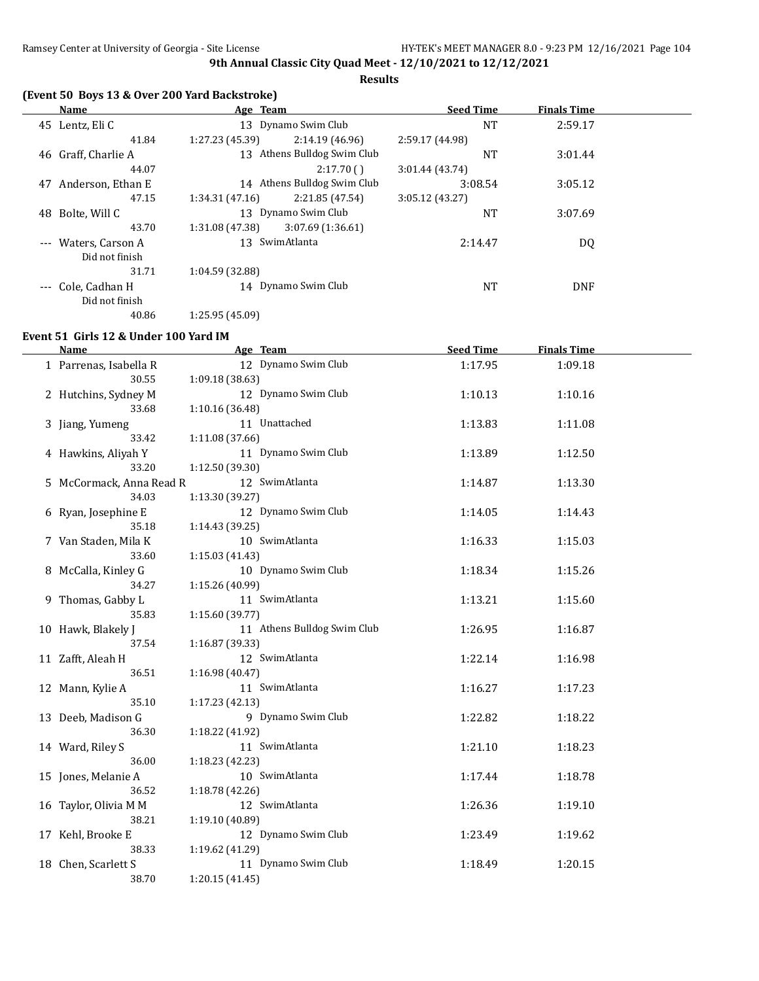**Results**

# **(Event 50 Boys 13 & Over 200 Yard Backstroke)**

|    | Name                 | Age Team            |                             | <b>Seed Time</b> | <b>Finals Time</b> |  |
|----|----------------------|---------------------|-----------------------------|------------------|--------------------|--|
|    | 45 Lentz, Eli C      | 13 Dynamo Swim Club |                             | <b>NT</b>        | 2:59.17            |  |
|    | 41.84                | 1:27.23 (45.39)     | 2:14.19(46.96)              | 2:59.17 (44.98)  |                    |  |
|    | 46 Graff, Charlie A  |                     | 13 Athens Bulldog Swim Club | NT               | 3:01.44            |  |
|    | 44.07                |                     | 2:17.70()                   | 3:01.44(43.74)   |                    |  |
| 47 | Anderson, Ethan E    |                     | 14 Athens Bulldog Swim Club | 3:08.54          | 3:05.12            |  |
|    | 47.15                | 1:34.31(47.16)      | 2:21.85 (47.54)             | 3:05.12(43.27)   |                    |  |
|    | 48 Bolte, Will C     | 13 Dynamo Swim Club |                             | NT               | 3:07.69            |  |
|    | 43.70                | 1:31.08 (47.38)     | 3:07.69(1:36.61)            |                  |                    |  |
|    | --- Waters, Carson A | 13 SwimAtlanta      |                             | 2:14.47          | DQ                 |  |
|    | Did not finish       |                     |                             |                  |                    |  |
|    | 31.71                | 1:04.59 (32.88)     |                             |                  |                    |  |
|    | Cole, Cadhan H       | 14 Dynamo Swim Club |                             | <b>NT</b>        | <b>DNF</b>         |  |
|    | Did not finish       |                     |                             |                  |                    |  |
|    | 40.86                | 1:25.95 (45.09)     |                             |                  |                    |  |

# **Event 51 Girls 12 & Under 100 Yard IM**

 $\overline{a}$ 

| <b>Name</b>              |                 | Age Team                    | <b>Seed Time</b> | <b>Finals Time</b> |  |
|--------------------------|-----------------|-----------------------------|------------------|--------------------|--|
| 1 Parrenas, Isabella R   |                 | 12 Dynamo Swim Club         | 1:17.95          | 1:09.18            |  |
| 30.55                    | 1:09.18 (38.63) |                             |                  |                    |  |
| 2 Hutchins, Sydney M     |                 | 12 Dynamo Swim Club         | 1:10.13          | 1:10.16            |  |
| 33.68                    | 1:10.16 (36.48) |                             |                  |                    |  |
| 3 Jiang, Yumeng          |                 | 11 Unattached               | 1:13.83          | 1:11.08            |  |
| 33.42                    | 1:11.08 (37.66) |                             |                  |                    |  |
| 4 Hawkins, Aliyah Y      |                 | 11 Dynamo Swim Club         | 1:13.89          | 1:12.50            |  |
| 33.20                    | 1:12.50 (39.30) |                             |                  |                    |  |
| 5 McCormack, Anna Read R |                 | 12 SwimAtlanta              | 1:14.87          | 1:13.30            |  |
| 34.03                    | 1:13.30 (39.27) |                             |                  |                    |  |
| 6 Ryan, Josephine E      |                 | 12 Dynamo Swim Club         | 1:14.05          | 1:14.43            |  |
| 35.18                    | 1:14.43 (39.25) |                             |                  |                    |  |
| 7 Van Staden, Mila K     |                 | 10 SwimAtlanta              | 1:16.33          | 1:15.03            |  |
| 33.60                    | 1:15.03 (41.43) |                             |                  |                    |  |
| 8 McCalla, Kinley G      |                 | 10 Dynamo Swim Club         | 1:18.34          | 1:15.26            |  |
| 34.27                    | 1:15.26 (40.99) |                             |                  |                    |  |
| 9 Thomas, Gabby L        |                 | 11 SwimAtlanta              | 1:13.21          | 1:15.60            |  |
| 35.83                    | 1:15.60 (39.77) |                             |                  |                    |  |
| 10 Hawk, Blakely J       |                 | 11 Athens Bulldog Swim Club | 1:26.95          | 1:16.87            |  |
| 37.54                    | 1:16.87 (39.33) |                             |                  |                    |  |
| 11 Zafft, Aleah H        |                 | 12 SwimAtlanta              | 1:22.14          | 1:16.98            |  |
| 36.51                    | 1:16.98 (40.47) |                             |                  |                    |  |
| 12 Mann, Kylie A         |                 | 11 SwimAtlanta              | 1:16.27          | 1:17.23            |  |
| 35.10                    | 1:17.23 (42.13) |                             |                  |                    |  |
| 13 Deeb, Madison G       |                 | 9 Dynamo Swim Club          | 1:22.82          | 1:18.22            |  |
| 36.30                    | 1:18.22 (41.92) |                             |                  |                    |  |
| 14 Ward, Riley S         |                 | 11 SwimAtlanta              | 1:21.10          | 1:18.23            |  |
| 36.00                    | 1:18.23 (42.23) |                             |                  |                    |  |
| 15 Jones, Melanie A      |                 | 10 SwimAtlanta              | 1:17.44          | 1:18.78            |  |
| 36.52                    | 1:18.78 (42.26) |                             |                  |                    |  |
| 16 Taylor, Olivia M M    |                 | 12 SwimAtlanta              | 1:26.36          | 1:19.10            |  |
| 38.21                    | 1:19.10 (40.89) |                             |                  |                    |  |
| 17 Kehl, Brooke E        |                 | 12 Dynamo Swim Club         | 1:23.49          | 1:19.62            |  |
| 38.33                    | 1:19.62 (41.29) |                             |                  |                    |  |
| 18 Chen, Scarlett S      |                 | 11 Dynamo Swim Club         | 1:18.49          | 1:20.15            |  |
| 38.70                    | 1:20.15 (41.45) |                             |                  |                    |  |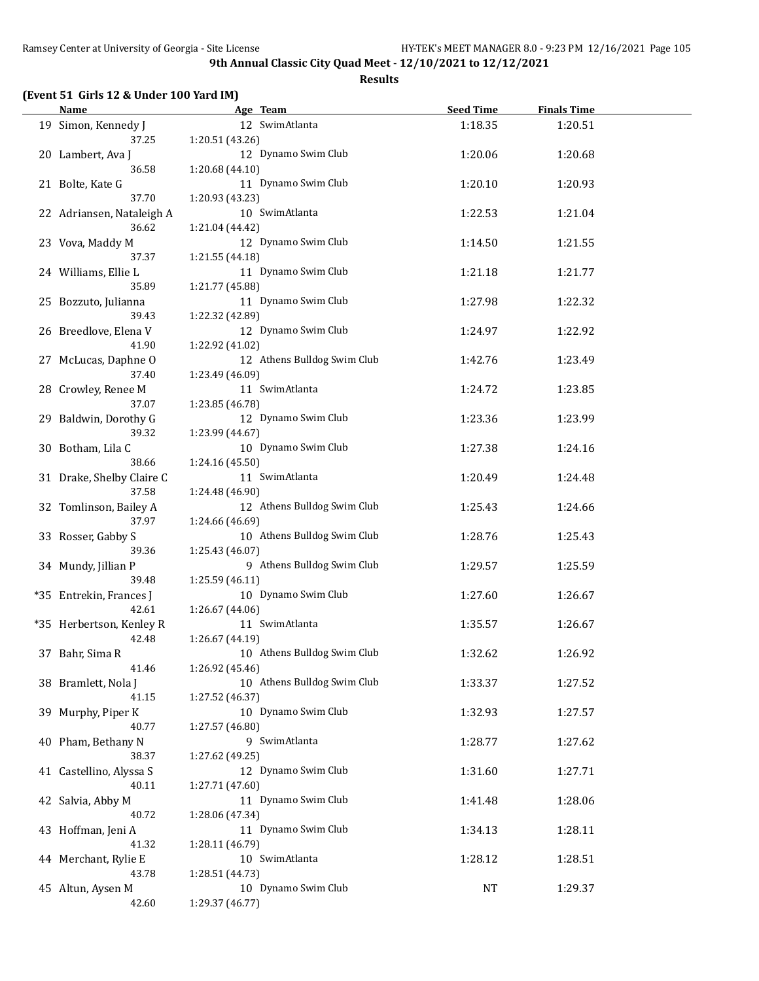|  |  |  | (Event 51 Girls 12 & Under 100 Yard IM) |
|--|--|--|-----------------------------------------|
|--|--|--|-----------------------------------------|

| Name                                  | Age Team                                                  | <b>Seed Time</b> | <b>Finals Time</b> |  |
|---------------------------------------|-----------------------------------------------------------|------------------|--------------------|--|
| 19 Simon, Kennedy J<br>37.25          | 12 SwimAtlanta                                            | 1:18.35          | 1:20.51            |  |
| 20 Lambert, Ava J                     | 1:20.51 (43.26)<br>12 Dynamo Swim Club                    | 1:20.06          | 1:20.68            |  |
| 36.58<br>21 Bolte, Kate G             | 1:20.68 (44.10)<br>11 Dynamo Swim Club                    | 1:20.10          | 1:20.93            |  |
| 37.70<br>22 Adriansen, Nataleigh A    | 1:20.93 (43.23)<br>10 SwimAtlanta                         | 1:22.53          | 1:21.04            |  |
| 36.62<br>23 Vova, Maddy M             | 1:21.04 (44.42)<br>12 Dynamo Swim Club                    | 1:14.50          | 1:21.55            |  |
| 37.37<br>24 Williams, Ellie L         | 1:21.55 (44.18)<br>11 Dynamo Swim Club                    | 1:21.18          | 1:21.77            |  |
| 35.89<br>25 Bozzuto, Julianna         | 1:21.77 (45.88)<br>11 Dynamo Swim Club                    | 1:27.98          | 1:22.32            |  |
| 39.43<br>26 Breedlove, Elena V        | 1:22.32 (42.89)<br>12 Dynamo Swim Club                    | 1:24.97          | 1:22.92            |  |
| 41.90<br>27 McLucas, Daphne O         | 1:22.92 (41.02)<br>12 Athens Bulldog Swim Club            | 1:42.76          | 1:23.49            |  |
| 37.40<br>28 Crowley, Renee M<br>37.07 | 1:23.49 (46.09)<br>11 SwimAtlanta                         | 1:24.72          | 1:23.85            |  |
| 29 Baldwin, Dorothy G<br>39.32        | 1:23.85 (46.78)<br>12 Dynamo Swim Club<br>1:23.99 (44.67) | 1:23.36          | 1:23.99            |  |
| 30 Botham, Lila C<br>38.66            | 10 Dynamo Swim Club<br>1:24.16 (45.50)                    | 1:27.38          | 1:24.16            |  |
| 31 Drake, Shelby Claire C<br>37.58    | 11 SwimAtlanta<br>1:24.48 (46.90)                         | 1:20.49          | 1:24.48            |  |
| 32 Tomlinson, Bailey A<br>37.97       | 12 Athens Bulldog Swim Club<br>1:24.66 (46.69)            | 1:25.43          | 1:24.66            |  |
| 33 Rosser, Gabby S<br>39.36           | 10 Athens Bulldog Swim Club<br>1:25.43 (46.07)            | 1:28.76          | 1:25.43            |  |
| 34 Mundy, Jillian P<br>39.48          | 9 Athens Bulldog Swim Club<br>1:25.59 (46.11)             | 1:29.57          | 1:25.59            |  |
| *35 Entrekin, Frances J<br>42.61      | 10 Dynamo Swim Club<br>1:26.67 (44.06)                    | 1:27.60          | 1:26.67            |  |
| *35 Herbertson, Kenley R<br>42.48     | 11 SwimAtlanta<br>1:26.67 (44.19)                         | 1:35.57          | 1:26.67            |  |
| 37 Bahr, Sima R<br>41.46              | 10 Athens Bulldog Swim Club<br>1:26.92 (45.46)            | 1:32.62          | 1:26.92            |  |
| 38 Bramlett, Nola J<br>41.15          | 10 Athens Bulldog Swim Club<br>1:27.52 (46.37)            | 1:33.37          | 1:27.52            |  |
| 39 Murphy, Piper K<br>40.77           | 10 Dynamo Swim Club<br>1:27.57 (46.80)                    | 1:32.93          | 1:27.57            |  |
| 40 Pham, Bethany N<br>38.37           | 9 SwimAtlanta<br>1:27.62 (49.25)                          | 1:28.77          | 1:27.62            |  |
| 41 Castellino, Alyssa S<br>40.11      | 12 Dynamo Swim Club<br>1:27.71 (47.60)                    | 1:31.60          | 1:27.71            |  |
| 42 Salvia, Abby M<br>40.72            | 11 Dynamo Swim Club<br>1:28.06 (47.34)                    | 1:41.48          | 1:28.06            |  |
| 43 Hoffman, Jeni A<br>41.32           | 11 Dynamo Swim Club<br>1:28.11 (46.79)                    | 1:34.13          | 1:28.11            |  |
| 44 Merchant, Rylie E<br>43.78         | 10 SwimAtlanta<br>1:28.51 (44.73)                         | 1:28.12          | 1:28.51            |  |
| 45 Altun, Aysen M<br>42.60            | 10 Dynamo Swim Club<br>1:29.37 (46.77)                    | NT               | 1:29.37            |  |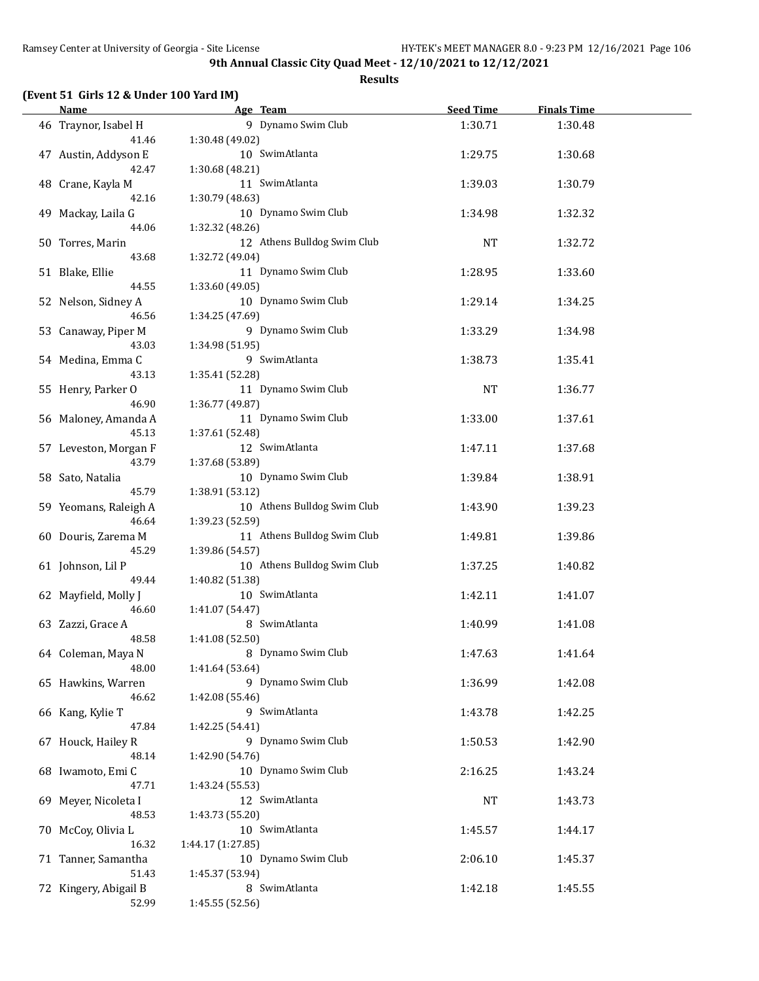**Results**

### **(Event 51 Girls 12 & Under 100 Yard IM)**

| Name and the state of the state of the state of the state of the state of the state of the state of the state of the state of the state of the state of the state of the state of the state of the state of the state of the s | Age Team                         | Seed Time | <b>Finals Time</b> |  |
|--------------------------------------------------------------------------------------------------------------------------------------------------------------------------------------------------------------------------------|----------------------------------|-----------|--------------------|--|
| 46 Traynor, Isabel H                                                                                                                                                                                                           | 9 Dynamo Swim Club               | 1:30.71   | 1:30.48            |  |
| 41.46                                                                                                                                                                                                                          | 1:30.48 (49.02)                  |           |                    |  |
| 47 Austin, Addyson E                                                                                                                                                                                                           | 10 SwimAtlanta                   | 1:29.75   | 1:30.68            |  |
| 42.47                                                                                                                                                                                                                          | 1:30.68 (48.21)                  |           |                    |  |
| 48 Crane, Kayla M                                                                                                                                                                                                              | 11 SwimAtlanta                   | 1:39.03   | 1:30.79            |  |
| 42.16                                                                                                                                                                                                                          | 1:30.79 (48.63)                  |           |                    |  |
| 49 Mackay, Laila G                                                                                                                                                                                                             | 10 Dynamo Swim Club              | 1:34.98   | 1:32.32            |  |
| 44.06                                                                                                                                                                                                                          | 1:32.32 (48.26)                  |           |                    |  |
| 50 Torres, Marin                                                                                                                                                                                                               | 12 Athens Bulldog Swim Club      | <b>NT</b> | 1:32.72            |  |
| 43.68                                                                                                                                                                                                                          | 1:32.72 (49.04)                  |           |                    |  |
| 51 Blake, Ellie                                                                                                                                                                                                                | 11 Dynamo Swim Club              | 1:28.95   | 1:33.60            |  |
| 44.55                                                                                                                                                                                                                          | 1:33.60 (49.05)                  |           |                    |  |
| 52 Nelson, Sidney A                                                                                                                                                                                                            | 10 Dynamo Swim Club              | 1:29.14   | 1:34.25            |  |
| 46.56                                                                                                                                                                                                                          | 1:34.25 (47.69)                  |           |                    |  |
| 53 Canaway, Piper M                                                                                                                                                                                                            | 9 Dynamo Swim Club               | 1:33.29   | 1:34.98            |  |
| 43.03                                                                                                                                                                                                                          | 1:34.98 (51.95)                  |           |                    |  |
| 54 Medina, Emma C                                                                                                                                                                                                              | 9 SwimAtlanta                    | 1:38.73   | 1:35.41            |  |
| 43.13                                                                                                                                                                                                                          | 1:35.41 (52.28)                  |           |                    |  |
| 55 Henry, Parker O                                                                                                                                                                                                             | 11 Dynamo Swim Club              | <b>NT</b> | 1:36.77            |  |
| 46.90                                                                                                                                                                                                                          | 1:36.77 (49.87)                  |           |                    |  |
| 56 Maloney, Amanda A                                                                                                                                                                                                           | 11 Dynamo Swim Club              | 1:33.00   | 1:37.61            |  |
| 45.13                                                                                                                                                                                                                          | 1:37.61 (52.48)                  |           |                    |  |
| 57 Leveston, Morgan F                                                                                                                                                                                                          | 12 SwimAtlanta                   | 1:47.11   | 1:37.68            |  |
| 43.79                                                                                                                                                                                                                          | 1:37.68 (53.89)                  |           |                    |  |
| 58 Sato, Natalia                                                                                                                                                                                                               | 10 Dynamo Swim Club              | 1:39.84   | 1:38.91            |  |
| 45.79                                                                                                                                                                                                                          | 1:38.91 (53.12)                  |           |                    |  |
| 59 Yeomans, Raleigh A                                                                                                                                                                                                          | 10 Athens Bulldog Swim Club      | 1:43.90   | 1:39.23            |  |
| 46.64                                                                                                                                                                                                                          | 1:39.23 (52.59)                  |           |                    |  |
| 60 Douris, Zarema M                                                                                                                                                                                                            | 11 Athens Bulldog Swim Club      | 1:49.81   | 1:39.86            |  |
| 45.29                                                                                                                                                                                                                          | 1:39.86 (54.57)                  |           |                    |  |
| 61 Johnson, Lil P                                                                                                                                                                                                              | 10 Athens Bulldog Swim Club      | 1:37.25   | 1:40.82            |  |
| 49.44                                                                                                                                                                                                                          | 1:40.82 (51.38)                  |           |                    |  |
| 62 Mayfield, Molly J<br>46.60                                                                                                                                                                                                  | 10 SwimAtlanta                   | 1:42.11   | 1:41.07            |  |
|                                                                                                                                                                                                                                | 1:41.07 (54.47)<br>8 SwimAtlanta | 1:40.99   | 1:41.08            |  |
| 63 Zazzi, Grace A<br>48.58                                                                                                                                                                                                     | 1:41.08 (52.50)                  |           |                    |  |
| 64 Coleman, Maya N                                                                                                                                                                                                             | 8 Dynamo Swim Club               | 1:47.63   | 1:41.64            |  |
| 48.00                                                                                                                                                                                                                          | 1:41.64 (53.64)                  |           |                    |  |
| 65 Hawkins, Warren                                                                                                                                                                                                             | 9 Dynamo Swim Club               | 1:36.99   | 1:42.08            |  |
| 46.62                                                                                                                                                                                                                          | 1:42.08 (55.46)                  |           |                    |  |
| 66 Kang, Kylie T                                                                                                                                                                                                               | 9 SwimAtlanta                    | 1:43.78   | 1:42.25            |  |
| 47.84                                                                                                                                                                                                                          | 1:42.25 (54.41)                  |           |                    |  |
| 67 Houck, Hailey R                                                                                                                                                                                                             | 9 Dynamo Swim Club               | 1:50.53   | 1:42.90            |  |
| 48.14                                                                                                                                                                                                                          | 1:42.90 (54.76)                  |           |                    |  |
| 68 Iwamoto, Emi C                                                                                                                                                                                                              | 10 Dynamo Swim Club              | 2:16.25   | 1:43.24            |  |
| 47.71                                                                                                                                                                                                                          | 1:43.24 (55.53)                  |           |                    |  |
| 69 Meyer, Nicoleta I                                                                                                                                                                                                           | 12 SwimAtlanta                   | NT        | 1:43.73            |  |
| 48.53                                                                                                                                                                                                                          | 1:43.73 (55.20)                  |           |                    |  |
| 70 McCoy, Olivia L                                                                                                                                                                                                             | 10 SwimAtlanta                   | 1:45.57   | 1:44.17            |  |
| 16.32                                                                                                                                                                                                                          | 1:44.17 (1:27.85)                |           |                    |  |
| 71 Tanner, Samantha                                                                                                                                                                                                            | 10 Dynamo Swim Club              | 2:06.10   | 1:45.37            |  |
| 51.43                                                                                                                                                                                                                          | 1:45.37 (53.94)                  |           |                    |  |
| 72 Kingery, Abigail B                                                                                                                                                                                                          | 8 SwimAtlanta                    | 1:42.18   | 1:45.55            |  |
| 52.99                                                                                                                                                                                                                          | 1:45.55 (52.56)                  |           |                    |  |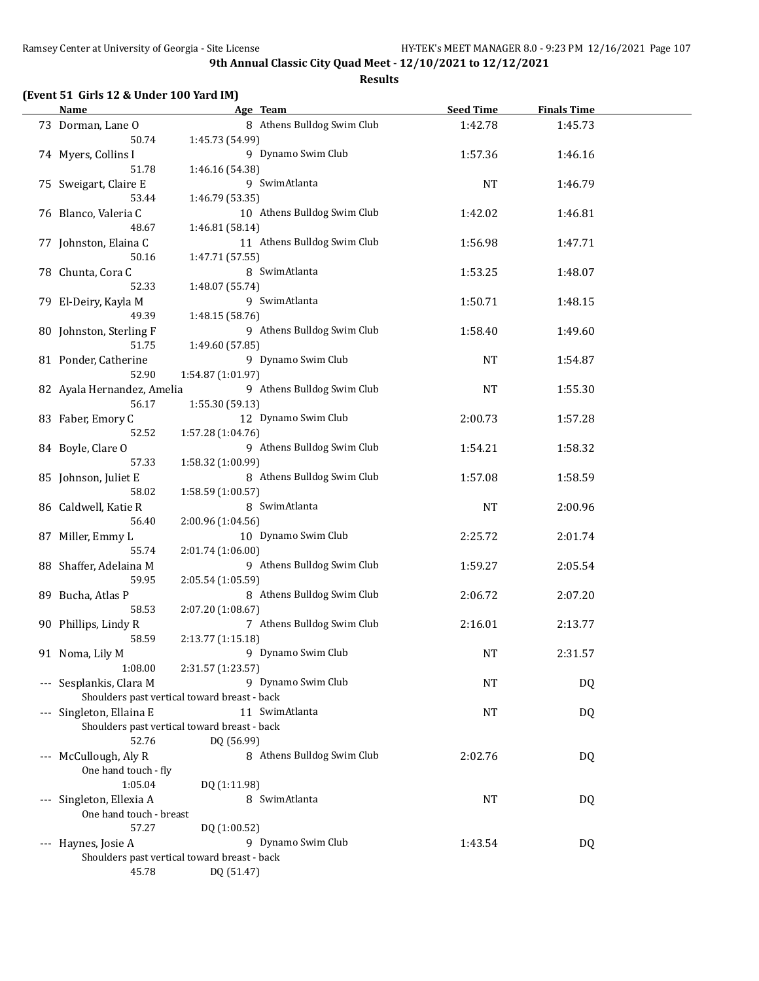| (Event 51 Girls 12 & Under 100 Yard IM) |  |  |  |  |
|-----------------------------------------|--|--|--|--|
|-----------------------------------------|--|--|--|--|

| <b>Name</b>                |                                              | Age Team                    | <b>Seed Time</b> | <b>Finals Time</b> |  |
|----------------------------|----------------------------------------------|-----------------------------|------------------|--------------------|--|
| 73 Dorman, Lane O          |                                              | 8 Athens Bulldog Swim Club  | 1:42.78          | 1:45.73            |  |
| 50.74                      | 1:45.73 (54.99)                              |                             |                  |                    |  |
| 74 Myers, Collins I        |                                              | 9 Dynamo Swim Club          | 1:57.36          | 1:46.16            |  |
| 51.78                      | 1:46.16 (54.38)                              |                             |                  |                    |  |
|                            |                                              | 9 SwimAtlanta               |                  |                    |  |
| 75 Sweigart, Claire E      |                                              |                             | <b>NT</b>        | 1:46.79            |  |
| 53.44                      | 1:46.79 (53.35)                              |                             |                  |                    |  |
| 76 Blanco, Valeria C       |                                              | 10 Athens Bulldog Swim Club | 1:42.02          | 1:46.81            |  |
| 48.67                      | 1:46.81 (58.14)                              |                             |                  |                    |  |
| 77 Johnston, Elaina C      |                                              | 11 Athens Bulldog Swim Club | 1:56.98          | 1:47.71            |  |
| 50.16                      | 1:47.71 (57.55)                              |                             |                  |                    |  |
| 78 Chunta, Cora C          |                                              | 8 SwimAtlanta               | 1:53.25          | 1:48.07            |  |
| 52.33                      | 1:48.07 (55.74)                              |                             |                  |                    |  |
| 79 El-Deiry, Kayla M       |                                              | 9 SwimAtlanta               | 1:50.71          | 1:48.15            |  |
| 49.39                      | 1:48.15 (58.76)                              |                             |                  |                    |  |
| 80 Johnston, Sterling F    |                                              | 9 Athens Bulldog Swim Club  | 1:58.40          | 1:49.60            |  |
| 51.75                      | 1:49.60 (57.85)                              |                             |                  |                    |  |
| 81 Ponder, Catherine       |                                              | 9 Dynamo Swim Club          | <b>NT</b>        | 1:54.87            |  |
| 52.90                      | 1:54.87 (1:01.97)                            |                             |                  |                    |  |
| 82 Ayala Hernandez, Amelia |                                              | 9 Athens Bulldog Swim Club  | NT               |                    |  |
|                            |                                              |                             |                  | 1:55.30            |  |
| 56.17                      | 1:55.30 (59.13)                              |                             |                  |                    |  |
| 83 Faber, Emory C          |                                              | 12 Dynamo Swim Club         | 2:00.73          | 1:57.28            |  |
| 52.52                      | 1:57.28 (1:04.76)                            |                             |                  |                    |  |
| 84 Boyle, Clare O          |                                              | 9 Athens Bulldog Swim Club  | 1:54.21          | 1:58.32            |  |
| 57.33                      | 1:58.32 (1:00.99)                            |                             |                  |                    |  |
| 85 Johnson, Juliet E       |                                              | 8 Athens Bulldog Swim Club  | 1:57.08          | 1:58.59            |  |
| 58.02                      | 1:58.59 (1:00.57)                            |                             |                  |                    |  |
| 86 Caldwell, Katie R       |                                              | 8 SwimAtlanta               | <b>NT</b>        | 2:00.96            |  |
| 56.40                      | 2:00.96 (1:04.56)                            |                             |                  |                    |  |
| 87 Miller, Emmy L          |                                              | 10 Dynamo Swim Club         | 2:25.72          | 2:01.74            |  |
| 55.74                      | 2:01.74 (1:06.00)                            |                             |                  |                    |  |
| 88 Shaffer, Adelaina M     |                                              | 9 Athens Bulldog Swim Club  | 1:59.27          | 2:05.54            |  |
| 59.95                      | 2:05.54 (1:05.59)                            |                             |                  |                    |  |
| 89 Bucha, Atlas P          |                                              | 8 Athens Bulldog Swim Club  | 2:06.72          | 2:07.20            |  |
| 58.53                      | 2:07.20 (1:08.67)                            |                             |                  |                    |  |
|                            |                                              | 7 Athens Bulldog Swim Club  |                  |                    |  |
| 90 Phillips, Lindy R       |                                              |                             | 2:16.01          | 2:13.77            |  |
| 58.59                      | 2:13.77 (1:15.18)                            |                             |                  |                    |  |
| 91 Noma, Lily M            |                                              | 9 Dynamo Swim Club          | <b>NT</b>        | 2:31.57            |  |
| 1:08.00                    | 2:31.57 (1:23.57)                            |                             |                  |                    |  |
| --- Sesplankis, Clara M    |                                              | 9 Dynamo Swim Club          | NT               | DQ                 |  |
|                            | Shoulders past vertical toward breast - back |                             |                  |                    |  |
| Singleton, Ellaina E       |                                              | 11 SwimAtlanta              | NT               | DQ                 |  |
|                            | Shoulders past vertical toward breast - back |                             |                  |                    |  |
| 52.76                      | DQ (56.99)                                   |                             |                  |                    |  |
| --- McCullough, Aly R      |                                              | 8 Athens Bulldog Swim Club  | 2:02.76          | DQ                 |  |
| One hand touch - fly       |                                              |                             |                  |                    |  |
| 1:05.04                    | DQ (1:11.98)                                 |                             |                  |                    |  |
| --- Singleton, Ellexia A   |                                              | 8 SwimAtlanta               | <b>NT</b>        | DQ                 |  |
| One hand touch - breast    |                                              |                             |                  |                    |  |
| 57.27                      | DQ (1:00.52)                                 |                             |                  |                    |  |
| --- Haynes, Josie A        |                                              | 9 Dynamo Swim Club          | 1:43.54          | DQ                 |  |
|                            | Shoulders past vertical toward breast - back |                             |                  |                    |  |
|                            |                                              |                             |                  |                    |  |
| 45.78                      | DQ (51.47)                                   |                             |                  |                    |  |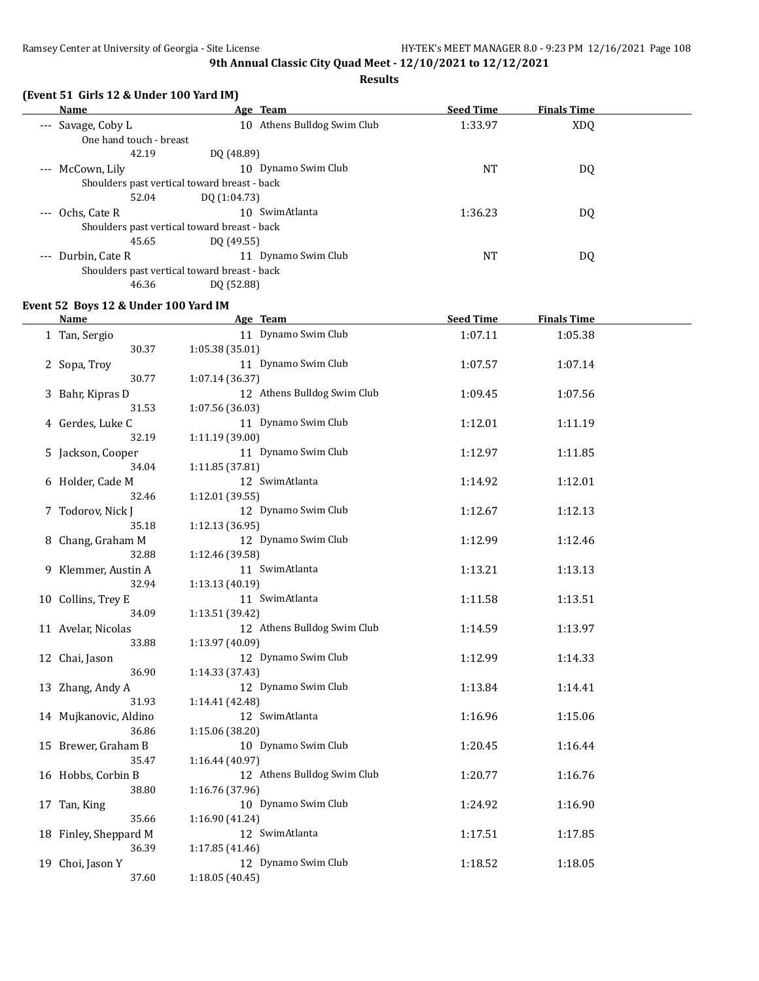**Results**

| (Event 51 Girls 12 & Under 100 Yard IM) |                             |                  |                    |  |  |  |  |
|-----------------------------------------|-----------------------------|------------------|--------------------|--|--|--|--|
| Name                                    | Age Team                    | <b>Seed Time</b> | <b>Finals Time</b> |  |  |  |  |
| --- Savage, Coby L                      | 10 Athens Bulldog Swim Club | 1:33.97          | XDO.               |  |  |  |  |
| One hand touch - breast                 |                             |                  |                    |  |  |  |  |
| 42.19                                   | DO (48.89)                  |                  |                    |  |  |  |  |

| <u>Une nana wacne bicabe</u> |                                              |           |    |  |
|------------------------------|----------------------------------------------|-----------|----|--|
| 42.19                        | DO (48.89)                                   |           |    |  |
| --- McCown, Lily             | Dynamo Swim Club<br>10                       | NT        | DQ |  |
|                              | Shoulders past vertical toward breast - back |           |    |  |
| 52.04                        | DQ (1:04.73)                                 |           |    |  |
| Ochs, Cate R<br>$---$        | SwimAtlanta<br>10                            | 1:36.23   | DQ |  |
|                              | Shoulders past vertical toward breast - back |           |    |  |
| 45.65                        | DQ (49.55)                                   |           |    |  |
| --- Durbin, Cate R           | Dynamo Swim Club<br>11                       | <b>NT</b> | DQ |  |
|                              | Shoulders past vertical toward breast - back |           |    |  |
| 46.36                        | DO (52.88)                                   |           |    |  |
|                              |                                              |           |    |  |

#### **Event 52 Boys 12 & Under 100 Yard IM**

| Name                  | Age Team                    | <b>Seed Time</b> | <b>Finals Time</b> |  |
|-----------------------|-----------------------------|------------------|--------------------|--|
| 1 Tan, Sergio         | 11 Dynamo Swim Club         | 1:07.11          | 1:05.38            |  |
| 30.37                 | 1:05.38 (35.01)             |                  |                    |  |
| 2 Sopa, Troy          | 11 Dynamo Swim Club         | 1:07.57          | 1:07.14            |  |
| 30.77                 | 1:07.14 (36.37)             |                  |                    |  |
| 3 Bahr, Kipras D      | 12 Athens Bulldog Swim Club | 1:09.45          | 1:07.56            |  |
| 31.53                 | 1:07.56 (36.03)             |                  |                    |  |
| 4 Gerdes, Luke C      | 11 Dynamo Swim Club         | 1:12.01          | 1:11.19            |  |
| 32.19                 | 1:11.19 (39.00)             |                  |                    |  |
| 5 Jackson, Cooper     | 11 Dynamo Swim Club         | 1:12.97          | 1:11.85            |  |
| 34.04                 | 1:11.85 (37.81)             |                  |                    |  |
| 6 Holder, Cade M      | 12 SwimAtlanta              | 1:14.92          | 1:12.01            |  |
| 32.46                 | 1:12.01 (39.55)             |                  |                    |  |
| 7 Todorov, Nick J     | 12 Dynamo Swim Club         | 1:12.67          | 1:12.13            |  |
| 35.18                 | 1:12.13 (36.95)             |                  |                    |  |
| 8 Chang, Graham M     | 12 Dynamo Swim Club         | 1:12.99          | 1:12.46            |  |
| 32.88                 | 1:12.46 (39.58)             |                  |                    |  |
| 9 Klemmer, Austin A   | 11 SwimAtlanta              | 1:13.21          | 1:13.13            |  |
| 32.94                 | 1:13.13 (40.19)             |                  |                    |  |
| 10 Collins, Trey E    | 11 SwimAtlanta              | 1:11.58          | 1:13.51            |  |
| 34.09                 | 1:13.51 (39.42)             |                  |                    |  |
| 11 Avelar, Nicolas    | 12 Athens Bulldog Swim Club | 1:14.59          | 1:13.97            |  |
| 33.88                 | 1:13.97 (40.09)             |                  |                    |  |
| 12 Chai, Jason        | 12 Dynamo Swim Club         | 1:12.99          | 1:14.33            |  |
| 36.90                 | 1:14.33 (37.43)             |                  |                    |  |
| 13 Zhang, Andy A      | 12 Dynamo Swim Club         | 1:13.84          | 1:14.41            |  |
| 31.93                 | 1:14.41 (42.48)             |                  |                    |  |
| 14 Mujkanovic, Aldino | 12 SwimAtlanta              | 1:16.96          | 1:15.06            |  |
| 36.86                 | 1:15.06 (38.20)             |                  |                    |  |
| 15 Brewer, Graham B   | 10 Dynamo Swim Club         | 1:20.45          | 1:16.44            |  |
| 35.47                 | 1:16.44 (40.97)             |                  |                    |  |
| 16 Hobbs, Corbin B    | 12 Athens Bulldog Swim Club | 1:20.77          | 1:16.76            |  |
| 38.80                 | 1:16.76 (37.96)             |                  |                    |  |
| 17 Tan, King          | 10 Dynamo Swim Club         | 1:24.92          | 1:16.90            |  |
| 35.66                 | 1:16.90 (41.24)             |                  |                    |  |
| 18 Finley, Sheppard M | 12 SwimAtlanta              | 1:17.51          | 1:17.85            |  |
| 36.39                 | 1:17.85 (41.46)             |                  |                    |  |
| 19 Choi, Jason Y      | 12 Dynamo Swim Club         | 1:18.52          | 1:18.05            |  |
| 37.60                 | 1:18.05(40.45)              |                  |                    |  |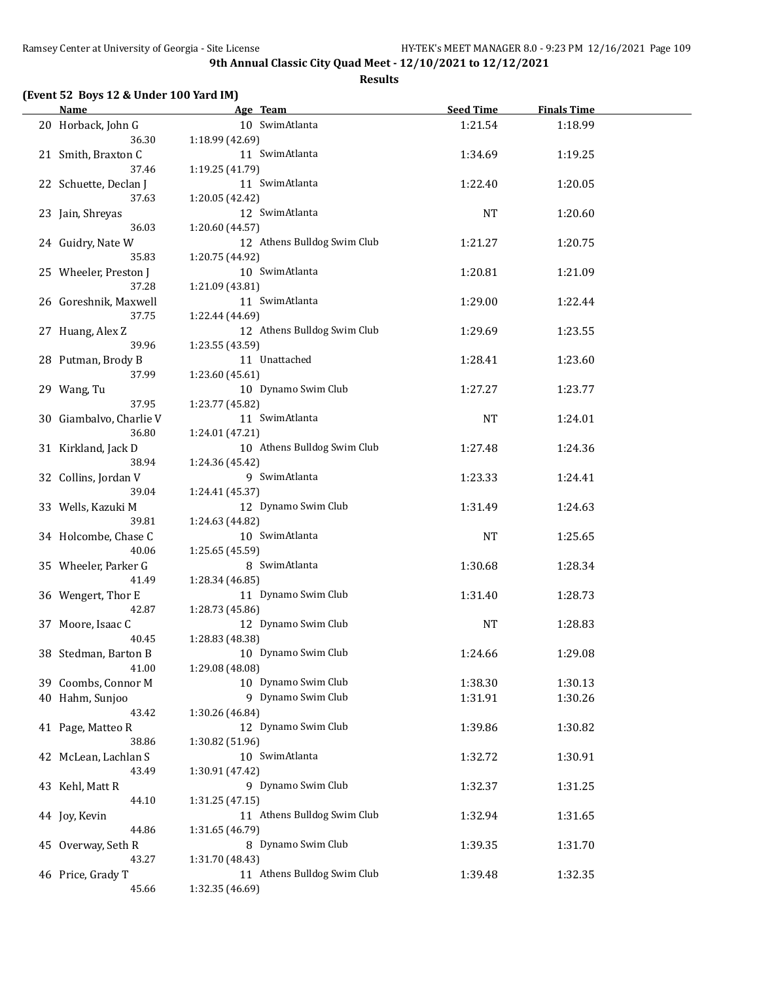**Results**

# **(Event 52 Boys 12 & Under 100 Yard IM)**

| <b>Name</b>             | Age Team                    | <b>Seed Time</b> | <b>Finals Time</b> |  |
|-------------------------|-----------------------------|------------------|--------------------|--|
| 20 Horback, John G      | 10 SwimAtlanta              | 1:21.54          | 1:18.99            |  |
| 36.30                   | 1:18.99 (42.69)             |                  |                    |  |
| 21 Smith, Braxton C     | 11 SwimAtlanta              | 1:34.69          | 1:19.25            |  |
| 37.46                   | 1:19.25 (41.79)             |                  |                    |  |
| 22 Schuette, Declan J   | 11 SwimAtlanta              | 1:22.40          | 1:20.05            |  |
| 37.63                   | 1:20.05 (42.42)             |                  |                    |  |
| 23 Jain, Shreyas        | 12 SwimAtlanta              | NT               | 1:20.60            |  |
| 36.03                   | 1:20.60 (44.57)             |                  |                    |  |
| 24 Guidry, Nate W       | 12 Athens Bulldog Swim Club | 1:21.27          | 1:20.75            |  |
| 35.83                   | 1:20.75 (44.92)             |                  |                    |  |
| 25 Wheeler, Preston J   | 10 SwimAtlanta              | 1:20.81          | 1:21.09            |  |
| 37.28                   | 1:21.09 (43.81)             |                  |                    |  |
| 26 Goreshnik, Maxwell   | 11 SwimAtlanta              | 1:29.00          | 1:22.44            |  |
| 37.75                   | 1:22.44 (44.69)             |                  |                    |  |
| 27 Huang, Alex Z        | 12 Athens Bulldog Swim Club | 1:29.69          | 1:23.55            |  |
| 39.96                   | 1:23.55 (43.59)             |                  |                    |  |
| 28 Putman, Brody B      | 11 Unattached               | 1:28.41          | 1:23.60            |  |
| 37.99                   | 1:23.60 (45.61)             |                  |                    |  |
| 29 Wang, Tu             | 10 Dynamo Swim Club         | 1:27.27          | 1:23.77            |  |
| 37.95                   | 1:23.77 (45.82)             |                  |                    |  |
| 30 Giambalvo, Charlie V | 11 SwimAtlanta              | <b>NT</b>        | 1:24.01            |  |
| 36.80                   | 1:24.01 (47.21)             |                  |                    |  |
| 31 Kirkland, Jack D     | 10 Athens Bulldog Swim Club | 1:27.48          | 1:24.36            |  |
| 38.94                   | 1:24.36 (45.42)             |                  |                    |  |
| 32 Collins, Jordan V    | 9 SwimAtlanta               | 1:23.33          | 1:24.41            |  |
| 39.04                   | 1:24.41 (45.37)             |                  |                    |  |
| 33 Wells, Kazuki M      | 12 Dynamo Swim Club         | 1:31.49          | 1:24.63            |  |
| 39.81                   | 1:24.63 (44.82)             |                  |                    |  |
| 34 Holcombe, Chase C    | 10 SwimAtlanta              | NT               | 1:25.65            |  |
| 40.06                   | 1:25.65 (45.59)             |                  |                    |  |
| 35 Wheeler, Parker G    | 8 SwimAtlanta               | 1:30.68          | 1:28.34            |  |
| 41.49                   | 1:28.34 (46.85)             |                  |                    |  |
| 36 Wengert, Thor E      | 11 Dynamo Swim Club         | 1:31.40          | 1:28.73            |  |
| 42.87                   | 1:28.73 (45.86)             |                  |                    |  |
| 37 Moore, Isaac C       | 12 Dynamo Swim Club         | <b>NT</b>        | 1:28.83            |  |
| 40.45                   | 1:28.83 (48.38)             |                  |                    |  |
| 38 Stedman, Barton B    | 10 Dynamo Swim Club         | 1:24.66          | 1:29.08            |  |
| 41.00                   | 1:29.08 (48.08)             |                  |                    |  |
| 39 Coombs, Connor M     | 10 Dynamo Swim Club         | 1:38.30          | 1:30.13            |  |
| 40 Hahm, Sunjoo         | 9 Dynamo Swim Club          | 1:31.91          | 1:30.26            |  |
| 43.42                   | 1:30.26 (46.84)             |                  |                    |  |
| 41 Page, Matteo R       | 12 Dynamo Swim Club         | 1:39.86          | 1:30.82            |  |
| 38.86                   | 1:30.82 (51.96)             |                  |                    |  |
| 42 McLean, Lachlan S    | 10 SwimAtlanta              | 1:32.72          | 1:30.91            |  |
| 43.49                   | 1:30.91 (47.42)             |                  |                    |  |
| 43 Kehl, Matt R         | 9 Dynamo Swim Club          | 1:32.37          | 1:31.25            |  |
| 44.10                   | 1:31.25 (47.15)             |                  |                    |  |
| 44 Joy, Kevin           | 11 Athens Bulldog Swim Club | 1:32.94          | 1:31.65            |  |
| 44.86                   | 1:31.65 (46.79)             |                  |                    |  |
| 45 Overway, Seth R      | 8 Dynamo Swim Club          | 1:39.35          | 1:31.70            |  |
| 43.27                   | 1:31.70 (48.43)             |                  |                    |  |
| 46 Price, Grady T       | 11 Athens Bulldog Swim Club | 1:39.48          | 1:32.35            |  |
| 45.66                   | 1:32.35 (46.69)             |                  |                    |  |
|                         |                             |                  |                    |  |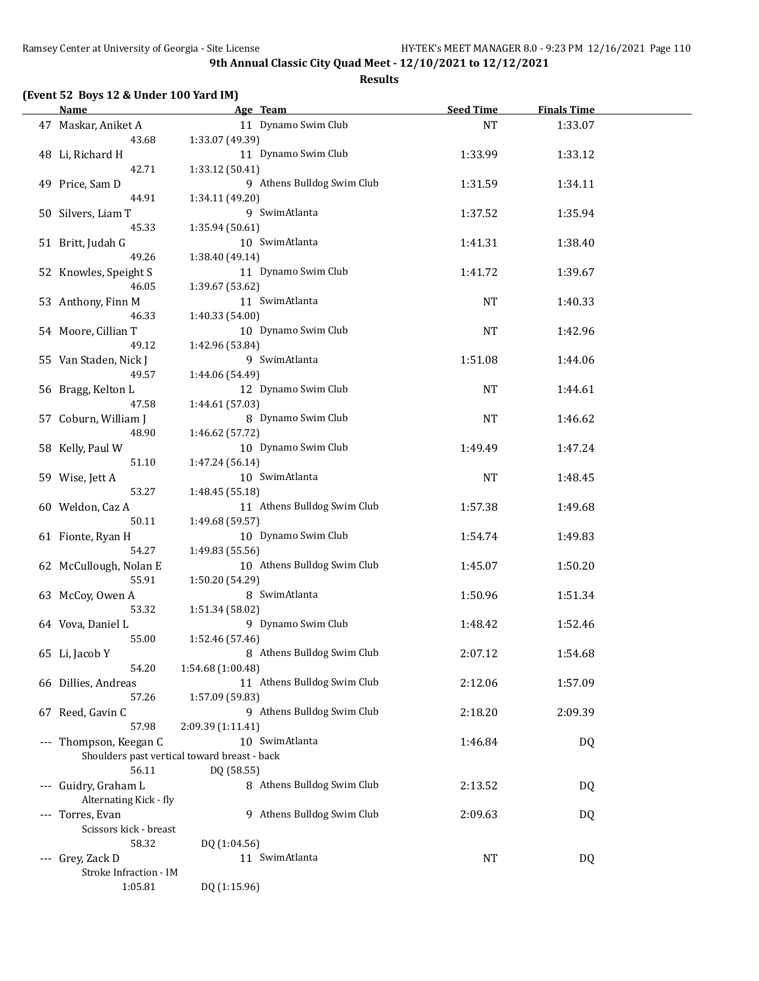## **Results**

|  |  |  | (Event 52 Boys 12 & Under 100 Yard IM) |  |
|--|--|--|----------------------------------------|--|
|--|--|--|----------------------------------------|--|

| Name                                                  |                   | Age Team                    | <b>Seed Time</b> | <b>Finals Time</b> |  |
|-------------------------------------------------------|-------------------|-----------------------------|------------------|--------------------|--|
| 47 Maskar, Aniket A<br>43.68                          | 1:33.07 (49.39)   | 11 Dynamo Swim Club         | <b>NT</b>        | 1:33.07            |  |
| 48 Li, Richard H                                      |                   | 11 Dynamo Swim Club         | 1:33.99          | 1:33.12            |  |
| 42.71<br>49 Price, Sam D                              | 1:33.12 (50.41)   | 9 Athens Bulldog Swim Club  | 1:31.59          | 1:34.11            |  |
| 44.91<br>50 Silvers, Liam T                           | 1:34.11 (49.20)   | 9 SwimAtlanta               | 1:37.52          | 1:35.94            |  |
| 45.33                                                 | 1:35.94 (50.61)   |                             |                  |                    |  |
| 51 Britt, Judah G<br>49.26                            | 1:38.40 (49.14)   | 10 SwimAtlanta              | 1:41.31          | 1:38.40            |  |
| 52 Knowles, Speight S<br>46.05                        | 1:39.67 (53.62)   | 11 Dynamo Swim Club         | 1:41.72          | 1:39.67            |  |
| 53 Anthony, Finn M<br>46.33                           | 1:40.33 (54.00)   | 11 SwimAtlanta              | NT               | 1:40.33            |  |
| 54 Moore, Cillian T                                   |                   | 10 Dynamo Swim Club         | NT               | 1:42.96            |  |
| 49.12                                                 | 1:42.96 (53.84)   |                             |                  |                    |  |
| 55 Van Staden, Nick J<br>49.57                        | 1:44.06 (54.49)   | 9 SwimAtlanta               | 1:51.08          | 1:44.06            |  |
| 56 Bragg, Kelton L<br>47.58                           | 1:44.61 (57.03)   | 12 Dynamo Swim Club         | <b>NT</b>        | 1:44.61            |  |
| 57 Coburn, William J<br>48.90                         | 1:46.62 (57.72)   | 8 Dynamo Swim Club          | <b>NT</b>        | 1:46.62            |  |
| 58 Kelly, Paul W<br>51.10                             | 1:47.24 (56.14)   | 10 Dynamo Swim Club         | 1:49.49          | 1:47.24            |  |
| 59 Wise, Jett A                                       |                   | 10 SwimAtlanta              | NT               | 1:48.45            |  |
| 53.27<br>60 Weldon, Caz A                             | 1:48.45 (55.18)   | 11 Athens Bulldog Swim Club | 1:57.38          | 1:49.68            |  |
| 50.11<br>61 Fionte, Ryan H                            | 1:49.68 (59.57)   | 10 Dynamo Swim Club         | 1:54.74          | 1:49.83            |  |
| 54.27<br>62 McCullough, Nolan E<br>55.91              | 1:49.83 (55.56)   | 10 Athens Bulldog Swim Club | 1:45.07          | 1:50.20            |  |
| 63 McCoy, Owen A                                      | 1:50.20 (54.29)   | 8 SwimAtlanta               | 1:50.96          | 1:51.34            |  |
| 53.32<br>64 Vova, Daniel L                            | 1:51.34 (58.02)   | 9 Dynamo Swim Club          | 1:48.42          | 1:52.46            |  |
| 55.00<br>65 Li, Jacob Y                               | 1:52.46 (57.46)   | 8 Athens Bulldog Swim Club  | 2:07.12          | 1:54.68            |  |
| 54.20<br>66 Dillies, Andreas                          | 1:54.68 (1:00.48) | 11 Athens Bulldog Swim Club | 2:12.06          | 1:57.09            |  |
| 57.26<br>67 Reed, Gavin C                             | 1:57.09 (59.83)   | 9 Athens Bulldog Swim Club  | 2:18.20          | 2:09.39            |  |
| 57.98<br>--- Thompson, Keegan C                       | 2:09.39 (1:11.41) | 10 SwimAtlanta              | 1:46.84          | DQ                 |  |
| Shoulders past vertical toward breast - back<br>56.11 | DQ (58.55)        |                             |                  |                    |  |
| --- Guidry, Graham L                                  |                   | 8 Athens Bulldog Swim Club  | 2:13.52          | DQ                 |  |
| Alternating Kick - fly<br>--- Torres, Evan            |                   | 9 Athens Bulldog Swim Club  | 2:09.63          | DQ                 |  |
| Scissors kick - breast                                |                   |                             |                  |                    |  |
| 58.32                                                 | DQ (1:04.56)      |                             |                  |                    |  |
| --- Grey, Zack D                                      |                   | 11 SwimAtlanta              | NT               | DQ                 |  |
| Stroke Infraction - IM                                |                   |                             |                  |                    |  |
| 1:05.81                                               | DQ (1:15.96)      |                             |                  |                    |  |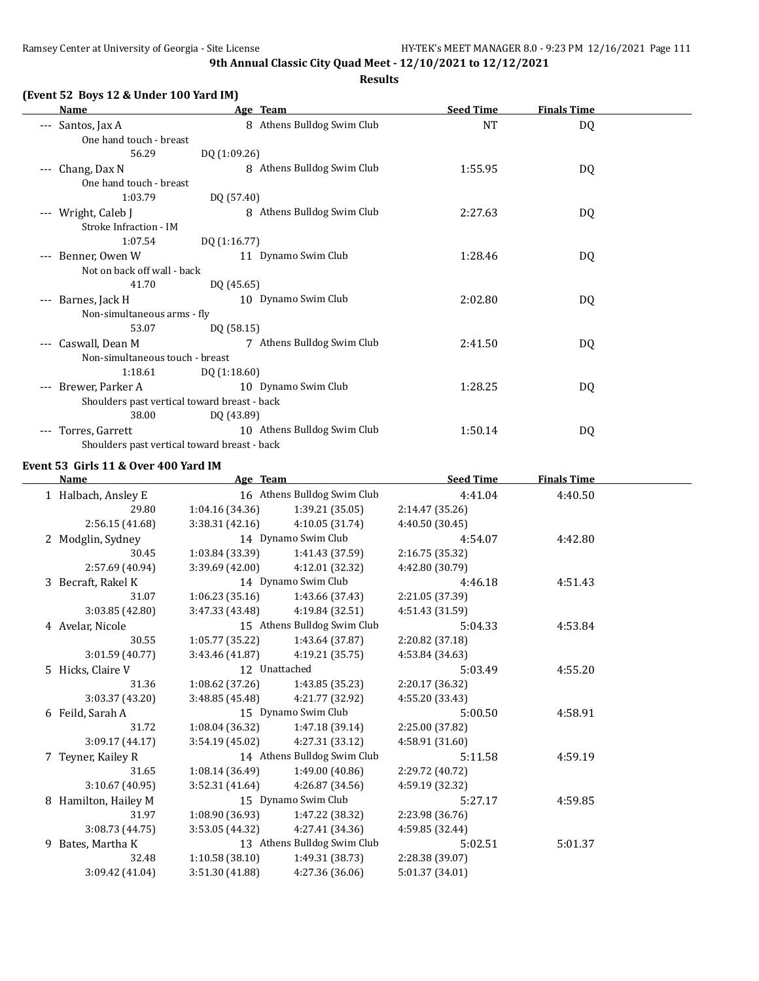**Results**

| (Event 52 Boys 12 & Under 100 Yard IM) |  |
|----------------------------------------|--|
|----------------------------------------|--|

| Name                                    | Age Team                                     | <b>Seed Time</b> | <b>Finals Time</b> |  |
|-----------------------------------------|----------------------------------------------|------------------|--------------------|--|
| Santos, Jax A<br>$---$                  | 8 Athens Bulldog Swim Club                   | <b>NT</b>        | DQ                 |  |
| One hand touch - breast                 |                                              |                  |                    |  |
| 56.29                                   | DQ (1:09.26)                                 |                  |                    |  |
| Chang, Dax N<br>$---$                   | 8 Athens Bulldog Swim Club                   | 1:55.95          | DQ                 |  |
| One hand touch - breast                 |                                              |                  |                    |  |
| 1:03.79                                 | DQ (57.40)                                   |                  |                    |  |
| Wright, Caleb J<br>$---$                | 8 Athens Bulldog Swim Club                   | 2:27.63          | DQ                 |  |
| Stroke Infraction - IM                  |                                              |                  |                    |  |
| 1:07.54                                 | DQ (1:16.77)                                 |                  |                    |  |
| Benner, Owen W<br>$\qquad \qquad - -$   | 11 Dynamo Swim Club                          | 1:28.46          | DQ                 |  |
| Not on back off wall - back             |                                              |                  |                    |  |
| 41.70                                   | DQ (45.65)                                   |                  |                    |  |
| Barnes, Jack H<br>$\qquad \qquad - -$   | 10 Dynamo Swim Club                          | 2:02.80          | DQ                 |  |
| Non-simultaneous arms - fly             |                                              |                  |                    |  |
| 53.07                                   | DQ (58.15)                                   |                  |                    |  |
| Caswall, Dean M<br>$\qquad \qquad - -$  | 7 Athens Bulldog Swim Club                   | 2:41.50          | DQ                 |  |
| Non-simultaneous touch - breast         |                                              |                  |                    |  |
| 1:18.61                                 | DQ (1:18.60)                                 |                  |                    |  |
| Brewer, Parker A<br>$\qquad \qquad - -$ | 10 Dynamo Swim Club                          | 1:28.25          | DQ                 |  |
|                                         | Shoulders past vertical toward breast - back |                  |                    |  |
| 38.00                                   | DQ (43.89)                                   |                  |                    |  |
| Torres, Garrett<br>$\qquad \qquad -$    | 10 Athens Bulldog Swim Club                  | 1:50.14          | DQ                 |  |

Shoulders past vertical toward breast - back

# **Event 53 Girls 11 & Over 400 Yard IM**

 $\mathbb{R}$ 

|   | <b>Name</b>         | Age Team        |                             | <b>Seed Time</b> | <b>Finals Time</b> |  |
|---|---------------------|-----------------|-----------------------------|------------------|--------------------|--|
|   | 1 Halbach, Ansley E |                 | 16 Athens Bulldog Swim Club | 4:41.04          | 4:40.50            |  |
|   | 29.80               | 1:04.16 (34.36) | 1:39.21 (35.05)             | 2:14.47 (35.26)  |                    |  |
|   | 2:56.15(41.68)      | 3:38.31 (42.16) | 4:10.05 (31.74)             | 4:40.50 (30.45)  |                    |  |
|   | 2 Modglin, Sydney   |                 | 14 Dynamo Swim Club         | 4:54.07          | 4:42.80            |  |
|   | 30.45               | 1:03.84 (33.39) | 1:41.43 (37.59)             | 2:16.75 (35.32)  |                    |  |
|   | 2:57.69 (40.94)     | 3:39.69(42.00)  | 4:12.01 (32.32)             | 4:42.80 (30.79)  |                    |  |
|   | 3 Becraft, Rakel K  |                 | 14 Dynamo Swim Club         | 4:46.18          | 4:51.43            |  |
|   | 31.07               | 1:06.23(35.16)  | 1:43.66 (37.43)             | 2:21.05 (37.39)  |                    |  |
|   | 3:03.85 (42.80)     | 3:47.33 (43.48) | 4:19.84 (32.51)             | 4:51.43 (31.59)  |                    |  |
|   | 4 Avelar, Nicole    |                 | 15 Athens Bulldog Swim Club | 5:04.33          | 4:53.84            |  |
|   | 30.55               | 1:05.77 (35.22) | 1:43.64 (37.87)             | 2:20.82 (37.18)  |                    |  |
|   | 3:01.59 (40.77)     | 3:43.46 (41.87) | 4:19.21 (35.75)             | 4:53.84 (34.63)  |                    |  |
|   | 5 Hicks, Claire V   | 12 Unattached   |                             | 5:03.49          | 4:55.20            |  |
|   | 31.36               | 1:08.62 (37.26) | 1:43.85 (35.23)             | 2:20.17 (36.32)  |                    |  |
|   | 3:03.37 (43.20)     | 3:48.85 (45.48) | 4:21.77 (32.92)             | 4:55.20 (33.43)  |                    |  |
|   | 6 Feild, Sarah A    |                 | 15 Dynamo Swim Club         | 5:00.50          | 4:58.91            |  |
|   | 31.72               | 1:08.04 (36.32) | 1:47.18 (39.14)             | 2:25.00 (37.82)  |                    |  |
|   | 3:09.17(44.17)      | 3:54.19(45.02)  | 4:27.31 (33.12)             | 4:58.91 (31.60)  |                    |  |
|   | 7 Teyner, Kailey R  |                 | 14 Athens Bulldog Swim Club | 5:11.58          | 4:59.19            |  |
|   | 31.65               | 1:08.14(36.49)  | 1:49.00 (40.86)             | 2:29.72 (40.72)  |                    |  |
|   | 3:10.67 (40.95)     | 3:52.31(41.64)  | 4:26.87 (34.56)             | 4:59.19 (32.32)  |                    |  |
| 8 | Hamilton, Hailey M  |                 | 15 Dynamo Swim Club         | 5:27.17          | 4:59.85            |  |
|   | 31.97               | 1:08.90 (36.93) | 1:47.22 (38.32)             | 2:23.98 (36.76)  |                    |  |
|   | 3:08.73 (44.75)     | 3:53.05 (44.32) | 4:27.41 (34.36)             | 4:59.85 (32.44)  |                    |  |
| 9 | Bates, Martha K     |                 | 13 Athens Bulldog Swim Club | 5:02.51          | 5:01.37            |  |
|   | 32.48               | 1:10.58(38.10)  | 1:49.31 (38.73)             | 2:28.38 (39.07)  |                    |  |
|   | 3:09.42 (41.04)     | 3:51.30 (41.88) | 4:27.36 (36.06)             | 5:01.37 (34.01)  |                    |  |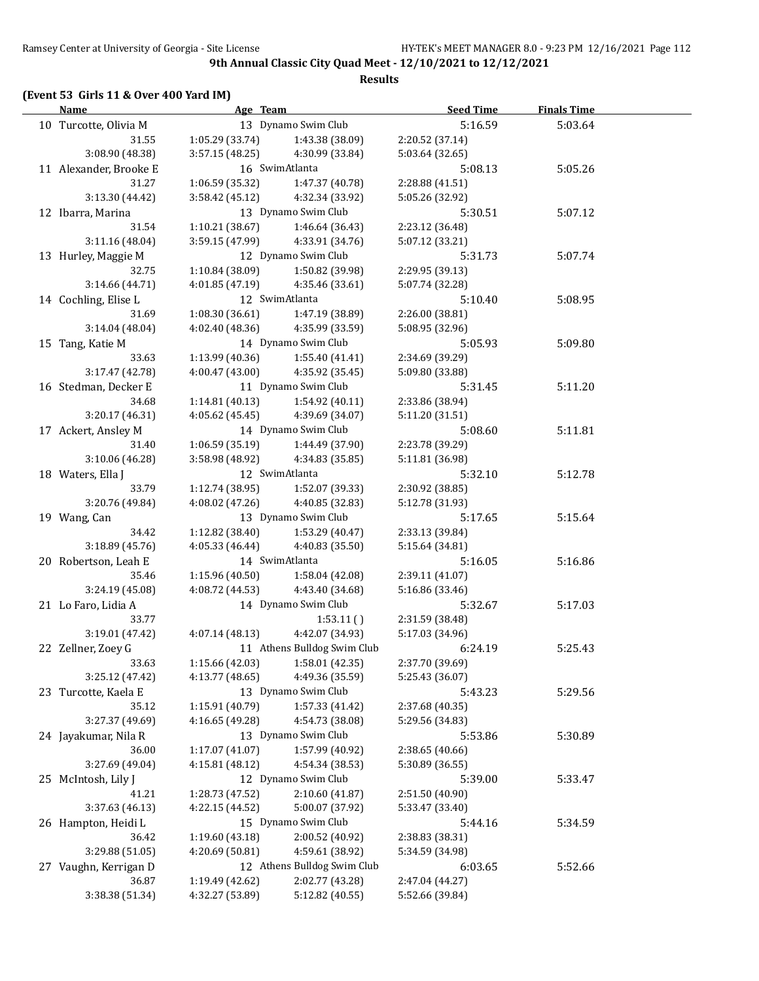#### **Results**

# **(Event 53 Girls 11 & Over 400 Yard IM)**

| Name and the second state of the second state of the second state of the second state of the second state of the second state of the second state of the second state of the second state of the second state of the second st | Age Team        |                                     | <b>Seed Time</b>           | <b>Finals Time</b> |  |
|--------------------------------------------------------------------------------------------------------------------------------------------------------------------------------------------------------------------------------|-----------------|-------------------------------------|----------------------------|--------------------|--|
| 10 Turcotte, Olivia M                                                                                                                                                                                                          |                 | 13 Dynamo Swim Club                 | 5:16.59                    | 5:03.64            |  |
| 31.55                                                                                                                                                                                                                          | 1:05.29(33.74)  | 1:43.38 (38.09)                     | 2:20.52 (37.14)            |                    |  |
| 3:08.90 (48.38)                                                                                                                                                                                                                | 3:57.15 (48.25) | 4:30.99 (33.84)                     | 5:03.64 (32.65)            |                    |  |
| 11 Alexander, Brooke E                                                                                                                                                                                                         |                 | 16 SwimAtlanta                      | 5:08.13                    | 5:05.26            |  |
| 31.27                                                                                                                                                                                                                          | 1:06.59 (35.32) | 1:47.37 (40.78)                     | 2:28.88 (41.51)            |                    |  |
| 3:13.30 (44.42)                                                                                                                                                                                                                | 3:58.42 (45.12) | 4:32.34 (33.92)                     | 5:05.26 (32.92)            |                    |  |
| 12 Ibarra, Marina                                                                                                                                                                                                              |                 | 13 Dynamo Swim Club                 | 5:30.51                    | 5:07.12            |  |
| 31.54                                                                                                                                                                                                                          | 1:10.21(38.67)  | 1:46.64 (36.43)                     | 2:23.12 (36.48)            |                    |  |
| 3:11.16(48.04)                                                                                                                                                                                                                 | 3:59.15(47.99)  | 4:33.91 (34.76)                     | 5:07.12 (33.21)            |                    |  |
| 13 Hurley, Maggie M                                                                                                                                                                                                            |                 | 12 Dynamo Swim Club                 | 5:31.73                    | 5:07.74            |  |
| 32.75                                                                                                                                                                                                                          | 1:10.84(38.09)  | 1:50.82 (39.98)                     | 2:29.95 (39.13)            |                    |  |
| 3:14.66 (44.71)                                                                                                                                                                                                                | 4:01.85 (47.19) | 4:35.46 (33.61)                     | 5:07.74 (32.28)            |                    |  |
| 14 Cochling, Elise L                                                                                                                                                                                                           |                 | 12 SwimAtlanta                      | 5:10.40                    | 5:08.95            |  |
| 31.69                                                                                                                                                                                                                          | 1:08.30(36.61)  | 1:47.19 (38.89)                     | 2:26.00 (38.81)            |                    |  |
| 3:14.04(48.04)                                                                                                                                                                                                                 | 4:02.40 (48.36) | 4:35.99 (33.59)                     | 5:08.95 (32.96)            |                    |  |
| 15 Tang, Katie M                                                                                                                                                                                                               |                 | 14 Dynamo Swim Club                 | 5:05.93                    | 5:09.80            |  |
| 33.63                                                                                                                                                                                                                          | 1:13.99 (40.36) | 1:55.40 (41.41)                     | 2:34.69 (39.29)            |                    |  |
| 3:17.47(42.78)                                                                                                                                                                                                                 | 4:00.47 (43.00) | 4:35.92 (35.45)                     | 5:09.80 (33.88)            |                    |  |
| 16 Stedman, Decker E                                                                                                                                                                                                           |                 | 11 Dynamo Swim Club                 | 5:31.45                    | 5:11.20            |  |
| 34.68                                                                                                                                                                                                                          | 1:14.81 (40.13) | 1:54.92 (40.11)                     | 2:33.86 (38.94)            |                    |  |
| 3:20.17 (46.31)                                                                                                                                                                                                                | 4:05.62 (45.45) | 4:39.69 (34.07)                     | 5:11.20 (31.51)            |                    |  |
| 17 Ackert, Ansley M                                                                                                                                                                                                            |                 | 14 Dynamo Swim Club                 | 5:08.60                    | 5:11.81            |  |
| 31.40                                                                                                                                                                                                                          | 1:06.59 (35.19) | 1:44.49 (37.90)                     | 2:23.78 (39.29)            |                    |  |
| 3:10.06 (46.28)                                                                                                                                                                                                                | 3:58.98 (48.92) | 4:34.83 (35.85)                     | 5:11.81 (36.98)            |                    |  |
| 18 Waters, Ella J                                                                                                                                                                                                              |                 | 12 SwimAtlanta                      | 5:32.10                    | 5:12.78            |  |
| 33.79                                                                                                                                                                                                                          |                 | $1:12.74(38.95)$ $1:52.07(39.33)$   | 2:30.92 (38.85)            |                    |  |
| 3:20.76 (49.84)                                                                                                                                                                                                                | 4:08.02 (47.26) | 4:40.85 (32.83)                     | 5:12.78 (31.93)            |                    |  |
| 19 Wang, Can                                                                                                                                                                                                                   |                 | 13 Dynamo Swim Club                 | 5:17.65                    | 5:15.64            |  |
| 34.42                                                                                                                                                                                                                          |                 | $1:12.82$ (38.40) $1:53.29$ (40.47) | 2:33.13 (39.84)            |                    |  |
| 3:18.89(45.76)                                                                                                                                                                                                                 | 4:05.33 (46.44) | 4:40.83 (35.50)                     | 5:15.64 (34.81)            |                    |  |
| 20 Robertson, Leah E                                                                                                                                                                                                           |                 | 14 SwimAtlanta                      | 5:16.05                    | 5:16.86            |  |
| 35.46                                                                                                                                                                                                                          |                 | $1:15.96(40.50)$ $1:58.04(42.08)$   | 2:39.11 (41.07)            |                    |  |
| 3:24.19 (45.08)                                                                                                                                                                                                                | 4:08.72 (44.53) | 4:43.40 (34.68)                     | 5:16.86 (33.46)            |                    |  |
| 21 Lo Faro, Lidia A                                                                                                                                                                                                            |                 | 14 Dynamo Swim Club                 | 5:32.67                    | 5:17.03            |  |
| 33.77                                                                                                                                                                                                                          |                 | 1:53.11()                           | 2:31.59 (38.48)            |                    |  |
| 3:19.01(47.42)                                                                                                                                                                                                                 | 4:07.14 (48.13) | 4:42.07 (34.93)                     | 5:17.03 (34.96)            |                    |  |
| 22 Zellner, Zoey G                                                                                                                                                                                                             |                 | 11 Athens Bulldog Swim Club         | 6:24.19                    | 5:25.43            |  |
| 33.63                                                                                                                                                                                                                          | 1:15.66 (42.03) | 1:58.01 (42.35)                     | 2:37.70 (39.69)            |                    |  |
| 3:25.12 (47.42)                                                                                                                                                                                                                | 4:13.77(48.65)  | 4:49.36 (35.59)                     | 5:25.43 (36.07)            |                    |  |
| 23 Turcotte, Kaela E                                                                                                                                                                                                           |                 | 13 Dynamo Swim Club                 | 5:43.23                    | 5:29.56            |  |
| 35.12                                                                                                                                                                                                                          | 1:15.91 (40.79) | 1:57.33 (41.42)                     | 2:37.68 (40.35)            |                    |  |
| 3:27.37 (49.69)                                                                                                                                                                                                                | 4:16.65 (49.28) | 4:54.73 (38.08)                     | 5:29.56 (34.83)            |                    |  |
| 24 Jayakumar, Nila R                                                                                                                                                                                                           |                 | 13 Dynamo Swim Club                 |                            | 5:30.89            |  |
| 36.00                                                                                                                                                                                                                          | 1:17.07 (41.07) | 1:57.99 (40.92)                     | 5:53.86<br>2:38.65 (40.66) |                    |  |
| 3:27.69 (49.04)                                                                                                                                                                                                                | 4:15.81 (48.12) | 4:54.34 (38.53)                     | 5:30.89 (36.55)            |                    |  |
|                                                                                                                                                                                                                                |                 | 12 Dynamo Swim Club                 |                            |                    |  |
| 25 McIntosh, Lily J                                                                                                                                                                                                            |                 |                                     | 5:39.00                    | 5:33.47            |  |
| 41.21<br>3:37.63 (46.13)                                                                                                                                                                                                       | 1:28.73 (47.52) | 2:10.60 (41.87)<br>5:00.07 (37.92)  | 2:51.50 (40.90)            |                    |  |
|                                                                                                                                                                                                                                | 4:22.15 (44.52) | 15 Dynamo Swim Club                 | 5:33.47 (33.40)            |                    |  |
| 26 Hampton, Heidi L                                                                                                                                                                                                            |                 |                                     | 5:44.16                    | 5:34.59            |  |
| 36.42                                                                                                                                                                                                                          | 1:19.60 (43.18) | 2:00.52 (40.92)                     | 2:38.83 (38.31)            |                    |  |
| 3:29.88 (51.05)                                                                                                                                                                                                                | 4:20.69 (50.81) | 4:59.61 (38.92)                     | 5:34.59 (34.98)            |                    |  |
| 27 Vaughn, Kerrigan D                                                                                                                                                                                                          |                 | 12 Athens Bulldog Swim Club         | 6:03.65                    | 5:52.66            |  |
| 36.87                                                                                                                                                                                                                          | 1:19.49 (42.62) | 2:02.77 (43.28)                     | 2:47.04 (44.27)            |                    |  |
| 3:38.38 (51.34)                                                                                                                                                                                                                | 4:32.27 (53.89) | 5:12.82 (40.55)                     | 5:52.66 (39.84)            |                    |  |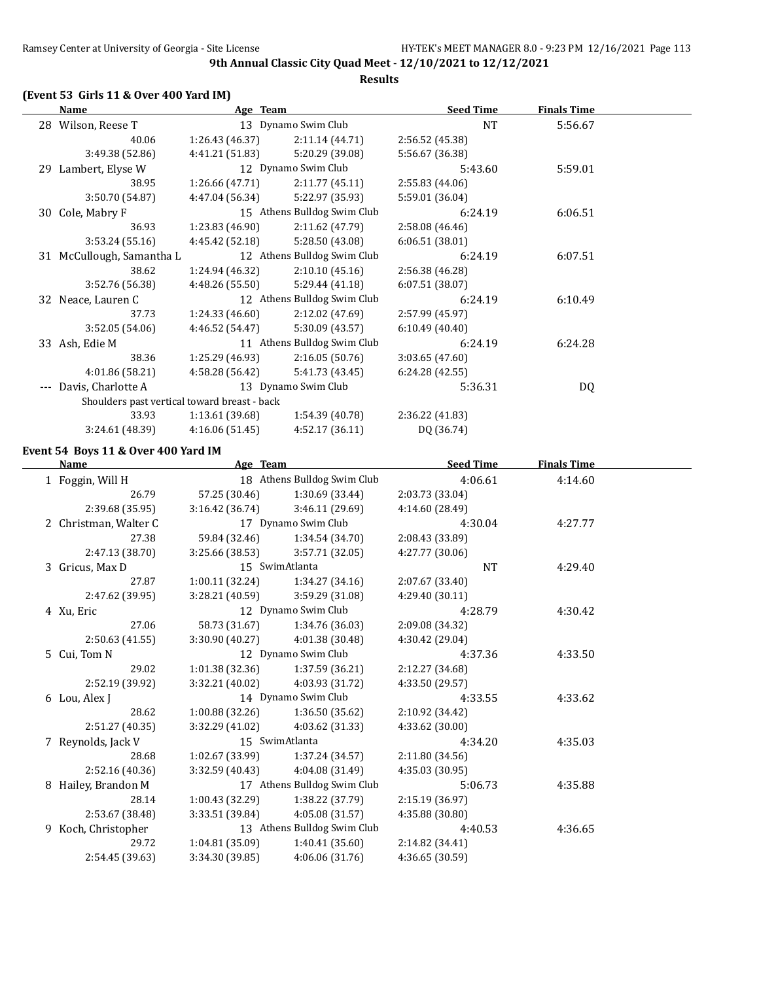## **Results**

## **(Event 53 Girls 11 & Over 400 Yard IM)**

| <b>Name</b>                                  | <u>Age Team</u> |                             | <b>Seed Time</b> | <b>Finals Time</b> |  |
|----------------------------------------------|-----------------|-----------------------------|------------------|--------------------|--|
| 28 Wilson, Reese T                           |                 | 13 Dynamo Swim Club         | <b>NT</b>        | 5:56.67            |  |
| 40.06                                        | 1:26.43 (46.37) | 2:11.14(44.71)              | 2:56.52 (45.38)  |                    |  |
| 3:49.38 (52.86)                              | 4:41.21 (51.83) | 5:20.29 (39.08)             | 5:56.67 (36.38)  |                    |  |
| 29 Lambert, Elyse W                          |                 | 12 Dynamo Swim Club         | 5:43.60          | 5:59.01            |  |
| 38.95                                        | 1:26.66 (47.71) | 2:11.77(45.11)              | 2:55.83 (44.06)  |                    |  |
| 3:50.70 (54.87)                              | 4:47.04 (56.34) | 5:22.97 (35.93)             | 5:59.01 (36.04)  |                    |  |
| 30 Cole, Mabry F                             |                 | 15 Athens Bulldog Swim Club | 6:24.19          | 6:06.51            |  |
| 36.93                                        | 1:23.83 (46.90) | 2:11.62(47.79)              | 2:58.08 (46.46)  |                    |  |
| 3:53.24(55.16)                               | 4:45.42 (52.18) | 5:28.50 (43.08)             | 6:06.51(38.01)   |                    |  |
| 31 McCullough, Samantha L                    |                 | 12 Athens Bulldog Swim Club | 6:24.19          | 6:07.51            |  |
| 38.62                                        | 1:24.94 (46.32) | 2:10.10(45.16)              | 2:56.38 (46.28)  |                    |  |
| 3:52.76 (56.38)                              | 4:48.26 (55.50) | 5:29.44(41.18)              | 6:07.51(38.07)   |                    |  |
| 32 Neace, Lauren C                           |                 | 12 Athens Bulldog Swim Club | 6:24.19          | 6:10.49            |  |
| 37.73                                        | 1:24.33 (46.60) | 2:12.02 (47.69)             | 2:57.99 (45.97)  |                    |  |
| 3:52.05 (54.06)                              | 4:46.52 (54.47) | 5:30.09 (43.57)             | 6:10.49(40.40)   |                    |  |
| 33 Ash, Edie M                               |                 | 11 Athens Bulldog Swim Club | 6:24.19          | 6:24.28            |  |
| 38.36                                        | 1:25.29 (46.93) | 2:16.05(50.76)              | 3:03.65(47.60)   |                    |  |
| 4:01.86 (58.21)                              | 4:58.28 (56.42) | 5:41.73(43.45)              | 6:24.28(42.55)   |                    |  |
| Davis, Charlotte A                           |                 | 13 Dynamo Swim Club         | 5:36.31          | DQ                 |  |
| Shoulders past vertical toward breast - back |                 |                             |                  |                    |  |
| 33.93                                        | 1:13.61(39.68)  | 1:54.39 (40.78)             | 2:36.22 (41.83)  |                    |  |
| 3:24.61 (48.39)                              | 4:16.06(51.45)  | 4:52.17(36.11)              | DQ (36.74)       |                    |  |
|                                              |                 |                             |                  |                    |  |

## **Event 54 Boys 11 & Over 400 Yard IM**

| <b>Name</b>           | Age Team        |                             | <b>Seed Time</b> | <b>Finals Time</b> |  |
|-----------------------|-----------------|-----------------------------|------------------|--------------------|--|
| 1 Foggin, Will H      |                 | 18 Athens Bulldog Swim Club | 4:06.61          | 4:14.60            |  |
| 26.79                 | 57.25 (30.46)   | 1:30.69 (33.44)             | 2:03.73 (33.04)  |                    |  |
| 2:39.68 (35.95)       | 3:16.42(36.74)  | 3:46.11 (29.69)             | 4:14.60 (28.49)  |                    |  |
| 2 Christman, Walter C |                 | 17 Dynamo Swim Club         | 4:30.04          | 4:27.77            |  |
| 27.38                 | 59.84 (32.46)   | 1:34.54 (34.70)             | 2:08.43 (33.89)  |                    |  |
| 2:47.13 (38.70)       | 3:25.66 (38.53) | 3:57.71(32.05)              | 4:27.77 (30.06)  |                    |  |
| 3 Gricus, Max D       |                 | 15 SwimAtlanta              | <b>NT</b>        | 4:29.40            |  |
| 27.87                 | 1:00.11(32.24)  | 1:34.27(34.16)              | 2:07.67 (33.40)  |                    |  |
| 2:47.62 (39.95)       | 3:28.21(40.59)  | 3:59.29 (31.08)             | 4:29.40 (30.11)  |                    |  |
| 4 Xu, Eric            |                 | 12 Dynamo Swim Club         | 4:28.79          | 4:30.42            |  |
| 27.06                 | 58.73 (31.67)   | 1:34.76 (36.03)             | 2:09.08 (34.32)  |                    |  |
| 2:50.63(41.55)        | 3:30.90(40.27)  | 4:01.38 (30.48)             | 4:30.42 (29.04)  |                    |  |
| 5 Cui, Tom N          |                 | 12 Dynamo Swim Club         | 4:37.36          | 4:33.50            |  |
| 29.02                 | 1:01.38 (32.36) | 1:37.59 (36.21)             | 2:12.27 (34.68)  |                    |  |
| 2:52.19 (39.92)       | 3:32.21(40.02)  | 4:03.93 (31.72)             | 4:33.50 (29.57)  |                    |  |
| 6 Lou, Alex J         |                 | 14 Dynamo Swim Club         | 4:33.55          | 4:33.62            |  |
| 28.62                 | 1:00.88(32.26)  | 1:36.50 (35.62)             | 2:10.92 (34.42)  |                    |  |
| 2:51.27(40.35)        | 3:32.29(41.02)  | 4:03.62 (31.33)             | 4:33.62 (30.00)  |                    |  |
| 7 Reynolds, Jack V    |                 | 15 SwimAtlanta              | 4:34.20          | 4:35.03            |  |
| 28.68                 | 1:02.67 (33.99) | 1:37.24 (34.57)             | 2:11.80 (34.56)  |                    |  |
| 2:52.16 (40.36)       | 3:32.59(40.43)  | 4:04.08 (31.49)             | 4:35.03 (30.95)  |                    |  |
| 8 Hailey, Brandon M   |                 | 17 Athens Bulldog Swim Club | 5:06.73          | 4:35.88            |  |
| 28.14                 | 1:00.43(32.29)  | 1:38.22 (37.79)             | 2:15.19 (36.97)  |                    |  |
| 2:53.67 (38.48)       | 3:33.51(39.84)  | 4:05.08(31.57)              | 4:35.88 (30.80)  |                    |  |
| 9 Koch, Christopher   |                 | 13 Athens Bulldog Swim Club | 4:40.53          | 4:36.65            |  |
| 29.72                 | 1:04.81(35.09)  | 1:40.41(35.60)              | 2:14.82 (34.41)  |                    |  |
| 2:54.45 (39.63)       | 3:34.30(39.85)  | 4:06.06(31.76)              | 4:36.65 (30.59)  |                    |  |